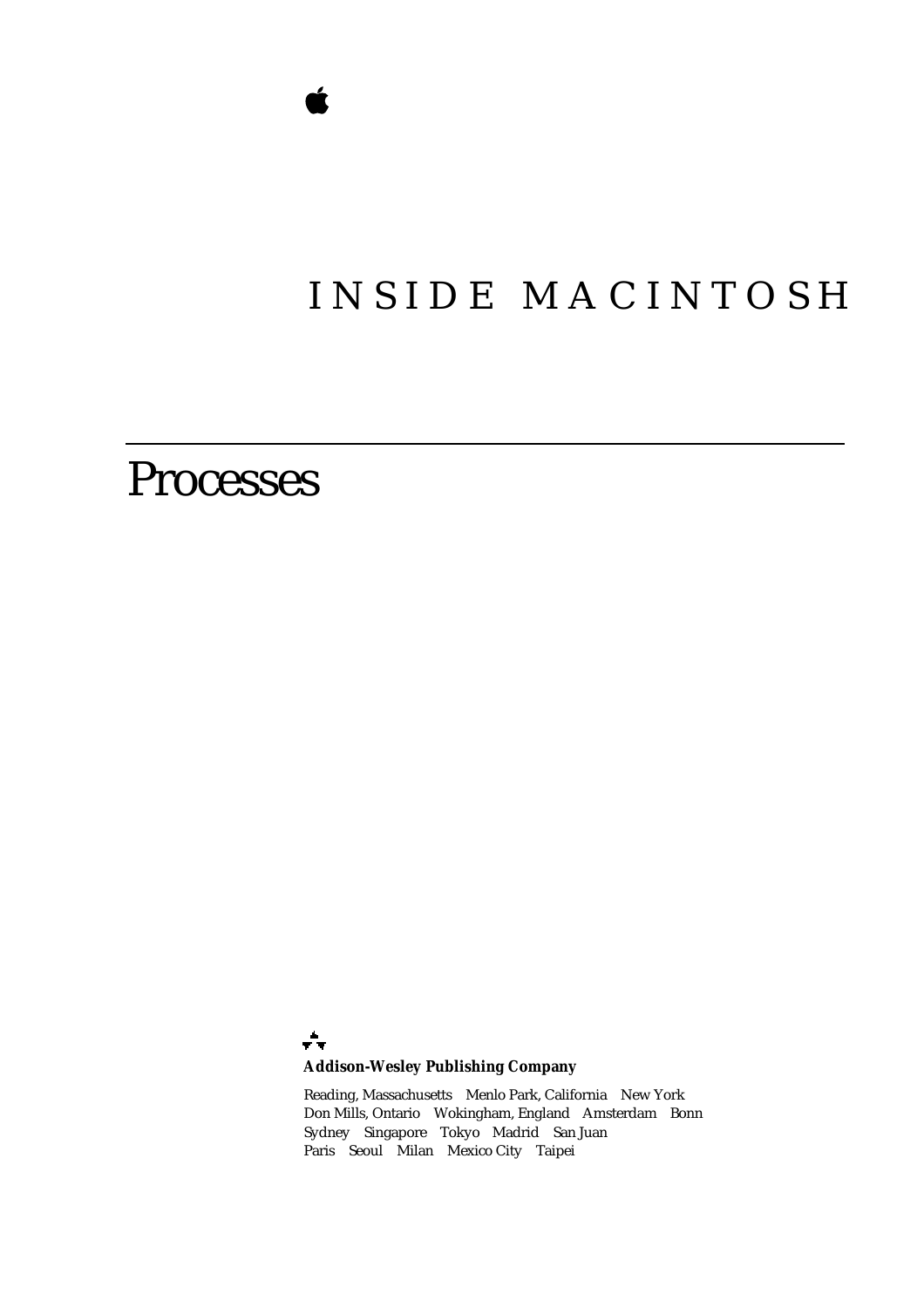# INSIDE MACINTOSH

# Processes

÷ **Addison-Wesley Publishing Company**

Reading, Massachusetts Menlo Park, California New York Don Mills, Ontario Wokingham, England Amsterdam Bonn Sydney Singapore Tokyo Madrid San Juan Paris Seoul Milan Mexico City Taipei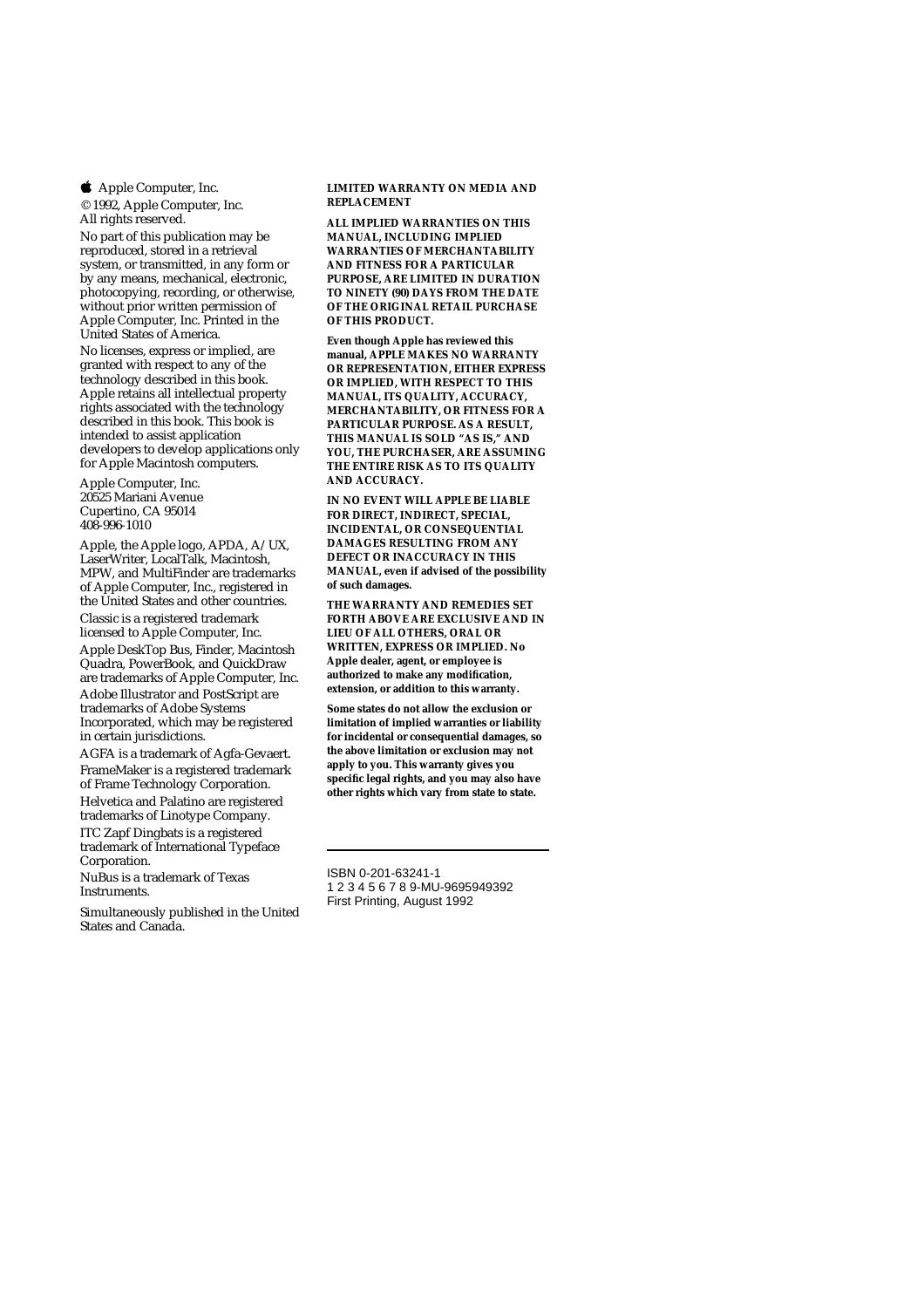**4** Apple Computer, Inc.

© 1992, Apple Computer, Inc. All rights reserved.

No part of this publication may be reproduced, stored in a retrieval system, or transmitted, in any form or by any means, mechanical, electronic, photocopying, recording, or otherwise, without prior written permission of Apple Computer, Inc. Printed in the United States of America. No licenses, express or implied, are granted with respect to any of the technology described in this book. Apple retains all intellectual property rights associated with the technology described in this book. This book is intended to assist application developers to develop applications only for Apple Macintosh computers.

Apple Computer, Inc. 20525 Mariani Avenue Cupertino, CA 95014 408-996-1010

Apple, the Apple logo, APDA, A/UX, LaserWriter, LocalTalk, Macintosh, MPW, and MultiFinder are trademarks of Apple Computer, Inc., registered in the United States and other countries.

Classic is a registered trademark licensed to Apple Computer, Inc.

Apple DeskTop Bus, Finder, Macintosh Quadra, PowerBook, and QuickDraw are trademarks of Apple Computer, Inc. Adobe Illustrator and PostScript are trademarks of Adobe Systems Incorporated, which may be registered in certain jurisdictions.

AGFA is a trademark of Agfa-Gevaert. FrameMaker is a registered trademark of Frame Technology Corporation. Helvetica and Palatino are registered trademarks of Linotype Company. ITC Zapf Dingbats is a registered trademark of International Typeface Corporation.

NuBus is a trademark of Texas Instruments.

Simultaneously published in the United States and Canada.

**LIMITED WARRANTY ON MEDIA AND REPLACEMENT**

**ALL IMPLIED WARRANTIES ON THIS MANUAL, INCLUDING IMPLIED WARRANTIES OF MERCHANTABILITY AND FITNESS FOR A PARTICULAR PURPOSE, ARE LIMITED IN DURATION TO NINETY (90) DAYS FROM THE DATE OF THE ORIGINAL RETAIL PURCHASE OF THIS PRODUCT.**

**Even though Apple has reviewed this manual, APPLE MAKES NO WARRANTY OR REPRESENTATION, EITHER EXPRESS OR IMPLIED, WITH RESPECT TO THIS MANUAL, ITS QUALITY, ACCURACY, MERCHANTABILITY, OR FITNESS FOR A PARTICULAR PURPOSE. AS A RESULT, THIS MANUAL IS SOLD "AS IS," AND YOU, THE PURCHASER, ARE ASSUMING THE ENTIRE RISK AS TO ITS QUALITY AND ACCURACY.**

**IN NO EVENT WILL APPLE BE LIABLE FOR DIRECT, INDIRECT, SPECIAL, INCIDENTAL, OR CONSEQUENTIAL DAMAGES RESULTING FROM ANY DEFECT OR INACCURACY IN THIS MANUAL, even if advised of the possibility of such damages.**

**THE WARRANTY AND REMEDIES SET FORTH ABOVE ARE EXCLUSIVE AND IN LIEU OF ALL OTHERS, ORAL OR WRITTEN, EXPRESS OR IMPLIED. No Apple dealer, agent, or employee is authorized to make any modification, extension, or addition to this warranty.**

**Some states do not allow the exclusion or limitation of implied warranties or liability for incidental or consequential damages, so the above limitation or exclusion may not apply to you. This warranty gives you specific legal rights, and you may also have other rights which vary from state to state.**

ISBN 0-201-63241-1 1 2 3 4 5 6 7 8 9-MU-9695949392 First Printing, August 1992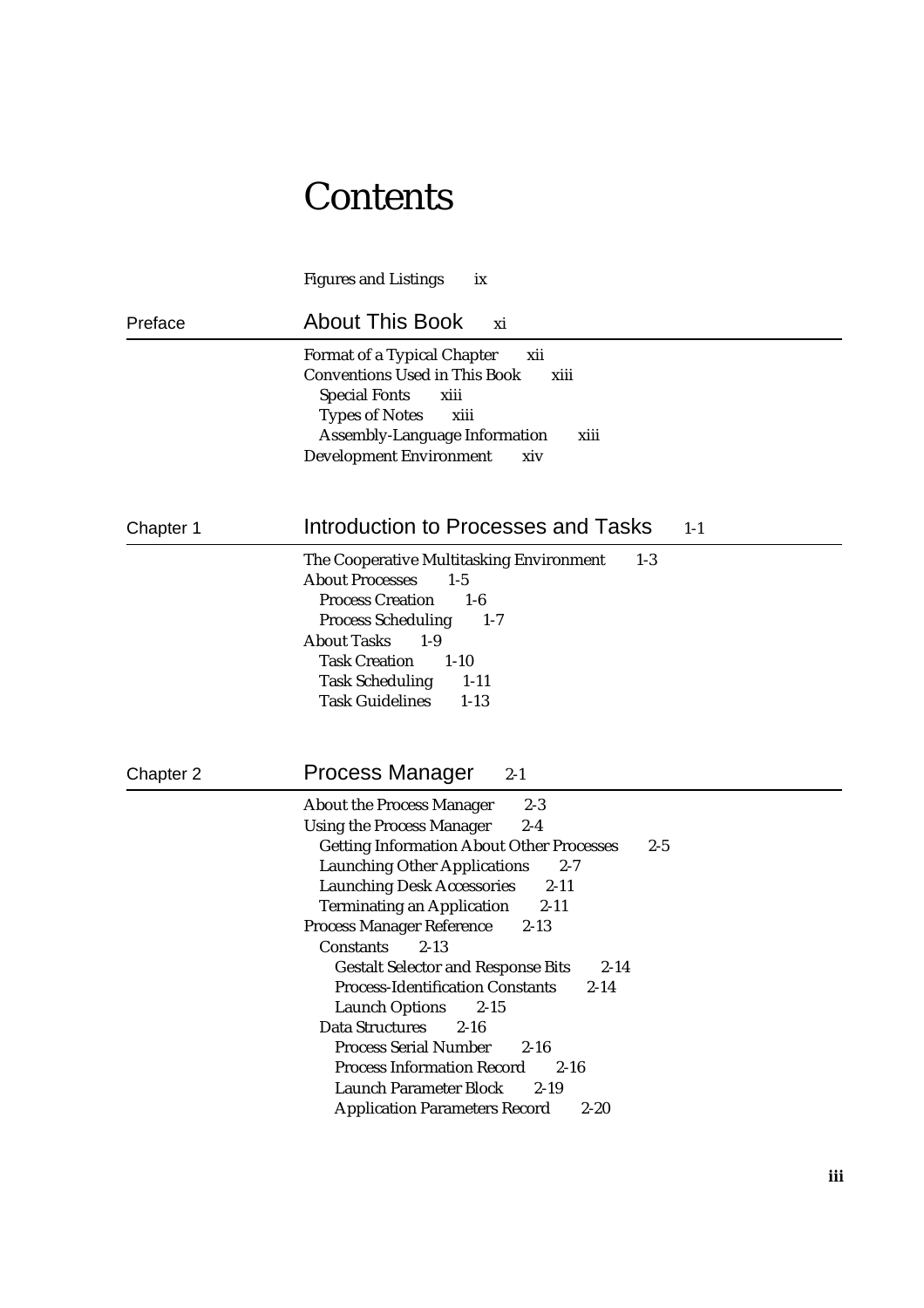## **Contents**

Figures and Listings ix Preface About This Book xi Format of a Typical Chapter xii Conventions Used in This Book xiii Special Fonts xiii Types of Notes xiii Assembly-Language Information xiii Development Environment xiv Chapter 1 **Introduction to Processes and Tasks** 1-1 The Cooperative Multitasking Environment 1-3 About Processes 1-5 Process Creation 1-6 Process Scheduling 1-7 About Tasks 1-9 Task Creation 1-10 Task Scheduling 1-11 Task Guidelines 1-13 Chapter 2 **Process Manager** 2-1 About the Process Manager 2-3 Using the Process Manager 2-4 Getting Information About Other Processes 2-5 Launching Other Applications 2-7 Launching Desk Accessories 2-11 Terminating an Application 2-11 Process Manager Reference 2-13 Constants 2-13 Gestalt Selector and Response Bits 2-14 Process-Identification Constants 2-14 Launch Options 2-15 Data Structures 2-16 Process Serial Number 2-16 Process Information Record 2-16 Launch Parameter Block 2-19 Application Parameters Record 2-20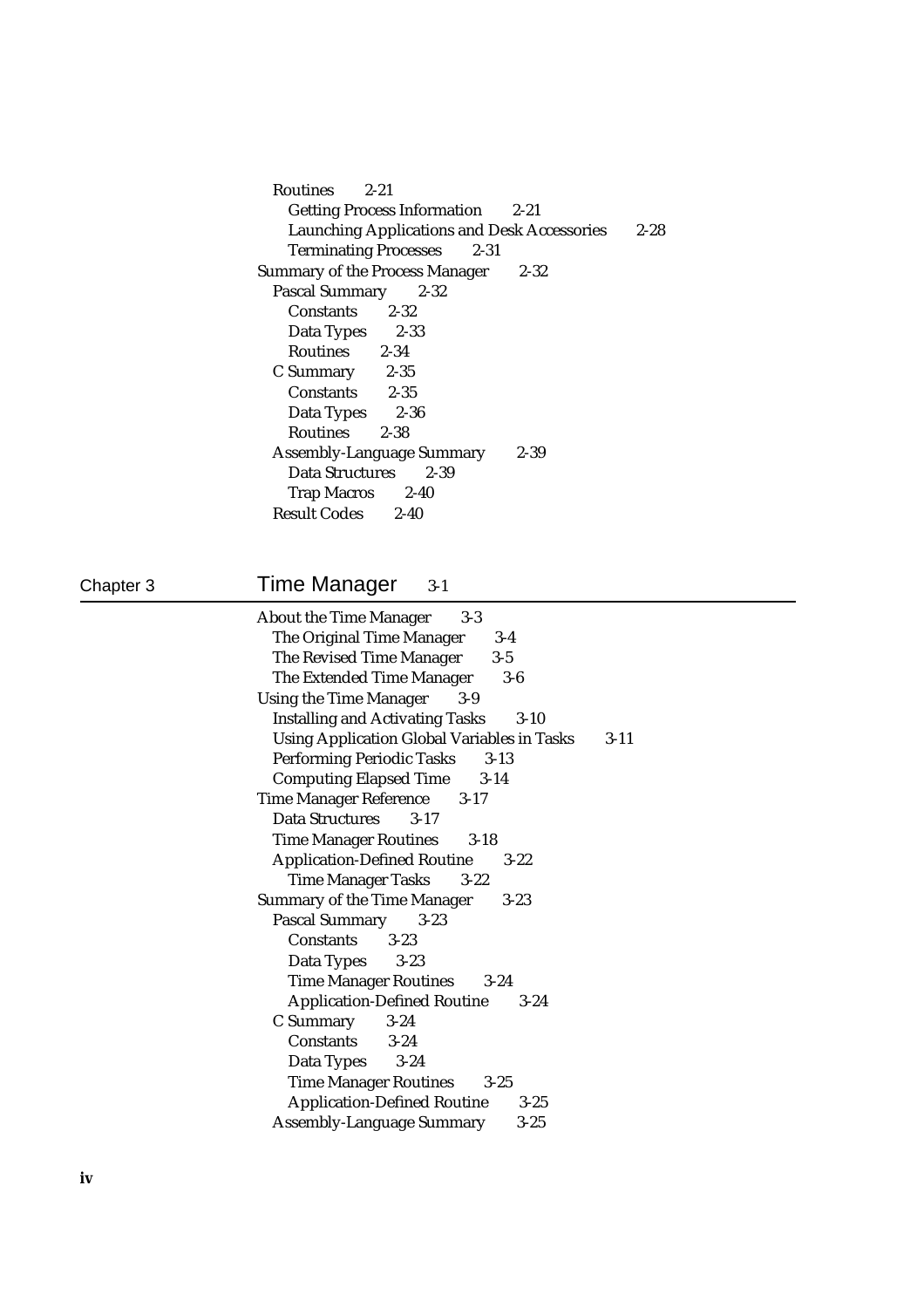Routines 2-21 Getting Process Information 2-21 Launching Applications and Desk Accessories 2-28 Terminating Processes 2-31 Summary of the Process Manager 2-32 Pascal Summary 2-32 Constants 2-32 Data Types 2-33 Routines 2-34 C Summary 2-35<br>Constants 2-35 Constants Data Types 2-36 Routines 2-38 Assembly-Language Summary 2-39 Data Structures 2-39 Trap Macros 2-40<br>esult Codes 2-40 **Result Codes** 

## Chapter 3 Time Manager 3-1

| <b>About the Time Manager</b><br>$3-3$             |          |
|----------------------------------------------------|----------|
| The Original Time Manager<br>$3-4$                 |          |
| The Revised Time Manager<br>$3-5$                  |          |
| The Extended Time Manager<br>$3-6$                 |          |
| <b>Using the Time Manager</b><br>$3-9$             |          |
| <b>Installing and Activating Tasks</b><br>$3 - 10$ |          |
| <b>Using Application Global Variables in Tasks</b> | $3 - 11$ |
| <b>Performing Periodic Tasks</b><br>$3-13$         |          |
| <b>Computing Elapsed Time</b><br>$3-14$            |          |
| Time Manager Reference 3-17                        |          |
| Data Structures<br>$3 - 17$                        |          |
| Time Manager Routines 3-18                         |          |
| <b>Application-Defined Routine</b><br>$3 - 22$     |          |
| <b>Time Manager Tasks</b><br>$3 - 22$              |          |
| <b>Summary of the Time Manager</b><br>$3 - 23$     |          |
| <b>Pascal Summary</b><br>$3 - 23$                  |          |
| Constants<br>$3 - 23$                              |          |
| Data Types<br>$3 - 23$                             |          |
| Time Manager Routines 3-24                         |          |
| <b>Application-Defined Routine</b><br>$3 - 24$     |          |
| C Summary<br>$3 - 24$                              |          |
| Constants 3-24                                     |          |
| Data Types<br>$3 - 24$                             |          |
| <b>Time Manager Routines</b><br>$3 - 25$           |          |
| <b>Application-Defined Routine</b><br>$3 - 25$     |          |
| <b>Assembly-Language Summary</b><br>$3 - 25$       |          |
|                                                    |          |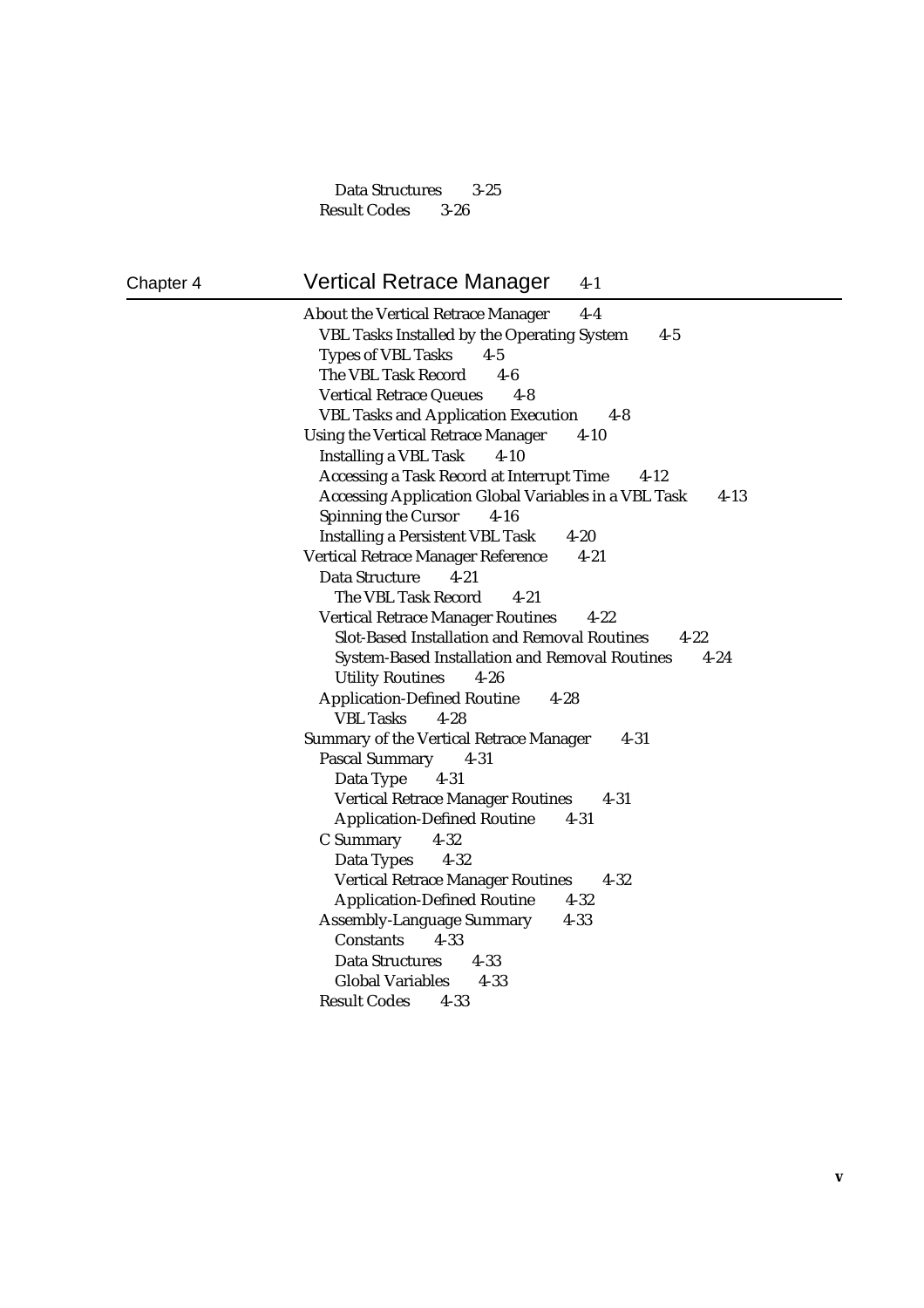Data Structures 3-25 Result Codes 3-26

### Chapter 4 Vertical Retrace Manager 4-1

About the Vertical Retrace Manager 4-4 VBL Tasks Installed by the Operating System 4-5 Types of VBL Tasks 4-5 The VBL Task Record 4-6 Vertical Retrace Queues 4-8 VBL Tasks and Application Execution 4-8 Using the Vertical Retrace Manager 4-10 Installing a VBL Task 4-10 Accessing a Task Record at Interrupt Time 4-12 Accessing Application Global Variables in a VBL Task 4-13 Spinning the Cursor 4-16 Installing a Persistent VBL Task 4-20 Vertical Retrace Manager Reference 4-21 Data Structure 4-21 The VBL Task Record 4-21 Vertical Retrace Manager Routines 4-22 Slot-Based Installation and Removal Routines 4-22 System-Based Installation and Removal Routines 4-24 Utility Routines 4-26 Application-Defined Routine 4-28 VBL Tasks 4-28 Summary of the Vertical Retrace Manager 4-31 Pascal Summary 4-31 Data Type 4-31 Vertical Retrace Manager Routines 4-31 Application-Defined Routine 4-31 C Summary 4-32 Data Types 4-32 Vertical Retrace Manager Routines 4-32 Application-Defined Routine 4-32 Assembly-Language Summary 4-33 Constants 4-33 Data Structures 4-33 Global Variables 4-33 Result Codes 4-33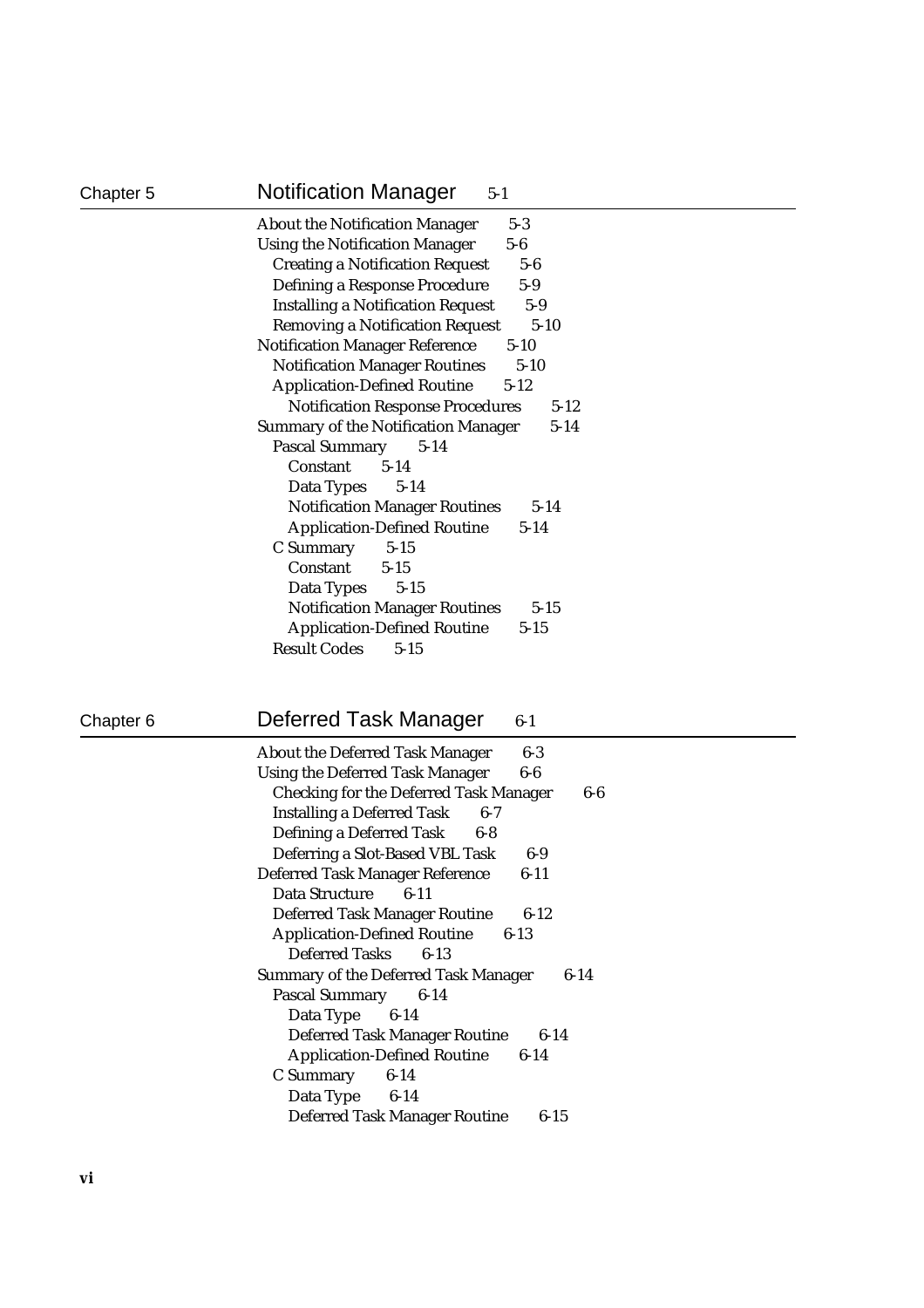| Chapter 5 | <b>Notification Manager</b><br>$5-1$                                                                                                                                                                                                                                                                                                                                                                              |
|-----------|-------------------------------------------------------------------------------------------------------------------------------------------------------------------------------------------------------------------------------------------------------------------------------------------------------------------------------------------------------------------------------------------------------------------|
|           | <b>About the Notification Manager</b><br>$5-3$<br><b>Using the Notification Manager</b><br>$5-6$<br><b>Creating a Notification Request</b><br>$5-6$<br>Defining a Response Procedure<br>$5-9$<br><b>Installing a Notification Request</b><br>$5-9$<br><b>Removing a Notification Request</b><br>$5 - 10$<br><b>Notification Manager Reference</b><br>$5 - 10$<br><b>Notification Manager Routines</b><br>$5 - 10$ |
|           | <b>Application-Defined Routine</b><br>$5 - 12$<br><b>Notification Response Procedures</b><br>$5 - 12$<br><b>Summary of the Notification Manager</b><br>$5 - 14$<br><b>Pascal Summary</b><br>$5 - 14$<br>Constant<br>$5 - 14$<br>Data Types<br>$5-14$<br><b>Notification Manager Routines</b><br>$5 - 14$                                                                                                          |
|           | <b>Application-Defined Routine</b><br>$5 - 14$<br>C Summary<br>$5 - 15$<br>Constant<br>$5 - 15$<br>$5 - 15$<br>Data Types<br><b>Notification Manager Routines</b><br>$5 - 15$<br><b>Application-Defined Routine</b><br>$5 - 15$<br><b>Result Codes</b><br>$5 - 15$                                                                                                                                                |

## Chapter 6 **Deferred Task Manager** 6-1

| <b>About the Deferred Task Manager</b><br>6-3         |
|-------------------------------------------------------|
| <b>Using the Deferred Task Manager</b><br>6-6         |
| <b>Checking for the Deferred Task Manager</b><br>6-6  |
| <b>Installing a Deferred Task</b><br>$6 - 7$          |
| Defining a Deferred Task<br>6-8                       |
| Deferring a Slot-Based VBL Task<br>6-9                |
| Deferred Task Manager Reference<br>$6 - 11$           |
| Data Structure<br>$6 - 11$                            |
| <b>Deferred Task Manager Routine</b><br>$6 - 12$      |
| <b>Application-Defined Routine</b><br>$6 - 13$        |
| Deferred Tasks 6-13                                   |
| <b>Summary of the Deferred Task Manager</b><br>$6-14$ |
| Pascal Summary<br>$6-14$                              |
| Data Type<br>$6 - 14$                                 |
| <b>Deferred Task Manager Routine</b><br>$6 - 14$      |
| <b>Application-Defined Routine</b><br>$6 - 14$        |
| C Summary<br>$6 - 14$                                 |
| Data Type 6-14                                        |
| <b>Deferred Task Manager Routine</b><br>6-15          |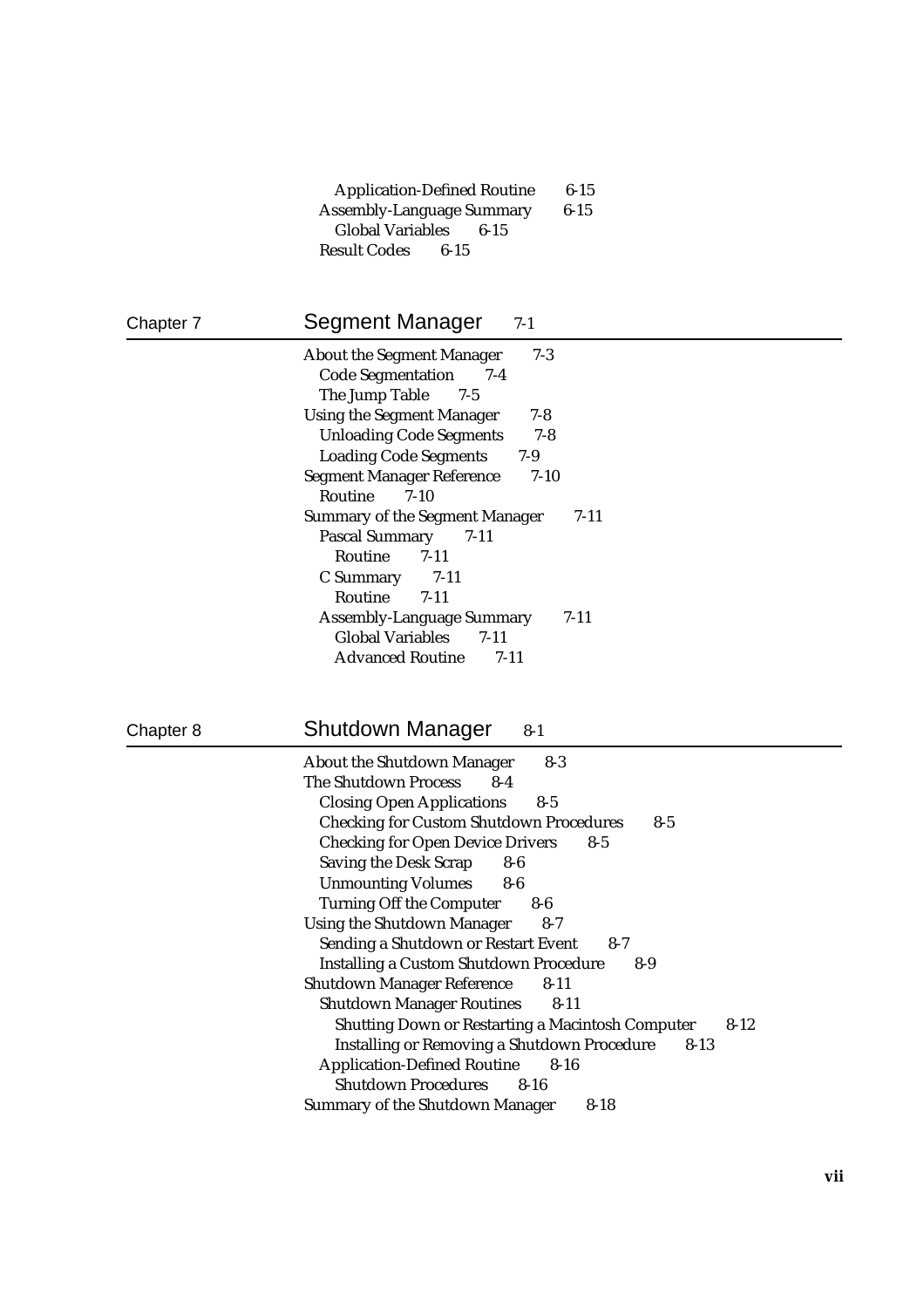| <b>Application-Defined Routine</b> | $6 - 15$ |
|------------------------------------|----------|
| <b>Assembly-Language Summary</b>   | $6 - 15$ |
| Global Variables 6-15              |          |
| <b>Result Codes</b> 6-15           |          |

| Chapter 7 | Segment Manager<br>$7-1$                                                                             |
|-----------|------------------------------------------------------------------------------------------------------|
|           | $7-3$<br><b>About the Segment Manager</b><br><b>Code Segmentation</b><br>$7-4$<br>The Jump Table 7-5 |
|           | <b>Using the Segment Manager</b><br>$7-8$                                                            |
|           | $7 - 8$<br><b>Unloading Code Segments</b>                                                            |
|           | <b>Loading Code Segments</b><br>$7-9$                                                                |
|           | <b>Segment Manager Reference</b><br>$7 - 10$                                                         |
|           | <b>Routine</b><br>$7-10$                                                                             |
|           | <b>Summary of the Segment Manager</b><br>$7-11$                                                      |
|           | <b>Pascal Summary</b><br>- 7-11                                                                      |
|           | Routine 7-11                                                                                         |
|           | 7-11<br>C Summary                                                                                    |
|           | Routine 7-11                                                                                         |
|           | <b>Assembly-Language Summary</b><br>$7 - 11$                                                         |
|           | <b>Global Variables</b><br>$7 - 11$                                                                  |
|           | <b>Advanced Routine</b><br>$7 - 11$                                                                  |

| Chapter 8 | <b>Shutdown Manager</b><br>$8 - 1$                                                 |
|-----------|------------------------------------------------------------------------------------|
|           | <b>About the Shutdown Manager</b><br>$8-3$<br><b>The Shutdown Process</b><br>$8-4$ |
|           | <b>Closing Open Applications</b><br>$8 - 5$                                        |
|           | <b>Checking for Custom Shutdown Procedures</b><br>$8 - 5$                          |
|           | <b>Checking for Open Device Drivers</b><br>$8-5$                                   |
|           | <b>Saving the Desk Scrap</b><br>$8-6$                                              |
|           | <b>Unmounting Volumes</b><br>$8-6$                                                 |
|           | <b>Turning Off the Computer</b><br>$8-6$                                           |
|           | <b>Using the Shutdown Manager</b><br>$8-7$                                         |
|           | Sending a Shutdown or Restart Event<br>$8 - 7$                                     |
|           | <b>Installing a Custom Shutdown Procedure</b><br>$8-9$                             |
|           | <b>Shutdown Manager Reference</b><br>$8-11$                                        |
|           | <b>Shutdown Manager Routines</b><br>$8-11$                                         |
|           | <b>Shutting Down or Restarting a Macintosh Computer</b><br>$8 - 12$                |
|           | <b>Installing or Removing a Shutdown Procedure</b><br>$8 - 13$                     |
|           | <b>Application-Defined Routine</b><br>$8 - 16$                                     |
|           | <b>Shutdown Procedures</b><br>$8 - 16$                                             |
|           | <b>Summary of the Shutdown Manager</b><br>$8 - 18$                                 |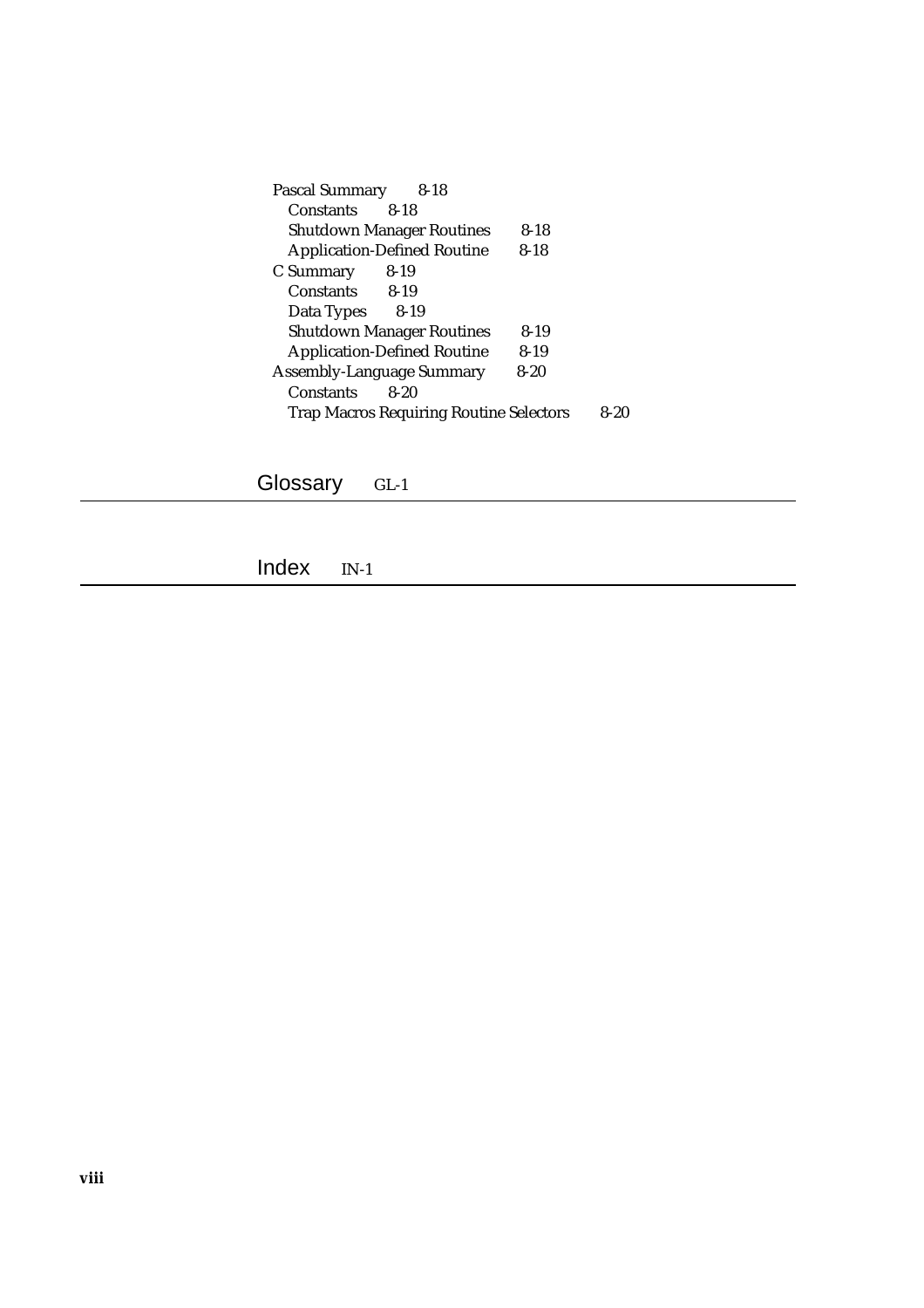| $8 - 18$<br>Pascal Summary                     |          |      |
|------------------------------------------------|----------|------|
| Constants<br>8-18                              |          |      |
| <b>Shutdown Manager Routines</b>               | $8 - 18$ |      |
| <b>Application-Defined Routine</b>             | $8 - 18$ |      |
| $8 - 19$<br>C Summary                          |          |      |
| Constants 8-19                                 |          |      |
| $8-19$<br>Data Types                           |          |      |
| <b>Shutdown Manager Routines</b>               | 8-19     |      |
| <b>Application-Defined Routine</b>             | $8 - 19$ |      |
| <b>Assembly-Language Summary</b>               | $8 - 20$ |      |
| <b>Constants</b><br>8-20                       |          |      |
| <b>Trap Macros Requiring Routine Selectors</b> |          | 8-20 |

Glossary GL-1

Index IN-1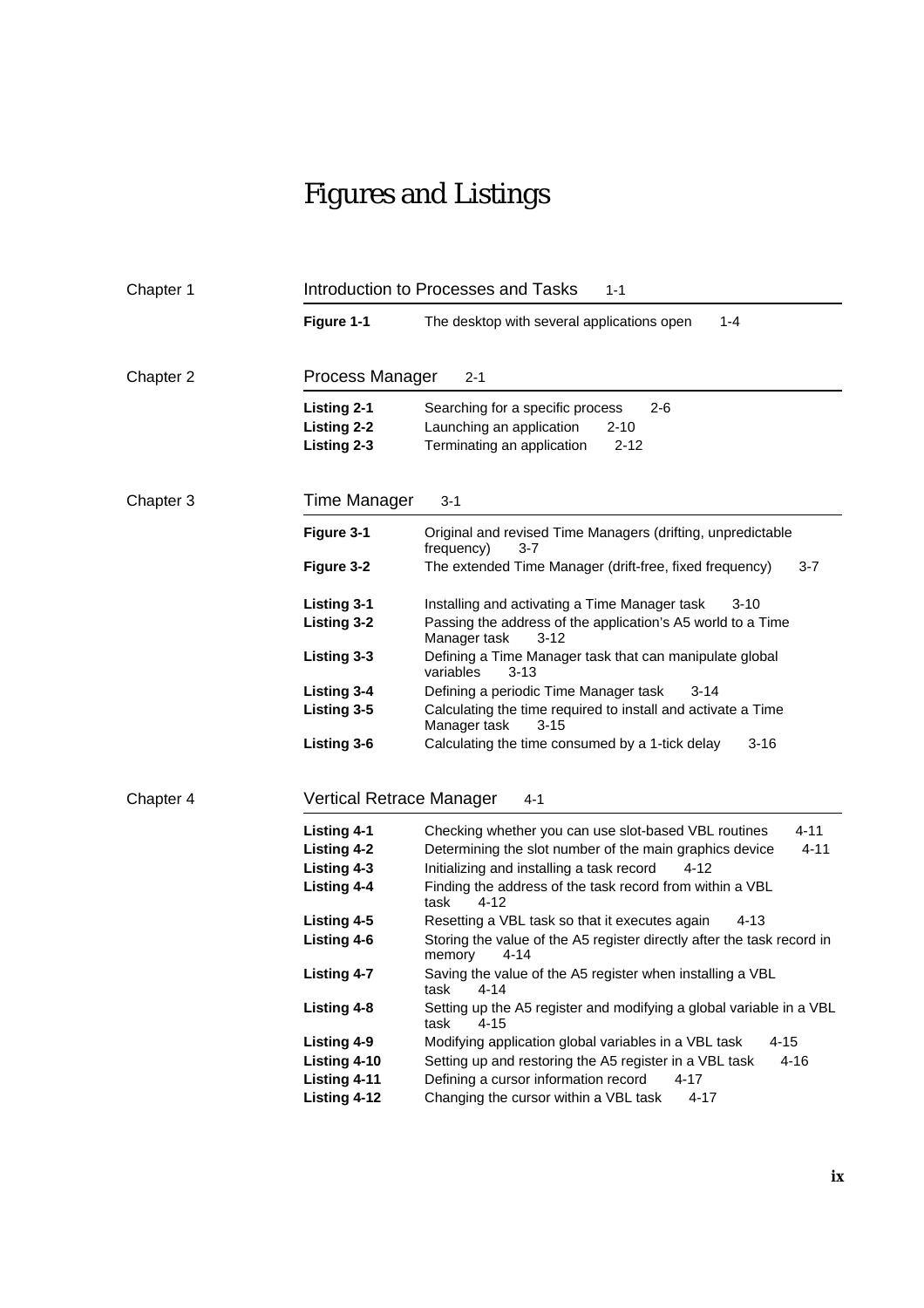## Figures and Listings

| Chapter 1 |                                                  | Introduction to Processes and Tasks<br>$1 - 1$                                                                                |  |  |
|-----------|--------------------------------------------------|-------------------------------------------------------------------------------------------------------------------------------|--|--|
|           | Figure 1-1                                       | $1 - 4$<br>The desktop with several applications open                                                                         |  |  |
| Chapter 2 | Process Manager<br>$2 - 1$                       |                                                                                                                               |  |  |
|           | <b>Listing 2-1</b><br>Listing 2-2<br>Listing 2-3 | Searching for a specific process<br>$2 - 6$<br>Launching an application<br>$2 - 10$<br>Terminating an application<br>$2 - 12$ |  |  |
| Chapter 3 | Time Manager                                     | $3 - 1$                                                                                                                       |  |  |
|           | Figure 3-1                                       | Original and revised Time Managers (drifting, unpredictable<br>frequency)<br>3-7                                              |  |  |
|           | Figure 3-2                                       | The extended Time Manager (drift-free, fixed frequency)<br>3-7                                                                |  |  |
|           | <b>Listing 3-1</b>                               | Installing and activating a Time Manager task<br>$3 - 10$                                                                     |  |  |
|           | Listing 3-2                                      | Passing the address of the application's A5 world to a Time<br>Manager task<br>$3 - 12$                                       |  |  |
|           | Listing 3-3                                      | Defining a Time Manager task that can manipulate global<br>variables<br>3-13                                                  |  |  |
|           | Listing 3-4                                      | Defining a periodic Time Manager task<br>$3 - 14$                                                                             |  |  |
|           | Listing 3-5                                      | Calculating the time required to install and activate a Time<br>$3 - 15$<br>Manager task                                      |  |  |
|           | Listing 3-6                                      | $3 - 16$<br>Calculating the time consumed by a 1-tick delay                                                                   |  |  |
| Chapter 4 | Vertical Retrace Manager<br>4-1                  |                                                                                                                               |  |  |
|           | <b>Listing 4-1</b>                               | $4 - 11$<br>Checking whether you can use slot-based VBL routines                                                              |  |  |
|           | Listing 4-2                                      | Determining the slot number of the main graphics device<br>$4 - 11$                                                           |  |  |
|           | Listing 4-3                                      | Initializing and installing a task record<br>4-12                                                                             |  |  |
|           | <b>Listing 4-4</b>                               | Finding the address of the task record from within a VBL<br>task<br>4-12                                                      |  |  |
|           | Listing 4-5                                      | 4-13<br>Resetting a VBL task so that it executes again                                                                        |  |  |
|           | Listing 4-6                                      | Storing the value of the A5 register directly after the task record in<br>memory<br>4-14                                      |  |  |
|           | <b>Listing 4-7</b>                               | Saving the value of the A5 register when installing a VBL<br>task<br>4-14                                                     |  |  |
|           | Listing 4-8                                      | Setting up the A5 register and modifying a global variable in a VBL<br>task<br>4-15                                           |  |  |
|           | Listing 4-9                                      | $4 - 15$<br>Modifying application global variables in a VBL task                                                              |  |  |
|           | Listing 4-10                                     | Setting up and restoring the A5 register in a VBL task<br>$4 - 16$                                                            |  |  |
|           | Listing 4-11                                     | Defining a cursor information record<br>$4 - 17$                                                                              |  |  |
|           | Listing 4-12                                     | Changing the cursor within a VBL task<br>$4 - 17$                                                                             |  |  |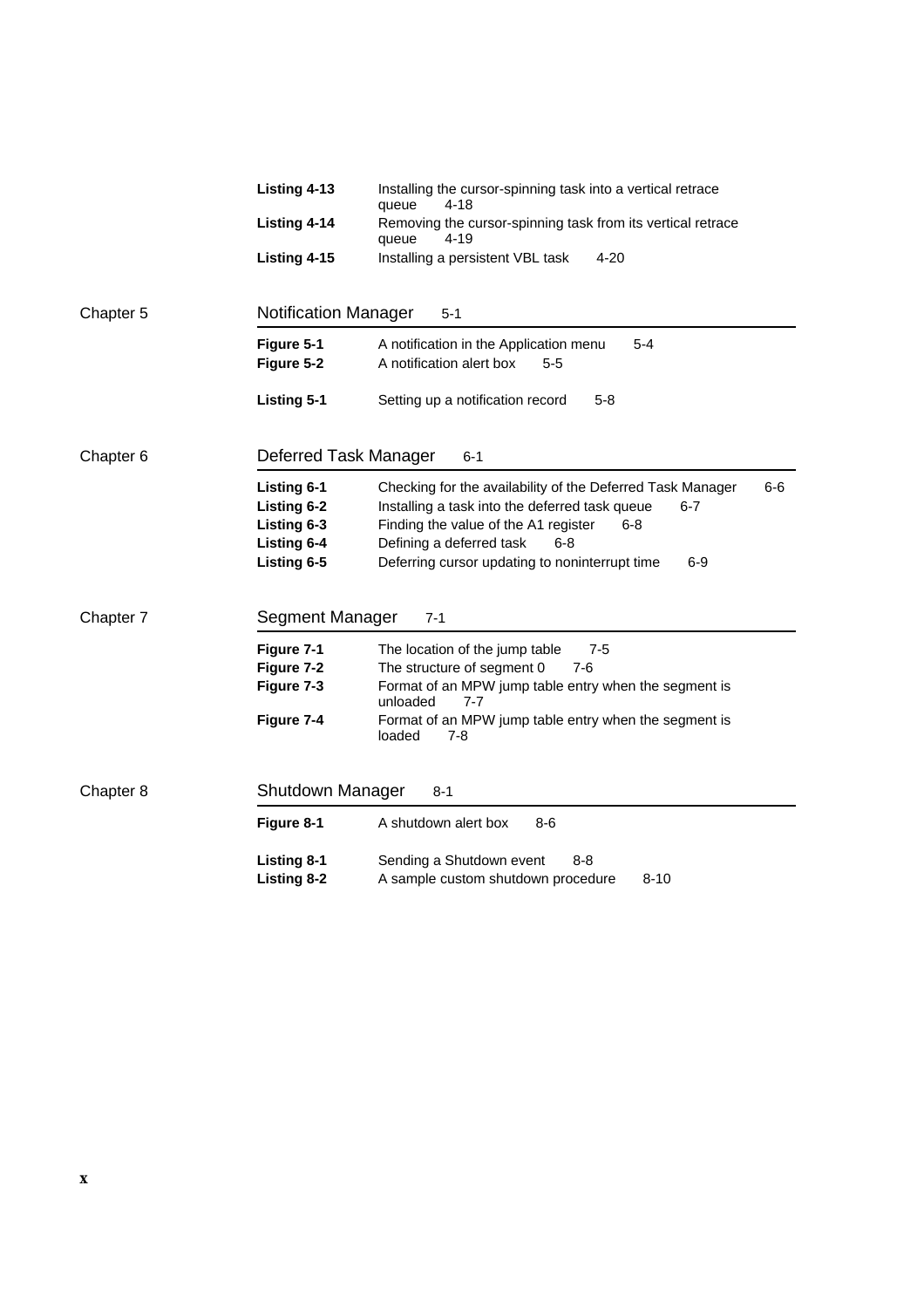|                                               | Listing 4-13                                                                   | Installing the cursor-spinning task into a vertical retrace<br>$4 - 18$<br>queue                                                                                                                                                                                                  |  |  |  |
|-----------------------------------------------|--------------------------------------------------------------------------------|-----------------------------------------------------------------------------------------------------------------------------------------------------------------------------------------------------------------------------------------------------------------------------------|--|--|--|
|                                               | Listing 4-14                                                                   | Removing the cursor-spinning task from its vertical retrace<br>$4 - 19$<br>queue                                                                                                                                                                                                  |  |  |  |
|                                               | Listing 4-15                                                                   | $4 - 20$<br>Installing a persistent VBL task                                                                                                                                                                                                                                      |  |  |  |
| Chapter 5                                     |                                                                                | <b>Notification Manager</b><br>$5 - 1$                                                                                                                                                                                                                                            |  |  |  |
|                                               | Figure 5-1                                                                     | A notification in the Application menu<br>$5 - 4$                                                                                                                                                                                                                                 |  |  |  |
|                                               | Figure 5-2                                                                     | A notification alert box<br>$5 - 5$                                                                                                                                                                                                                                               |  |  |  |
|                                               | <b>Listing 5-1</b>                                                             | Setting up a notification record<br>$5 - 8$                                                                                                                                                                                                                                       |  |  |  |
| Deferred Task Manager<br>Chapter <sub>6</sub> |                                                                                | $6 - 1$                                                                                                                                                                                                                                                                           |  |  |  |
|                                               | <b>Listing 6-1</b><br>Listing 6-2<br>Listing 6-3<br>Listing 6-4<br>Listing 6-5 | $6-6$<br>Checking for the availability of the Deferred Task Manager<br>Installing a task into the deferred task queue<br>$6 - 7$<br>Finding the value of the A1 register<br>6-8<br>Defining a deferred task<br>$6 - 8$<br>Deferring cursor updating to noninterrupt time<br>$6-9$ |  |  |  |
| Chapter 7                                     | Segment Manager                                                                | $7 - 1$                                                                                                                                                                                                                                                                           |  |  |  |
|                                               | Figure 7-1                                                                     | The location of the jump table<br>7-5                                                                                                                                                                                                                                             |  |  |  |
|                                               | Figure 7-2                                                                     | The structure of segment 0<br>$7-6$                                                                                                                                                                                                                                               |  |  |  |
|                                               | Figure 7-3                                                                     | Format of an MPW jump table entry when the segment is<br>unloaded<br>7-7                                                                                                                                                                                                          |  |  |  |
|                                               | Figure 7-4                                                                     | Format of an MPW jump table entry when the segment is<br>loaded<br>7-8                                                                                                                                                                                                            |  |  |  |
| Chapter 8                                     | Shutdown Manager                                                               | $8 - 1$                                                                                                                                                                                                                                                                           |  |  |  |
|                                               | Figure 8-1                                                                     | A shutdown alert box<br>$8-6$                                                                                                                                                                                                                                                     |  |  |  |
|                                               | <b>Listing 8-1</b>                                                             | Sending a Shutdown event<br>8-8                                                                                                                                                                                                                                                   |  |  |  |
|                                               | Listing 8-2                                                                    | $8 - 10$<br>A sample custom shutdown procedure                                                                                                                                                                                                                                    |  |  |  |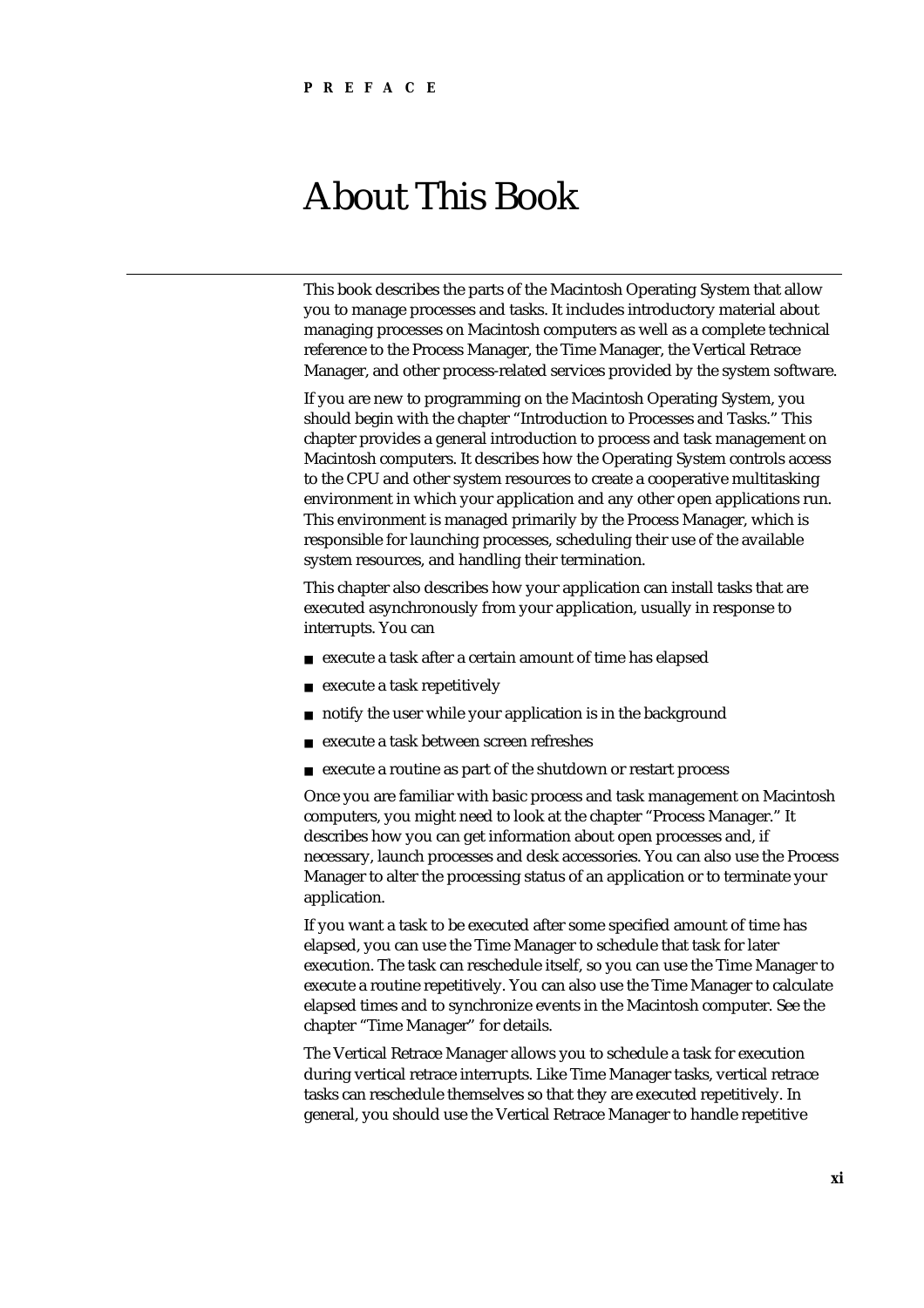## About This Book

This book describes the parts of the Macintosh Operating System that allow you to manage processes and tasks. It includes introductory material about managing processes on Macintosh computers as well as a complete technical reference to the Process Manager, the Time Manager, the Vertical Retrace Manager, and other process-related services provided by the system software.

If you are new to programming on the Macintosh Operating System, you should begin with the chapter "Introduction to Processes and Tasks." This chapter provides a general introduction to process and task management on Macintosh computers. It describes how the Operating System controls access to the CPU and other system resources to create a cooperative multitasking environment in which your application and any other open applications run. This environment is managed primarily by the Process Manager, which is responsible for launching processes, scheduling their use of the available system resources, and handling their termination.

This chapter also describes how your application can install tasks that are executed asynchronously from your application, usually in response to interrupts. You can

- execute a task after a certain amount of time has elapsed
- execute a task repetitively  $\overline{p}$
- notify the user while your application is in the background n
- execute a task between screen refreshes  $\mathsf{n}$
- execute a routine as part of the shutdown or restart process  $n$

Once you are familiar with basic process and task management on Macintosh computers, you might need to look at the chapter "Process Manager." It describes how you can get information about open processes and, if necessary, launch processes and desk accessories. You can also use the Process Manager to alter the processing status of an application or to terminate your application.

If you want a task to be executed after some specified amount of time has elapsed, you can use the Time Manager to schedule that task for later execution. The task can reschedule itself, so you can use the Time Manager to execute a routine repetitively. You can also use the Time Manager to calculate elapsed times and to synchronize events in the Macintosh computer. See the chapter "Time Manager" for details.

The Vertical Retrace Manager allows you to schedule a task for execution during vertical retrace interrupts. Like Time Manager tasks, vertical retrace tasks can reschedule themselves so that they are executed repetitively. In general, you should use the Vertical Retrace Manager to handle repetitive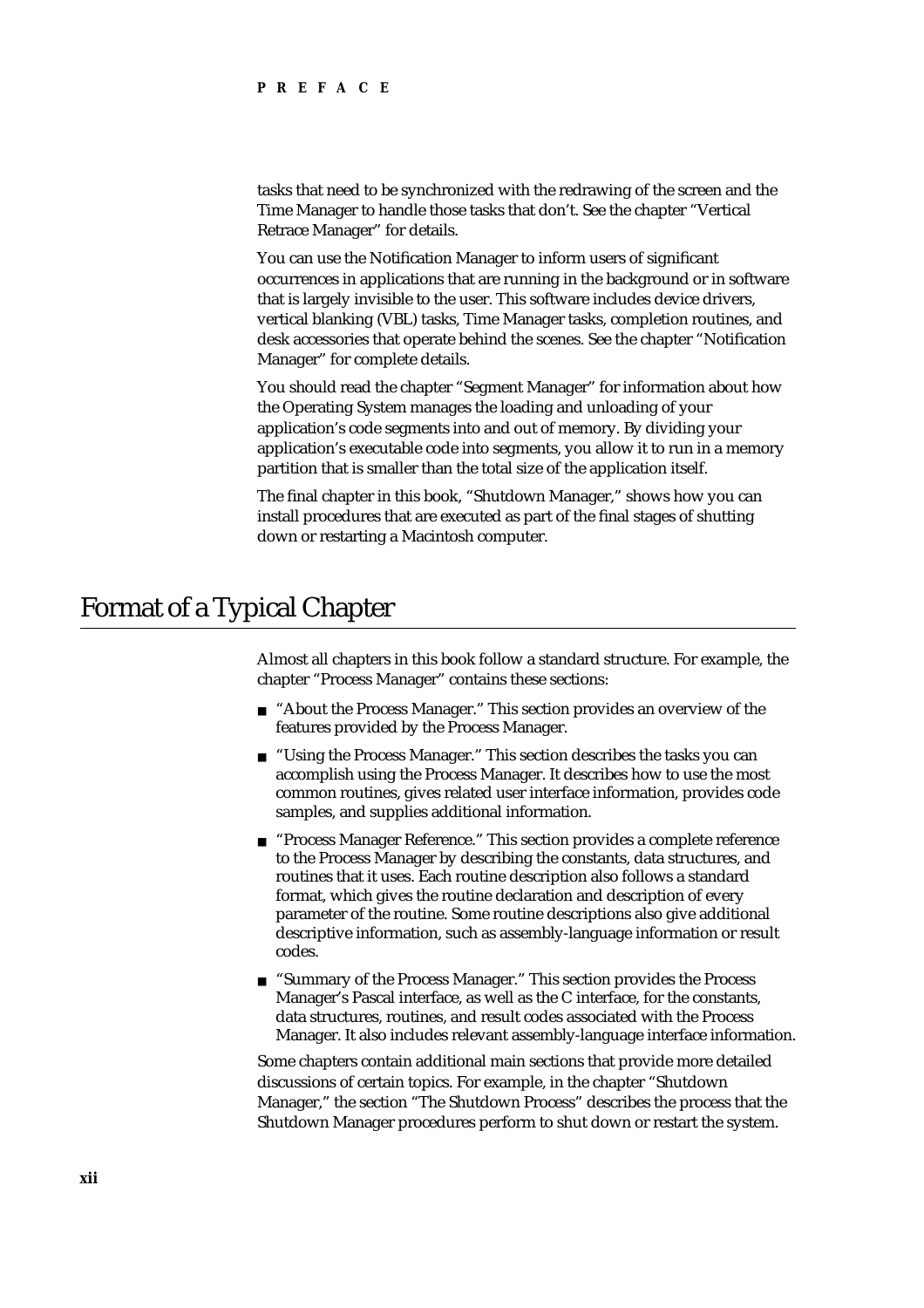tasks that need to be synchronized with the redrawing of the screen and the Time Manager to handle those tasks that don't. See the chapter "Vertical Retrace Manager" for details.

You can use the Notification Manager to inform users of significant occurrences in applications that are running in the background or in software that is largely invisible to the user. This software includes device drivers, vertical blanking (VBL) tasks, Time Manager tasks, completion routines, and desk accessories that operate behind the scenes. See the chapter "Notification Manager" for complete details.

You should read the chapter "Segment Manager" for information about how the Operating System manages the loading and unloading of your application's code segments into and out of memory. By dividing your application's executable code into segments, you allow it to run in a memory partition that is smaller than the total size of the application itself.

The final chapter in this book, "Shutdown Manager," shows how you can install procedures that are executed as part of the final stages of shutting down or restarting a Macintosh computer.

## Format of a Typical Chapter

Almost all chapters in this book follow a standard structure. For example, the chapter "Process Manager" contains these sections:

- n "About the Process Manager." This section provides an overview of the features provided by the Process Manager.
- n "Using the Process Manager." This section describes the tasks you can accomplish using the Process Manager. It describes how to use the most common routines, gives related user interface information, provides code samples, and supplies additional information.
- n "Process Manager Reference." This section provides a complete reference to the Process Manager by describing the constants, data structures, and routines that it uses. Each routine description also follows a standard format, which gives the routine declaration and description of every parameter of the routine. Some routine descriptions also give additional descriptive information, such as assembly-language information or result codes.
- n "Summary of the Process Manager." This section provides the Process Manager's Pascal interface, as well as the C interface, for the constants, data structures, routines, and result codes associated with the Process Manager. It also includes relevant assembly-language interface information.

Some chapters contain additional main sections that provide more detailed discussions of certain topics. For example, in the chapter "Shutdown Manager," the section "The Shutdown Process" describes the process that the Shutdown Manager procedures perform to shut down or restart the system.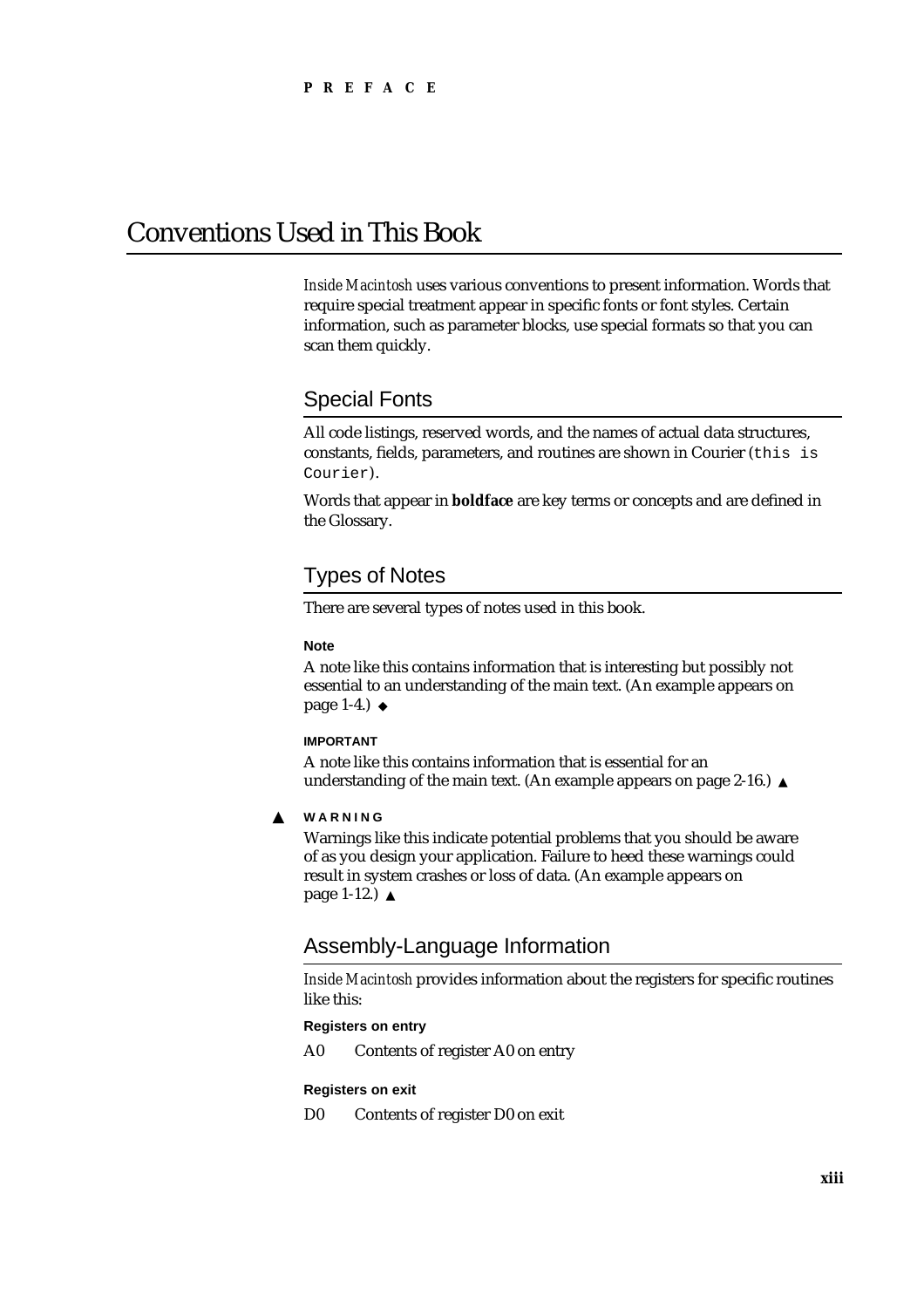## Conventions Used in This Book

*Inside Macintosh* uses various conventions to present information. Words that require special treatment appear in specific fonts or font styles. Certain information, such as parameter blocks, use special formats so that you can scan them quickly.

## Special Fonts

All code listings, reserved words, and the names of actual data structures, constants, fields, parameters, and routines are shown in Courier (this is Courier).

Words that appear in **boldface** are key terms or concepts and are defined in the Glossary.

## Types of Notes

There are several types of notes used in this book.

#### **Note**

A note like this contains information that is interesting but possibly not essential to an understanding of the main text. (An example appears on page 1-4.)

#### **IMPORTANT**

A note like this contains information that is essential for an understanding of the main text. (An example appears on page 2-16.)

#### **WARNING** S

Warnings like this indicate potential problems that you should be aware of as you design your application. Failure to heed these warnings could result in system crashes or loss of data. (An example appears on page 1-12.)

### Assembly-Language Information

*Inside Macintosh* provides information about the registers for specific routines like this:

#### **Registers on entry**

A0 Contents of register A0 on entry

#### **Registers on exit**

D0 Contents of register D0 on exit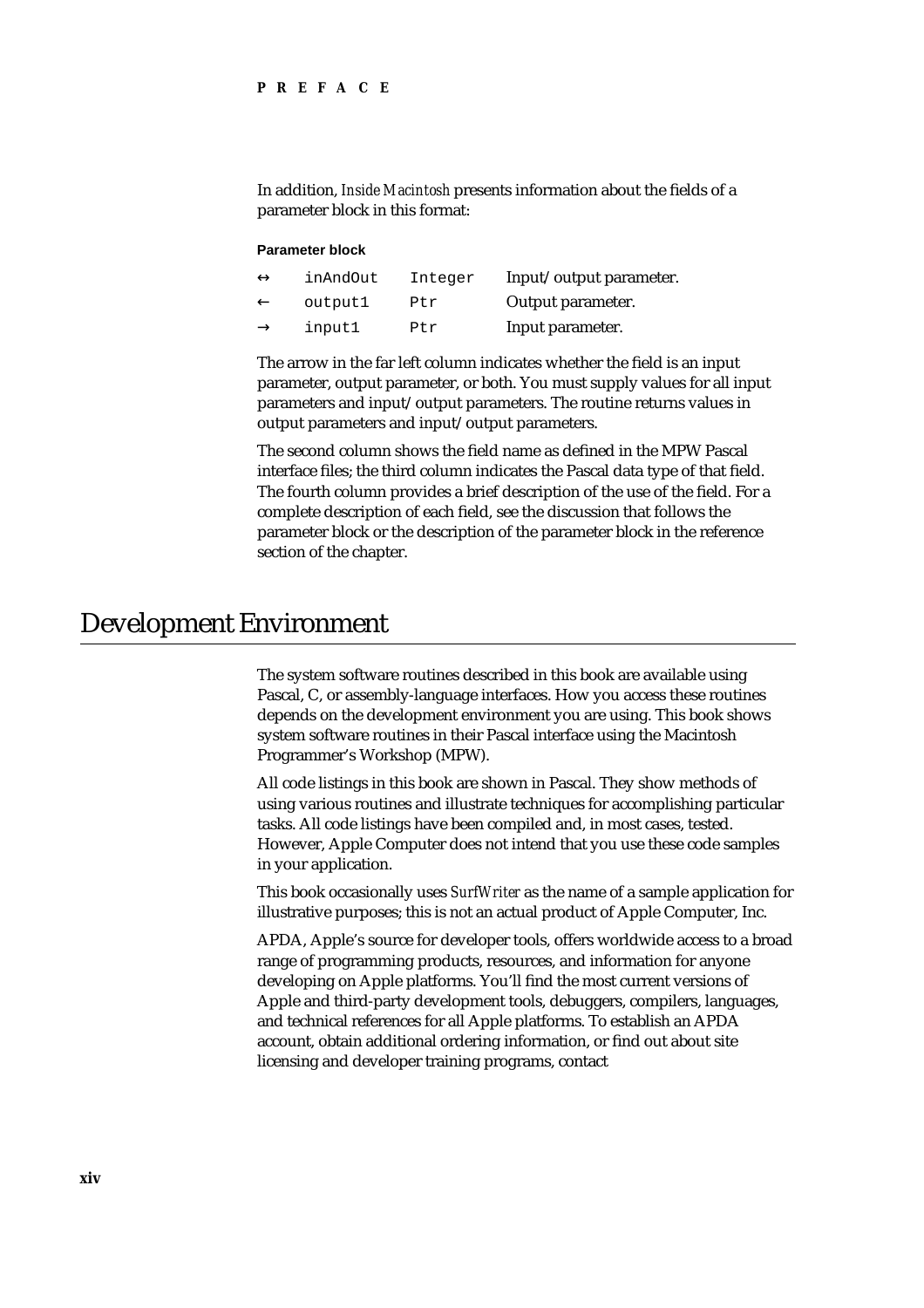In addition, *Inside Macintosh* presents information about the fields of a parameter block in this format:

#### **Parameter block**

| inAndOut | Integer | Input/output parameter. |
|----------|---------|-------------------------|
| output1  | Ptr     | Output parameter.       |
| input1   | Ptr     | Input parameter.        |

The arrow in the far left column indicates whether the field is an input parameter, output parameter, or both. You must supply values for all input parameters and input/output parameters. The routine returns values in output parameters and input/output parameters.

The second column shows the field name as defined in the MPW Pascal interface files; the third column indicates the Pascal data type of that field. The fourth column provides a brief description of the use of the field. For a complete description of each field, see the discussion that follows the parameter block or the description of the parameter block in the reference section of the chapter.

## Development Environment

The system software routines described in this book are available using Pascal, C, or assembly-language interfaces. How you access these routines depends on the development environment you are using. This book shows system software routines in their Pascal interface using the Macintosh Programmer's Workshop (MPW).

All code listings in this book are shown in Pascal. They show methods of using various routines and illustrate techniques for accomplishing particular tasks. All code listings have been compiled and, in most cases, tested. However, Apple Computer does not intend that you use these code samples in your application.

This book occasionally uses *SurfWriter* as the name of a sample application for illustrative purposes; this is not an actual product of Apple Computer, Inc.

APDA, Apple's source for developer tools, offers worldwide access to a broad range of programming products, resources, and information for anyone developing on Apple platforms. You'll find the most current versions of Apple and third-party development tools, debuggers, compilers, languages, and technical references for all Apple platforms. To establish an APDA account, obtain additional ordering information, or find out about site licensing and developer training programs, contact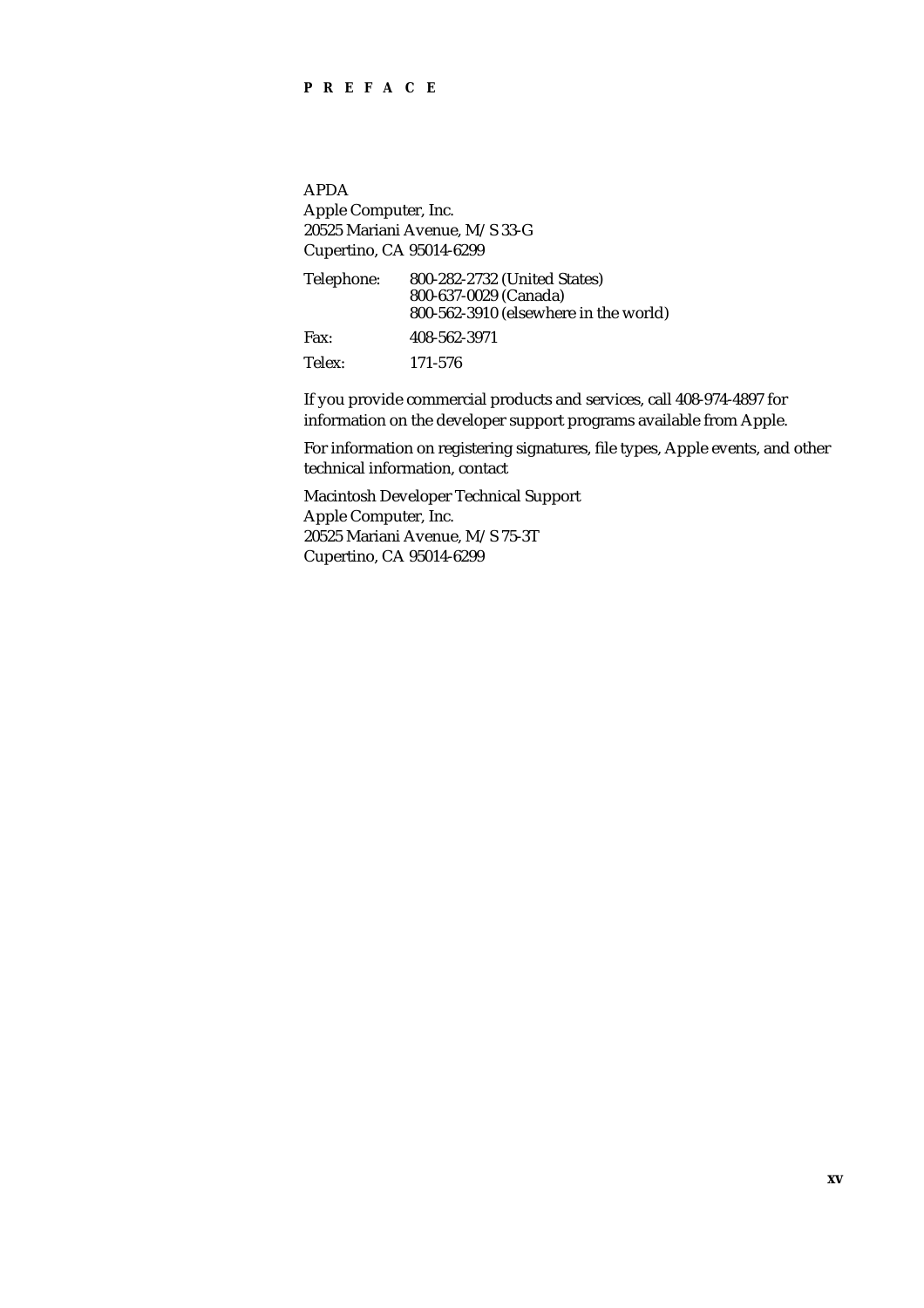### **PREFACE**

APDA

Apple Computer, Inc. 20525 Mariani Avenue, M/S 33-G Cupertino, CA 95014-6299

| Telephone: | 800-282-2732 (United States)          |
|------------|---------------------------------------|
|            | 800-637-0029 (Canada)                 |
|            | 800-562-3910 (elsewhere in the world) |
| Fax:       | 408-562-3971                          |
| Telex:     | 171-576                               |

If you provide commercial products and services, call 408-974-4897 for information on the developer support programs available from Apple.

For information on registering signatures, file types, Apple events, and other technical information, contact

Macintosh Developer Technical Support Apple Computer, Inc. 20525 Mariani Avenue, M/S 75-3T Cupertino, CA 95014-6299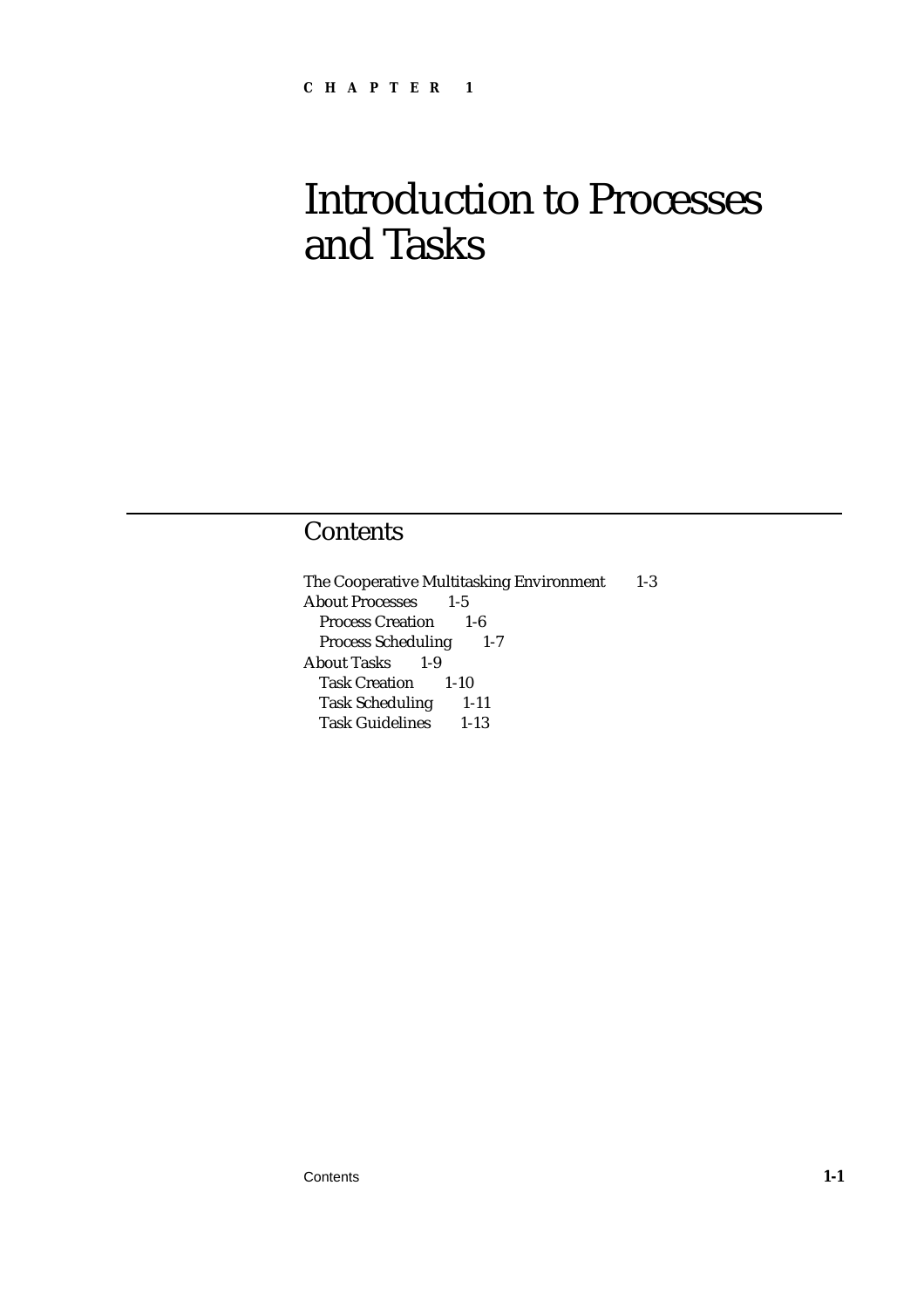# Introduction to Processes and Tasks

## **Contents**

The Cooperative Multitasking Environment 1-3 About Processes 1-5 Process Creation 1-6 Process Scheduling 1-7 About Tasks 1-9 Task Creation 1-10 Task Scheduling 1-11 Task Guidelines 1-13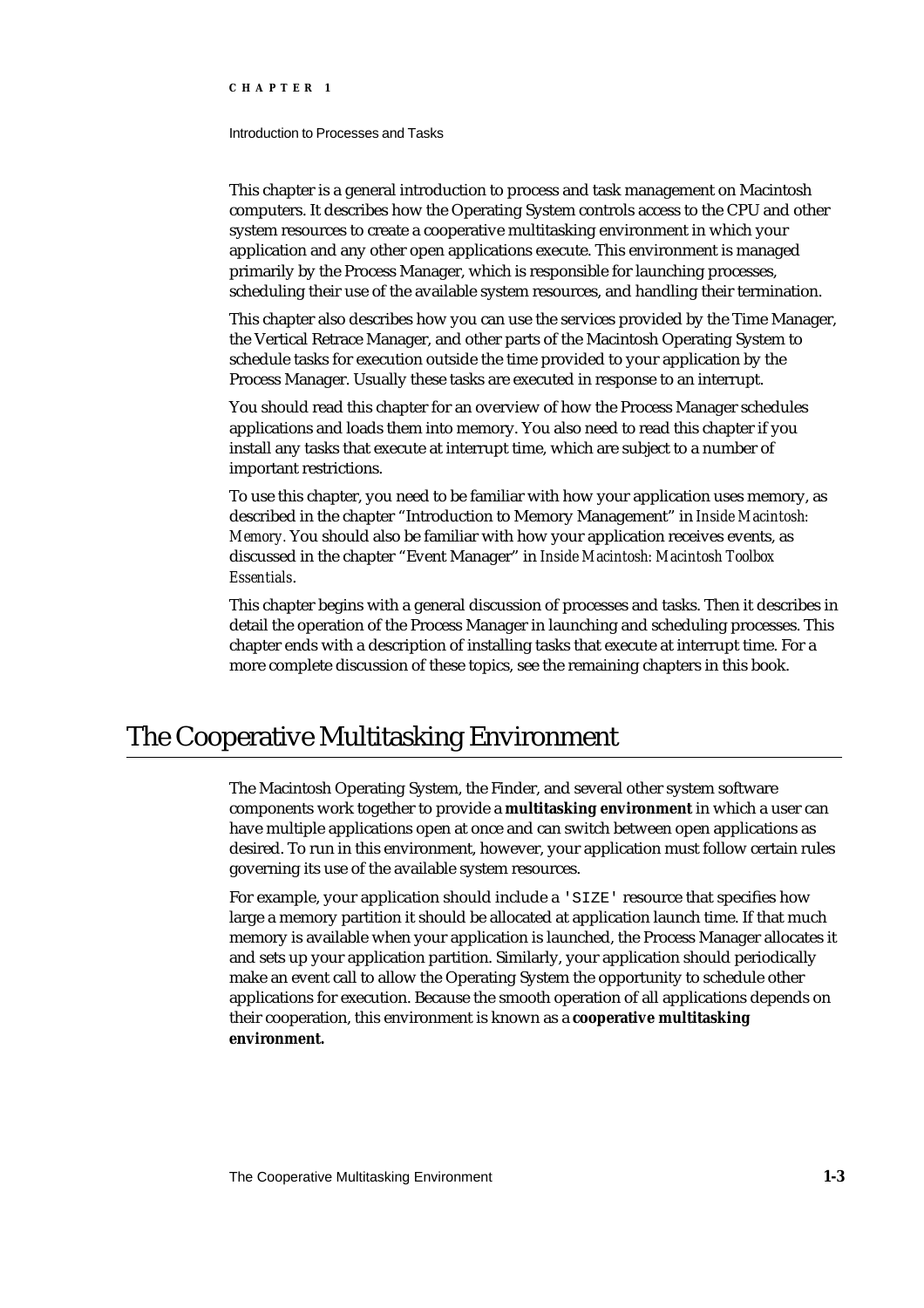#### Introduction to Processes and Tasks

This chapter is a general introduction to process and task management on Macintosh computers. It describes how the Operating System controls access to the CPU and other system resources to create a cooperative multitasking environment in which your application and any other open applications execute. This environment is managed primarily by the Process Manager, which is responsible for launching processes, scheduling their use of the available system resources, and handling their termination.

This chapter also describes how you can use the services provided by the Time Manager, the Vertical Retrace Manager, and other parts of the Macintosh Operating System to schedule tasks for execution outside the time provided to your application by the Process Manager. Usually these tasks are executed in response to an interrupt.

You should read this chapter for an overview of how the Process Manager schedules applications and loads them into memory. You also need to read this chapter if you install any tasks that execute at interrupt time, which are subject to a number of important restrictions.

To use this chapter, you need to be familiar with how your application uses memory, as described in the chapter "Introduction to Memory Management" in *Inside Macintosh: Memory.* You should also be familiar with how your application receives events, as discussed in the chapter "Event Manager" in *Inside Macintosh: Macintosh Toolbox Essentials*.

This chapter begins with a general discussion of processes and tasks. Then it describes in detail the operation of the Process Manager in launching and scheduling processes. This chapter ends with a description of installing tasks that execute at interrupt time. For a more complete discussion of these topics, see the remaining chapters in this book.

## The Cooperative Multitasking Environment

The Macintosh Operating System, the Finder, and several other system software components work together to provide a **multitasking environment** in which a user can have multiple applications open at once and can switch between open applications as desired. To run in this environment, however, your application must follow certain rules governing its use of the available system resources.

For example, your application should include a 'SIZE' resource that specifies how large a memory partition it should be allocated at application launch time. If that much memory is available when your application is launched, the Process Manager allocates it and sets up your application partition. Similarly, your application should periodically make an event call to allow the Operating System the opportunity to schedule other applications for execution. Because the smooth operation of all applications depends on their cooperation, this environment is known as a **cooperative multitasking environment.**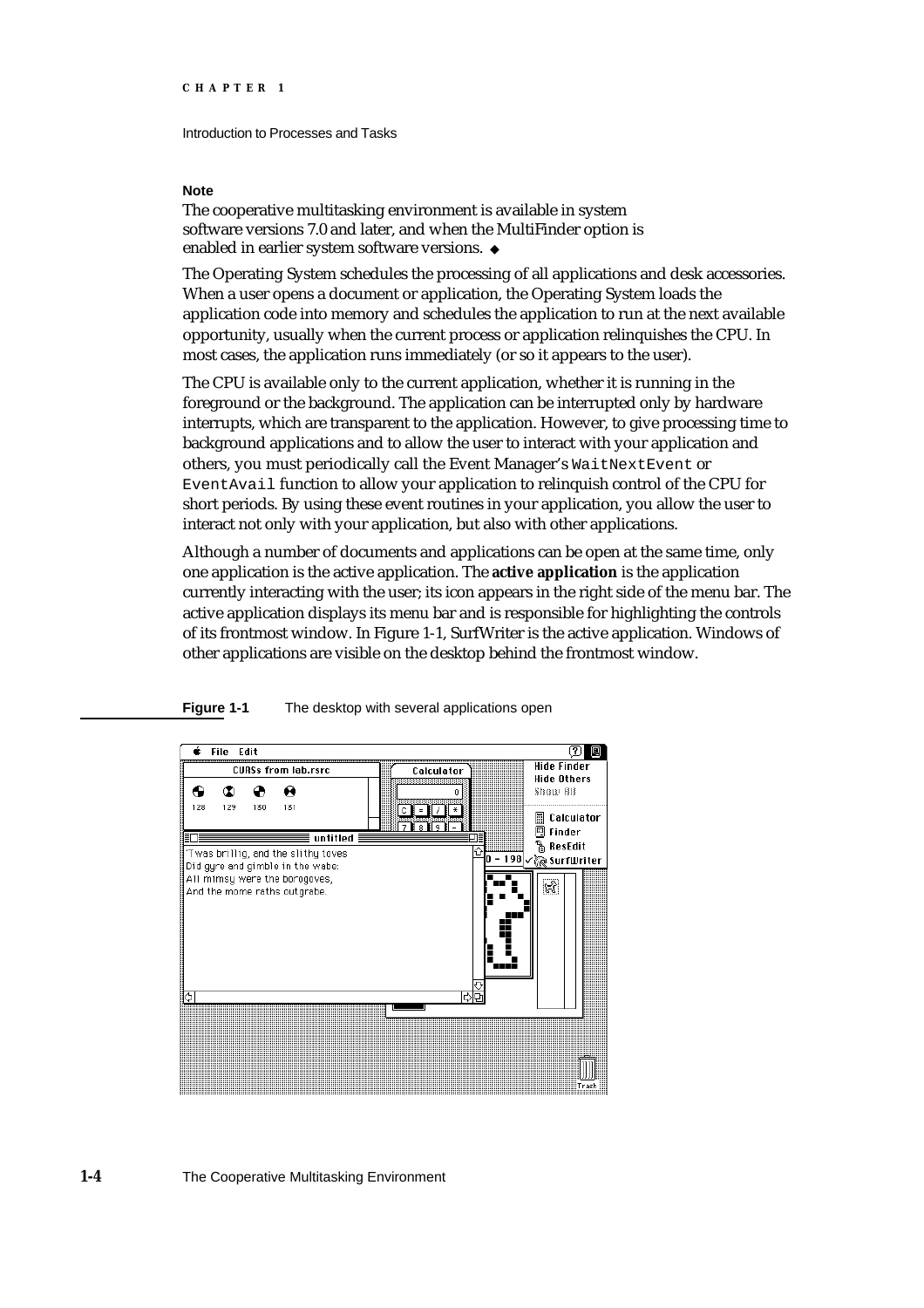Introduction to Processes and Tasks

#### **Note**

The cooperative multitasking environment is available in system software versions 7.0 and later, and when the MultiFinder option is enabled in earlier system software versions.

The Operating System schedules the processing of all applications and desk accessories. When a user opens a document or application, the Operating System loads the application code into memory and schedules the application to run at the next available opportunity, usually when the current process or application relinquishes the CPU. In most cases, the application runs immediately (or so it appears to the user).

The CPU is available only to the current application, whether it is running in the foreground or the background. The application can be interrupted only by hardware interrupts, which are transparent to the application. However, to give processing time to background applications and to allow the user to interact with your application and others, you must periodically call the Event Manager's WaitNextEvent or EventAvail function to allow your application to relinquish control of the CPU for short periods. By using these event routines in your application, you allow the user to interact not only with your application, but also with other applications.

Although a number of documents and applications can be open at the same time, only one application is the active application. The **active application** is the application currently interacting with the user; its icon appears in the right side of the menu bar. The active application displays its menu bar and is responsible for highlighting the controls of its frontmost window. In Figure 1-1, SurfWriter is the active application. Windows of other applications are visible on the desktop behind the frontmost window.



**Figure 1-1** The desktop with several applications open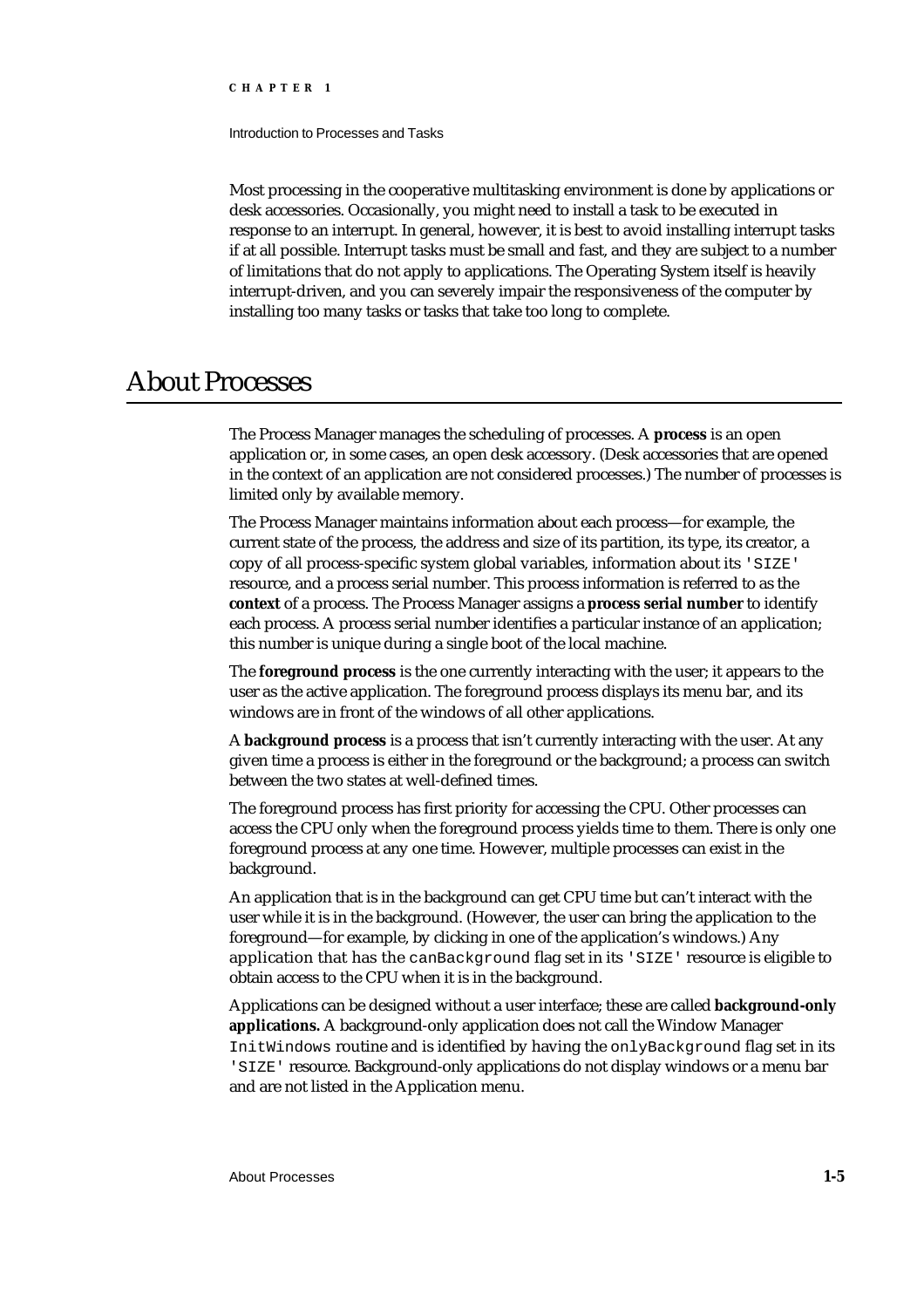Introduction to Processes and Tasks

Most processing in the cooperative multitasking environment is done by applications or desk accessories. Occasionally, you might need to install a task to be executed in response to an interrupt. In general, however, it is best to avoid installing interrupt tasks if at all possible. Interrupt tasks must be small and fast, and they are subject to a number of limitations that do not apply to applications. The Operating System itself is heavily interrupt-driven, and you can severely impair the responsiveness of the computer by installing too many tasks or tasks that take too long to complete.

## About Processes

The Process Manager manages the scheduling of processes. A **process** is an open application or, in some cases, an open desk accessory. (Desk accessories that are opened in the context of an application are not considered processes.) The number of processes is limited only by available memory.

The Process Manager maintains information about each process—for example, the current state of the process, the address and size of its partition, its type, its creator, a copy of all process-specific system global variables, information about its 'SIZE' resource, and a process serial number. This process information is referred to as the **context** of a process. The Process Manager assigns a **process serial number** to identify each process. A process serial number identifies a particular instance of an application; this number is unique during a single boot of the local machine.

The **foreground process** is the one currently interacting with the user; it appears to the user as the active application. The foreground process displays its menu bar, and its windows are in front of the windows of all other applications.

A **background process** is a process that isn't currently interacting with the user. At any given time a process is either in the foreground or the background; a process can switch between the two states at well-defined times.

The foreground process has first priority for accessing the CPU. Other processes can access the CPU only when the foreground process yields time to them. There is only one foreground process at any one time. However, multiple processes can exist in the background.

An application that is in the background can get CPU time but can't interact with the user while it is in the background. (However, the user can bring the application to the foreground—for example, by clicking in one of the application's windows.) Any application that has the canBackground flag set in its 'SIZE' resource is eligible to obtain access to the CPU when it is in the background.

Applications can be designed without a user interface; these are called **background-only applications.** A background-only application does not call the Window Manager InitWindows routine and is identified by having the onlyBackground flag set in its 'SIZE' resource. Background-only applications do not display windows or a menu bar and are not listed in the Application menu.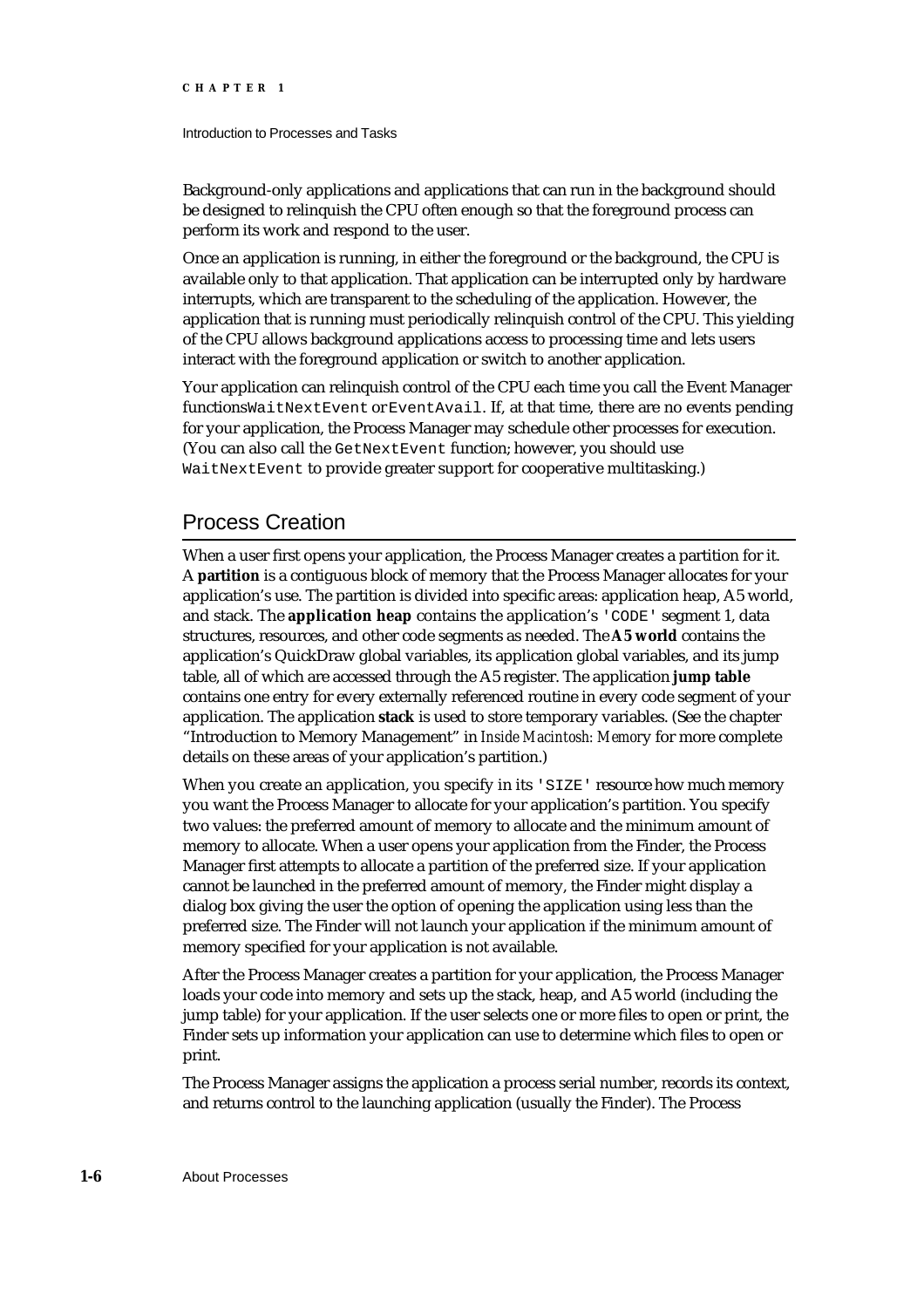#### Introduction to Processes and Tasks

Background-only applications and applications that can run in the background should be designed to relinquish the CPU often enough so that the foreground process can perform its work and respond to the user.

Once an application is running, in either the foreground or the background, the CPU is available only to that application. That application can be interrupted only by hardware interrupts, which are transparent to the scheduling of the application. However, the application that is running must periodically relinquish control of the CPU. This yielding of the CPU allows background applications access to processing time and lets users interact with the foreground application or switch to another application.

Your application can relinquish control of the CPU each time you call the Event Manager functions WaitNextEvent or EventAvail. If, at that time, there are no events pending for your application, the Process Manager may schedule other processes for execution. (You can also call the GetNextEvent function; however, you should use WaitNextEvent to provide greater support for cooperative multitasking.)

### Process Creation

When a user first opens your application, the Process Manager creates a partition for it. A **partition** is a contiguous block of memory that the Process Manager allocates for your application's use. The partition is divided into specific areas: application heap, A5 world, and stack. The **application heap** contains the application's 'CODE' segment 1, data structures, resources, and other code segments as needed. The **A5 world** contains the application's QuickDraw global variables, its application global variables, and its jump table, all of which are accessed through the A5 register. The application **jump table** contains one entry for every externally referenced routine in every code segment of your application. The application **stack** is used to store temporary variables. (See the chapter "Introduction to Memory Management" in *Inside Macintosh: Memor*y for more complete details on these areas of your application's partition.)

When you create an application, you specify in its 'SIZE' resource how much memory you want the Process Manager to allocate for your application's partition. You specify two values: the preferred amount of memory to allocate and the minimum amount of memory to allocate. When a user opens your application from the Finder, the Process Manager first attempts to allocate a partition of the preferred size. If your application cannot be launched in the preferred amount of memory, the Finder might display a dialog box giving the user the option of opening the application using less than the preferred size. The Finder will not launch your application if the minimum amount of memory specified for your application is not available.

After the Process Manager creates a partition for your application, the Process Manager loads your code into memory and sets up the stack, heap, and A5 world (including the jump table) for your application. If the user selects one or more files to open or print, the Finder sets up information your application can use to determine which files to open or print.

The Process Manager assigns the application a process serial number, records its context, and returns control to the launching application (usually the Finder). The Process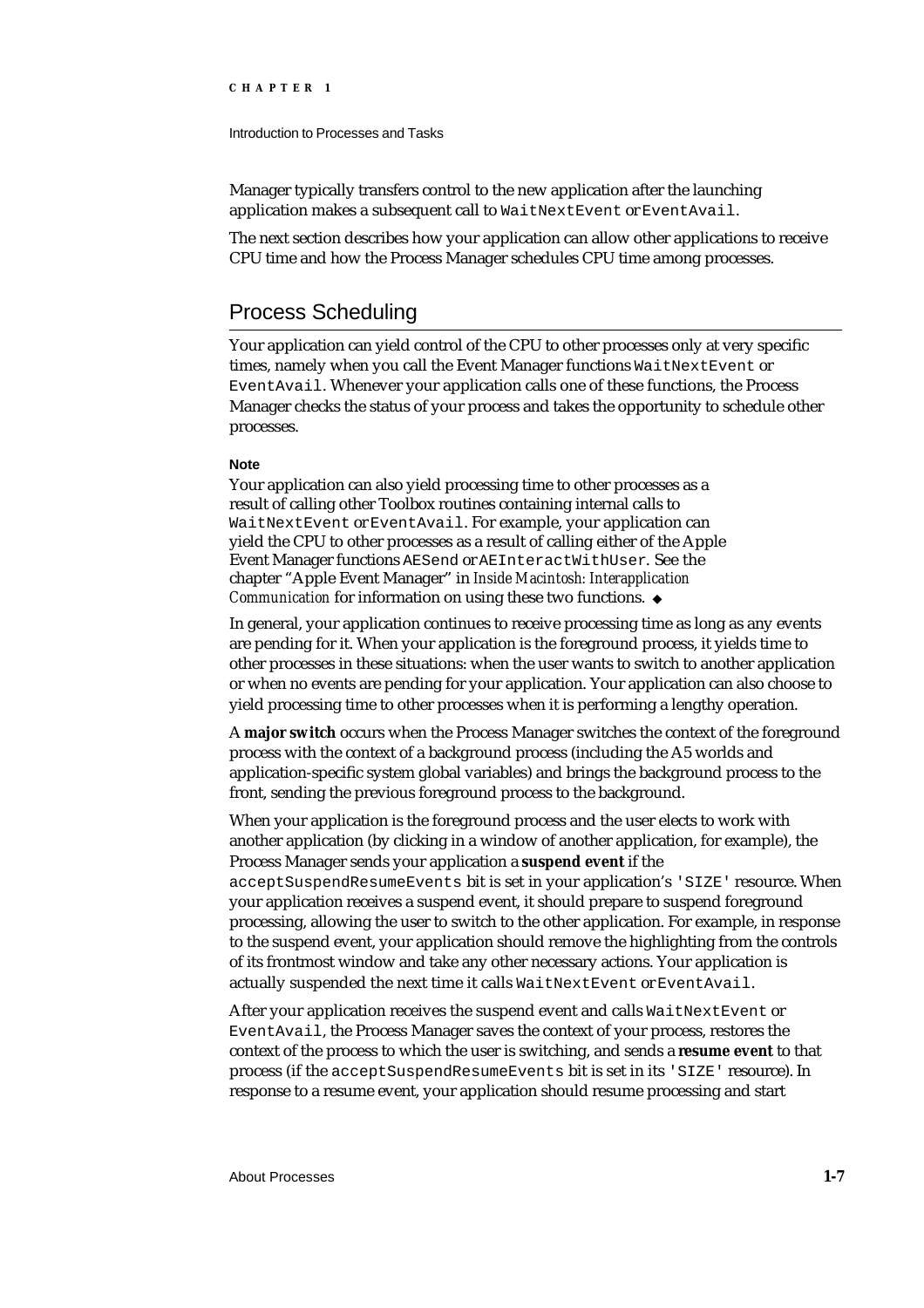Introduction to Processes and Tasks

Manager typically transfers control to the new application after the launching application makes a subsequent call to WaitNextEvent or EventAvail.

The next section describes how your application can allow other applications to receive CPU time and how the Process Manager schedules CPU time among processes.

### Process Scheduling

Your application can yield control of the CPU to other processes only at very specific times, namely when you call the Event Manager functions WaitNextEvent or EventAvail. Whenever your application calls one of these functions, the Process Manager checks the status of your process and takes the opportunity to schedule other processes.

#### **Note**

Your application can also yield processing time to other processes as a result of calling other Toolbox routines containing internal calls to WaitNextEvent or EventAvail. For example, your application can yield the CPU to other processes as a result of calling either of the Apple Event Manager functions AESend or AEInteractWithUser. See the chapter "Apple Event Manager" in *Inside Macintosh: Interapplication Communication for information on using these two functions.* u

In general, your application continues to receive processing time as long as any events are pending for it. When your application is the foreground process, it yields time to other processes in these situations: when the user wants to switch to another application or when no events are pending for your application. Your application can also choose to yield processing time to other processes when it is performing a lengthy operation.

A **major switch** occurs when the Process Manager switches the context of the foreground process with the context of a background process (including the A5 worlds and application-specific system global variables) and brings the background process to the front, sending the previous foreground process to the background.

When your application is the foreground process and the user elects to work with another application (by clicking in a window of another application, for example), the Process Manager sends your application a **suspend event** if the

acceptSuspendResumeEvents bit is set in your application's 'SIZE' resource. When your application receives a suspend event, it should prepare to suspend foreground processing, allowing the user to switch to the other application. For example, in response to the suspend event, your application should remove the highlighting from the controls of its frontmost window and take any other necessary actions. Your application is actually suspended the next time it calls WaitNextEvent or EventAvail.

After your application receives the suspend event and calls WaitNextEvent or EventAvail, the Process Manager saves the context of your process, restores the context of the process to which the user is switching, and sends a **resume event** to that process (if the acceptSuspendResumeEvents bit is set in its 'SIZE' resource). In response to a resume event, your application should resume processing and start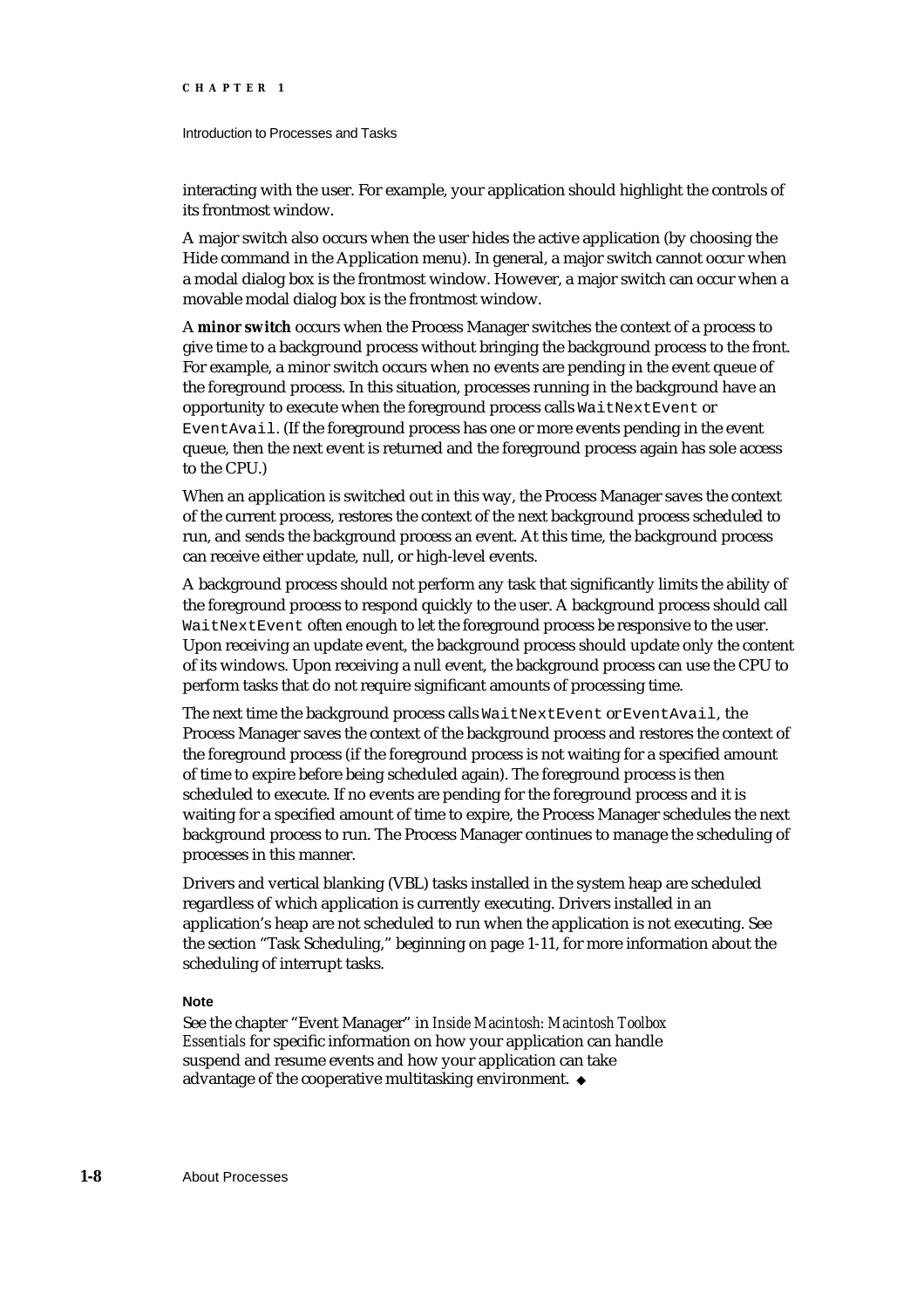#### Introduction to Processes and Tasks

interacting with the user. For example, your application should highlight the controls of its frontmost window.

A major switch also occurs when the user hides the active application (by choosing the Hide command in the Application menu). In general, a major switch cannot occur when a modal dialog box is the frontmost window. However, a major switch can occur when a movable modal dialog box is the frontmost window.

A **minor switch** occurs when the Process Manager switches the context of a process to give time to a background process without bringing the background process to the front. For example, a minor switch occurs when no events are pending in the event queue of the foreground process. In this situation, processes running in the background have an opportunity to execute when the foreground process calls WaitNextEvent or EventAvail. (If the foreground process has one or more events pending in the event queue, then the next event is returned and the foreground process again has sole access to the CPU.)

When an application is switched out in this way, the Process Manager saves the context of the current process, restores the context of the next background process scheduled to run, and sends the background process an event. At this time, the background process can receive either update, null, or high-level events.

A background process should not perform any task that significantly limits the ability of the foreground process to respond quickly to the user. A background process should call WaitNextEvent often enough to let the foreground process be responsive to the user. Upon receiving an update event, the background process should update only the content of its windows. Upon receiving a null event, the background process can use the CPU to perform tasks that do not require significant amounts of processing time.

The next time the background process calls WaitNextEvent or EventAvail, the Process Manager saves the context of the background process and restores the context of the foreground process (if the foreground process is not waiting for a specified amount of time to expire before being scheduled again). The foreground process is then scheduled to execute. If no events are pending for the foreground process and it is waiting for a specified amount of time to expire, the Process Manager schedules the next background process to run. The Process Manager continues to manage the scheduling of processes in this manner.

Drivers and vertical blanking (VBL) tasks installed in the system heap are scheduled regardless of which application is currently executing. Drivers installed in an application's heap are not scheduled to run when the application is not executing. See the section "Task Scheduling," beginning on page 1-11, for more information about the scheduling of interrupt tasks.

#### **Note**

See the chapter "Event Manager" in *Inside Macintosh: Macintosh Toolbox Essentials* for specific information on how your application can handle suspend and resume events and how your application can take advantage of the cooperative multitasking environment.

**1-8** About Processes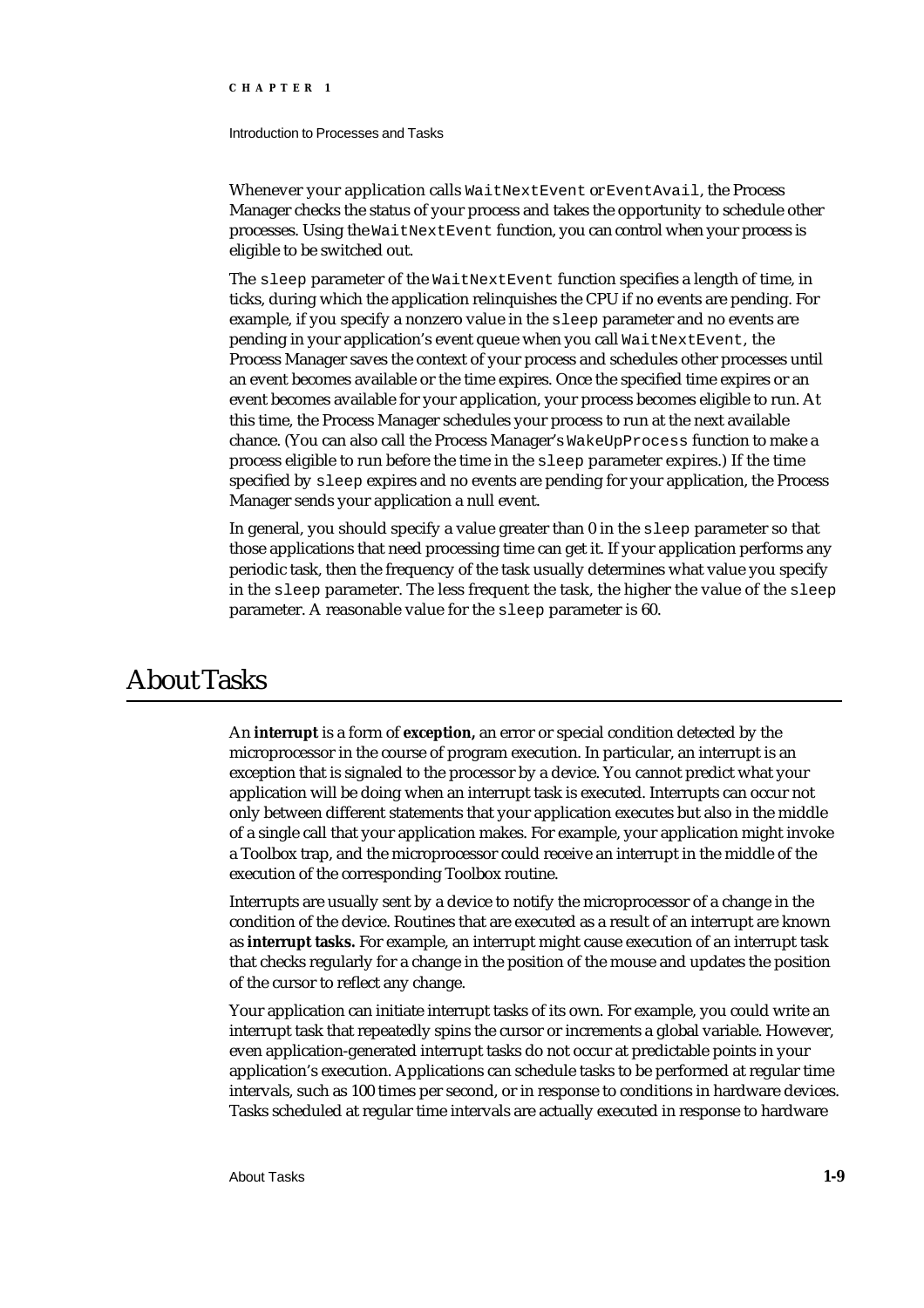Introduction to Processes and Tasks

Whenever your application calls WaitNextEvent or EventAvail, the Process Manager checks the status of your process and takes the opportunity to schedule other processes. Using the WaitNextEvent function, you can control when your process is eligible to be switched out.

The sleep parameter of the WaitNextEvent function specifies a length of time, in ticks, during which the application relinquishes the CPU if no events are pending. For example, if you specify a nonzero value in the sleep parameter and no events are pending in your application's event queue when you call WaitNextEvent, the Process Manager saves the context of your process and schedules other processes until an event becomes available or the time expires. Once the specified time expires or an event becomes available for your application, your process becomes eligible to run. At this time, the Process Manager schedules your process to run at the next available chance. (You can also call the Process Manager's WakeUpProcess function to make a process eligible to run before the time in the sleep parameter expires.) If the time specified by sleep expires and no events are pending for your application, the Process Manager sends your application a null event.

In general, you should specify a value greater than 0 in the sleep parameter so that those applications that need processing time can get it. If your application performs any periodic task, then the frequency of the task usually determines what value you specify in the sleep parameter. The less frequent the task, the higher the value of the sleep parameter. A reasonable value for the sleep parameter is 60.

## About Tasks

An **interrupt** is a form of **exception,** an error or special condition detected by the microprocessor in the course of program execution. In particular, an interrupt is an exception that is signaled to the processor by a device. You cannot predict what your application will be doing when an interrupt task is executed. Interrupts can occur not only between different statements that your application executes but also in the middle of a single call that your application makes. For example, your application might invoke a Toolbox trap, and the microprocessor could receive an interrupt in the middle of the execution of the corresponding Toolbox routine.

Interrupts are usually sent by a device to notify the microprocessor of a change in the condition of the device. Routines that are executed as a result of an interrupt are known as **interrupt tasks.** For example, an interrupt might cause execution of an interrupt task that checks regularly for a change in the position of the mouse and updates the position of the cursor to reflect any change.

Your application can initiate interrupt tasks of its own. For example, you could write an interrupt task that repeatedly spins the cursor or increments a global variable. However, even application-generated interrupt tasks do not occur at predictable points in your application's execution. Applications can schedule tasks to be performed at regular time intervals, such as 100 times per second, or in response to conditions in hardware devices. Tasks scheduled at regular time intervals are actually executed in response to hardware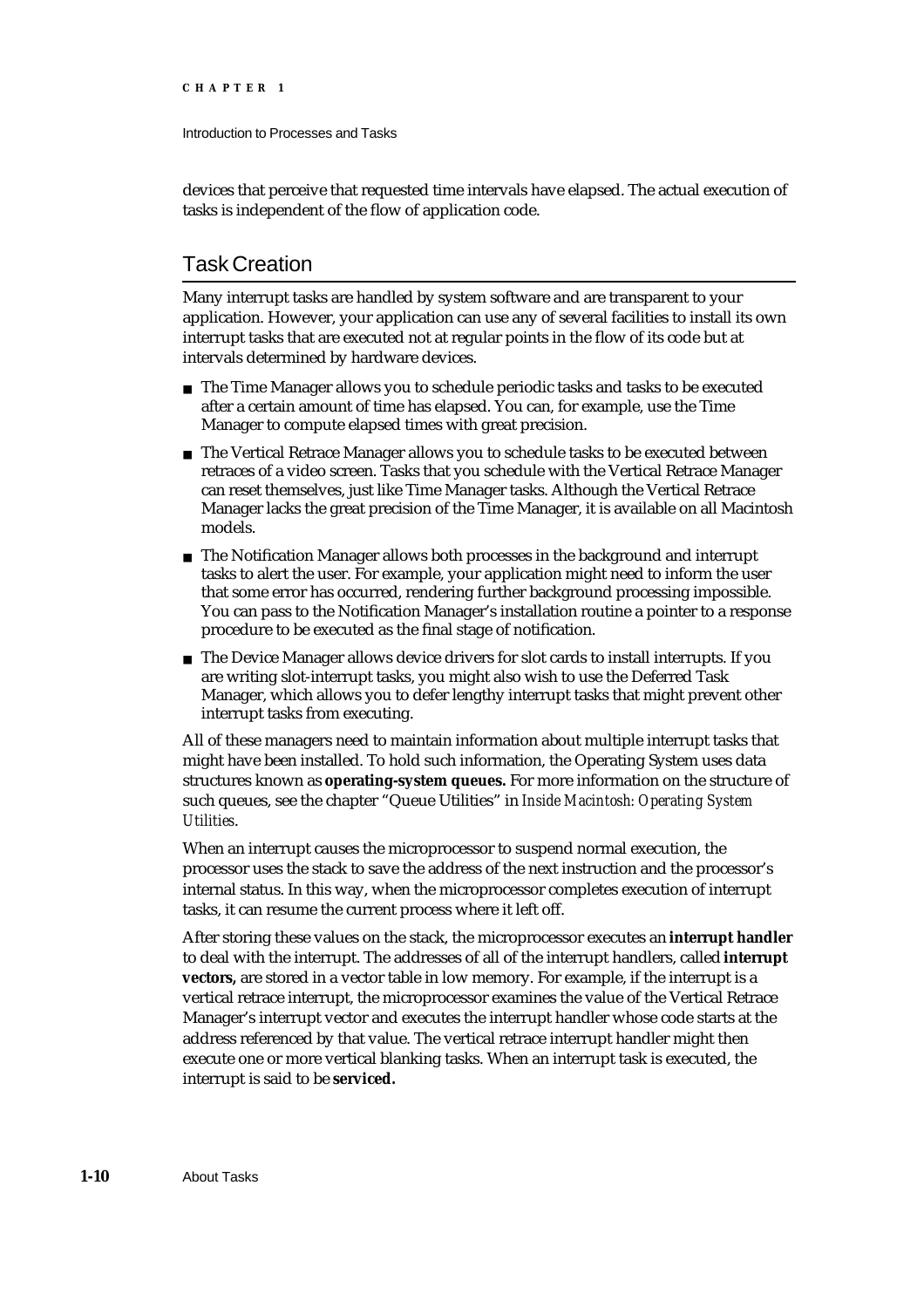Introduction to Processes and Tasks

devices that perceive that requested time intervals have elapsed. The actual execution of tasks is independent of the flow of application code.

### Task Creation

Many interrupt tasks are handled by system software and are transparent to your application. However, your application can use any of several facilities to install its own interrupt tasks that are executed not at regular points in the flow of its code but at intervals determined by hardware devices.

- $n$  The Time Manager allows you to schedule periodic tasks and tasks to be executed after a certain amount of time has elapsed. You can, for example, use the Time Manager to compute elapsed times with great precision.
- n The Vertical Retrace Manager allows you to schedule tasks to be executed between retraces of a video screen. Tasks that you schedule with the Vertical Retrace Manager can reset themselves, just like Time Manager tasks. Although the Vertical Retrace Manager lacks the great precision of the Time Manager, it is available on all Macintosh models.
- n The Notification Manager allows both processes in the background and interrupt tasks to alert the user. For example, your application might need to inform the user that some error has occurred, rendering further background processing impossible. You can pass to the Notification Manager's installation routine a pointer to a response procedure to be executed as the final stage of notification.
- $n$  The Device Manager allows device drivers for slot cards to install interrupts. If you are writing slot-interrupt tasks, you might also wish to use the Deferred Task Manager, which allows you to defer lengthy interrupt tasks that might prevent other interrupt tasks from executing.

All of these managers need to maintain information about multiple interrupt tasks that might have been installed. To hold such information, the Operating System uses data structures known as **operating-system queues.** For more information on the structure of such queues, see the chapter "Queue Utilities" in *Inside Macintosh: Operating System Utilities*.

When an interrupt causes the microprocessor to suspend normal execution, the processor uses the stack to save the address of the next instruction and the processor's internal status. In this way, when the microprocessor completes execution of interrupt tasks, it can resume the current process where it left off.

After storing these values on the stack, the microprocessor executes an **interrupt handler** to deal with the interrupt. The addresses of all of the interrupt handlers, called **interrupt vectors,** are stored in a vector table in low memory. For example, if the interrupt is a vertical retrace interrupt, the microprocessor examines the value of the Vertical Retrace Manager's interrupt vector and executes the interrupt handler whose code starts at the address referenced by that value. The vertical retrace interrupt handler might then execute one or more vertical blanking tasks. When an interrupt task is executed, the interrupt is said to be **serviced.**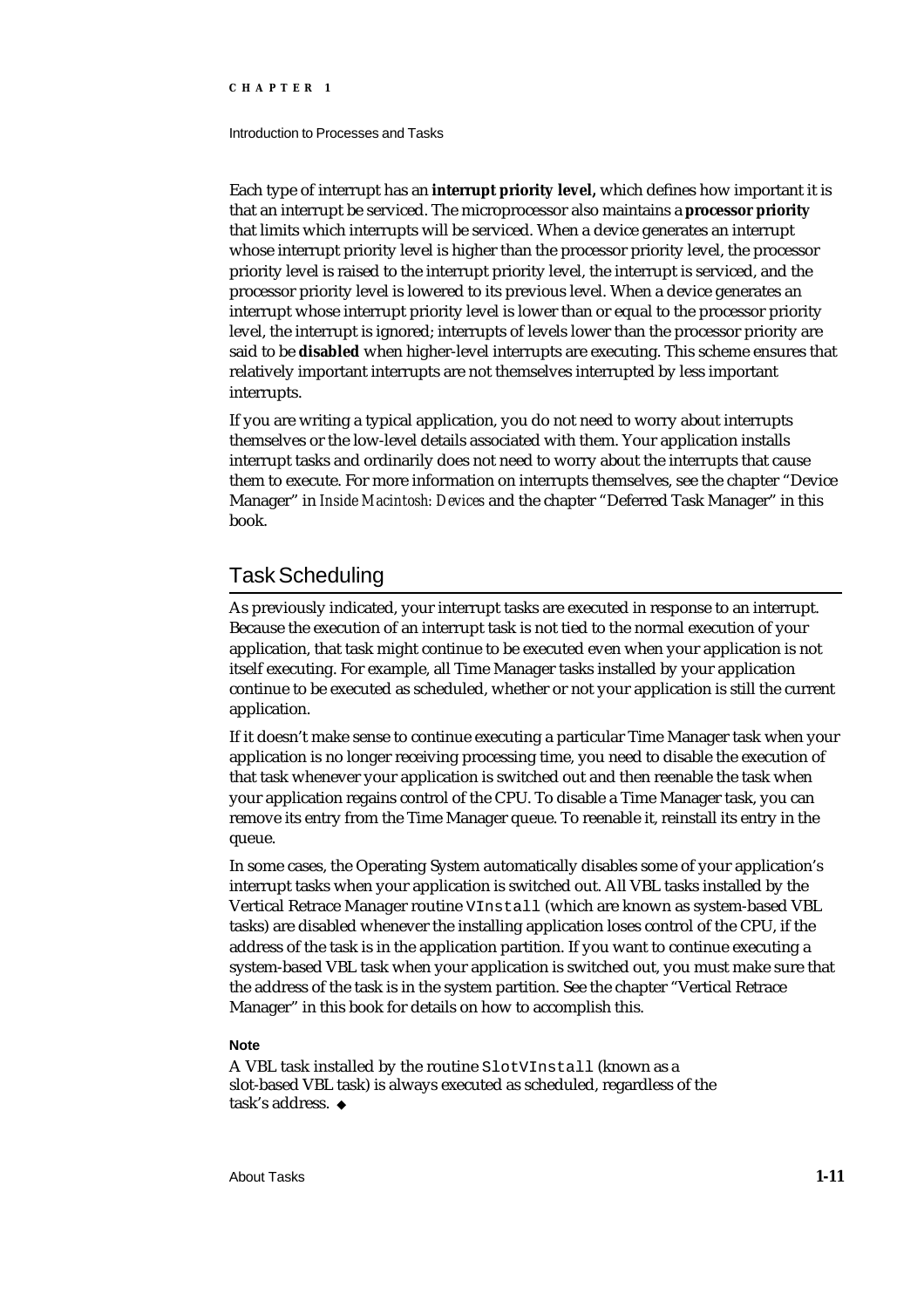#### Introduction to Processes and Tasks

Each type of interrupt has an **interrupt priority level,** which defines how important it is that an interrupt be serviced. The microprocessor also maintains a **processor priority** that limits which interrupts will be serviced. When a device generates an interrupt whose interrupt priority level is higher than the processor priority level, the processor priority level is raised to the interrupt priority level, the interrupt is serviced, and the processor priority level is lowered to its previous level. When a device generates an interrupt whose interrupt priority level is lower than or equal to the processor priority level, the interrupt is ignored; interrupts of levels lower than the processor priority are said to be **disabled** when higher-level interrupts are executing. This scheme ensures that relatively important interrupts are not themselves interrupted by less important interrupts.

If you are writing a typical application, you do not need to worry about interrupts themselves or the low-level details associated with them. Your application installs interrupt tasks and ordinarily does not need to worry about the interrupts that cause them to execute. For more information on interrupts themselves, see the chapter "Device Manager" in *Inside Macintosh: Devices* and the chapter "Deferred Task Manager" in this book.

### Task Scheduling

As previously indicated, your interrupt tasks are executed in response to an interrupt. Because the execution of an interrupt task is not tied to the normal execution of your application, that task might continue to be executed even when your application is not itself executing. For example, all Time Manager tasks installed by your application continue to be executed as scheduled, whether or not your application is still the current application.

If it doesn't make sense to continue executing a particular Time Manager task when your application is no longer receiving processing time, you need to disable the execution of that task whenever your application is switched out and then reenable the task when your application regains control of the CPU. To disable a Time Manager task, you can remove its entry from the Time Manager queue. To reenable it, reinstall its entry in the queue.

In some cases, the Operating System automatically disables some of your application's interrupt tasks when your application is switched out. All VBL tasks installed by the Vertical Retrace Manager routine VInstall (which are known as system-based VBL tasks) are disabled whenever the installing application loses control of the CPU, if the address of the task is in the application partition. If you want to continue executing a system-based VBL task when your application is switched out, you must make sure that the address of the task is in the system partition. See the chapter "Vertical Retrace Manager" in this book for details on how to accomplish this.

#### **Note**

A VBL task installed by the routine SlotVInstall (known as a slot-based VBL task) is always executed as scheduled, regardless of the task's address.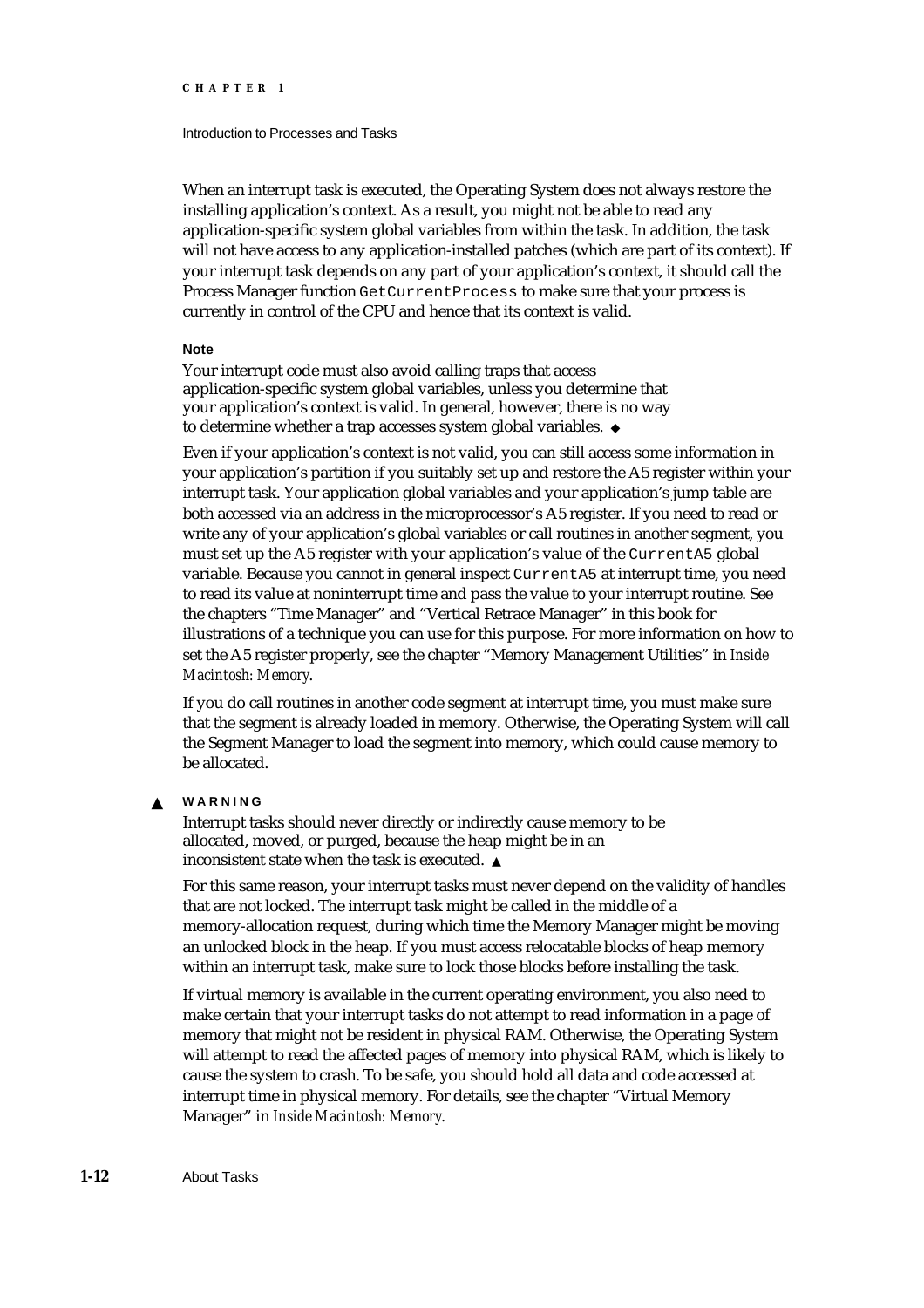#### Introduction to Processes and Tasks

When an interrupt task is executed, the Operating System does not always restore the installing application's context. As a result, you might not be able to read any application-specific system global variables from within the task. In addition, the task will not have access to any application-installed patches (which are part of its context). If your interrupt task depends on any part of your application's context, it should call the Process Manager function GetCurrentProcess to make sure that your process is currently in control of the CPU and hence that its context is valid.

#### **Note**

Your interrupt code must also avoid calling traps that access application-specific system global variables, unless you determine that your application's context is valid. In general, however, there is no way to determine whether a trap accesses system global variables.

Even if your application's context is not valid, you can still access some information in your application's partition if you suitably set up and restore the A5 register within your interrupt task. Your application global variables and your application's jump table are both accessed via an address in the microprocessor's A5 register. If you need to read or write any of your application's global variables or call routines in another segment, you must set up the A5 register with your application's value of the CurrentA5 global variable. Because you cannot in general inspect CurrentA5 at interrupt time, you need to read its value at noninterrupt time and pass the value to your interrupt routine. See the chapters "Time Manager" and "Vertical Retrace Manager" in this book for illustrations of a technique you can use for this purpose. For more information on how to set the A5 register properly, see the chapter "Memory Management Utilities" in *Inside Macintosh: Memory*.

If you do call routines in another code segment at interrupt time, you must make sure that the segment is already loaded in memory. Otherwise, the Operating System will call the Segment Manager to load the segment into memory, which could cause memory to be allocated.

#### **WARNING**  $\mathbf{S}$

Interrupt tasks should never directly or indirectly cause memory to be allocated, moved, or purged, because the heap might be in an inconsistent state when the task is executed.

For this same reason, your interrupt tasks must never depend on the validity of handles that are not locked. The interrupt task might be called in the middle of a memory-allocation request, during which time the Memory Manager might be moving an unlocked block in the heap. If you must access relocatable blocks of heap memory within an interrupt task, make sure to lock those blocks before installing the task.

If virtual memory is available in the current operating environment, you also need to make certain that your interrupt tasks do not attempt to read information in a page of memory that might not be resident in physical RAM. Otherwise, the Operating System will attempt to read the affected pages of memory into physical RAM, which is likely to cause the system to crash. To be safe, you should hold all data and code accessed at interrupt time in physical memory. For details, see the chapter "Virtual Memory Manager" in *Inside Macintosh: Memory*.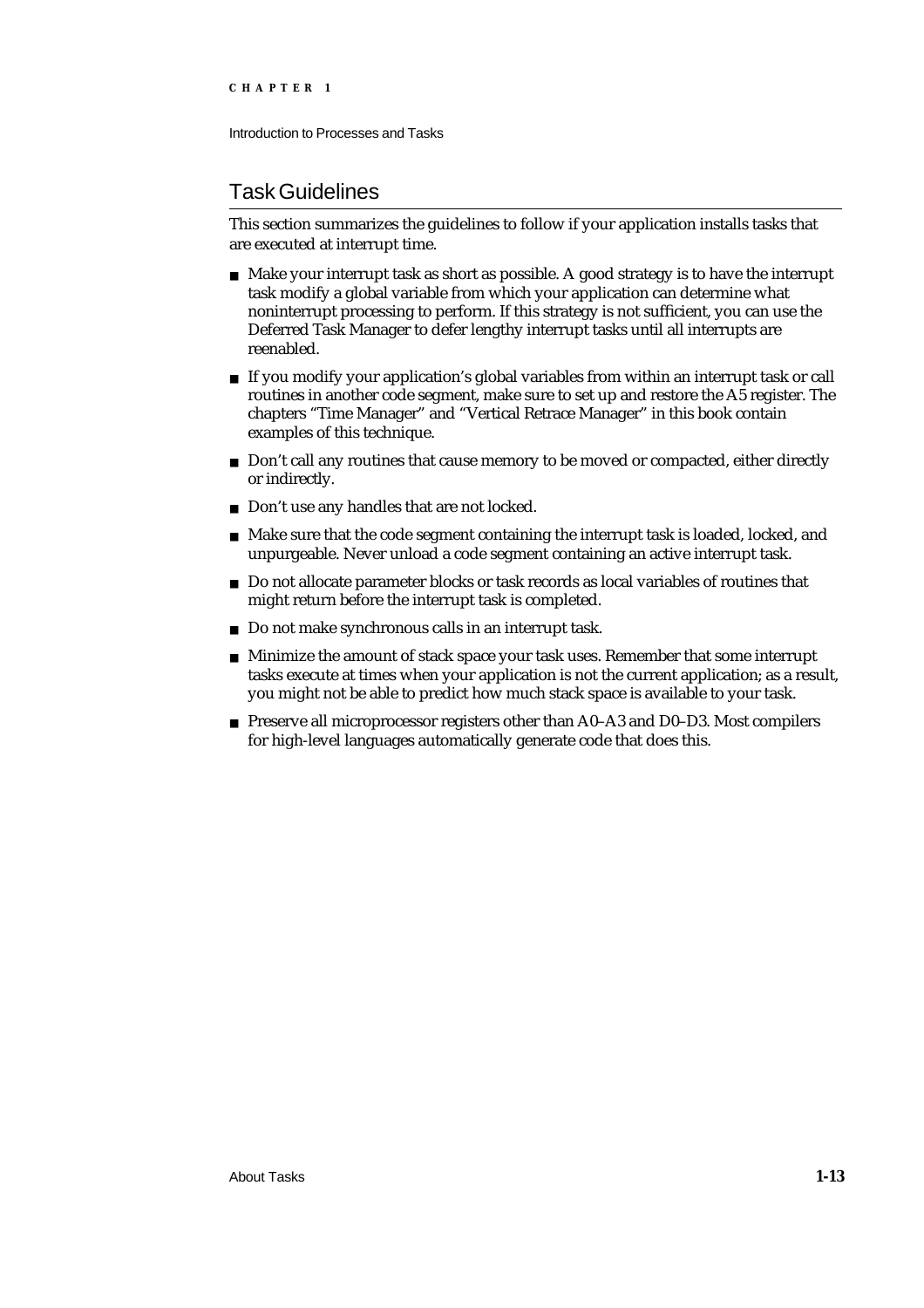Introduction to Processes and Tasks

## Task Guidelines

This section summarizes the guidelines to follow if your application installs tasks that are executed at interrupt time.

- $n$  Make your interrupt task as short as possible. A good strategy is to have the interrupt task modify a global variable from which your application can determine what noninterrupt processing to perform. If this strategy is not sufficient, you can use the Deferred Task Manager to defer lengthy interrupt tasks until all interrupts are reenabled.
- If you modify your application's global variables from within an interrupt task or call routines in another code segment, make sure to set up and restore the A5 register. The chapters "Time Manager" and "Vertical Retrace Manager" in this book contain examples of this technique.
- $n$  Don't call any routines that cause memory to be moved or compacted, either directly or indirectly.
- n Don't use any handles that are not locked.
- n Make sure that the code segment containing the interrupt task is loaded, locked, and unpurgeable. Never unload a code segment containing an active interrupt task.
- Do not allocate parameter blocks or task records as local variables of routines that might return before the interrupt task is completed.
- Do not make synchronous calls in an interrupt task.
- Minimize the amount of stack space your task uses. Remember that some interrupt tasks execute at times when your application is not the current application; as a result, you might not be able to predict how much stack space is available to your task.
- n Preserve all microprocessor registers other than A0-A3 and D0-D3. Most compilers for high-level languages automatically generate code that does this.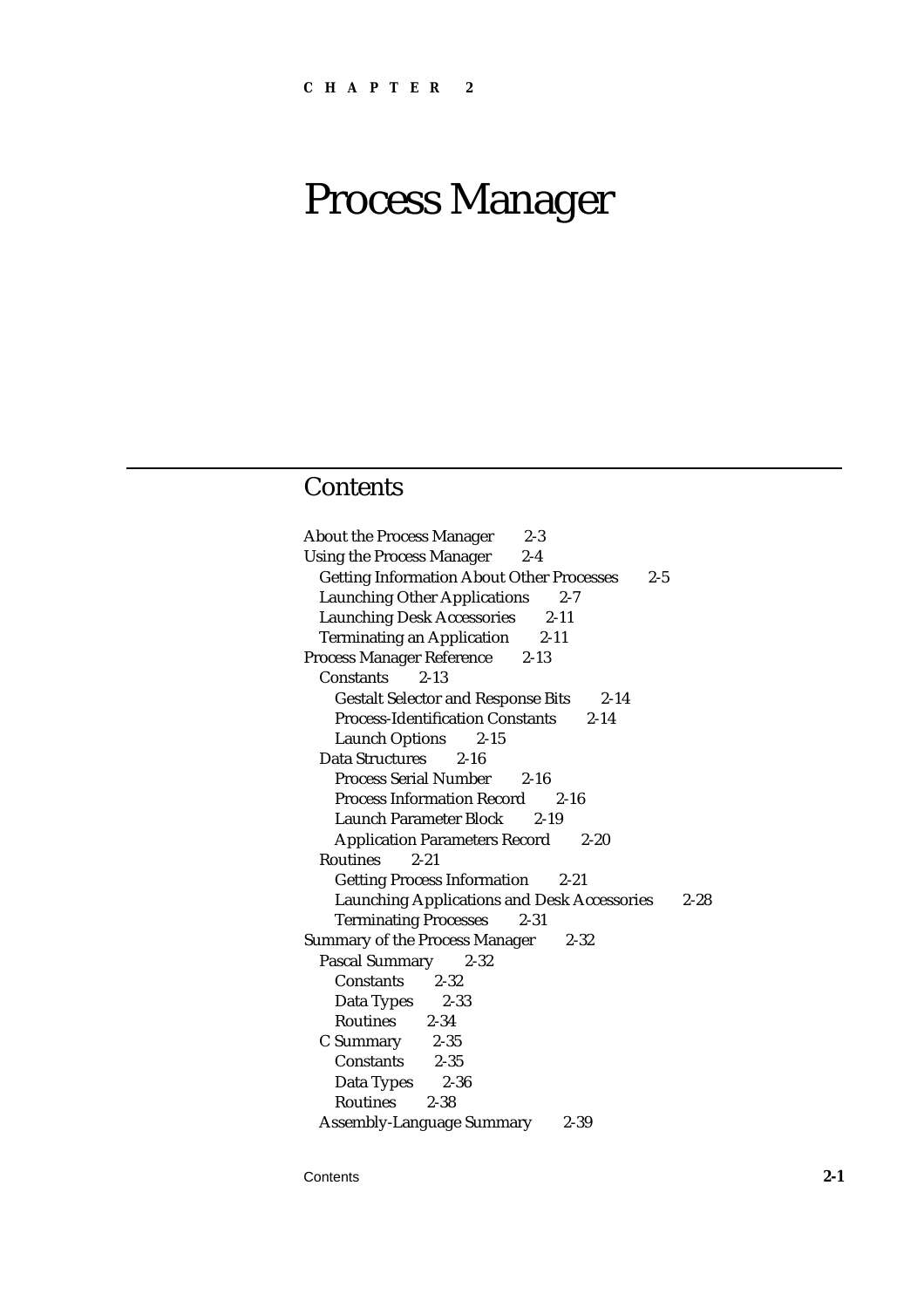## **Contents**

About the Process Manager 2-3 Using the Process Manager 2-4 Getting Information About Other Processes 2-5 Launching Other Applications 2-7 Launching Desk Accessories 2-11 Terminating an Application 2-11 Process Manager Reference 2-13 Constants 2-13 Gestalt Selector and Response Bits 2-14 Process-Identification Constants 2-14 Launch Options 2-15 Data Structures 2-16 Process Serial Number 2-16 Process Information Record 2-16 Launch Parameter Block 2-19 Application Parameters Record 2-20 Routines 2-21 Getting Process Information 2-21 Launching Applications and Desk Accessories 2-28 Terminating Processes 2-31 Summary of the Process Manager 2-32 Pascal Summary 2-32 Constants 2-32 Data Types 2-33 Routines 2-34 C Summary 2-35 Constants 2-35 Data Types 2-36 Routines 2-38 Assembly-Language Summary 2-39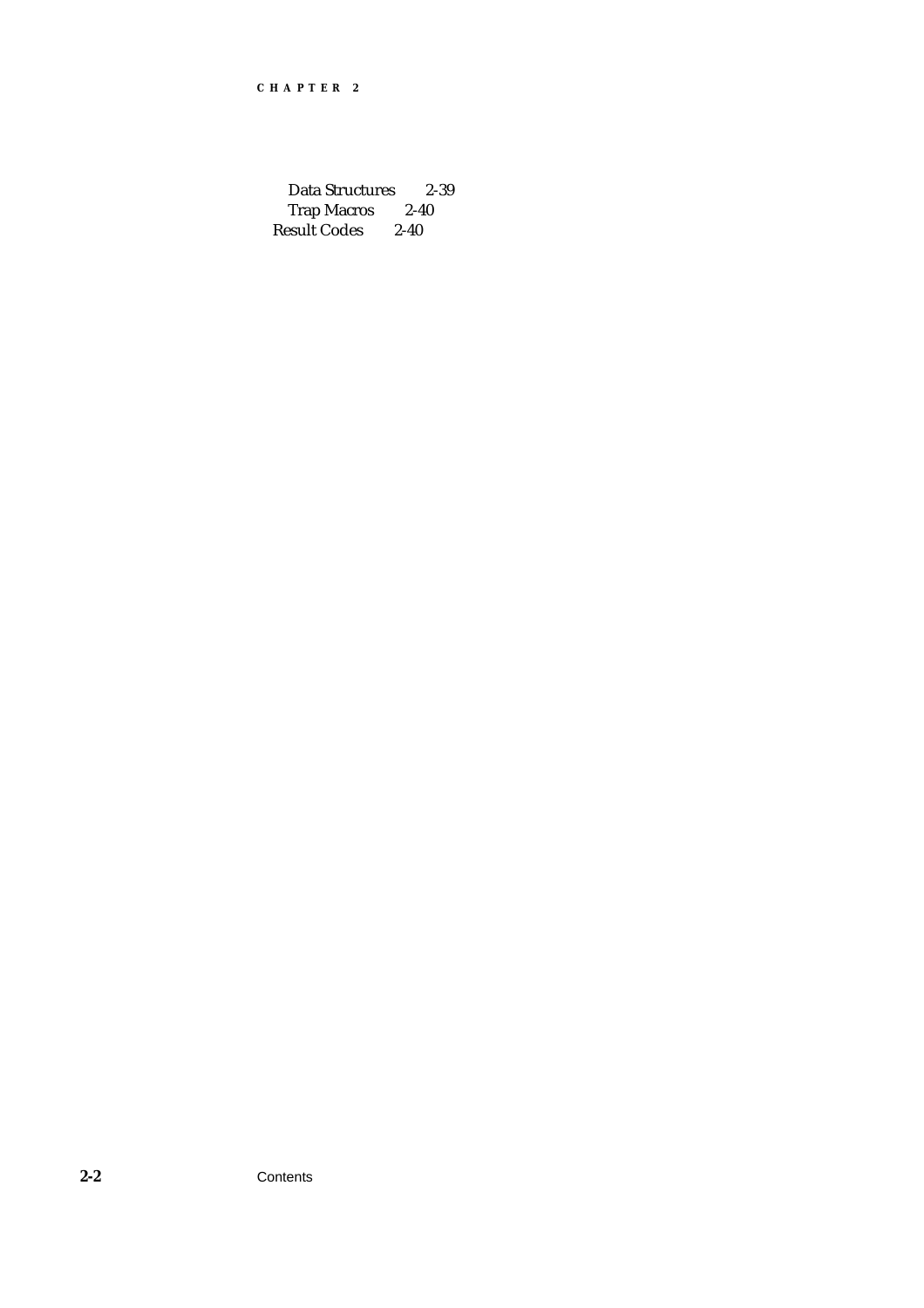Data Structures 2-39 Trap Macros 2-40 Result Codes 2-40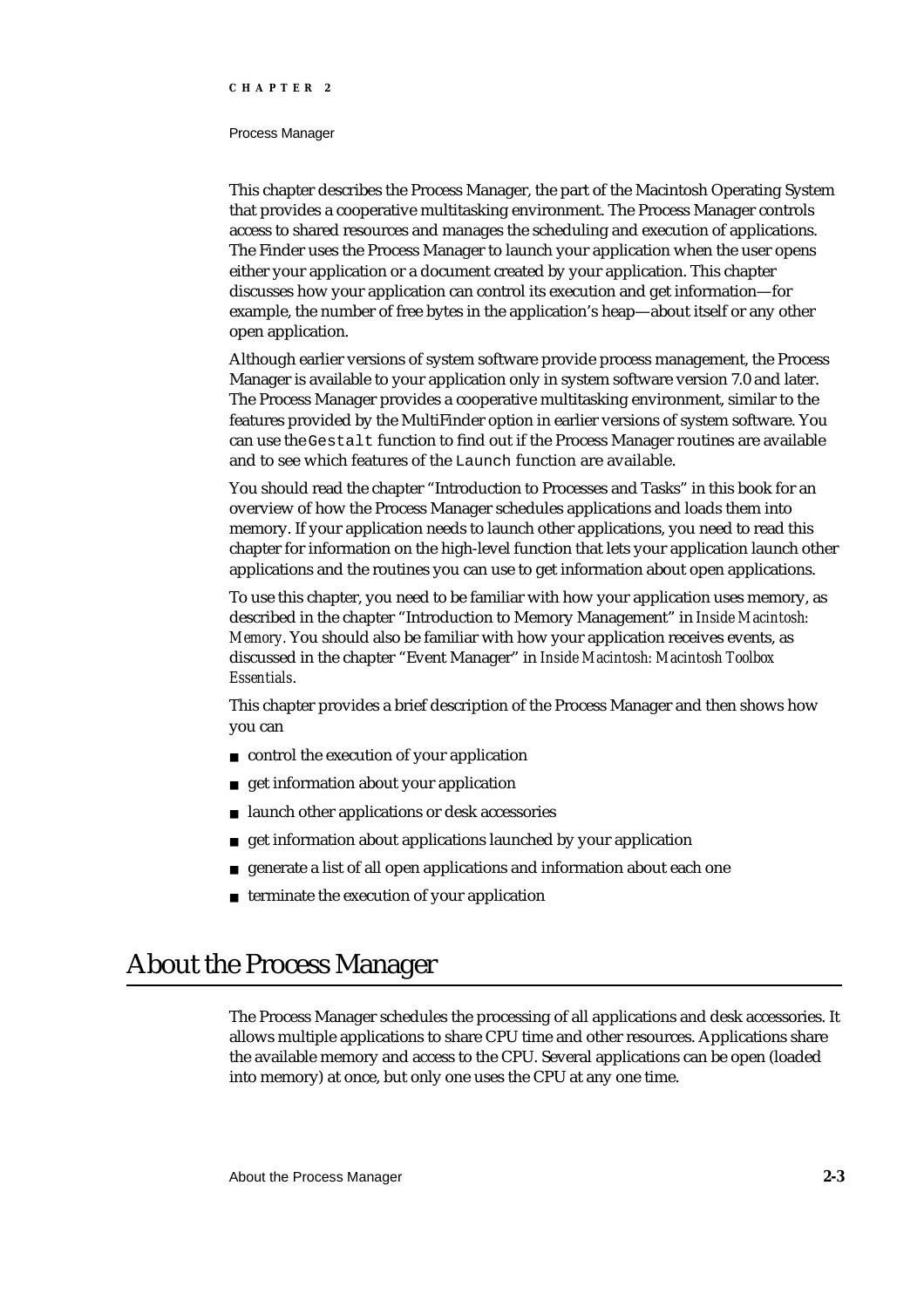#### Process Manager

This chapter describes the Process Manager, the part of the Macintosh Operating System that provides a cooperative multitasking environment. The Process Manager controls access to shared resources and manages the scheduling and execution of applications. The Finder uses the Process Manager to launch your application when the user opens either your application or a document created by your application. This chapter discusses how your application can control its execution and get information—for example, the number of free bytes in the application's heap—about itself or any other open application.

Although earlier versions of system software provide process management, the Process Manager is available to your application only in system software version 7.0 and later. The Process Manager provides a cooperative multitasking environment, similar to the features provided by the MultiFinder option in earlier versions of system software. You can use the Gestalt function to find out if the Process Manager routines are available and to see which features of the Launch function are available.

You should read the chapter "Introduction to Processes and Tasks" in this book for an overview of how the Process Manager schedules applications and loads them into memory. If your application needs to launch other applications, you need to read this chapter for information on the high-level function that lets your application launch other applications and the routines you can use to get information about open applications.

To use this chapter, you need to be familiar with how your application uses memory, as described in the chapter "Introduction to Memory Management" in *Inside Macintosh: Memory.* You should also be familiar with how your application receives events, as discussed in the chapter "Event Manager" in *Inside Macintosh: Macintosh Toolbox Essentials*.

This chapter provides a brief description of the Process Manager and then shows how you can

- control the execution of your application
- get information about your application  $\overline{p}$
- launch other applications or desk accessories
- get information about applications launched by your application  $\overline{D}$
- generate a list of all open applications and information about each one  $\sf n$
- n terminate the execution of your application

## About the Process Manager

The Process Manager schedules the processing of all applications and desk accessories. It allows multiple applications to share CPU time and other resources. Applications share the available memory and access to the CPU. Several applications can be open (loaded into memory) at once, but only one uses the CPU at any one time.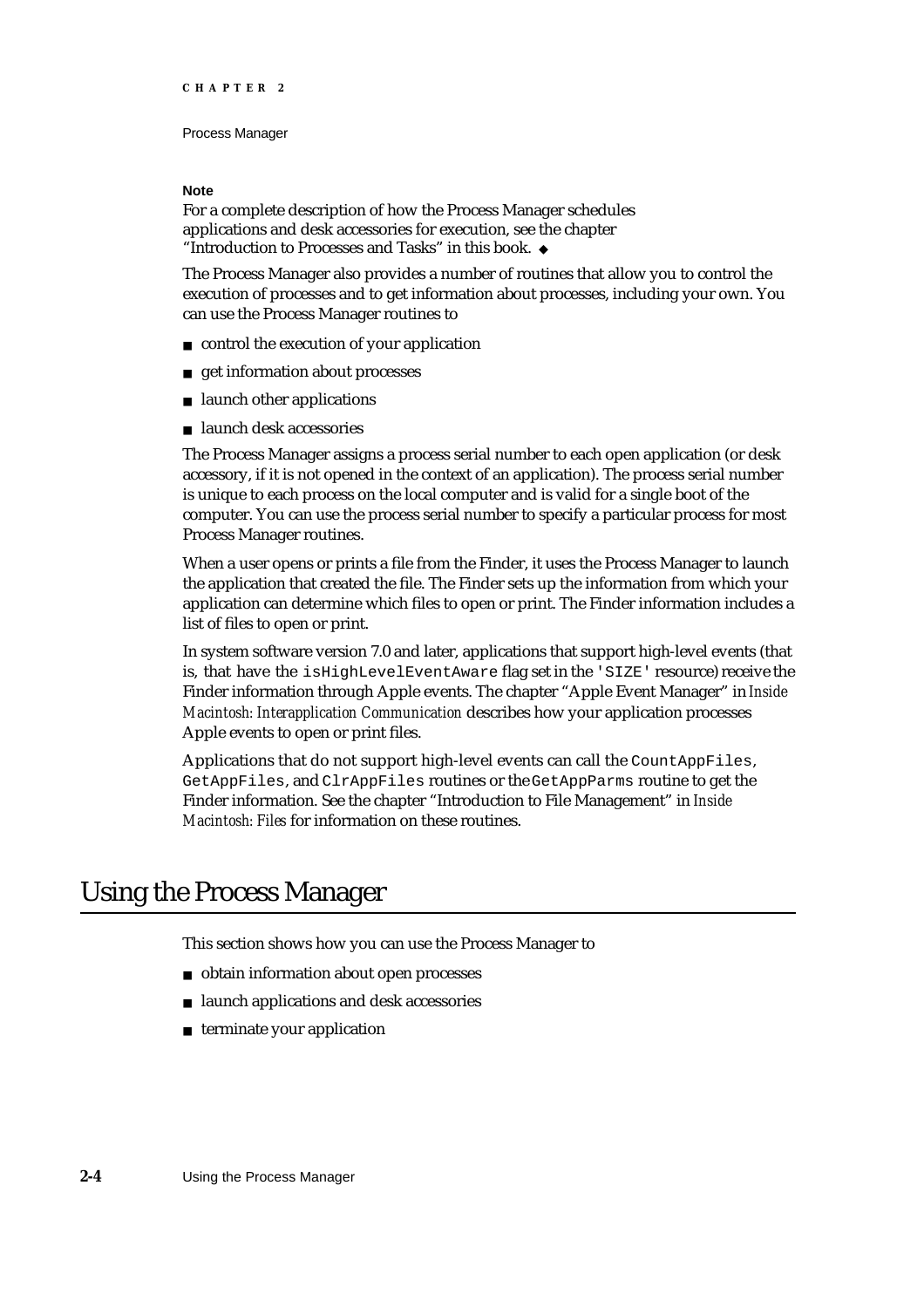#### **Note**

For a complete description of how the Process Manager schedules applications and desk accessories for execution, see the chapter "Introduction to Processes and Tasks" in this book. u

The Process Manager also provides a number of routines that allow you to control the execution of processes and to get information about processes, including your own. You can use the Process Manager routines to

- control the execution of your application
- get information about processes  $n$
- launch other applications  $\overline{a}$
- launch desk accessories

The Process Manager assigns a process serial number to each open application (or desk accessory, if it is not opened in the context of an application). The process serial number is unique to each process on the local computer and is valid for a single boot of the computer. You can use the process serial number to specify a particular process for most Process Manager routines.

When a user opens or prints a file from the Finder, it uses the Process Manager to launch the application that created the file. The Finder sets up the information from which your application can determine which files to open or print. The Finder information includes a list of files to open or print.

In system software version 7.0 and later, applications that support high-level events (that is, that have the isHighLevelEventAware flag set in the 'SIZE' resource) receive the Finder information through Apple events. The chapter "Apple Event Manager" in *Inside Macintosh: Interapplication Communication* describes how your application processes Apple events to open or print files.

Applications that do not support high-level events can call the CountAppFiles, GetAppFiles, and ClrAppFiles routines or the GetAppParms routine to get the Finder information. See the chapter "Introduction to File Management" in *Inside Macintosh: Files* for information on these routines.

## Using the Process Manager

This section shows how you can use the Process Manager to

- obtain information about open processes
- launch applications and desk accessories
- $n$  terminate your application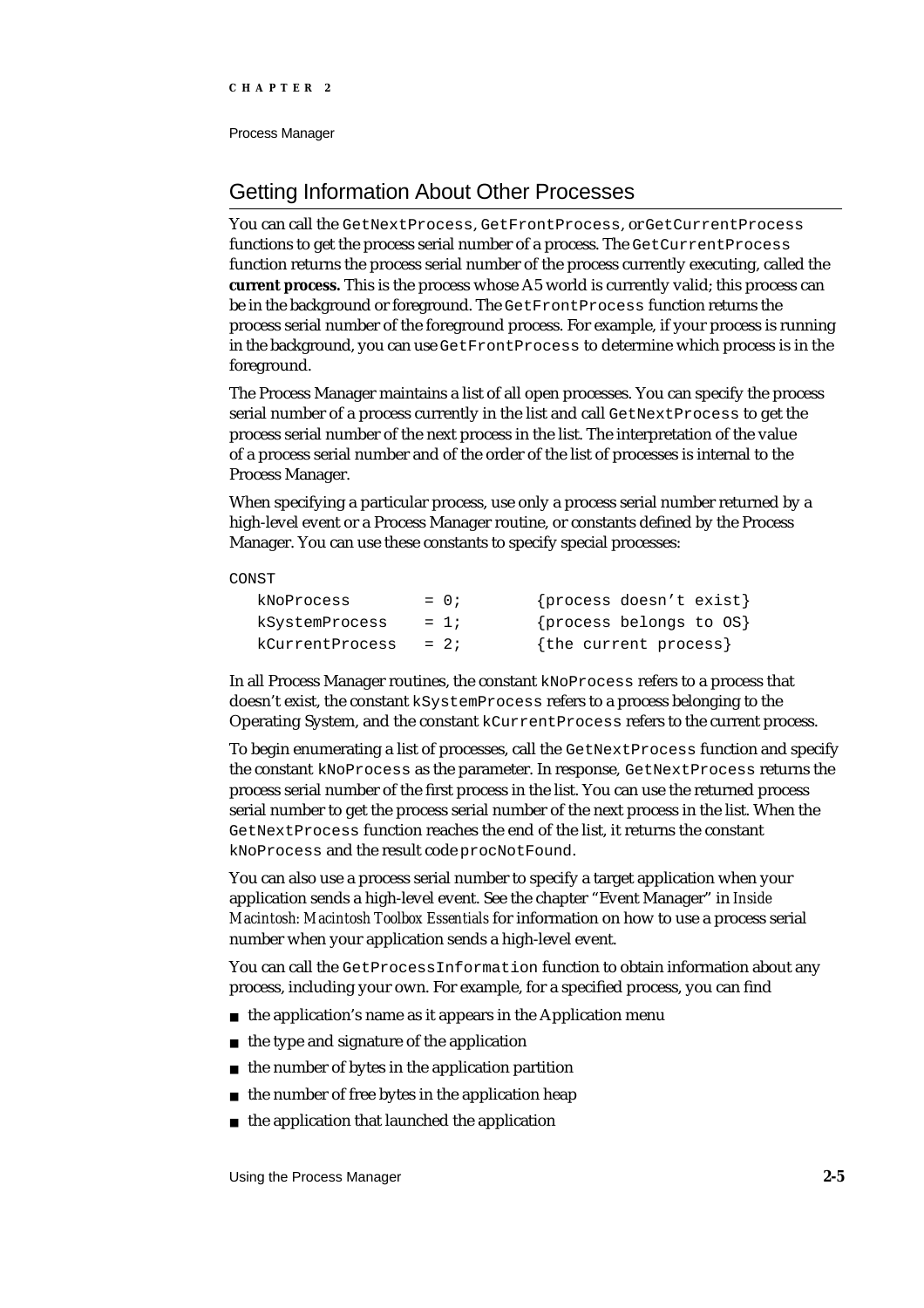## Getting Information About Other Processes

You can call the GetNextProcess, GetFrontProcess, or GetCurrentProcess functions to get the process serial number of a process. The GetCurrentProcess function returns the process serial number of the process currently executing, called the **current process.** This is the process whose A5 world is currently valid; this process can be in the background or foreground. The GetFrontProcess function returns the process serial number of the foreground process. For example, if your process is running in the background, you can use GetFrontProcess to determine which process is in the foreground.

The Process Manager maintains a list of all open processes. You can specify the process serial number of a process currently in the list and call GetNextProcess to get the process serial number of the next process in the list. The interpretation of the value of a process serial number and of the order of the list of processes is internal to the Process Manager.

When specifying a particular process, use only a process serial number returned by a high-level event or a Process Manager routine, or constants defined by the Process Manager. You can use these constants to specify special processes:

#### **CONST**

| kNoProcess      | $= 0;$ | {process doesn't exist} |
|-----------------|--------|-------------------------|
| kSystemProcess  | $= 1i$ | {process belongs to OS} |
| kCurrentProcess | $= 2i$ | {the current process}   |

In all Process Manager routines, the constant kNoProcess refers to a process that doesn't exist, the constant kSystemProcess refers to a process belonging to the Operating System, and the constant kCurrentProcess refers to the current process.

To begin enumerating a list of processes, call the GetNextProcess function and specify the constant kNoProcess as the parameter. In response, GetNextProcess returns the process serial number of the first process in the list. You can use the returned process serial number to get the process serial number of the next process in the list. When the GetNextProcess function reaches the end of the list, it returns the constant kNoProcess and the result code procNotFound.

You can also use a process serial number to specify a target application when your application sends a high-level event. See the chapter "Event Manager" in *Inside Macintosh: Macintosh Toolbox Essentials* for information on how to use a process serial number when your application sends a high-level event.

You can call the GetProcessInformation function to obtain information about any process, including your own. For example, for a specified process, you can find

- $n$  the application's name as it appears in the Application menu
- n the type and signature of the application
- the number of bytes in the application partition  $\overline{D}$
- the number of free bytes in the application heap  $\overline{a}$
- the application that launched the application $\overline{p}$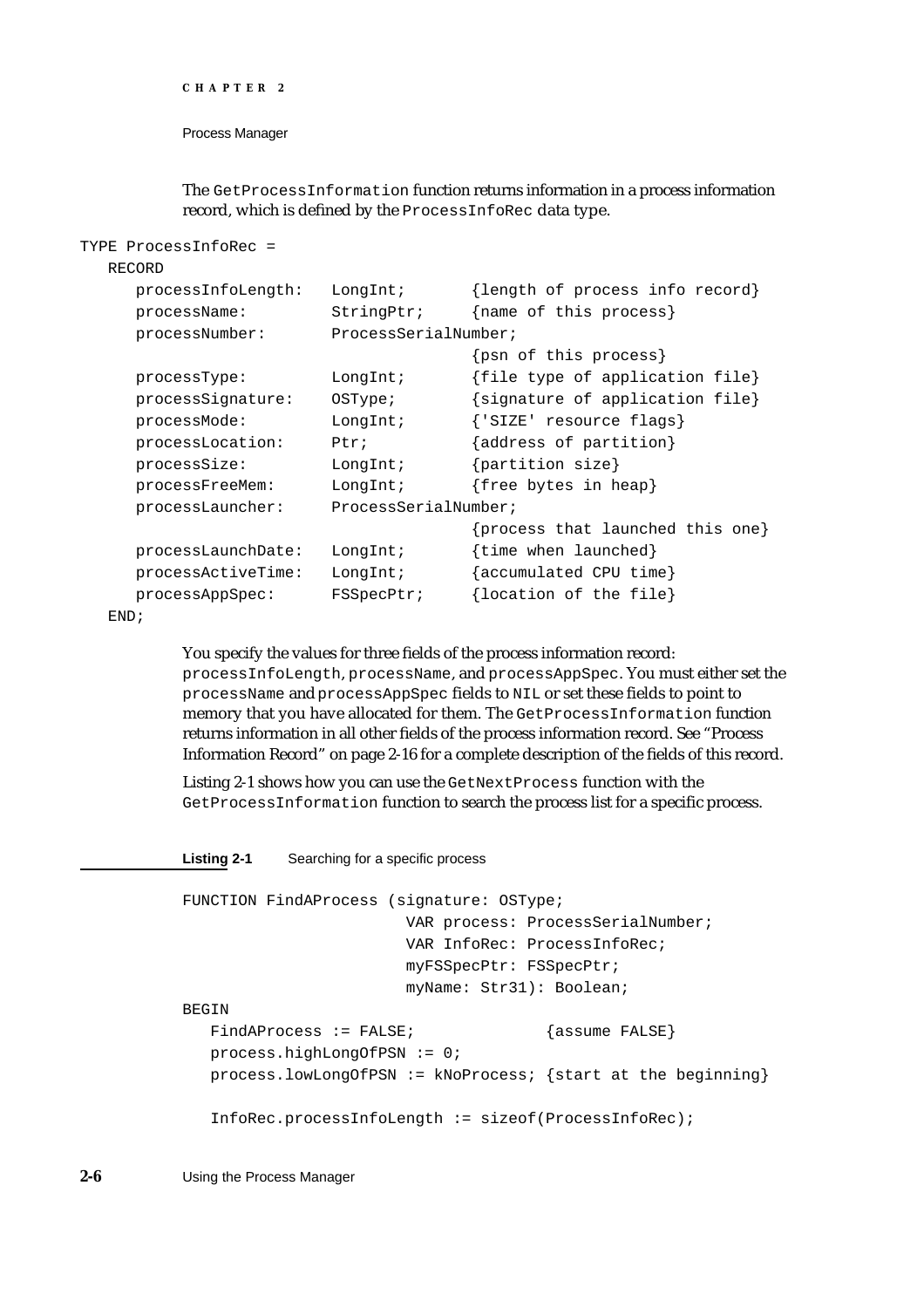```
CHAPTER 2
```
The GetProcessInformation function returns information in a process information record, which is defined by the ProcessInfoRec data type.

```
TYPE ProcessInfoRec =
```
#### RECORD

| processInfoLength: | $LongInt$ ;          | {length of process info record}  |
|--------------------|----------------------|----------------------------------|
|                    |                      |                                  |
| processName:       | StringPtr;           | {name of this process}           |
| processNumber:     | ProcessSerialNumber; |                                  |
|                    |                      | {psn of this process}            |
| processType:       | LongInt;             | {file type of application file}  |
| processSignature:  | OSType:              | {signature of application file}  |
| processMode:       | LongInt;             | {'SIZE' resource flags}          |
| processLocation:   | Ptr:                 | {address of partition}           |
| processSize:       | LongInt;             | $\{partition size\}$             |
| processFreeMem:    | LongInt;             | {free bytes in heap}             |
| processLauncher:   | ProcessSerialNumber; |                                  |
|                    |                      | {process that launched this one} |
| processLaunchDate: | LongInt;             | {time when launched}             |
| processActiveTime: | LongInt;             | {accumulated CPU time}           |
| processAppSpec:    | <b>FSSpecPtr;</b>    | {location of the file}           |
|                    |                      |                                  |

END;

You specify the values for three fields of the process information record: processInfoLength, processName, and processAppSpec. You must either set the processName and processAppSpec fields to NIL or set these fields to point to memory that you have allocated for them. The GetProcessInformation function returns information in all other fields of the process information record. See "Process Information Record" on page 2-16 for a complete description of the fields of this record.

Listing 2-1 shows how you can use the GetNextProcess function with the GetProcessInformation function to search the process list for a specific process.

#### **Listing 2-1** Searching for a specific process

```
FUNCTION FindAProcess (signature: OSType; 
                       VAR process: ProcessSerialNumber; 
                       VAR InfoRec: ProcessInfoRec;
                       myFSSpecPtr: FSSpecPtr;
                       myName: Str31): Boolean;
BEGIN
  FindAProcess := FALSE; {assume FALSE}
  process.highLongOfPSN := 0;
  process.lowLongOfPSN := kNoProcess; {start at the beginning}
  InfoRec.processInfoLength := sizeof(ProcessInfoRec);
```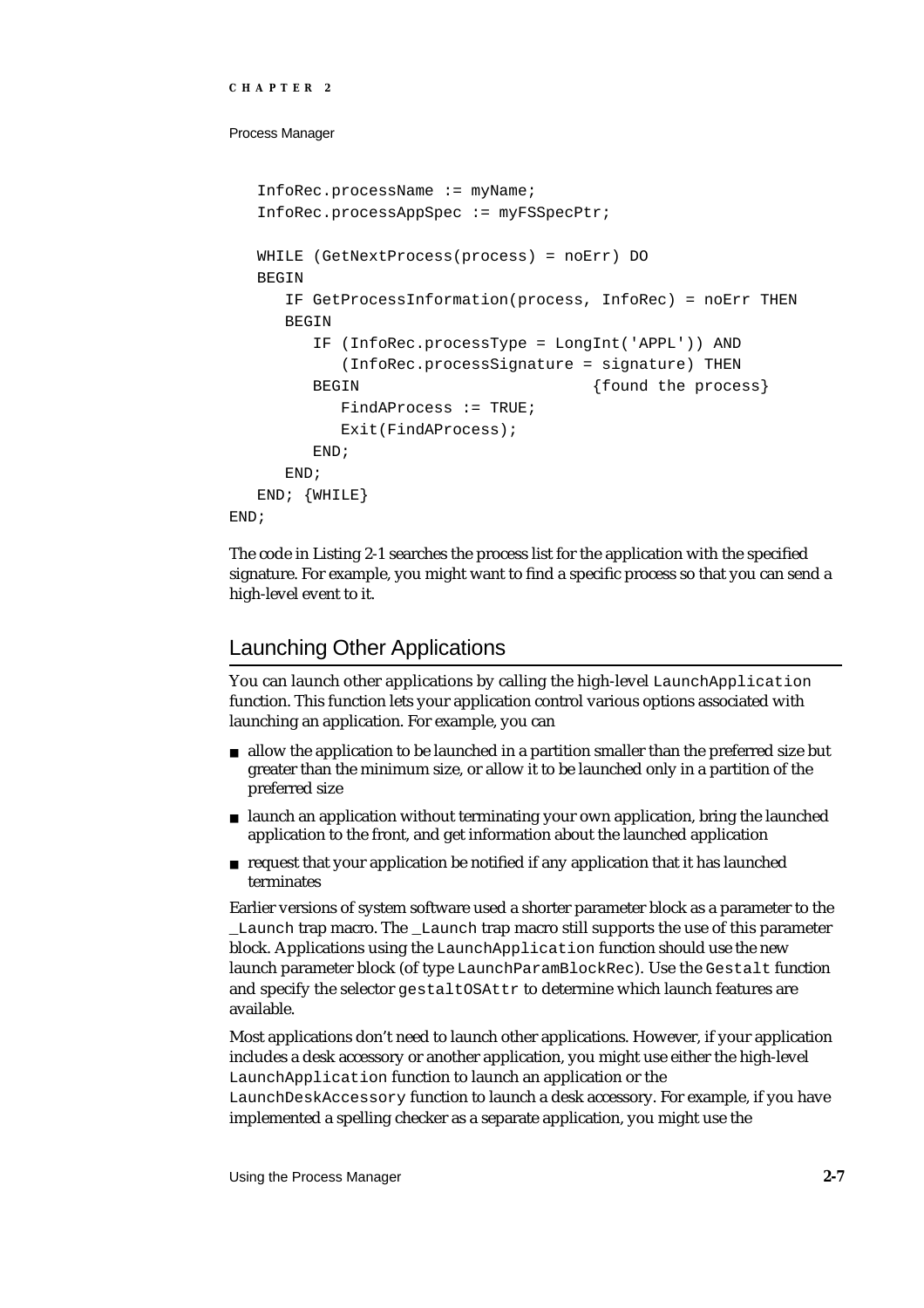```
CHAPTER 2
```

```
InfoRec.processName := myName;
   InfoRec.processAppSpec := myFSSpecPtr;
  WHILE (GetNextProcess(process) = noErr) DO
  BEGIN
     IF GetProcessInformation(process, InfoRec) = noErr THEN
     BEGIN
        IF (InfoRec.processType = LongInt('APPL')) AND
           (InfoRec.processSignature = signature) THEN 
        BEGIN \{found the process\}FindAProcess := TRUE;
           Exit(FindAProcess);
        END;
     END;
  END; {WHILE}
END;
```
The code in Listing 2-1 searches the process list for the application with the specified signature. For example, you might want to find a specific process so that you can send a high-level event to it.

# Launching Other Applications

You can launch other applications by calling the high-level LaunchApplication function. This function lets your application control various options associated with launching an application. For example, you can

- allow the application to be launched in a partition smaller than the preferred size but greater than the minimum size, or allow it to be launched only in a partition of the preferred size
- launch an application without terminating your own application, bring the launched application to the front, and get information about the launched application
- request that your application be notified if any application that it has launched terminates

Earlier versions of system software used a shorter parameter block as a parameter to the Launch trap macro. The Launch trap macro still supports the use of this parameter block. Applications using the LaunchApplication function should use the new launch parameter block (of type LaunchParamBlockRec). Use the Gestalt function and specify the selector gestaltOSAttr to determine which launch features are available.

Most applications don't need to launch other applications. However, if your application includes a desk accessory or another application, you might use either the high-level LaunchApplication function to launch an application or the

LaunchDeskAccessory function to launch a desk accessory. For example, if you have implemented a spelling checker as a separate application, you might use the

Using the Process Manager **2-7**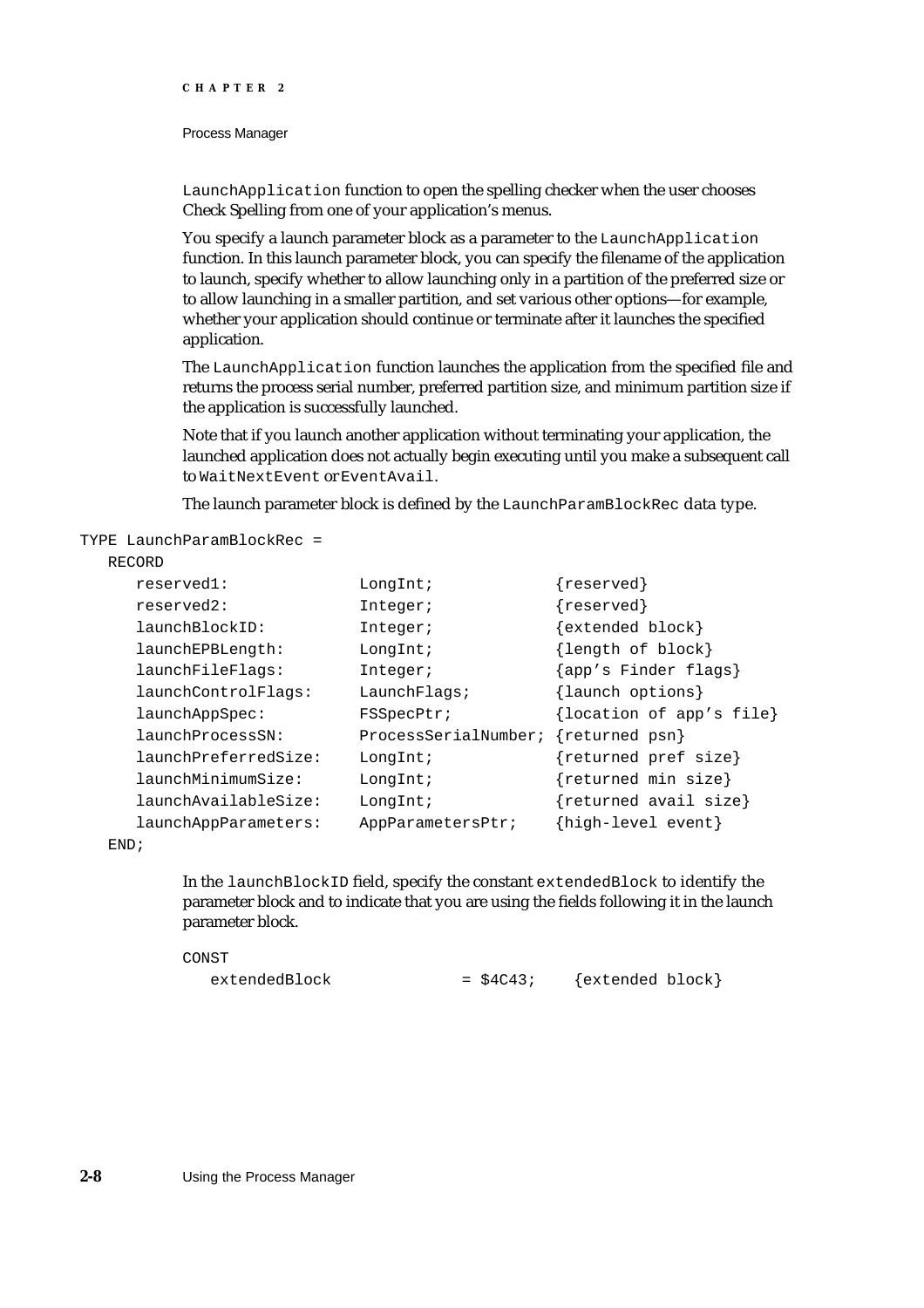#### Process Manager

LaunchApplication function to open the spelling checker when the user chooses Check Spelling from one of your application's menus.

You specify a launch parameter block as a parameter to the LaunchApplication function. In this launch parameter block, you can specify the filename of the application to launch, specify whether to allow launching only in a partition of the preferred size or to allow launching in a smaller partition, and set various other options—for example, whether your application should continue or terminate after it launches the specified application.

The LaunchApplication function launches the application from the specified file and returns the process serial number, preferred partition size, and minimum partition size if the application is successfully launched.

Note that if you launch another application without terminating your application, the launched application does not actually begin executing until you make a subsequent call to WaitNextEvent or EventAvail.

The launch parameter block is defined by the LaunchParamBlockRec data type.

TYPE LaunchParamBlockRec =

#### RECORD

| reserved1:                   | LongInt;             | $\{{\rm reserved}\}$     |
|------------------------------|----------------------|--------------------------|
| reserved2:                   | Integer;             | ${reserved}$             |
| $l$ aunch $B$ $l$ ock $ID$ : | Integer;             | $\{extended block\}$     |
| launchEPBLength:             | LongInt;             | {length of block}        |
| launchFileFlags:             | Integer;             | {app's Finder flags}     |
| launchControlFlags:          | LaunchFlaqs;         | {launch options}         |
| $l$ aunch $AppSpec:$         | FSSpecPtr;           | {location of app's file} |
| launchProcessSN:             | ProcessSerialNumber; | {returned psn}           |
| launchPreferredSize:         | LongInt;             | {returned pref size}     |
| launchMinimumSize:           | LongInt;             | {returned min size}      |
| launchAvailableSize:         | LongInt;             | ${returned avail size}$  |
| launchAppParameters:         | AppParametersPtr;    | {high-level event}       |
|                              |                      |                          |

END;

In the launchBlockID field, specify the constant extendedBlock to identify the parameter block and to indicate that you are using the fields following it in the launch parameter block.

CONST  $extendedBlock = $4C43;$  {extended block}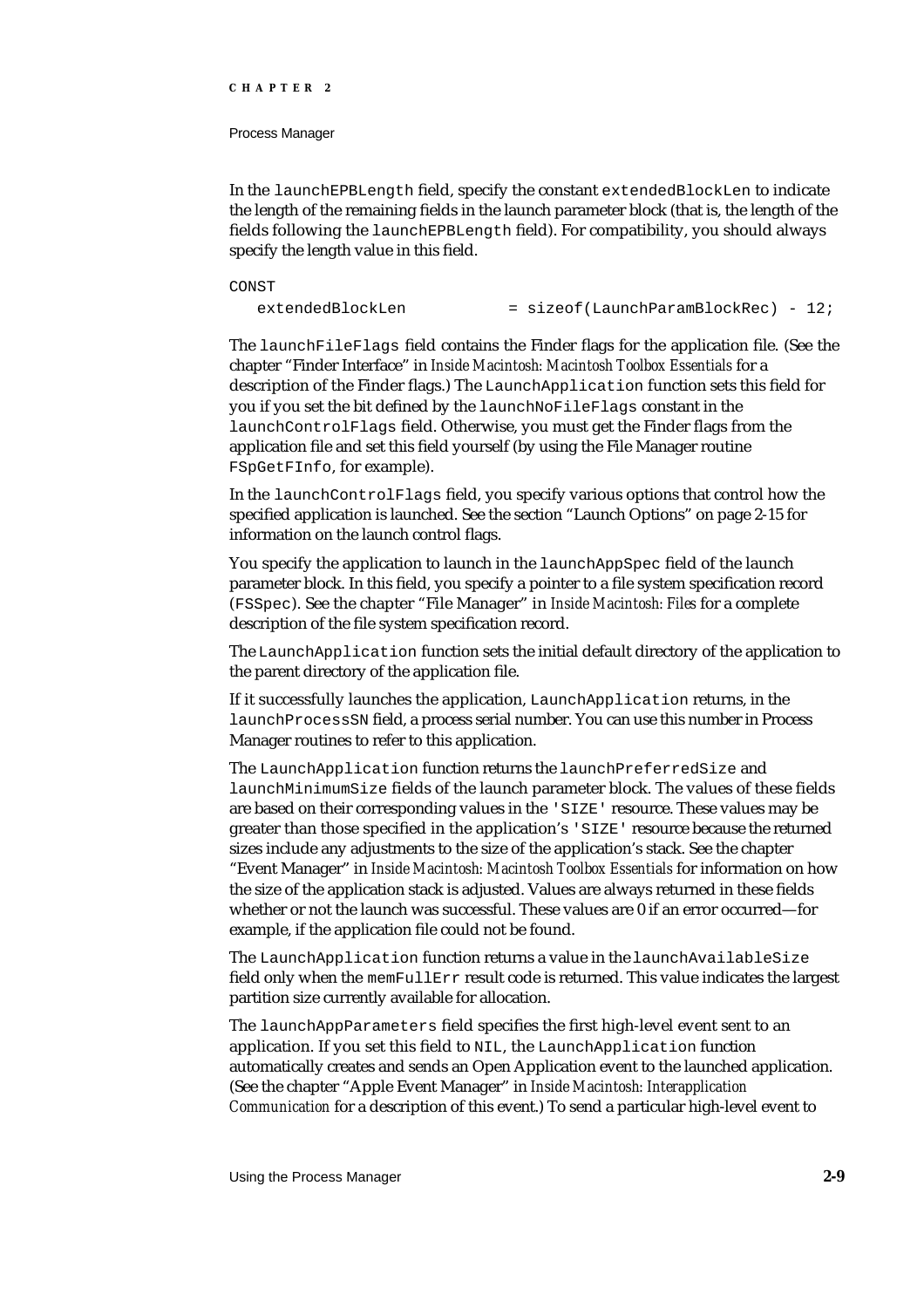#### Process Manager

In the launchEPBLength field, specify the constant extendedBlockLen to indicate the length of the remaining fields in the launch parameter block (that is, the length of the fields following the launchEPBLength field). For compatibility, you should always specify the length value in this field.

CONST

 $extendedBlockLen$  = sizeof(LaunchParamBlockRec) - 12;

The launchFileFlags field contains the Finder flags for the application file. (See the chapter "Finder Interface" in *Inside Macintosh: Macintosh Toolbox Essentials* for a description of the Finder flags.) The LaunchApplication function sets this field for you if you set the bit defined by the launchNoFileFlags constant in the launchControlFlags field. Otherwise, you must get the Finder flags from the application file and set this field yourself (by using the File Manager routine FSpGetFInfo, for example).

In the launchControlFlags field, you specify various options that control how the specified application is launched. See the section "Launch Options" on page 2-15 for information on the launch control flags.

You specify the application to launch in the launchAppSpec field of the launch parameter block. In this field, you specify a pointer to a file system specification record (FSSpec). See the chapter "File Manager" in *Inside Macintosh: Files* for a complete description of the file system specification record.

The LaunchApplication function sets the initial default directory of the application to the parent directory of the application file.

If it successfully launches the application, LaunchApplication returns, in the launchProcessSN field, a process serial number. You can use this number in Process Manager routines to refer to this application.

The LaunchApplication function returns the launchPreferredSize and launchMinimumSize fields of the launch parameter block. The values of these fields are based on their corresponding values in the 'SIZE' resource. These values may be greater than those specified in the application's 'SIZE' resource because the returned sizes include any adjustments to the size of the application's stack. See the chapter "Event Manager" in *Inside Macintosh: Macintosh Toolbox Essentials* for information on how the size of the application stack is adjusted. Values are always returned in these fields whether or not the launch was successful. These values are 0 if an error occurred—for example, if the application file could not be found.

The LaunchApplication function returns a value in the launchAvailableSize field only when the memFullErr result code is returned. This value indicates the largest partition size currently available for allocation.

The launchAppParameters field specifies the first high-level event sent to an application. If you set this field to NIL, the LaunchApplication function automatically creates and sends an Open Application event to the launched application. (See the chapter "Apple Event Manager" in *Inside Macintosh: Interapplication Communication* for a description of this event.) To send a particular high-level event to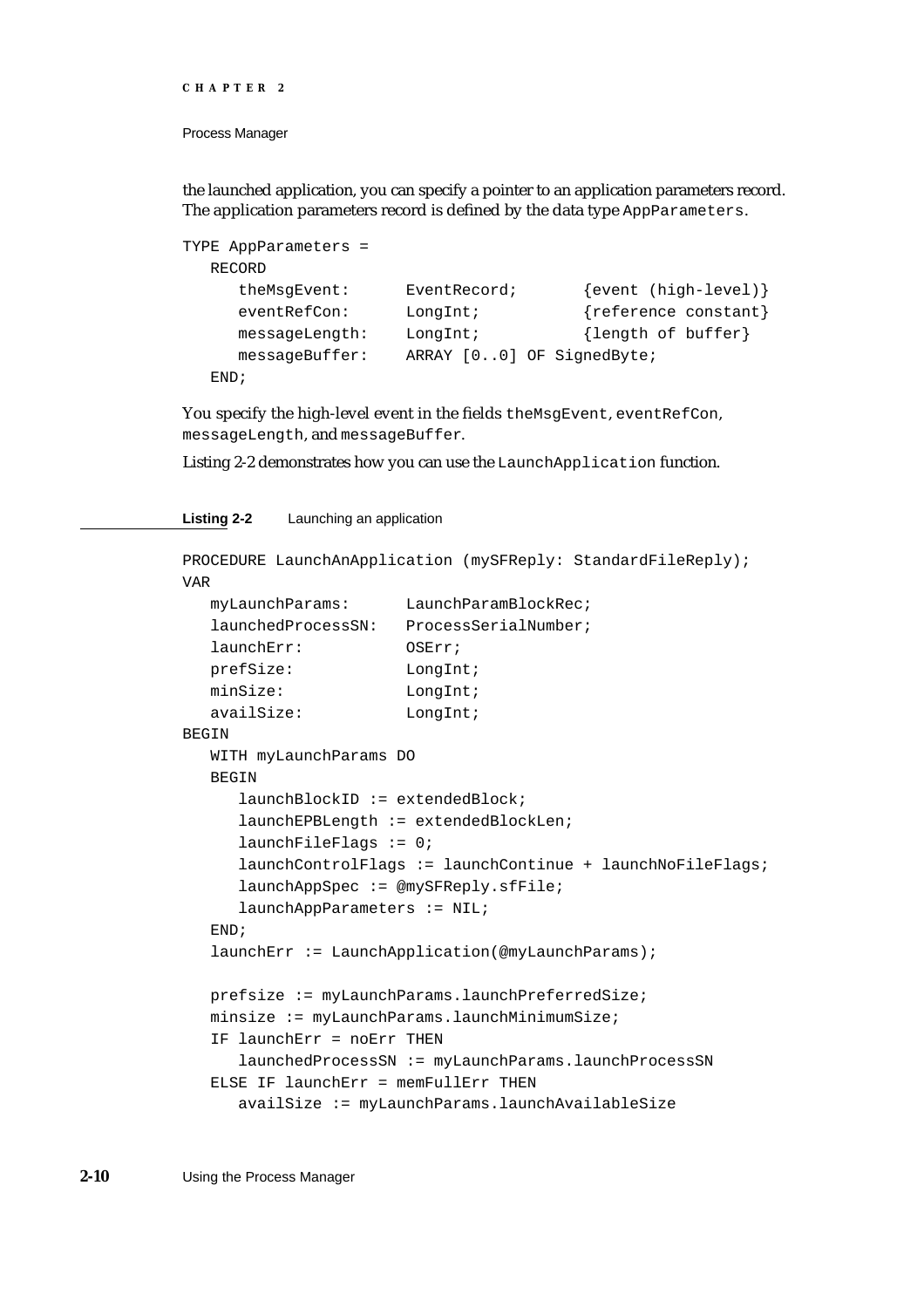```
CHAPTER 2
```
the launched application, you can specify a pointer to an application parameters record. The application parameters record is defined by the data type AppParameters.

```
TYPE AppParameters = 
  RECORD
     theMsqEvent: EventRecord; {event (high-level)}
     eventRefCon: LongInt; {reference constant}
     messageLength: LongInt; {length of buffer}
     messageBuffer: ARRAY [0..0] OF SignedByte;
  END;
```
You specify the high-level event in the fields theMsgEvent, eventRefCon, messageLength, and messageBuffer.

Listing 2-2 demonstrates how you can use the LaunchApplication function.

#### **Listing 2-2** Launching an application

```
PROCEDURE LaunchAnApplication (mySFReply: StandardFileReply);
VAR
  myLaunchParams: LaunchParamBlockRec;
  launchedProcessSN: ProcessSerialNumber;
  launchErr: OSErr;
  prefSize: LongInt;
  minSize: LongInt;
  availSize: LongInt;
BEGIN
  WITH myLaunchParams DO
  BEGIN
     launchBlockID := extendedBlock;
     launchEPBLength := extendedBlockLen;
     launchFileFlags := 0;
     launchControlFlags := launchContinue + launchNoFileFlags;
     launchAppSpec := @mySFReply.sfFile;
     launchAppParameters := NIL;
  END;
  launchErr := LaunchApplication(@myLaunchParams);
  prefsize := myLaunchParams.launchPreferredSize;
  minsize := myLaunchParams.launchMinimumSize;
  IF launchErr = noErr THEN
     launchedProcessSN := myLaunchParams.launchProcessSN
  ELSE IF launchErr = memFullErr THEN
     availSize := myLaunchParams.launchAvailableSize
```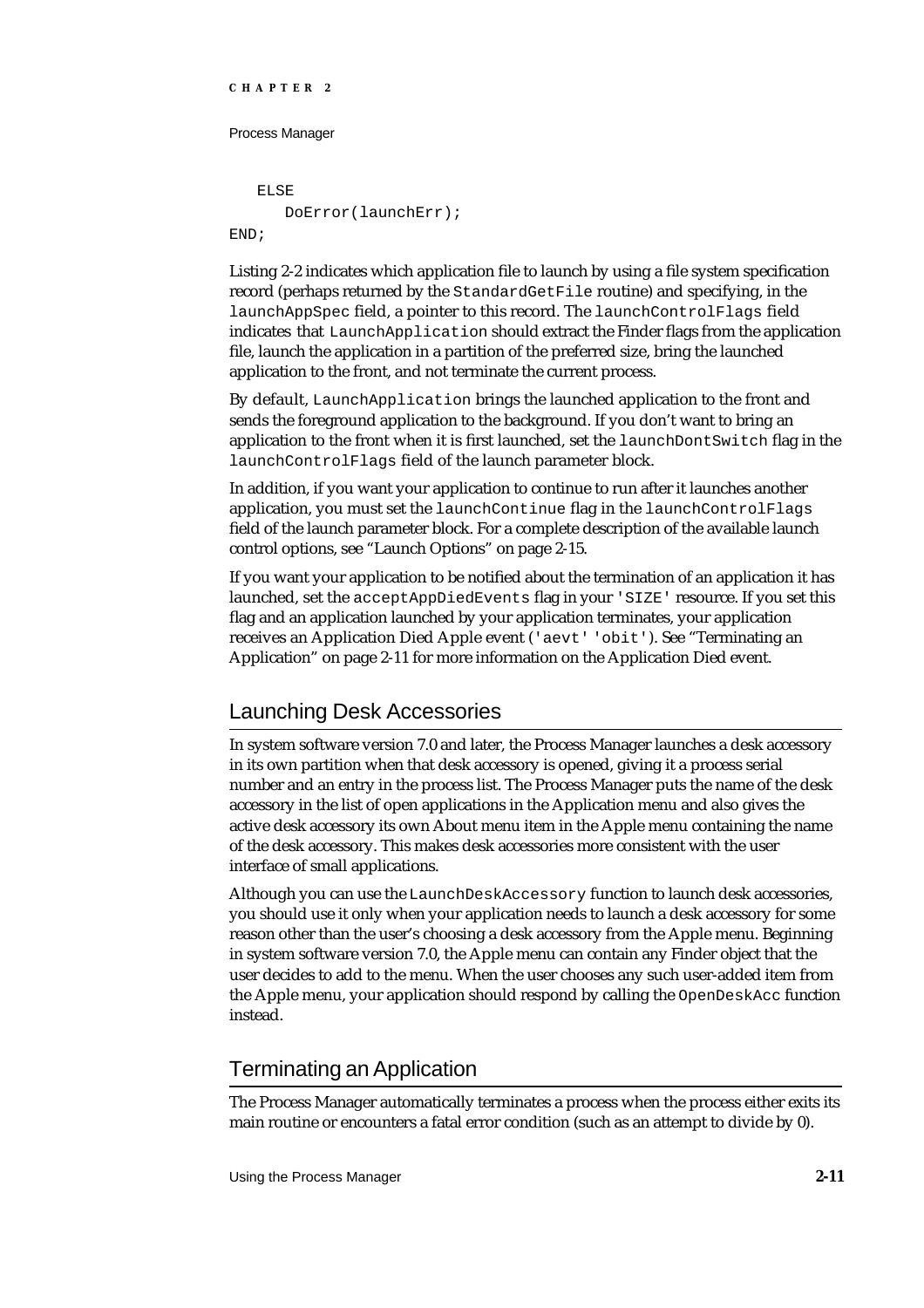#### Process Manager

ELSE DoError(launchErr); END;

Listing 2-2 indicates which application file to launch by using a file system specification record (perhaps returned by the StandardGetFile routine) and specifying, in the launchAppSpec field, a pointer to this record. The launchControlFlags field indicates that LaunchApplication should extract the Finder flags from the application file, launch the application in a partition of the preferred size, bring the launched application to the front, and not terminate the current process.

By default, LaunchApplication brings the launched application to the front and sends the foreground application to the background. If you don't want to bring an application to the front when it is first launched, set the launchDontSwitch flag in the launchControlFlags field of the launch parameter block.

In addition, if you want your application to continue to run after it launches another application, you must set the launchContinue flag in the launchControlFlags field of the launch parameter block. For a complete description of the available launch control options, see "Launch Options" on page 2-15.

If you want your application to be notified about the termination of an application it has launched, set the acceptAppDiedEvents flag in your 'SIZE' resource. If you set this flag and an application launched by your application terminates, your application receives an Application Died Apple event ('aevt' 'obit'). See "Terminating an Application" on page 2-11 for more information on the Application Died event.

# Launching Desk Accessories

In system software version 7.0 and later, the Process Manager launches a desk accessory in its own partition when that desk accessory is opened, giving it a process serial number and an entry in the process list. The Process Manager puts the name of the desk accessory in the list of open applications in the Application menu and also gives the active desk accessory its own About menu item in the Apple menu containing the name of the desk accessory. This makes desk accessories more consistent with the user interface of small applications.

Although you can use the LaunchDeskAccessory function to launch desk accessories, you should use it only when your application needs to launch a desk accessory for some reason other than the user's choosing a desk accessory from the Apple menu. Beginning in system software version 7.0, the Apple menu can contain any Finder object that the user decides to add to the menu. When the user chooses any such user-added item from the Apple menu, your application should respond by calling the OpenDeskAcc function instead.

# Terminating an Application

The Process Manager automatically terminates a process when the process either exits its main routine or encounters a fatal error condition (such as an attempt to divide by 0).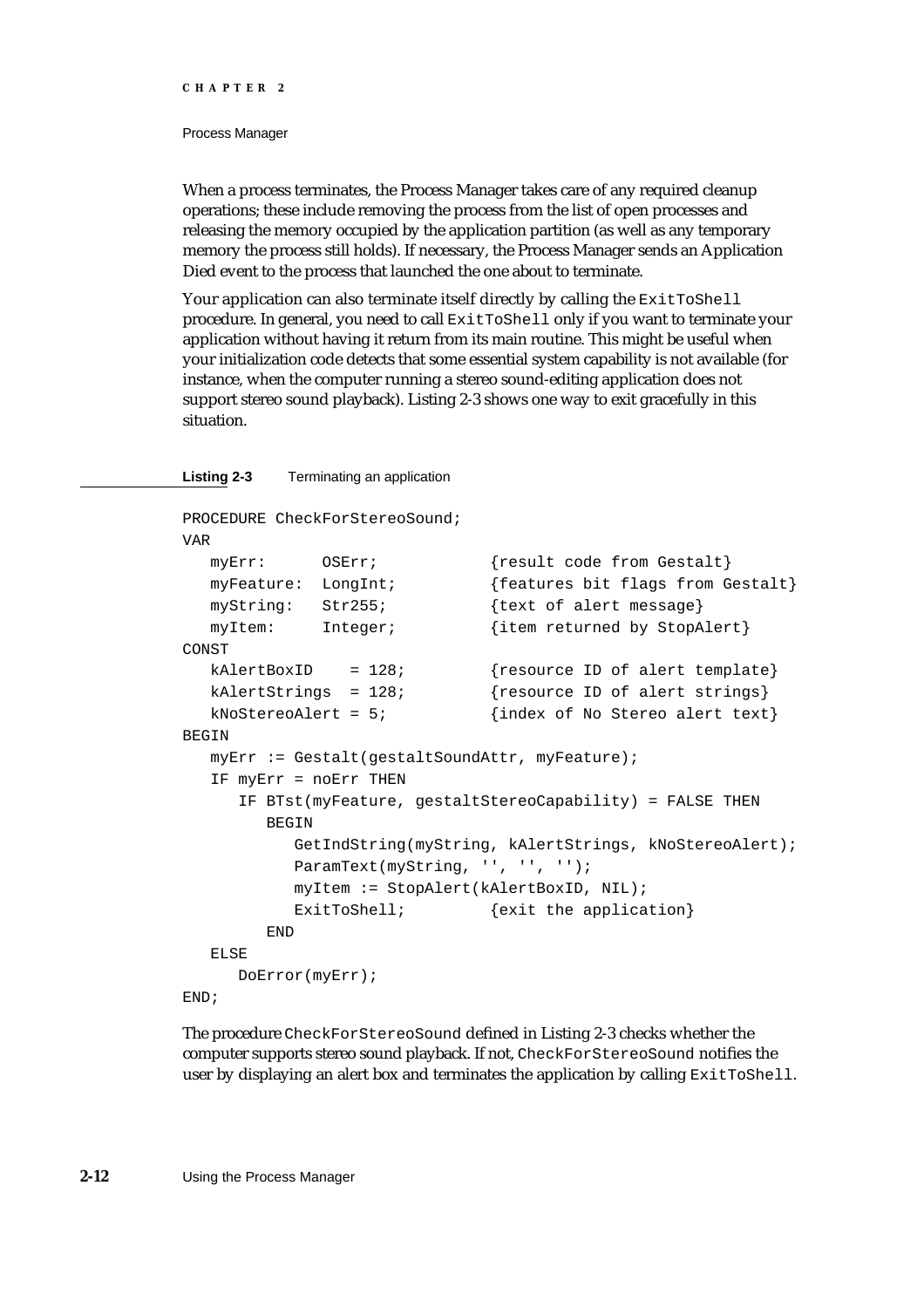#### Process Manager

When a process terminates, the Process Manager takes care of any required cleanup operations; these include removing the process from the list of open processes and releasing the memory occupied by the application partition (as well as any temporary memory the process still holds). If necessary, the Process Manager sends an Application Died event to the process that launched the one about to terminate.

Your application can also terminate itself directly by calling the ExitToShell procedure. In general, you need to call ExitToShell only if you want to terminate your application without having it return from its main routine. This might be useful when your initialization code detects that some essential system capability is not available (for instance, when the computer running a stereo sound-editing application does not support stereo sound playback). Listing 2-3 shows one way to exit gracefully in this situation.

#### **Listing 2-3** Terminating an application

```
PROCEDURE CheckForStereoSound;
VAR
  myErr: OSErr; {result code from Gestalt}
  myFeature: LongInt; {features bit flags from Gestalt}
  myString: Str255; {text of alert message}
  myItem: Integer; {item returned by StopAlert}
CONST
  kAlertBoxID = 128; {resource ID of alert template}
  kAlertStrings = 128; {resource ID of alert strings}kNoStereoAlert = 5; \{index of No Stereo alert text\}BEGIN
  myErr := Gestalt(gestaltSoundAttr, myFeature);
  IF myErr = noErr THEN
     IF BTst(myFeature, gestaltStereoCapability) = FALSE THEN
        BEGIN
          GetIndString(myString, kAlertStrings, kNoStereoAlert);
          ParamText(myString, '', '', '');
          myItem := StopAlert(kAlertBoxID, NIL);
          ExitToShell; \{exit\ the\ application\}END
  ELSE
     DoError(myErr);
END;
```
The procedure CheckForStereoSound defined in Listing 2-3 checks whether the computer supports stereo sound playback. If not, CheckForStereoSound notifies the user by displaying an alert box and terminates the application by calling ExitToShell.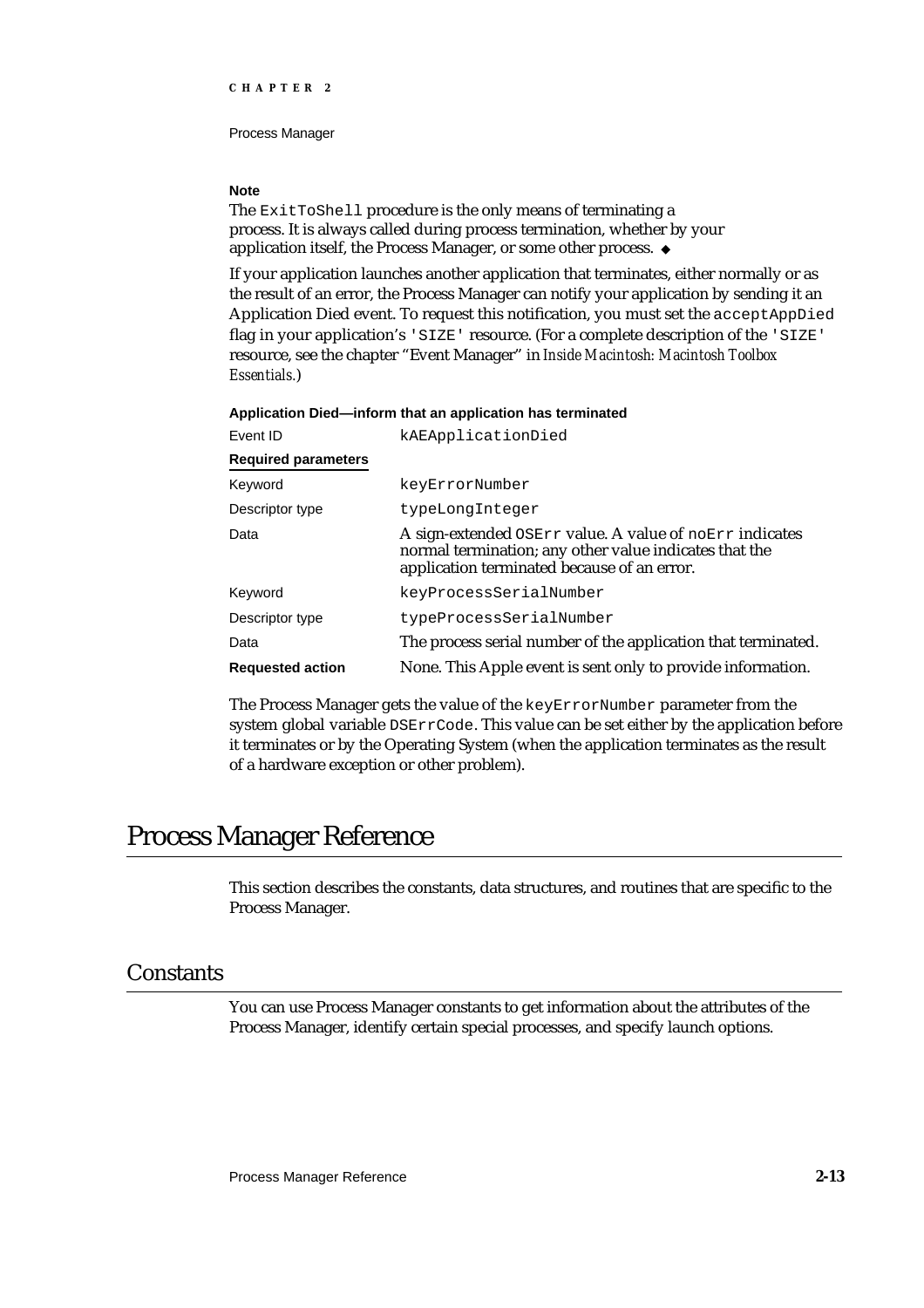#### **Note**

The ExitToShell procedure is the only means of terminating a process. It is always called during process termination, whether by your application itself, the Process Manager, or some other process.

If your application launches another application that terminates, either normally or as the result of an error, the Process Manager can notify your application by sending it an Application Died event. To request this notification, you must set the acceptAppDied flag in your application's 'SIZE' resource. (For a complete description of the 'SIZE' resource, see the chapter "Event Manager" in *Inside Macintosh: Macintosh Toolbox Essentials.*)

#### **Application Died—inform that an application has terminated**

| Event ID                   | kAEApplicationDied                                                                                                                                               |
|----------------------------|------------------------------------------------------------------------------------------------------------------------------------------------------------------|
| <b>Required parameters</b> |                                                                                                                                                                  |
| Keyword                    | keyErrorNumber                                                                                                                                                   |
| Descriptor type            | typeLongInteger                                                                                                                                                  |
| Data                       | A sign-extended OSErr value. A value of noErr indicates<br>normal termination; any other value indicates that the<br>application terminated because of an error. |
| Keyword                    | keyProcessSerialNumber                                                                                                                                           |
| Descriptor type            | typeProcessSerialNumber                                                                                                                                          |
| Data                       | The process serial number of the application that terminated.                                                                                                    |
| <b>Requested action</b>    | None. This Apple event is sent only to provide information.                                                                                                      |

The Process Manager gets the value of the keyErrorNumber parameter from the system global variable DSErrCode. This value can be set either by the application before it terminates or by the Operating System (when the application terminates as the result of a hardware exception or other problem).

# Process Manager Reference

This section describes the constants, data structures, and routines that are specific to the Process Manager.

# **Constants**

You can use Process Manager constants to get information about the attributes of the Process Manager, identify certain special processes, and specify launch options.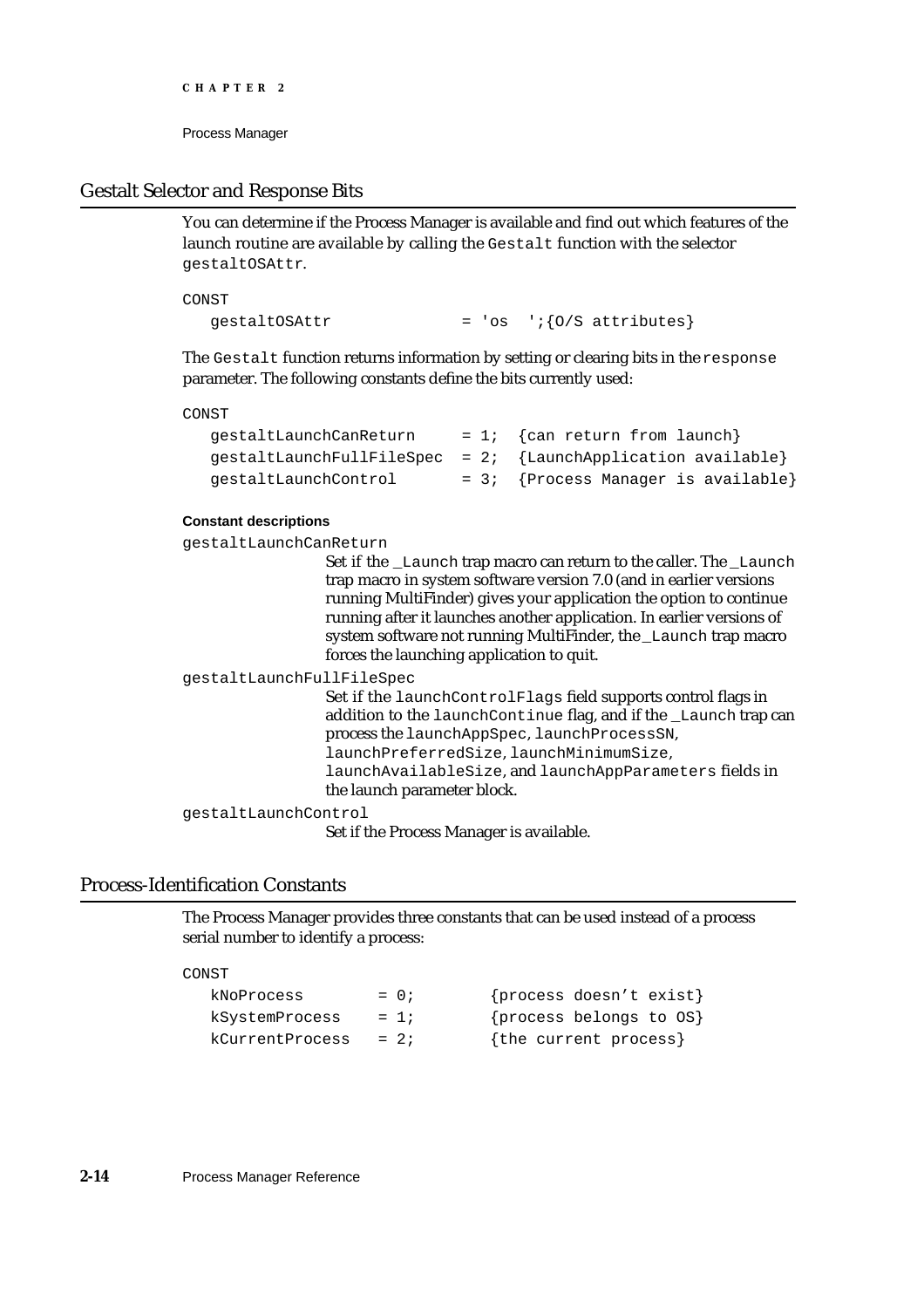### Gestalt Selector and Response Bits

You can determine if the Process Manager is available and find out which features of the launch routine are available by calling the Gestalt function with the selector gestaltOSAttr.

CONST

qestaltOSAttr  $= 'os 'i\{0/S \text{ attributes}\}$ 

The Gestalt function returns information by setting or clearing bits in the response parameter. The following constants define the bits currently used:

#### CONST

| qestaltLaunchCanReturn | $= 1$ ; {can return from launch}                                 |
|------------------------|------------------------------------------------------------------|
|                        | $gestaltLaunchFullFilespec = 2; \{LaunchApplication available\}$ |
| qestaltLaunchControl   | = 3; {Process Manager is available}                              |

#### **Constant descriptions**

gestaltLaunchCanReturn

Set if the Launch trap macro can return to the caller. The Launch trap macro in system software version 7.0 (and in earlier versions running MultiFinder) gives your application the option to continue running after it launches another application. In earlier versions of system software not running MultiFinder, the \_Launch trap macro forces the launching application to quit.

gestaltLaunchFullFileSpec

Set if the launchControlFlags field supports control flags in addition to the launchContinue flag, and if the \_Launch trap can process the launchAppSpec, launchProcessSN, launchPreferredSize, launchMinimumSize, launchAvailableSize, and launchAppParameters fields in the launch parameter block.

gestaltLaunchControl

Set if the Process Manager is available.

# Process-Identification Constants

The Process Manager provides three constants that can be used instead of a process serial number to identify a process:

#### CONST

| kNoProcess      | $= 0;$ | {process doesn't exist} |
|-----------------|--------|-------------------------|
| kSystemProcess  | $= 1i$ | {process belongs to OS} |
| kCurrentProcess | $= 2i$ | {the current process}   |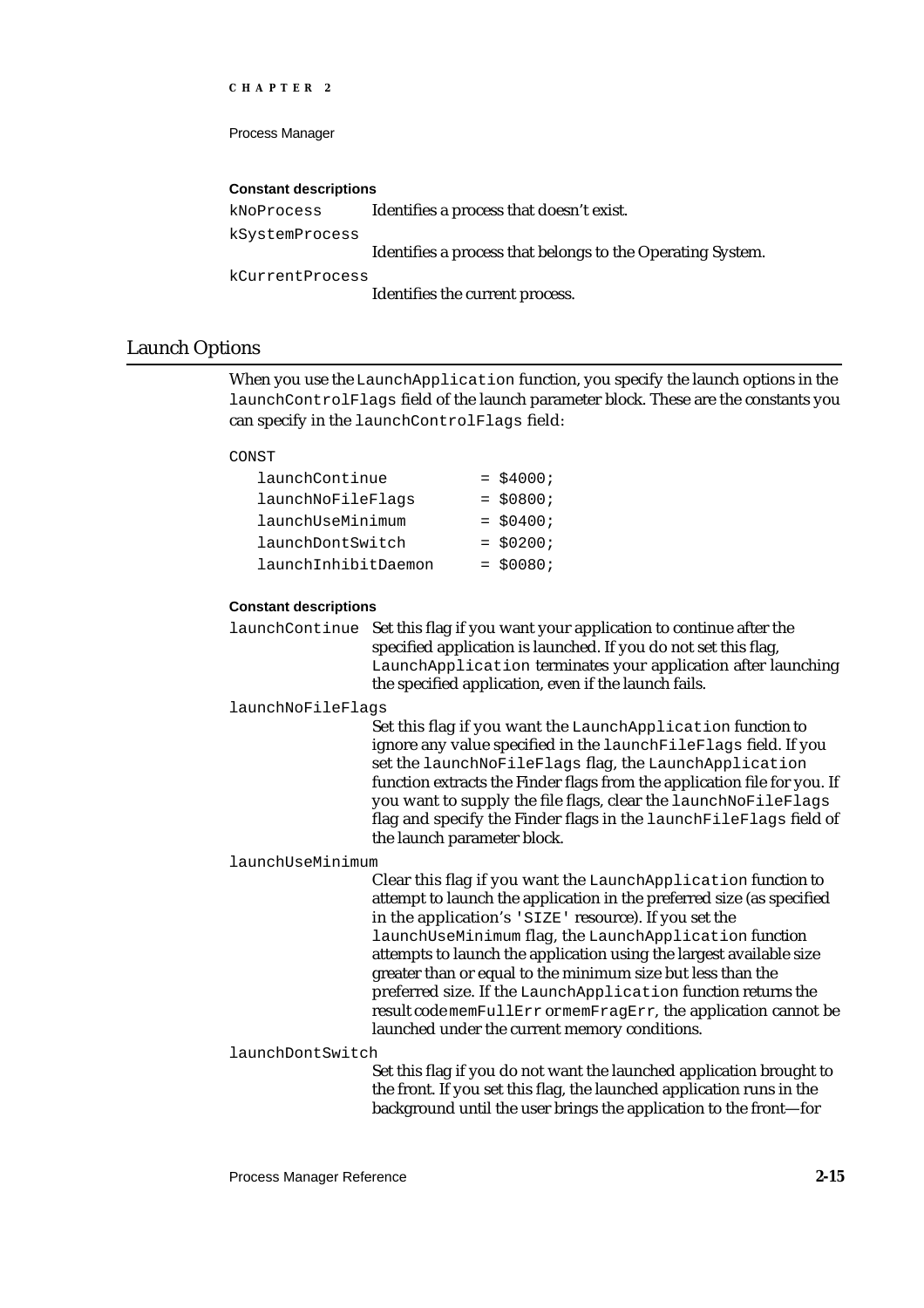Process Manager

#### **Constant descriptions**

```
kNoProcess Identifies a process that doesn't exist.
kSystemProcess
                   Identifies a process that belongs to the Operating System.
kCurrentProcess
                   Identifies the current process.
```
# Launch Options

When you use the LaunchApplication function, you specify the launch options in the launchControlFlags field of the launch parameter block. These are the constants you can specify in the launchControlFlags field:

#### CONST

| launchContinue      | $=$ \$4000; |
|---------------------|-------------|
| launchNoFileFlags   | $= $0800;$  |
| launchUseMinimum    | $=$ \$0400; |
| launchDontSwitch    | $=$ \$0200; |
| launchInhibitDaemon | $=$ \$0080; |

#### **Constant descriptions**

launchContinue Set this flag if you want your application to continue after the specified application is launched. If you do not set this flag, LaunchApplication terminates your application after launching the specified application, even if the launch fails.

launchNoFileFlags

Set this flag if you want the LaunchApplication function to ignore any value specified in the launchFileFlags field. If you set the launchNoFileFlags flag, the LaunchApplication function extracts the Finder flags from the application file for you. If you want to supply the file flags, clear the launchNoFileFlags flag and specify the Finder flags in the launchFileFlags field of the launch parameter block.

#### launchUseMinimum

Clear this flag if you want the LaunchApplication function to attempt to launch the application in the preferred size (as specified in the application's 'SIZE' resource). If you set the launchUseMinimum flag, the LaunchApplication function attempts to launch the application using the largest available size greater than or equal to the minimum size but less than the preferred size. If the LaunchApplication function returns the result code memFullErr or memFragErr, the application cannot be launched under the current memory conditions.

#### launchDontSwitch

Set this flag if you do not want the launched application brought to the front. If you set this flag, the launched application runs in the background until the user brings the application to the front—for

Process Manager Reference **2-15**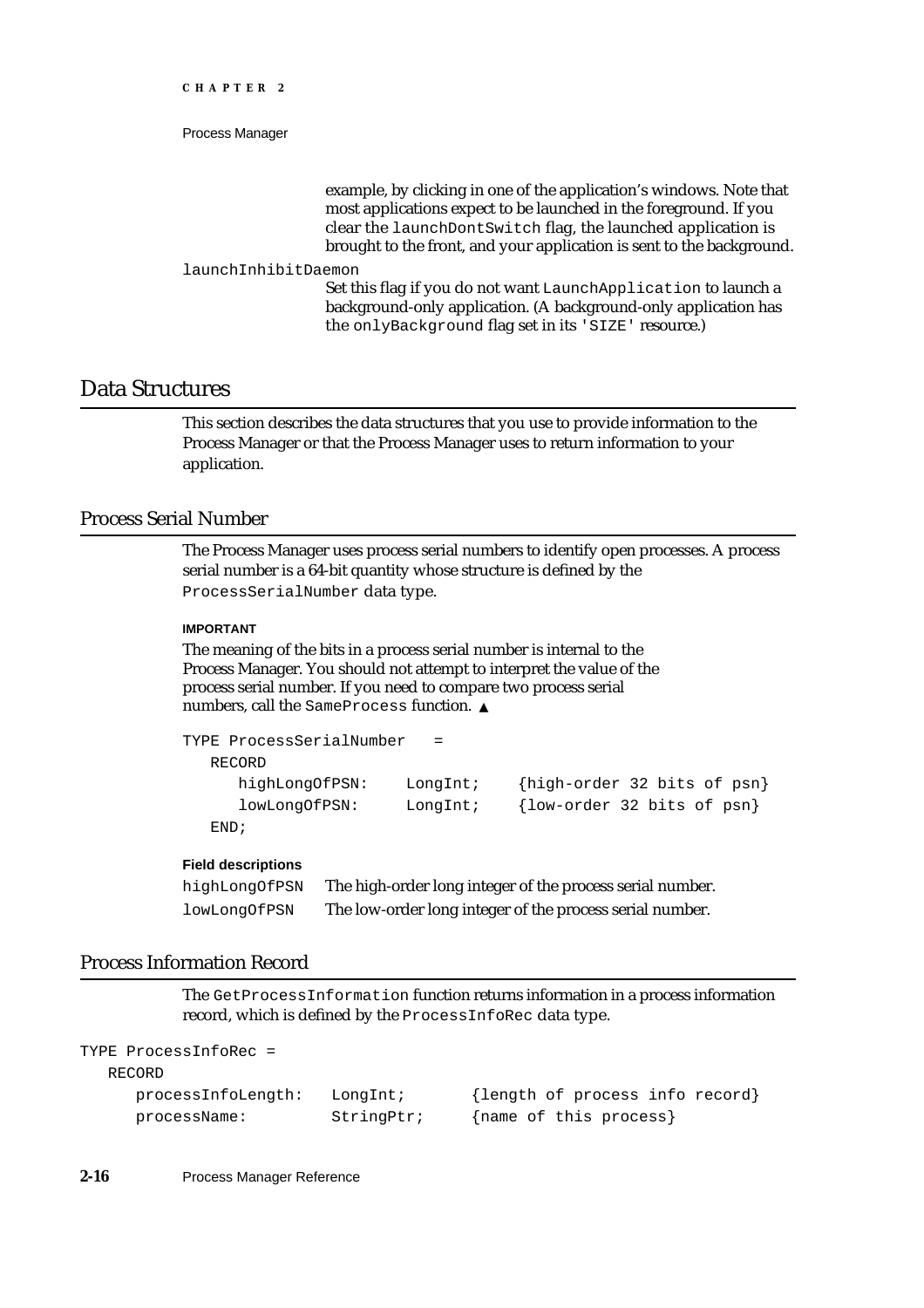example, by clicking in one of the application's windows. Note that most applications expect to be launched in the foreground. If you clear the launchDontSwitch flag, the launched application is brought to the front, and your application is sent to the background.

#### launchInhibitDaemon

Set this flag if you do not want LaunchApplication to launch a background-only application. (A background-only application has the onlyBackground flag set in its 'SIZE' resource.)

# Data Structures

This section describes the data structures that you use to provide information to the Process Manager or that the Process Manager uses to return information to your application.

# Process Serial Number

The Process Manager uses process serial numbers to identify open processes. A process serial number is a 64-bit quantity whose structure is defined by the ProcessSerialNumber data type.

#### **IMPORTANT**

The meaning of the bits in a process serial number is internal to the Process Manager. You should not attempt to interpret the value of the process serial number. If you need to compare two process serial numbers, call the SameProcess function. s

```
TYPE ProcessSerialNumber = 
  RECORD
     highLongOfPSN: LongInt; {high-order 32 bits of psn}
     lowLongOfPSN: LongInt; {low-order 32 bits of psn}
  END;
```
#### **Field descriptions**

| highLongOfPSN | The high-order long integer of the process serial number. |
|---------------|-----------------------------------------------------------|
| lowLongOfPSN  | The low-order long integer of the process serial number.  |

### Process Information Record

The GetProcessInformation function returns information in a process information record, which is defined by the ProcessInfoRec data type.

```
TYPE ProcessInfoRec =
```

```
RECORD
```

```
processInfoLength: LongInt; {length of process info record}
processName: StringPtr; {name of this process}
```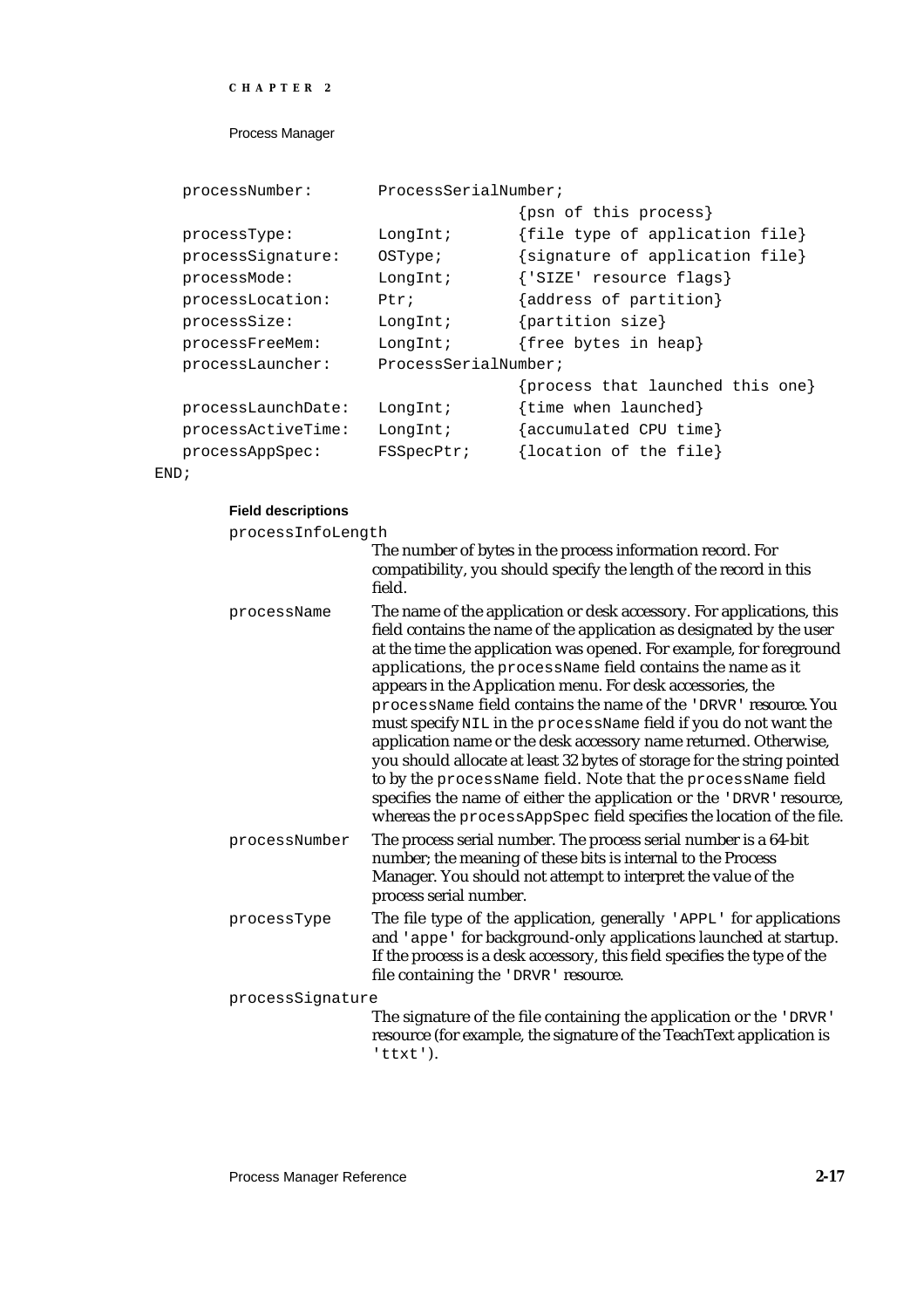```
CHAPTER 2
```

```
processNumber: ProcessSerialNumber;
                              {psn of this process}
processType: LongInt; {file type of application file}
processSignature: OSType; {signature of application file}
processMode: LongInt; {'SIZE' resource flags}
processLocation: Ptr; {address of partition}
processSize: LongInt; {partition size}
processFreeMem: LongInt; {free bytes in heap}
processLauncher: ProcessSerialNumber;
                              {process that launched this one}
processLaunchDate: LongInt; {time when launched}
processActiveTime: LongInt; {accumulated CPU time}
processAppSpec: FSSpecPtr; {location of the file}
```
END;

#### **Field descriptions**

| processInfoLength |  |
|-------------------|--|

|                  | The number of bytes in the process information record. For<br>compatibility, you should specify the length of the record in this<br>field.                                                                                                                                                                                                                                                                                                                                                                                                                                                                                                                                                                                                                                                                                                              |
|------------------|---------------------------------------------------------------------------------------------------------------------------------------------------------------------------------------------------------------------------------------------------------------------------------------------------------------------------------------------------------------------------------------------------------------------------------------------------------------------------------------------------------------------------------------------------------------------------------------------------------------------------------------------------------------------------------------------------------------------------------------------------------------------------------------------------------------------------------------------------------|
| processName      | The name of the application or desk accessory. For applications, this<br>field contains the name of the application as designated by the user<br>at the time the application was opened. For example, for foreground<br>applications, the processName field contains the name as it<br>appears in the Application menu. For desk accessories, the<br>processName field contains the name of the 'DRVR' resource. You<br>must specify NIL in the processName field if you do not want the<br>application name or the desk accessory name returned. Otherwise,<br>you should allocate at least 32 bytes of storage for the string pointed<br>to by the processName field. Note that the processName field<br>specifies the name of either the application or the 'DRVR' resource,<br>whereas the processAppSpec field specifies the location of the file. |
| processNumber    | The process serial number. The process serial number is a 64-bit<br>number; the meaning of these bits is internal to the Process<br>Manager. You should not attempt to interpret the value of the<br>process serial number.                                                                                                                                                                                                                                                                                                                                                                                                                                                                                                                                                                                                                             |
| processType      | The file type of the application, generally 'APPL' for applications<br>and 'appe' for background-only applications launched at startup.<br>If the process is a desk accessory, this field specifies the type of the<br>file containing the 'DRVR' resource.                                                                                                                                                                                                                                                                                                                                                                                                                                                                                                                                                                                             |
| processSignature | The signature of the file containing the application or the 'DRVR'<br>resource (for example, the signature of the TeachText application is                                                                                                                                                                                                                                                                                                                                                                                                                                                                                                                                                                                                                                                                                                              |

'ttxt').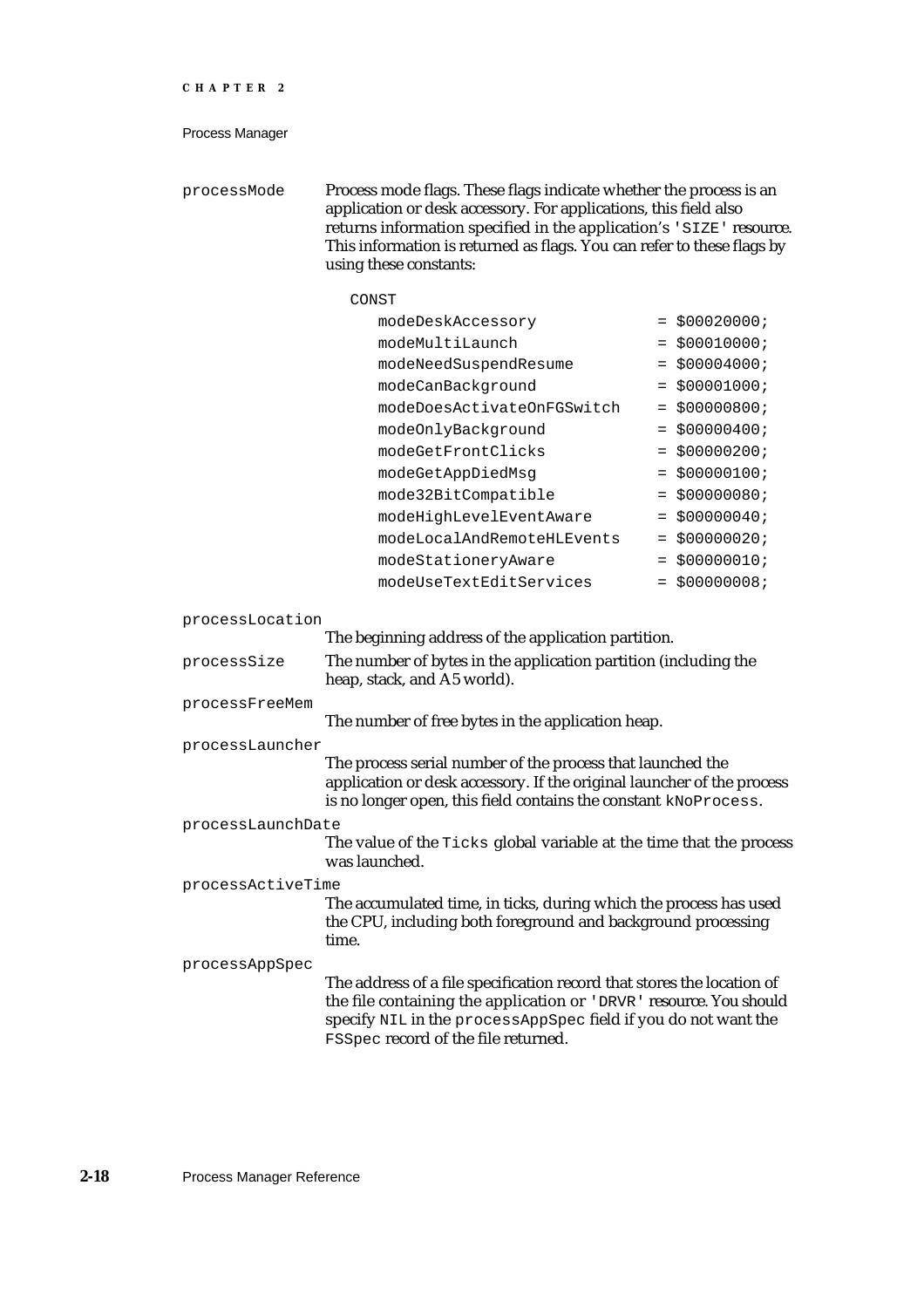processMode Process mode flags. These flags indicate whether the process is an application or desk accessory. For applications, this field also returns information specified in the application's 'SIZE' resource. This information is returned as flags. You can refer to these flags by using these constants:

# CONST

| modeDeskAccessory          | $= $00020000;$  |
|----------------------------|-----------------|
| modeMultiLaunch            | $= $00010000;$  |
| modeNeedSuspendResume      | $=$ \$00004000; |
| modeCanBackground          | $=$ \$00001000; |
| modeDoesActivateOnFGSwitch | $=$ \$00000800; |
| modeOnlyBackground         | $= $000000400;$ |
| modeGetFrontClicks         | $=$ \$00000200; |
| modeGetAppDiedMsq          | $= $00000100;$  |
| mode32BitCompatible        | $= $00000080;$  |
| modeHighLevelEventAware    | $=$ \$00000040; |
| modeLocalAndRemoteHLEvents | $=$ \$00000020; |
| modeStationeryAware        | \$00000010;     |
| modeUseTextEditServices    | \$00000008;     |

processLocation

|                   | The beginning address of the application partition.                                                                                                                                                                                                          |
|-------------------|--------------------------------------------------------------------------------------------------------------------------------------------------------------------------------------------------------------------------------------------------------------|
| processSize       | The number of bytes in the application partition (including the<br>heap, stack, and A5 world).                                                                                                                                                               |
| processFreeMem    |                                                                                                                                                                                                                                                              |
|                   | The number of free bytes in the application heap.                                                                                                                                                                                                            |
| processLauncher   |                                                                                                                                                                                                                                                              |
|                   | The process serial number of the process that launched the<br>application or desk accessory. If the original launcher of the process<br>is no longer open, this field contains the constant kNoProcess.                                                      |
| processLaunchDate |                                                                                                                                                                                                                                                              |
|                   | The value of the Ticks global variable at the time that the process<br>was launched.                                                                                                                                                                         |
| processActiveTime |                                                                                                                                                                                                                                                              |
|                   | The accumulated time, in ticks, during which the process has used<br>the CPU, including both foreground and background processing<br>time.                                                                                                                   |
| processAppSpec    |                                                                                                                                                                                                                                                              |
|                   | The address of a file specification record that stores the location of<br>the file containing the application or 'DRVR' resource. You should<br>specify NIL in the processAppSpec field if you do not want the<br><b>FSSpec record of the file returned.</b> |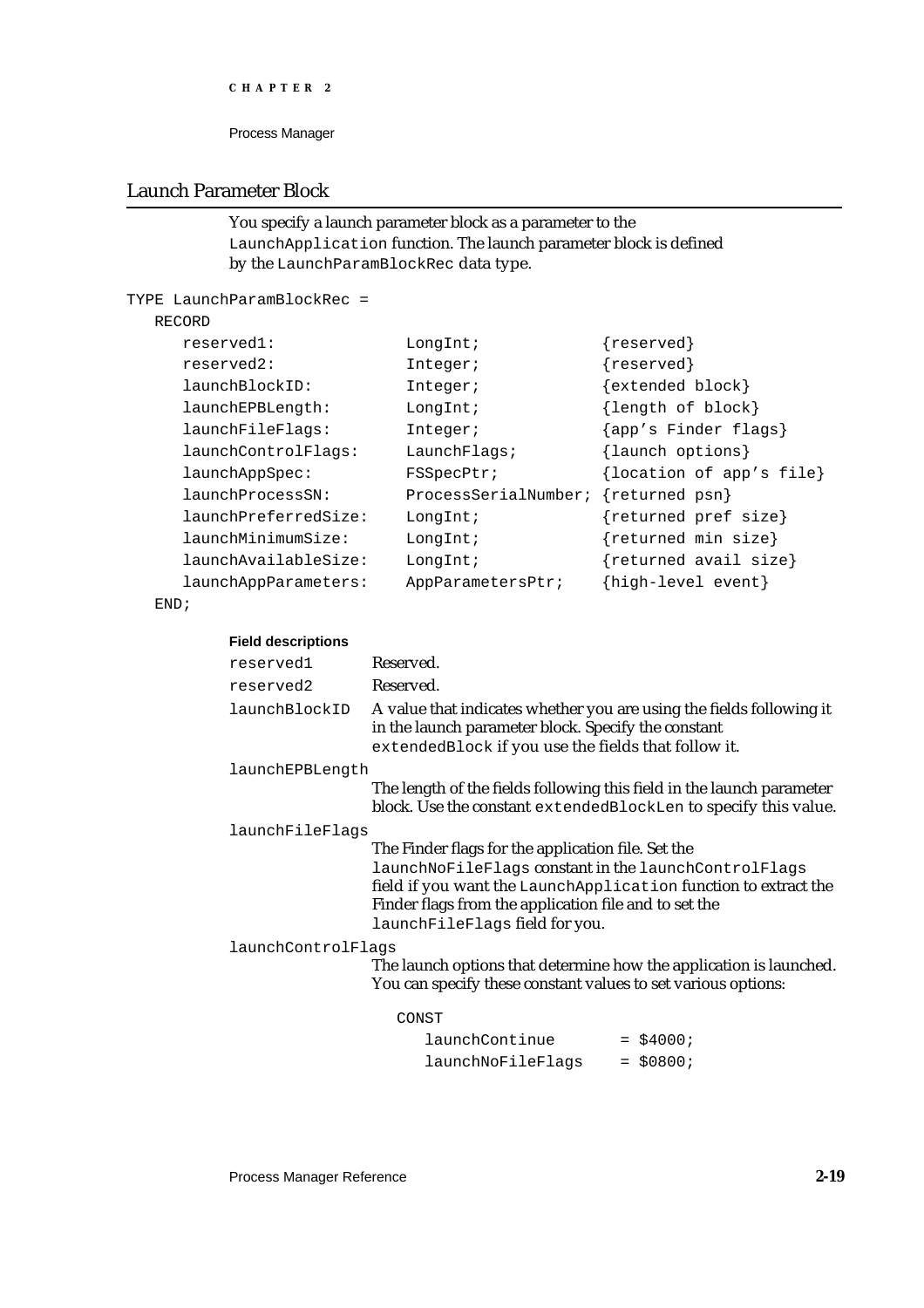```
CHAPTER 2
```
# Launch Parameter Block

```
You specify a launch parameter block as a parameter to the 
LaunchApplication function. The launch parameter block is defined 
by the LaunchParamBlockRec data type.
```

```
TYPE LaunchParamBlockRec =
```
# RECORD

| reserved1:           | LongInt;             | ${reserved}$             |
|----------------------|----------------------|--------------------------|
| reserved2:           | Integer;             | ${reserved}$             |
| launchBlockID:       | Integer;             | $\{extended block\}$     |
| launchEPBLength:     | LongInt;             | {length of block}        |
| launchFileFlags:     | Integer;             | {app's Finder flags}     |
| launchControlFlags:  | LaunchFlaqs          | {launch options}         |
| launchAppSpec:       | <b>FSSpecPtr;</b>    | {location of app's file} |
| launchProcessSN:     | ProcessSerialNumber; | {returned psn}           |
| launchPreferredSize: | LongInt;             | {returned pref size}     |
| launchMinimumSize:   | LongInt;             | {returned min size}      |
| launchAvailableSize: | LongInt;             | ${returned avail size}$  |
| launchAppParameters: | AppParametersPtr;    | {high-level event}       |

END;

| reserved1          | Reserved.                                                                                                                                                                                             |                                                                                                                                          |
|--------------------|-------------------------------------------------------------------------------------------------------------------------------------------------------------------------------------------------------|------------------------------------------------------------------------------------------------------------------------------------------|
| reserved2          | Reserved.                                                                                                                                                                                             |                                                                                                                                          |
| launchBlockID      | A value that indicates whether you are using the fields following it<br>in the launch parameter block. Specify the constant<br>extendedBlock if you use the fields that follow it.                    |                                                                                                                                          |
| launchEPBLength    |                                                                                                                                                                                                       |                                                                                                                                          |
|                    |                                                                                                                                                                                                       | The length of the fields following this field in the launch parameter<br>block. Use the constant extendedBlockLen to specify this value. |
| launchFileFlags    |                                                                                                                                                                                                       |                                                                                                                                          |
|                    | The Finder flags for the application file. Set the<br>launchNoFileFlags constant in the launchControlFlags<br>Finder flags from the application file and to set the<br>launchFileFlags field for you. | field if you want the LaunchApplication function to extract the                                                                          |
| launchControlFlags | You can specify these constant values to set various options:                                                                                                                                         | The launch options that determine how the application is launched.                                                                       |
|                    | CONST                                                                                                                                                                                                 |                                                                                                                                          |
|                    | launchContinue                                                                                                                                                                                        | $=$ \$4000;                                                                                                                              |
|                    | launchNoFileFlags                                                                                                                                                                                     | $=$ \$0800;                                                                                                                              |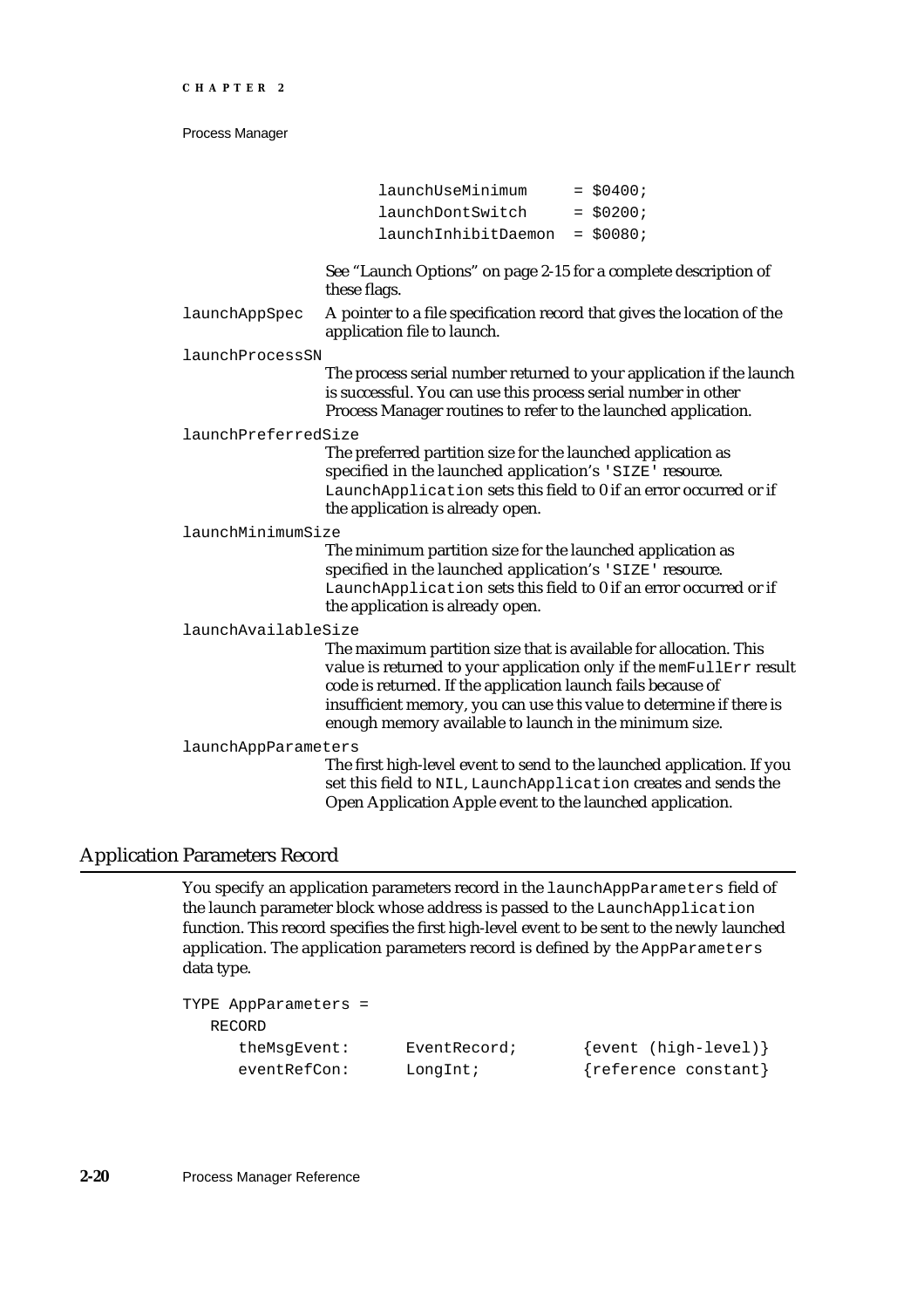|                     | launchUseMinimum                                                                                                                                                                                                                                                                                                                           | $=$ \$0400; |
|---------------------|--------------------------------------------------------------------------------------------------------------------------------------------------------------------------------------------------------------------------------------------------------------------------------------------------------------------------------------------|-------------|
|                     | launchDontSwitch                                                                                                                                                                                                                                                                                                                           | $=$ \$0200; |
|                     | launchInhibitDaemon                                                                                                                                                                                                                                                                                                                        | $=$ \$0080; |
|                     |                                                                                                                                                                                                                                                                                                                                            |             |
|                     | See "Launch Options" on page 2-15 for a complete description of<br>these flags.                                                                                                                                                                                                                                                            |             |
| launchAppSpec       | A pointer to a file specification record that gives the location of the<br>application file to launch.                                                                                                                                                                                                                                     |             |
| launchProcessSN     |                                                                                                                                                                                                                                                                                                                                            |             |
|                     | The process serial number returned to your application if the launch<br>is successful. You can use this process serial number in other<br>Process Manager routines to refer to the launched application.                                                                                                                                   |             |
| launchPreferredSize |                                                                                                                                                                                                                                                                                                                                            |             |
|                     | The preferred partition size for the launched application as<br>specified in the launched application's 'SIZE' resource.<br>LaunchApplication sets this field to 0 if an error occurred or if<br>the application is already open.                                                                                                          |             |
| launchMinimumSize   |                                                                                                                                                                                                                                                                                                                                            |             |
|                     | The minimum partition size for the launched application as<br>specified in the launched application's 'SIZE' resource.<br>LaunchApplication sets this field to 0 if an error occurred or if<br>the application is already open.                                                                                                            |             |
| launchAvailableSize |                                                                                                                                                                                                                                                                                                                                            |             |
|                     | The maximum partition size that is available for allocation. This<br>value is returned to your application only if the memFullErr result<br>code is returned. If the application launch fails because of<br>insufficient memory, you can use this value to determine if there is<br>enough memory available to launch in the minimum size. |             |
| launchAppParameters | The first high-level event to send to the launched application. If you<br>set this field to NIL, LaunchApplication creates and sends the<br>Open Application Apple event to the launched application.                                                                                                                                      |             |

# Application Parameters Record

You specify an application parameters record in the launchAppParameters field of the launch parameter block whose address is passed to the LaunchApplication function. This record specifies the first high-level event to be sent to the newly launched application. The application parameters record is defined by the AppParameters data type.

```
TYPE AppParameters = 
  RECORD
     theMsgEvent: EventRecord; {event (high-level)}
     eventRefCon: LongInt; {reference constant}
```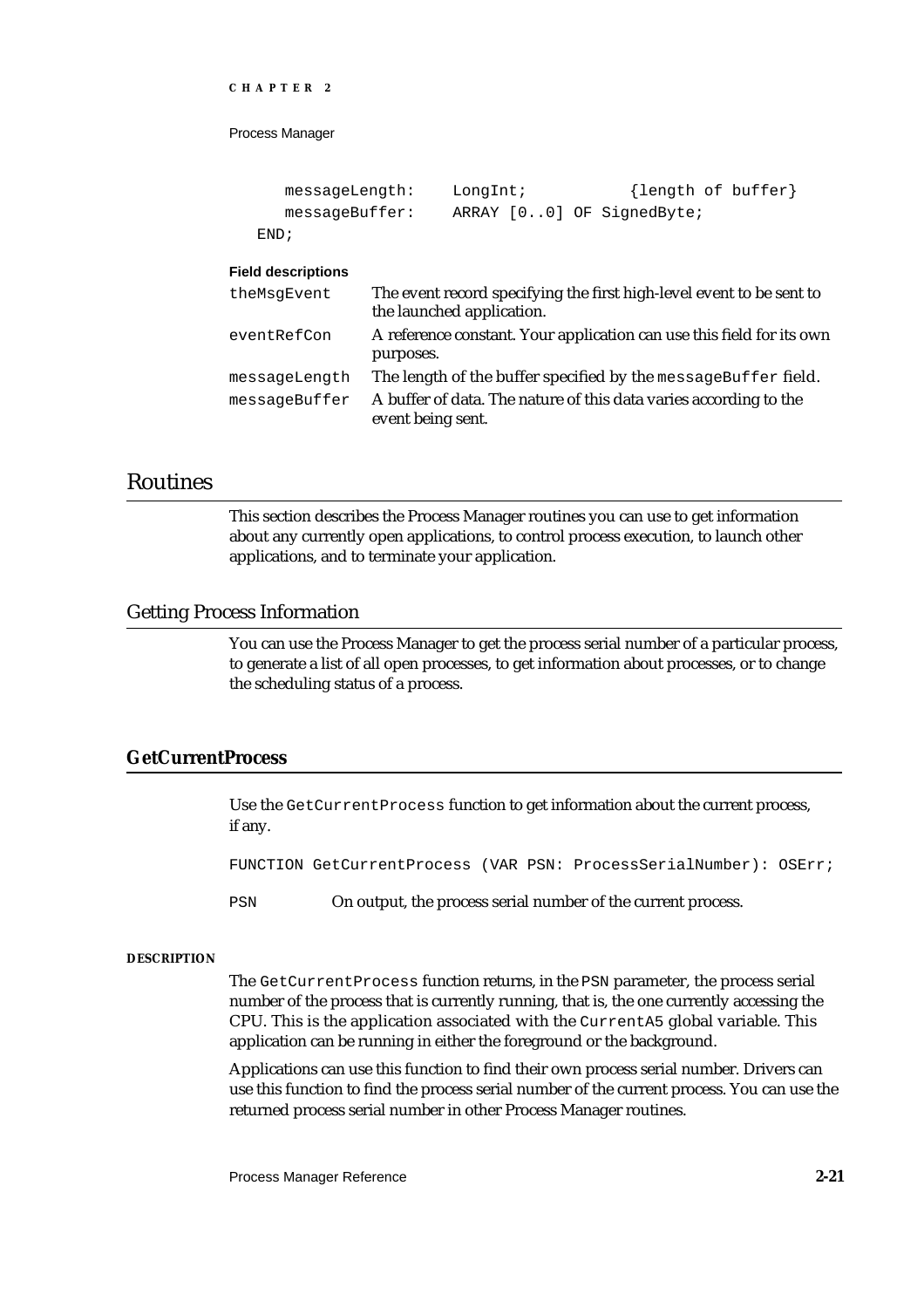```
CHAPTER 2
```

```
messageLength: LongInt; {length of buffer}
  messageBuffer: ARRAY [0..0] OF SignedByte;
END;
```
#### **Field descriptions**

| theMsgEvent   | The event record specifying the first high-level event to be sent to<br>the launched application. |
|---------------|---------------------------------------------------------------------------------------------------|
| eventRefCon   | A reference constant. Your application can use this field for its own<br>purposes.                |
| messageLength | The length of the buffer specified by the message Buffer field.                                   |
| messageBuffer | A buffer of data. The nature of this data varies according to the<br>event being sent.            |

# Routines

This section describes the Process Manager routines you can use to get information about any currently open applications, to control process execution, to launch other applications, and to terminate your application.

# Getting Process Information

You can use the Process Manager to get the process serial number of a particular process, to generate a list of all open processes, to get information about processes, or to change the scheduling status of a process.

# **GetCurrentProcess**

Use the GetCurrentProcess function to get information about the current process, if any.

FUNCTION GetCurrentProcess (VAR PSN: ProcessSerialNumber): OSErr;

PSN On output, the process serial number of the current process.

#### **DESCRIPTION**

The GetCurrentProcess function returns, in the PSN parameter, the process serial number of the process that is currently running, that is, the one currently accessing the CPU. This is the application associated with the CurrentA5 global variable. This application can be running in either the foreground or the background.

Applications can use this function to find their own process serial number. Drivers can use this function to find the process serial number of the current process. You can use the returned process serial number in other Process Manager routines.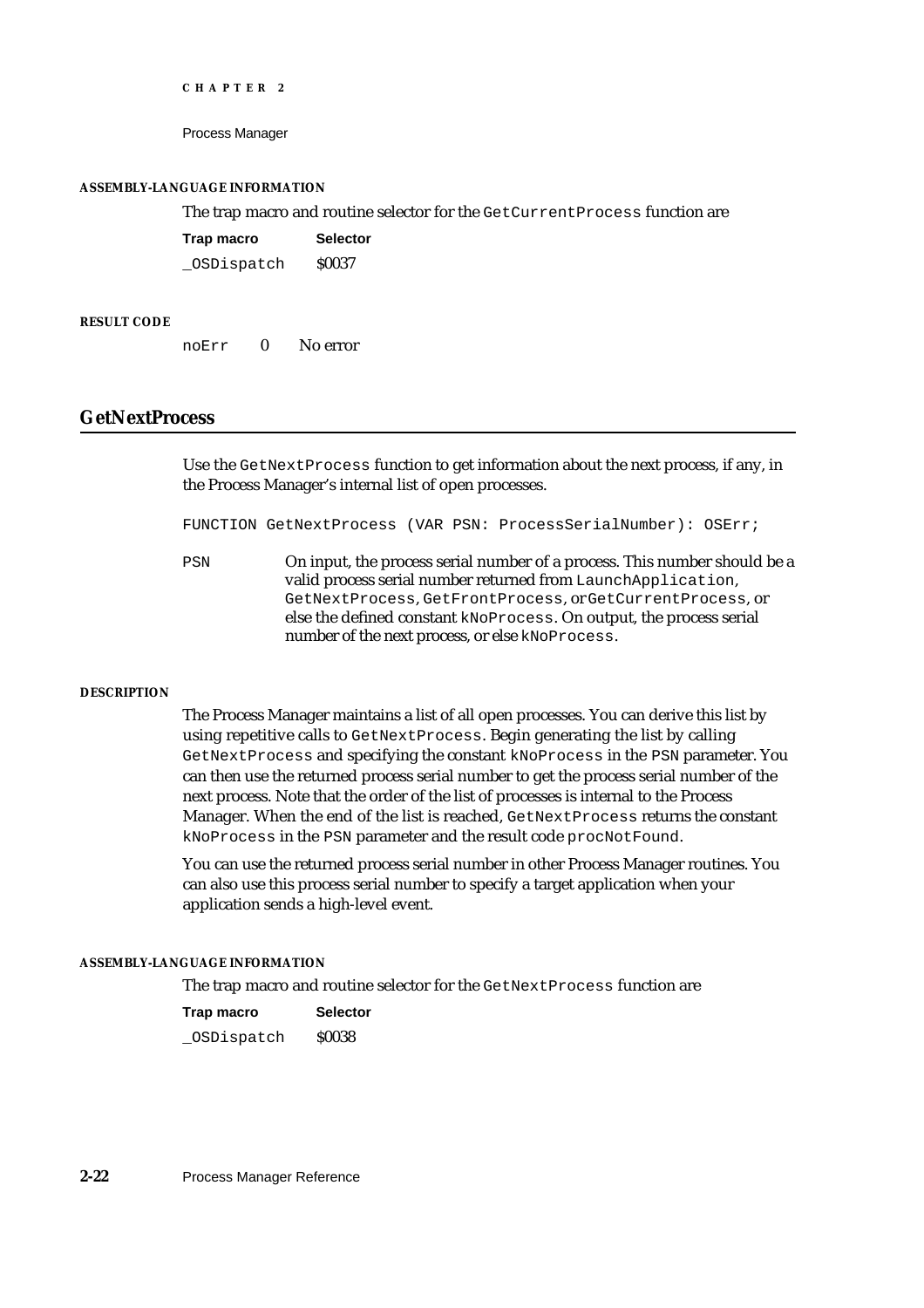Process Manager

#### **ASSEMBLY-LANGUAGE INFORMATION**

#### The trap macro and routine selector for the GetCurrentProcess function are

| Trap macro | <b>Selector</b> |
|------------|-----------------|
| OSDispatch | <b>S0037</b>    |

#### **RESULT CODE**

noErr 0 No error

# **GetNextProcess**

Use the GetNextProcess function to get information about the next process, if any, in the Process Manager's internal list of open processes.

FUNCTION GetNextProcess (VAR PSN: ProcessSerialNumber): OSErr;

PSN On input, the process serial number of a process. This number should be a valid process serial number returned from LaunchApplication, GetNextProcess, GetFrontProcess, or GetCurrentProcess, or else the defined constant kNoProcess. On output, the process serial number of the next process, or else kNoProcess.

#### **DESCRIPTION**

The Process Manager maintains a list of all open processes. You can derive this list by using repetitive calls to GetNextProcess. Begin generating the list by calling GetNextProcess and specifying the constant kNoProcess in the PSN parameter. You can then use the returned process serial number to get the process serial number of the next process. Note that the order of the list of processes is internal to the Process Manager. When the end of the list is reached, GetNextProcess returns the constant kNoProcess in the PSN parameter and the result code procNotFound.

You can use the returned process serial number in other Process Manager routines. You can also use this process serial number to specify a target application when your application sends a high-level event.

#### **ASSEMBLY-LANGUAGE INFORMATION**

The trap macro and routine selector for the GetNextProcess function are

| Trap macro | <b>Selector</b> |
|------------|-----------------|
| OSDispatch | <b>S0038</b>    |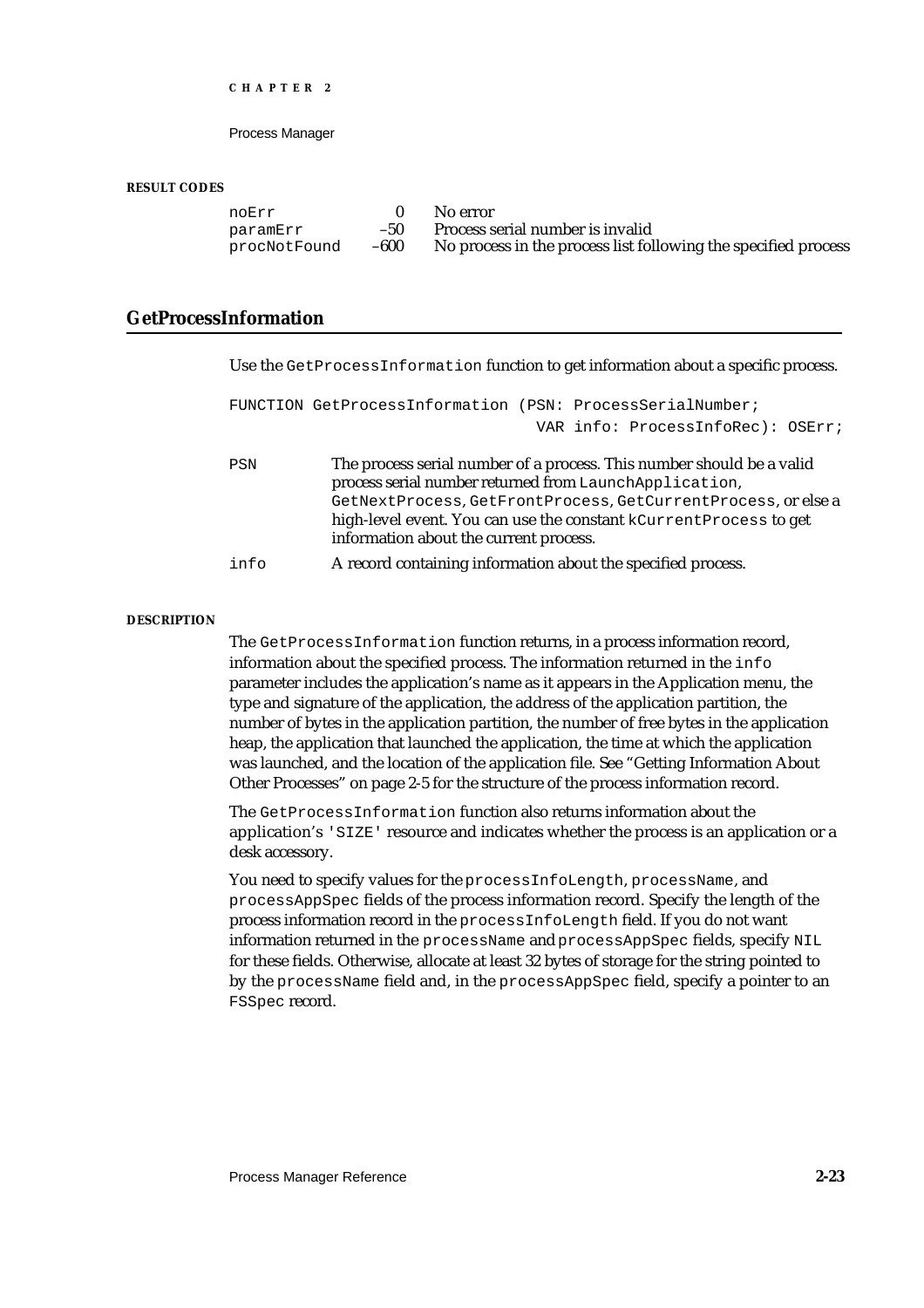Process Manager

#### **RESULT CODES**

noErr 0 No error<br>paramErr -50 Process s paramErr –50 Process serial number is invalid<br>procNotFound –600 No process in the process list fol

procNotFound –600 No process in the process list following the specified process

# **GetProcessInformation**

| Use the GetProcessInformation function to get information about a specific process.                                                                                           |  |  |
|-------------------------------------------------------------------------------------------------------------------------------------------------------------------------------|--|--|
| FUNCTION GetProcessInformation (PSN: ProcessSerialNumber;<br>VAR info: ProcessInfoRec): OSErr;                                                                                |  |  |
|                                                                                                                                                                               |  |  |
| The process serial number of a process. This number should be a valid<br>process serial number returned from LaunchApplication,                                               |  |  |
| GetNextProcess, GetFrontProcess, GetCurrentProcess, or else a<br>high-level event. You can use the constant kCurrent Process to get<br>information about the current process. |  |  |
| A record containing information about the specified process.                                                                                                                  |  |  |
|                                                                                                                                                                               |  |  |

#### **DESCRIPTION**

The GetProcessInformation function returns, in a process information record, information about the specified process. The information returned in the info parameter includes the application's name as it appears in the Application menu, the type and signature of the application, the address of the application partition, the number of bytes in the application partition, the number of free bytes in the application heap, the application that launched the application, the time at which the application was launched, and the location of the application file. See "Getting Information About Other Processes" on page 2-5 for the structure of the process information record.

The GetProcessInformation function also returns information about the application's 'SIZE' resource and indicates whether the process is an application or a desk accessory.

You need to specify values for the processInfoLength, processName, and processAppSpec fields of the process information record. Specify the length of the process information record in the processInfoLength field. If you do not want information returned in the processName and processAppSpec fields, specify NIL for these fields. Otherwise, allocate at least 32 bytes of storage for the string pointed to by the processName field and, in the processAppSpec field, specify a pointer to an FSSpec record.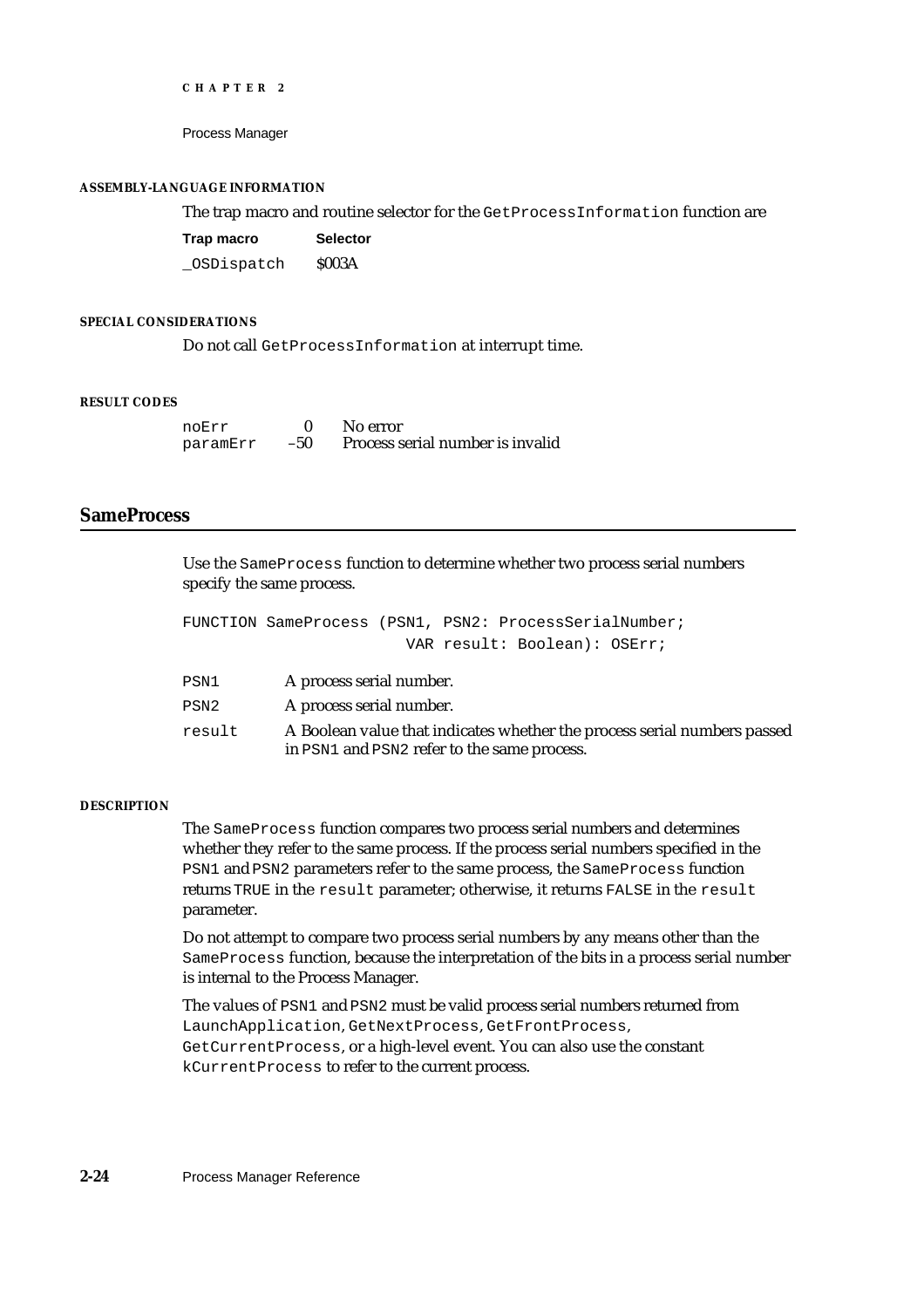Process Manager

#### **ASSEMBLY-LANGUAGE INFORMATION**

The trap macro and routine selector for the GetProcessInformation function are

| Trap macro | <b>Selector</b> |
|------------|-----------------|
| OSDispatch | <b>\$003A</b>   |

#### **SPECIAL CONSIDERATIONS**

Do not call GetProcessInformation at interrupt time.

#### **RESULT CODES**

| noErr    |     | No error                         |
|----------|-----|----------------------------------|
| paramErr | -50 | Process serial number is invalid |

#### **SameProcess**

Use the SameProcess function to determine whether two process serial numbers specify the same process.

|                  | FUNCTION SameProcess (PSN1, PSN2: ProcessSerialNumber;                                                                  |
|------------------|-------------------------------------------------------------------------------------------------------------------------|
|                  | VAR result: Boolean): OSErr;                                                                                            |
| PSN1             | A process serial number.                                                                                                |
| PSN <sub>2</sub> | A process serial number.                                                                                                |
| result           | A Boolean value that indicates whether the process serial numbers passed<br>in PSN1 and PSN2 refer to the same process. |

#### **DESCRIPTION**

The SameProcess function compares two process serial numbers and determines whether they refer to the same process. If the process serial numbers specified in the PSN1 and PSN2 parameters refer to the same process, the SameProcess function returns TRUE in the result parameter; otherwise, it returns FALSE in the result parameter.

Do not attempt to compare two process serial numbers by any means other than the SameProcess function, because the interpretation of the bits in a process serial number is internal to the Process Manager.

The values of PSN1 and PSN2 must be valid process serial numbers returned from LaunchApplication, GetNextProcess, GetFrontProcess, GetCurrentProcess, or a high-level event. You can also use the constant kCurrentProcess to refer to the current process.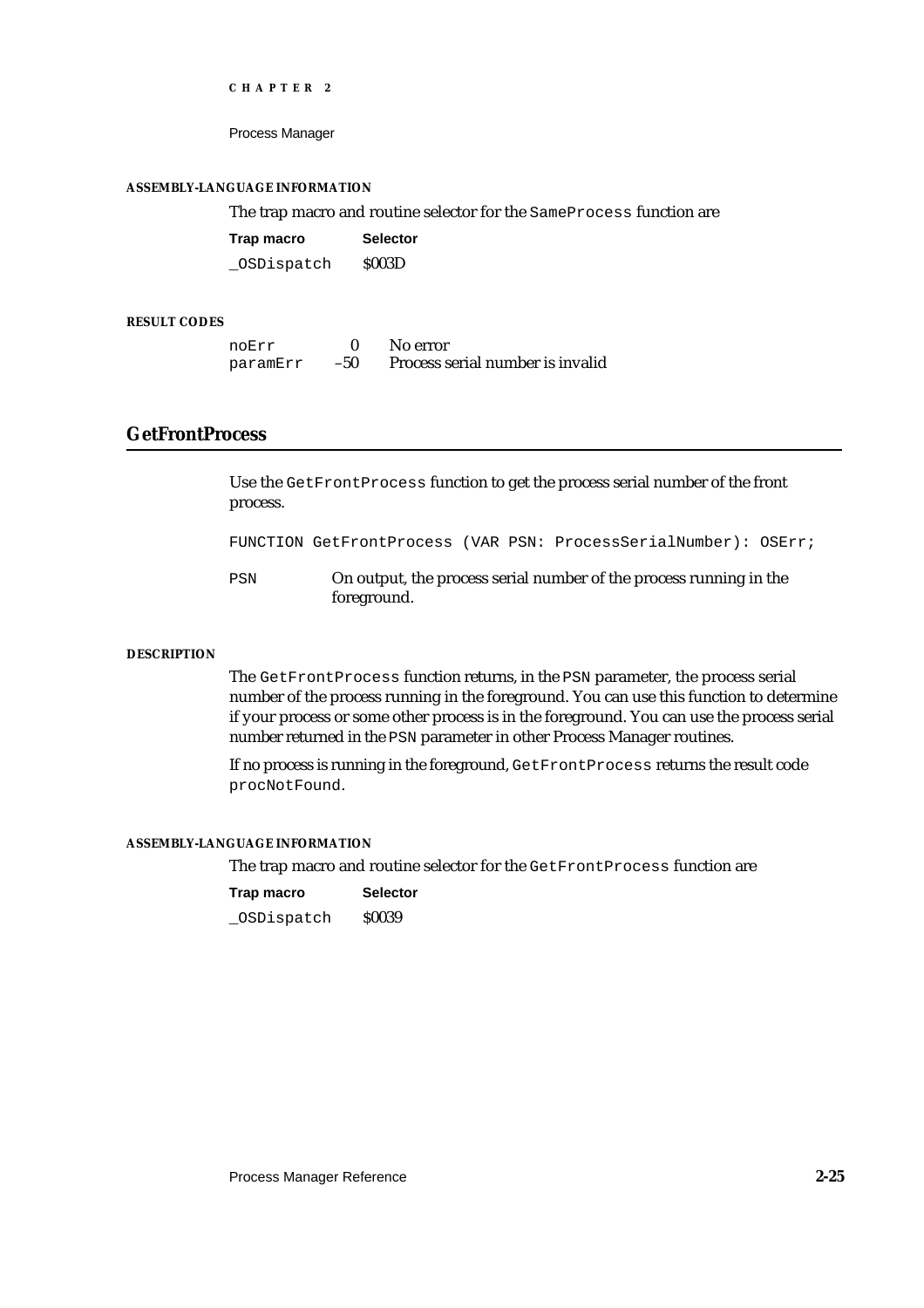Process Manager

#### **ASSEMBLY-LANGUAGE INFORMATION**

The trap macro and routine selector for the SameProcess function are

| Trap macro | <b>Selector</b> |
|------------|-----------------|
| OSDispatch | <b>S003D</b>    |

#### **RESULT CODES**

| noErr    |     | No error                         |
|----------|-----|----------------------------------|
| paramErr | -50 | Process serial number is invalid |

# **GetFrontProcess**

Use the GetFrontProcess function to get the process serial number of the front process.

FUNCTION GetFrontProcess (VAR PSN: ProcessSerialNumber): OSErr;

PSN On output, the process serial number of the process running in the foreground.

#### **DESCRIPTION**

The GetFrontProcess function returns, in the PSN parameter, the process serial number of the process running in the foreground. You can use this function to determine if your process or some other process is in the foreground. You can use the process serial number returned in the PSN parameter in other Process Manager routines.

If no process is running in the foreground, GetFrontProcess returns the result code procNotFound.

#### **ASSEMBLY-LANGUAGE INFORMATION**

The trap macro and routine selector for the GetFrontProcess function are

| Trap macro | <b>Selector</b> |
|------------|-----------------|
| OSDispatch | <b>S0039</b>    |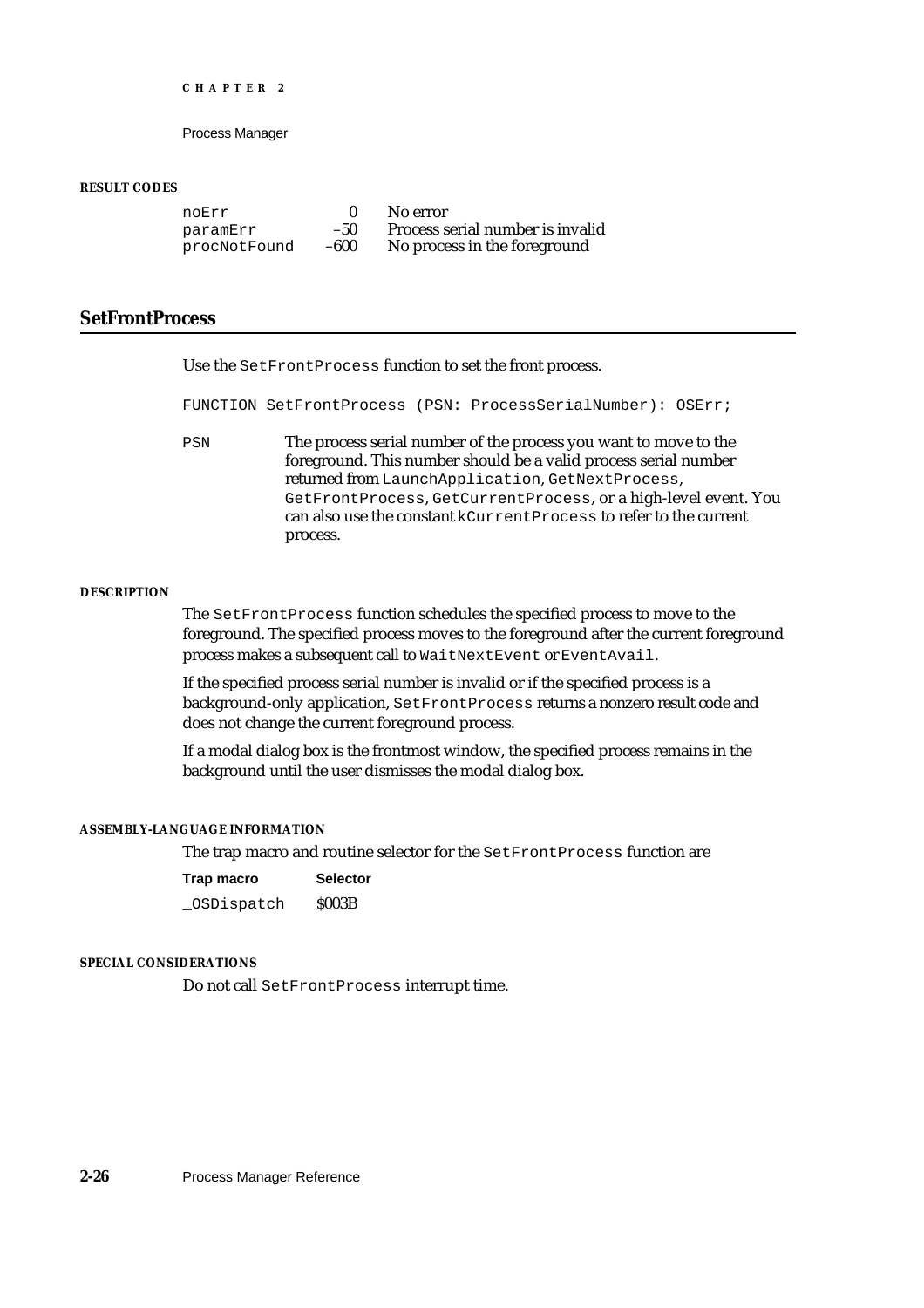Process Manager

#### **RESULT CODES**

noErr 0 No error<br>paramErr -50 Process s paramErr –50 Process serial number is invalid<br>procNotFound –600 No process in the foreground No process in the foreground

# **SetFrontProcess**

Use the SetFrontProcess function to set the front process.

FUNCTION SetFrontProcess (PSN: ProcessSerialNumber): OSErr;

PSN The process serial number of the process you want to move to the foreground. This number should be a valid process serial number returned from LaunchApplication, GetNextProcess, GetFrontProcess, GetCurrentProcess, or a high-level event. You can also use the constant kCurrentProcess to refer to the current process.

#### **DESCRIPTION**

The SetFrontProcess function schedules the specified process to move to the foreground. The specified process moves to the foreground after the current foreground process makes a subsequent call to WaitNextEvent or EventAvail.

If the specified process serial number is invalid or if the specified process is a background-only application, SetFrontProcess returns a nonzero result code and does not change the current foreground process.

If a modal dialog box is the frontmost window, the specified process remains in the background until the user dismisses the modal dialog box.

#### **ASSEMBLY-LANGUAGE INFORMATION**

The trap macro and routine selector for the SetFrontProcess function are

| Trap macro | <b>Selector</b> |
|------------|-----------------|
| OSDispatch | S003B           |

#### **SPECIAL CONSIDERATIONS**

Do not call SetFrontProcess interrupt time.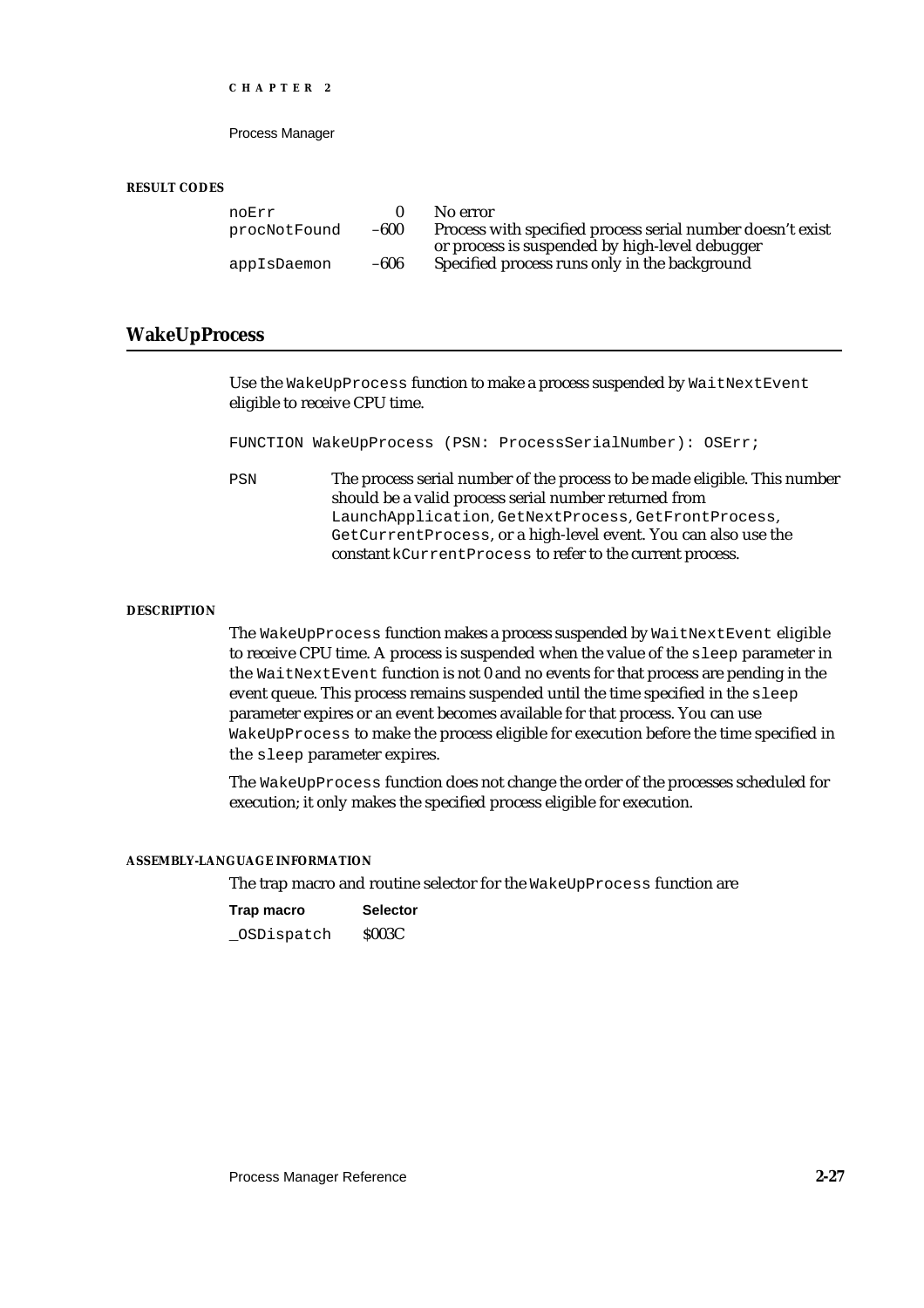Process Manager

#### **RESULT CODES**

| noErr        |        | No error                                                                                                     |
|--------------|--------|--------------------------------------------------------------------------------------------------------------|
| procNotFound | $-600$ | Process with specified process serial number doesn't exist<br>or process is suspended by high-level debugger |
| appIsDaemon  | -606   | Specified process runs only in the background                                                                |

# **WakeUpProcess**

Use the WakeUpProcess function to make a process suspended by WaitNextEvent eligible to receive CPU time.

FUNCTION WakeUpProcess (PSN: ProcessSerialNumber): OSErr;

PSN The process serial number of the process to be made eligible. This number should be a valid process serial number returned from LaunchApplication, GetNextProcess, GetFrontProcess, GetCurrentProcess, or a high-level event. You can also use the constant kCurrentProcess to refer to the current process.

#### **DESCRIPTION**

The WakeUpProcess function makes a process suspended by WaitNextEvent eligible to receive CPU time. A process is suspended when the value of the sleep parameter in the WaitNextEvent function is not 0 and no events for that process are pending in the event queue. This process remains suspended until the time specified in the sleep parameter expires or an event becomes available for that process. You can use WakeUpProcess to make the process eligible for execution before the time specified in the sleep parameter expires.

The WakeUpProcess function does not change the order of the processes scheduled for execution; it only makes the specified process eligible for execution.

#### **ASSEMBLY-LANGUAGE INFORMATION**

The trap macro and routine selector for the WakeUpProcess function are

| Trap macro | <b>Selector</b> |  |
|------------|-----------------|--|
| OSDispatch | <b>S003C</b>    |  |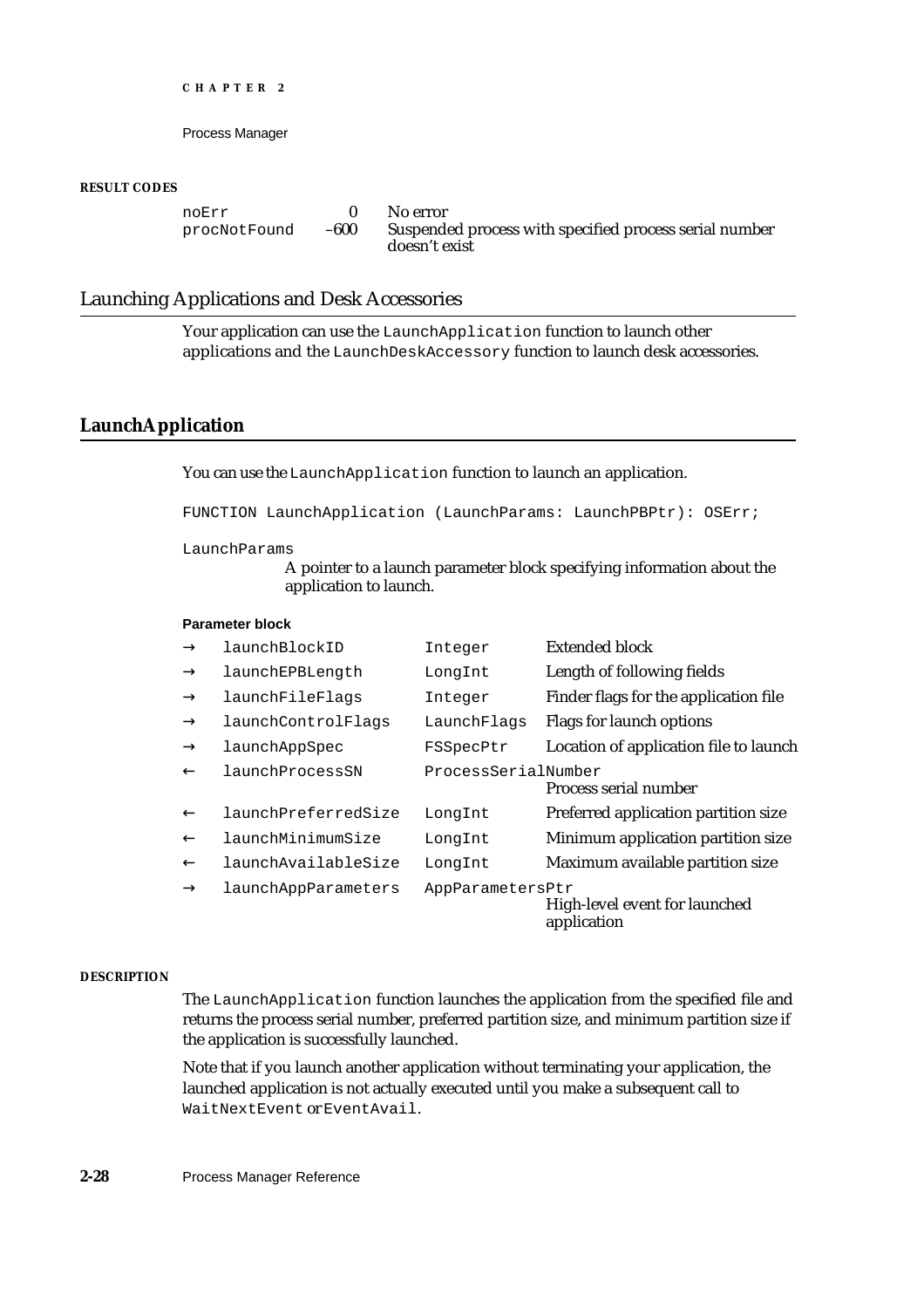Process Manager

#### **RESULT CODES**

noErr 0 No error<br>procNotFound -600 Suspende

Suspended process with specified process serial number doesn't exist

# Launching Applications and Desk Accessories

Your application can use the LaunchApplication function to launch other applications and the LaunchDeskAccessory function to launch desk accessories.

# **LaunchApplication**

You can use the LaunchApplication function to launch an application.

FUNCTION LaunchApplication (LaunchParams: LaunchPBPtr): OSErr;

#### LaunchParams

A pointer to a launch parameter block specifying information about the application to launch.

#### **Parameter block**

| launchBlockID       | Integer             | Extended block                               |
|---------------------|---------------------|----------------------------------------------|
| launchEPBLength     | LongInt             | Length of following fields                   |
| launchFileFlags     | Integer             | Finder flags for the application file        |
| launchControlFlags  | LaunchFlags         | Flags for launch options                     |
| launchAppSpec       | FSSpecPtr           | Location of application file to launch       |
| launchProcessSN     | ProcessSerialNumber | Process serial number                        |
| launchPreferredSize | LongInt             | Preferred application partition size         |
| launchMinimumSize   | LongInt             | Minimum application partition size           |
| launchAvailableSize | LongInt             | Maximum available partition size             |
| launchAppParameters | AppParametersPtr    | High-level event for launched<br>application |

#### **DESCRIPTION**

The LaunchApplication function launches the application from the specified file and returns the process serial number, preferred partition size, and minimum partition size if the application is successfully launched.

Note that if you launch another application without terminating your application, the launched application is not actually executed until you make a subsequent call to WaitNextEvent or EventAvail.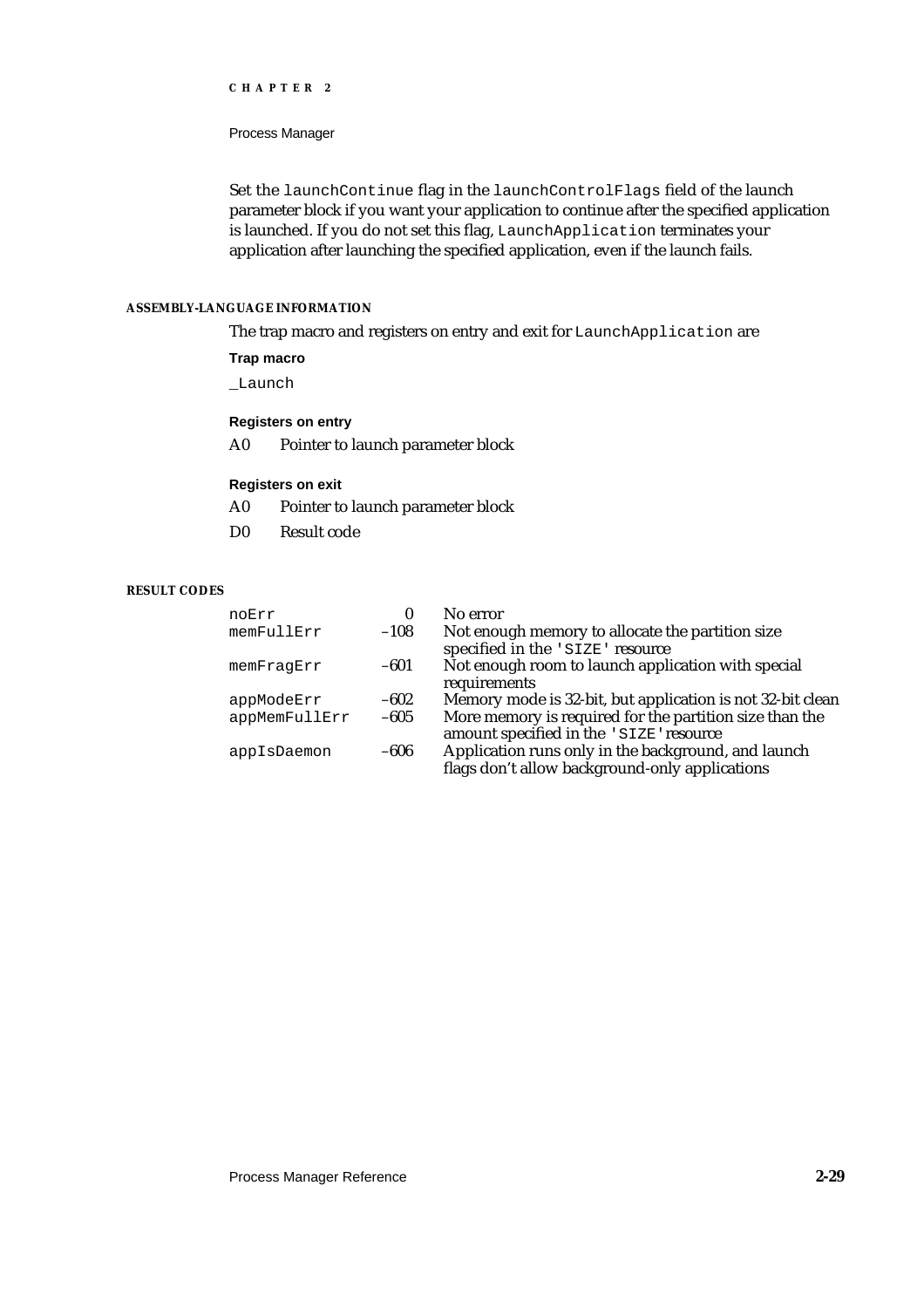#### Process Manager

Set the launchContinue flag in the launchControlFlags field of the launch parameter block if you want your application to continue after the specified application is launched. If you do not set this flag, LaunchApplication terminates your application after launching the specified application, even if the launch fails.

#### **ASSEMBLY-LANGUAGE INFORMATION**

The trap macro and registers on entry and exit for LaunchApplication are

#### **Trap macro**

\_Launch

#### **Registers on entry**

A0 Pointer to launch parameter block

#### **Registers on exit**

- A0 Pointer to launch parameter block
- D0 Result code

# **RESULT CODES**

| noErr         | 0      | No error                                                                                              |
|---------------|--------|-------------------------------------------------------------------------------------------------------|
| memFullErr    | $-108$ | Not enough memory to allocate the partition size<br>specified in the 'SIZE' resource                  |
| memFraqErr    | $-601$ | Not enough room to launch application with special<br>requirements                                    |
| appModeErr    | $-602$ | Memory mode is 32-bit, but application is not 32-bit clean                                            |
| appMemFullErr | $-605$ | More memory is required for the partition size than the<br>amount specified in the 'SIZE' resource    |
| appIsDaemon   | -606   | Application runs only in the background, and launch<br>flags don't allow background-only applications |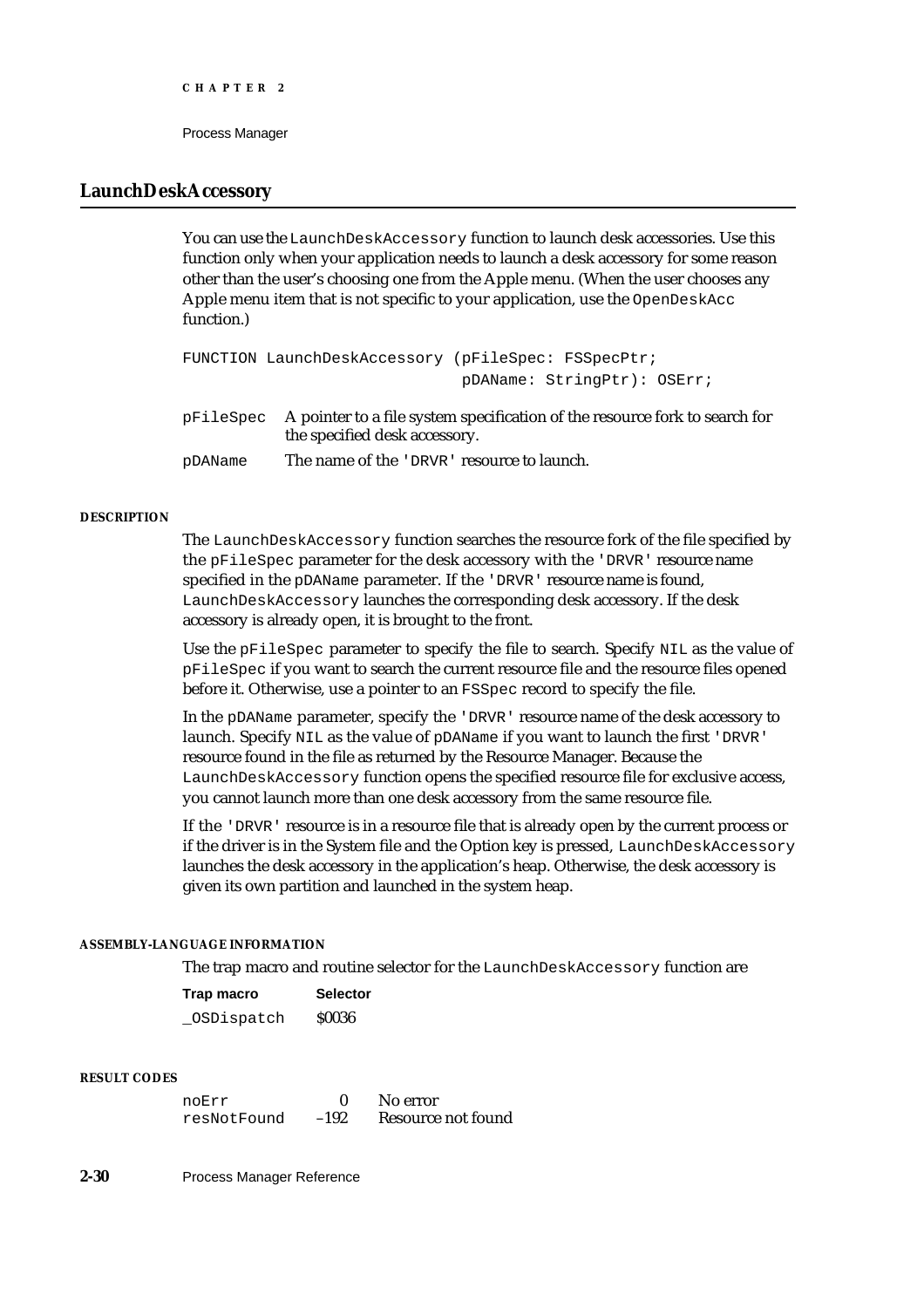# **LaunchDeskAccessory**

You can use the LaunchDeskAccessory function to launch desk accessories. Use this function only when your application needs to launch a desk accessory for some reason other than the user's choosing one from the Apple menu. (When the user chooses any Apple menu item that is not specific to your application, use the OpenDeskAcc function.)

```
FUNCTION LaunchDeskAccessory (pFileSpec: FSSpecPtr;
                              pDAName: StringPtr): OSErr;
```
pFileSpec A pointer to a file system specification of the resource fork to search for the specified desk accessory.

pDAName The name of the 'DRVR' resource to launch.

#### **DESCRIPTION**

The LaunchDeskAccessory function searches the resource fork of the file specified by the pFileSpec parameter for the desk accessory with the 'DRVR' resource name specified in the pDAName parameter. If the 'DRVR' resource name is found, LaunchDeskAccessory launches the corresponding desk accessory. If the desk accessory is already open, it is brought to the front.

Use the pFileSpec parameter to specify the file to search. Specify NIL as the value of pFileSpec if you want to search the current resource file and the resource files opened before it. Otherwise, use a pointer to an FSSpec record to specify the file.

In the pDAName parameter, specify the 'DRVR' resource name of the desk accessory to launch. Specify NIL as the value of pDAName if you want to launch the first 'DRVR' resource found in the file as returned by the Resource Manager. Because the LaunchDeskAccessory function opens the specified resource file for exclusive access, you cannot launch more than one desk accessory from the same resource file.

If the 'DRVR' resource is in a resource file that is already open by the current process or if the driver is in the System file and the Option key is pressed, LaunchDeskAccessory launches the desk accessory in the application's heap. Otherwise, the desk accessory is given its own partition and launched in the system heap.

#### **ASSEMBLY-LANGUAGE INFORMATION**

The trap macro and routine selector for the LaunchDeskAccessory function are

| Trap macro | <b>Selector</b> |  |
|------------|-----------------|--|
| OSDispatch | <b>S0036</b>    |  |

#### **RESULT CODES**

| noErr       |        | No error           |
|-------------|--------|--------------------|
| resNotFound | $-192$ | Resource not found |

**2-30** Process Manager Reference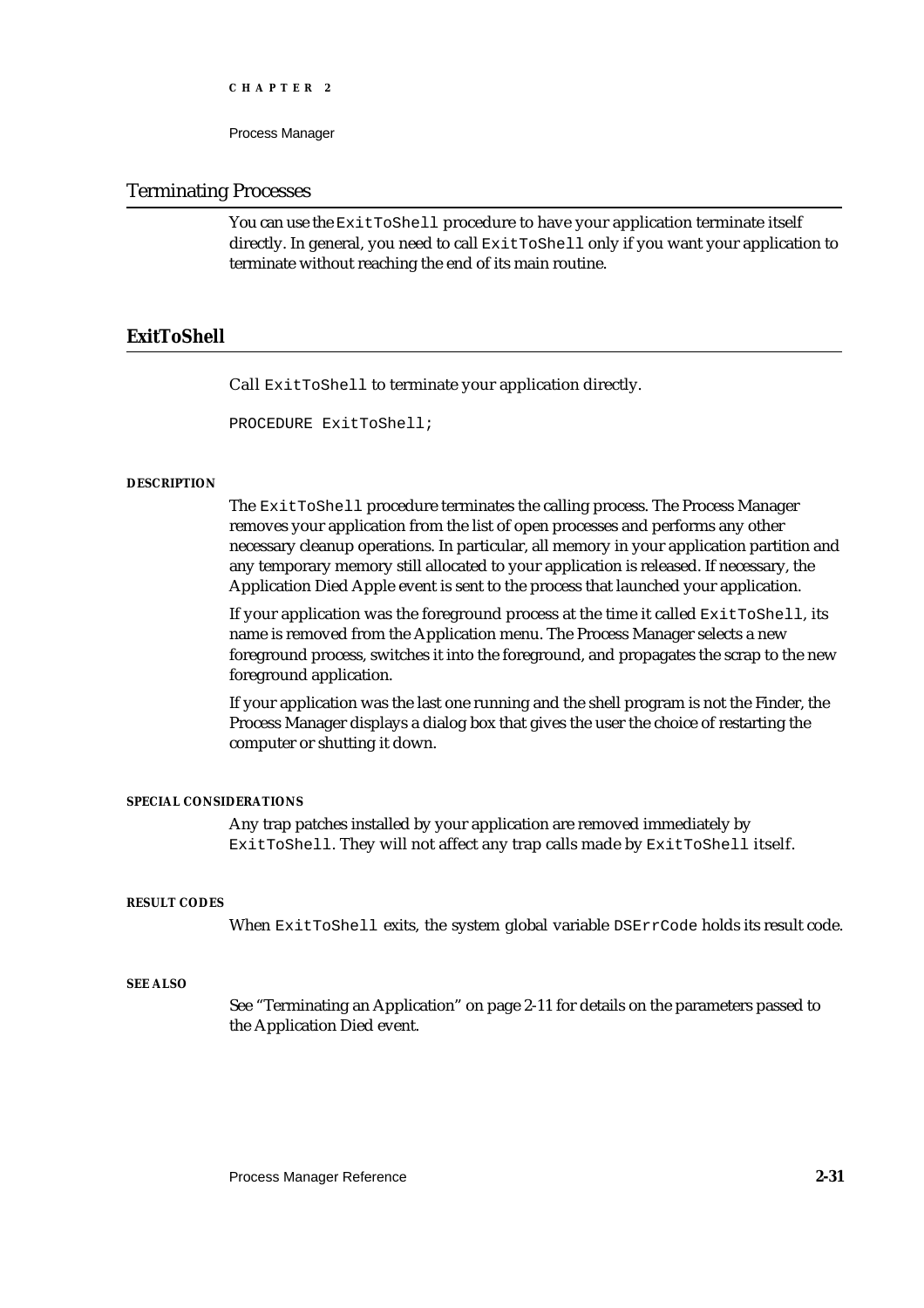```
CHAPTER 2
```
### Terminating Processes

You can use the ExitToShell procedure to have your application terminate itself directly. In general, you need to call ExitToShell only if you want your application to terminate without reaching the end of its main routine.

# **ExitToShell**

Call ExitToShell to terminate your application directly.

PROCEDURE ExitToShell;

#### **DESCRIPTION**

The ExitToShell procedure terminates the calling process. The Process Manager removes your application from the list of open processes and performs any other necessary cleanup operations. In particular, all memory in your application partition and any temporary memory still allocated to your application is released. If necessary, the Application Died Apple event is sent to the process that launched your application.

If your application was the foreground process at the time it called  $ExitToshell$ , its name is removed from the Application menu. The Process Manager selects a new foreground process, switches it into the foreground, and propagates the scrap to the new foreground application.

If your application was the last one running and the shell program is not the Finder, the Process Manager displays a dialog box that gives the user the choice of restarting the computer or shutting it down.

#### **SPECIAL CONSIDERATIONS**

Any trap patches installed by your application are removed immediately by ExitToShell. They will not affect any trap calls made by ExitToShell itself.

#### **RESULT CODES**

When ExitToShell exits, the system global variable DSErrCode holds its result code.

#### **SEE ALSO**

See "Terminating an Application" on page 2-11 for details on the parameters passed to the Application Died event.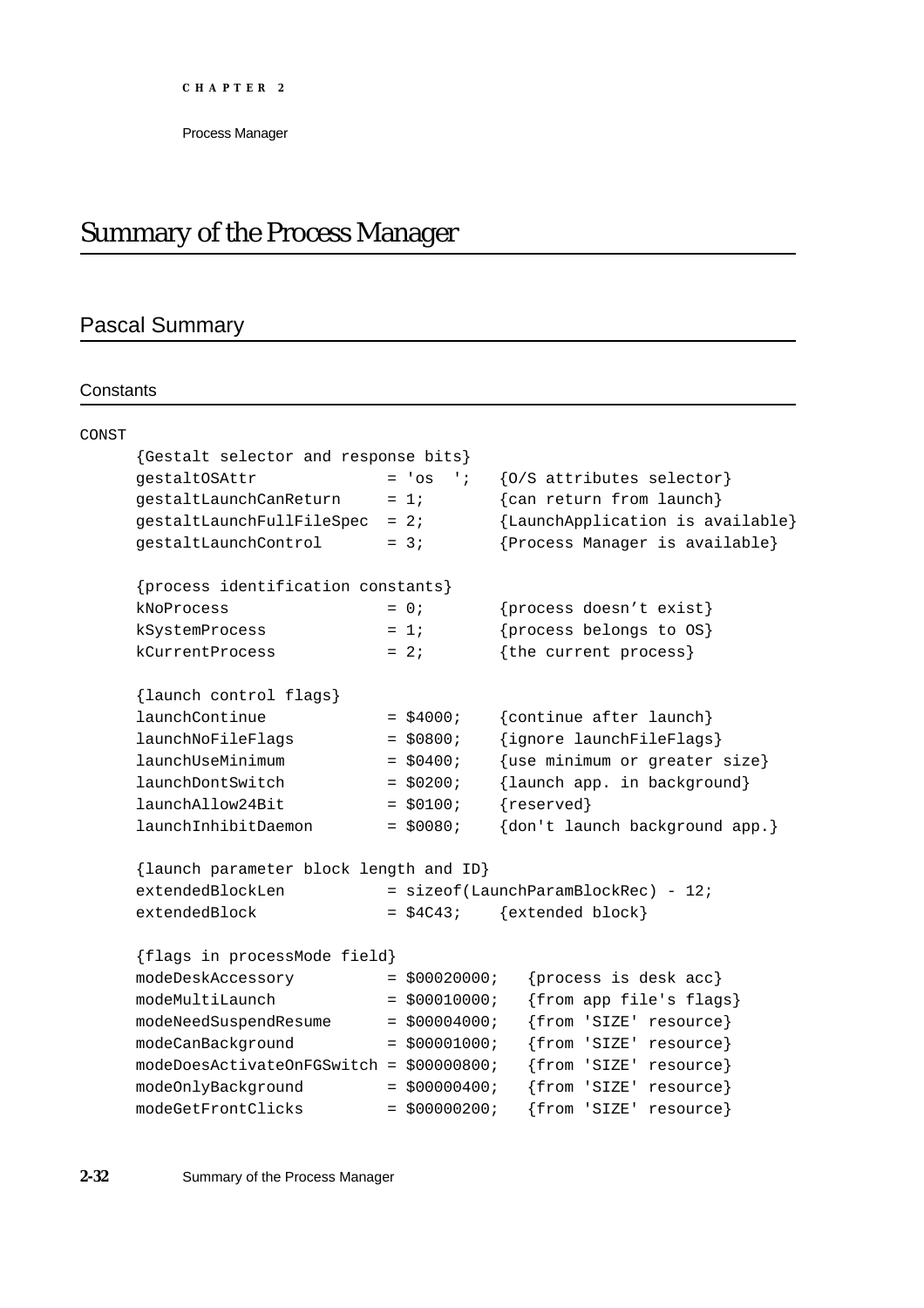# Summary of the Process Manager

# Pascal Summary

# **Constants**

| gestaltOSAttr             | $\cdot$ ;                    | {0/S attributes selector}                                                                                                                                                                                                                                                                                                                                                                                                                                       |
|---------------------------|------------------------------|-----------------------------------------------------------------------------------------------------------------------------------------------------------------------------------------------------------------------------------------------------------------------------------------------------------------------------------------------------------------------------------------------------------------------------------------------------------------|
| gestaltLaunchCanReturn    |                              | {can return from launch}                                                                                                                                                                                                                                                                                                                                                                                                                                        |
| gestaltLaunchFullFileSpec |                              | {LaunchApplication is available}                                                                                                                                                                                                                                                                                                                                                                                                                                |
| gestaltLaunchControl      |                              | {Process Manager is available}                                                                                                                                                                                                                                                                                                                                                                                                                                  |
|                           |                              |                                                                                                                                                                                                                                                                                                                                                                                                                                                                 |
| kNoProcess                |                              | {process doesn't exist}                                                                                                                                                                                                                                                                                                                                                                                                                                         |
| kSystemProcess            |                              | {process belongs to OS}                                                                                                                                                                                                                                                                                                                                                                                                                                         |
| kCurrentProcess           |                              | {the current process}                                                                                                                                                                                                                                                                                                                                                                                                                                           |
| {launch control flags}    |                              |                                                                                                                                                                                                                                                                                                                                                                                                                                                                 |
| launchContinue            |                              | {continue after launch}                                                                                                                                                                                                                                                                                                                                                                                                                                         |
| launchNoFileFlags         |                              | {ignore launchFileFlags}                                                                                                                                                                                                                                                                                                                                                                                                                                        |
| launchUseMinimum          |                              | {use minimum or greater size}                                                                                                                                                                                                                                                                                                                                                                                                                                   |
| launchDontSwitch          |                              | {launch app. in background}                                                                                                                                                                                                                                                                                                                                                                                                                                     |
| launchAllow24Bit          |                              | {reserved}                                                                                                                                                                                                                                                                                                                                                                                                                                                      |
| launchInhibitDaemon       |                              | {don't launch background app.}                                                                                                                                                                                                                                                                                                                                                                                                                                  |
|                           |                              |                                                                                                                                                                                                                                                                                                                                                                                                                                                                 |
| extendedBlockLen          |                              | $=$ sizeof(LaunchParamBlockRec) - 12;                                                                                                                                                                                                                                                                                                                                                                                                                           |
| extendedBlock             |                              | {extended block}                                                                                                                                                                                                                                                                                                                                                                                                                                                |
|                           |                              |                                                                                                                                                                                                                                                                                                                                                                                                                                                                 |
| modeDeskAccessory         |                              | {process is desk acc}                                                                                                                                                                                                                                                                                                                                                                                                                                           |
| modeMultiLaunch           |                              | {from app file's flags}                                                                                                                                                                                                                                                                                                                                                                                                                                         |
| modeNeedSuspendResume     |                              | {from 'SIZE' resource}                                                                                                                                                                                                                                                                                                                                                                                                                                          |
| modeCanBackground         |                              | {from 'SIZE' resource}                                                                                                                                                                                                                                                                                                                                                                                                                                          |
|                           |                              | {from 'SIZE' resource}                                                                                                                                                                                                                                                                                                                                                                                                                                          |
| modeOnlyBackground        |                              | {from 'SIZE' resource}                                                                                                                                                                                                                                                                                                                                                                                                                                          |
| modeGetFrontClicks        |                              | {from 'SIZE' resource}                                                                                                                                                                                                                                                                                                                                                                                                                                          |
|                           | {flags in processMode field} | {Gestalt selector and response bits}<br>$= 'os$<br>$= 1i$<br>$= 2i$<br>$= 3i$<br>{process identification constants}<br>$= 0;$<br>$= 1i$<br>$= 2i$<br>$=$ \$4000;<br>$=$ \$0800;<br>$=$ \$0400;<br>$=$ \$0200;<br>$= $0100;$<br>$=$ \$0080;<br>{launch parameter block length and ID}<br>$=$ \$4C43;<br>$=$ \$00020000;<br>$=$ \$00010000;<br>$=$ \$00004000;<br>$= $00001000;$<br>modeDoesActivateOnFGSwitch = \$00000800;<br>$=$ \$00000400;<br>$= $00000200;$ |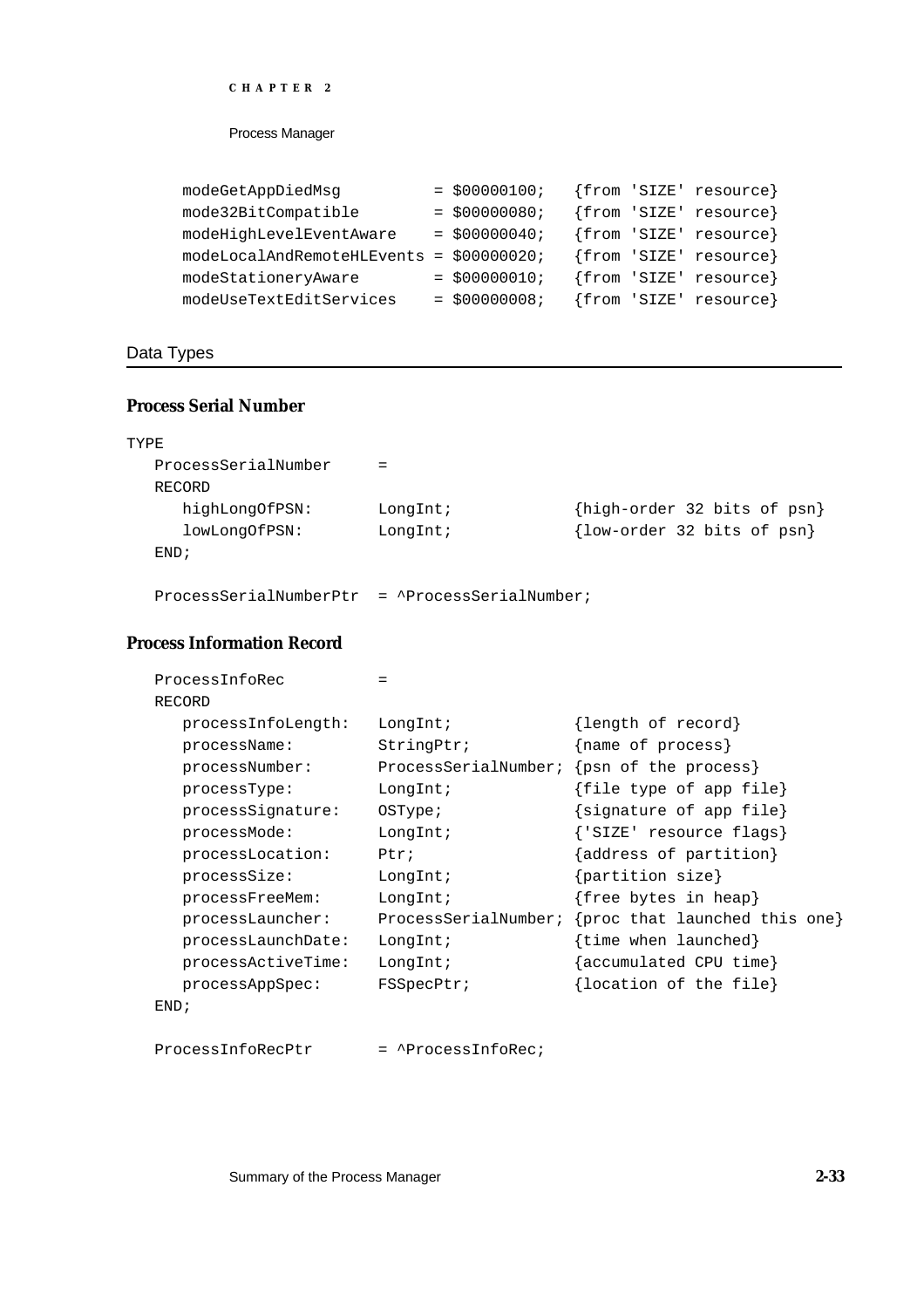### Process Manager

| modeGetAppDiedMsg                        | $=$ \$00000100; |  | {from 'SIZE' resource} |
|------------------------------------------|-----------------|--|------------------------|
| mode32BitCompatible                      | $= $00000080;$  |  | {from 'SIZE' resource} |
| modeHighLevelEventAware                  | $=$ \$00000040; |  | {from 'SIZE' resource} |
| modeLocalAndRemoteHLEvents = \$00000020; |                 |  | {from 'SIZE' resource} |
| modeStationeryAware                      | $= $000000010;$ |  | {from 'SIZE' resource} |
| modeUseTextEditServices                  | $= $000000008;$ |  | {from 'SIZE' resource} |

# Data Types

# **Process Serial Number**

| TYPE                |             |                             |
|---------------------|-------------|-----------------------------|
| ProcessSerialNumber | $=$         |                             |
| RECORD              |             |                             |
| highLongOfPSN:      | $LongInt$ ; | {high-order 32 bits of psn} |
| lowLongOfPSN:       | LongInt;    | {low-order 32 bits of psn}  |
| END:                |             |                             |
|                     |             |                             |

ProcessSerialNumberPtr = ^ProcessSerialNumber;

# **Process Information Record**

| ProcessInfoRec     |                      |                               |
|--------------------|----------------------|-------------------------------|
| RECORD             |                      |                               |
| processInfoLength: | LongInt;             | {length of record}            |
| processName:       | StringPtr;           | {name of process}             |
| processNumber:     | ProcessSerialNumber; | {psn of the process}          |
| processType:       | LongInt;             | {file type of app file}       |
| processSignature:  | OSType:              | {signature of app file}       |
| processMode:       | LongInt;             | {'SIZE' resource flags}       |
| processLocation:   | Ptx:                 | {address of partition}        |
| processSize:       | LongInt;             | $\{partition size\}$          |
| processFreeMem:    | LongInt;             | {free bytes in heap}          |
| processLauncher:   | ProcessSerialNumber; | {proc that launched this one} |
| processLaunchDate: | LongInt;             | {time when launched}          |
| processActiveTime: | LongInt;             | {accumulated CPU time}        |
| processAppSpec:    | FSSpecPtr;           | {location of the file}        |
| END:               |                      |                               |

ProcessInfoRecPtr = ^ProcessInfoRec;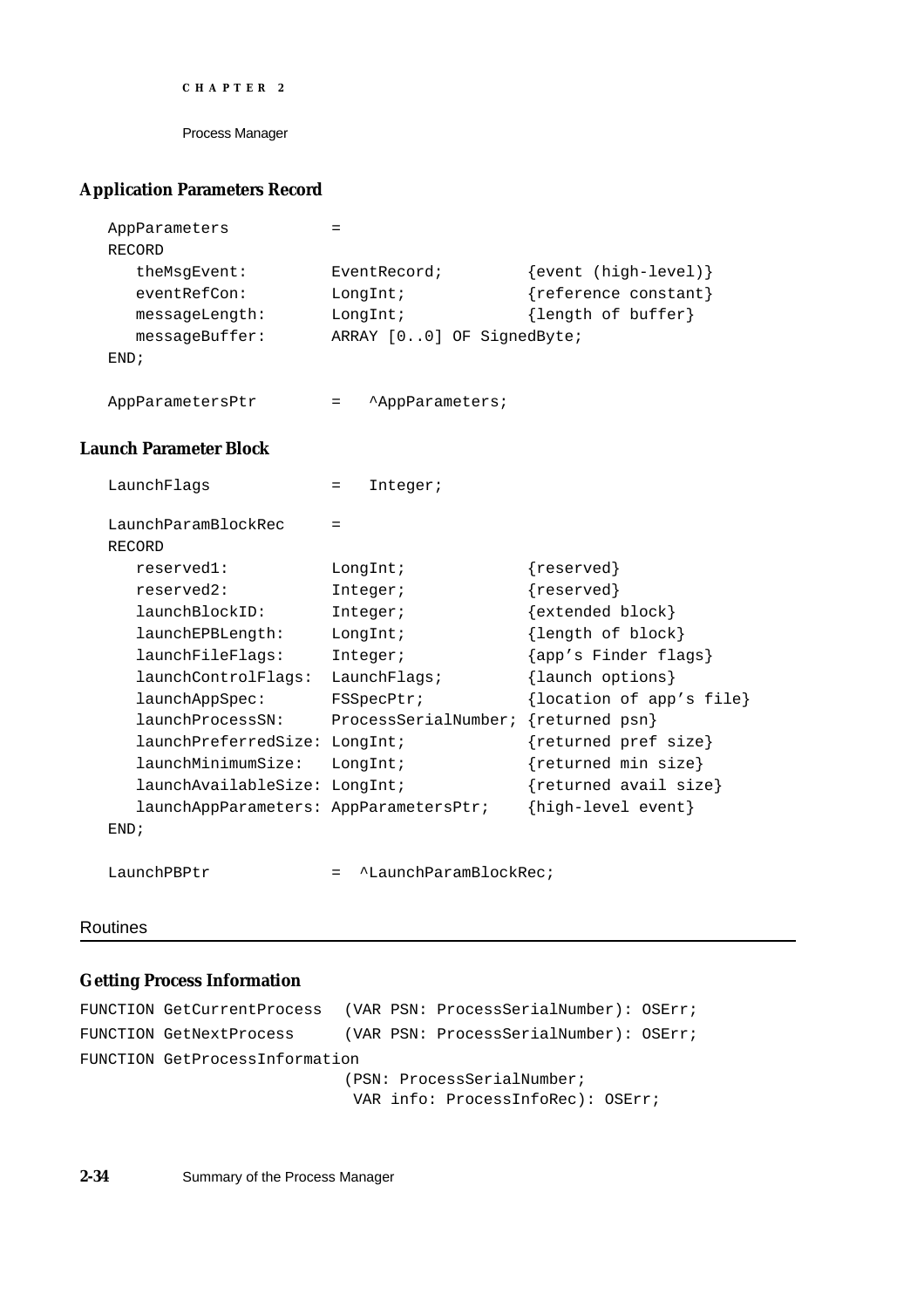```
CHAPTER 2
```
# **Application Parameters Record**

```
AppParameters =
RECORD
  theMsgEvent: EventRecord; {[event (high-level)]}eventRefCon: LongInt; {reference constant}
  messageLength: LongInt; {length of buffer}
  messageBuffer: ARRAY [0..0] OF SignedByte;
END;
AppParametersPtr = ^AppParameters;
```
# **Launch Parameter Block**

| LaunchFlags                            | Integer;<br>$=$      |                          |
|----------------------------------------|----------------------|--------------------------|
| LaunchParamBlockRec                    | $=$                  |                          |
| RECORD                                 |                      |                          |
| reserved1:                             | LongInt;             | ${reserved}$             |
| reserved2:                             | Integer;             | ${reserved}$             |
| launchBlockID:                         | Integer;             | $\{extended block\}$     |
| launchEPBLength:                       | LongInt;             | {length of block}        |
| launchFileFlags:                       | Integer;             | {app's Finder flags}     |
| launchControlFlags:                    | LaunchFlaqs          | {launch options}         |
| launchAppSpec:                         | FSSpecPtr;           | {location of app's file} |
| launchProcessSN:                       | ProcessSerialNumber; | {returned psn}           |
| launchPreferredSize:                   | LongInt;             | {returned pref size}     |
| launchMinimumSize:                     | LongInt;             | ${returned min size}$    |
| launchAvailableSize:                   | LongInt;             | {returned avail size}    |
| launchAppParameters: AppParametersPtr; |                      | {high-level event}       |
| END:                                   |                      |                          |
|                                        |                      |                          |

# LaunchPBPtr = ^LaunchParamBlockRec;

# Routines

# **Getting Process Information**

```
FUNCTION GetCurrentProcess (VAR PSN: ProcessSerialNumber): OSErr;
FUNCTION GetNextProcess (VAR PSN: ProcessSerialNumber): OSErr;
FUNCTION GetProcessInformation
                           (PSN: ProcessSerialNumber;
                            VAR info: ProcessInfoRec): OSErr;
```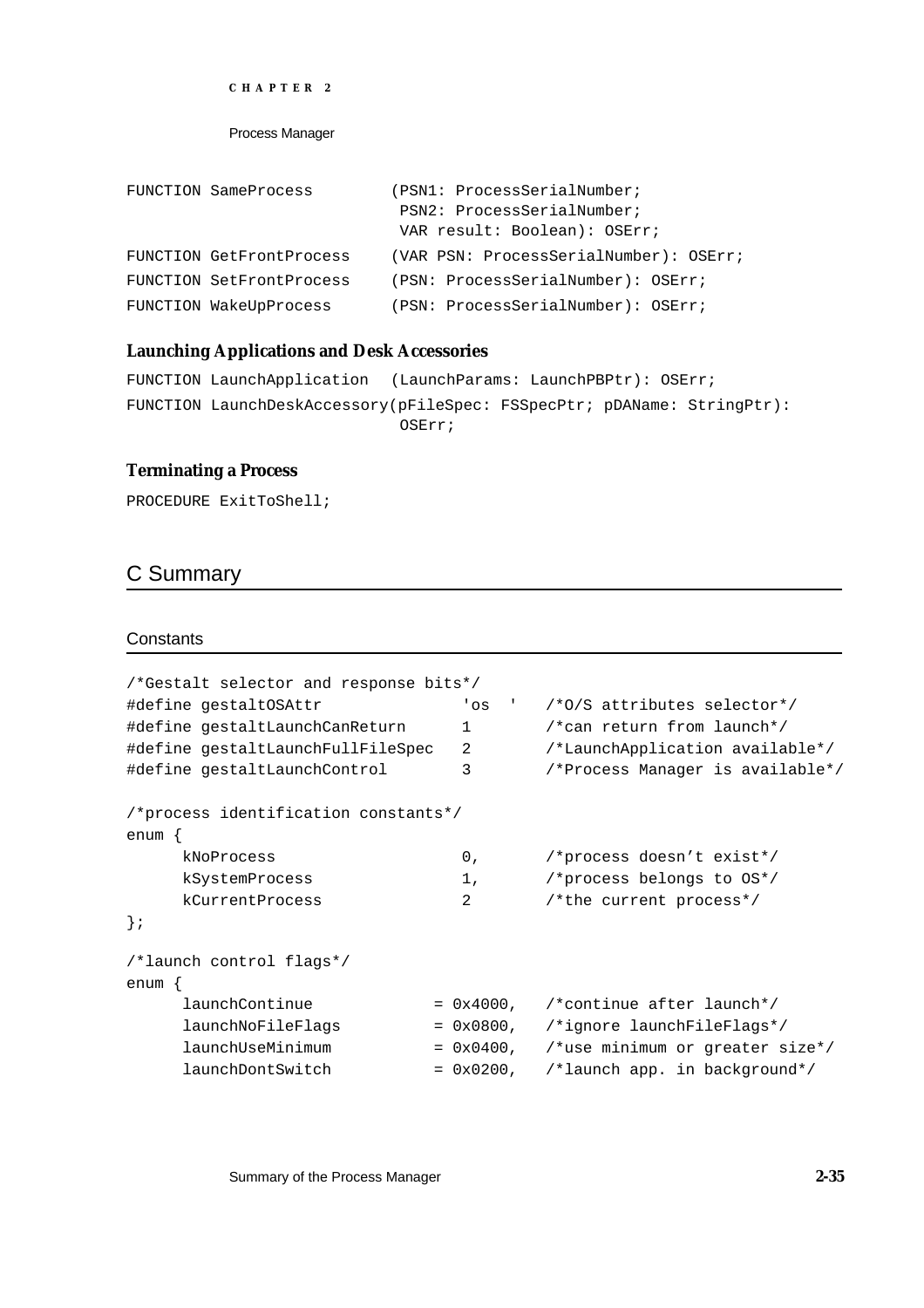```
CHAPTER 2
```

```
FUNCTION SameProcess (PSN1: ProcessSerialNumber;
                           PSN2: ProcessSerialNumber; 
                           VAR result: Boolean): OSErr;
FUNCTION GetFrontProcess (VAR PSN: ProcessSerialNumber): OSErr;
FUNCTION SetFrontProcess (PSN: ProcessSerialNumber): OSErr;
FUNCTION WakeUpProcess (PSN: ProcessSerialNumber): OSErr;
```
# **Launching Applications and Desk Accessories**

```
FUNCTION LaunchApplication (LaunchParams: LaunchPBPtr): OSErr;
FUNCTION LaunchDeskAccessory(pFileSpec: FSSpecPtr; pDAName: StringPtr): 
                             OSErr;
```
### **Terminating a Process**

PROCEDURE ExitToShell;

# C Summary

#### **Constants**

| /*Gestalt selector and response bits*/ |                                  |
|----------------------------------------|----------------------------------|
| 'os<br>$\sim 1$                        | /*0/S attributes selector*/      |
| $\mathbf{1}$                           | /*can return from launch*/       |
| 2                                      | /*LaunchApplication available*/  |
| 3                                      | /*Process Manager is available*/ |
| /*process identification constants*/   |                                  |
|                                        |                                  |
| 0,                                     | /*process doesn't exist*/        |
| 1,                                     | /*process belongs to OS*/        |
| 2                                      | /*the current process*/          |
|                                        |                                  |
|                                        |                                  |
|                                        |                                  |
| $= 0x4000$ ,                           | /*continue after launch*/        |
| $= 0x0800$ ,                           | /*ignore launchFileFlags*/       |
| $= 0x0400$ ,                           | /*use minimum or greater size*/  |
| $= 0x0200$ ,                           | /*launch app. in background*/    |
|                                        |                                  |

Summary of the Process Manager **2-35**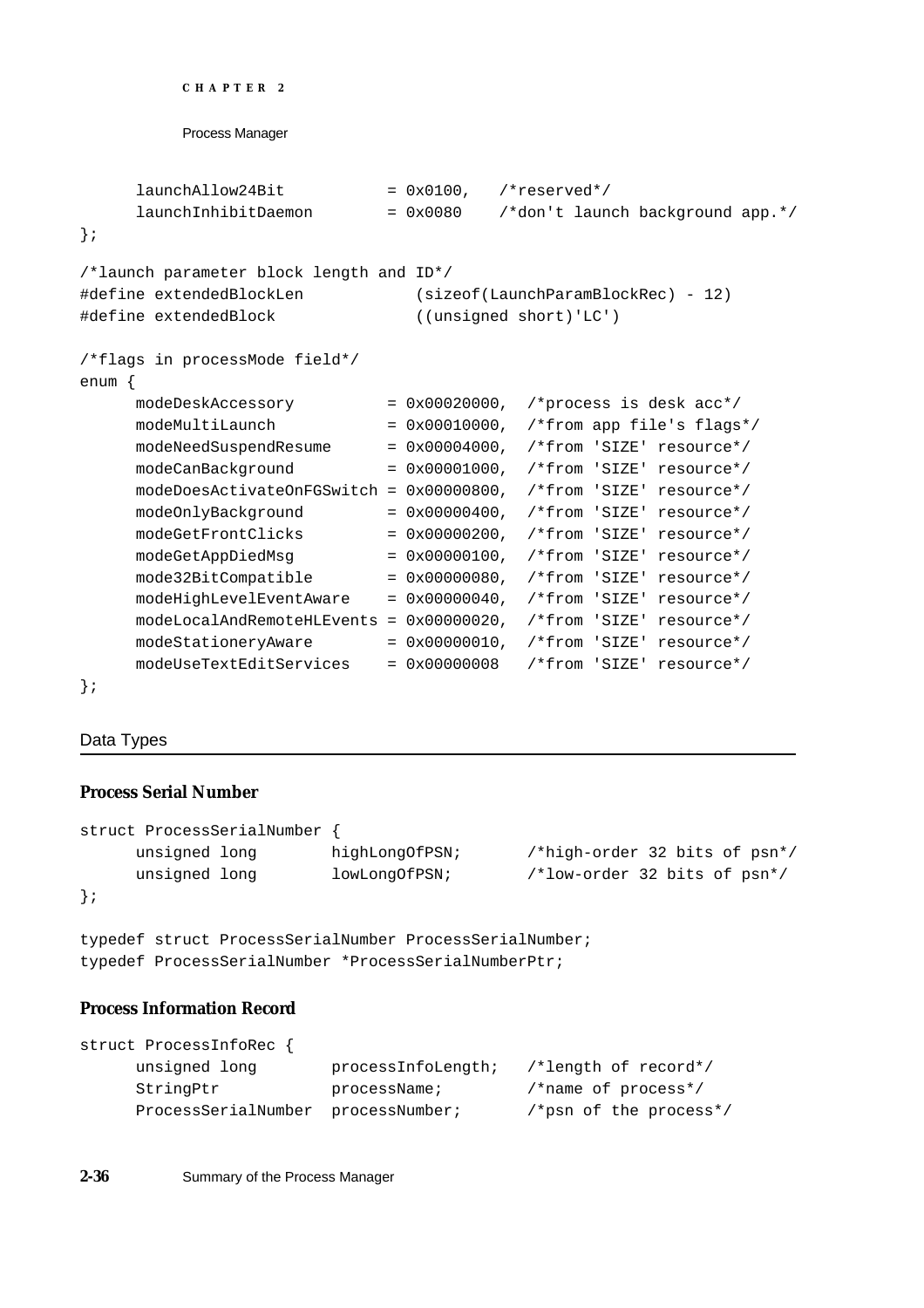```
CHAPTER 2
```

```
Process Manager
```

```
lawnchAllow24Bit = 0x0100, /*reserved*/
     launchInhibitDaemon = 0x0080 /*don't launch background app.*/
};
/*launch parameter block length and ID*/
#define extendedBlockLen (sizeof(LaunchParamBlockRec) - 12)
#define extendedBlock ((unsigned short)'LC')
/*flags in processMode field*/
enum {
     modeDeskAccessory = 0x00020000, /*process is desk acc*/
     modeMultiLaunch = 0x00010000, /*from app file's flags*/
     modeNeedSuspendResume = 0x00004000, /*from 'SIZE' resource*/
     modeCanBackground = 0x00001000, /*from 'SIZE' resource*/
     modeDoesActivateOnFGSwitch = 0x00000800, /*from 'SIZE' resource*/
     modeOnlyBackground = 0x00000400, /*from 'SIZE' resource*/
     modeGetFrontClicks = 0x00000200, /*from 'SIZE' resource*/
     modeGetAppDiedMsq = 0x00000100, /*from 'SIZE' resource*/
     mode32BitCompatible = 0x00000080, /*from 'SIZE' resource*/
     modeHighLevelEventAware = 0x00000040, /*from 'SIZE' resource*/
     modeLocalAndRemoteHLEvents = 0x00000020, /*from 'SIZE' resource*/
     modeStationeryAware = 0x00000010, /*from 'SIZE' resource*/
     modeUseTextEditServices = 0x00000008 /*from 'SIZE' resource*/
};
```
# Data Types

# **Process Serial Number**

```
struct ProcessSerialNumber {
    unsigned long highLongOfPSN; /*high-order 32 bits of psn*/
    unsigned long lowLongOfPSN; /*low-order 32 bits of psn*/
};
```
typedef struct ProcessSerialNumber ProcessSerialNumber; typedef ProcessSerialNumber \*ProcessSerialNumberPtr;

# **Process Information Record**

```
struct ProcessInfoRec {
    unsigned long processInfoLength; /*length of record*/
    StringPtr processName; /*name of process*/
    ProcessSerialNumber processNumber; /*psn of the process*/
```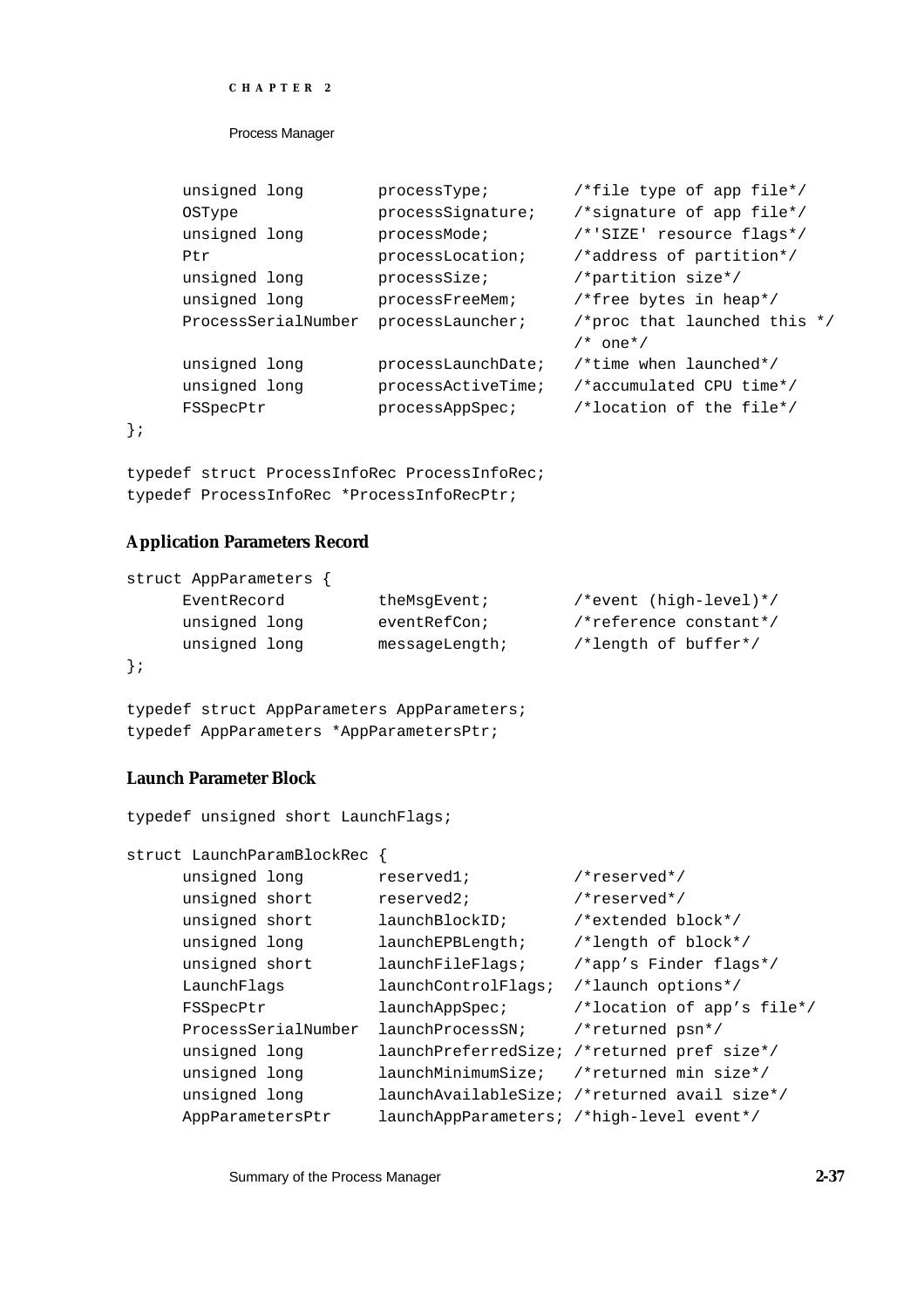```
CHAPTER 2
```

| unsigned long       | processType;       | /*file type of app file*/      |
|---------------------|--------------------|--------------------------------|
| <b>OSType</b>       | processSignature;  | /*signature of app file*/      |
| unsigned long       | processMode;       | /*'SIZE' resource flags*/      |
| Ptr                 | processLocation;   | /*address of partition*/       |
| unsigned long       | processSize;       | /*partition size*/             |
| unsigned long       | processFreeMem;    | /*free bytes in heap*/         |
| ProcessSerialNumber | processLauncher;   | /*proc that launched this $*/$ |
|                     |                    | $/*$ one <sup>*</sup> /        |
| unsigned long       | processLaunchDate; | /*time when launched*/         |
| unsigned long       | processActiveTime; | /*accumulated CPU time*/       |
| FSSpecPtr           | processAppSpec;    | /*location of the file*/       |
|                     |                    |                                |

typedef struct ProcessInfoRec ProcessInfoRec; typedef ProcessInfoRec \*ProcessInfoRecPtr;

### **Application Parameters Record**

};

| struct AppParameters |                   |                        |
|----------------------|-------------------|------------------------|
| EventRecord          | theMsqEvent;      | /*event (high-level)*/ |
| unsigned long        | eventRefCon;      | /*reference constant*/ |
| unsigned long        | $messaqelenqth$ ; | /*length of buffer*/   |
| $\}$ ;               |                   |                        |

typedef struct AppParameters AppParameters; typedef AppParameters \*AppParametersPtr;

typedef unsigned short LaunchFlags;

# **Launch Parameter Block**

```
struct LaunchParamBlockRec {
    unsigned long reserved1; /*reserved*/
    unsigned short reserved2; /*reserved*/
    unsigned short launchBlockID; /*extended block*/
    unsigned long launchEPBLength; /*length of block*/
    unsigned short launchFileFlags; /*app's Finder flags*/
    LaunchFlags launchControlFlags; /*launch options*/
    FSSpecPtr launchAppSpec; /*location of app's file*/
    ProcessSerialNumber launchProcessSN; /*returned psn*/
    unsigned long launchPreferredSize; /*returned pref size*/
    unsigned long launchMinimumSize; /*returned min size*/
     unsigned long launchAvailableSize; /*returned avail size*/
     AppParametersPtr launchAppParameters; /*high-level event*/
```
Summary of the Process Manager **2-37**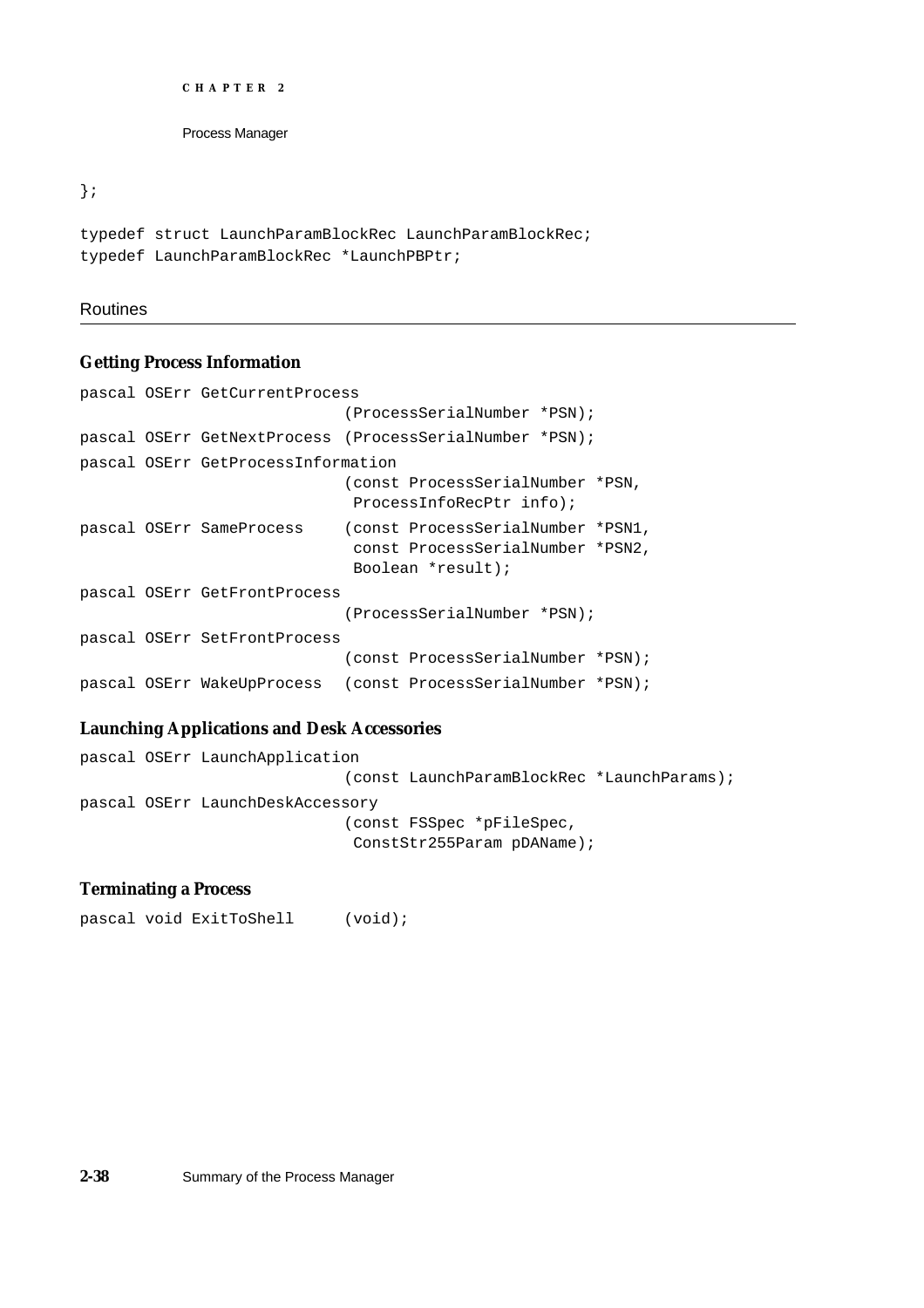```
CHAPTER 2
```
};

```
typedef struct LaunchParamBlockRec LaunchParamBlockRec;
typedef LaunchParamBlockRec *LaunchPBPtr;
```
# Routines

# **Getting Process Information**

```
pascal OSErr GetCurrentProcess
                             (ProcessSerialNumber *PSN);
pascal OSErr GetNextProcess (ProcessSerialNumber *PSN);
pascal OSErr GetProcessInformation
                             (const ProcessSerialNumber *PSN, 
                             ProcessInfoRecPtr info);
pascal OSErr SameProcess (const ProcessSerialNumber *PSN1, 
                             const ProcessSerialNumber *PSN2, 
                             Boolean *result);
pascal OSErr GetFrontProcess
                            (ProcessSerialNumber *PSN);
pascal OSErr SetFrontProcess
                             (const ProcessSerialNumber *PSN);
pascal OSErr WakeUpProcess (const ProcessSerialNumber *PSN);
```
# **Launching Applications and Desk Accessories**

```
pascal OSErr LaunchApplication
                             (const LaunchParamBlockRec *LaunchParams);
pascal OSErr LaunchDeskAccessory
                             (const FSSpec *pFileSpec, 
                              ConstStr255Param pDAName);
```
# **Terminating a Process**

pascal void ExitToShell (void);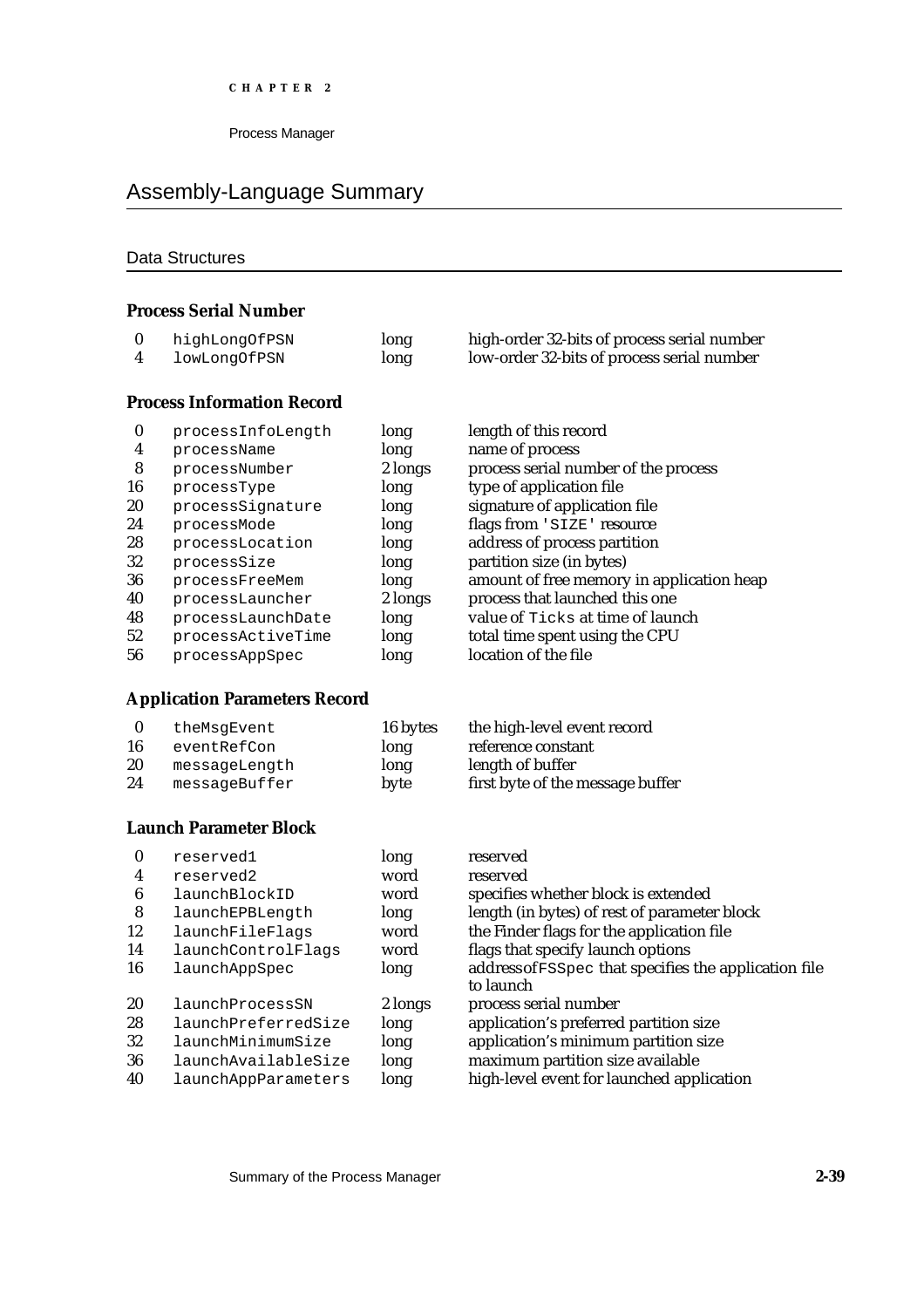# Assembly-Language Summary

# Data Structures

### **Process Serial Number**

| highLongOfPSN | long | high-order 32-bits of process serial number |
|---------------|------|---------------------------------------------|
| lowLongOfPSN  | long | low-order 32-bits of process serial number  |

# **Process Information Record**

| 0  | processInfoLength | long    | length of this record                     |
|----|-------------------|---------|-------------------------------------------|
| 4  | processName       | long    | name of process                           |
| 8  | processNumber     | 2 longs | process serial number of the process      |
| 16 | processType       | long    | type of application file                  |
| 20 | processSignature  | long    | signature of application file             |
| 24 | processMode       | long    | flags from 'SIZE' resource                |
| 28 | processLocation   | long    | address of process partition              |
| 32 | processSize       | long    | partition size (in bytes)                 |
| 36 | processFreeMem    | long    | amount of free memory in application heap |
| 40 | processLauncher   | 2 longs | process that launched this one            |
| 48 | processLaunchDate | long    | value of Ticks at time of launch          |
| 52 | processActiveTime | long    | total time spent using the CPU            |
| 56 | processAppSpec    | long    | location of the file                      |

# **Application Parameters Record**

|    | theMsqEvent   | 16 bytes | the high-level event record      |
|----|---------------|----------|----------------------------------|
| 16 | eventRefCon   | long     | reference constant               |
| 20 | messageLength | long     | length of buffer                 |
| 24 | messageBuffer | byte     | first byte of the message buffer |

# **Launch Parameter Block**

| $\bf{0}$ | reserved1           | long    | reserved                                              |
|----------|---------------------|---------|-------------------------------------------------------|
| 4        | reserved2           | word    | reserved                                              |
| 6        | launchBlockID       | word    | specifies whether block is extended                   |
| 8        | launchEPBLength     | long    | length (in bytes) of rest of parameter block          |
| 12       | launchFileFlags     | word    | the Finder flags for the application file             |
| 14       | launchControlFlags  | word    | flags that specify launch options                     |
| 16       | launchAppSpec       | long    | address of FSSpec that specifies the application file |
|          |                     |         | to launch                                             |
| 20       | launchProcessSN     | 2 longs | process serial number                                 |
| 28       | launchPreferredSize | long    | application's preferred partition size                |
| 32       | launchMinimumSize   | long    | application's minimum partition size                  |
| 36       | launchAvailableSize | long    | maximum partition size available                      |
| 40       | launchAppParameters | long    | high-level event for launched application             |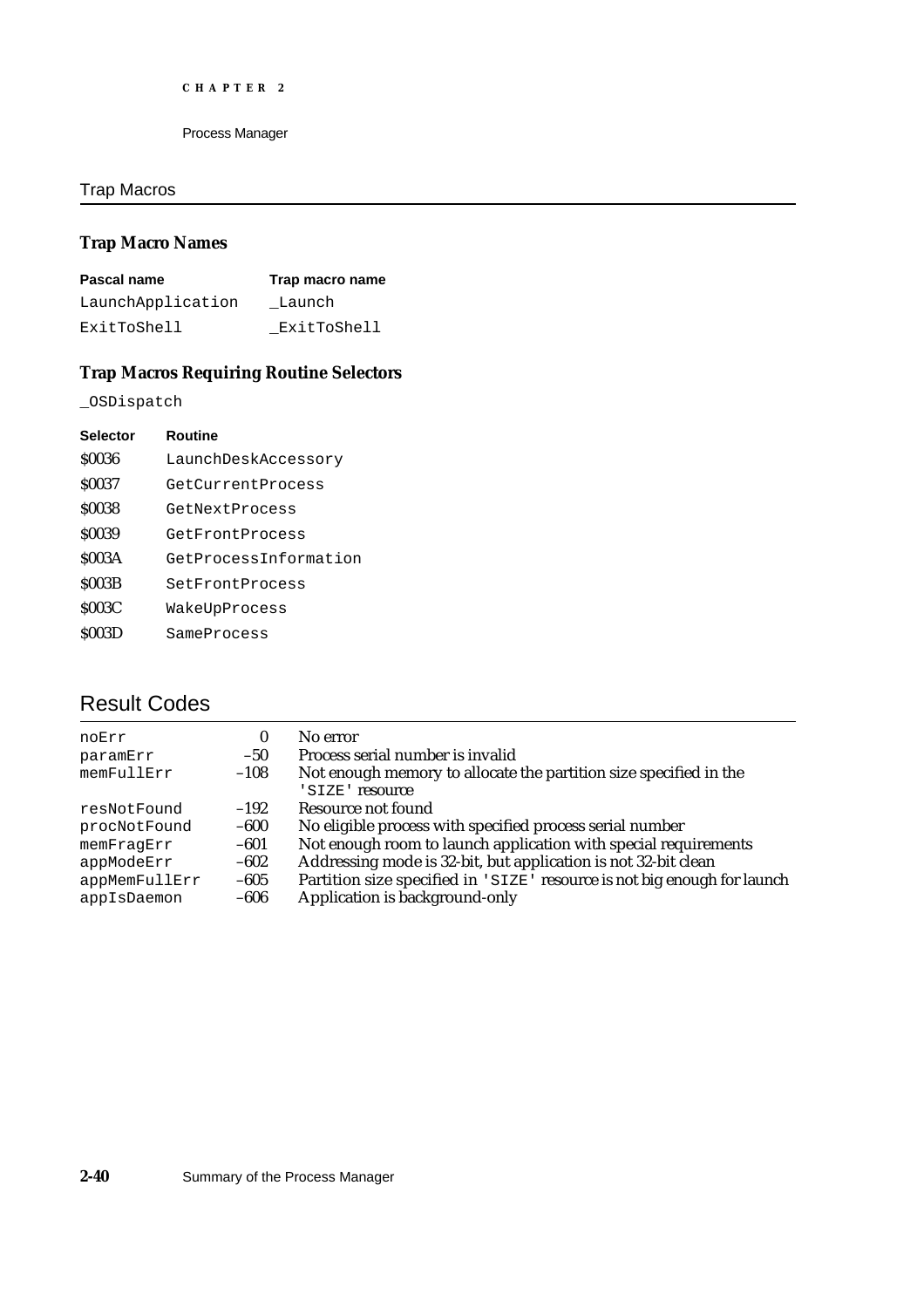# Trap Macros

# **Trap Macro Names**

| Pascal name       | Trap macro name |
|-------------------|-----------------|
| LaunchApplication | Launch          |
| ExitToShell       | ExitToShell     |

# **Trap Macros Requiring Routine Selectors**

\_OSDispatch

| <b>Selector</b> | Routine               |
|-----------------|-----------------------|
| \$0036          | LaunchDeskAccessory   |
| \$0037          | GetCurrentProcess     |
| \$0038          | GetNextProcess        |
| \$0039          | GetFrontProcess       |
| <b>\$003A</b>   | GetProcessInformation |
| <b>S003B</b>    | SetFrontProcess       |
| <b>\$003C</b>   | WakeUpProcess         |
| <b>S003D</b>    | SameProcess           |
|                 |                       |

# Result Codes

| 0      | No error                                                                             |
|--------|--------------------------------------------------------------------------------------|
| $-50$  | Process serial number is invalid                                                     |
| $-108$ | Not enough memory to allocate the partition size specified in the<br>'SIZE' resource |
| $-192$ | Resource not found                                                                   |
| $-600$ | No eligible process with specified process serial number                             |
| $-601$ | Not enough room to launch application with special requirements                      |
| $-602$ | Addressing mode is 32-bit, but application is not 32-bit clean                       |
| $-605$ | Partition size specified in 'SIZE' resource is not big enough for launch             |
| $-606$ | Application is background-only                                                       |
|        |                                                                                      |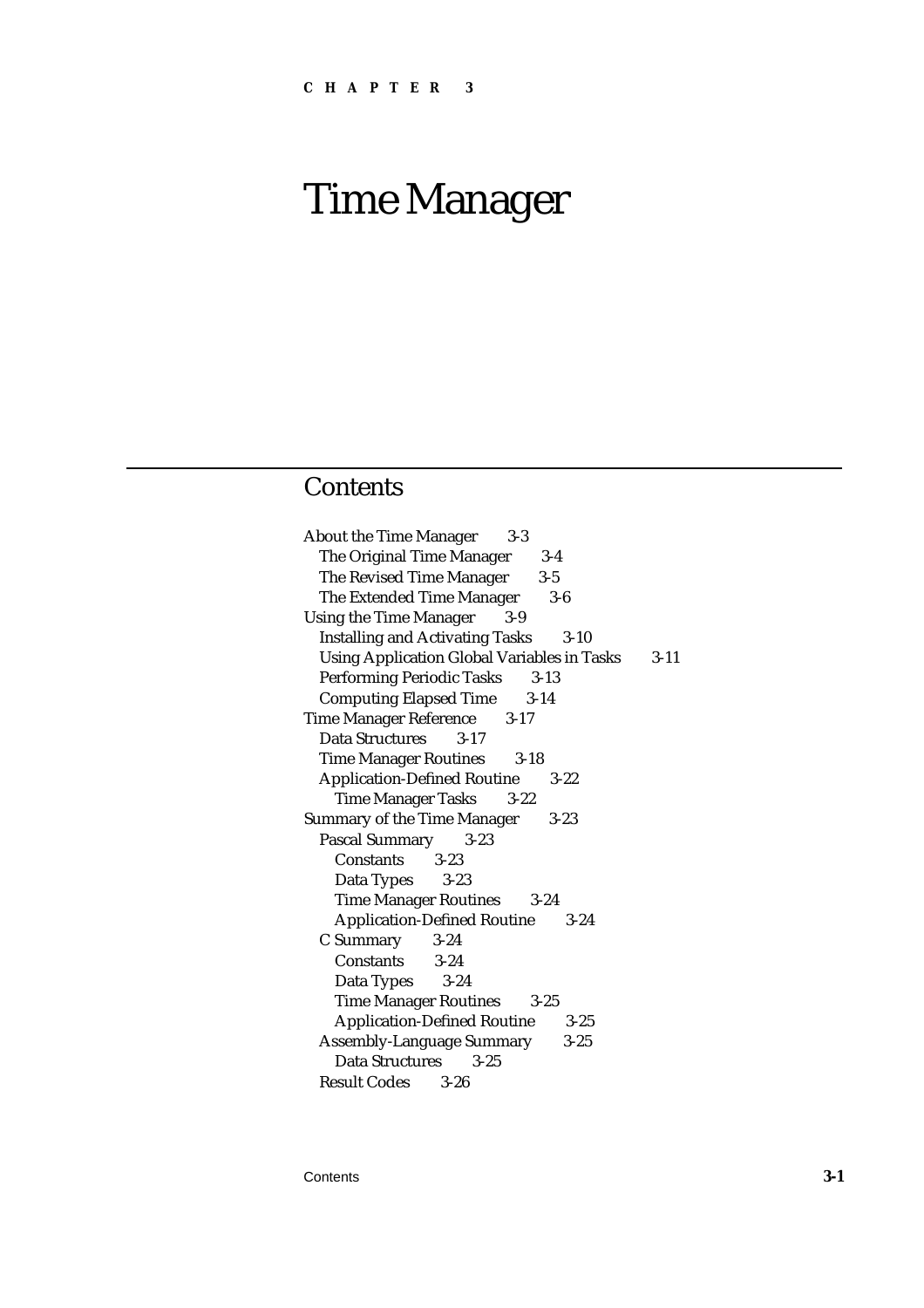# Time Manager

# **Contents**

| $3-3$<br><b>About the Time Manager</b>                  |        |
|---------------------------------------------------------|--------|
| The Original Time Manager<br>$3-4$                      |        |
| The Revised Time Manager<br>$3-5$                       |        |
| The Extended Time Manager<br>$3-6$                      |        |
| <b>Using the Time Manager</b><br>$3-9$                  |        |
| <b>Installing and Activating Tasks</b><br>$3 - 10$      |        |
| <b>Using Application Global Variables in Tasks</b>      | $3-11$ |
| <b>Performing Periodic Tasks 3-13</b>                   |        |
| <b>Computing Elapsed Time</b><br>$3-14$                 |        |
| <b>Time Manager Reference</b><br>$3-17$                 |        |
| Data Structures<br>$3 - 17$                             |        |
| <b>Time Manager Routines</b><br>$3-18$                  |        |
| <b>Application-Defined Routine</b><br>$3-22$            |        |
| Time Manager Tasks 3-22                                 |        |
| <b>Summary of the Time Manager</b><br>$3 - 23$          |        |
| <b>Pascal Summary</b><br>$3 - 23$                       |        |
| Constants 3-23                                          |        |
| Data Types<br>$3 - 23$                                  |        |
| Time Manager Routines 3-24                              |        |
|                                                         |        |
| <b>Application-Defined Routine 3-24</b>                 |        |
| C Summary 3-24                                          |        |
| Constants 3-24                                          |        |
| Data Types<br>$3 - 24$                                  |        |
| <b>Time Manager Routines</b><br>$3 - 25$                |        |
| <b>Application-Defined Routine</b><br>$3-25$            |        |
| <b>Assembly-Language Summary</b><br>$3 - 25$            |        |
| Data Structures<br>$3 - 25$<br><b>Result Codes</b> 3-26 |        |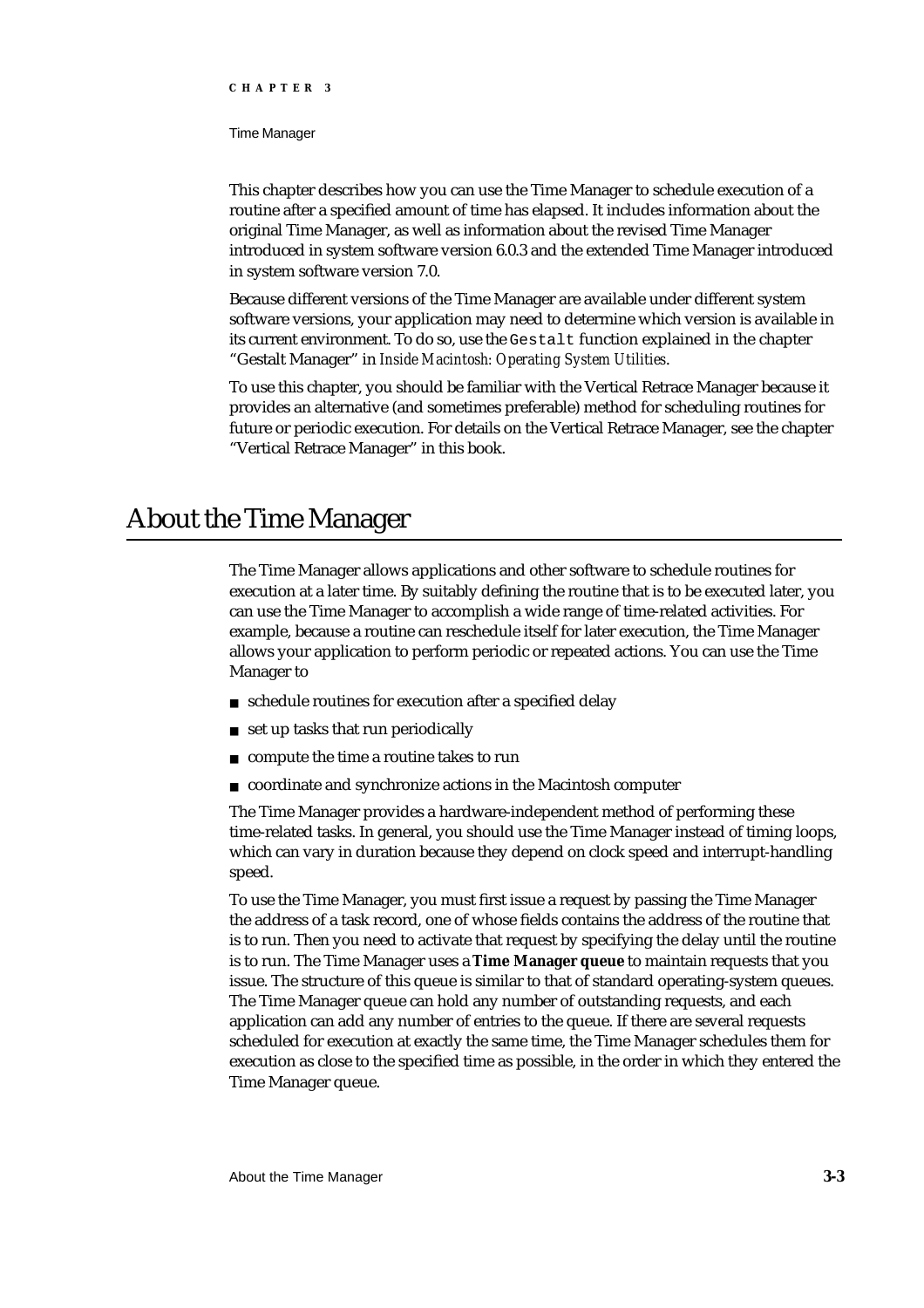Time Manager

This chapter describes how you can use the Time Manager to schedule execution of a routine after a specified amount of time has elapsed. It includes information about the original Time Manager, as well as information about the revised Time Manager introduced in system software version 6.0.3 and the extended Time Manager introduced in system software version 7.0.

Because different versions of the Time Manager are available under different system software versions, your application may need to determine which version is available in its current environment. To do so, use the Gestalt function explained in the chapter "Gestalt Manager" in *Inside Macintosh: Operating System Utilities*.

To use this chapter, you should be familiar with the Vertical Retrace Manager because it provides an alternative (and sometimes preferable) method for scheduling routines for future or periodic execution. For details on the Vertical Retrace Manager, see the chapter "Vertical Retrace Manager" in this book.

# About the Time Manager

The Time Manager allows applications and other software to schedule routines for execution at a later time. By suitably defining the routine that is to be executed later, you can use the Time Manager to accomplish a wide range of time-related activities. For example, because a routine can reschedule itself for later execution, the Time Manager allows your application to perform periodic or repeated actions. You can use the Time Manager to

- schedule routines for execution after a specified delay
- set up tasks that run periodically n
- compute the time a routine takes to run  $\overline{p}$
- coordinate and synchronize actions in the Macintosh computer

The Time Manager provides a hardware-independent method of performing these time-related tasks. In general, you should use the Time Manager instead of timing loops, which can vary in duration because they depend on clock speed and interrupt-handling speed.

To use the Time Manager, you must first issue a request by passing the Time Manager the address of a task record, one of whose fields contains the address of the routine that is to run. Then you need to activate that request by specifying the delay until the routine is to run. The Time Manager uses a **Time Manager queue** to maintain requests that you issue. The structure of this queue is similar to that of standard operating-system queues. The Time Manager queue can hold any number of outstanding requests, and each application can add any number of entries to the queue. If there are several requests scheduled for execution at exactly the same time, the Time Manager schedules them for execution as close to the specified time as possible, in the order in which they entered the Time Manager queue.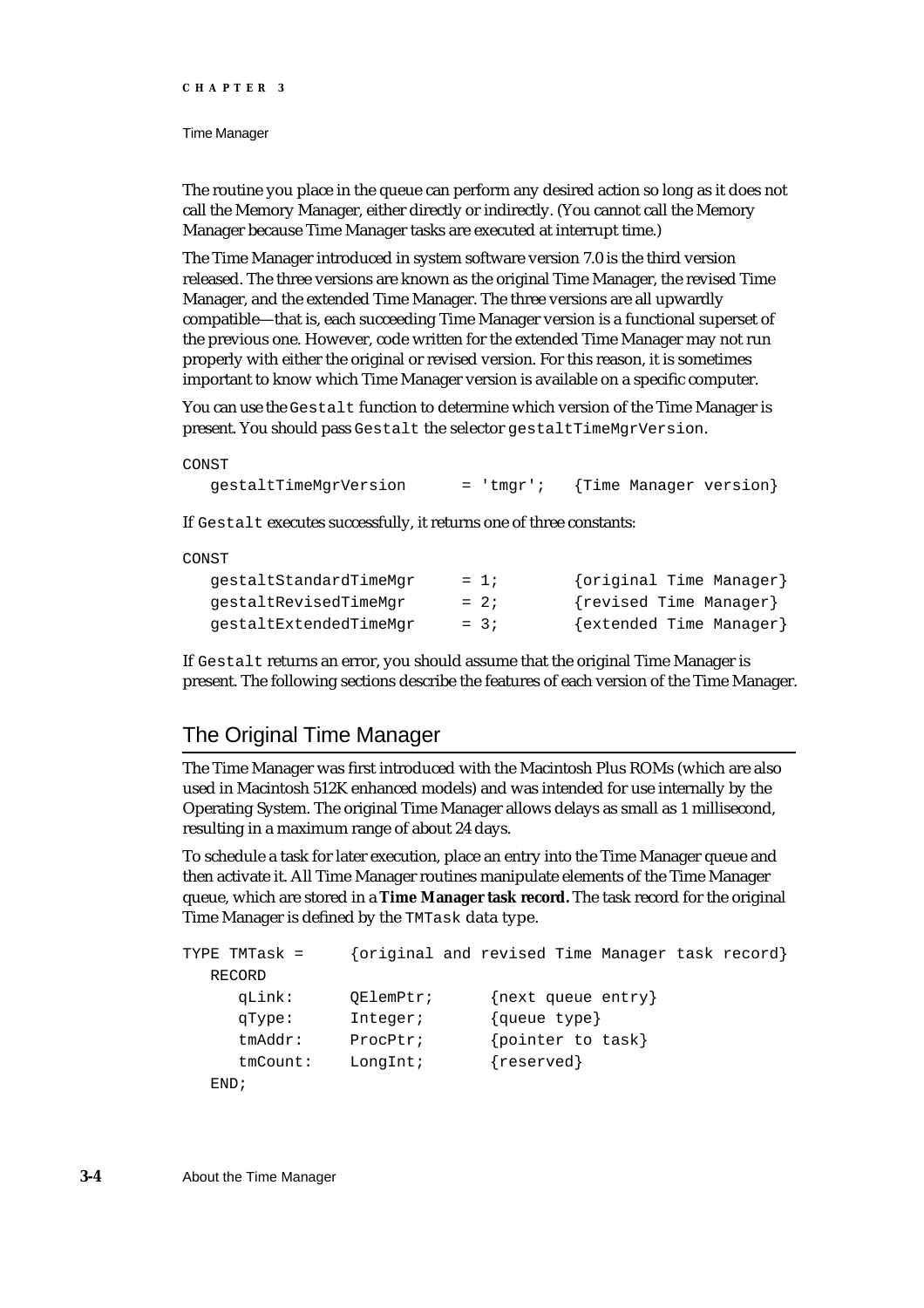#### Time Manager

The routine you place in the queue can perform any desired action so long as it does not call the Memory Manager, either directly or indirectly. (You cannot call the Memory Manager because Time Manager tasks are executed at interrupt time.)

The Time Manager introduced in system software version 7.0 is the third version released. The three versions are known as the original Time Manager, the revised Time Manager, and the extended Time Manager. The three versions are all upwardly compatible—that is, each succeeding Time Manager version is a functional superset of the previous one. However, code written for the extended Time Manager may not run properly with either the original or revised version. For this reason, it is sometimes important to know which Time Manager version is available on a specific computer.

You can use the Gestalt function to determine which version of the Time Manager is present. You should pass Gestalt the selector gestaltTimeMgrVersion.

#### CONST

```
gestaltTimeMgrVersion = 'tmgr'; {Time Manager version}
```
If Gestalt executes successfully, it returns one of three constants:

#### CONST

| qestaltStandardTimeMqr | $= 1$  | {original Time Manager} |
|------------------------|--------|-------------------------|
| qestaltRevisedTimeMqr  | $= 2i$ | {revised Time Manager}  |
| qestaltExtendedTimeMqr | $= 3i$ | {extended Time Manager} |

If Gestalt returns an error, you should assume that the original Time Manager is present. The following sections describe the features of each version of the Time Manager.

# The Original Time Manager

The Time Manager was first introduced with the Macintosh Plus ROMs (which are also used in Macintosh 512K enhanced models) and was intended for use internally by the Operating System. The original Time Manager allows delays as small as 1 millisecond, resulting in a maximum range of about 24 days.

To schedule a task for later execution, place an entry into the Time Manager queue and then activate it. All Time Manager routines manipulate elements of the Time Manager queue, which are stored in a **Time Manager task record.** The task record for the original Time Manager is defined by the TMTask data type.

```
TYPE TMTask = {original and revised Time Manager task record}
  RECORD 
     qLink: QElemPtr; {next queue entry}
     qType: Integer; {queue type}
     tmAddr: ProcPtr; {pointer to task}
     tmCount: LongInt; {reserved}
  END;
```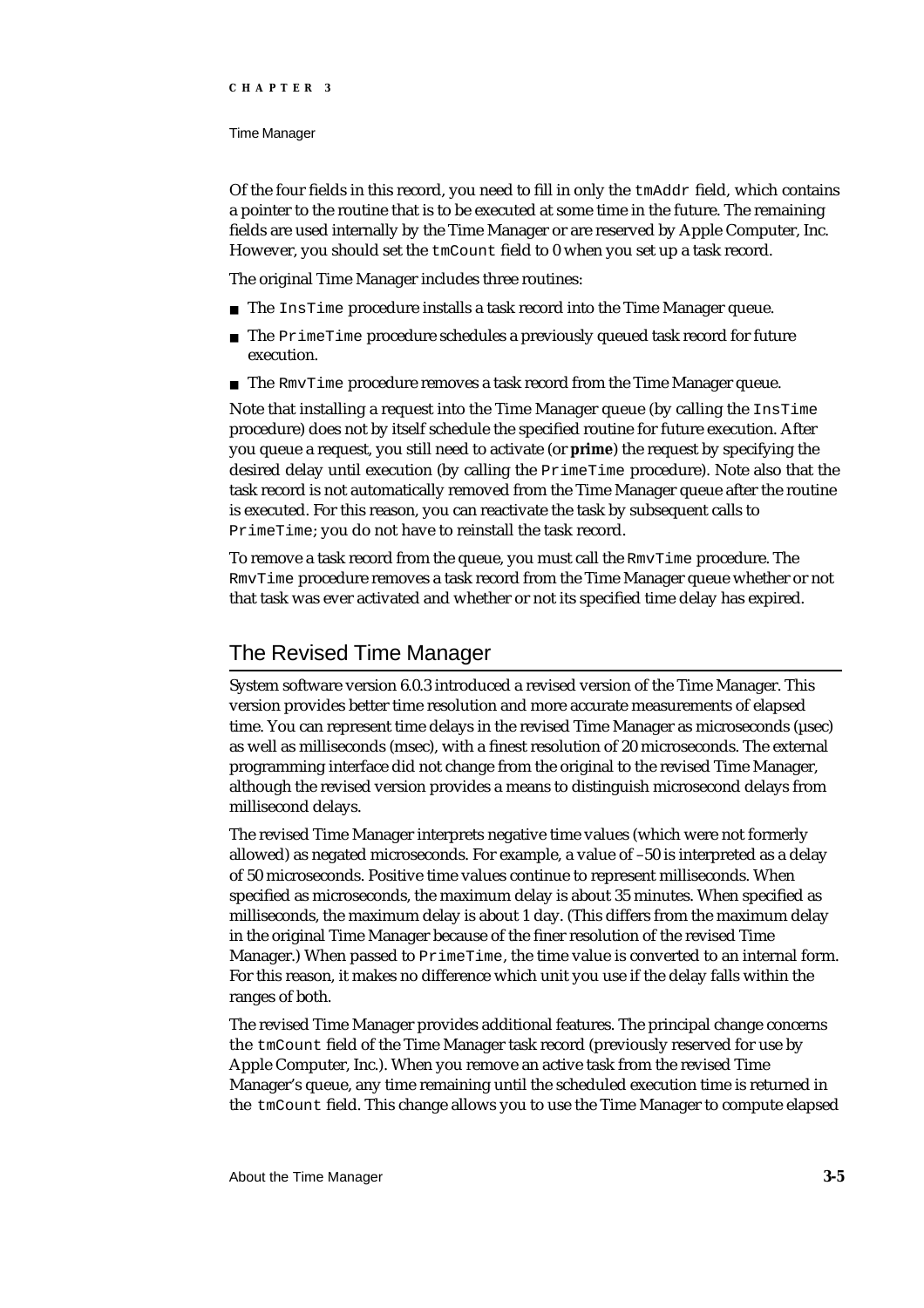#### Time Manager

Of the four fields in this record, you need to fill in only the  $t$ mAdd $r$  field, which contains a pointer to the routine that is to be executed at some time in the future. The remaining fields are used internally by the Time Manager or are reserved by Apple Computer, Inc. However, you should set the tmCount field to 0 when you set up a task record.

The original Time Manager includes three routines:

- n The InsTime procedure installs a task record into the Time Manager queue.
- $n$  The PrimeTime procedure schedules a previously queued task record for future execution.
- n The RmvTime procedure removes a task record from the Time Manager queue.

Note that installing a request into the Time Manager queue (by calling the InsTime procedure) does not by itself schedule the specified routine for future execution. After you queue a request, you still need to activate (or **prime**) the request by specifying the desired delay until execution (by calling the PrimeTime procedure). Note also that the task record is not automatically removed from the Time Manager queue after the routine is executed. For this reason, you can reactivate the task by subsequent calls to PrimeTime; you do not have to reinstall the task record.

To remove a task record from the queue, you must call the RmvTime procedure. The RmvTime procedure removes a task record from the Time Manager queue whether or not that task was ever activated and whether or not its specified time delay has expired.

# The Revised Time Manager

System software version 6.0.3 introduced a revised version of the Time Manager. This version provides better time resolution and more accurate measurements of elapsed time. You can represent time delays in the revised Time Manager as microseconds (µsec) as well as milliseconds (msec), with a finest resolution of 20 microseconds. The external programming interface did not change from the original to the revised Time Manager, although the revised version provides a means to distinguish microsecond delays from millisecond delays.

The revised Time Manager interprets negative time values (which were not formerly allowed) as negated microseconds. For example, a value of –50 is interpreted as a delay of 50 microseconds. Positive time values continue to represent milliseconds. When specified as microseconds, the maximum delay is about 35 minutes. When specified as milliseconds, the maximum delay is about 1 day. (This differs from the maximum delay in the original Time Manager because of the finer resolution of the revised Time Manager.) When passed to PrimeTime, the time value is converted to an internal form. For this reason, it makes no difference which unit you use if the delay falls within the ranges of both.

The revised Time Manager provides additional features. The principal change concerns the tmCount field of the Time Manager task record (previously reserved for use by Apple Computer, Inc.). When you remove an active task from the revised Time Manager's queue, any time remaining until the scheduled execution time is returned in the tmCount field. This change allows you to use the Time Manager to compute elapsed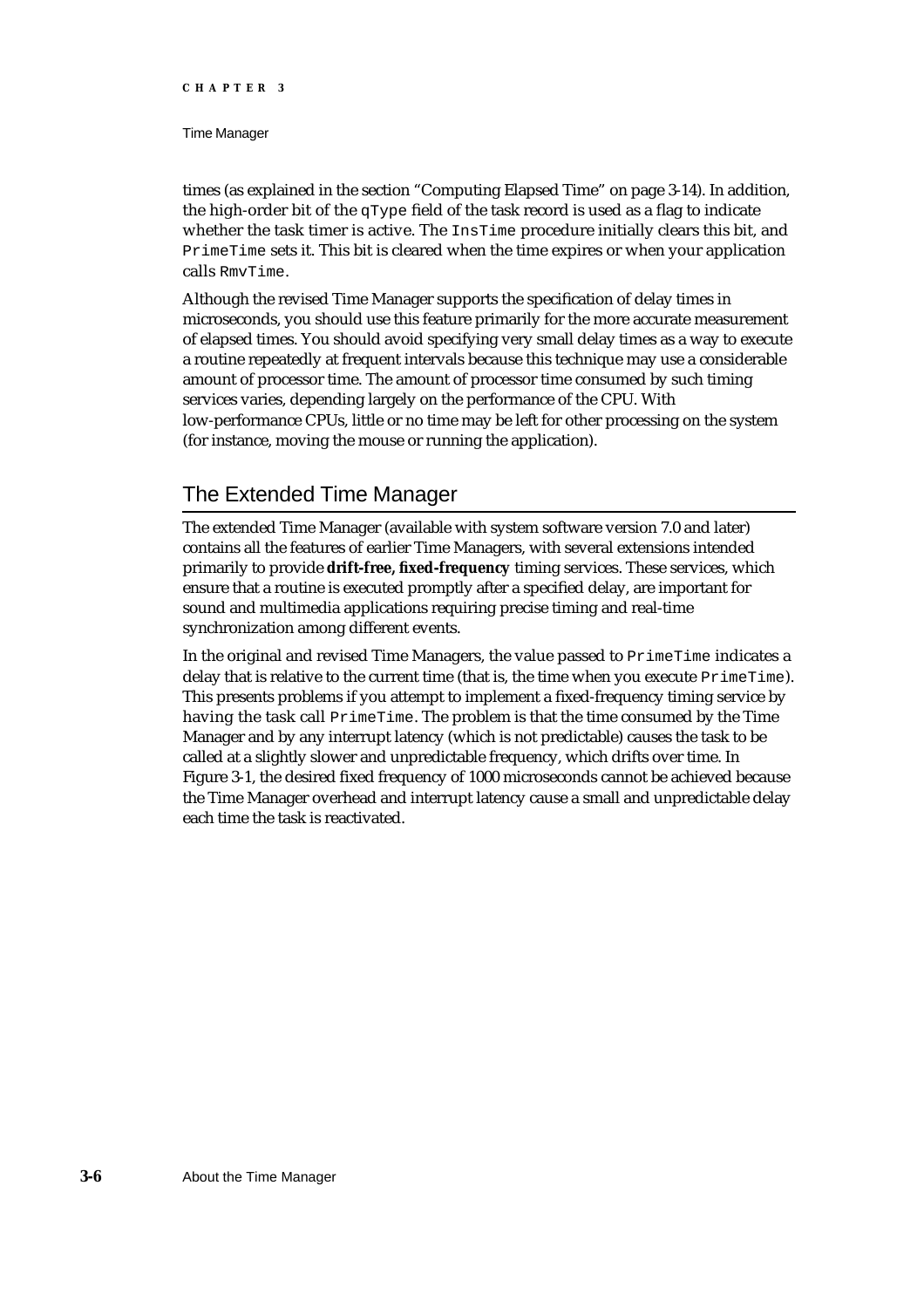### Time Manager

times (as explained in the section "Computing Elapsed Time" on page 3-14). In addition, the high-order bit of the  $qType$  field of the task record is used as a flag to indicate whether the task timer is active. The InsTime procedure initially clears this bit, and PrimeTime sets it. This bit is cleared when the time expires or when your application calls RmvTime.

Although the revised Time Manager supports the specification of delay times in microseconds, you should use this feature primarily for the more accurate measurement of elapsed times. You should avoid specifying very small delay times as a way to execute a routine repeatedly at frequent intervals because this technique may use a considerable amount of processor time. The amount of processor time consumed by such timing services varies, depending largely on the performance of the CPU. With low-performance CPUs, little or no time may be left for other processing on the system (for instance, moving the mouse or running the application).

# The Extended Time Manager

The extended Time Manager (available with system software version 7.0 and later) contains all the features of earlier Time Managers, with several extensions intended primarily to provide **drift-free, fixed-frequency** timing services. These services, which ensure that a routine is executed promptly after a specified delay, are important for sound and multimedia applications requiring precise timing and real-time synchronization among different events.

In the original and revised Time Managers, the value passed to PrimeTime indicates a delay that is relative to the current time (that is, the time when you execute  $PrimerTime)$ . This presents problems if you attempt to implement a fixed-frequency timing service by having the task call PrimeTime. The problem is that the time consumed by the Time Manager and by any interrupt latency (which is not predictable) causes the task to be called at a slightly slower and unpredictable frequency, which drifts over time. In Figure 3-1, the desired fixed frequency of 1000 microseconds cannot be achieved because the Time Manager overhead and interrupt latency cause a small and unpredictable delay each time the task is reactivated.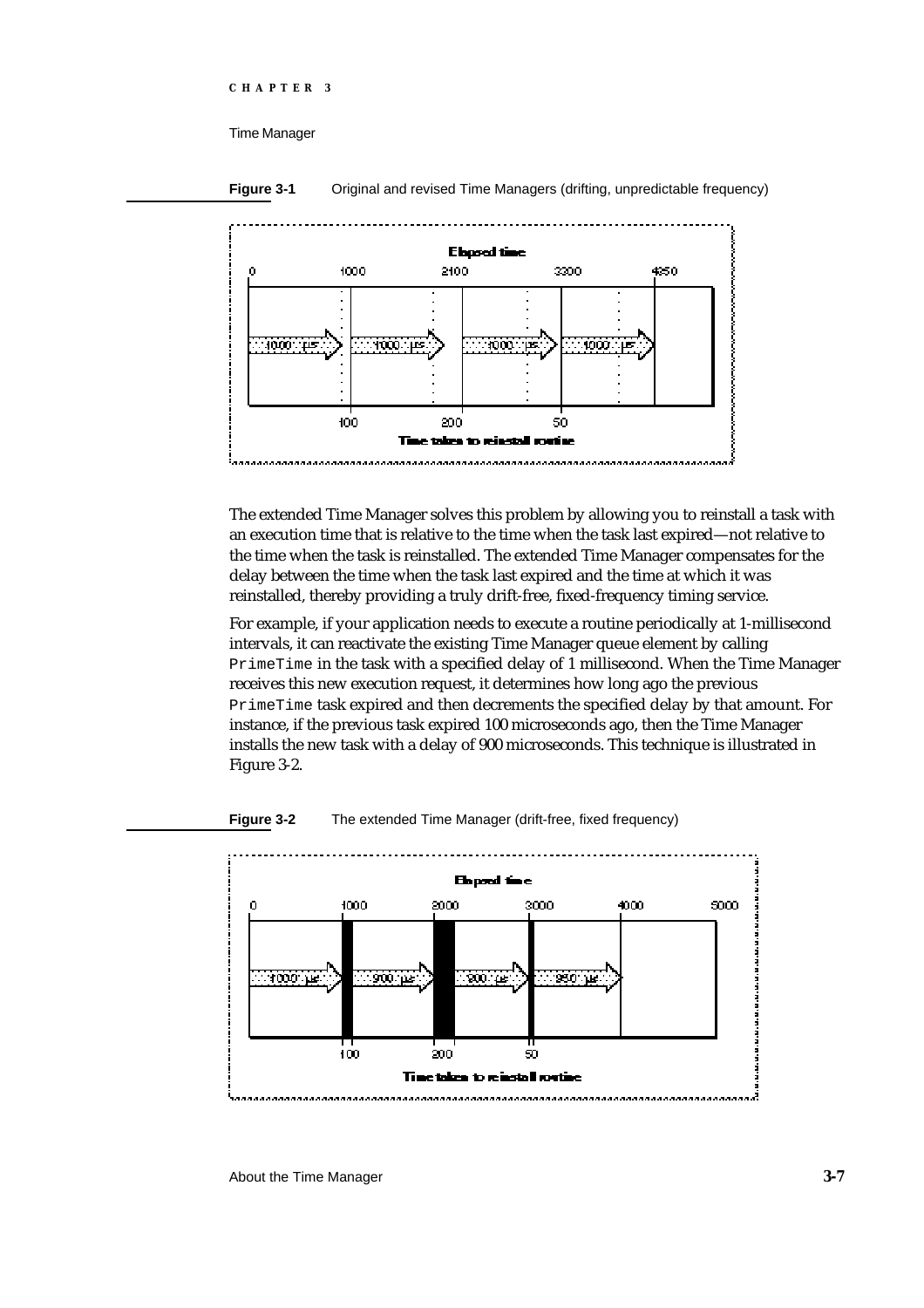

**Figure 3-1** Original and revised Time Managers (drifting, unpredictable frequency)

The extended Time Manager solves this problem by allowing you to reinstall a task with an execution time that is relative to the time when the task last expired—not relative to the time when the task is reinstalled. The extended Time Manager compensates for the delay between the time when the task last expired and the time at which it was reinstalled, thereby providing a truly drift-free, fixed-frequency timing service.

For example, if your application needs to execute a routine periodically at 1-millisecond intervals, it can reactivate the existing Time Manager queue element by calling PrimeTime in the task with a specified delay of 1 millisecond. When the Time Manager receives this new execution request, it determines how long ago the previous PrimeTime task expired and then decrements the specified delay by that amount. For instance, if the previous task expired 100 microseconds ago, then the Time Manager installs the new task with a delay of 900 microseconds. This technique is illustrated in Figure 3-2.



**Figure 3-2** The extended Time Manager (drift-free, fixed frequency)

About the Time Manager **3-7**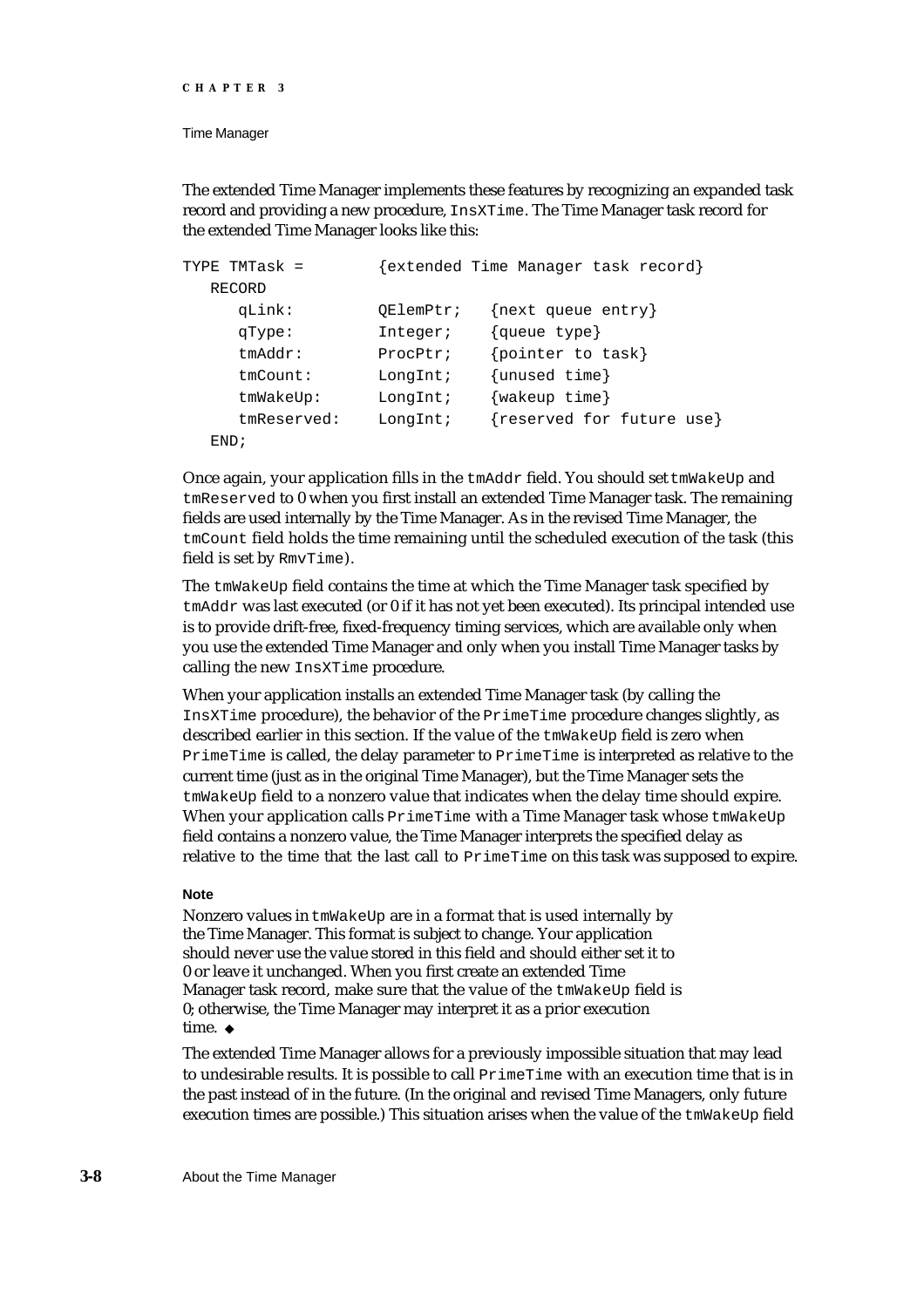```
CHAPTER 3
```
The extended Time Manager implements these features by recognizing an expanded task record and providing a new procedure, InsXTime. The Time Manager task record for the extended Time Manager looks like this:

```
TYPE TMTask = {extended Time Manager task record}
  RECORD 
     qLink: QElemPtr; {next queue entry}
     qType: Integer; {queue type}
     tmAddr: ProcPtr; {pointer to task}
     tmCount: LongInt; {unused time}
     tmWakeUp: LongInt; {wakeup time}
     tmReserved: LongInt; {reserved for future use}
  END;
```
Once again, your application fills in the tmAddr field. You should set tmWakeUp and tmReserved to 0 when you first install an extended Time Manager task. The remaining fields are used internally by the Time Manager. As in the revised Time Manager, the tmCount field holds the time remaining until the scheduled execution of the task (this field is set by RmvTime).

The tmWakeUp field contains the time at which the Time Manager task specified by tmAddr was last executed (or 0 if it has not yet been executed). Its principal intended use is to provide drift-free, fixed-frequency timing services, which are available only when you use the extended Time Manager and only when you install Time Manager tasks by calling the new InsXTime procedure.

When your application installs an extended Time Manager task (by calling the InsXTime procedure), the behavior of the PrimeTime procedure changes slightly, as described earlier in this section. If the value of the tmWakeUp field is zero when PrimeTime is called, the delay parameter to PrimeTime is interpreted as relative to the current time (just as in the original Time Manager), but the Time Manager sets the tmWakeUp field to a nonzero value that indicates when the delay time should expire. When your application calls PrimeTime with a Time Manager task whose tmWakeUp field contains a nonzero value, the Time Manager interprets the specified delay as relative to the time that the last call to PrimeTime on this task was supposed to expire.

## **Note**

Nonzero values in tmWakeUp are in a format that is used internally by the Time Manager. This format is subject to change. Your application should never use the value stored in this field and should either set it to 0 or leave it unchanged. When you first create an extended Time Manager task record, make sure that the value of the tmWakeUp field is 0; otherwise, the Time Manager may interpret it as a prior execution time. u

The extended Time Manager allows for a previously impossible situation that may lead to undesirable results. It is possible to call PrimeTime with an execution time that is in the past instead of in the future. (In the original and revised Time Managers, only future execution times are possible.) This situation arises when the value of the  $t_{\text{mWakeUp}}$  field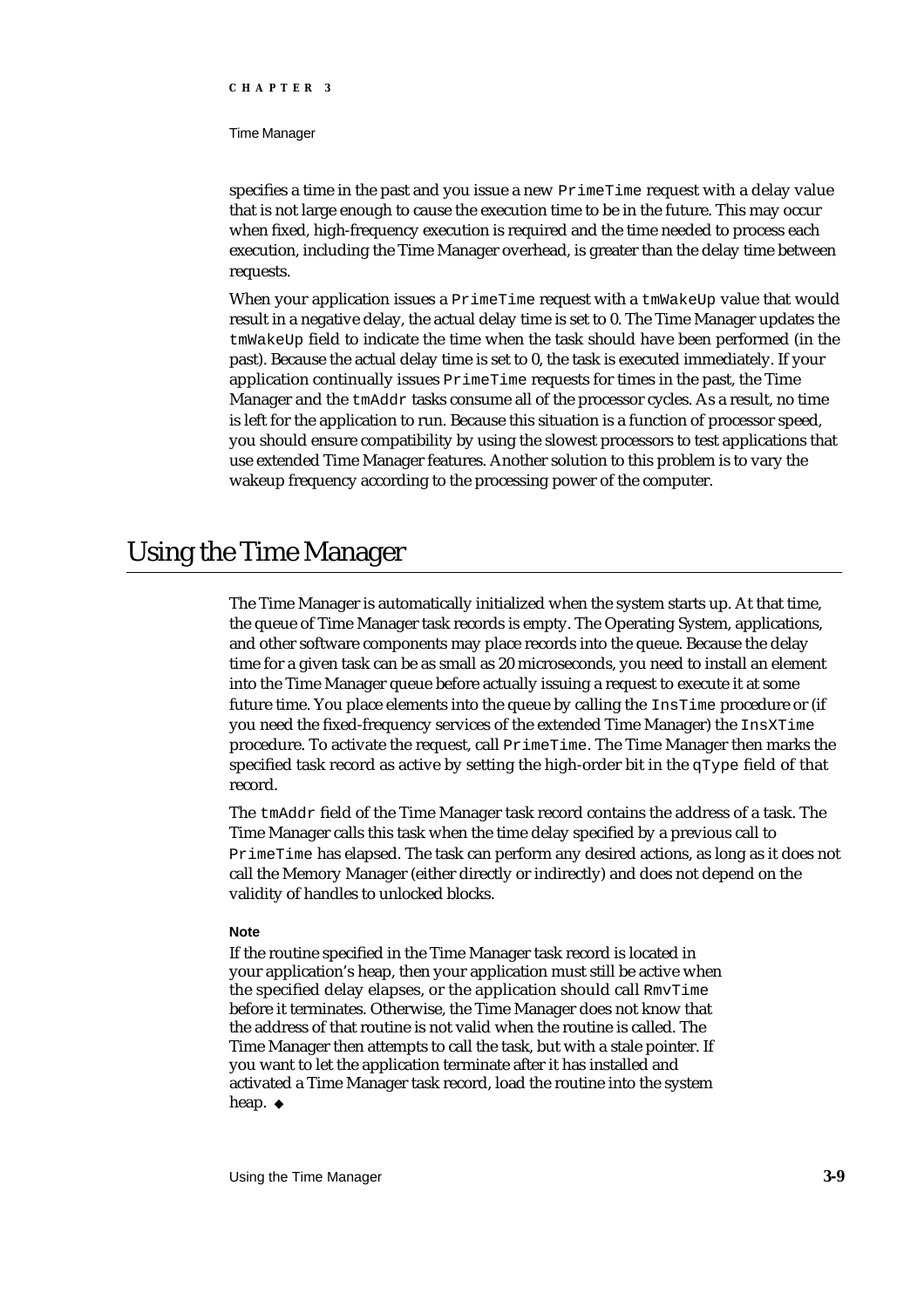#### Time Manager

specifies a time in the past and you issue a new PrimeTime request with a delay value that is not large enough to cause the execution time to be in the future. This may occur when fixed, high-frequency execution is required and the time needed to process each execution, including the Time Manager overhead, is greater than the delay time between requests.

When your application issues a  $Prim$ e $Time$  request with a  $tm$ WakeUp value that would result in a negative delay, the actual delay time is set to 0. The Time Manager updates the tmWakeUp field to indicate the time when the task should have been performed (in the past). Because the actual delay time is set to 0, the task is executed immediately. If your application continually issues PrimeTime requests for times in the past, the Time Manager and the tmAddr tasks consume all of the processor cycles. As a result, no time is left for the application to run. Because this situation is a function of processor speed, you should ensure compatibility by using the slowest processors to test applications that use extended Time Manager features. Another solution to this problem is to vary the wakeup frequency according to the processing power of the computer.

# Using the Time Manager

The Time Manager is automatically initialized when the system starts up. At that time, the queue of Time Manager task records is empty. The Operating System, applications, and other software components may place records into the queue. Because the delay time for a given task can be as small as 20 microseconds, you need to install an element into the Time Manager queue before actually issuing a request to execute it at some future time. You place elements into the queue by calling the InsTime procedure or (if you need the fixed-frequency services of the extended Time Manager) the InsXTime procedure. To activate the request, call PrimeTime. The Time Manager then marks the specified task record as active by setting the high-order bit in the  $qType$  field of that record.

The tmAddr field of the Time Manager task record contains the address of a task. The Time Manager calls this task when the time delay specified by a previous call to PrimeTime has elapsed. The task can perform any desired actions, as long as it does not call the Memory Manager (either directly or indirectly) and does not depend on the validity of handles to unlocked blocks.

## **Note**

If the routine specified in the Time Manager task record is located in your application's heap, then your application must still be active when the specified delay elapses, or the application should call RmvTime before it terminates. Otherwise, the Time Manager does not know that the address of that routine is not valid when the routine is called. The Time Manager then attempts to call the task, but with a stale pointer. If you want to let the application terminate after it has installed and activated a Time Manager task record, load the routine into the system heap. u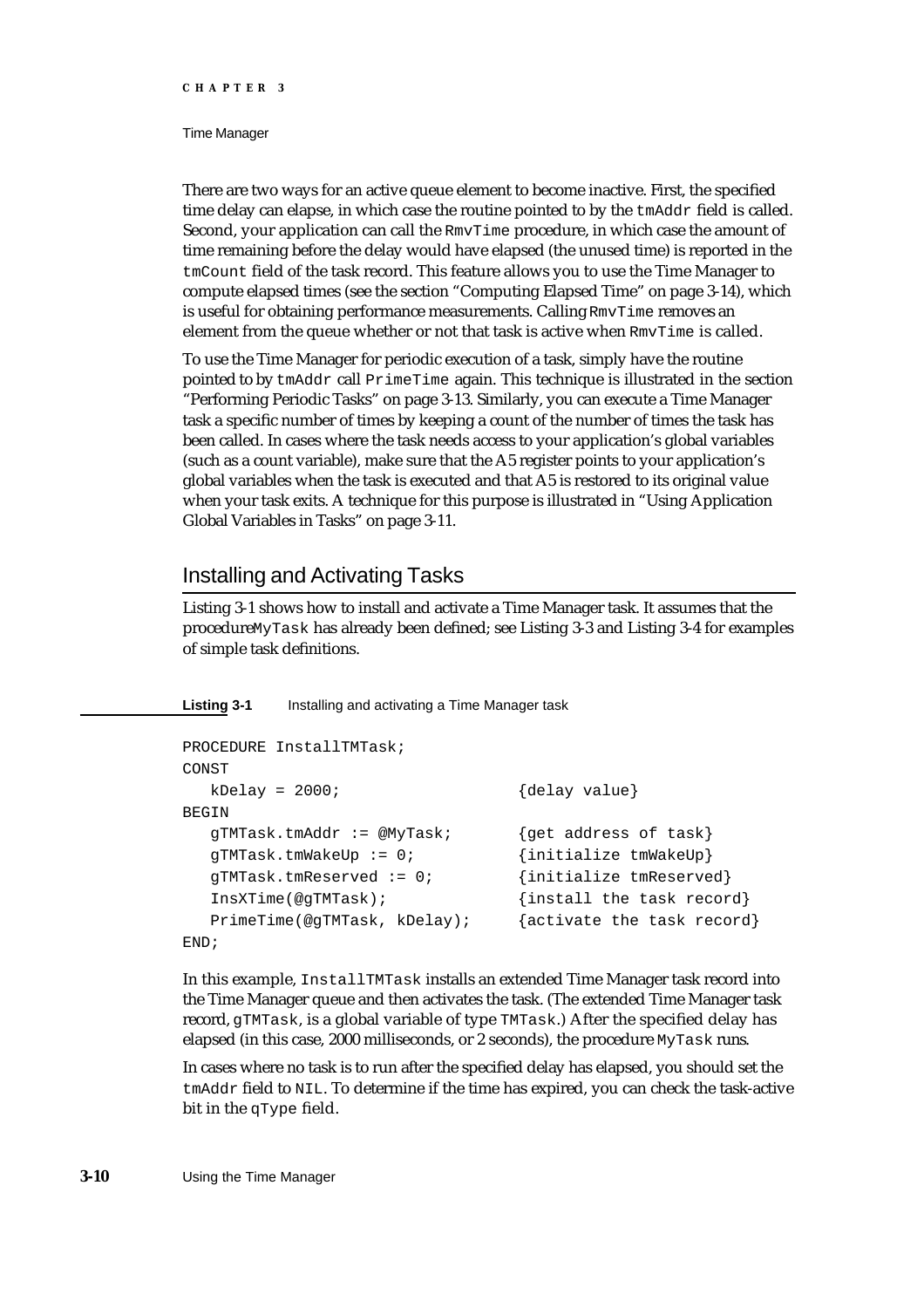#### Time Manager

There are two ways for an active queue element to become inactive. First, the specified time delay can elapse, in which case the routine pointed to by the  $t$ mAdd $r$  field is called. Second, your application can call the RmvTime procedure, in which case the amount of time remaining before the delay would have elapsed (the unused time) is reported in the tmCount field of the task record. This feature allows you to use the Time Manager to compute elapsed times (see the section "Computing Elapsed Time" on page 3-14), which is useful for obtaining performance measurements. Calling RmvTime removes an element from the queue whether or not that task is active when RmvTime is called.

To use the Time Manager for periodic execution of a task, simply have the routine pointed to by tmAddr call PrimeTime again. This technique is illustrated in the section "Performing Periodic Tasks" on page 3-13. Similarly, you can execute a Time Manager task a specific number of times by keeping a count of the number of times the task has been called. In cases where the task needs access to your application's global variables (such as a count variable), make sure that the A5 register points to your application's global variables when the task is executed and that A5 is restored to its original value when your task exits. A technique for this purpose is illustrated in "Using Application Global Variables in Tasks" on page 3-11.

# Installing and Activating Tasks

Listing 3-1 shows how to install and activate a Time Manager task. It assumes that the procedure MyTask has already been defined; see Listing 3-3 and Listing 3-4 for examples of simple task definitions.

**Listing 3-1** Installing and activating a Time Manager task

```
PROCEDURE InstallTMTask;
CONST
  kDelay = 2000; {delay value}
BEGIN
  gTMTask.tmAddr := @MyTask; {get address of task}
  gTMTask.tmWakeUp := 0; {initialize tmWakeUp}
  gTMTask.tmReserved := 0; {initialize tmReserved}
  InsXTime(@gTMTask); {install the task record}
  PrimeTime(@gTMTask, kDelay); {activate the task record}
END;
```
In this example, InstallTMTask installs an extended Time Manager task record into the Time Manager queue and then activates the task. (The extended Time Manager task record, gTMTask, is a global variable of type TMTask.) After the specified delay has elapsed (in this case, 2000 milliseconds, or 2 seconds), the procedure MyTask runs.

In cases where no task is to run after the specified delay has elapsed, you should set the tmAddr field to NIL. To determine if the time has expired, you can check the task-active bit in the qType field.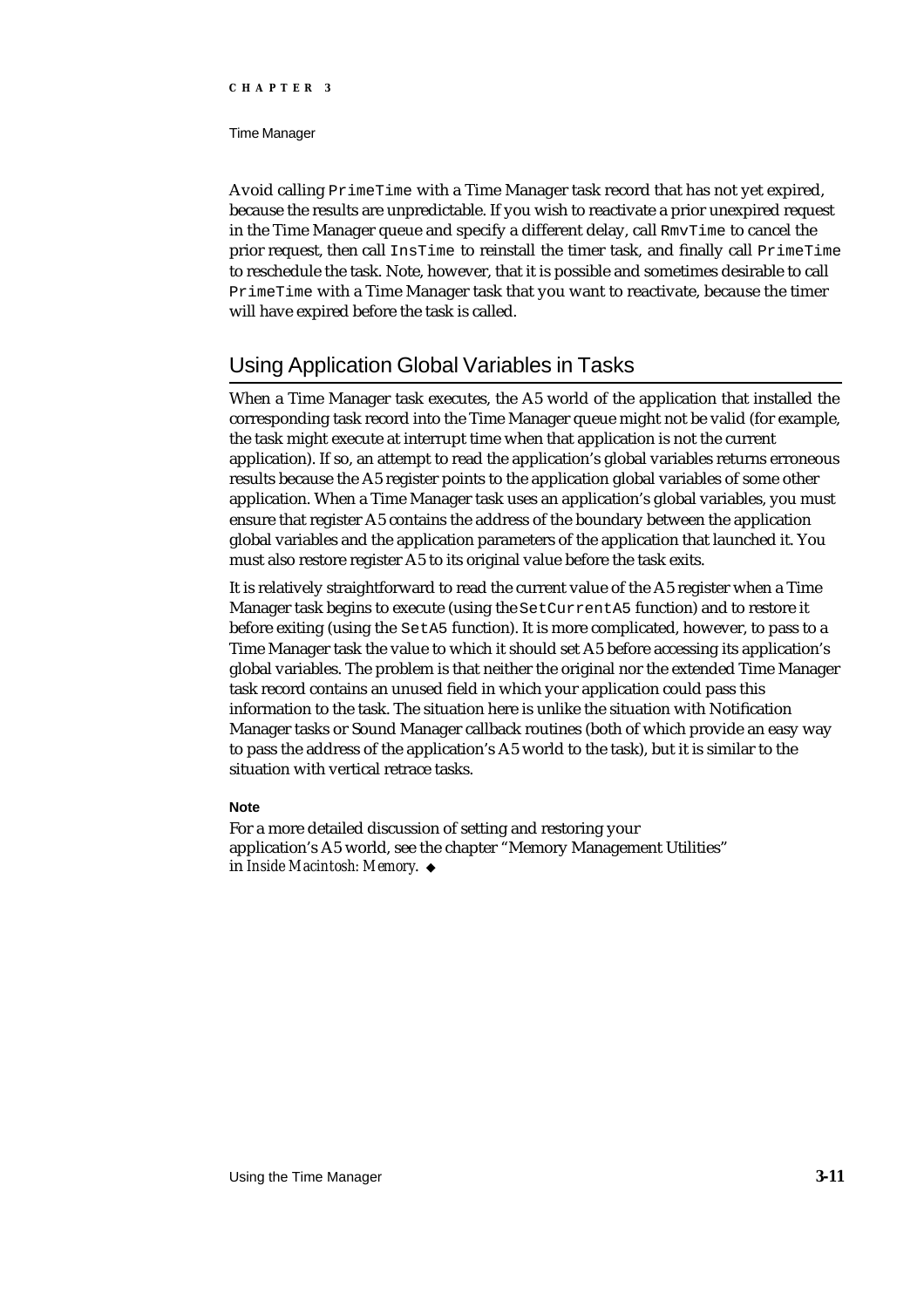#### Time Manager

Avoid calling PrimeTime with a Time Manager task record that has not yet expired, because the results are unpredictable. If you wish to reactivate a prior unexpired request in the Time Manager queue and specify a different delay, call RmvTime to cancel the prior request, then call InsTime to reinstall the timer task, and finally call PrimeTime to reschedule the task. Note, however, that it is possible and sometimes desirable to call PrimeTime with a Time Manager task that you want to reactivate, because the timer will have expired before the task is called.

# Using Application Global Variables in Tasks

When a Time Manager task executes, the A5 world of the application that installed the corresponding task record into the Time Manager queue might not be valid (for example, the task might execute at interrupt time when that application is not the current application). If so, an attempt to read the application's global variables returns erroneous results because the A5 register points to the application global variables of some other application. When a Time Manager task uses an application's global variables, you must ensure that register A5 contains the address of the boundary between the application global variables and the application parameters of the application that launched it. You must also restore register A5 to its original value before the task exits.

It is relatively straightforward to read the current value of the A5 register when a Time Manager task begins to execute (using the SetCurrentA5 function) and to restore it before exiting (using the SetA5 function). It is more complicated, however, to pass to a Time Manager task the value to which it should set A5 before accessing its application's global variables. The problem is that neither the original nor the extended Time Manager task record contains an unused field in which your application could pass this information to the task. The situation here is unlike the situation with Notification Manager tasks or Sound Manager callback routines (both of which provide an easy way to pass the address of the application's A5 world to the task), but it is similar to the situation with vertical retrace tasks.

## **Note**

For a more detailed discussion of setting and restoring your application's A5 world, see the chapter "Memory Management Utilities" in *Inside Macintosh: Memory*.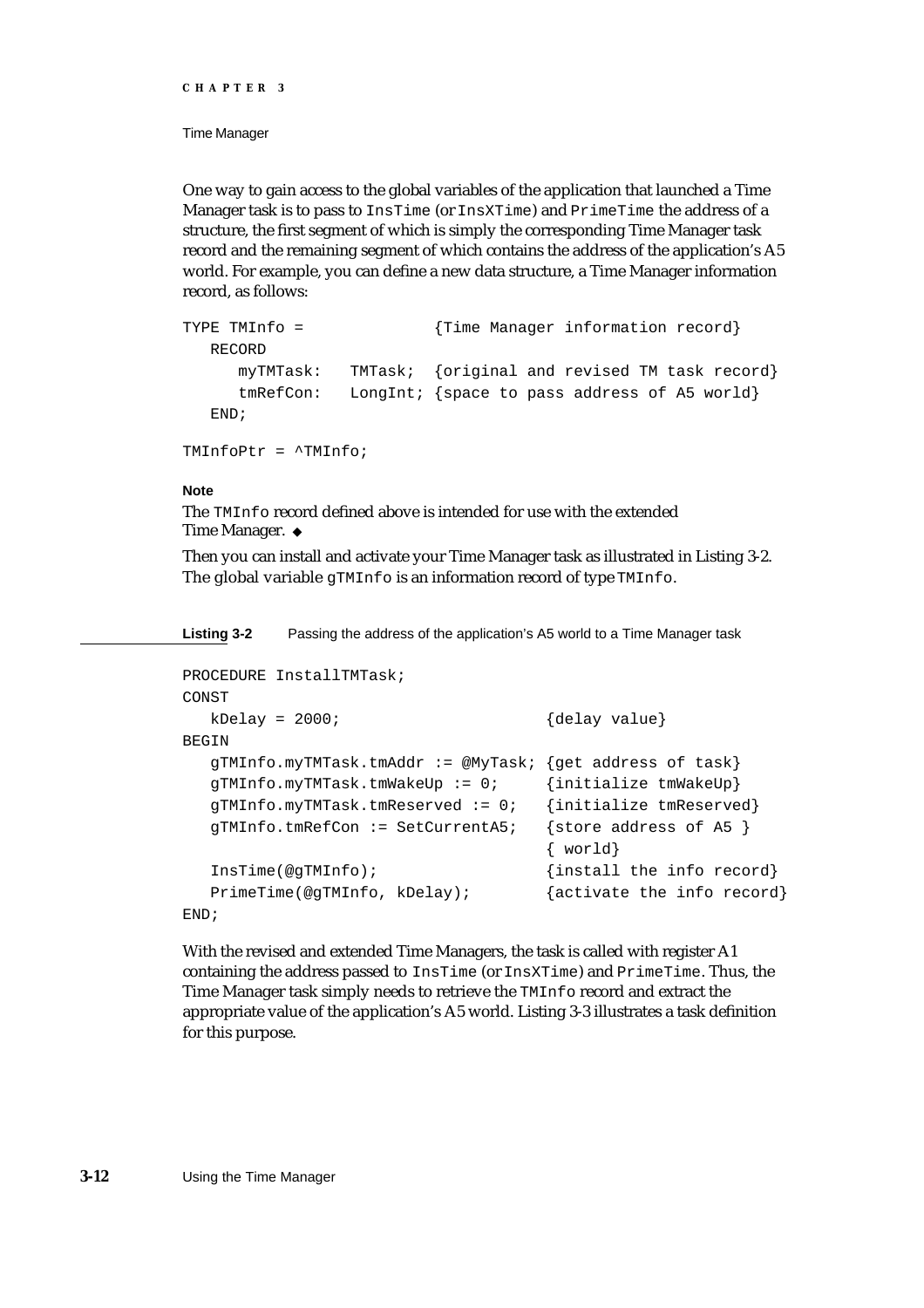### Time Manager

One way to gain access to the global variables of the application that launched a Time Manager task is to pass to InsTime (or InsXTime) and PrimeTime the address of a structure, the first segment of which is simply the corresponding Time Manager task record and the remaining segment of which contains the address of the application's A5 world. For example, you can define a new data structure, a Time Manager information record, as follows:

```
TYPE TMInfo = {Time Manager information record}
  RECORD
     myTMTask: TMTask; {original and revised TM task record}
     tmRefCon: LongInt; {space to pass address of A5 world}
  END;
```
TMInfoPtr = ^TMInfo;

# **Note**

The TMInfo record defined above is intended for use with the extended Time Manager. u

Then you can install and activate your Time Manager task as illustrated in Listing 3-2. The global variable gTMInfo is an information record of type TMInfo.

**Listing 3-2** Passing the address of the application's A5 world to a Time Manager task

```
PROCEDURE InstallTMTask;
CONST
  kDelay = 2000; {delay value}
BEGIN
  gTMInfo.myTMTask.tmAddr := @MyTask; {get address of task}
  gTMInfo.myTMTask.tmWakeUp := 0; {initialize tmWakeUp}
  gTMInfo.myTMTask.tmReserved := 0; {initialize tmReserved}
  gTMInfo.tmRefCon := SetCurrentA5; {store address of A5 }
                                   { world}
  InsTime(@gTMInfo); {install the info record}
  PrimeTime(@gTMInfo, kDelay); {activate the info record}
END;
```
With the revised and extended Time Managers, the task is called with register A1 containing the address passed to InsTime (or InsXTime) and PrimeTime. Thus, the Time Manager task simply needs to retrieve the TMInfo record and extract the appropriate value of the application's A5 world. Listing 3-3 illustrates a task definition for this purpose.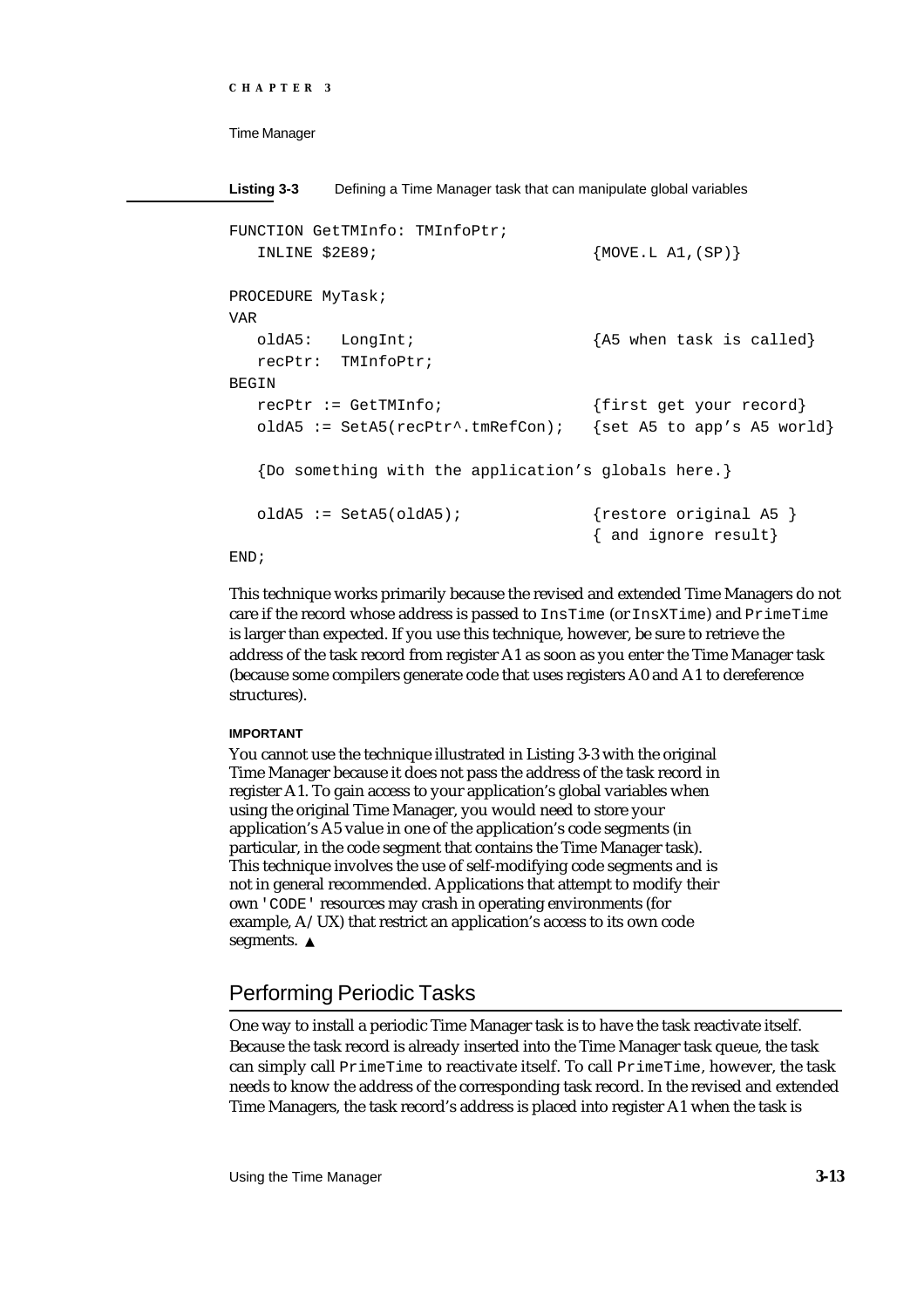```
CHAPTER 3
```
**Listing 3-3** Defining a Time Manager task that can manipulate global variables FUNCTION GetTMInfo: TMInfoPtr; INLINE \$2E89; {MOVE.L A1,(SP)} PROCEDURE MyTask; VAR oldA5: LongInt; {A5 when task is called} recPtr: TMInfoPtr; BEGIN recPtr := GetTMInfo; {first get your record} oldA5 := SetA5(recPtr^.tmRefCon); {set A5 to app's A5 world} {Do something with the application's globals here.} oldA5 := SetA5(oldA5); {restore original A5 } { and ignore result}

# END;

This technique works primarily because the revised and extended Time Managers do not care if the record whose address is passed to InsTime (or InsXTime) and PrimeTime is larger than expected. If you use this technique, however, be sure to retrieve the address of the task record from register A1 as soon as you enter the Time Manager task (because some compilers generate code that uses registers A0 and A1 to dereference structures).

## **IMPORTANT**

You cannot use the technique illustrated in Listing 3-3 with the original Time Manager because it does not pass the address of the task record in register A1. To gain access to your application's global variables when using the original Time Manager, you would need to store your application's A5 value in one of the application's code segments (in particular, in the code segment that contains the Time Manager task). This technique involves the use of self-modifying code segments and is not in general recommended. Applications that attempt to modify their own 'CODE' resources may crash in operating environments (for example, A/UX) that restrict an application's access to its own code segments. s

# Performing Periodic Tasks

One way to install a periodic Time Manager task is to have the task reactivate itself. Because the task record is already inserted into the Time Manager task queue, the task can simply call PrimeTime to reactivate itself. To call PrimeTime, however, the task needs to know the address of the corresponding task record. In the revised and extended Time Managers, the task record's address is placed into register A1 when the task is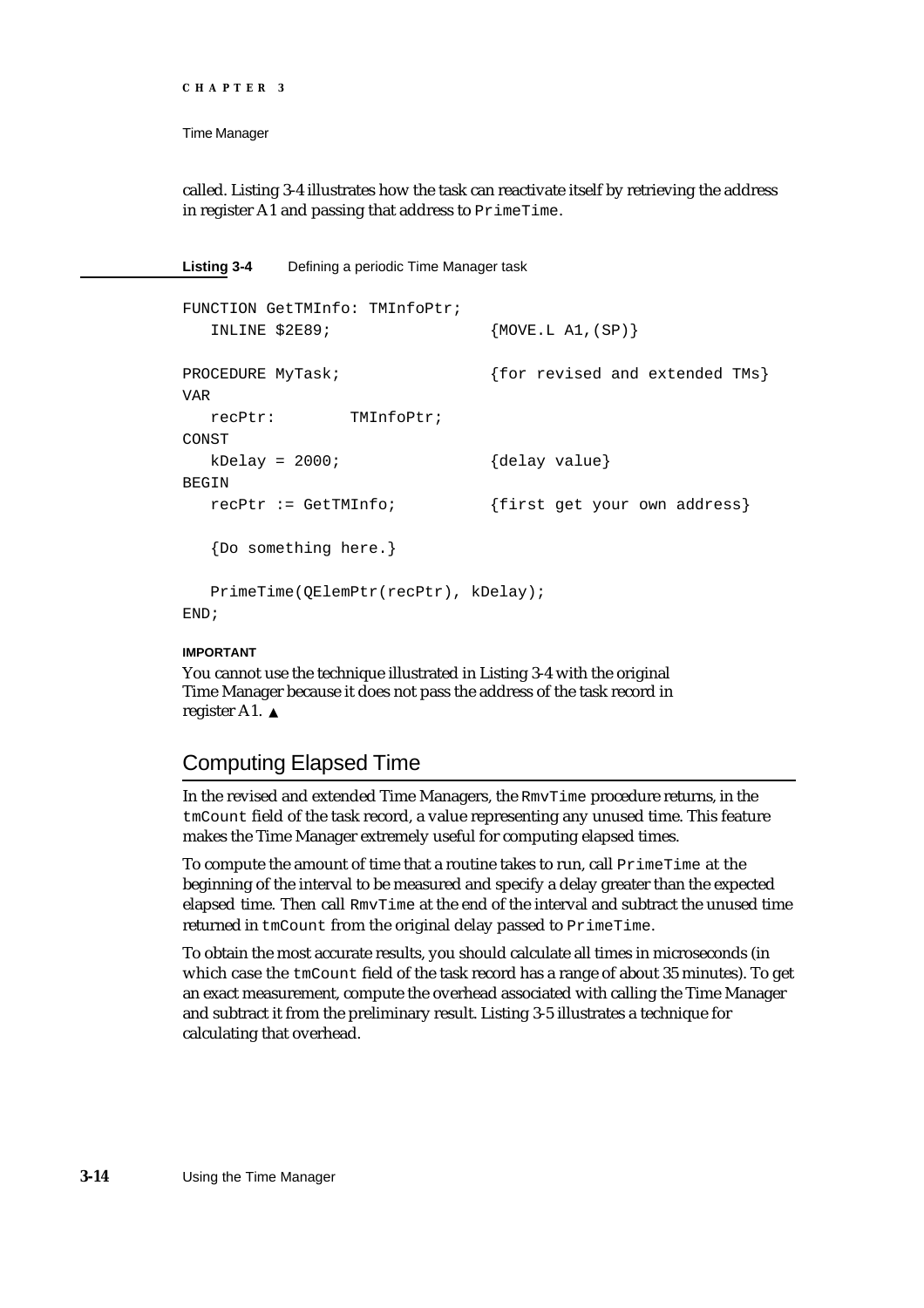```
CHAPTER 3
```

```
called. Listing 3-4 illustrates how the task can reactivate itself by retrieving the address 
in register A1 and passing that address to PrimeTime.
```
**Listing 3-4** Defining a periodic Time Manager task

```
FUNCTION GetTMInfo: TMInfoPtr;
  INLINE $2E89; {Mover.L A1,(SP)}PROCEDURE MyTask; {for> revised and extended TMs}
VAR
  recPtr: TMInfoPtr;
CONST
  kDelay = 2000; {delay value}
BEGIN
  recPtr := GetTMInfo; {first get your own address}
  {Do something here.}
  PrimeTime(QElemPtr(recPtr), kDelay);
END;
```
# **IMPORTANT**

You cannot use the technique illustrated in Listing 3-4 with the original Time Manager because it does not pass the address of the task record in register A1.

# Computing Elapsed Time

In the revised and extended Time Managers, the RmvTime procedure returns, in the tmCount field of the task record, a value representing any unused time. This feature makes the Time Manager extremely useful for computing elapsed times.

To compute the amount of time that a routine takes to run, call PrimeTime at the beginning of the interval to be measured and specify a delay greater than the expected elapsed time. Then call RmvTime at the end of the interval and subtract the unused time returned in tmCount from the original delay passed to PrimeTime.

To obtain the most accurate results, you should calculate all times in microseconds (in which case the tmCount field of the task record has a range of about 35 minutes). To get an exact measurement, compute the overhead associated with calling the Time Manager and subtract it from the preliminary result. Listing 3-5 illustrates a technique for calculating that overhead.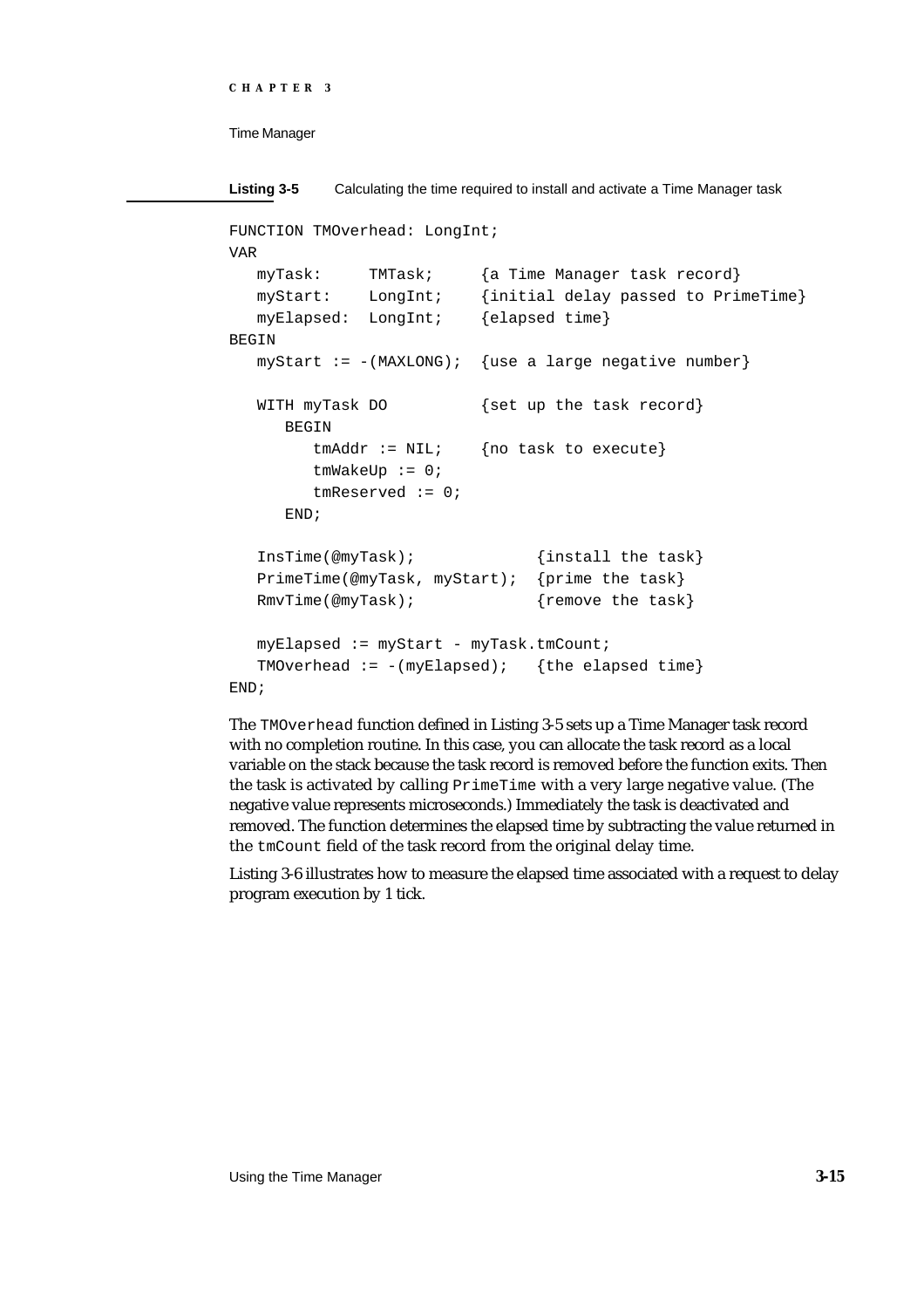```
CHAPTER 3
```

```
Listing 3-5 Calculating the time required to install and activate a Time Manager task
FUNCTION TMOverhead: LongInt;
VAR
  myTask: TMTask; {a Time Manager task record}
  myStart: LongInt; {initial delay passed to PrimeTime}
  myElapsed: LongInt; {elapsed time}
BEGIN
  myStart := -(MAXLONG); {use a large negative number}
  WITH myTask DO {set up the task record}
     BEGIN
        tmAddr := NULL; {no task to execute}
        tmWakeUp := 0;tmReserved := 0;
     END;
  InsTime(@myTask); {install the task}
  PrimeTime(@myTask, myStart); {prime the task}
  RmvTime(@myTask); {remove the task}
  myElapsed := myStart - myTask.timecount;TMOverhead := -(myElapsed); {the elapsed time}
END;
```
The TMOverhead function defined in Listing 3-5 sets up a Time Manager task record with no completion routine. In this case, you can allocate the task record as a local variable on the stack because the task record is removed before the function exits. Then the task is activated by calling PrimeTime with a very large negative value. (The negative value represents microseconds.) Immediately the task is deactivated and removed. The function determines the elapsed time by subtracting the value returned in the tmCount field of the task record from the original delay time.

Listing 3-6 illustrates how to measure the elapsed time associated with a request to delay program execution by 1 tick.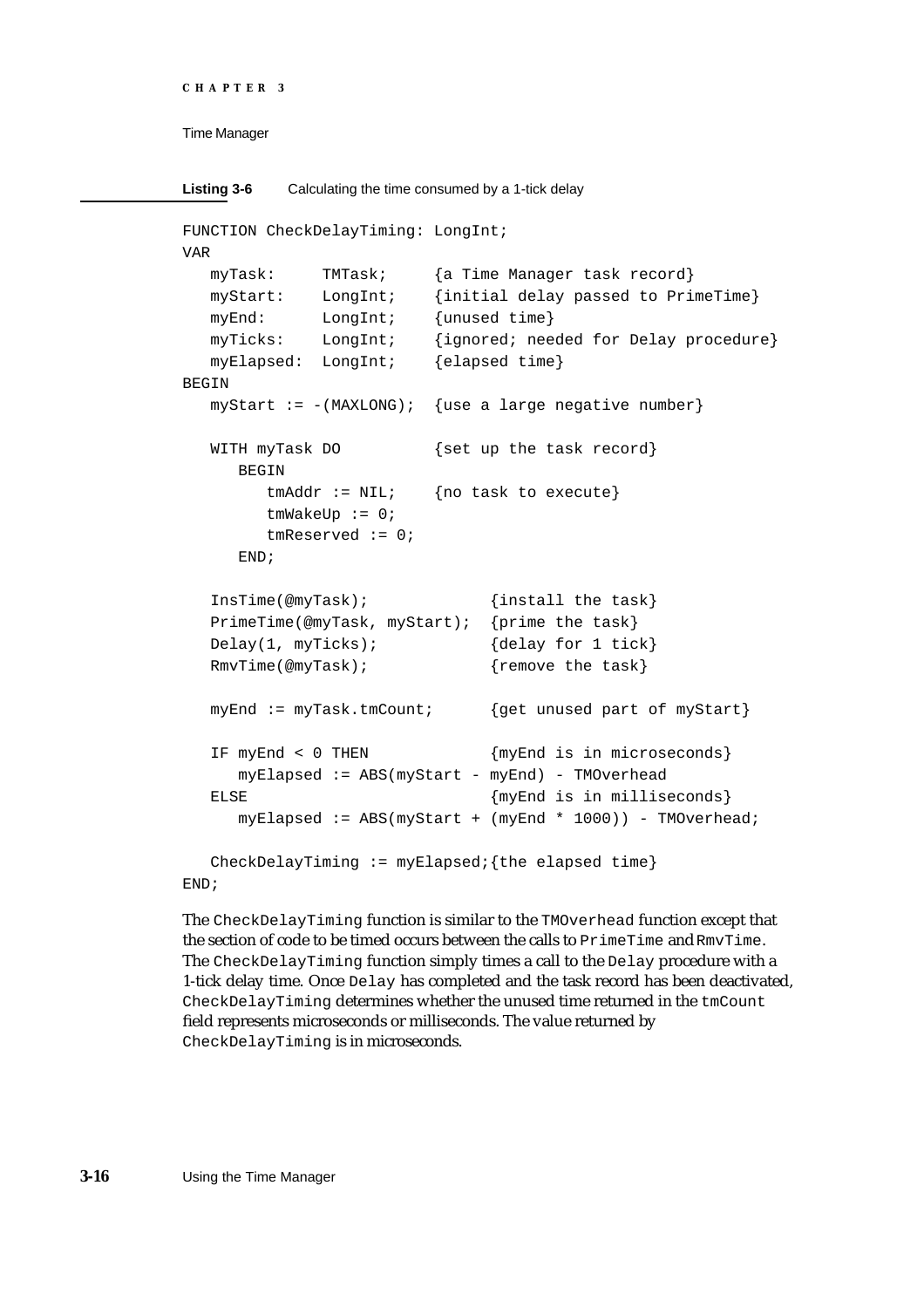```
CHAPTER 3
```

```
Listing 3-6 Calculating the time consumed by a 1-tick delay
FUNCTION CheckDelayTiming: LongInt;
VAR
  myTask: TMTask; {a Time Manager task record}
  myStart: LongInt; {initial delay passed to PrimeTime}
  myEnd: LongInt; {unused time}
  myTicks: LongInt; {ignored; needed for Delay procedure}
  myElapsed: LongInt; {elapsed time}
BEGIN
  myStart := -(MAXLONG); {use a large negative number}
  WITH myTask DO {set up the task record}
     BEGIN
        tmAddr := NIL; {no task to execute}
        tmWakeUp := 0;
        tmReserved := 0;
     END;
  InsTime(@myTask); {install the task}
  PrimeTime(@myTask, myStart); {prime the task}
  Delay(1, myTicks); {delay for 1 tick}
  RmvTime(@myTask); { {remove the task}
  myEnd := myTask.tmCount; {get unused part of myStart}
  IF myEnd < 0 THEN {myEnd is in microseconds}
     myElapped := ABS(myStart - myEnd) - TMOverheadELSE {myEnd is in milliseconds}
     myElapsed := ABS(myStart + (myEnd * 1000)) - TMOverhead;
  CheckDelayTiming := myElapsedi{the elapsed time}
```
END;

The CheckDelayTiming function is similar to the TMOverhead function except that the section of code to be timed occurs between the calls to PrimeTime and RmvTime. The CheckDelayTiming function simply times a call to the Delay procedure with a 1-tick delay time. Once Delay has completed and the task record has been deactivated, CheckDelayTiming determines whether the unused time returned in the tmCount field represents microseconds or milliseconds. The value returned by CheckDelayTiming is in microseconds.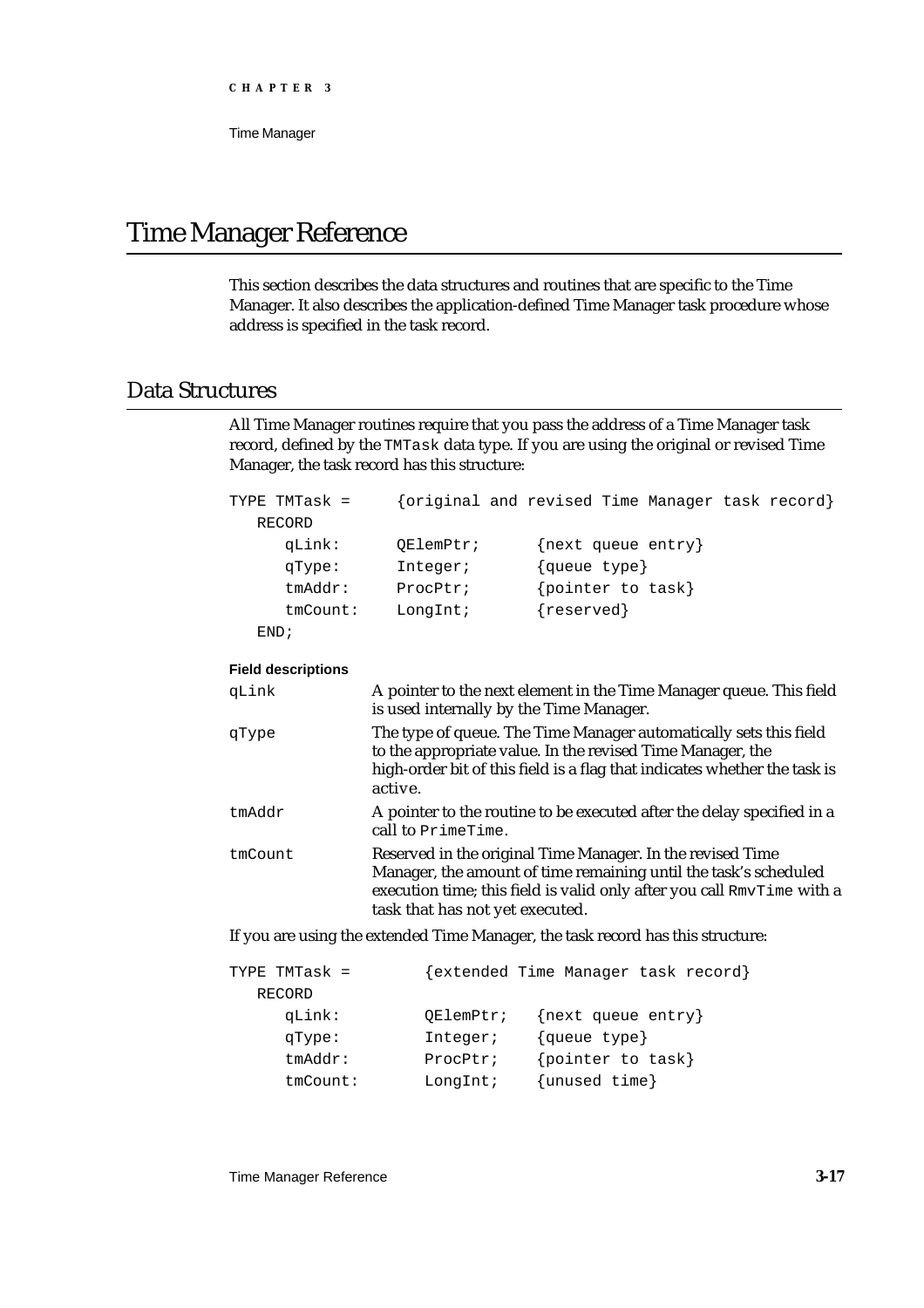Time Manager

# Time Manager Reference

This section describes the data structures and routines that are specific to the Time Manager. It also describes the application-defined Time Manager task procedure whose address is specified in the task record.

# Data Structures

All Time Manager routines require that you pass the address of a Time Manager task record, defined by the TMTask data type. If you are using the original or revised Time Manager, the task record has this structure:

| TYPE TMTask =  |           | {original and revised Time Manager task record} |
|----------------|-----------|-------------------------------------------------|
| RECORD         |           |                                                 |
| qLink:         | OElemPtr; | $\{next$ queue entry                            |
| qType:         | Integer;  | {queue type}                                    |
| $t$ m $Addr$ : | ProcPtr;  | pointer to task}                                |
| $t$ m $Count:$ | LongInt;  | ${reserved}$                                    |
| END:           |           |                                                 |
|                |           |                                                 |

# **Field descriptions**

| qLink   | A pointer to the next element in the Time Manager queue. This field<br>is used internally by the Time Manager.                                                                                                                              |
|---------|---------------------------------------------------------------------------------------------------------------------------------------------------------------------------------------------------------------------------------------------|
| qType   | The type of queue. The Time Manager automatically sets this field<br>to the appropriate value. In the revised Time Manager, the<br>high-order bit of this field is a flag that indicates whether the task is<br>active.                     |
| tmAddr  | A pointer to the routine to be executed after the delay specified in a<br>call to PrimeTime.                                                                                                                                                |
| tmCount | Reserved in the original Time Manager. In the revised Time<br>Manager, the amount of time remaining until the task's scheduled<br>execution time; this field is valid only after you call RmvTime with a<br>task that has not yet executed. |

If you are using the extended Time Manager, the task record has this structure:

| TYPE TMTask =  |           | extended Time Manager task record} |
|----------------|-----------|------------------------------------|
| RECORD         |           |                                    |
| qLink:         | OElemPtr; | $\{next$ queue entry               |
| qType:         | Integer;  | {queue type}                       |
| $t$ m $Addr$ : | ProcPtr;  | {pointer to task}                  |
| $t$ m $Count:$ | LongInt;  | ${unused time}$                    |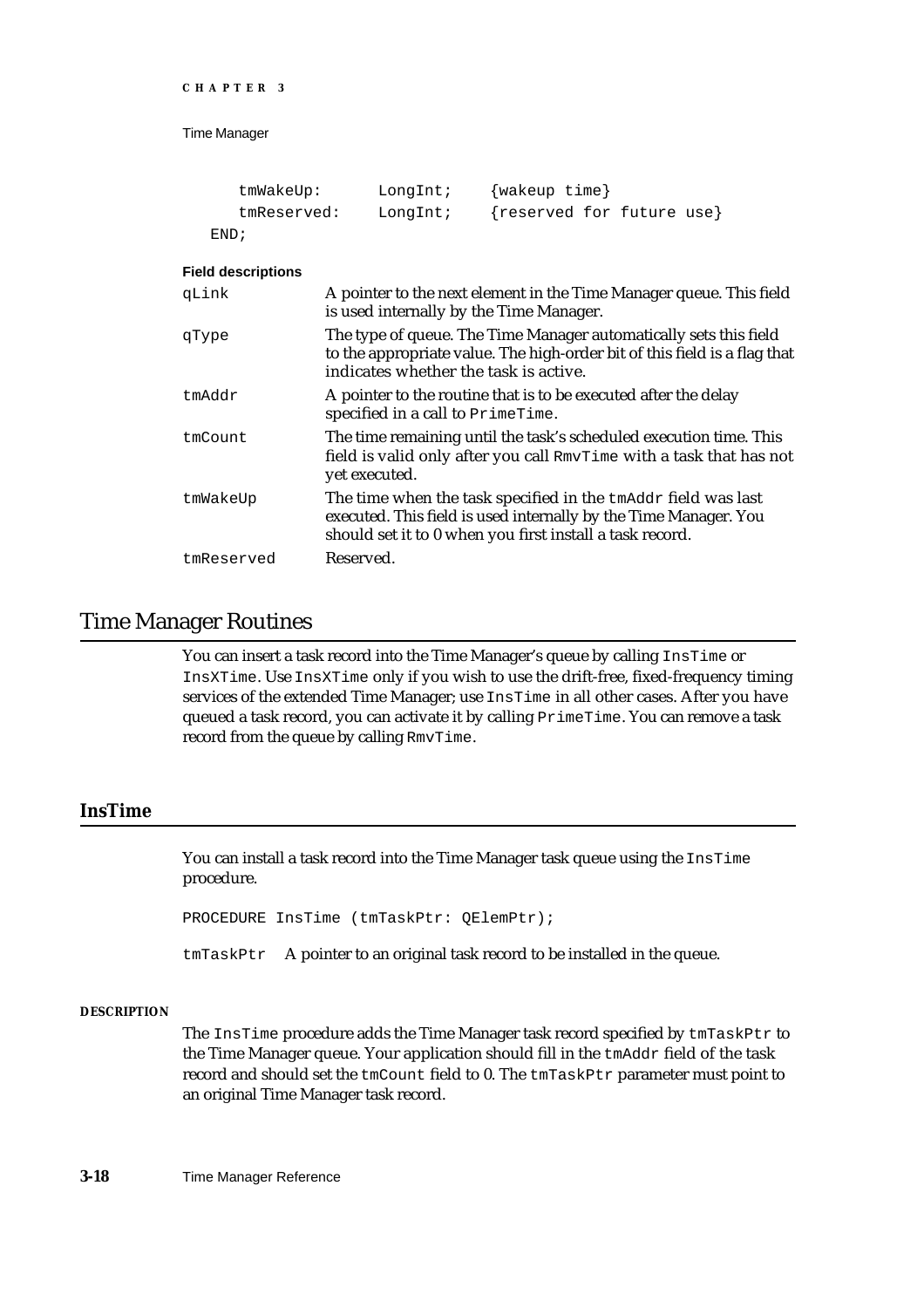```
CHAPTER 3
```

| tmWakeUp:   | LongInt; | {wakeup time}             |
|-------------|----------|---------------------------|
| tmReserved: | LongInt; | {reserved for future use} |
| END;        |          |                           |

## **Field descriptions**

| qLink      | A pointer to the next element in the Time Manager queue. This field<br>is used internally by the Time Manager.                                                                                |
|------------|-----------------------------------------------------------------------------------------------------------------------------------------------------------------------------------------------|
| qType      | The type of queue. The Time Manager automatically sets this field<br>to the appropriate value. The high-order bit of this field is a flag that<br>indicates whether the task is active.       |
| tmAddr     | A pointer to the routine that is to be executed after the delay<br>specified in a call to PrimeTime.                                                                                          |
| tmCount    | The time remaining until the task's scheduled execution time. This<br>field is valid only after you call RmvTime with a task that has not<br>yet executed.                                    |
| tmWakeUp   | The time when the task specified in the tmAddr field was last<br>executed. This field is used internally by the Time Manager. You<br>should set it to 0 when you first install a task record. |
| tmReserved | Reserved.                                                                                                                                                                                     |

# Time Manager Routines

You can insert a task record into the Time Manager's queue by calling InsTime or InsXTime. Use InsXTime only if you wish to use the drift-free, fixed-frequency timing services of the extended Time Manager; use InsTime in all other cases. After you have queued a task record, you can activate it by calling PrimeTime. You can remove a task record from the queue by calling RmvTime.

# **InsTime**

You can install a task record into the Time Manager task queue using the InsTime procedure.

PROCEDURE InsTime (tmTaskPtr: QElemPtr);

tmTaskPtr A pointer to an original task record to be installed in the queue.

## **DESCRIPTION**

The InsTime procedure adds the Time Manager task record specified by  $tmTaskPtr$  to the Time Manager queue. Your application should fill in the tmAddr field of the task record and should set the tmCount field to 0. The tmTaskPtr parameter must point to an original Time Manager task record.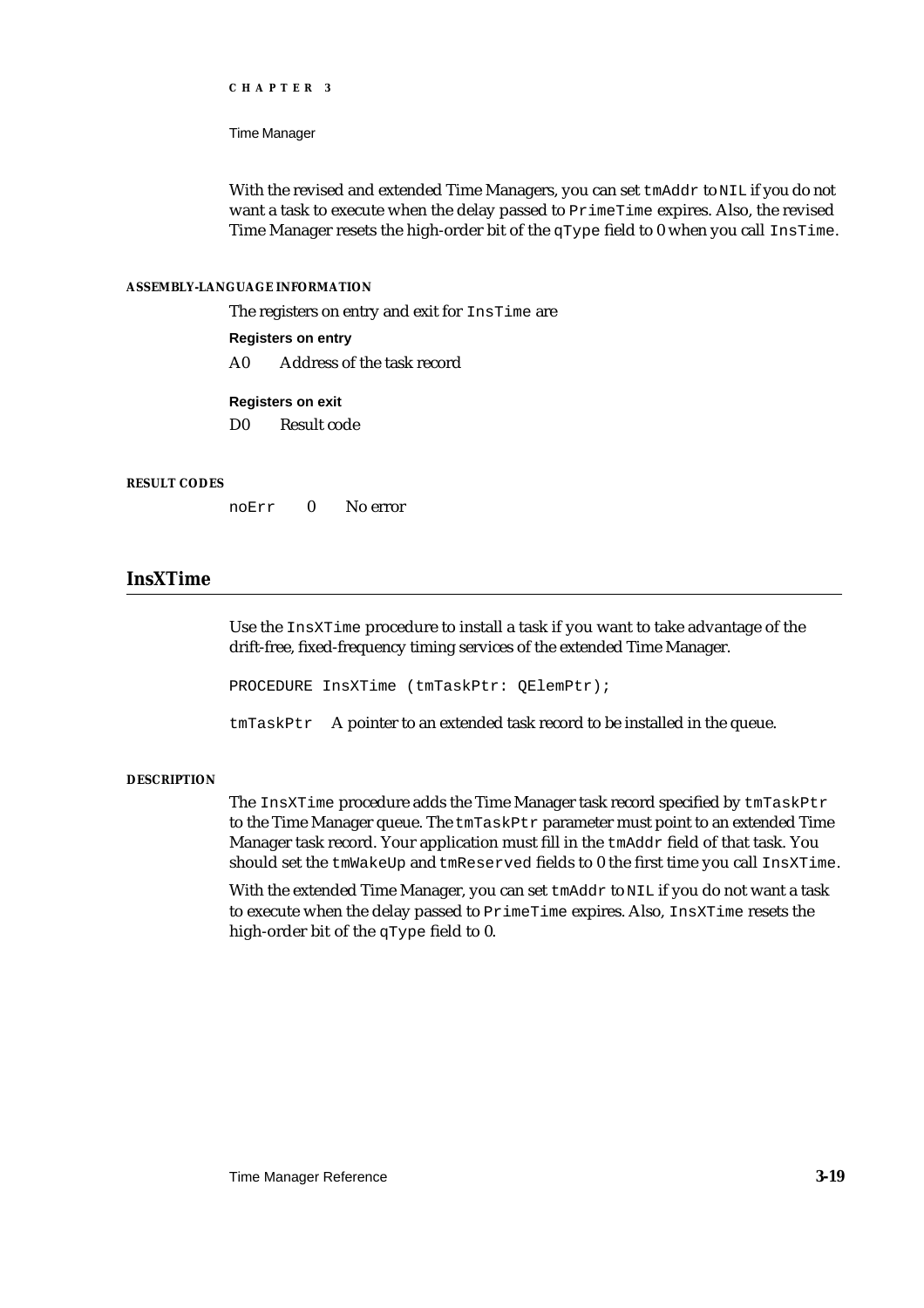Time Manager

With the revised and extended Time Managers, you can set tmAddr to NIL if you do not want a task to execute when the delay passed to PrimeTime expires. Also, the revised Time Manager resets the high-order bit of the  $qType$  field to 0 when you call InsTime.

## **ASSEMBLY-LANGUAGE INFORMATION**

The registers on entry and exit for InsTime are

# **Registers on entry**

A0 Address of the task record

# **Registers on exit**

D0 Result code

## **RESULT CODES**

noErr 0 No error

# **InsXTime**

Use the InsXTime procedure to install a task if you want to take advantage of the drift-free, fixed-frequency timing services of the extended Time Manager.

PROCEDURE InsXTime (tmTaskPtr: QElemPtr);

tmTaskPtr A pointer to an extended task record to be installed in the queue.

## **DESCRIPTION**

The InsXTime procedure adds the Time Manager task record specified by tmTaskPtr to the Time Manager queue. The tmTaskPtr parameter must point to an extended Time Manager task record. Your application must fill in the tmAddr field of that task. You should set the tmWakeUp and tmReserved fields to 0 the first time you call InsXTime.

With the extended Time Manager, you can set tmAddr to NIL if you do not want a task to execute when the delay passed to PrimeTime expires. Also, InsXTime resets the high-order bit of the qType field to 0.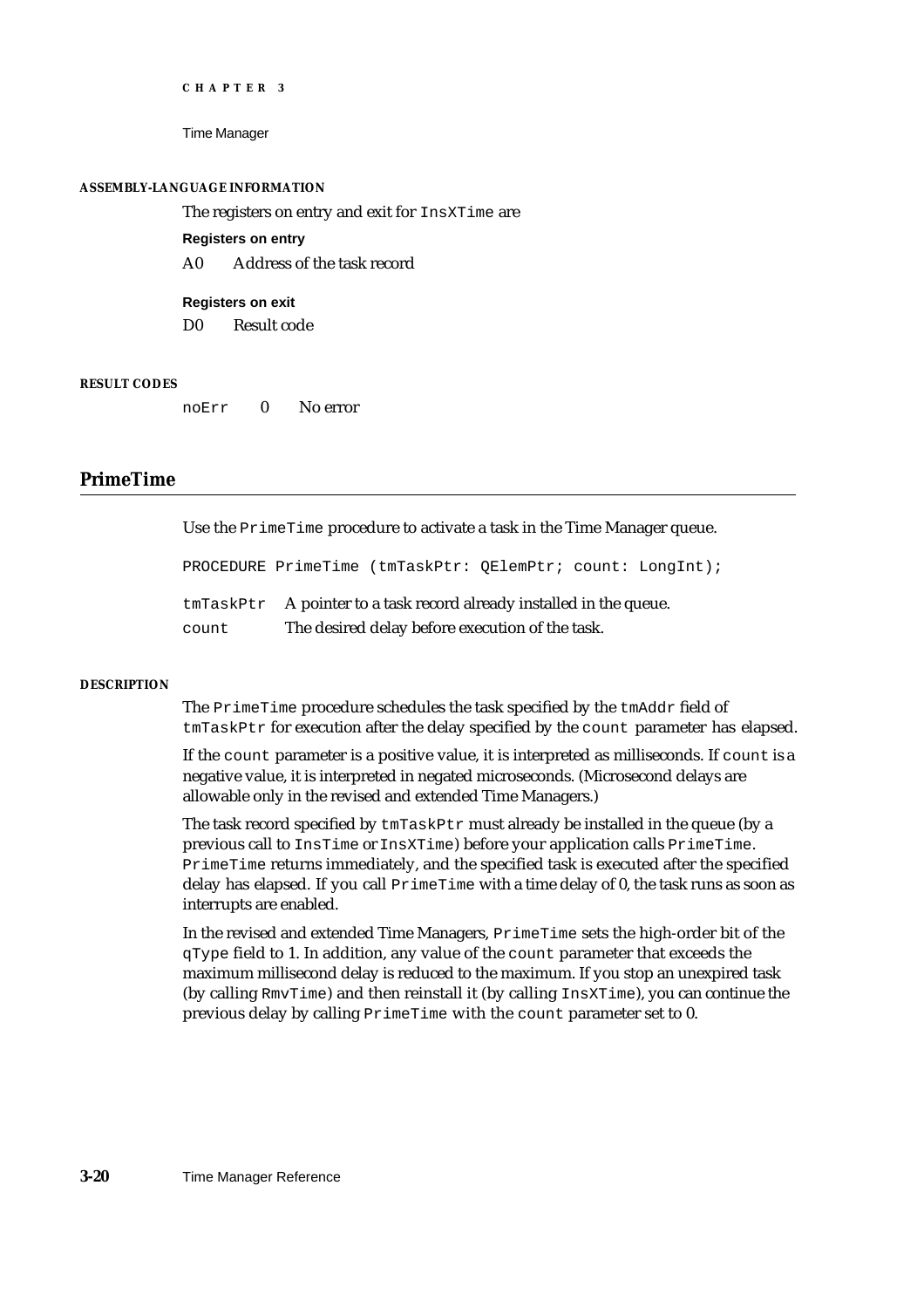Time Manager

#### **ASSEMBLY-LANGUAGE INFORMATION**

The registers on entry and exit for InsXTime are

**Registers on entry**

A0 Address of the task record

**Registers on exit** D0 Result code

## **RESULT CODES**

noErr 0 No error

# **PrimeTime**

Use the PrimeTime procedure to activate a task in the Time Manager queue.

PROCEDURE PrimeTime (tmTaskPtr: QElemPtr; count: LongInt);

|       | $tmTaskPtx$ A pointer to a task record already installed in the queue. |
|-------|------------------------------------------------------------------------|
| count | The desired delay before execution of the task.                        |

#### **DESCRIPTION**

The PrimeTime procedure schedules the task specified by the tmAddr field of tmTaskPtr for execution after the delay specified by the count parameter has elapsed.

If the count parameter is a positive value, it is interpreted as milliseconds. If count is a negative value, it is interpreted in negated microseconds. (Microsecond delays are allowable only in the revised and extended Time Managers.)

The task record specified by  $t$ mTaskP $t$ r must already be installed in the queue (by a previous call to InsTime or InsXTime) before your application calls PrimeTime. PrimeTime returns immediately, and the specified task is executed after the specified delay has elapsed. If you call PrimeTime with a time delay of 0, the task runs as soon as interrupts are enabled.

In the revised and extended Time Managers, PrimeTime sets the high-order bit of the qType field to 1. In addition, any value of the count parameter that exceeds the maximum millisecond delay is reduced to the maximum. If you stop an unexpired task (by calling RmvTime) and then reinstall it (by calling InsXTime), you can continue the previous delay by calling PrimeTime with the count parameter set to 0.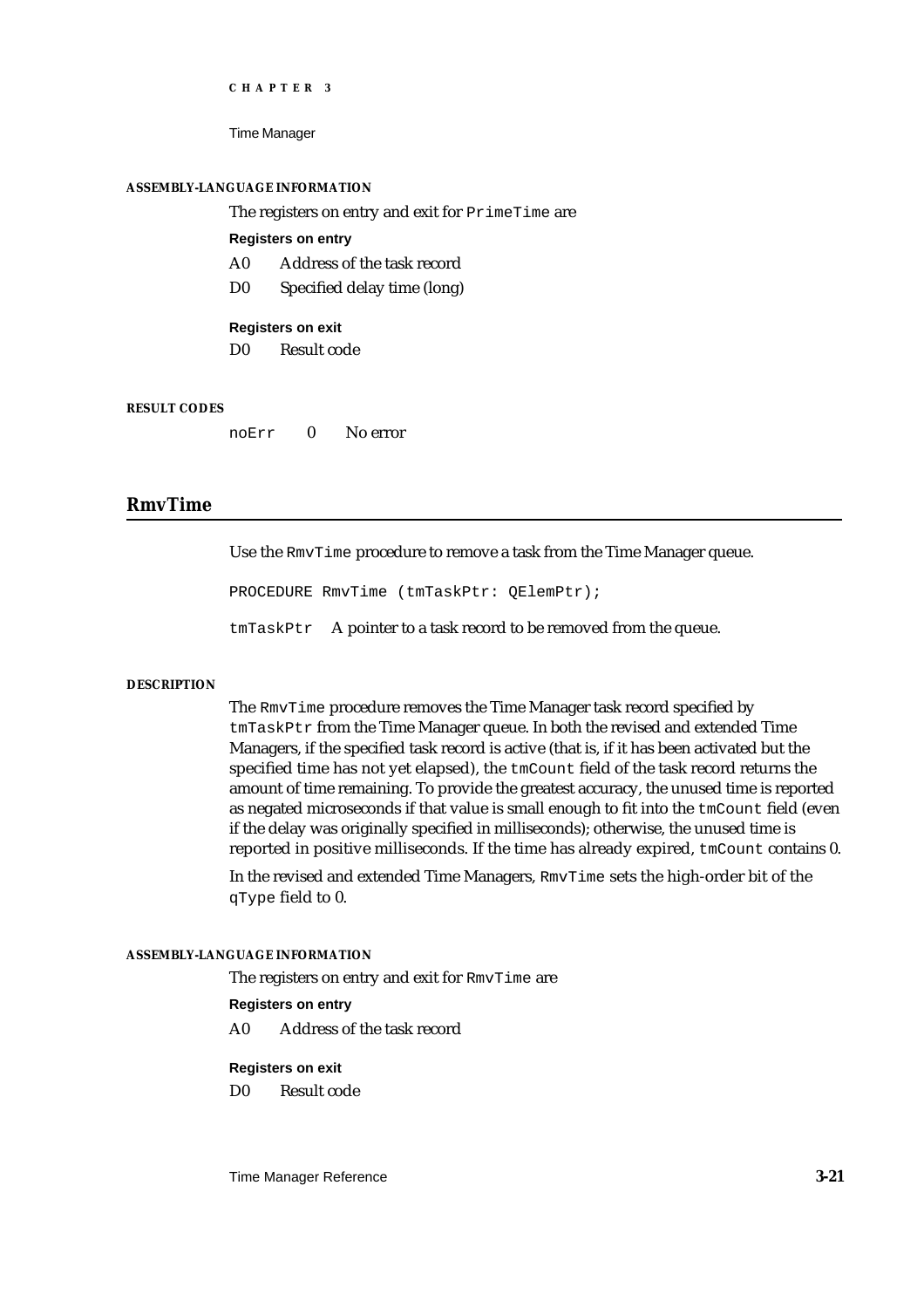Time Manager

#### **ASSEMBLY-LANGUAGE INFORMATION**

The registers on entry and exit for PrimeTime are

## **Registers on entry**

- A0 Address of the task record
- D0 Specified delay time (long)

#### **Registers on exit**

D0 Result code

#### **RESULT CODES**

noErr 0 No error

# **RmvTime**

Use the RmvTime procedure to remove a task from the Time Manager queue.

PROCEDURE RmvTime (tmTaskPtr: QElemPtr);

tmTaskPtr A pointer to a task record to be removed from the queue.

#### **DESCRIPTION**

The RmvTime procedure removes the Time Manager task record specified by tmTaskPtr from the Time Manager queue. In both the revised and extended Time Managers, if the specified task record is active (that is, if it has been activated but the specified time has not yet elapsed), the tmCount field of the task record returns the amount of time remaining. To provide the greatest accuracy, the unused time is reported as negated microseconds if that value is small enough to fit into the tmCount field (even if the delay was originally specified in milliseconds); otherwise, the unused time is reported in positive milliseconds. If the time has already expired, tmCount contains 0.

In the revised and extended Time Managers, RmvTime sets the high-order bit of the qType field to 0.

#### **ASSEMBLY-LANGUAGE INFORMATION**

The registers on entry and exit for RmvTime are

## **Registers on entry**

A0 Address of the task record

# **Registers on exit**

D0 Result code

Time Manager Reference **3-21**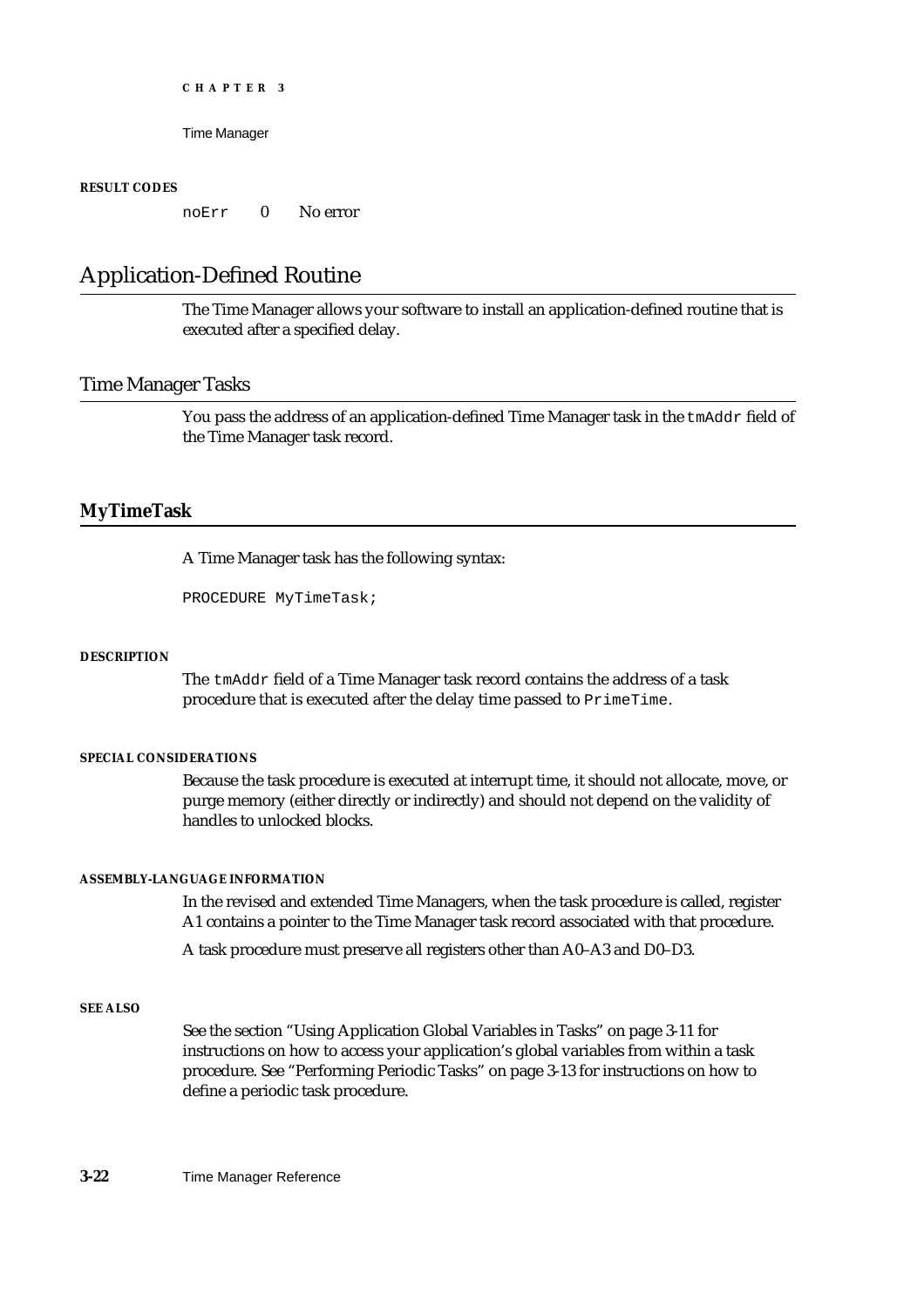Time Manager

## **RESULT CODES**

noErr 0 No error

# Application-Defined Routine

The Time Manager allows your software to install an application-defined routine that is executed after a specified delay.

# Time Manager Tasks

You pass the address of an application-defined Time Manager task in the tmAddr field of the Time Manager task record.

# **MyTimeTask**

A Time Manager task has the following syntax:

PROCEDURE MyTimeTask;

## **DESCRIPTION**

The tmAddr field of a Time Manager task record contains the address of a task procedure that is executed after the delay time passed to PrimeTime.

## **SPECIAL CONSIDERATIONS**

Because the task procedure is executed at interrupt time, it should not allocate, move, or purge memory (either directly or indirectly) and should not depend on the validity of handles to unlocked blocks.

# **ASSEMBLY-LANGUAGE INFORMATION**

In the revised and extended Time Managers, when the task procedure is called, register A1 contains a pointer to the Time Manager task record associated with that procedure.

A task procedure must preserve all registers other than A0–A3 and D0–D3.

## **SEE ALSO**

See the section "Using Application Global Variables in Tasks" on page 3-11 for instructions on how to access your application's global variables from within a task procedure. See "Performing Periodic Tasks" on page 3-13 for instructions on how to define a periodic task procedure.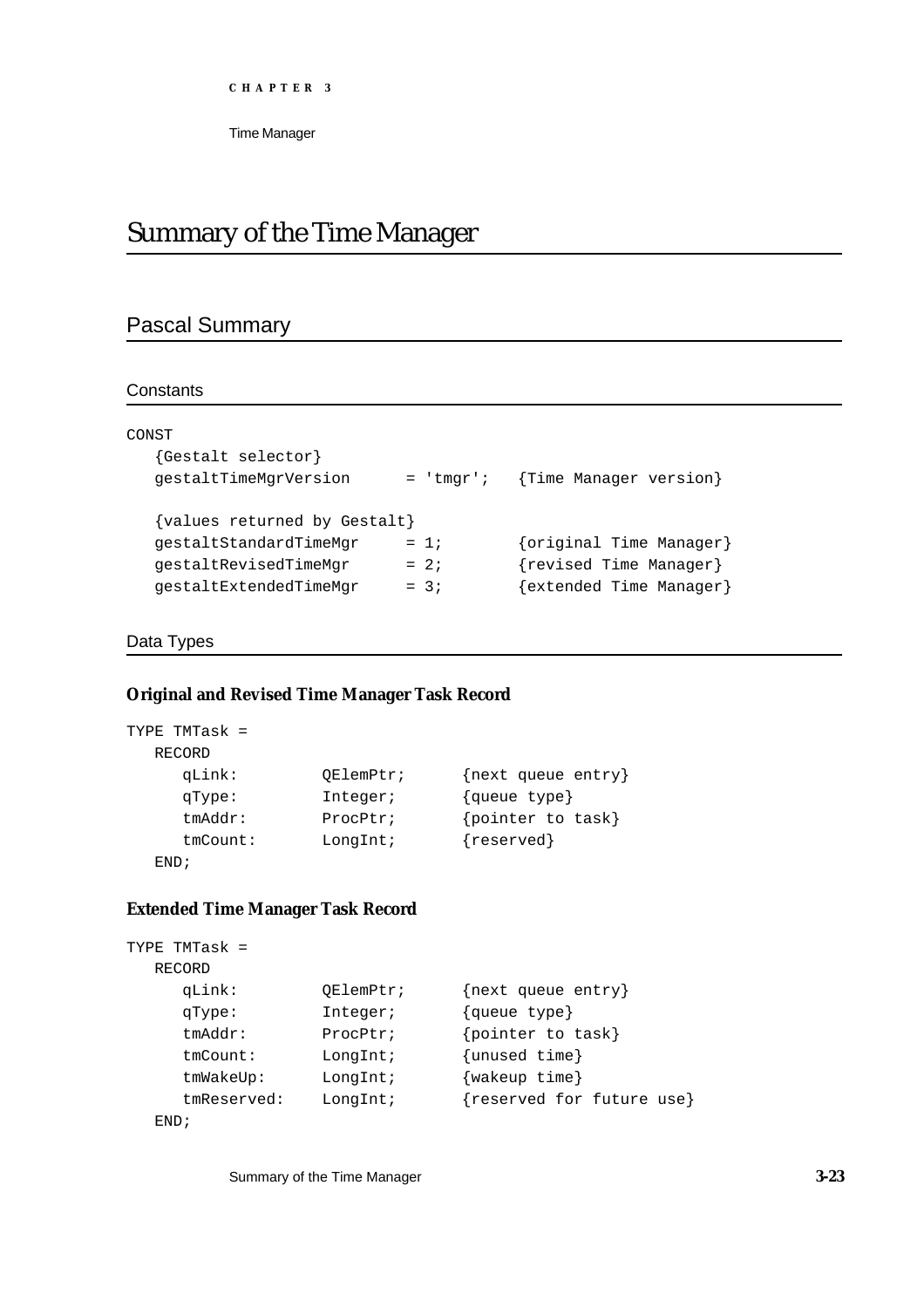```
CHAPTER 3
```
# Summary of the Time Manager

# Pascal Summary

# **Constants**

| CONST                        |             |                         |
|------------------------------|-------------|-------------------------|
| {Gestalt selector}           |             |                         |
| qestaltTimeMqrVersion        | $=$ 'tmqr'; | {Time Manager version}  |
| {values returned by Gestalt} |             |                         |
| qestaltStandardTimeMqr       | $= 1:$      | {original Time Manager} |
| qestaltRevisedTimeMqr        | $= 2i$      | {revised Time Manager}  |
| gestaltExtendedTimeMgr       | $= 3i$      | {extended Time Manager} |

# Data Types

# **Original and Revised Time Manager Task Record**

```
TYPE TMTask = 
  RECORD 
    qLink: QElemPtr; {next queue entry}
    qType: Integer; {queue type}
    tmAddr: ProcPtr; {pointer to task}
    tmCount: LongInt; {reserved}
  END;
```
# **Extended Time Manager Task Record**

```
TYPE TMTask = 
  RECORD 
    qLink: QElemPtr; {next queue entry}
    qType: Integer; {queue type}
    tmAddr: ProcPtr; {pointer to task}
    tmCount: LongInt; {unused time}
    tmWakeUp: LongInt; {wakeup time}
    tmReserved: LongInt; {reserved for future use}
  END;
```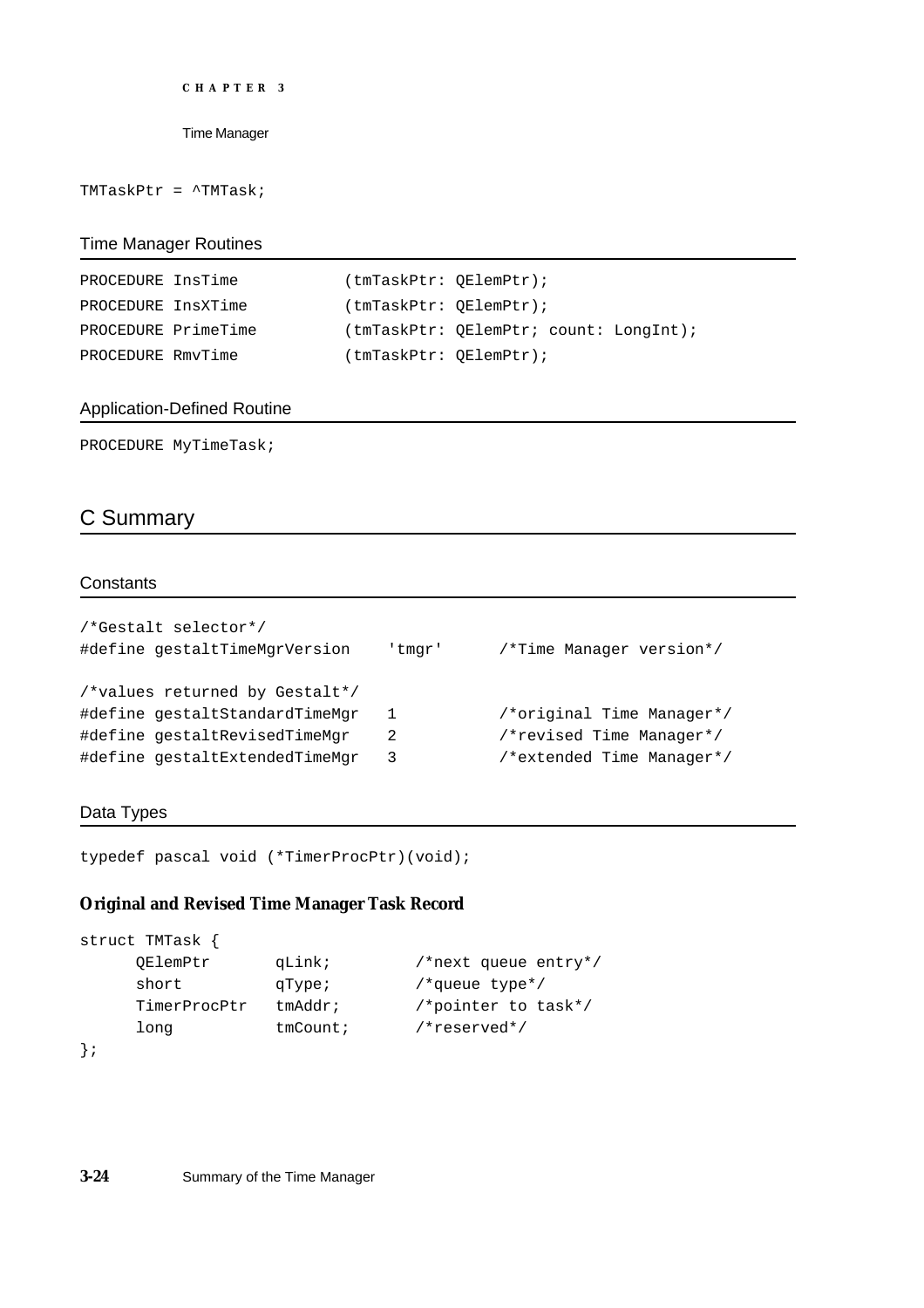```
CHAPTER 3
```
TMTaskPtr = ^TMTask;

# Time Manager Routines

| PROCEDURE InsTime  |                     | (tmTaskPtr: QElemPtr);  |                                        |
|--------------------|---------------------|-------------------------|----------------------------------------|
| PROCEDURE InsXTime |                     | (tmTaskPtr: OElementr); |                                        |
|                    | PROCEDURE PrimeTime |                         | (tmTaskPtr: OElemPtr; count: LongInt); |
| PROCEDURE RmvTime  |                     | (tmTaskPtr: QElemPtr);  |                                        |

# Application-Defined Routine

PROCEDURE MyTimeTask;

# C Summary

# **Constants**

| 'tmqr' | /*Time Manager version*/  |
|--------|---------------------------|
|        |                           |
| 1      | /*original Time Manager*/ |
| 2      | /*revised Time Manager*/  |
| 3      | /*extended Time Manager*/ |
|        |                           |

# Data Types

```
typedef pascal void (*TimerProcPtr)(void);
```
# **Original and Revised Time Manager Task Record**

```
struct TMTask {
    QElemPtr qLink; /*next queue entry*/
    short qType; /*queue type*/
    TimerProcPtr tmAddr; /*pointer to task*/
    long tmCount; /*reserved*/
```

```
};
```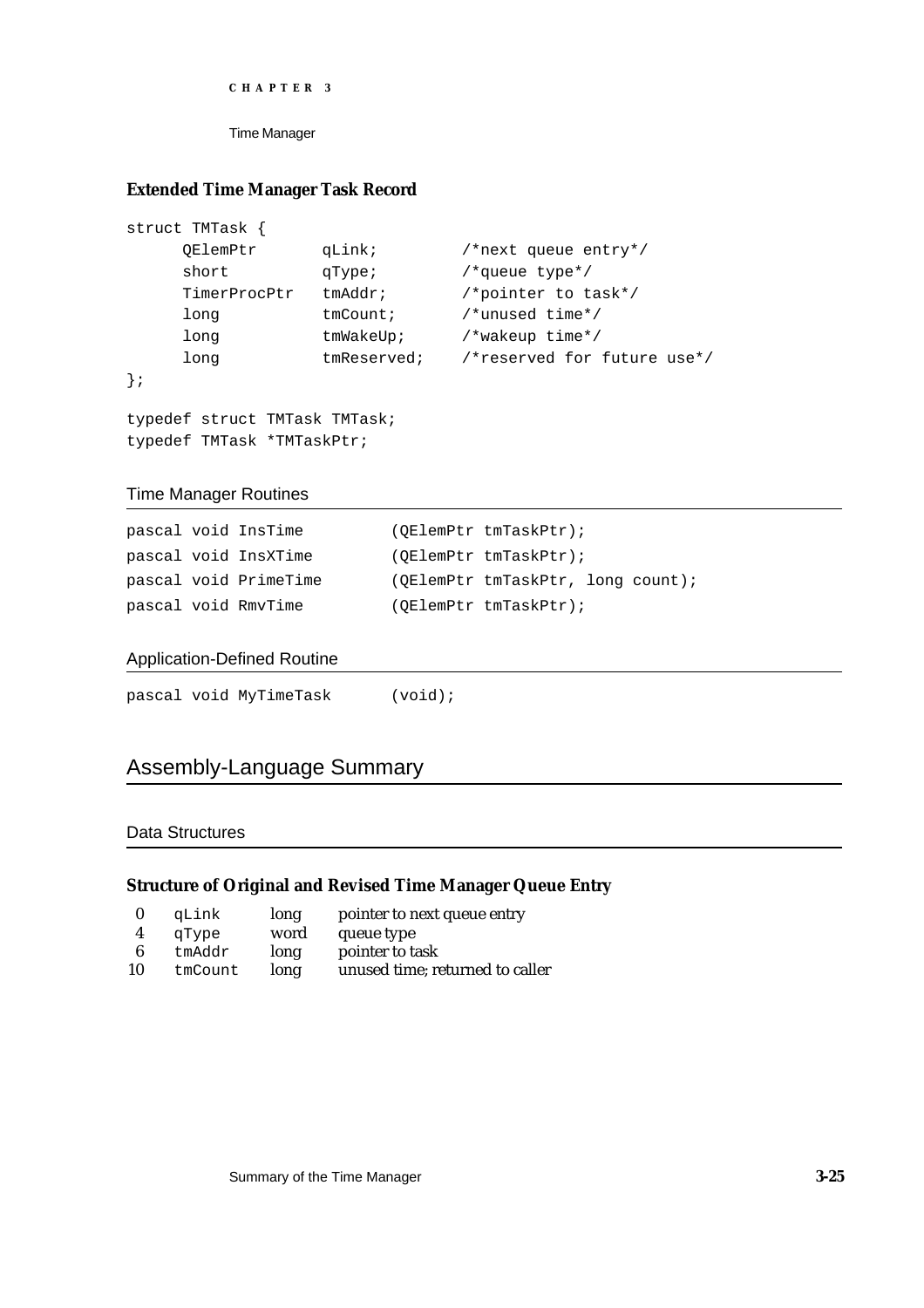```
CHAPTER 3
```
# **Extended Time Manager Task Record**

```
struct TMTask {
              qLink; / *next queue entry*/
    short qType; /*queue type*/
    TimerProcPtr tmAddr; /*pointer to task*/
    long tmCount; /*unused time*/
    long tmWakeUp; /*wakeup time*/
    long tmReserved; /*reserved for future use*/
};
```

```
typedef struct TMTask TMTask;
typedef TMTask *TMTaskPtr;
```
# Time Manager Routines

|  | pascal void InsTime   | (OElemPtr tmTaskPtr);             |
|--|-----------------------|-----------------------------------|
|  | pascal void InsXTime  | $(OElemPtr$ tmTaskPtr);           |
|  | pascal void PrimeTime | (OElemPtr tmTaskPtr, long count); |
|  | pascal void RmvTime   | $(OE LemPtr$ tmTaskPtr);          |

# Application-Defined Routine

|  | pascal void MyTimeTask | $(void)$ ; |
|--|------------------------|------------|
|  |                        |            |

# Assembly-Language Summary

# Data Structures

# **Structure of Original and Revised Time Manager Queue Entry**

|    | qLink   | long | pointer to next queue entry     |
|----|---------|------|---------------------------------|
|    | qType   | word | queue type                      |
| 6  | tmAddr  | long | pointer to task                 |
| 10 | tmCount | long | unused time; returned to caller |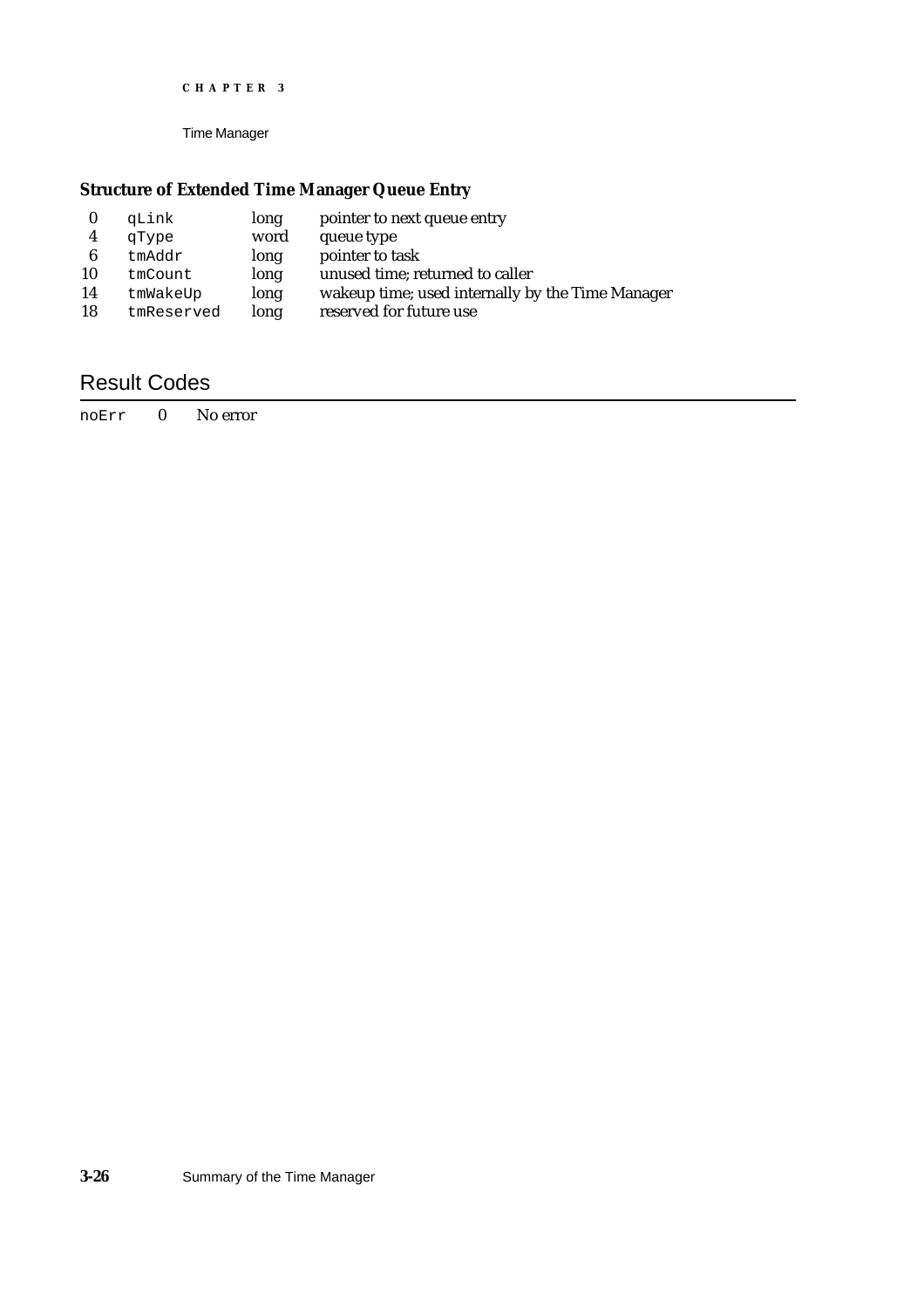Time Manager

# **Structure of Extended Time Manager Queue Entry**

|    | qLink      | long | pointer to next queue entry                      |
|----|------------|------|--------------------------------------------------|
| 4  | qType      | word | queue type                                       |
| 6  | tmAddr     | long | pointer to task                                  |
| 10 | tmCount    | long | unused time; returned to caller                  |
| 14 | tmWakeUp   | long | wakeup time; used internally by the Time Manager |
| 18 | tmReserved | long | reserved for future use                          |

# Result Codes

noErr 0 No error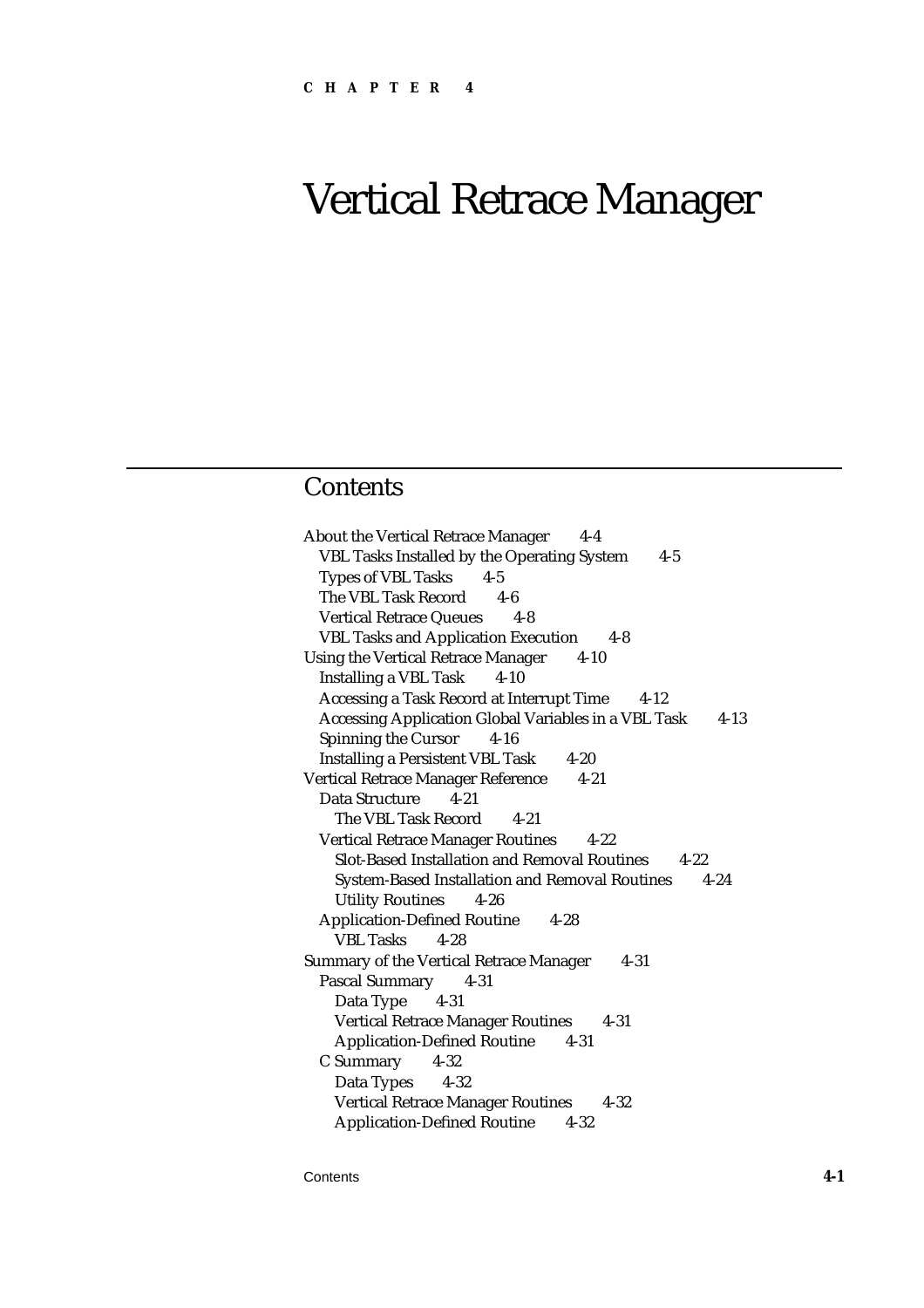# Vertical Retrace Manager

# **Contents**

About the Vertical Retrace Manager 4-4 VBL Tasks Installed by the Operating System 4-5 Types of VBL Tasks 4-5 The VBL Task Record 4-6 Vertical Retrace Queues 4-8 VBL Tasks and Application Execution 4-8 Using the Vertical Retrace Manager 4-10 Installing a VBL Task 4-10 Accessing a Task Record at Interrupt Time 4-12 Accessing Application Global Variables in a VBL Task 4-13 Spinning the Cursor 4-16 Installing a Persistent VBL Task 4-20 Vertical Retrace Manager Reference 4-21 Data Structure 4-21 The VBL Task Record 4-21 Vertical Retrace Manager Routines 4-22 Slot-Based Installation and Removal Routines 4-22 System-Based Installation and Removal Routines 4-24 Utility Routines 4-26 Application-Defined Routine 4-28 VBL Tasks 4-28 Summary of the Vertical Retrace Manager 4-31 Pascal Summary 4-31 Data Type 4-31 Vertical Retrace Manager Routines 4-31 Application-Defined Routine 4-31 C Summary 4-32 Data Types 4-32 Vertical Retrace Manager Routines 4-32 Application-Defined Routine 4-32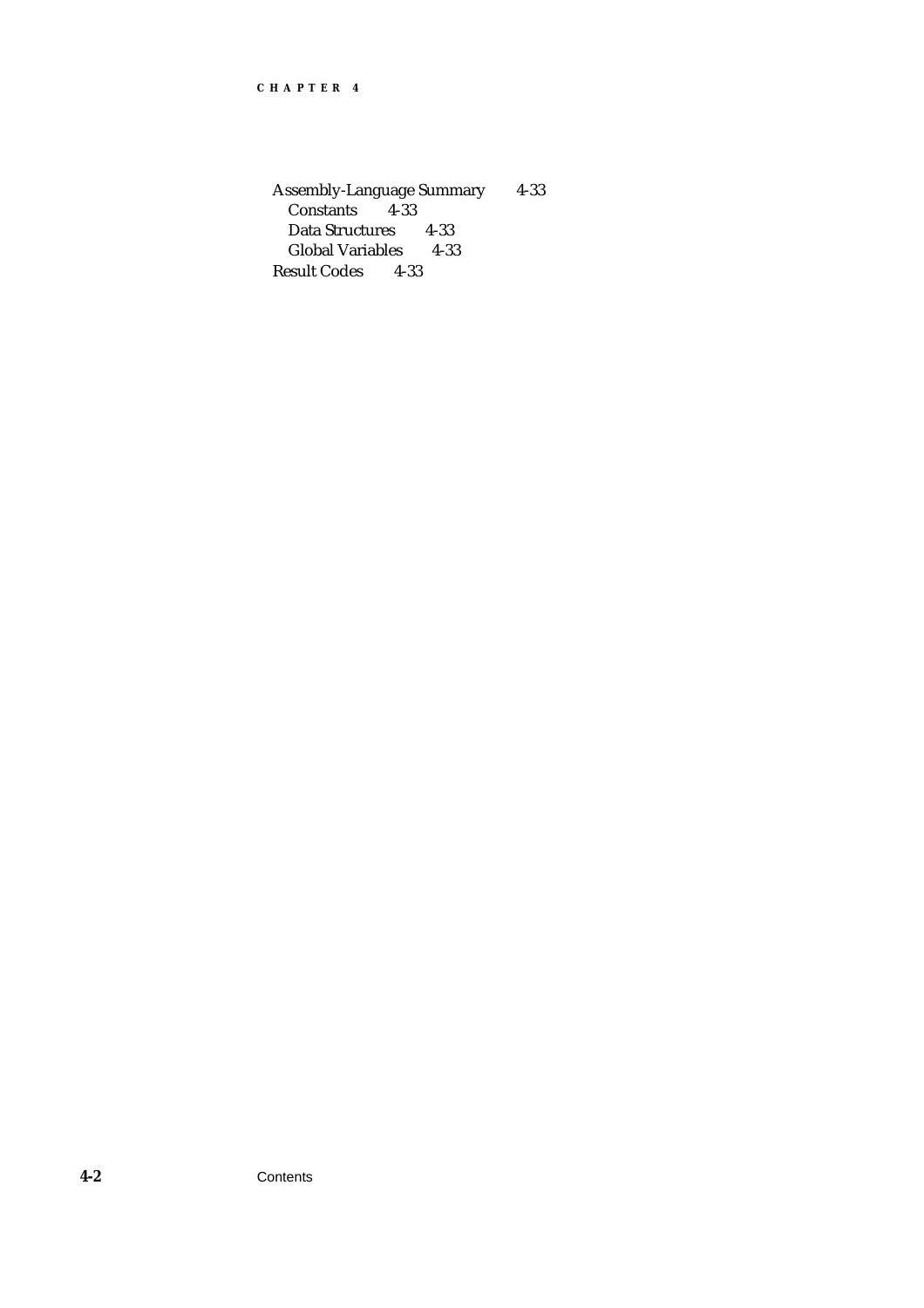Assembly-Language Summary 4-33 Constants 4-33 Data Structures 4-33 Global Variables 4-33 Result Codes 4-33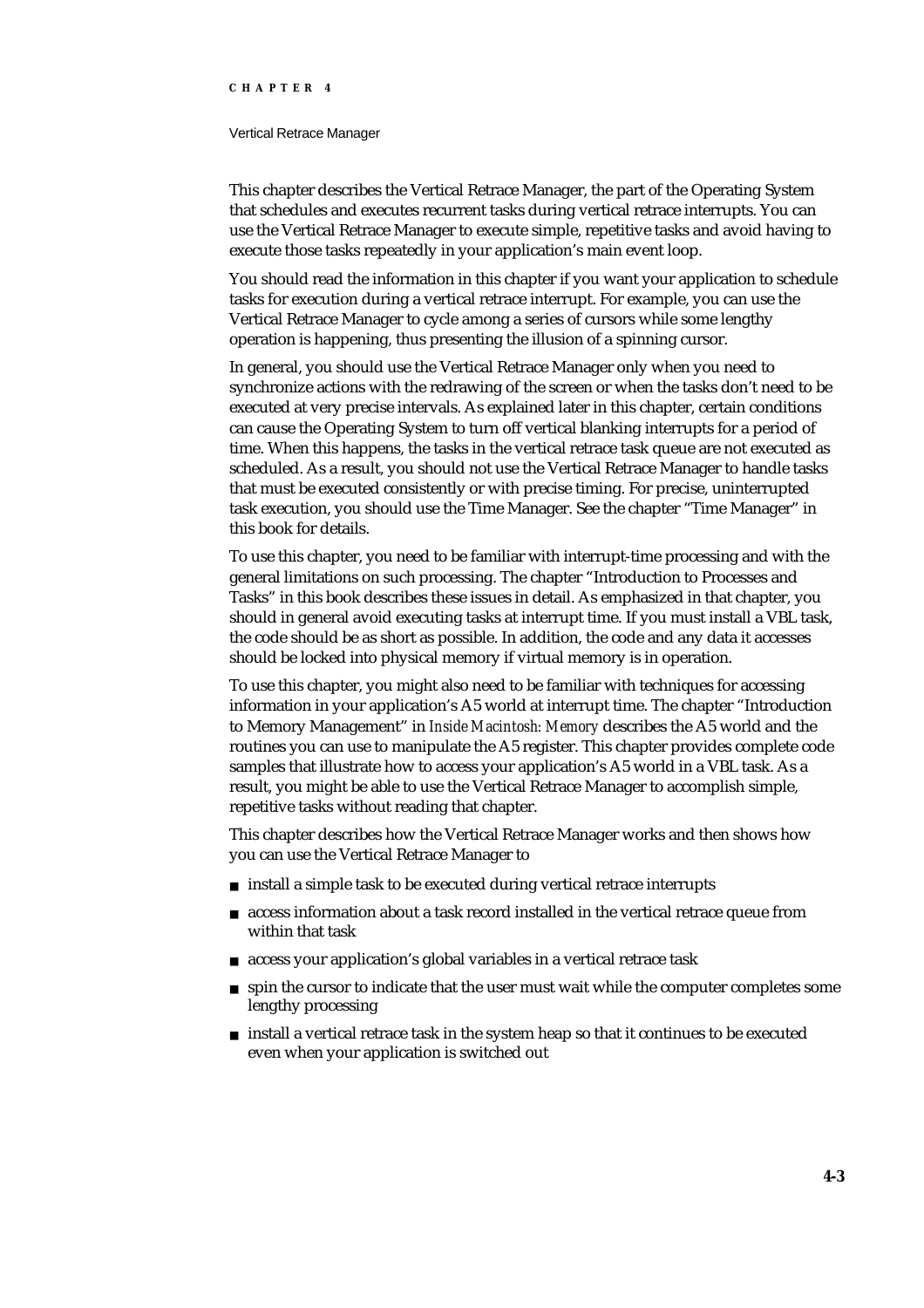#### Vertical Retrace Manager

This chapter describes the Vertical Retrace Manager, the part of the Operating System that schedules and executes recurrent tasks during vertical retrace interrupts. You can use the Vertical Retrace Manager to execute simple, repetitive tasks and avoid having to execute those tasks repeatedly in your application's main event loop.

You should read the information in this chapter if you want your application to schedule tasks for execution during a vertical retrace interrupt. For example, you can use the Vertical Retrace Manager to cycle among a series of cursors while some lengthy operation is happening, thus presenting the illusion of a spinning cursor.

In general, you should use the Vertical Retrace Manager only when you need to synchronize actions with the redrawing of the screen or when the tasks don't need to be executed at very precise intervals. As explained later in this chapter, certain conditions can cause the Operating System to turn off vertical blanking interrupts for a period of time. When this happens, the tasks in the vertical retrace task queue are not executed as scheduled. As a result, you should not use the Vertical Retrace Manager to handle tasks that must be executed consistently or with precise timing. For precise, uninterrupted task execution, you should use the Time Manager. See the chapter "Time Manager" in this book for details.

To use this chapter, you need to be familiar with interrupt-time processing and with the general limitations on such processing. The chapter "Introduction to Processes and Tasks" in this book describes these issues in detail. As emphasized in that chapter, you should in general avoid executing tasks at interrupt time. If you must install a VBL task, the code should be as short as possible. In addition, the code and any data it accesses should be locked into physical memory if virtual memory is in operation.

To use this chapter, you might also need to be familiar with techniques for accessing information in your application's A5 world at interrupt time. The chapter "Introduction to Memory Management" in *Inside Macintosh: Memory* describes the A5 world and the routines you can use to manipulate the A5 register. This chapter provides complete code samples that illustrate how to access your application's A5 world in a VBL task. As a result, you might be able to use the Vertical Retrace Manager to accomplish simple, repetitive tasks without reading that chapter.

This chapter describes how the Vertical Retrace Manager works and then shows how you can use the Vertical Retrace Manager to

- $n$  install a simple task to be executed during vertical retrace interrupts
- access information about a task record installed in the vertical retrace queue from within that task
- access your application's global variables in a vertical retrace task
- $n$  spin the cursor to indicate that the user must wait while the computer completes some lengthy processing
- $n$  install a vertical retrace task in the system heap so that it continues to be executed even when your application is switched out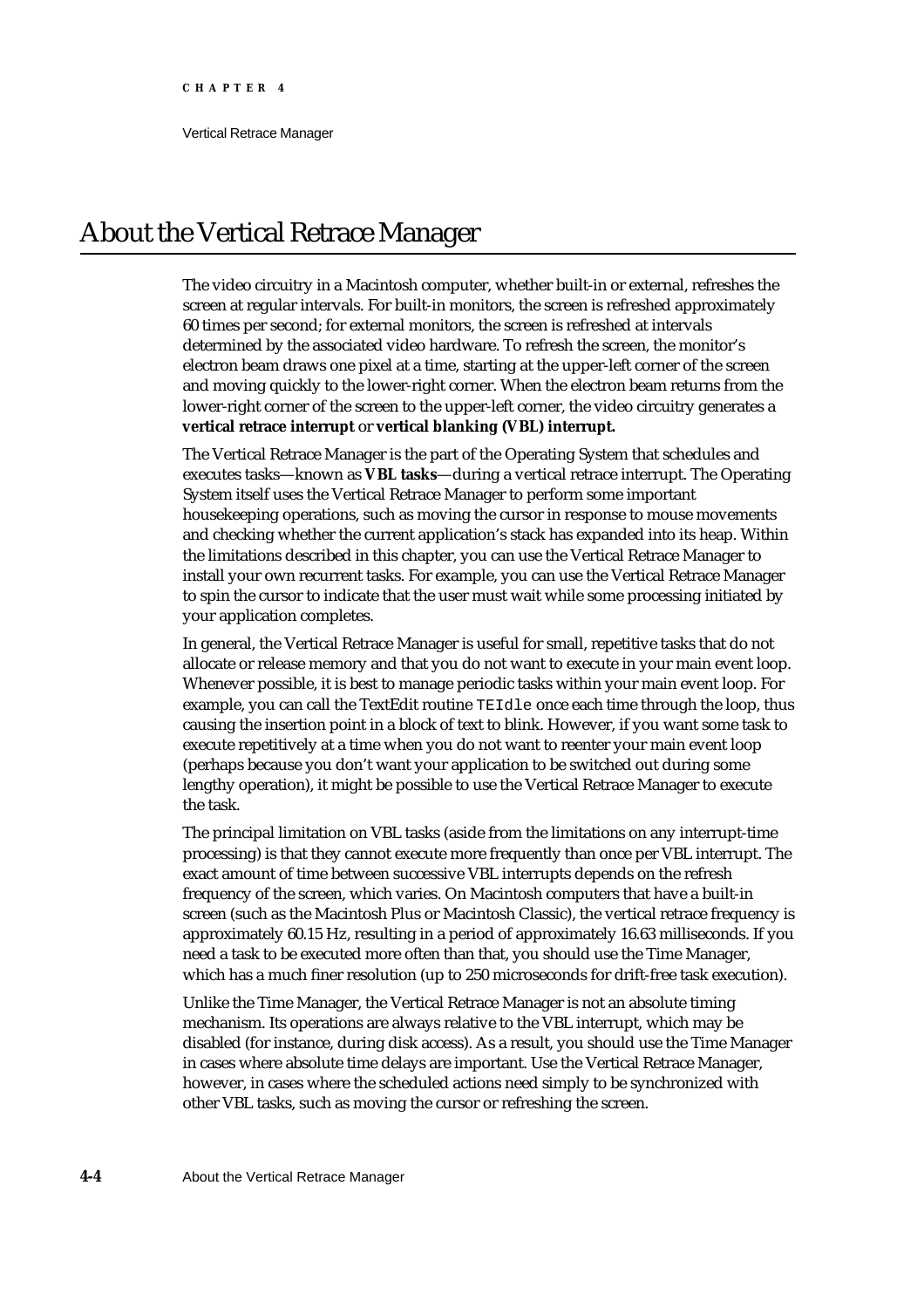Vertical Retrace Manager

# About the Vertical Retrace Manager

The video circuitry in a Macintosh computer, whether built-in or external, refreshes the screen at regular intervals. For built-in monitors, the screen is refreshed approximately 60 times per second; for external monitors, the screen is refreshed at intervals determined by the associated video hardware. To refresh the screen, the monitor's electron beam draws one pixel at a time, starting at the upper-left corner of the screen and moving quickly to the lower-right corner. When the electron beam returns from the lower-right corner of the screen to the upper-left corner, the video circuitry generates a **vertical retrace interrupt** or **vertical blanking (VBL) interrupt.**

The Vertical Retrace Manager is the part of the Operating System that schedules and executes tasks—known as **VBL tasks**—during a vertical retrace interrupt. The Operating System itself uses the Vertical Retrace Manager to perform some important housekeeping operations, such as moving the cursor in response to mouse movements and checking whether the current application's stack has expanded into its heap. Within the limitations described in this chapter, you can use the Vertical Retrace Manager to install your own recurrent tasks. For example, you can use the Vertical Retrace Manager to spin the cursor to indicate that the user must wait while some processing initiated by your application completes.

In general, the Vertical Retrace Manager is useful for small, repetitive tasks that do not allocate or release memory and that you do not want to execute in your main event loop. Whenever possible, it is best to manage periodic tasks within your main event loop. For example, you can call the TextEdit routine TEIdle once each time through the loop, thus causing the insertion point in a block of text to blink. However, if you want some task to execute repetitively at a time when you do not want to reenter your main event loop (perhaps because you don't want your application to be switched out during some lengthy operation), it might be possible to use the Vertical Retrace Manager to execute the task.

The principal limitation on VBL tasks (aside from the limitations on any interrupt-time processing) is that they cannot execute more frequently than once per VBL interrupt. The exact amount of time between successive VBL interrupts depends on the refresh frequency of the screen, which varies. On Macintosh computers that have a built-in screen (such as the Macintosh Plus or Macintosh Classic), the vertical retrace frequency is approximately 60.15 Hz, resulting in a period of approximately 16.63 milliseconds. If you need a task to be executed more often than that, you should use the Time Manager, which has a much finer resolution (up to 250 microseconds for drift-free task execution).

Unlike the Time Manager, the Vertical Retrace Manager is not an absolute timing mechanism. Its operations are always relative to the VBL interrupt, which may be disabled (for instance, during disk access). As a result, you should use the Time Manager in cases where absolute time delays are important. Use the Vertical Retrace Manager, however, in cases where the scheduled actions need simply to be synchronized with other VBL tasks, such as moving the cursor or refreshing the screen.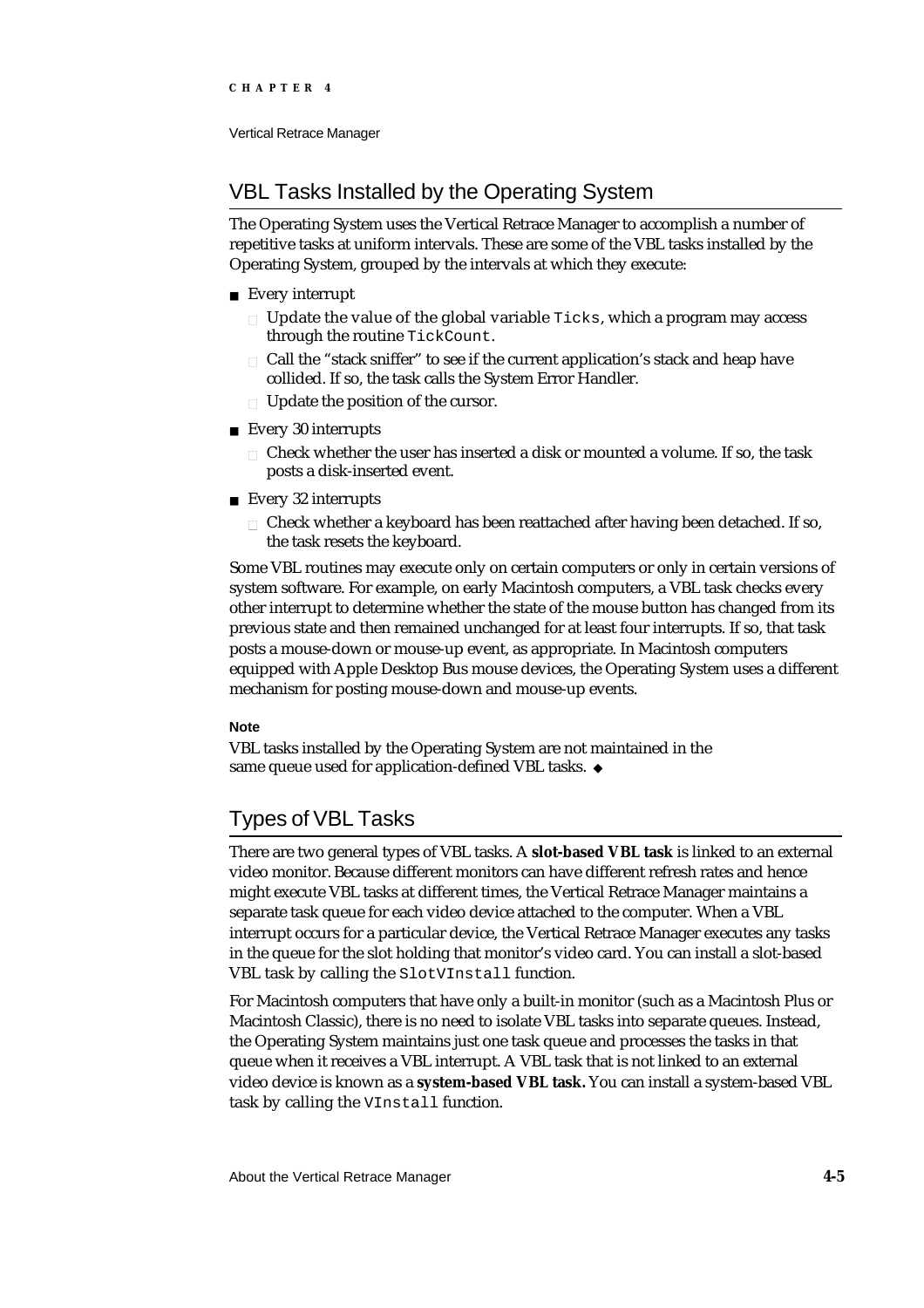## Vertical Retrace Manager

# VBL Tasks Installed by the Operating System

The Operating System uses the Vertical Retrace Manager to accomplish a number of repetitive tasks at uniform intervals. These are some of the VBL tasks installed by the Operating System, grouped by the intervals at which they execute:

- Every interrupt
	- $n$  Update the value of the global variable  $Ticksi$ , which a program may access through the routine TickCount.
	- Call the "stack sniffer" to see if the current application's stack and heap have collided. If so, the task calls the System Error Handler.
	- n Update the position of the cursor.
- Every 30 interrupts
	- Check whether the user has inserted a disk or mounted a volume. If so, the task posts a disk-inserted event.
- Every 32 interrupts
	- $n$  Check whether a keyboard has been reattached after having been detached. If so, the task resets the keyboard.

Some VBL routines may execute only on certain computers or only in certain versions of system software. For example, on early Macintosh computers, a VBL task checks every other interrupt to determine whether the state of the mouse button has changed from its previous state and then remained unchanged for at least four interrupts. If so, that task posts a mouse-down or mouse-up event, as appropriate. In Macintosh computers equipped with Apple Desktop Bus mouse devices, the Operating System uses a different mechanism for posting mouse-down and mouse-up events.

## **Note**

VBL tasks installed by the Operating System are not maintained in the same queue used for application-defined VBL tasks. u

# Types of VBL Tasks

There are two general types of VBL tasks. A **slot-based VBL task** is linked to an external video monitor. Because different monitors can have different refresh rates and hence might execute VBL tasks at different times, the Vertical Retrace Manager maintains a separate task queue for each video device attached to the computer. When a VBL interrupt occurs for a particular device, the Vertical Retrace Manager executes any tasks in the queue for the slot holding that monitor's video card. You can install a slot-based VBL task by calling the SlotVInstall function.

For Macintosh computers that have only a built-in monitor (such as a Macintosh Plus or Macintosh Classic), there is no need to isolate VBL tasks into separate queues. Instead, the Operating System maintains just one task queue and processes the tasks in that queue when it receives a VBL interrupt. A VBL task that is not linked to an external video device is known as a **system-based VBL task.** You can install a system-based VBL task by calling the VInstall function.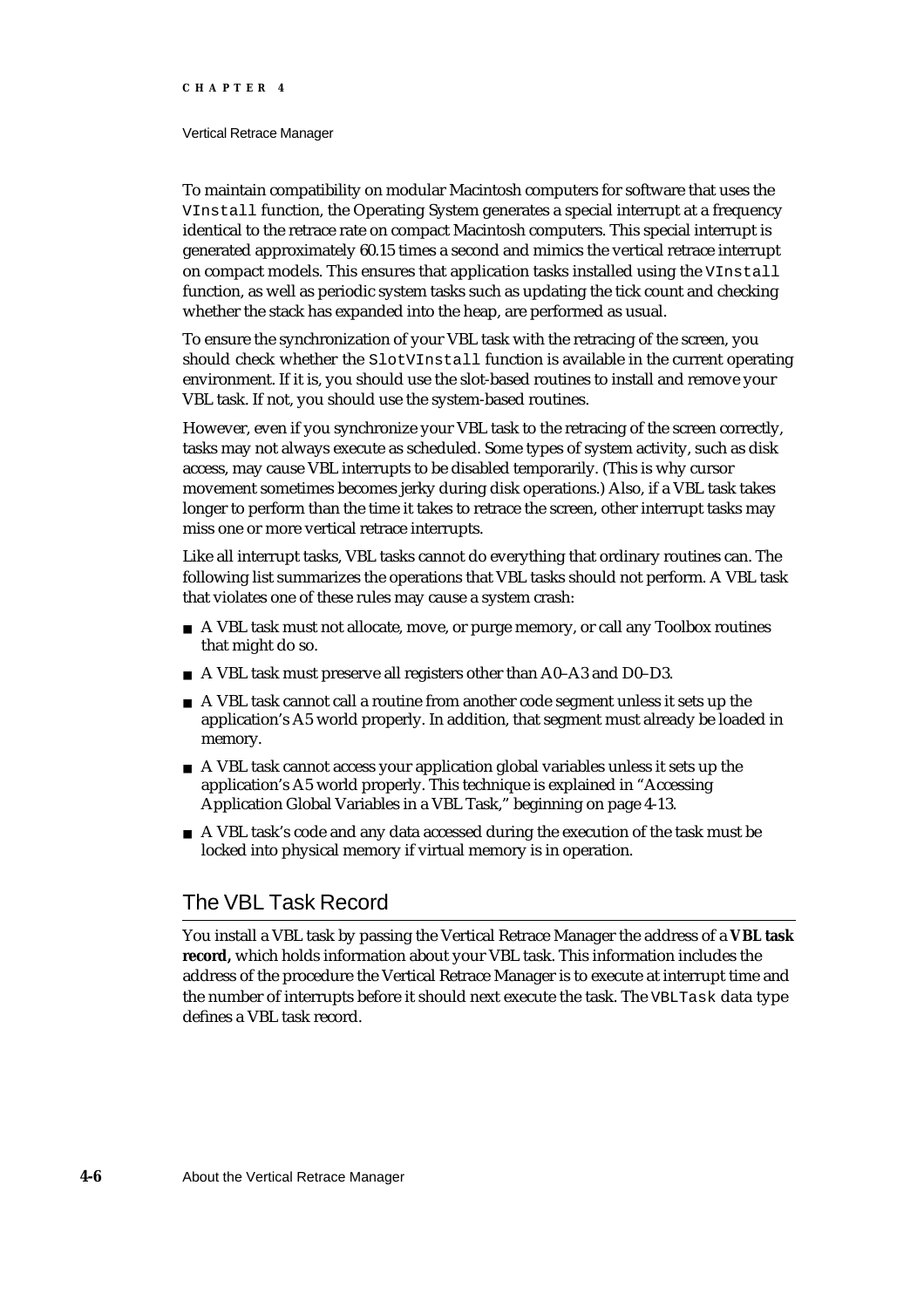#### Vertical Retrace Manager

To maintain compatibility on modular Macintosh computers for software that uses the VInstall function, the Operating System generates a special interrupt at a frequency identical to the retrace rate on compact Macintosh computers. This special interrupt is generated approximately 60.15 times a second and mimics the vertical retrace interrupt on compact models. This ensures that application tasks installed using the VInstall function, as well as periodic system tasks such as updating the tick count and checking whether the stack has expanded into the heap, are performed as usual.

To ensure the synchronization of your VBL task with the retracing of the screen, you should check whether the SlotVInstall function is available in the current operating environment. If it is, you should use the slot-based routines to install and remove your VBL task. If not, you should use the system-based routines.

However, even if you synchronize your VBL task to the retracing of the screen correctly, tasks may not always execute as scheduled. Some types of system activity, such as disk access, may cause VBL interrupts to be disabled temporarily. (This is why cursor movement sometimes becomes jerky during disk operations.) Also, if a VBL task takes longer to perform than the time it takes to retrace the screen, other interrupt tasks may miss one or more vertical retrace interrupts.

Like all interrupt tasks, VBL tasks cannot do everything that ordinary routines can. The following list summarizes the operations that VBL tasks should not perform. A VBL task that violates one of these rules may cause a system crash:

- n A VBL task must not allocate, move, or purge memory, or call any Toolbox routines that might do so.
- A VBL task must preserve all registers other than A0–A3 and D0–D3.
- A VBL task cannot call a routine from another code segment unless it sets up the application's A5 world properly. In addition, that segment must already be loaded in memory.
- A VBL task cannot access your application global variables unless it sets up the application's A5 world properly. This technique is explained in "Accessing Application Global Variables in a VBL Task," beginning on page 4-13.
- $n \Delta$  VBL task's code and any data accessed during the execution of the task must be locked into physical memory if virtual memory is in operation.

# The VBL Task Record

You install a VBL task by passing the Vertical Retrace Manager the address of a **VBL task record,** which holds information about your VBL task. This information includes the address of the procedure the Vertical Retrace Manager is to execute at interrupt time and the number of interrupts before it should next execute the task. The VBLTask data type defines a VBL task record.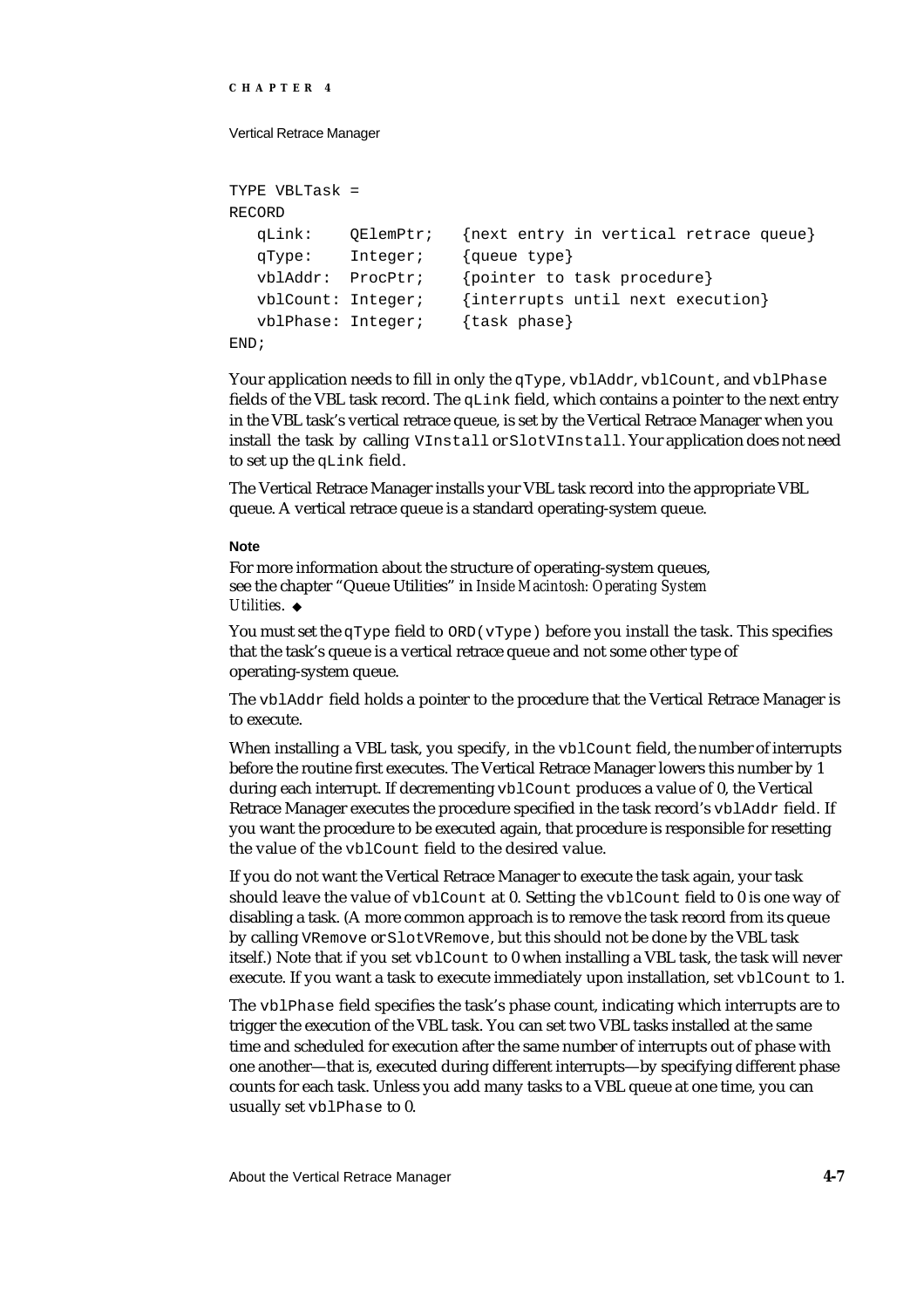```
CHAPTER 4
```
Vertical Retrace Manager

```
TYPE VBLTask = 
RECORD
  qLink: QElemPtr; {next entry in vertical retrace queue}
  qType: Integer; {queue type}
  vblAddr: ProcPtr; {pointer to task procedure}
  vblCount: Integer; {interrupts until next execution}
  vblPhase: Integer; {task phase}
END;
```
Your application needs to fill in only the qType, vblAddr, vblCount, and vblPhase fields of the VBL task record. The  $qLink$  field, which contains a pointer to the next entry in the VBL task's vertical retrace queue, is set by the Vertical Retrace Manager when you install the task by calling VInstall or SlotVInstall. Your application does not need to set up the qLink field.

The Vertical Retrace Manager installs your VBL task record into the appropriate VBL queue. A vertical retrace queue is a standard operating-system queue.

## **Note**

For more information about the structure of operating-system queues, see the chapter "Queue Utilities" in *Inside Macintosh: Operating System Utilities*.

You must set the qType field to  $ORD(vType)$  before you install the task. This specifies that the task's queue is a vertical retrace queue and not some other type of operating-system queue.

The vblAddr field holds a pointer to the procedure that the Vertical Retrace Manager is to execute.

When installing a VBL task, you specify, in the vblCount field, the number of interrupts before the routine first executes. The Vertical Retrace Manager lowers this number by 1 during each interrupt. If decrementing vblCount produces a value of 0, the Vertical Retrace Manager executes the procedure specified in the task record's vblAddr field. If you want the procedure to be executed again, that procedure is responsible for resetting the value of the vblCount field to the desired value.

If you do not want the Vertical Retrace Manager to execute the task again, your task should leave the value of vblCount at 0. Setting the vblCount field to 0 is one way of disabling a task. (A more common approach is to remove the task record from its queue by calling VRemove or SlotVRemove, but this should not be done by the VBL task itself.) Note that if you set vblCount to 0 when installing a VBL task, the task will never execute. If you want a task to execute immediately upon installation, set vblCount to 1.

The vblPhase field specifies the task's phase count, indicating which interrupts are to trigger the execution of the VBL task. You can set two VBL tasks installed at the same time and scheduled for execution after the same number of interrupts out of phase with one another—that is, executed during different interrupts—by specifying different phase counts for each task. Unless you add many tasks to a VBL queue at one time, you can usually set vblPhase to 0.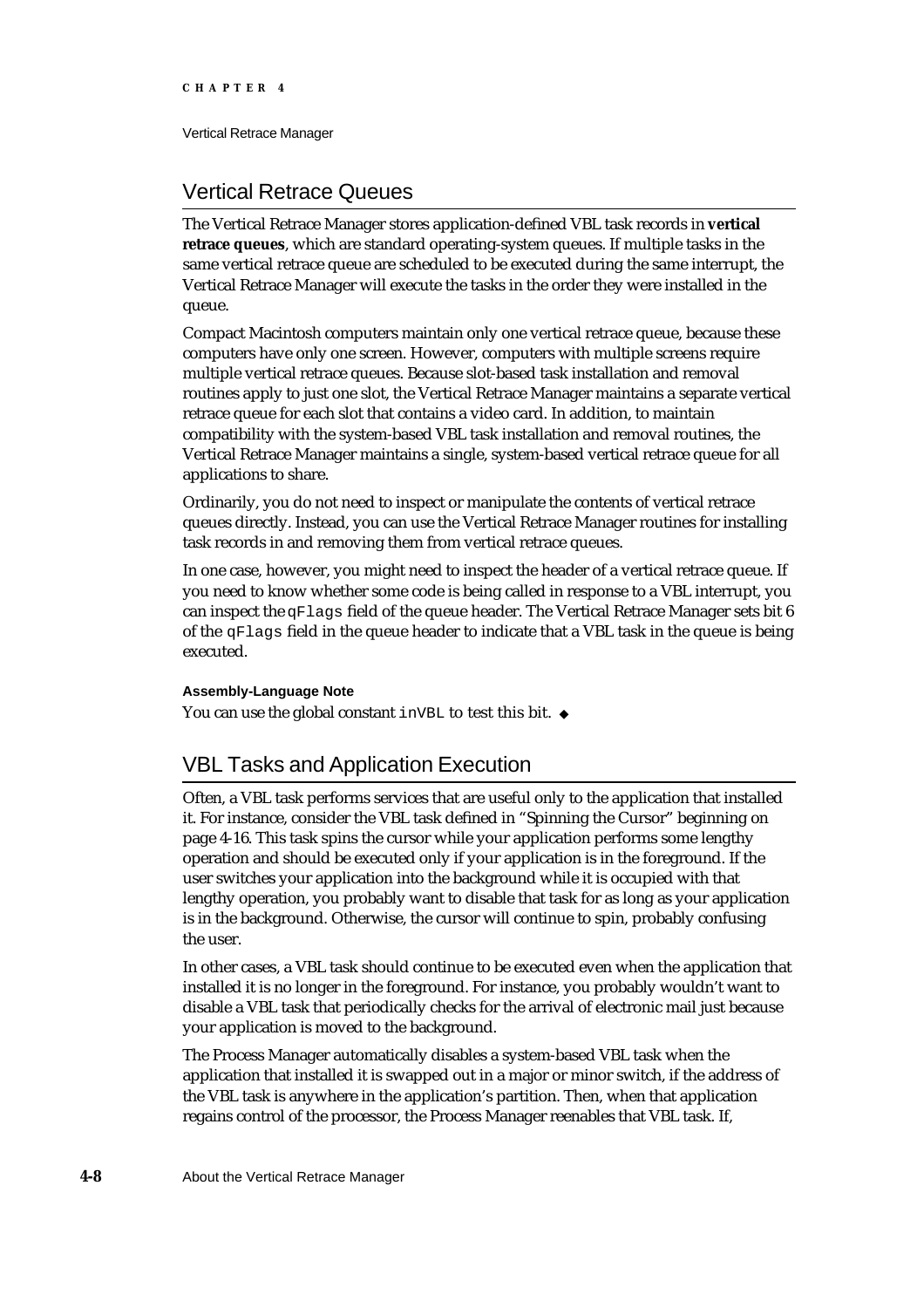Vertical Retrace Manager

# Vertical Retrace Queues

The Vertical Retrace Manager stores application-defined VBL task records in **vertical retrace queues**, which are standard operating-system queues. If multiple tasks in the same vertical retrace queue are scheduled to be executed during the same interrupt, the Vertical Retrace Manager will execute the tasks in the order they were installed in the queue.

Compact Macintosh computers maintain only one vertical retrace queue, because these computers have only one screen. However, computers with multiple screens require multiple vertical retrace queues. Because slot-based task installation and removal routines apply to just one slot, the Vertical Retrace Manager maintains a separate vertical retrace queue for each slot that contains a video card. In addition, to maintain compatibility with the system-based VBL task installation and removal routines, the Vertical Retrace Manager maintains a single, system-based vertical retrace queue for all applications to share.

Ordinarily, you do not need to inspect or manipulate the contents of vertical retrace queues directly. Instead, you can use the Vertical Retrace Manager routines for installing task records in and removing them from vertical retrace queues.

In one case, however, you might need to inspect the header of a vertical retrace queue. If you need to know whether some code is being called in response to a VBL interrupt, you can inspect the  $qF \text{lags}$  field of the queue header. The Vertical Retrace Manager sets bit 6 of the qFlags field in the queue header to indicate that a VBL task in the queue is being executed.

## **Assembly-Language Note**

You can use the global constant inVBL to test this bit. u

# VBL Tasks and Application Execution

Often, a VBL task performs services that are useful only to the application that installed it. For instance, consider the VBL task defined in "Spinning the Cursor" beginning on page 4-16. This task spins the cursor while your application performs some lengthy operation and should be executed only if your application is in the foreground. If the user switches your application into the background while it is occupied with that lengthy operation, you probably want to disable that task for as long as your application is in the background. Otherwise, the cursor will continue to spin, probably confusing the user.

In other cases, a VBL task should continue to be executed even when the application that installed it is no longer in the foreground. For instance, you probably wouldn't want to disable a VBL task that periodically checks for the arrival of electronic mail just because your application is moved to the background.

The Process Manager automatically disables a system-based VBL task when the application that installed it is swapped out in a major or minor switch, if the address of the VBL task is anywhere in the application's partition. Then, when that application regains control of the processor, the Process Manager reenables that VBL task. If,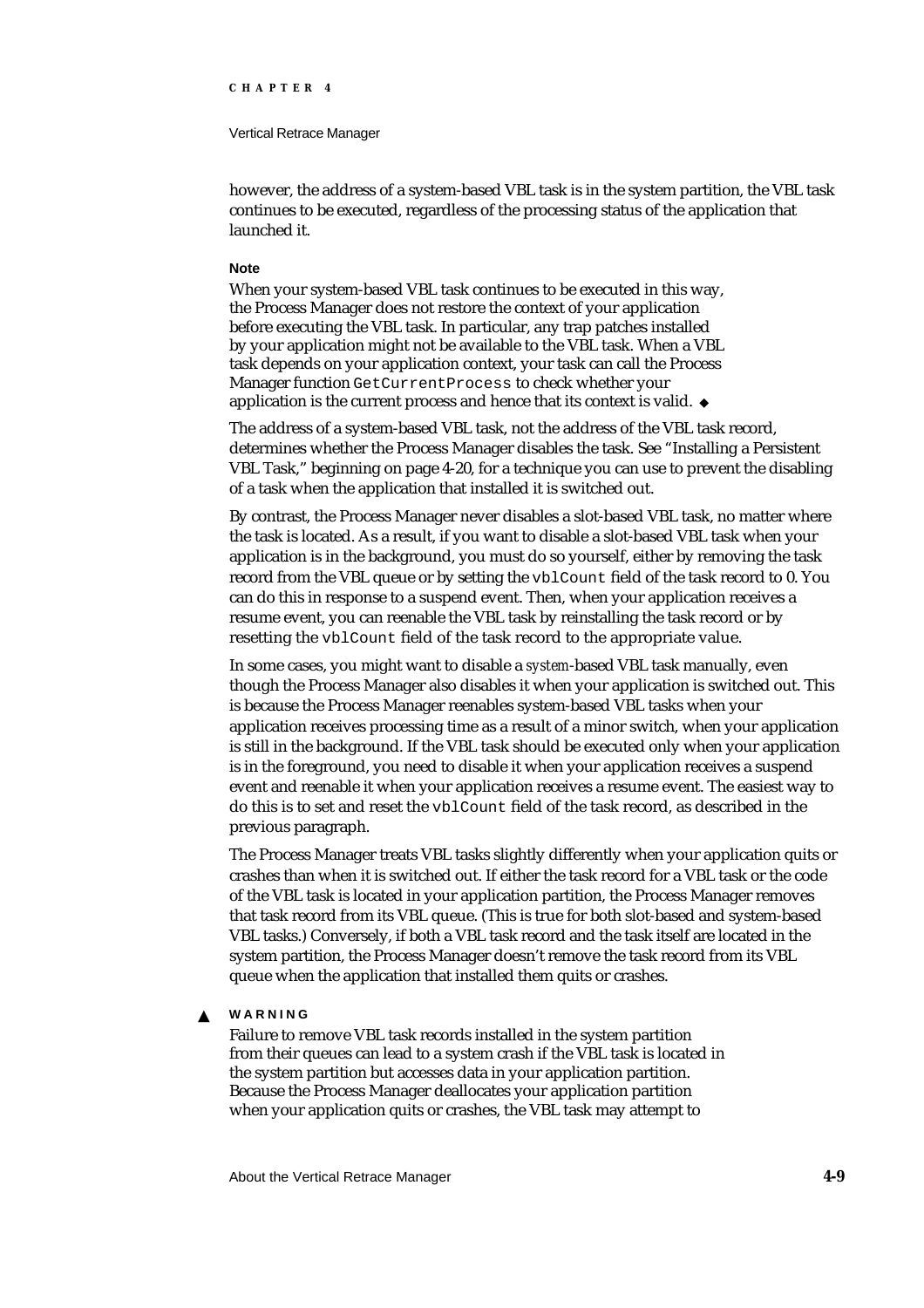#### Vertical Retrace Manager

however, the address of a system-based VBL task is in the system partition, the VBL task continues to be executed, regardless of the processing status of the application that launched it.

## **Note**

When your system-based VBL task continues to be executed in this way, the Process Manager does not restore the context of your application before executing the VBL task. In particular, any trap patches installed by your application might not be available to the VBL task. When a VBL task depends on your application context, your task can call the Process Manager function GetCurrentProcess to check whether your application is the current process and hence that its context is valid.

The address of a system-based VBL task, not the address of the VBL task record, determines whether the Process Manager disables the task. See "Installing a Persistent VBL Task," beginning on page 4-20, for a technique you can use to prevent the disabling of a task when the application that installed it is switched out.

By contrast, the Process Manager never disables a slot-based VBL task, no matter where the task is located. As a result, if you want to disable a slot-based VBL task when your application is in the background, you must do so yourself, either by removing the task record from the VBL queue or by setting the vblCount field of the task record to 0. You can do this in response to a suspend event. Then, when your application receives a resume event, you can reenable the VBL task by reinstalling the task record or by resetting the vblCount field of the task record to the appropriate value.

In some cases, you might want to disable a *system*-based VBL task manually, even though the Process Manager also disables it when your application is switched out. This is because the Process Manager reenables system-based VBL tasks when your application receives processing time as a result of a minor switch, when your application is still in the background. If the VBL task should be executed only when your application is in the foreground, you need to disable it when your application receives a suspend event and reenable it when your application receives a resume event. The easiest way to do this is to set and reset the vblCount field of the task record, as described in the previous paragraph.

The Process Manager treats VBL tasks slightly differently when your application quits or crashes than when it is switched out. If either the task record for a VBL task or the code of the VBL task is located in your application partition, the Process Manager removes that task record from its VBL queue. (This is true for both slot-based and system-based VBL tasks.) Conversely, if both a VBL task record and the task itself are located in the system partition, the Process Manager doesn't remove the task record from its VBL queue when the application that installed them quits or crashes.

#### **WARNING**  $\mathbf{S}$

Failure to remove VBL task records installed in the system partition from their queues can lead to a system crash if the VBL task is located in the system partition but accesses data in your application partition. Because the Process Manager deallocates your application partition when your application quits or crashes, the VBL task may attempt to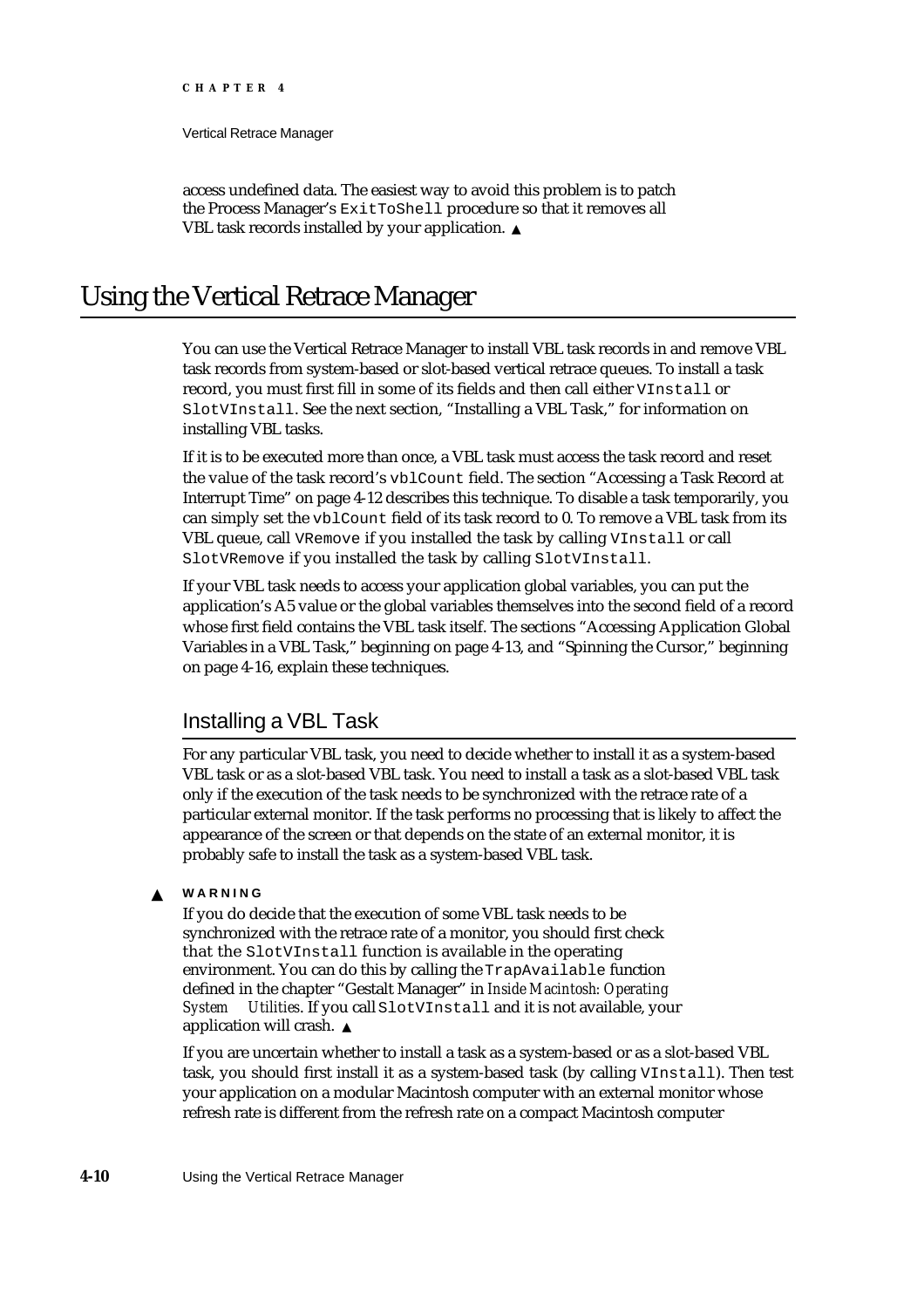Vertical Retrace Manager

access undefined data. The easiest way to avoid this problem is to patch the Process Manager's ExitToShell procedure so that it removes all VBL task records installed by your application.

# Using the Vertical Retrace Manager

You can use the Vertical Retrace Manager to install VBL task records in and remove VBL task records from system-based or slot-based vertical retrace queues. To install a task record, you must first fill in some of its fields and then call either VInstall or SlotVInstall. See the next section, "Installing a VBL Task," for information on installing VBL tasks.

If it is to be executed more than once, a VBL task must access the task record and reset the value of the task record's vblCount field. The section "Accessing a Task Record at Interrupt Time" on page 4-12 describes this technique. To disable a task temporarily, you can simply set the vblCount field of its task record to 0. To remove a VBL task from its VBL queue, call VRemove if you installed the task by calling VInstall or call SlotVRemove if you installed the task by calling SlotVInstall.

If your VBL task needs to access your application global variables, you can put the application's A5 value or the global variables themselves into the second field of a record whose first field contains the VBL task itself. The sections "Accessing Application Global Variables in a VBL Task," beginning on page 4-13, and "Spinning the Cursor," beginning on page 4-16, explain these techniques.

# Installing a VBL Task

For any particular VBL task, you need to decide whether to install it as a system-based VBL task or as a slot-based VBL task. You need to install a task as a slot-based VBL task only if the execution of the task needs to be synchronized with the retrace rate of a particular external monitor. If the task performs no processing that is likely to affect the appearance of the screen or that depends on the state of an external monitor, it is probably safe to install the task as a system-based VBL task.

#### $\overline{\mathbf{s}}$ **WARNING**

If you do decide that the execution of some VBL task needs to be synchronized with the retrace rate of a monitor, you should first check that the SlotVInstall function is available in the operating environment. You can do this by calling the TrapAvailable function defined in the chapter "Gestalt Manager" in *Inside Macintosh: Operating System Utilities*. If you call SlotVInstall and it is not available, your application will crash.

If you are uncertain whether to install a task as a system-based or as a slot-based VBL task, you should first install it as a system-based task (by calling VInstall). Then test your application on a modular Macintosh computer with an external monitor whose refresh rate is different from the refresh rate on a compact Macintosh computer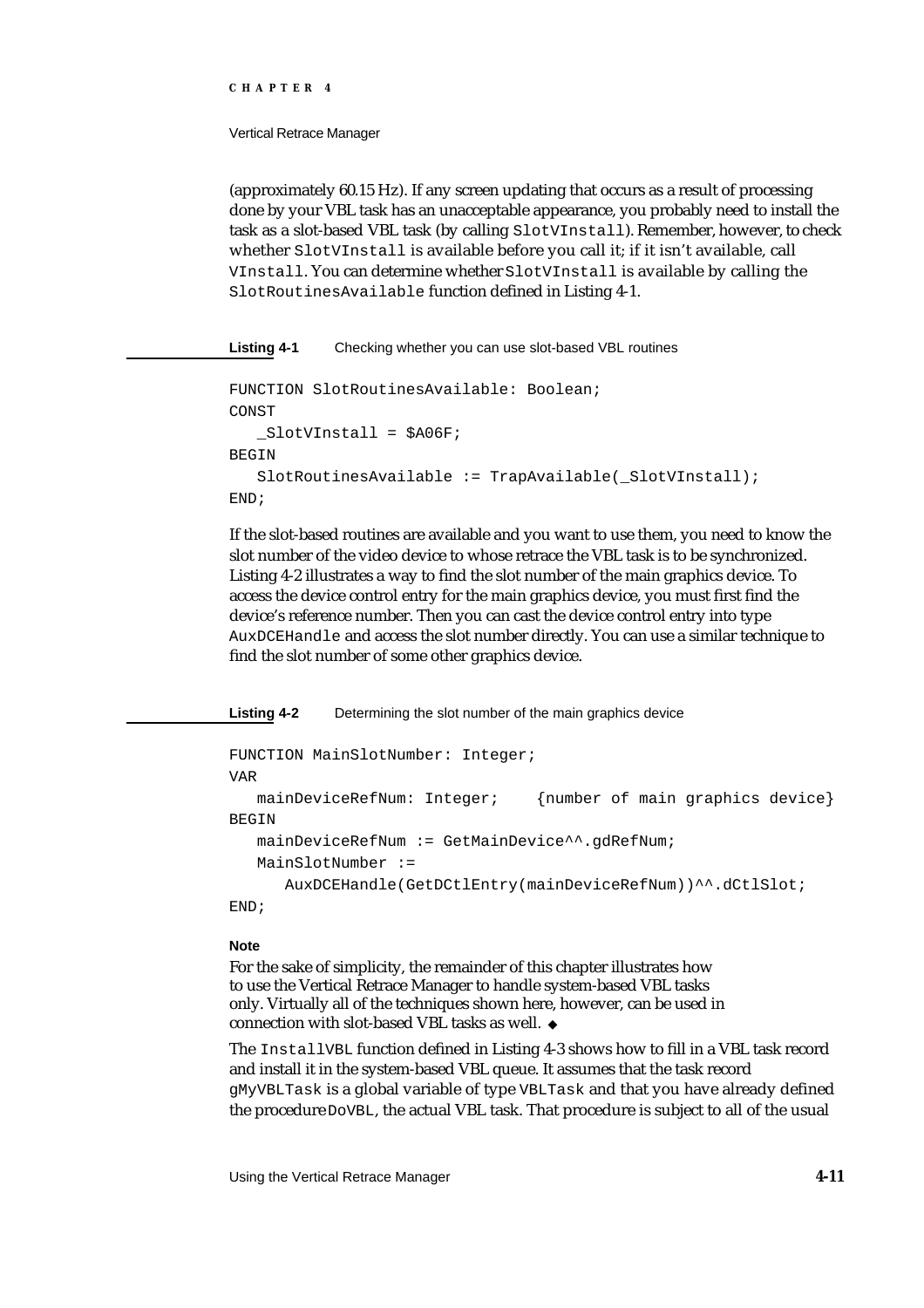#### Vertical Retrace Manager

(approximately 60.15 Hz). If any screen updating that occurs as a result of processing done by your VBL task has an unacceptable appearance, you probably need to install the task as a slot-based VBL task (by calling SlotVInstall). Remember, however, to check whether SlotVInstall is available before you call it; if it isn't available, call VInstall. You can determine whether SlotVInstall is available by calling the SlotRoutinesAvailable function defined in Listing 4-1.

**Listing 4-1** Checking whether you can use slot-based VBL routines

```
FUNCTION SlotRoutinesAvailable: Boolean;
CONST
   _SlotVInstall = $A06F;
BEGIN
   SlotRoutinesAvailable := TrapAvailable(_SlotVInstall);
END;
```
If the slot-based routines are available and you want to use them, you need to know the slot number of the video device to whose retrace the VBL task is to be synchronized. Listing 4-2 illustrates a way to find the slot number of the main graphics device. To access the device control entry for the main graphics device, you must first find the device's reference number. Then you can cast the device control entry into type AuxDCEHandle and access the slot number directly. You can use a similar technique to find the slot number of some other graphics device.

**Listing 4-2** Determining the slot number of the main graphics device

```
FUNCTION MainSlotNumber: Integer;
VAR
  mainDeviceRefNum: Integer; {number of main graphics device}
BEGIN
  mainDeviceRefNum := GetMainDevice^^.gdRefNum;
   MainSlotNumber := 
     AuxDCEHandle(GetDCtlEntry(mainDeviceRefNum))^^.dCtlSlot;
```
END;

## **Note**

For the sake of simplicity, the remainder of this chapter illustrates how to use the Vertical Retrace Manager to handle system-based VBL tasks only. Virtually all of the techniques shown here, however, can be used in connection with slot-based VBL tasks as well.

The InstallVBL function defined in Listing 4-3 shows how to fill in a VBL task record and install it in the system-based VBL queue. It assumes that the task record gMyVBLTask is a global variable of type VBLTask and that you have already defined the procedure DoVBL, the actual VBL task. That procedure is subject to all of the usual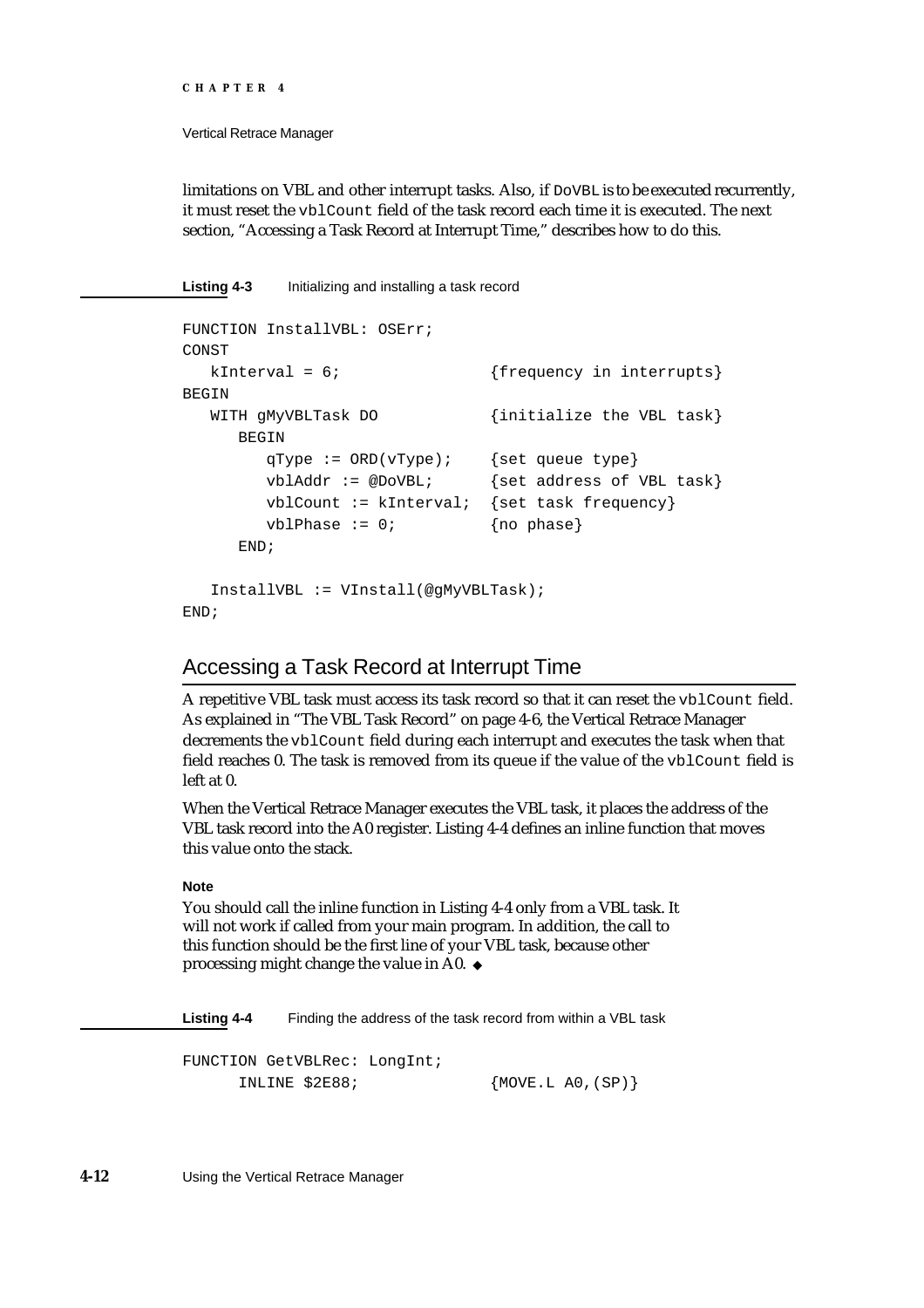```
CHAPTER 4
```
Vertical Retrace Manager

limitations on VBL and other interrupt tasks. Also, if DoVBL is to be executed recurrently, it must reset the vblCount field of the task record each time it is executed. The next section, "Accessing a Task Record at Interrupt Time," describes how to do this.

**Listing 4-3** Initializing and installing a task record

```
FUNCTION InstallVBL: OSErr;
CONST
  kInterval = 6; {frequency in interrupts}BEGIN
  WITH GMyVBLTask DO {initialize the VBL task}
     BEGIN
       qType := ORD(vType); {set queue type}
       vblAddr := @DovBL; {set address of VBL task}
       vblCount := kInterval: {set task frequency}
       vblPhase := 0; {no phase}
     END;
  InstallVBL := VInstall(@gMyVBLTask);
END;
```
# Accessing a Task Record at Interrupt Time

A repetitive VBL task must access its task record so that it can reset the vblCount field. As explained in "The VBL Task Record" on page 4-6, the Vertical Retrace Manager decrements the vblCount field during each interrupt and executes the task when that field reaches 0. The task is removed from its queue if the value of the vblCount field is left at 0.

When the Vertical Retrace Manager executes the VBL task, it places the address of the VBL task record into the A0 register. Listing 4-4 defines an inline function that moves this value onto the stack.

## **Note**

You should call the inline function in Listing 4-4 only from a VBL task. It will not work if called from your main program. In addition, the call to this function should be the first line of your VBL task, because other processing might change the value in A0.

**Listing 4-4** Finding the address of the task record from within a VBL task

```
FUNCTION GetVBLRec: LongInt;
    INLINE $2E88; {MOVE.L A0,(SP)}
```
**4-12** Using the Vertical Retrace Manager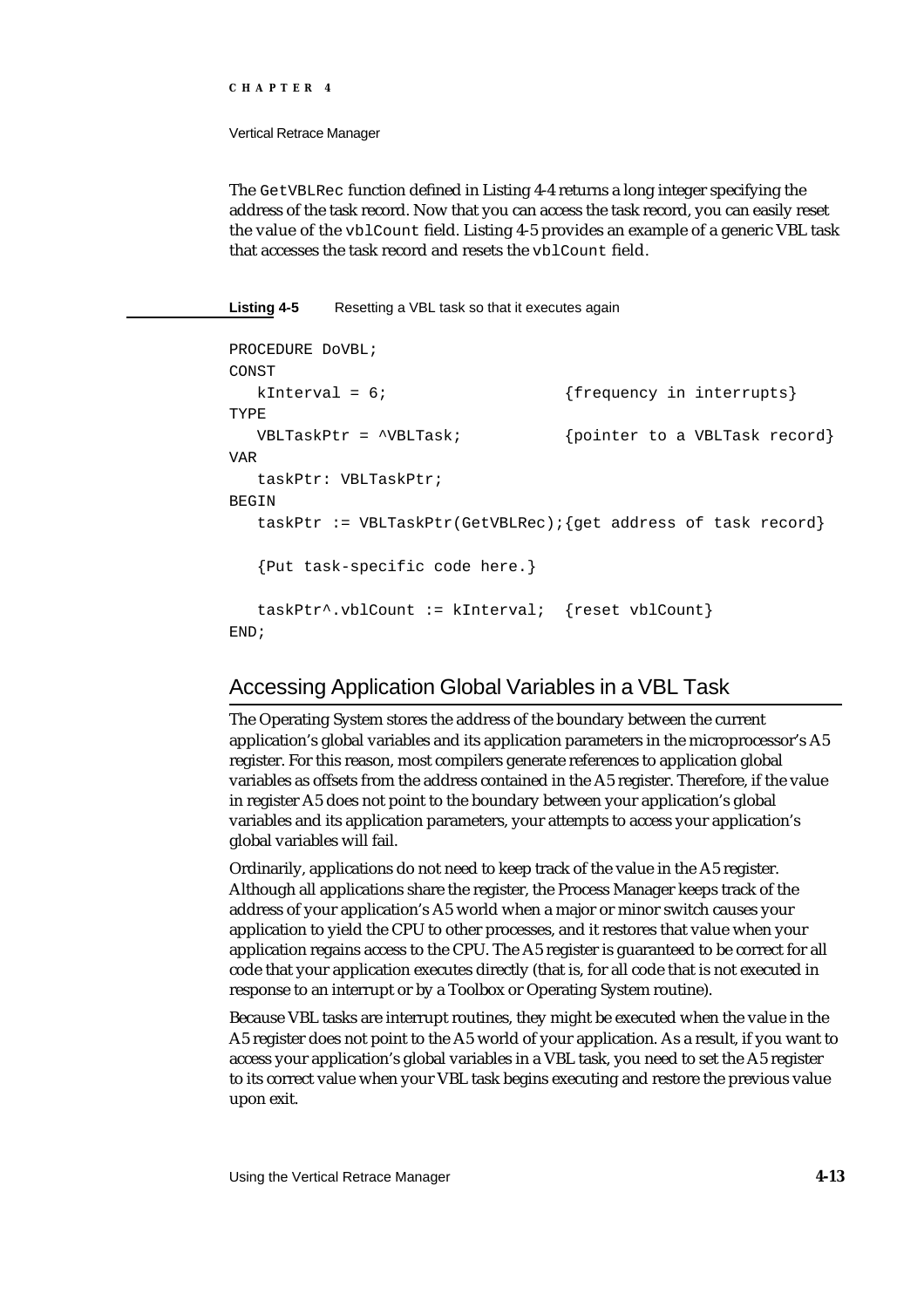#### Vertical Retrace Manager

The GetVBLRec function defined in Listing 4-4 returns a long integer specifying the address of the task record. Now that you can access the task record, you can easily reset the value of the vblCount field. Listing 4-5 provides an example of a generic VBL task that accesses the task record and resets the vblCount field.

### **Listing 4-5** Resetting a VBL task so that it executes again

```
PROCEDURE DoVBL;
CONST
  kInterval = 6; {frequency in interrupts}
TYPE
  VBLTaskPtr = ^VBLTask; {pointer to a VBLTask record}
VAR
  taskPtr: VBLTaskPtr;
BEGIN
  taskPtr := VBLTaskPtr(GetVBLRec); {get address of task record}
  {Put task-specific code here.}
  taskPtr^.vblCount := kInterval; {reset vblCount}
END;
```
# Accessing Application Global Variables in a VBL Task

The Operating System stores the address of the boundary between the current application's global variables and its application parameters in the microprocessor's A5 register. For this reason, most compilers generate references to application global variables as offsets from the address contained in the A5 register. Therefore, if the value in register A5 does not point to the boundary between your application's global variables and its application parameters, your attempts to access your application's global variables will fail.

Ordinarily, applications do not need to keep track of the value in the A5 register. Although all applications share the register, the Process Manager keeps track of the address of your application's A5 world when a major or minor switch causes your application to yield the CPU to other processes, and it restores that value when your application regains access to the CPU. The A5 register is guaranteed to be correct for all code that your application executes directly (that is, for all code that is not executed in response to an interrupt or by a Toolbox or Operating System routine).

Because VBL tasks are interrupt routines, they might be executed when the value in the A5 register does not point to the A5 world of your application. As a result, if you want to access your application's global variables in a VBL task, you need to set the A5 register to its correct value when your VBL task begins executing and restore the previous value upon exit.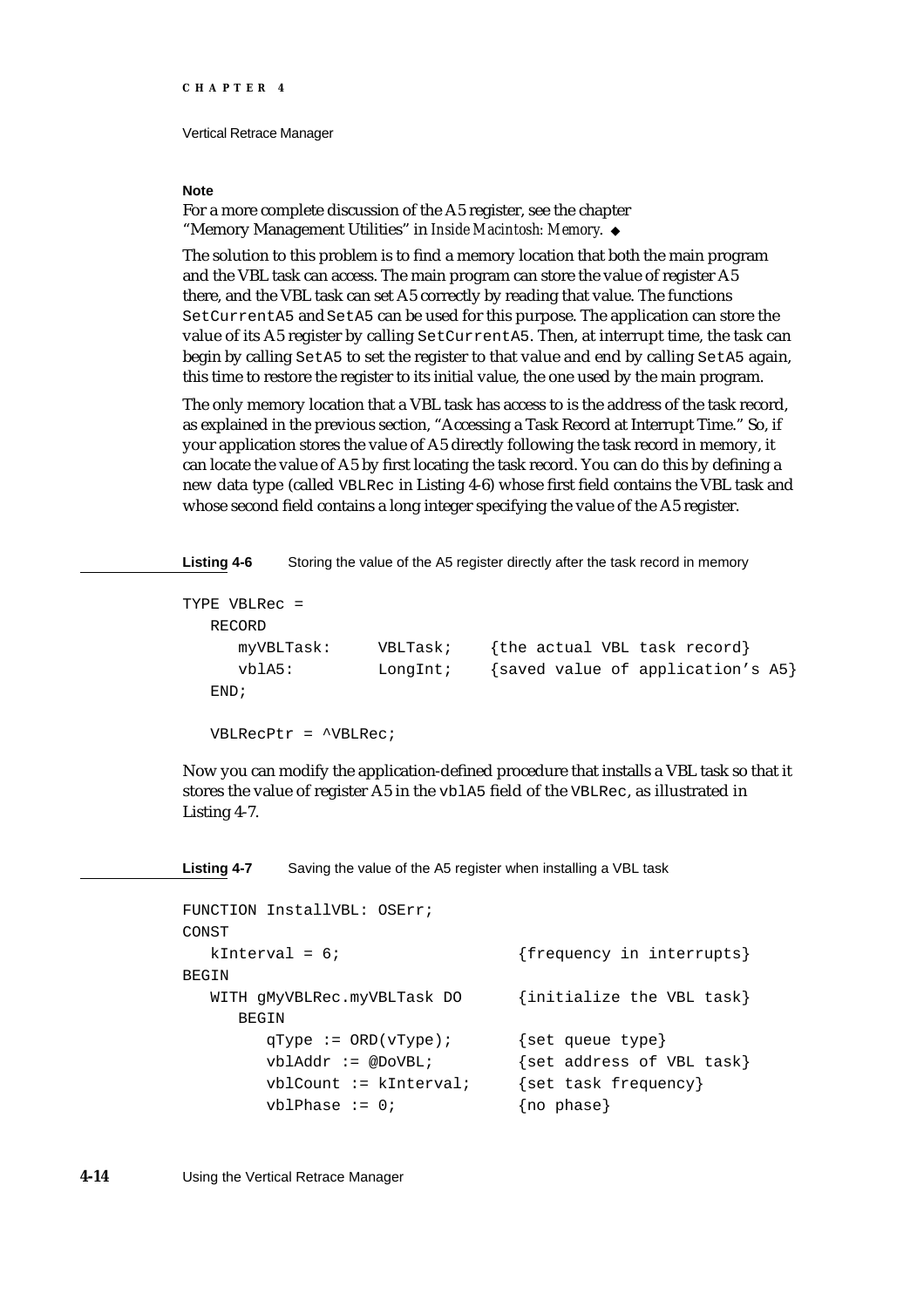#### **Note**

For a more complete discussion of the A5 register, see the chapter "Memory Management Utilities" in *Inside Macintosh: Memory*.

The solution to this problem is to find a memory location that both the main program and the VBL task can access. The main program can store the value of register A5 there, and the VBL task can set A5 correctly by reading that value. The functions SetCurrentA5 and SetA5 can be used for this purpose. The application can store the value of its A5 register by calling SetCurrentA5. Then, at interrupt time, the task can begin by calling SetA5 to set the register to that value and end by calling SetA5 again, this time to restore the register to its initial value, the one used by the main program.

The only memory location that a VBL task has access to is the address of the task record, as explained in the previous section, "Accessing a Task Record at Interrupt Time." So, if your application stores the value of A5 directly following the task record in memory, it can locate the value of A5 by first locating the task record. You can do this by defining a new data type (called VBLRec in Listing 4-6) whose first field contains the VBL task and whose second field contains a long integer specifying the value of the A5 register.

Listing 4-6 Storing the value of the A5 register directly after the task record in memory

```
TYPE VBLRec =
  RECORD
     myVBLTask: VBLTask; {the actual VBL task record}
     vblA5: LongInt; {saved value of application's A5}
  END;
  VBLRecPtr = ^VBLRec;
```
Now you can modify the application-defined procedure that installs a VBL task so that it stores the value of register A5 in the vblA5 field of the VBLRec, as illustrated in Listing 4-7.

**Listing 4-7** Saving the value of the A5 register when installing a VBL task

```
FUNCTION InstallVBL: OSErr;
CONST
  kInterval = 6; {frequency in intervals}BEGIN
  WITH GMyVBLRec.myVBLTask DO {initialize the VBL task}
     BEGIN
       qType := ORD(vType); {set queue type}
       vblAddr := @DoVBL; \{set address of VBL task\}vblCount := kInterval; {set task frequency}
       vblPhase := 0; {no phase}
```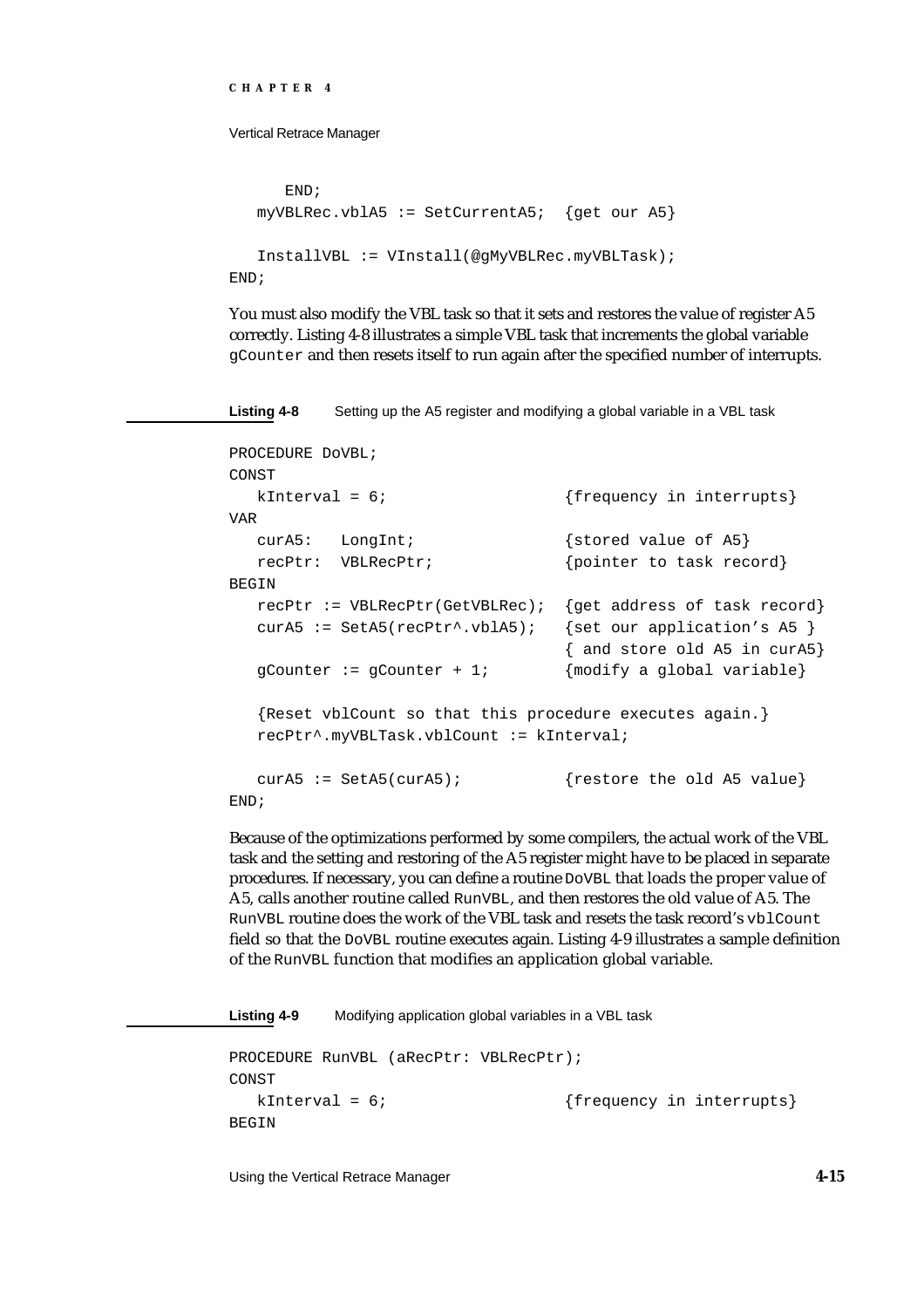Vertical Retrace Manager

```
END;
   myVBLRec.vblA5 := SetCurrentA5; {get our A5}
   InstallVBL := VInstall(@gMyVBLRec.myVBLTask);
END;
```
You must also modify the VBL task so that it sets and restores the value of register A5 correctly. Listing 4-8 illustrates a simple VBL task that increments the global variable gCounter and then resets itself to run again after the specified number of interrupts.

**Listing 4-8** Setting up the A5 register and modifying a global variable in a VBL task

```
PROCEDURE DoVBL;
CONST
  kInterval = 6; {frequency in interrupts}VAR
  curA5: LongInt; {stored value of A5}
  recPtr: VBLRecPtr; {pointer to task record}
BEGIN
  recPtr := VBLRecPtr(GetVBLRec); { qet address of task record}
  curA5 := SetA5(recPtr^.vblA5); {set our application's A5 }
                                { and store old A5 in curA5}
  gCounter := gCounter + 1; {modify a global variable}{Reset vblCount so that this procedure executes again.}
  recPtr^.myVBLTask.vblCount := kInterval;
  curA5 := SetA5(curA5); {r} {restore the old A5 value}
END;
```
Because of the optimizations performed by some compilers, the actual work of the VBL task and the setting and restoring of the A5 register might have to be placed in separate procedures. If necessary, you can define a routine DoVBL that loads the proper value of A5, calls another routine called RunVBL, and then restores the old value of A5. The RunVBL routine does the work of the VBL task and resets the task record's vblCount field so that the DoVBL routine executes again. Listing 4-9 illustrates a sample definition of the RunVBL function that modifies an application global variable.

**Listing 4-9** Modifying application global variables in a VBL task PROCEDURE RunVBL (aRecPtr: VBLRecPtr); CONST kInterval = 6;  ${frequency in interrupts}$ BEGIN

Using the Vertical Retrace Manager **4-15**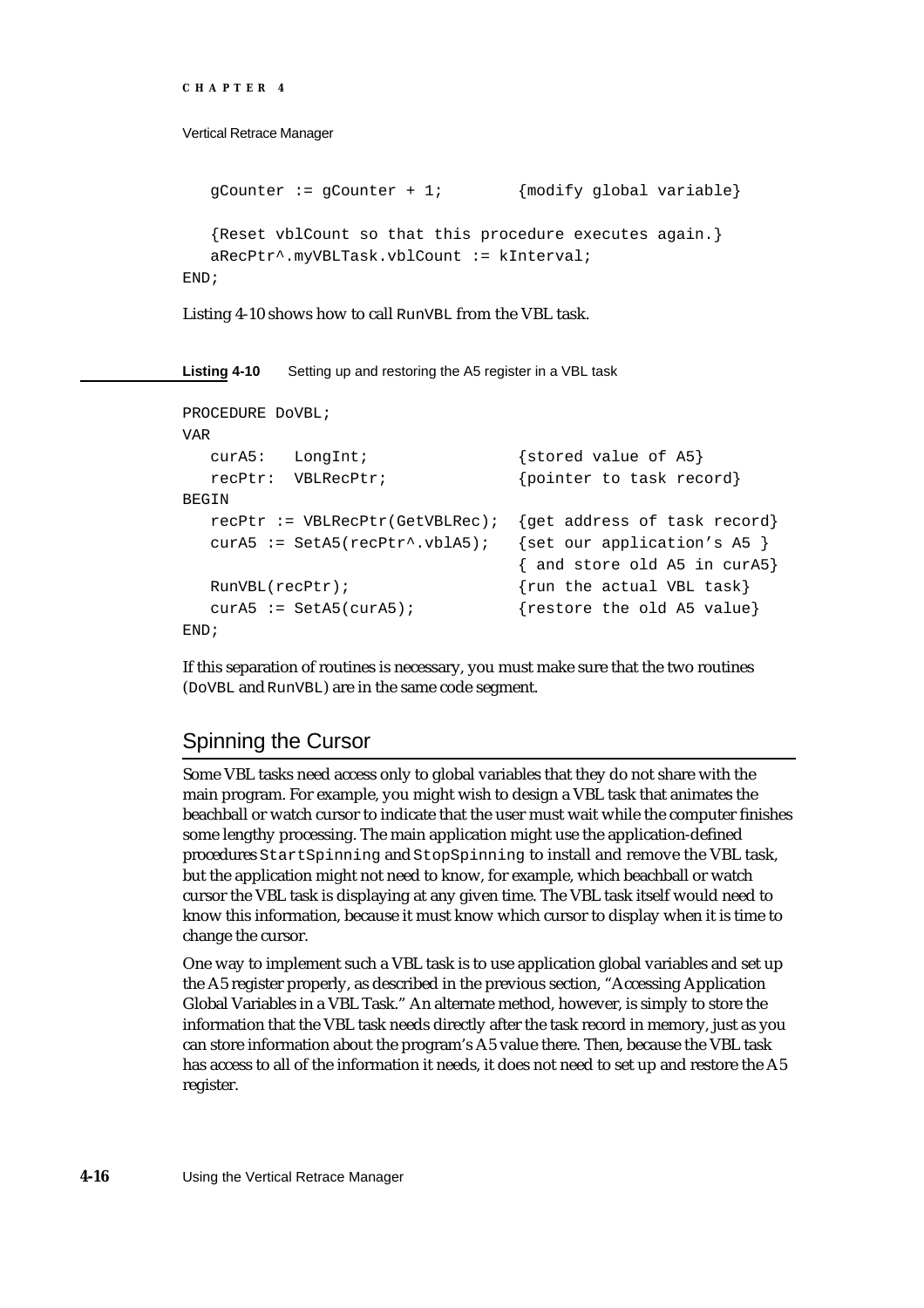```
CHAPTER 4
```

```
gCounter := gCounter + 1; {modify global variable}{Reset vblCount so that this procedure executes again.}
  aRecPtr^.myVBLTask.vblCount := kInterval;
END;
```
Listing 4-10 shows how to call RunVBL from the VBL task.

**Listing 4-10** Setting up and restoring the A5 register in a VBL task

```
PROCEDURE DoVBL;
VAR
  curA5: LongInt; {stored value of A5}
  recPtr: VBLRecPtr; {pointer\ to\ task\ record}BEGIN
  recPtr := VBLRecPtr(GetVBLRec); {get address of task record}
  curA5 := SetA5(recPtr^.vblA5); {set our application's A5 }
                               { and store old A5 in curA5}
  RunVBL(recPtr); {run the actual VBL task}curA5 := SetA5(curA5); {restore the old A5 value}
END;
```
If this separation of routines is necessary, you must make sure that the two routines (DoVBL and RunVBL) are in the same code segment.

# Spinning the Cursor

Some VBL tasks need access only to global variables that they do not share with the main program. For example, you might wish to design a VBL task that animates the beachball or watch cursor to indicate that the user must wait while the computer finishes some lengthy processing. The main application might use the application-defined procedures StartSpinning and StopSpinning to install and remove the VBL task, but the application might not need to know, for example, which beachball or watch cursor the VBL task is displaying at any given time. The VBL task itself would need to know this information, because it must know which cursor to display when it is time to change the cursor.

One way to implement such a VBL task is to use application global variables and set up the A5 register properly, as described in the previous section, "Accessing Application Global Variables in a VBL Task." An alternate method, however, is simply to store the information that the VBL task needs directly after the task record in memory, just as you can store information about the program's A5 value there. Then, because the VBL task has access to all of the information it needs, it does not need to set up and restore the A5 register.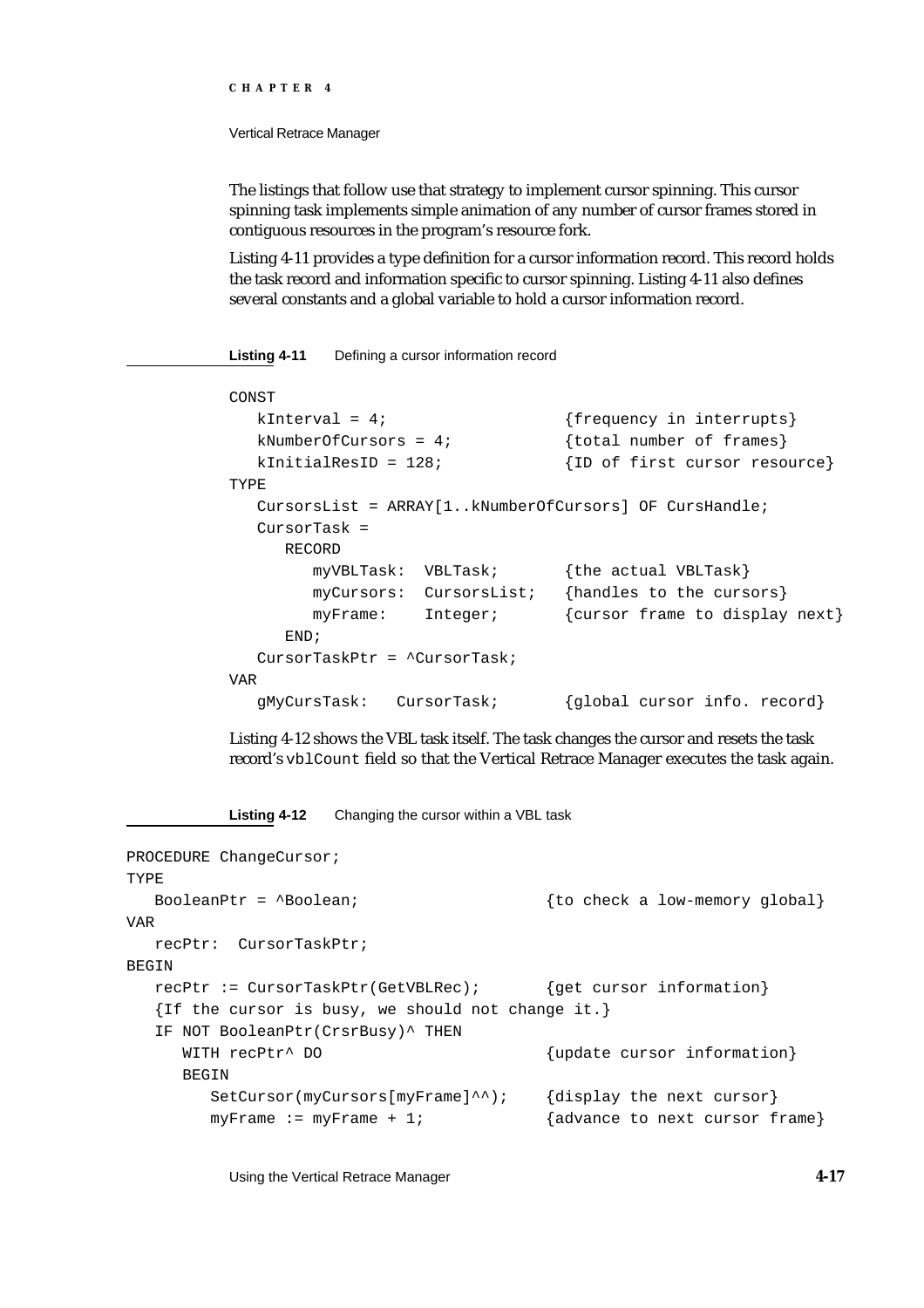#### Vertical Retrace Manager

The listings that follow use that strategy to implement cursor spinning. This cursor spinning task implements simple animation of any number of cursor frames stored in contiguous resources in the program's resource fork.

Listing 4-11 provides a type definition for a cursor information record. This record holds the task record and information specific to cursor spinning. Listing 4-11 also defines several constants and a global variable to hold a cursor information record.

**Listing 4-11** Defining a cursor information record

```
CONST
  kInterval = 4; {frequency in interrupts}kNumberOfCursors = 4; \{total number of frames\}kInitialResID = 128; {ID of first cursor resource}
TYPE
  CursorsList = ARRAY[1..kNumberOfCursors] OF CursHandle;
  CursorTask = 
     RECORD
       myVBLTask: VBLTask; {the actual VBLTask}
       myCursors: CursorsList; {handles to the cursors}
       myFrame: Integer; {cursor frame to display next}
     END;
  CursorTaskPtr = ^CursorTask;
VAR
  gMyCursTask: CursorTask; {global cursor info. record}
```
Listing 4-12 shows the VBL task itself. The task changes the cursor and resets the task record's vblCount field so that the Vertical Retrace Manager executes the task again.

**Listing 4-12** Changing the cursor within a VBL task

```
PROCEDURE ChangeCursor;
TYPE
  BooleanPtr = ^Boolean; {to} check a low-memory global}
VAR
  recPtr: CursorTaskPtr;
BEGIN
  recPtr := CursorTaskPtr(GetVBLRec); {get cursor information}
  {If the cursor is busy, we should not change it.}
  IF NOT BooleanPtr(CrsrBusy)^ THEN
     WITH recPtr^ DO {\text{update cursor information}}BEGIN
        SetCursor(myCursors[myFrame]^^); {display the next cursor}
        myFrame := myFrame + 1; {advance to next cursor frame}
```
Using the Vertical Retrace Manager **4-17**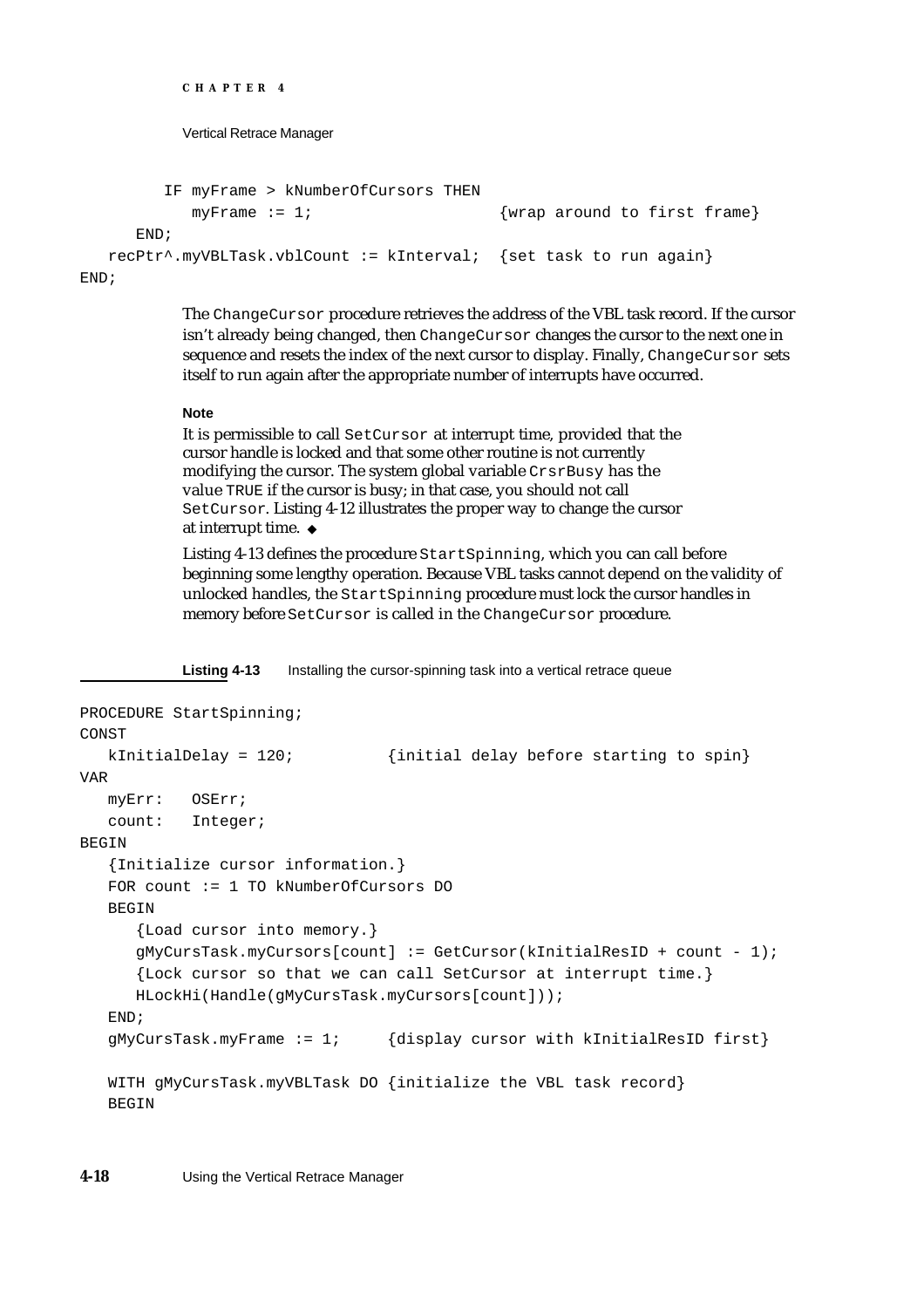```
CHAPTER 4
```

```
IF myFrame > kNumberOfCursors THEN
          myFrame := 1; {wrap around to first frame}
     END;
  recPtr^.myVBLTask.vblCount := kInterval; {set task to run again}
END;
```
The ChangeCursor procedure retrieves the address of the VBL task record. If the cursor isn't already being changed, then ChangeCursor changes the cursor to the next one in sequence and resets the index of the next cursor to display. Finally, ChangeCursor sets itself to run again after the appropriate number of interrupts have occurred.

# **Note**

It is permissible to call SetCursor at interrupt time, provided that the cursor handle is locked and that some other routine is not currently modifying the cursor. The system global variable CrsrBusy has the value TRUE if the cursor is busy; in that case, you should not call SetCursor. Listing 4-12 illustrates the proper way to change the cursor at interrupt time.

Listing 4-13 defines the procedure StartSpinning, which you can call before beginning some lengthy operation. Because VBL tasks cannot depend on the validity of unlocked handles, the StartSpinning procedure must lock the cursor handles in memory before SetCursor is called in the ChangeCursor procedure.

Listing 4-13 Installing the cursor-spinning task into a vertical retrace queue

```
PROCEDURE StartSpinning;
CONST
  kInitialDelay = 120; \{initial \ delay \ before \ starting \ to \ spin\}VAR
  myErr: OSErr;
   count: Integer;
BEGIN
   {Initialize cursor information.}
   FOR count := 1 TO kNumberOfCursors DO
   BEGIN
      {Load cursor into memory.}
      gMyCursTask.myCursors[count] := GetCursor(kInitialResID + count - 1);
      {Lock cursor so that we can call SetCursor at interrupt time.}
     HLockHi(Handle(gMyCursTask.myCursors[count]));
   END;
   gMyCursTask(myFrame := 1; {display cursor with kInitialResID first}
   WITH gMyCursTask.myVBLTask DO {initialize the VBL task record}
   BEGIN
```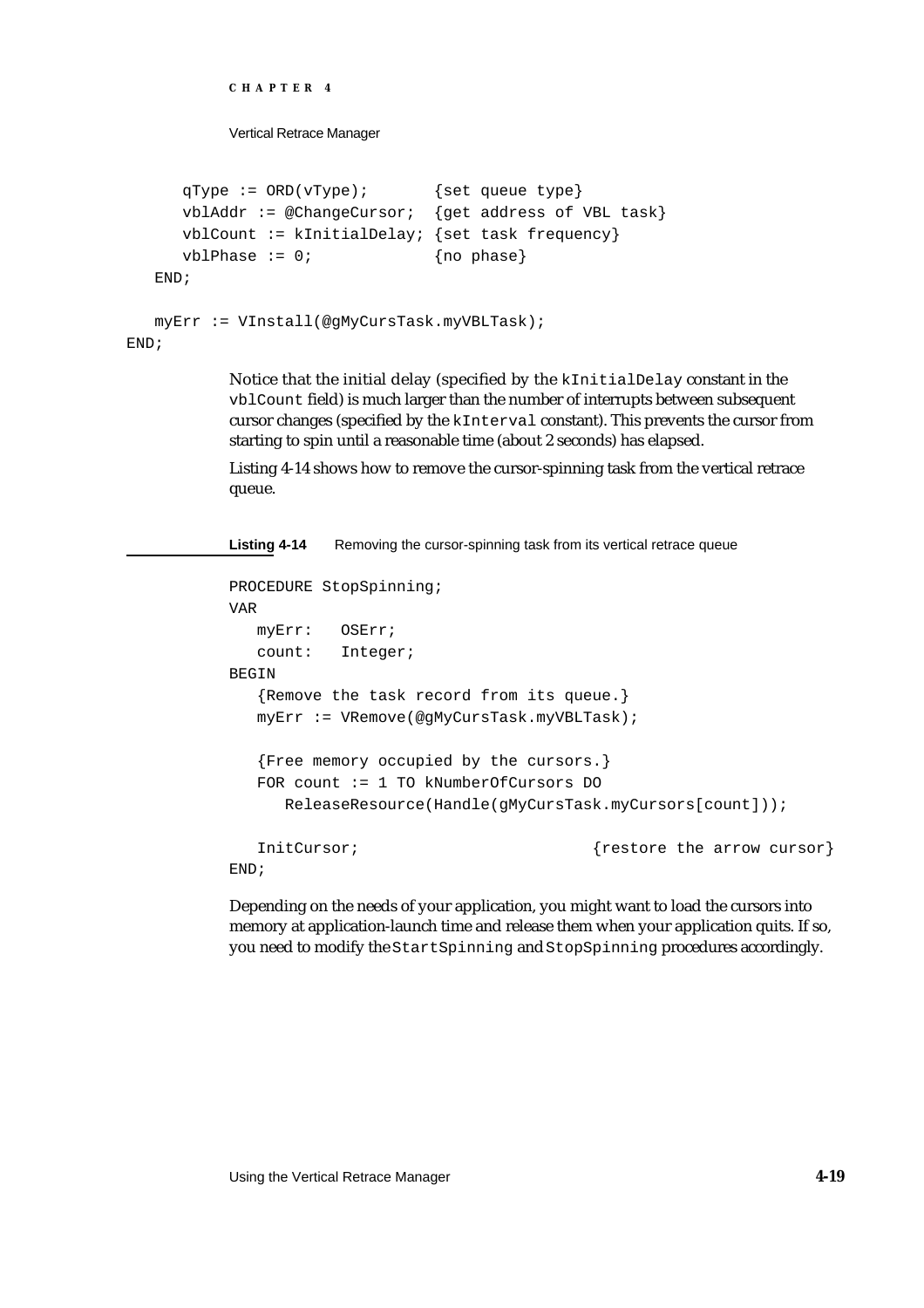```
CHAPTER 4
          Vertical Retrace Manager
     qType := ORD(vType); {set queue type}
     vblAddr := @ChangeCursor: \{get address of VBL task\}vblCount := kInitialDelay: {set task frequency}
     vblPhase := 0; {no phase}
  END;
  myErr := VInstall(@gMyCursTask.myVBLTask);
END;
```
Notice that the initial delay (specified by the kInitialDelay constant in the vblCount field) is much larger than the number of interrupts between subsequent cursor changes (specified by the kInterval constant). This prevents the cursor from starting to spin until a reasonable time (about 2 seconds) has elapsed.

Listing 4-14 shows how to remove the cursor-spinning task from the vertical retrace queue.

Listing 4-14 Removing the cursor-spinning task from its vertical retrace queue

```
PROCEDURE StopSpinning;
VAR
  myErr: OSErr;
  count: Integer;
BEGIN
  {Remove the task record from its queue.}
  myErr := VRemove(@gMyCursTask.myVBLTask);
  {Free memory occupied by the cursors.}
  FOR count := 1 TO kNumberOfCursors DO
     ReleaseResource(Handle(gMyCursTask.myCursors[count]));
  InitCursor; {restore the arrow cursor}END;
```
Depending on the needs of your application, you might want to load the cursors into memory at application-launch time and release them when your application quits. If so, you need to modify the StartSpinning and StopSpinning procedures accordingly.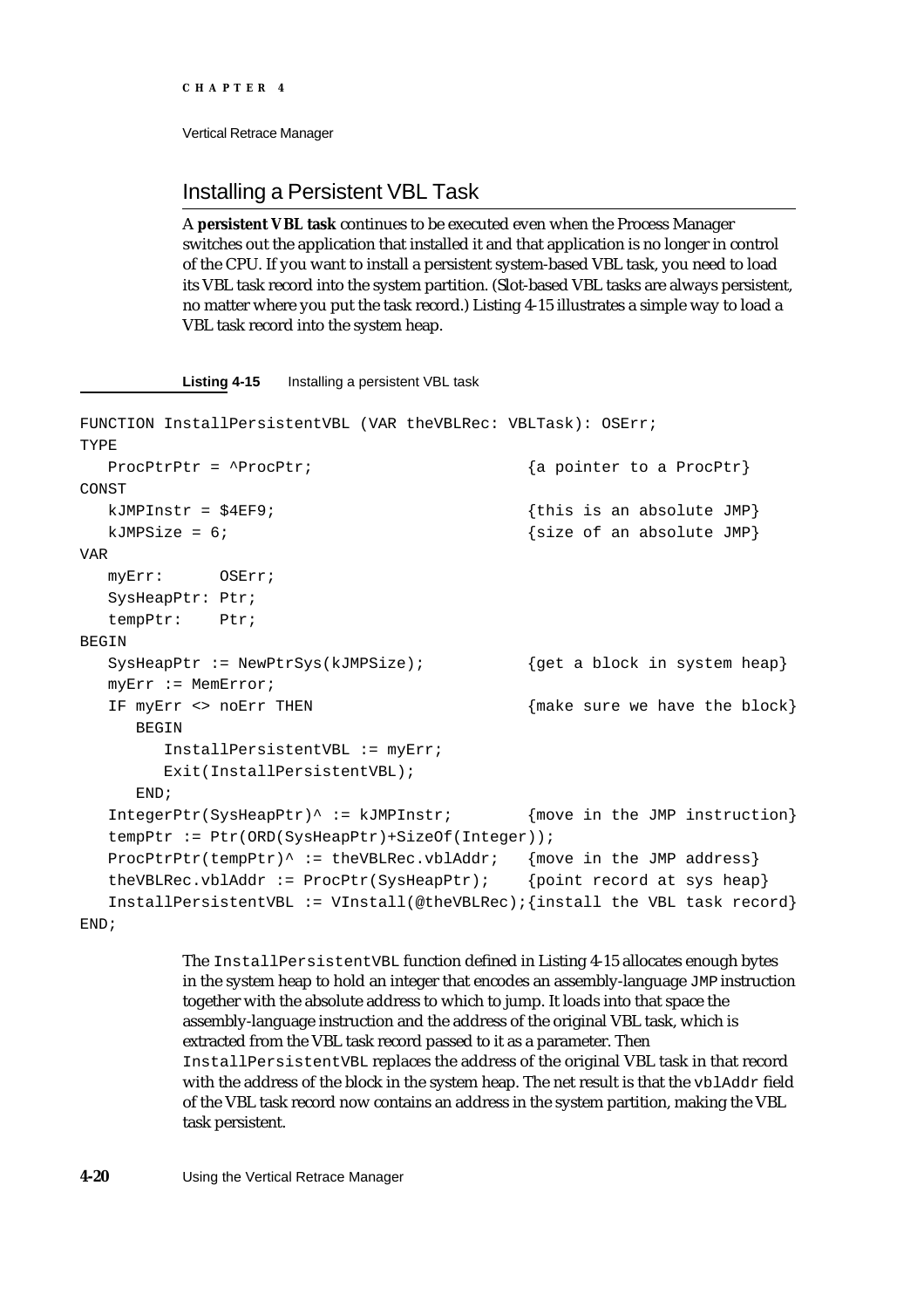# Installing a Persistent VBL Task

A **persistent VBL task** continues to be executed even when the Process Manager switches out the application that installed it and that application is no longer in control of the CPU. If you want to install a persistent system-based VBL task, you need to load its VBL task record into the system partition. (Slot-based VBL tasks are always persistent, no matter where you put the task record.) Listing 4-15 illustrates a simple way to load a VBL task record into the system heap.

**Listing 4-15** Installing a persistent VBL task

```
FUNCTION InstallPersistentVBL (VAR theVBLRec: VBLTask): OSErr;
TYPE
  ProcPtrPtr = ^ProcPtr; {a} pointer to a ProcPtr}
CONST
  kJMPInstr = $4EF9; {thist} {this} is an absolute JMP
  kJMPSize = 6; {size of an absolute JMP}VAR
  myErr: OSErr;
  SysHeapPtr: Ptr;
  tempPtr: Ptr;
BEGIN
  SysHeapPtr := NewPtrSys(kJMPSize); {get a block in system heap}
  myErr := MemError;
  IF myErr <> noErr THEN {m\text{ke}} sure we have the block
     BEGIN
        InstallPersistentVBL := myErr;
       Exit(InstallPersistentVBL);
     END;
  IntegerPtr(SysHeapPtr)^ := kJMPInstr; {move in the JMP instruction}tempPtr := Ptr(ORD(SysHeapPtr)+SizeOf(Integer));
  ProcPtrPtr(tempPtr)^ := theVBLRec.vblAddr; {move in the JMP address}
  theVBLRec.vblAddr := ProcPtr(SysHeapPtr); {point record at sys heap}
  InstallPersistentVBL := VInstall(@theVBLRec);{install the VBL task record}
END;
```
The InstallPersistentVBL function defined in Listing 4-15 allocates enough bytes in the system heap to hold an integer that encodes an assembly-language JMP instruction together with the absolute address to which to jump. It loads into that space the assembly-language instruction and the address of the original VBL task, which is extracted from the VBL task record passed to it as a parameter. Then InstallPersistentVBL replaces the address of the original VBL task in that record with the address of the block in the system heap. The net result is that the vblAddr field of the VBL task record now contains an address in the system partition, making the VBL task persistent.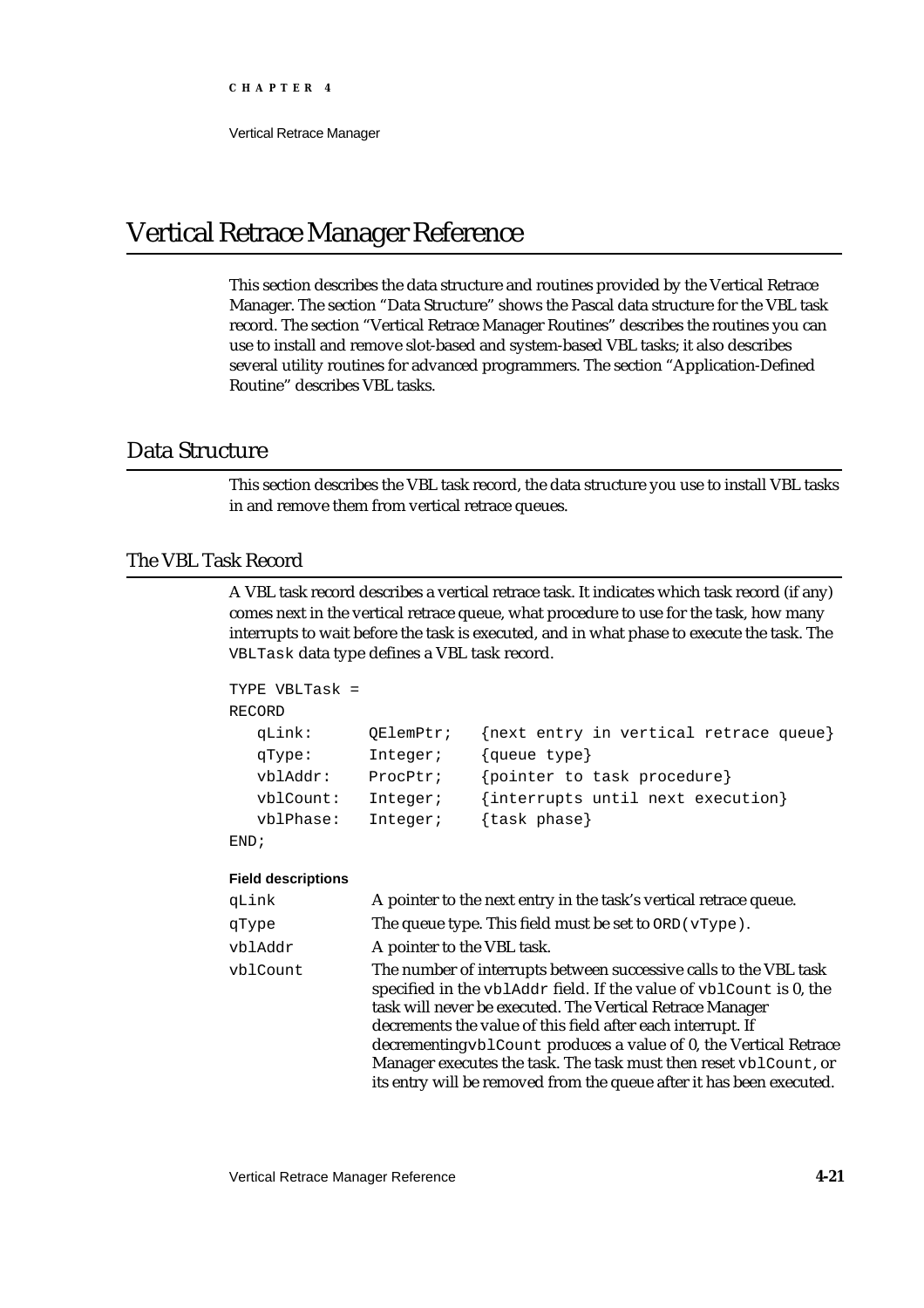# Vertical Retrace Manager Reference

This section describes the data structure and routines provided by the Vertical Retrace Manager. The section "Data Structure" shows the Pascal data structure for the VBL task record. The section "Vertical Retrace Manager Routines" describes the routines you can use to install and remove slot-based and system-based VBL tasks; it also describes several utility routines for advanced programmers. The section "Application-Defined Routine" describes VBL tasks.

# Data Structure

This section describes the VBL task record, the data structure you use to install VBL tasks in and remove them from vertical retrace queues.

# The VBL Task Record

A VBL task record describes a vertical retrace task. It indicates which task record (if any) comes next in the vertical retrace queue, what procedure to use for the task, how many interrupts to wait before the task is executed, and in what phase to execute the task. The VBLTask data type defines a VBL task record.

```
TYPE VBLTask = 
RECORD
  qLink: QElemPtr; {next entry in vertical retrace queue}
  qType: Integer; {queue type}
  vblAddr: ProcPtr; {pointer to task procedure}
  vblCount: Integer; {interrupts until next execution}
  vblPhase: Integer; {task phase}
END;
```
### **Field descriptions**

| qLink    | A pointer to the next entry in the task's vertical retrace queue.                                                                                                                                                                                                                                                                                                                                                                                                                    |
|----------|--------------------------------------------------------------------------------------------------------------------------------------------------------------------------------------------------------------------------------------------------------------------------------------------------------------------------------------------------------------------------------------------------------------------------------------------------------------------------------------|
| qType    | The queue type. This field must be set to $ORD$ ( $vType$ ).                                                                                                                                                                                                                                                                                                                                                                                                                         |
| vblAddr  | A pointer to the VBL task.                                                                                                                                                                                                                                                                                                                                                                                                                                                           |
| vblCount | The number of interrupts between successive calls to the VBL task<br>specified in the vblAddr field. If the value of vblCount is 0, the<br>task will never be executed. The Vertical Retrace Manager<br>decrements the value of this field after each interrupt. If<br>decrementing vblCount produces a value of 0, the Vertical Retrace<br>Manager executes the task. The task must then reset vblCount, or<br>its entry will be removed from the queue after it has been executed. |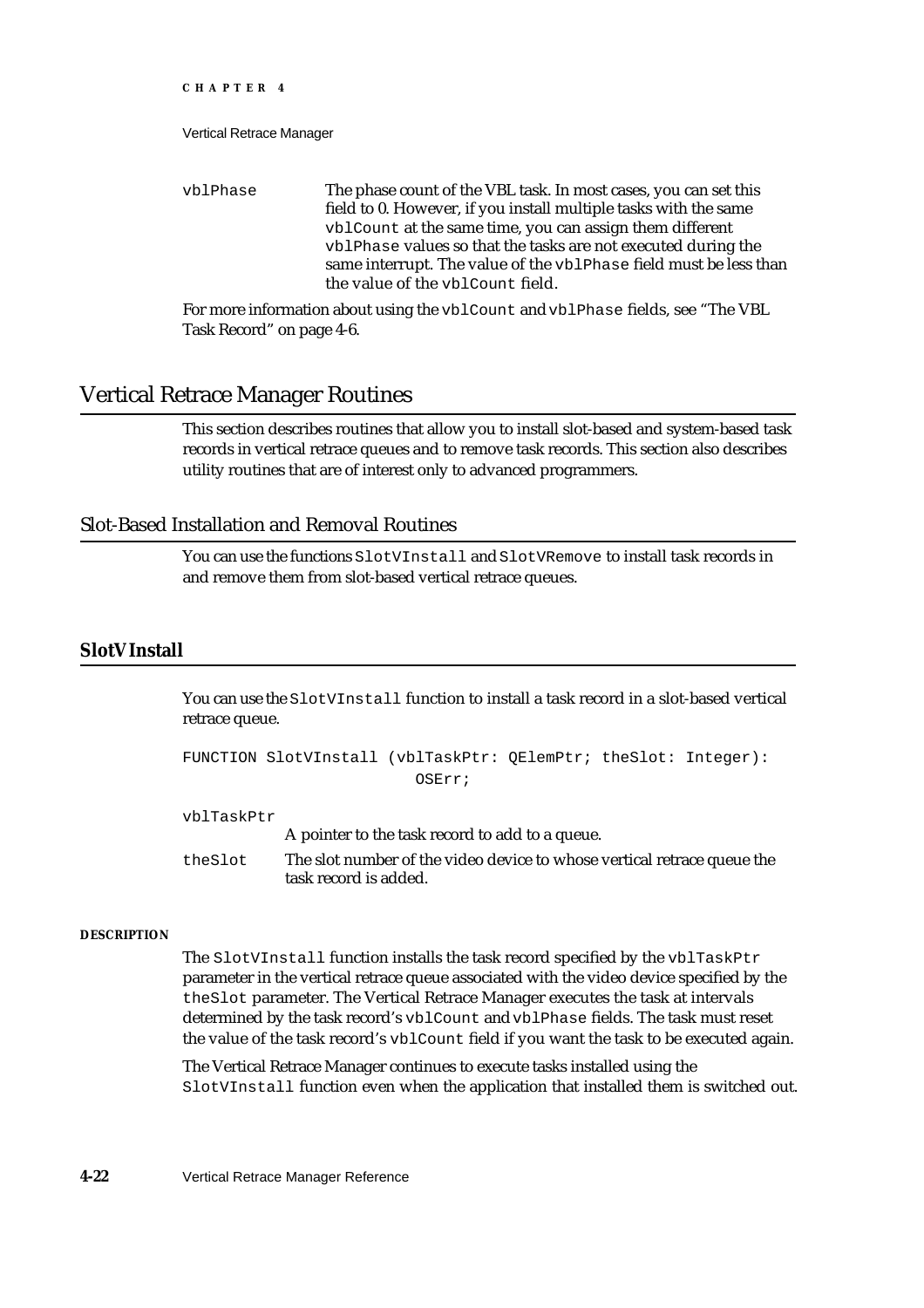Vertical Retrace Manager

vblPhase The phase count of the VBL task. In most cases, you can set this field to 0. However, if you install multiple tasks with the same vblCount at the same time, you can assign them different vblPhase values so that the tasks are not executed during the same interrupt. The value of the vblPhase field must be less than the value of the vblCount field.

For more information about using the vblCount and vblPhase fields, see "The VBL Task Record" on page 4-6.

# Vertical Retrace Manager Routines

This section describes routines that allow you to install slot-based and system-based task records in vertical retrace queues and to remove task records. This section also describes utility routines that are of interest only to advanced programmers.

# Slot-Based Installation and Removal Routines

You can use the functions SlotVInstall and SlotVRemove to install task records in and remove them from slot-based vertical retrace queues.

# **SlotVInstall**

You can use the SlotVInstall function to install a task record in a slot-based vertical retrace queue.

```
FUNCTION SlotVInstall (vblTaskPtr: QElemPtr; theSlot: Integer):
                          OSErr;
```
vblTaskPtr

A pointer to the task record to add to a queue. theSlot The slot number of the video device to whose vertical retrace queue the task record is added.

# **DESCRIPTION**

The SlotVInstall function installs the task record specified by the vblTaskPtr parameter in the vertical retrace queue associated with the video device specified by the theSlot parameter. The Vertical Retrace Manager executes the task at intervals determined by the task record's vblCount and vblPhase fields. The task must reset the value of the task record's vblCount field if you want the task to be executed again.

The Vertical Retrace Manager continues to execute tasks installed using the SlotVInstall function even when the application that installed them is switched out.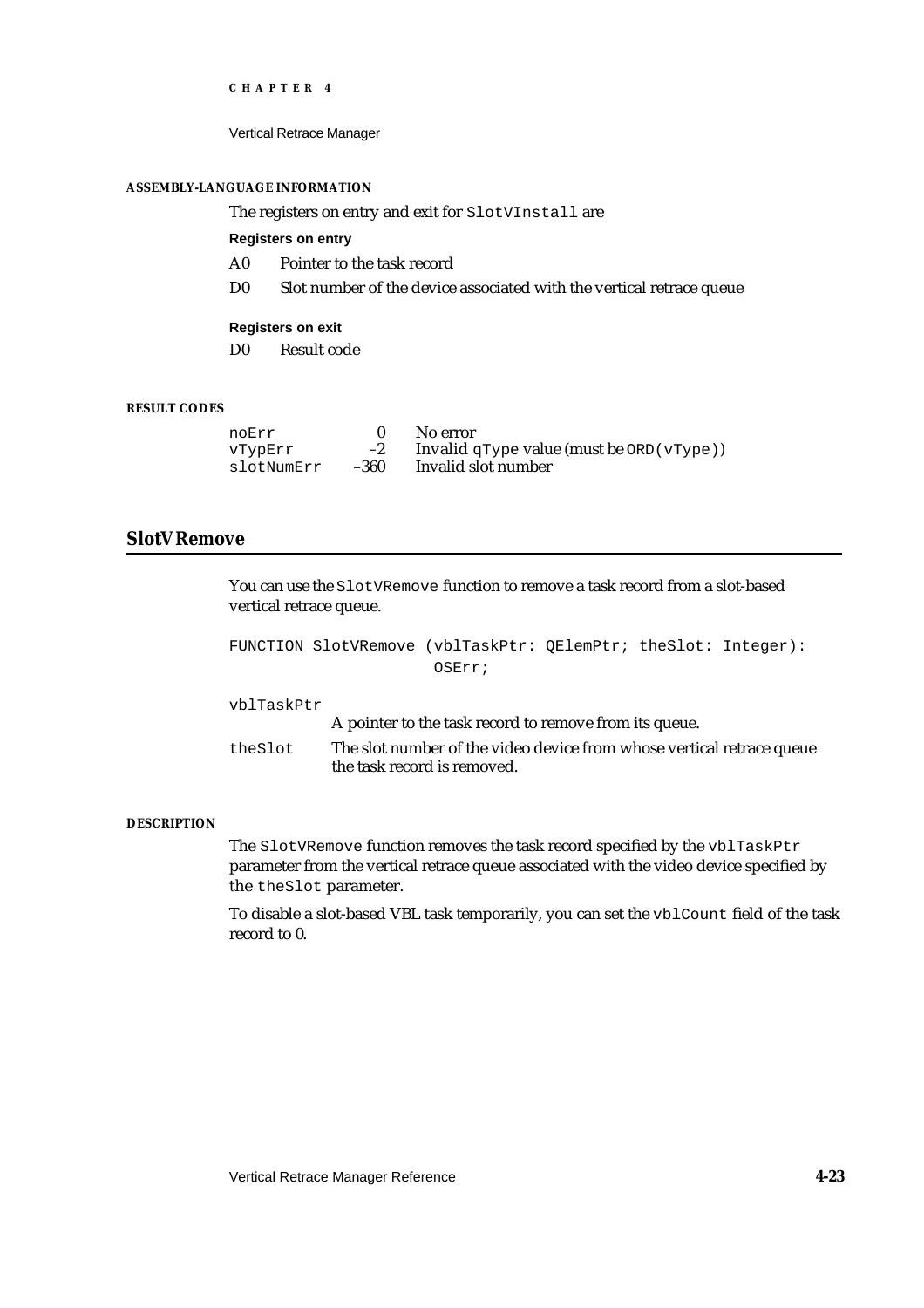Vertical Retrace Manager

### **ASSEMBLY-LANGUAGE INFORMATION**

The registers on entry and exit for SlotVInstall are

### **Registers on entry**

- A0 Pointer to the task record
- D0 Slot number of the device associated with the vertical retrace queue

#### **Registers on exit**

D0 Result code

# **RESULT CODES**

| noErr      |      | No error                                        |
|------------|------|-------------------------------------------------|
| VTypErr    | $-2$ | Invalid $qType$ value (must be ORD ( $vType$ )) |
| slotNumErr | -360 | Invalid slot number                             |

# **SlotVRemove**

You can use the SlotVRemove function to remove a task record from a slot-based vertical retrace queue.

```
FUNCTION SlotVRemove (vblTaskPtr: QElemPtr; theSlot: Integer): 
                       OSErr;
```
vblTaskPtr

A pointer to the task record to remove from its queue.

theSlot The slot number of the video device from whose vertical retrace queue the task record is removed.

# **DESCRIPTION**

The SlotVRemove function removes the task record specified by the vblTaskPtr parameter from the vertical retrace queue associated with the video device specified by the theSlot parameter.

To disable a slot-based VBL task temporarily, you can set the vblCount field of the task record to 0.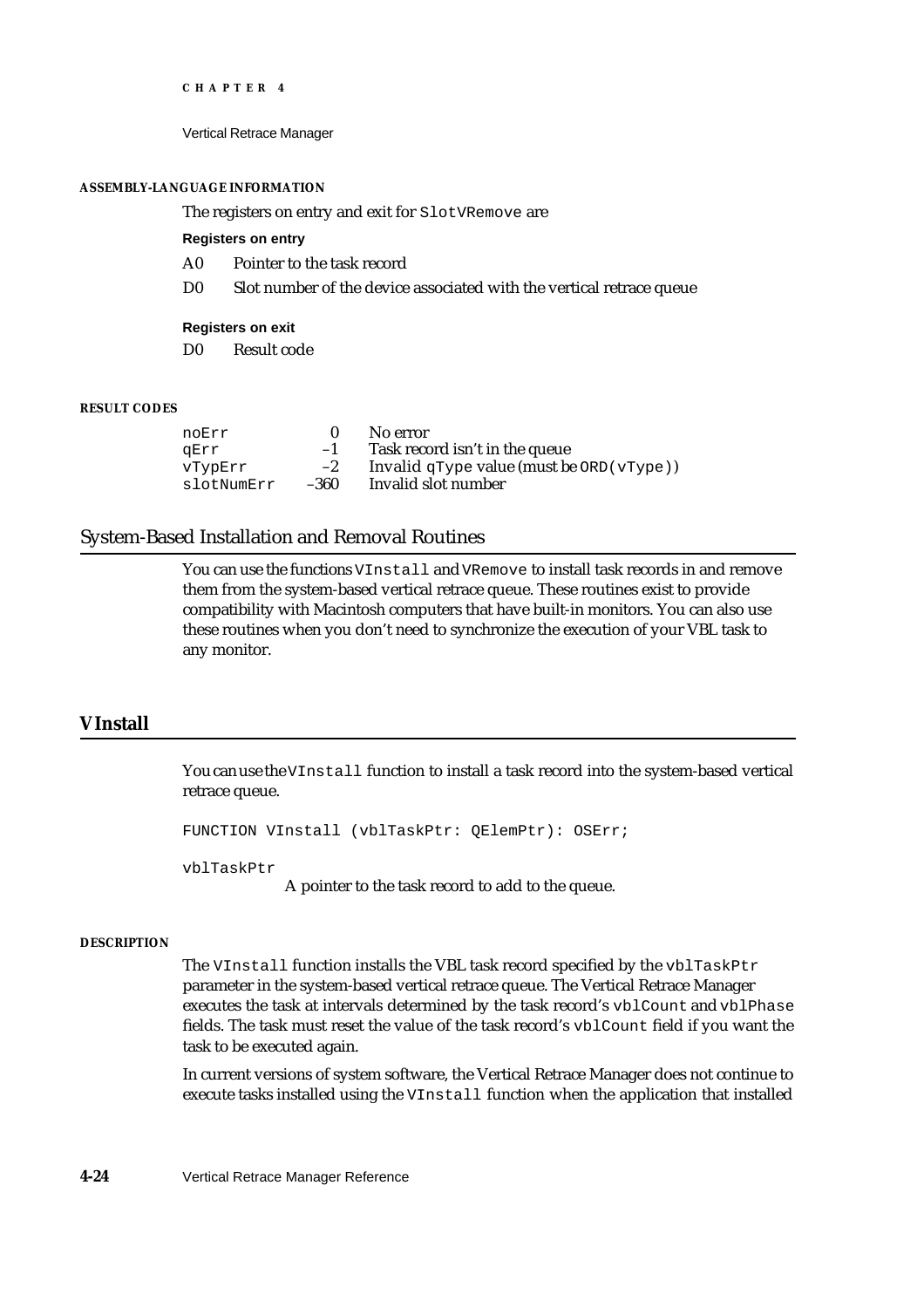Vertical Retrace Manager

#### **ASSEMBLY-LANGUAGE INFORMATION**

The registers on entry and exit for SlotVRemove are

**Registers on entry**

- A0 Pointer to the task record
- D0 Slot number of the device associated with the vertical retrace queue

### **Registers on exit**

D0 Result code

#### **RESULT CODES**

| noErr      |      | No error                                      |
|------------|------|-----------------------------------------------|
| aErr       | $-1$ | Task record isn't in the queue                |
| vTvpErr    | $-2$ | Invalid $qType$ value (must be $ORD(vType)$ ) |
| slotNumErr | -360 | Invalid slot number                           |

# System-Based Installation and Removal Routines

You can use the functions VInstall and VRemove to install task records in and remove them from the system-based vertical retrace queue. These routines exist to provide compatibility with Macintosh computers that have built-in monitors. You can also use these routines when you don't need to synchronize the execution of your VBL task to any monitor.

# **VInstall**

You can use the VInstall function to install a task record into the system-based vertical retrace queue.

FUNCTION VInstall (vblTaskPtr: QElemPtr): OSErr;

vblTaskPtr

A pointer to the task record to add to the queue.

#### **DESCRIPTION**

The VInstall function installs the VBL task record specified by the vblTaskPtr parameter in the system-based vertical retrace queue. The Vertical Retrace Manager executes the task at intervals determined by the task record's vblCount and vblPhase fields. The task must reset the value of the task record's vblCount field if you want the task to be executed again.

In current versions of system software, the Vertical Retrace Manager does not continue to execute tasks installed using the VInstall function when the application that installed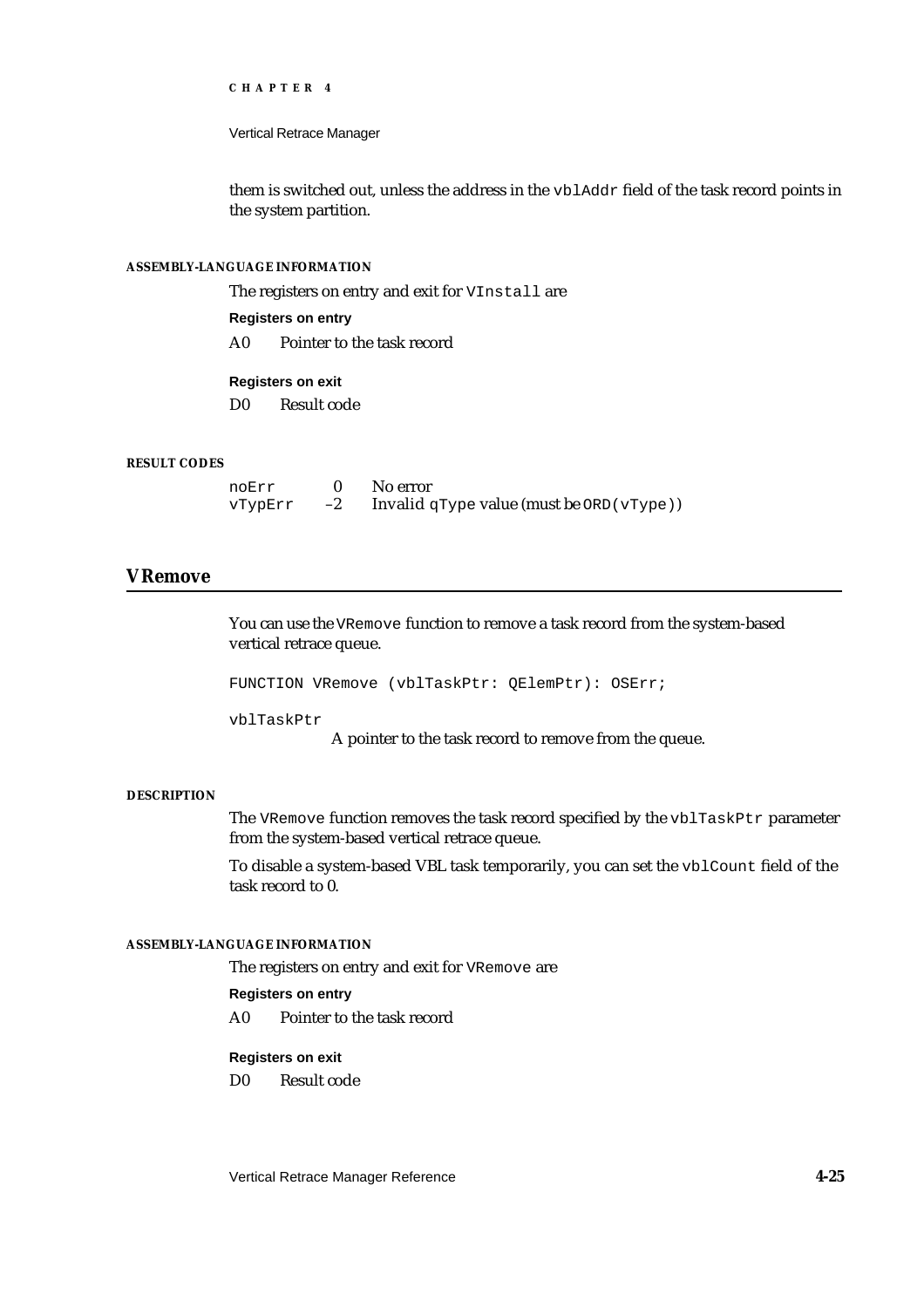Vertical Retrace Manager

them is switched out, unless the address in the vblAddr field of the task record points in the system partition.

# **ASSEMBLY-LANGUAGE INFORMATION**

The registers on entry and exit for VInstall are

**Registers on entry**

A0 Pointer to the task record

# **Registers on exit**

D0 Result code

### **RESULT CODES**

| noErr   |      | No error                                      |
|---------|------|-----------------------------------------------|
| VTypErr | $-2$ | Invalid $qType$ value (must be $ORD(vType)$ ) |

# **VRemove**

You can use the VRemove function to remove a task record from the system-based vertical retrace queue.

FUNCTION VRemove (vblTaskPtr: QElemPtr): OSErr;

vblTaskPtr

A pointer to the task record to remove from the queue.

# **DESCRIPTION**

The VRemove function removes the task record specified by the vblTaskPtr parameter from the system-based vertical retrace queue.

To disable a system-based VBL task temporarily, you can set the vblCount field of the task record to 0.

# **ASSEMBLY-LANGUAGE INFORMATION**

The registers on entry and exit for VRemove are

# **Registers on entry**

A0 Pointer to the task record

### **Registers on exit**

D0 Result code

Vertical Retrace Manager Reference **4-25**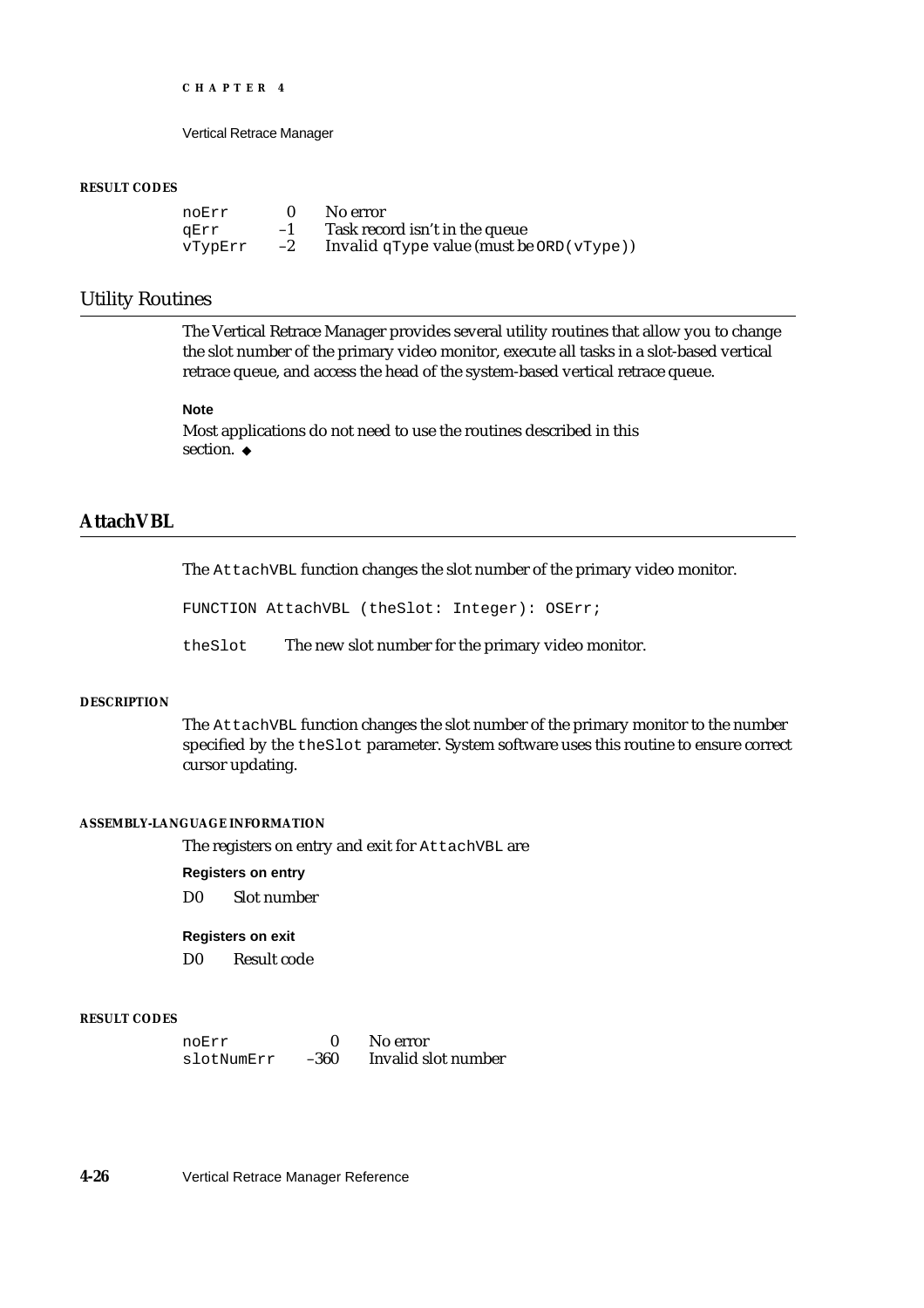Vertical Retrace Manager

#### **RESULT CODES**

| noErr   |      | No error                                      |
|---------|------|-----------------------------------------------|
| aErr    | $-1$ | Task record isn't in the queue                |
| vTvpErr | $-2$ | Invalid $qType$ value (must be $ORD(vType)$ ) |

# Utility Routines

The Vertical Retrace Manager provides several utility routines that allow you to change the slot number of the primary video monitor, execute all tasks in a slot-based vertical retrace queue, and access the head of the system-based vertical retrace queue.

#### **Note**

Most applications do not need to use the routines described in this section. u

# **AttachVBL**

The AttachVBL function changes the slot number of the primary video monitor.

FUNCTION AttachVBL (theSlot: Integer): OSErr;

theSlot The new slot number for the primary video monitor.

#### **DESCRIPTION**

The AttachVBL function changes the slot number of the primary monitor to the number specified by the theSlot parameter. System software uses this routine to ensure correct cursor updating.

### **ASSEMBLY-LANGUAGE INFORMATION**

The registers on entry and exit for AttachVBL are

**Registers on entry**

D0 Slot number

# **Registers on exit**

D0 Result code

#### **RESULT CODES**

| noErr      |      | No error            |
|------------|------|---------------------|
| slotNumErr | -360 | Invalid slot number |

**4-26** Vertical Retrace Manager Reference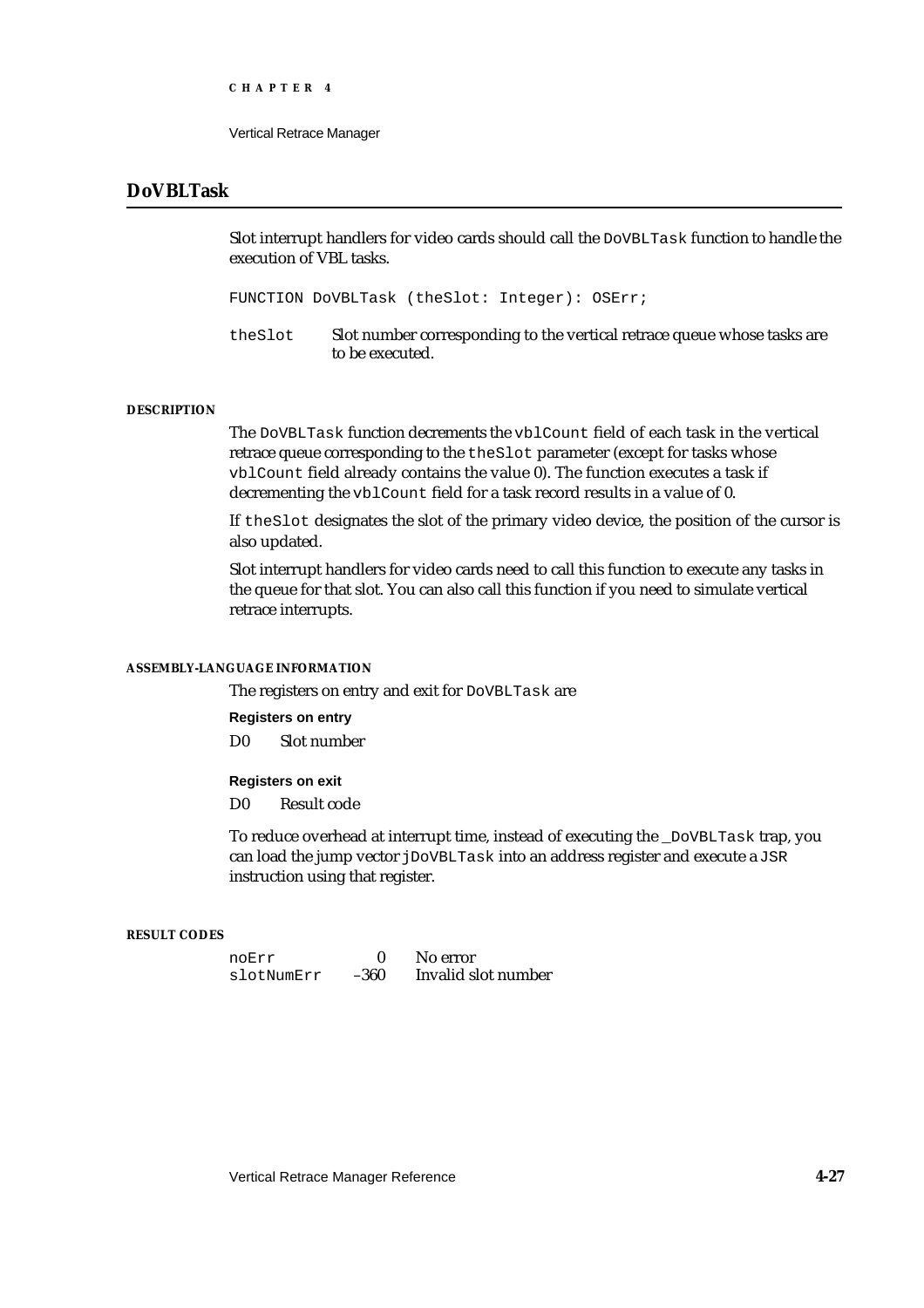```
CHAPTER 4
```
# **DoVBLTask**

Slot interrupt handlers for video cards should call the DoVBLTask function to handle the execution of VBL tasks.

FUNCTION DoVBLTask (theSlot: Integer): OSErr;

theSlot Slot number corresponding to the vertical retrace queue whose tasks are to be executed.

### **DESCRIPTION**

The DoVBLTask function decrements the vblCount field of each task in the vertical retrace queue corresponding to the theSlot parameter (except for tasks whose vblCount field already contains the value 0). The function executes a task if decrementing the vblCount field for a task record results in a value of 0.

If theSlot designates the slot of the primary video device, the position of the cursor is also updated.

Slot interrupt handlers for video cards need to call this function to execute any tasks in the queue for that slot. You can also call this function if you need to simulate vertical retrace interrupts.

### **ASSEMBLY-LANGUAGE INFORMATION**

The registers on entry and exit for DoVBLTask are

**Registers on entry**

D0 Slot number

# **Registers on exit**

D0 Result code

To reduce overhead at interrupt time, instead of executing the \_DoVBLTask trap, you can load the jump vector jDoVBLTask into an address register and execute a JSR instruction using that register.

# **RESULT CODES**

| noErr      |      | No error            |
|------------|------|---------------------|
| slotNumErr | -360 | Invalid slot number |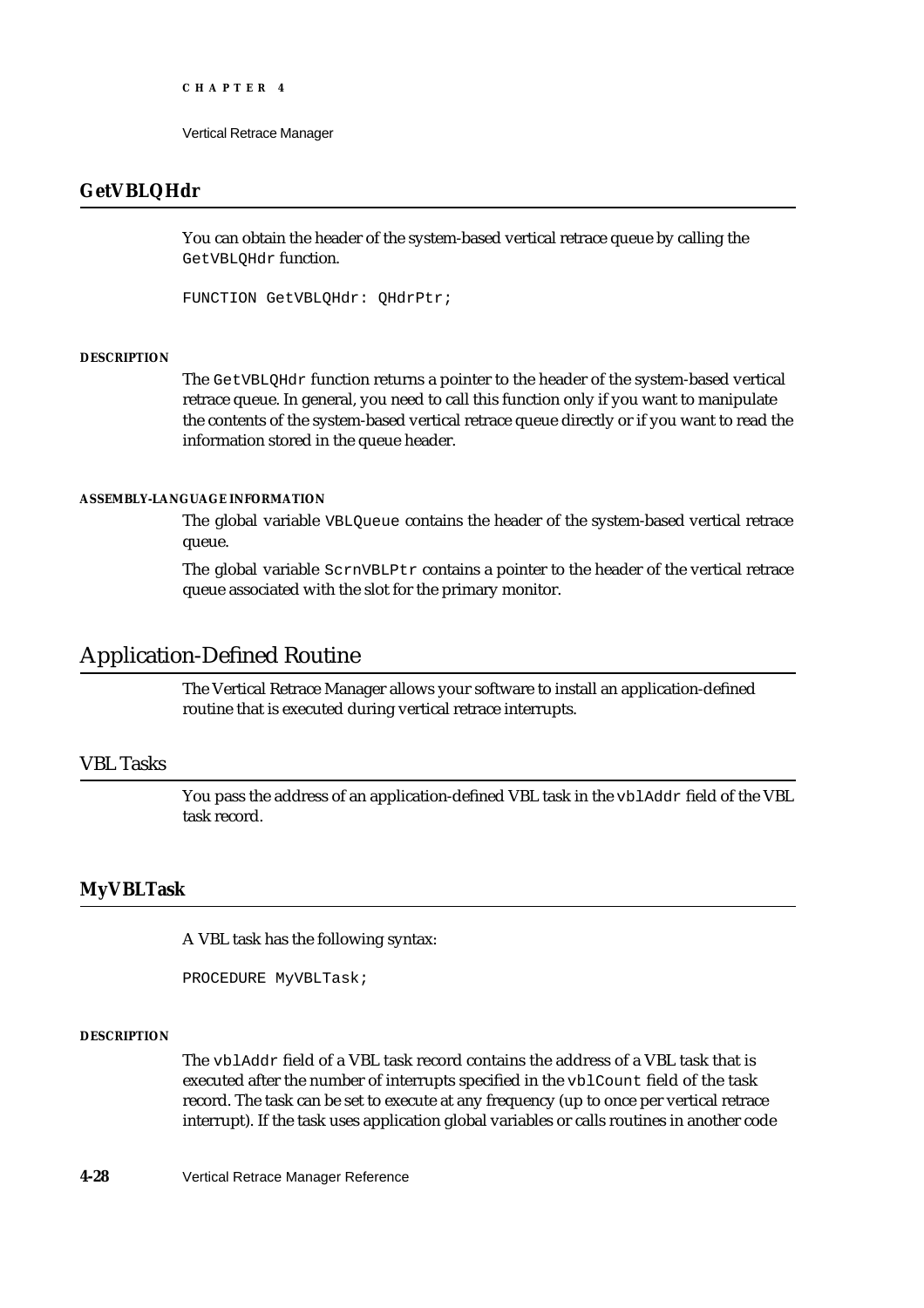Vertical Retrace Manager

# **GetVBLQHdr**

You can obtain the header of the system-based vertical retrace queue by calling the GetVBLQHdr function.

FUNCTION GetVBLQHdr: QHdrPtr;

### **DESCRIPTION**

The GetVBLQHdr function returns a pointer to the header of the system-based vertical retrace queue. In general, you need to call this function only if you want to manipulate the contents of the system-based vertical retrace queue directly or if you want to read the information stored in the queue header.

### **ASSEMBLY-LANGUAGE INFORMATION**

The global variable VBLQueue contains the header of the system-based vertical retrace queue.

The global variable ScrnVBLPtr contains a pointer to the header of the vertical retrace queue associated with the slot for the primary monitor.

# Application-Defined Routine

The Vertical Retrace Manager allows your software to install an application-defined routine that is executed during vertical retrace interrupts.

# VBL Tasks

You pass the address of an application-defined VBL task in the vblAddr field of the VBL task record.

# **MyVBLTask**

A VBL task has the following syntax:

PROCEDURE MyVBLTask;

#### **DESCRIPTION**

The vblAddr field of a VBL task record contains the address of a VBL task that is executed after the number of interrupts specified in the vblCount field of the task record. The task can be set to execute at any frequency (up to once per vertical retrace interrupt). If the task uses application global variables or calls routines in another code

**4-28** Vertical Retrace Manager Reference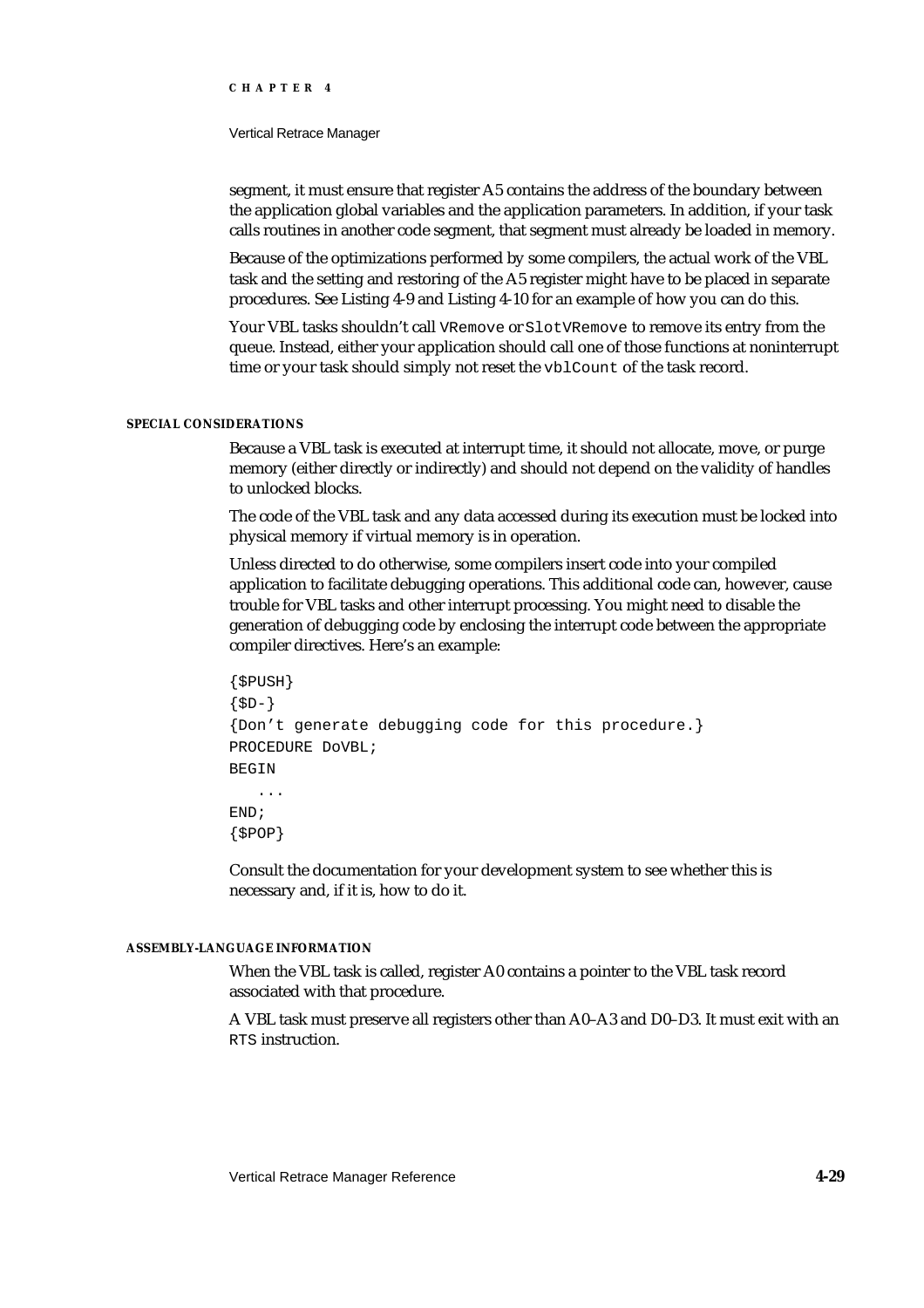#### Vertical Retrace Manager

segment, it must ensure that register A5 contains the address of the boundary between the application global variables and the application parameters. In addition, if your task calls routines in another code segment, that segment must already be loaded in memory.

Because of the optimizations performed by some compilers, the actual work of the VBL task and the setting and restoring of the A5 register might have to be placed in separate procedures. See Listing 4-9 and Listing 4-10 for an example of how you can do this.

Your VBL tasks shouldn't call VRemove or SlotVRemove to remove its entry from the queue. Instead, either your application should call one of those functions at noninterrupt time or your task should simply not reset the vblCount of the task record.

### **SPECIAL CONSIDERATIONS**

Because a VBL task is executed at interrupt time, it should not allocate, move, or purge memory (either directly or indirectly) and should not depend on the validity of handles to unlocked blocks.

The code of the VBL task and any data accessed during its execution must be locked into physical memory if virtual memory is in operation.

Unless directed to do otherwise, some compilers insert code into your compiled application to facilitate debugging operations. This additional code can, however, cause trouble for VBL tasks and other interrupt processing. You might need to disable the generation of debugging code by enclosing the interrupt code between the appropriate compiler directives. Here's an example:

```
{$PUSH}
{5D-}{Don't generate debugging code for this procedure.}
PROCEDURE DoVBL;
BEGIN
   ...
END;
{$POP}
```
Consult the documentation for your development system to see whether this is necessary and, if it is, how to do it.

# **ASSEMBLY-LANGUAGE INFORMATION**

When the VBL task is called, register A0 contains a pointer to the VBL task record associated with that procedure.

A VBL task must preserve all registers other than A0–A3 and D0–D3. It must exit with an RTS instruction.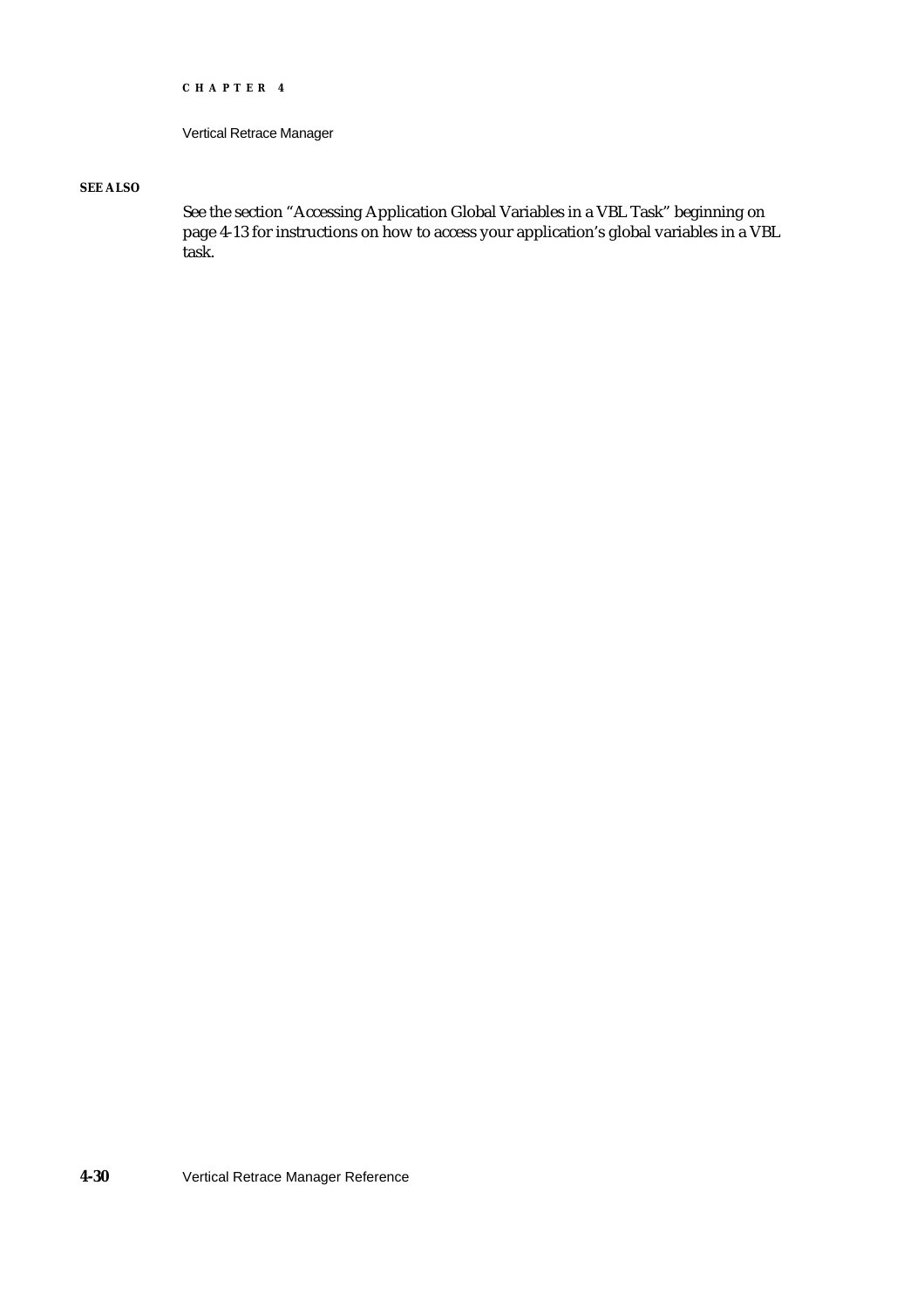```
CHAPTER 4
```
# **SEE ALSO**

See the section "Accessing Application Global Variables in a VBL Task" beginning on page 4-13 for instructions on how to access your application's global variables in a VBL task.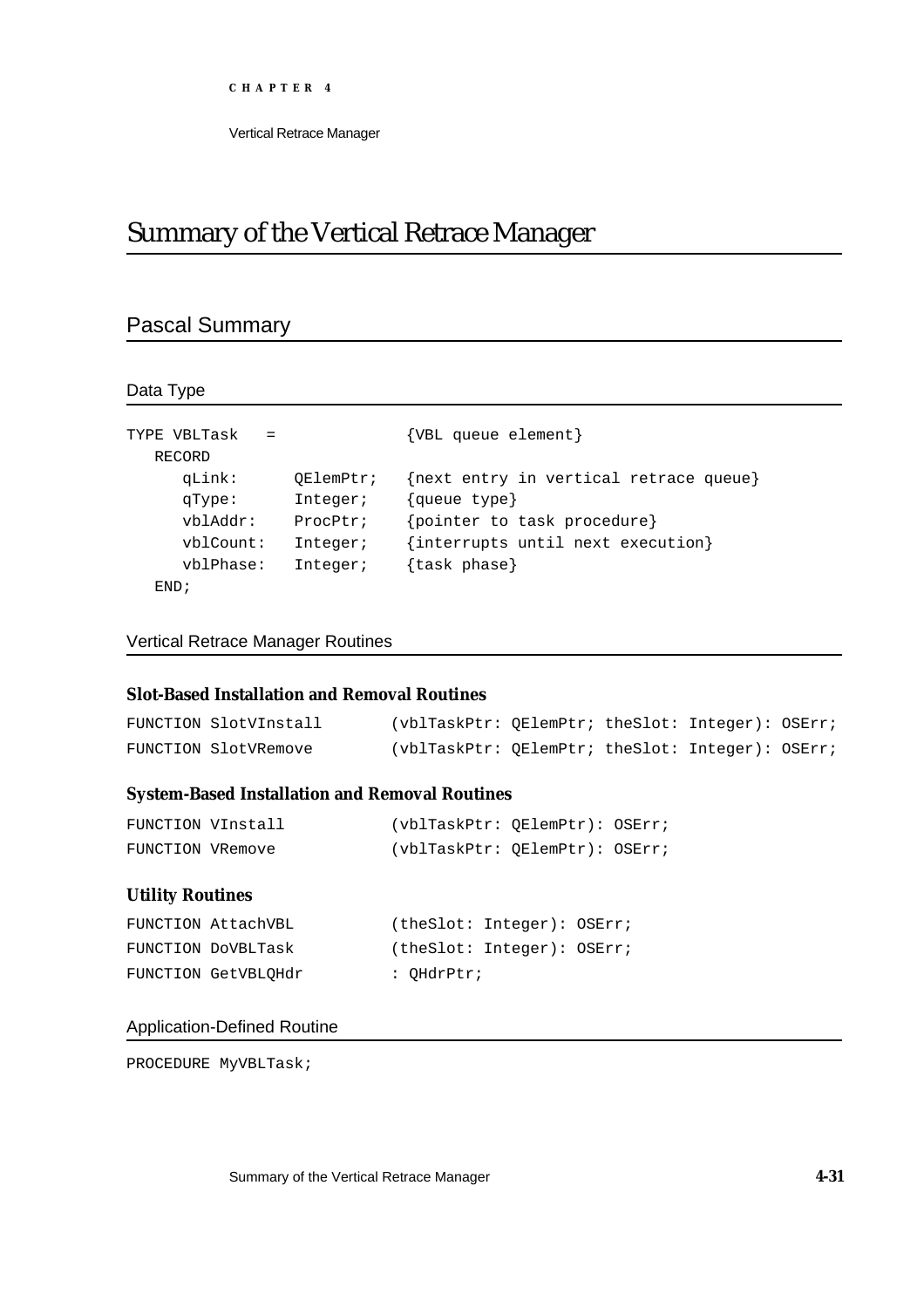# Summary of the Vertical Retrace Manager

# Pascal Summary

Data Type

| TYPE VBLTask<br>$=$ |           | {VBL queue element}                    |
|---------------------|-----------|----------------------------------------|
| RECORD              |           |                                        |
| qLink:              | OElemPtr; | {next entry in vertical retrace queue} |
| qType:              | Integer;  | {queue type}                           |
| vblAddr:            | ProcPtr;  | {pointer to task procedure}            |
| vblCount:           | Integer;  | {interrupts until next execution}      |
| vblPhase:           | Integer;  | {task phase}                           |
| FND;                |           |                                        |

Vertical Retrace Manager Routines

# **Slot-Based Installation and Removal Routines**

| FUNCTION SlotVInstall | (vblTaskPtr: OElemPtr; theSlot: Integer): OSErr; |  |  |
|-----------------------|--------------------------------------------------|--|--|
| FUNCTION SlotVRemove  | (vblTaskPtr: OElemPtr; theSlot: Integer): OSErr; |  |  |

# **System-Based Installation and Removal Routines**

| FUNCTION VInstall | (vblTaskPtr: OElemPtr): OSErr; |  |
|-------------------|--------------------------------|--|
| FUNCTION VRemove  | (vblTaskPtr: OElemPtr): OSErr; |  |

# **Utility Routines**

| FUNCTION AttachVBL  |            | (theSlot: Integer): OSErr; |  |
|---------------------|------------|----------------------------|--|
| FUNCTION DOVBLTask  |            | (theSlot: Integer): OSErr; |  |
| FUNCTION GetVBLOHdr | : OHdrPtr; |                            |  |

# Application-Defined Routine

PROCEDURE MyVBLTask;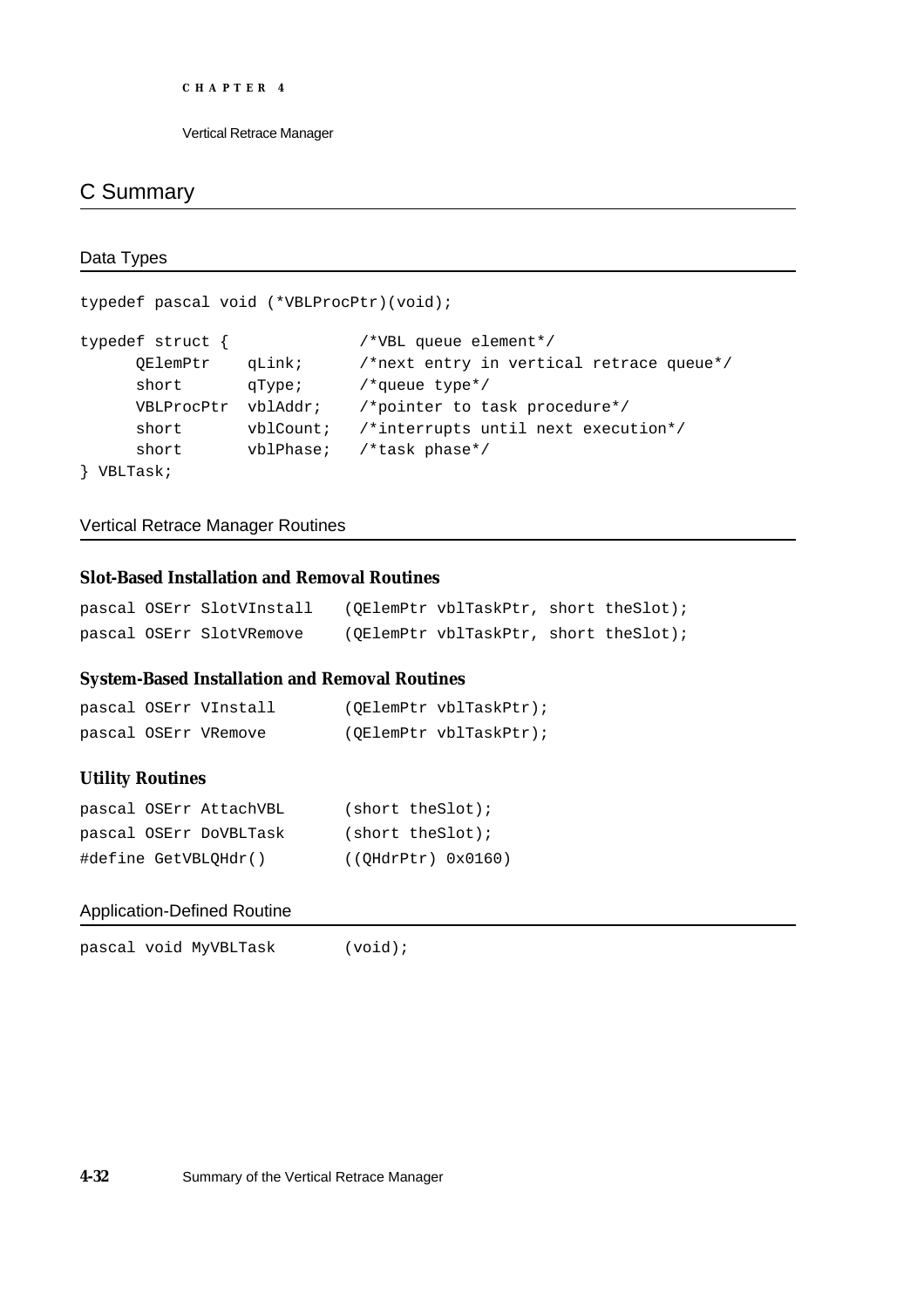```
CHAPTER 4
```
# C Summary

```
Data Types
```

```
typedef pascal void (*VBLProcPtr)(void);
typedef struct { /*VBL queue element*/
    QElemPtr qLink; /*next entry in vertical retrace queue*/
     short qType; /*queue type*/
    VBLProcPtr vblAddr; /*pointer to task procedure*/
     short vblCount; /*interrupts until next execution*/
    short vblPhase; /*task phase*/
} VBLTask;
```
Vertical Retrace Manager Routines

# **Slot-Based Installation and Removal Routines**

|  | pascal OSErr SlotVInstall | (OElemPtr vblTaskPtr, short theSlot); |  |
|--|---------------------------|---------------------------------------|--|
|  | pascal OSErr SlotVRemove  | (OElemPtr vblTaskPtr, short theSlot); |  |

# **System-Based Installation and Removal Routines**

|  | pascal OSErr VInstall | (OElemPtr vblTaskPtr); |
|--|-----------------------|------------------------|
|  | pascal OSErr VRemove  | (OElemPtr vblTaskPtr); |

# **Utility Routines**

| pascal OSErr AttachVBL | $(short \ the Slot)$ ; |
|------------------------|------------------------|
| pascal OSErr DoVBLTask | $(short \ the Slot)$ ; |
| #define GetVBLOHdr()   | ( (OHdrPtr) 0x0160)    |

# Application-Defined Routine

pascal void MyVBLTask (void);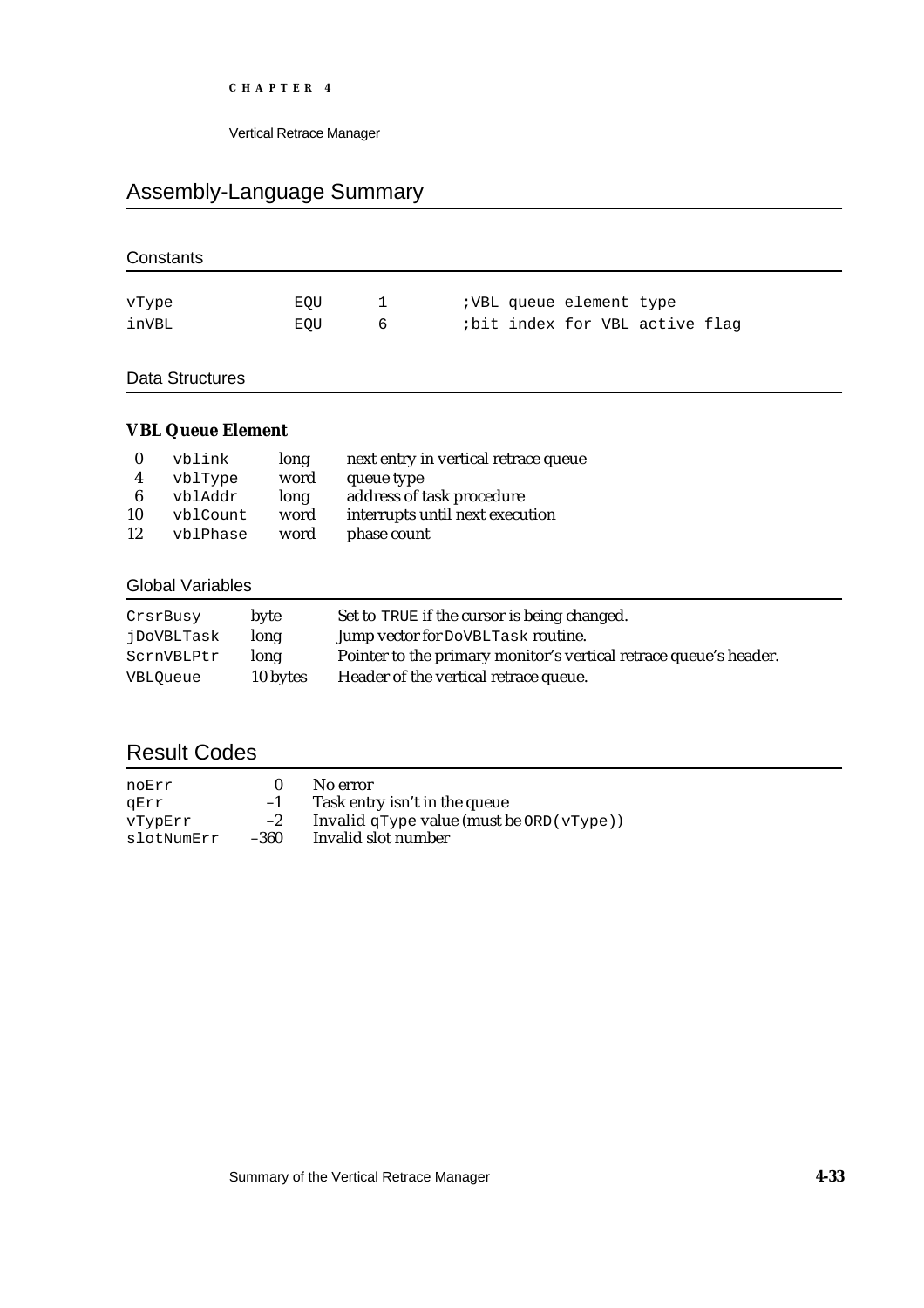Vertical Retrace Manager

# Assembly-Language Summary

| Constants       |     |              |                                |
|-----------------|-----|--------------|--------------------------------|
| vType           | EQU | $\mathbf{1}$ | ; VBL queue element type       |
| inVBL           | EQU | 6            | ibit index for VBL active flag |
| Data Structures |     |              |                                |

# **VBL Queue Element**

|    | vblink   | long | next entry in vertical retrace queue |
|----|----------|------|--------------------------------------|
| 4  | vblType  | word | queue type                           |
| 6  | vblAddr  | long | address of task procedure            |
| 10 | vblCount | word | interrupts until next execution      |
| 12 | vblPhase | word | phase count                          |

# Global Variables

| CrsrBusy   | byte     | Set to TRUE if the cursor is being changed.                       |
|------------|----------|-------------------------------------------------------------------|
| jDoVBLTask | long     | Jump vector for DoVBLTask routine.                                |
| ScrnVBLPtr | long     | Pointer to the primary monitor's vertical retrace queue's header. |
| VBLOueue   | 10 bytes | Header of the vertical retrace queue.                             |

# Result Codes

| noErr      |      | No error                                      |
|------------|------|-----------------------------------------------|
| aErr       | $-1$ | Task entry isn't in the queue                 |
| vTvpErr    | $-2$ | Invalid $qType$ value (must be $ORD(vType)$ ) |
| slotNumErr | -360 | Invalid slot number                           |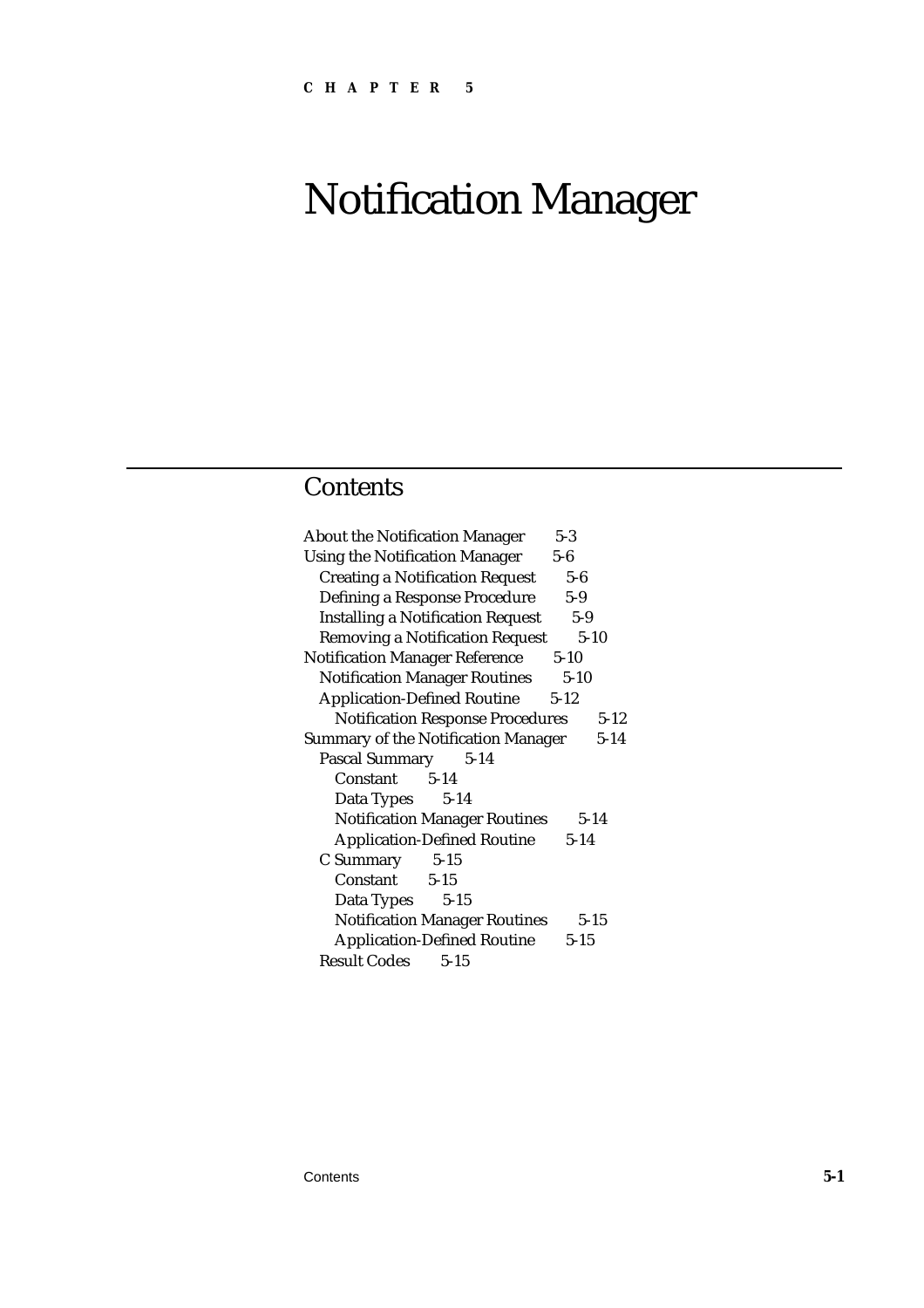# Notification Manager

# **Contents**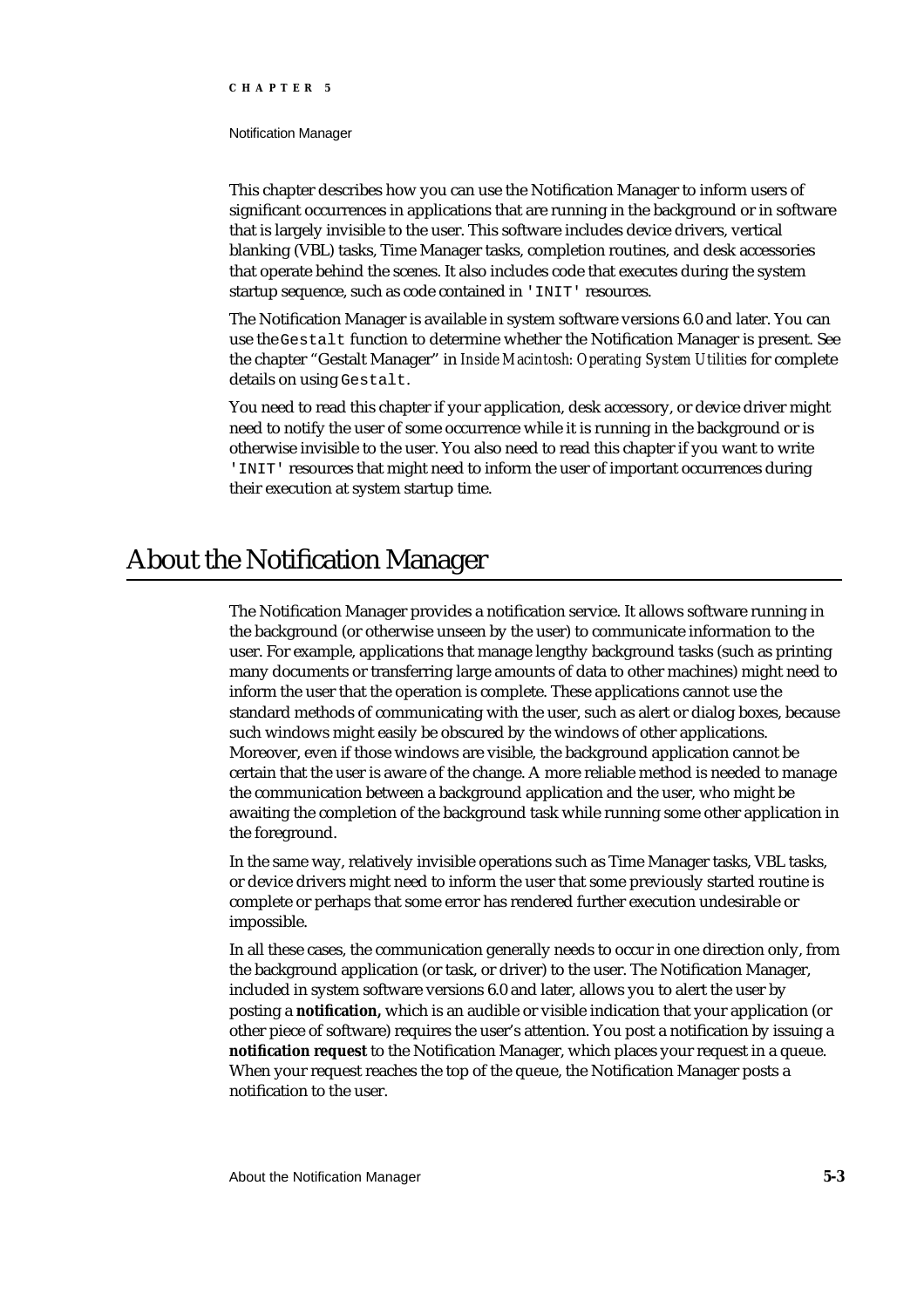#### Notification Manager

This chapter describes how you can use the Notification Manager to inform users of significant occurrences in applications that are running in the background or in software that is largely invisible to the user. This software includes device drivers, vertical blanking (VBL) tasks, Time Manager tasks, completion routines, and desk accessories that operate behind the scenes. It also includes code that executes during the system startup sequence, such as code contained in 'INIT' resources.

The Notification Manager is available in system software versions 6.0 and later. You can use the Gestalt function to determine whether the Notification Manager is present. See the chapter "Gestalt Manager" in *Inside Macintosh: Operating System Utilities* for complete details on using Gestalt.

You need to read this chapter if your application, desk accessory, or device driver might need to notify the user of some occurrence while it is running in the background or is otherwise invisible to the user. You also need to read this chapter if you want to write 'INIT' resources that might need to inform the user of important occurrences during their execution at system startup time.

# About the Notification Manager

The Notification Manager provides a notification service. It allows software running in the background (or otherwise unseen by the user) to communicate information to the user. For example, applications that manage lengthy background tasks (such as printing many documents or transferring large amounts of data to other machines) might need to inform the user that the operation is complete. These applications cannot use the standard methods of communicating with the user, such as alert or dialog boxes, because such windows might easily be obscured by the windows of other applications. Moreover, even if those windows are visible, the background application cannot be certain that the user is aware of the change. A more reliable method is needed to manage the communication between a background application and the user, who might be awaiting the completion of the background task while running some other application in the foreground.

In the same way, relatively invisible operations such as Time Manager tasks, VBL tasks, or device drivers might need to inform the user that some previously started routine is complete or perhaps that some error has rendered further execution undesirable or impossible.

In all these cases, the communication generally needs to occur in one direction only, from the background application (or task, or driver) to the user. The Notification Manager, included in system software versions 6.0 and later, allows you to alert the user by posting a **notification,** which is an audible or visible indication that your application (or other piece of software) requires the user's attention. You post a notification by issuing a **notification request** to the Notification Manager, which places your request in a queue. When your request reaches the top of the queue, the Notification Manager posts a notification to the user.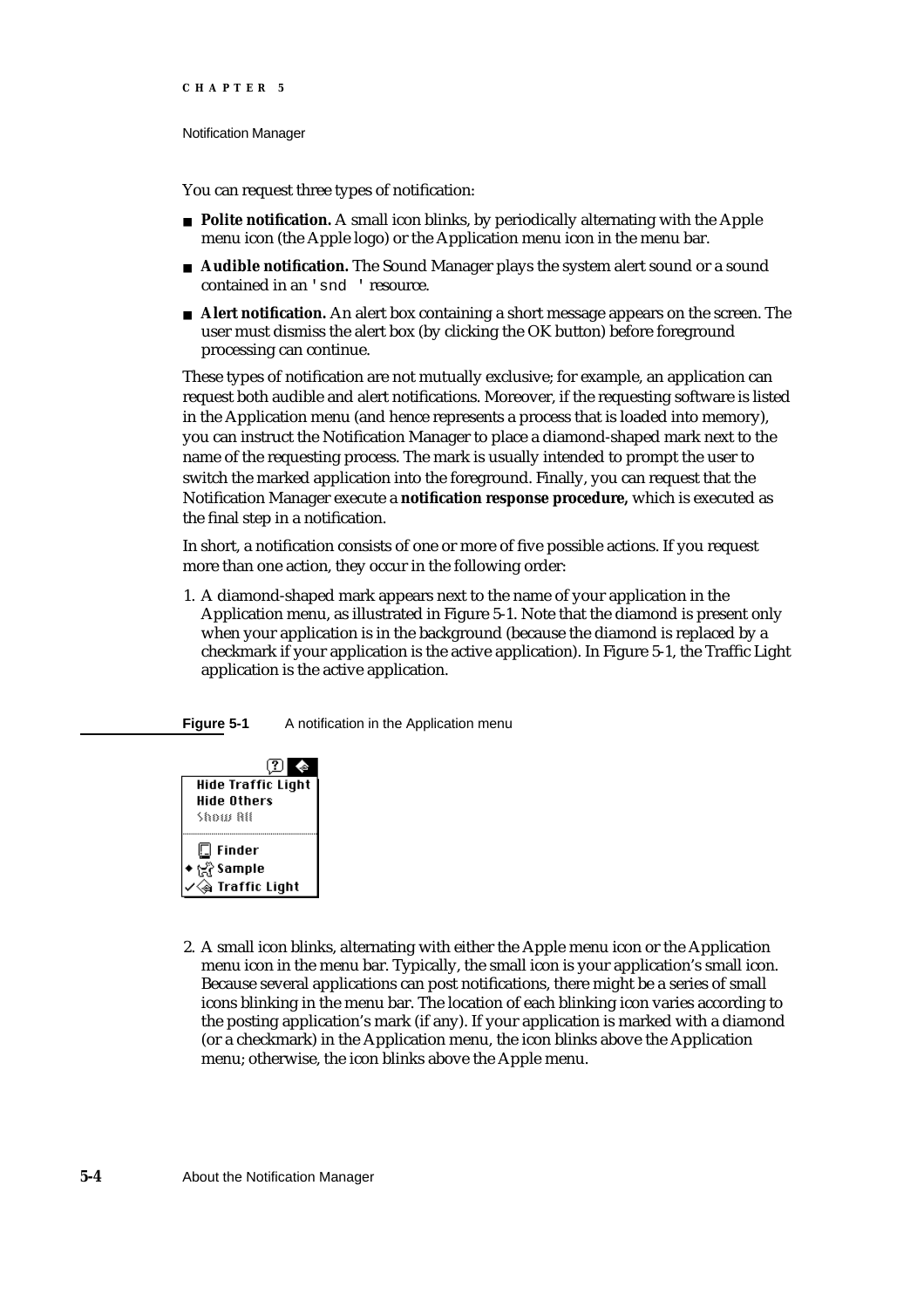#### Notification Manager

You can request three types of notification:

- **Polite notification.** A small icon blinks, by periodically alternating with the Apple menu icon (the Apple logo) or the Application menu icon in the menu bar.
- **Audible notification.** The Sound Manager plays the system alert sound or a sound contained in an 'snd ' resource.
- **Alert notification.** An alert box containing a short message appears on the screen. The user must dismiss the alert box (by clicking the OK button) before foreground processing can continue.

These types of notification are not mutually exclusive; for example, an application can request both audible and alert notifications. Moreover, if the requesting software is listed in the Application menu (and hence represents a process that is loaded into memory), you can instruct the Notification Manager to place a diamond-shaped mark next to the name of the requesting process. The mark is usually intended to prompt the user to switch the marked application into the foreground. Finally, you can request that the Notification Manager execute a **notification response procedure,** which is executed as the final step in a notification.

In short, a notification consists of one or more of five possible actions. If you request more than one action, they occur in the following order:

1. A diamond-shaped mark appears next to the name of your application in the Application menu, as illustrated in Figure 5-1. Note that the diamond is present only when your application is in the background (because the diamond is replaced by a checkmark if your application is the active application). In Figure 5-1, the Traffic Light application is the active application.





2. A small icon blinks, alternating with either the Apple menu icon or the Application menu icon in the menu bar. Typically, the small icon is your application's small icon. Because several applications can post notifications, there might be a series of small icons blinking in the menu bar. The location of each blinking icon varies according to the posting application's mark (if any). If your application is marked with a diamond (or a checkmark) in the Application menu, the icon blinks above the Application menu; otherwise, the icon blinks above the Apple menu.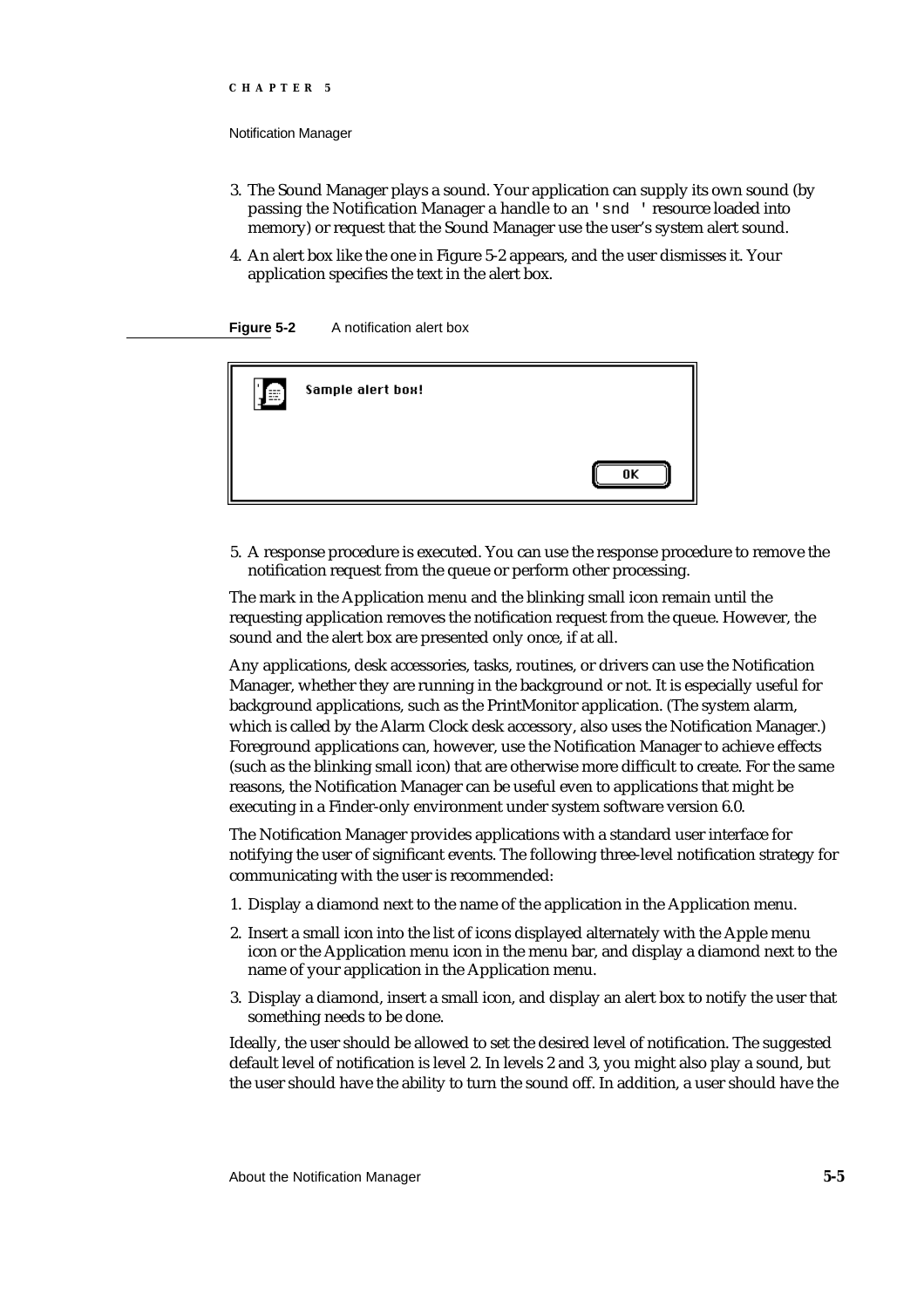Notification Manager

- 3. The Sound Manager plays a sound. Your application can supply its own sound (by passing the Notification Manager a handle to an 'snd ' resource loaded into memory) or request that the Sound Manager use the user's system alert sound.
- 4. An alert box like the one in Figure 5-2 appears, and the user dismisses it. Your application specifies the text in the alert box.

**Figure 5-2** A notification alert box



5. A response procedure is executed. You can use the response procedure to remove the notification request from the queue or perform other processing.

The mark in the Application menu and the blinking small icon remain until the requesting application removes the notification request from the queue. However, the sound and the alert box are presented only once, if at all.

Any applications, desk accessories, tasks, routines, or drivers can use the Notification Manager, whether they are running in the background or not. It is especially useful for background applications, such as the PrintMonitor application. (The system alarm, which is called by the Alarm Clock desk accessory, also uses the Notification Manager.) Foreground applications can, however, use the Notification Manager to achieve effects (such as the blinking small icon) that are otherwise more difficult to create. For the same reasons, the Notification Manager can be useful even to applications that might be executing in a Finder-only environment under system software version 6.0.

The Notification Manager provides applications with a standard user interface for notifying the user of significant events. The following three-level notification strategy for communicating with the user is recommended:

- 1. Display a diamond next to the name of the application in the Application menu.
- 2. Insert a small icon into the list of icons displayed alternately with the Apple menu icon or the Application menu icon in the menu bar, and display a diamond next to the name of your application in the Application menu.
- 3. Display a diamond, insert a small icon, and display an alert box to notify the user that something needs to be done.

Ideally, the user should be allowed to set the desired level of notification. The suggested default level of notification is level 2. In levels 2 and 3, you might also play a sound, but the user should have the ability to turn the sound off. In addition, a user should have the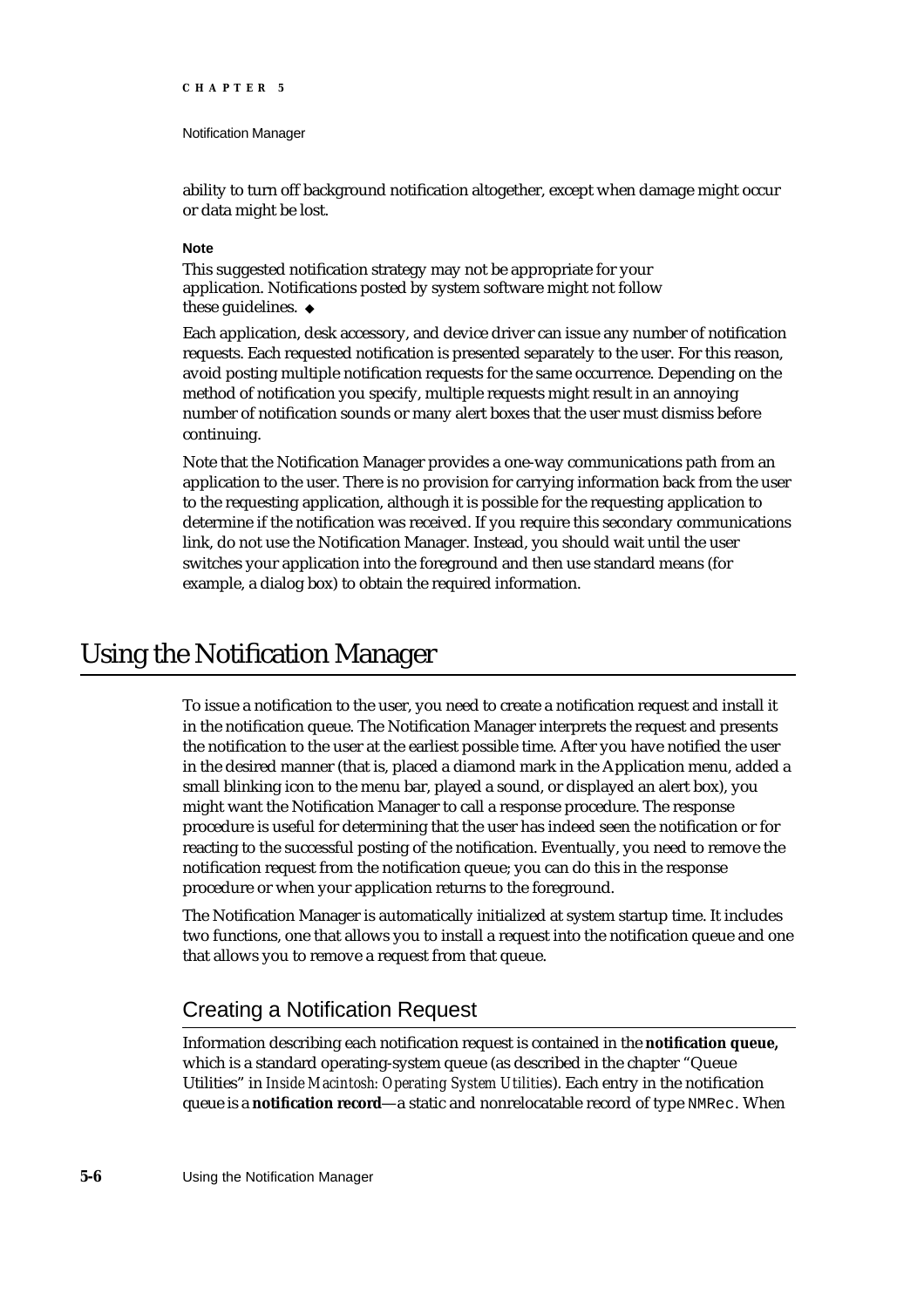#### Notification Manager

ability to turn off background notification altogether, except when damage might occur or data might be lost.

### **Note**

This suggested notification strategy may not be appropriate for your application. Notifications posted by system software might not follow these guidelines. u

Each application, desk accessory, and device driver can issue any number of notification requests. Each requested notification is presented separately to the user. For this reason, avoid posting multiple notification requests for the same occurrence. Depending on the method of notification you specify, multiple requests might result in an annoying number of notification sounds or many alert boxes that the user must dismiss before continuing.

Note that the Notification Manager provides a one-way communications path from an application to the user. There is no provision for carrying information back from the user to the requesting application, although it is possible for the requesting application to determine if the notification was received. If you require this secondary communications link, do not use the Notification Manager. Instead, you should wait until the user switches your application into the foreground and then use standard means (for example, a dialog box) to obtain the required information.

# Using the Notification Manager

To issue a notification to the user, you need to create a notification request and install it in the notification queue. The Notification Manager interprets the request and presents the notification to the user at the earliest possible time. After you have notified the user in the desired manner (that is, placed a diamond mark in the Application menu, added a small blinking icon to the menu bar, played a sound, or displayed an alert box), you might want the Notification Manager to call a response procedure. The response procedure is useful for determining that the user has indeed seen the notification or for reacting to the successful posting of the notification. Eventually, you need to remove the notification request from the notification queue; you can do this in the response procedure or when your application returns to the foreground.

The Notification Manager is automatically initialized at system startup time. It includes two functions, one that allows you to install a request into the notification queue and one that allows you to remove a request from that queue.

# Creating a Notification Request

Information describing each notification request is contained in the **notification queue,** which is a standard operating-system queue (as described in the chapter "Queue Utilities" in *Inside Macintosh: Operating System Utilities*). Each entry in the notification queue is a **notification record**—a static and nonrelocatable record of type NMRec. When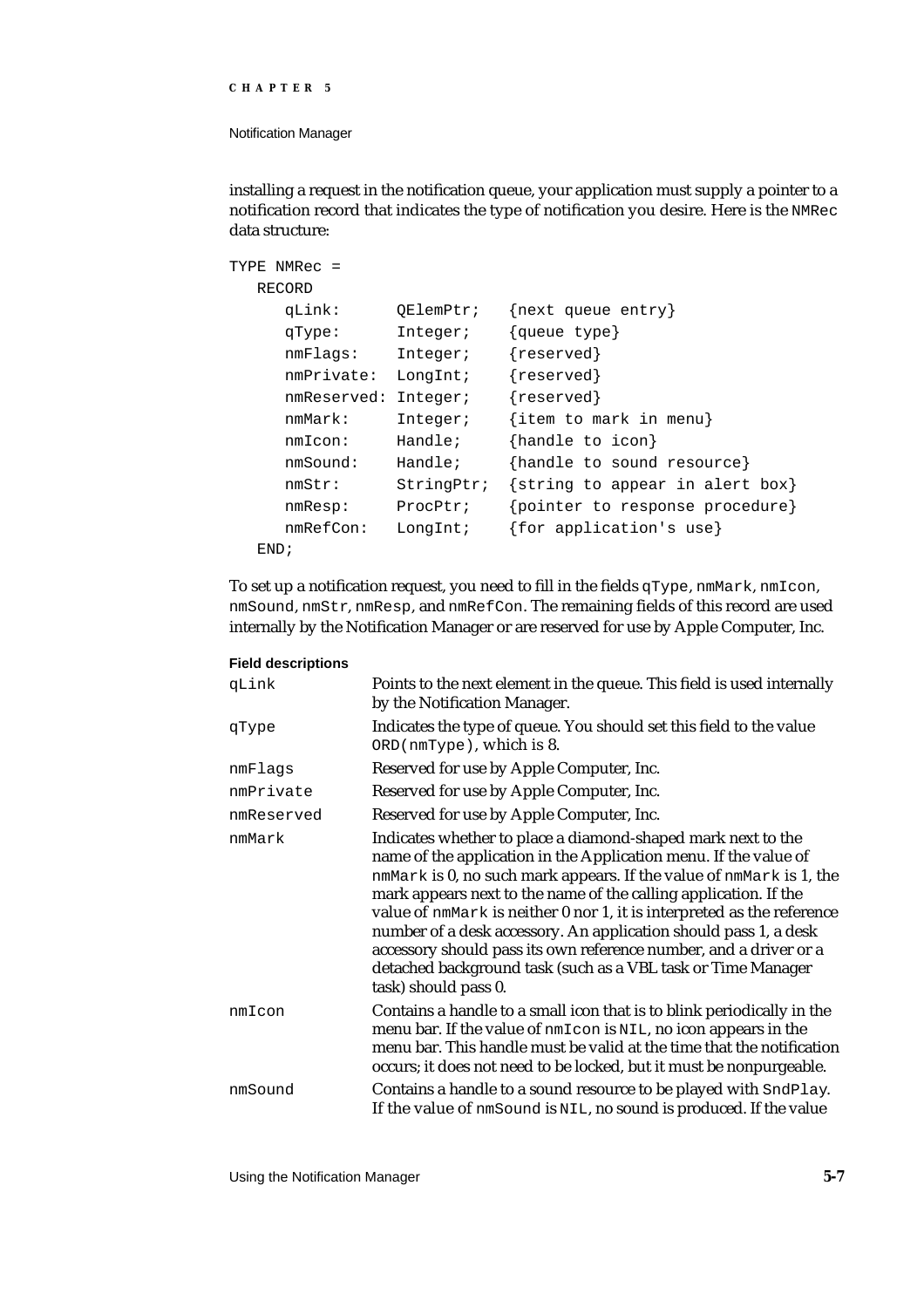#### Notification Manager

**Field descriptions**

installing a request in the notification queue, your application must supply a pointer to a notification record that indicates the type of notification you desire. Here is the NMRec data structure:

```
TYPE NMRec =
  RECORD
     qLink: QElemPtr; {next queue entry}
     qType: Integer; {queue type}
     nmFlags: Integer; {reserved}
     nmPrivate: LongInt; {reserved}
     nmReserved: Integer; {reserved}
     nmMark: Integer; {item to mark in menu}
     nmIcon: Handle; {handle to icon}
     nmSound: Handle; {handle to sound resource}
     nmStr: StringPtr; {string to appear in alert box}
     nmResp: ProcPtr; {pointer to response procedure}
     nmRefCon: LongInt; {for application's use}
  END;
```
To set up a notification request, you need to fill in the fields qType, nmMark, nmIcon, nmSound, nmStr, nmResp, and nmRefCon. The remaining fields of this record are used internally by the Notification Manager or are reserved for use by Apple Computer, Inc.

| <b>FIGIU UGSUTIPUUTS</b> |                                                                                                                                                                                                                                                                                                                                                                                                                                                                                                                                                                                        |
|--------------------------|----------------------------------------------------------------------------------------------------------------------------------------------------------------------------------------------------------------------------------------------------------------------------------------------------------------------------------------------------------------------------------------------------------------------------------------------------------------------------------------------------------------------------------------------------------------------------------------|
| qLink                    | Points to the next element in the queue. This field is used internally<br>by the Notification Manager.                                                                                                                                                                                                                                                                                                                                                                                                                                                                                 |
| qType                    | Indicates the type of queue. You should set this field to the value<br>ORD(nmType), which is 8.                                                                                                                                                                                                                                                                                                                                                                                                                                                                                        |
| nmFlags                  | Reserved for use by Apple Computer, Inc.                                                                                                                                                                                                                                                                                                                                                                                                                                                                                                                                               |
| nmPrivate                | Reserved for use by Apple Computer, Inc.                                                                                                                                                                                                                                                                                                                                                                                                                                                                                                                                               |
| nmReserved               | Reserved for use by Apple Computer, Inc.                                                                                                                                                                                                                                                                                                                                                                                                                                                                                                                                               |
| nmMark                   | Indicates whether to place a diamond-shaped mark next to the<br>name of the application in the Application menu. If the value of<br>nmMark is 0, no such mark appears. If the value of nmMark is 1, the<br>mark appears next to the name of the calling application. If the<br>value of nmMark is neither 0 nor 1, it is interpreted as the reference<br>number of a desk accessory. An application should pass 1, a desk<br>accessory should pass its own reference number, and a driver or a<br>detached background task (such as a VBL task or Time Manager<br>task) should pass 0. |
| nmIcon                   | Contains a handle to a small icon that is to blink periodically in the<br>menu bar. If the value of nmIcon is NIL, no icon appears in the<br>menu bar. This handle must be valid at the time that the notification<br>occurs; it does not need to be locked, but it must be nonpurgeable.                                                                                                                                                                                                                                                                                              |
| nmSound                  | Contains a handle to a sound resource to be played with SndPlay.<br>If the value of nmSound is NIL, no sound is produced. If the value                                                                                                                                                                                                                                                                                                                                                                                                                                                 |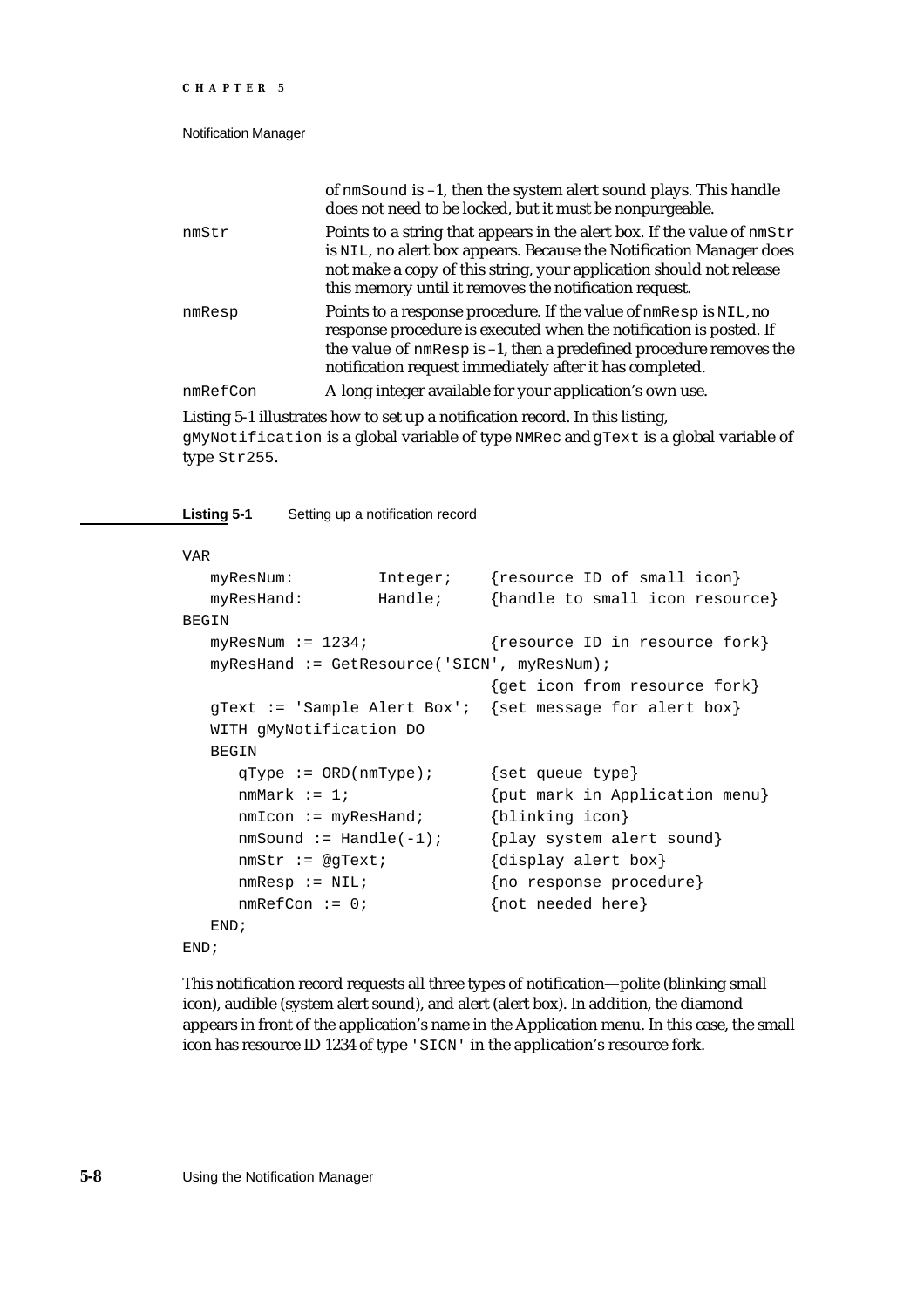#### Notification Manager

|          | of nmSound is -1, then the system alert sound plays. This handle<br>does not need to be locked, but it must be nonpurgeable.                                                                                                                                                    |
|----------|---------------------------------------------------------------------------------------------------------------------------------------------------------------------------------------------------------------------------------------------------------------------------------|
| nmStr    | Points to a string that appears in the alert box. If the value of nmStr<br>is NIL, no alert box appears. Because the Notification Manager does<br>not make a copy of this string, your application should not release<br>this memory until it removes the notification request. |
| nmResp   | Points to a response procedure. If the value of nmResp is NIL, no<br>response procedure is executed when the notification is posted. If<br>the value of nmResp is -1, then a predefined procedure removes the<br>notification request immediately after it has completed.       |
| nmRefCon | A long integer available for your application's own use.                                                                                                                                                                                                                        |

Listing 5-1 illustrates how to set up a notification record. In this listing, gMyNotification is a global variable of type NMRec and gText is a global variable of type Str255.

**Listing 5-1** Setting up a notification record

#### VAR

```
myResNum: Integer; {resource ID of small icon}
  myResHand: Handle; {handle to small icon resource}
BEGIN
  myResNum := 1234; {r} {resource ID in resource fork}
  myResHand := GetResource('SICN', myResNum);
                              {get icon from resource fork}
  gText := 'Sample Alert Box'; {set message for alert box}
  WITH gMyNotification DO
  BEGIN
     qType := ORD(nmType); {set queue type}
     nmMark := 1; \{put mark in Application menu\}nmIcon := myResHand; {blinking icon}
     nmSound := Handle(-1); \{play system alert sound\}nmStr := @gText; {\text{display a } \text{ler} \text{ box}}nmResp := NIL; {no response procedure}
     nmRefCon := 0; {not needed here}
  END;
END;
```
This notification record requests all three types of notification—polite (blinking small icon), audible (system alert sound), and alert (alert box). In addition, the diamond appears in front of the application's name in the Application menu. In this case, the small icon has resource ID 1234 of type 'SICN' in the application's resource fork.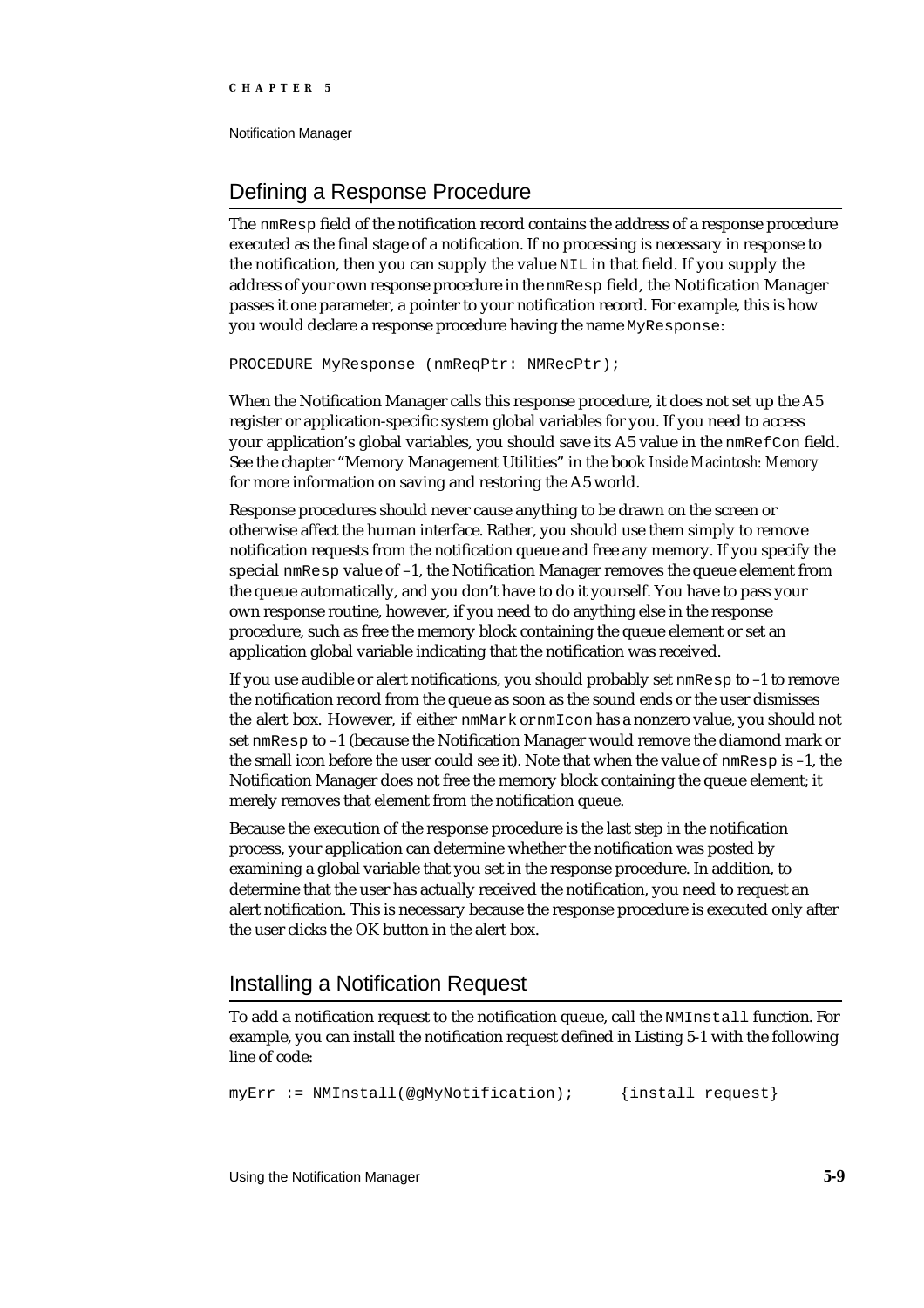Notification Manager

# Defining a Response Procedure

The nmResp field of the notification record contains the address of a response procedure executed as the final stage of a notification. If no processing is necessary in response to the notification, then you can supply the value NIL in that field. If you supply the address of your own response procedure in the nmResp field, the Notification Manager passes it one parameter, a pointer to your notification record. For example, this is how you would declare a response procedure having the name MyResponse:

PROCEDURE MyResponse (nmReqPtr: NMRecPtr);

When the Notification Manager calls this response procedure, it does not set up the A5 register or application-specific system global variables for you. If you need to access your application's global variables, you should save its A5 value in the nmRefCon field. See the chapter "Memory Management Utilities" in the book *Inside Macintosh: Memory* for more information on saving and restoring the A5 world.

Response procedures should never cause anything to be drawn on the screen or otherwise affect the human interface. Rather, you should use them simply to remove notification requests from the notification queue and free any memory. If you specify the special  $\mu_{\text{R}}$  special  $\mu_{\text{R}}$  value of -1, the Notification Manager removes the queue element from the queue automatically, and you don't have to do it yourself. You have to pass your own response routine, however, if you need to do anything else in the response procedure, such as free the memory block containing the queue element or set an application global variable indicating that the notification was received.

If you use audible or alert notifications, you should probably set  $n$ mResp to  $-1$  to remove the notification record from the queue as soon as the sound ends or the user dismisses the alert box. However, if either nmMark or nmIcon has a nonzero value, you should not set nmResp to –1 (because the Notification Manager would remove the diamond mark or the small icon before the user could see it). Note that when the value of  $n_{\text{m}}$ Resp is -1, the Notification Manager does not free the memory block containing the queue element; it merely removes that element from the notification queue.

Because the execution of the response procedure is the last step in the notification process, your application can determine whether the notification was posted by examining a global variable that you set in the response procedure. In addition, to determine that the user has actually received the notification, you need to request an alert notification. This is necessary because the response procedure is executed only after the user clicks the OK button in the alert box.

# Installing a Notification Request

To add a notification request to the notification queue, call the NMInstall function. For example, you can install the notification request defined in Listing 5-1 with the following line of code:

myErr := NMInstall(@gMyNotification); {install request}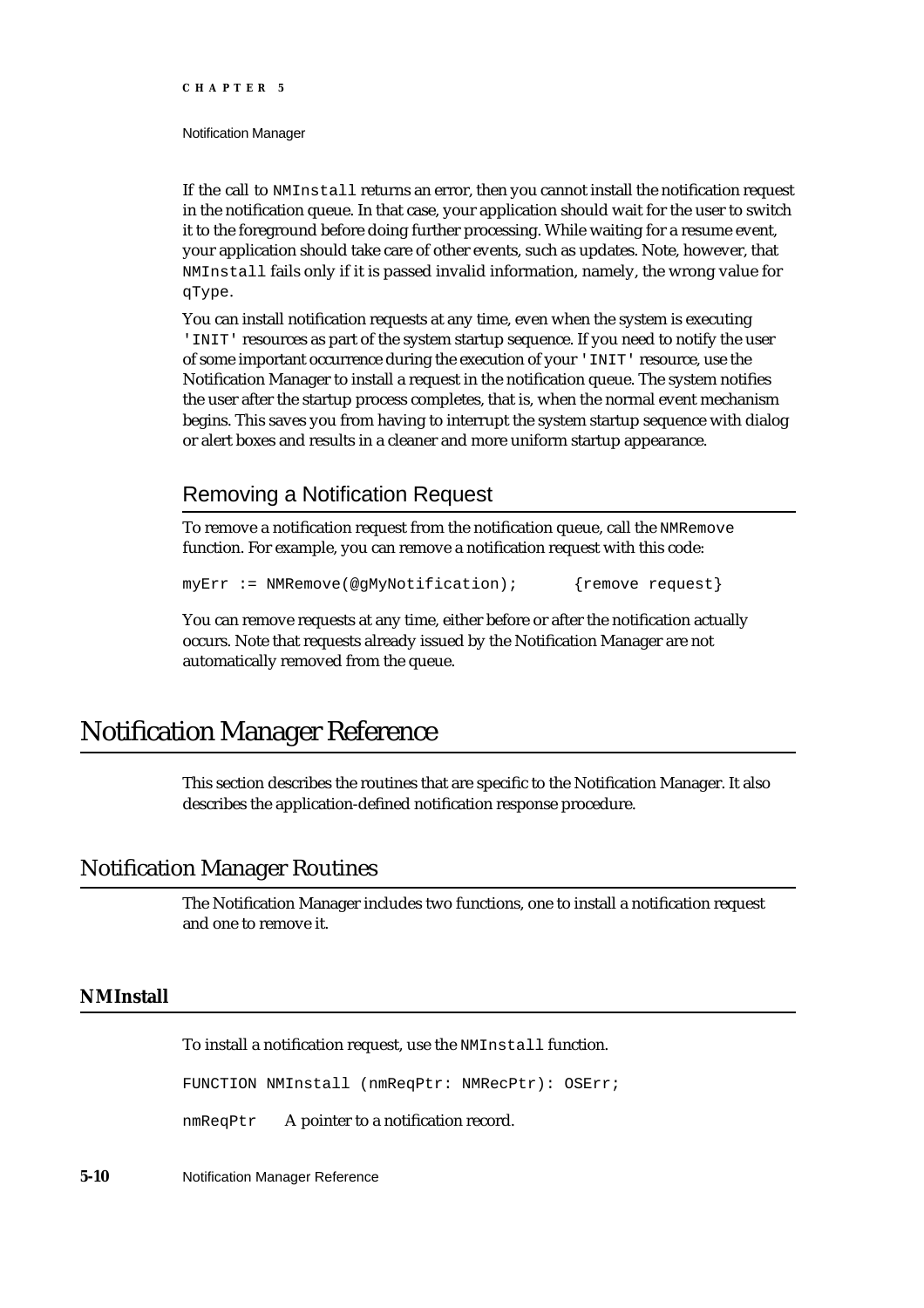Notification Manager

If the call to NMInstall returns an error, then you cannot install the notification request in the notification queue. In that case, your application should wait for the user to switch it to the foreground before doing further processing. While waiting for a resume event, your application should take care of other events, such as updates. Note, however, that NMInstall fails only if it is passed invalid information, namely, the wrong value for qType.

You can install notification requests at any time, even when the system is executing 'INIT' resources as part of the system startup sequence. If you need to notify the user of some important occurrence during the execution of your 'INIT' resource, use the Notification Manager to install a request in the notification queue. The system notifies the user after the startup process completes, that is, when the normal event mechanism begins. This saves you from having to interrupt the system startup sequence with dialog or alert boxes and results in a cleaner and more uniform startup appearance.

# Removing a Notification Request

To remove a notification request from the notification queue, call the NMRemove function. For example, you can remove a notification request with this code:

```
myErr := NMRemove(@gMyNotification); {remove request}
```
You can remove requests at any time, either before or after the notification actually occurs. Note that requests already issued by the Notification Manager are not automatically removed from the queue.

# Notification Manager Reference

This section describes the routines that are specific to the Notification Manager. It also describes the application-defined notification response procedure.

# Notification Manager Routines

The Notification Manager includes two functions, one to install a notification request and one to remove it.

# **NMInstall**

To install a notification request, use the NMInstall function.

FUNCTION NMInstall (nmReqPtr: NMRecPtr): OSErr;

nmReqPtr A pointer to a notification record.

**5-10** Notification Manager Reference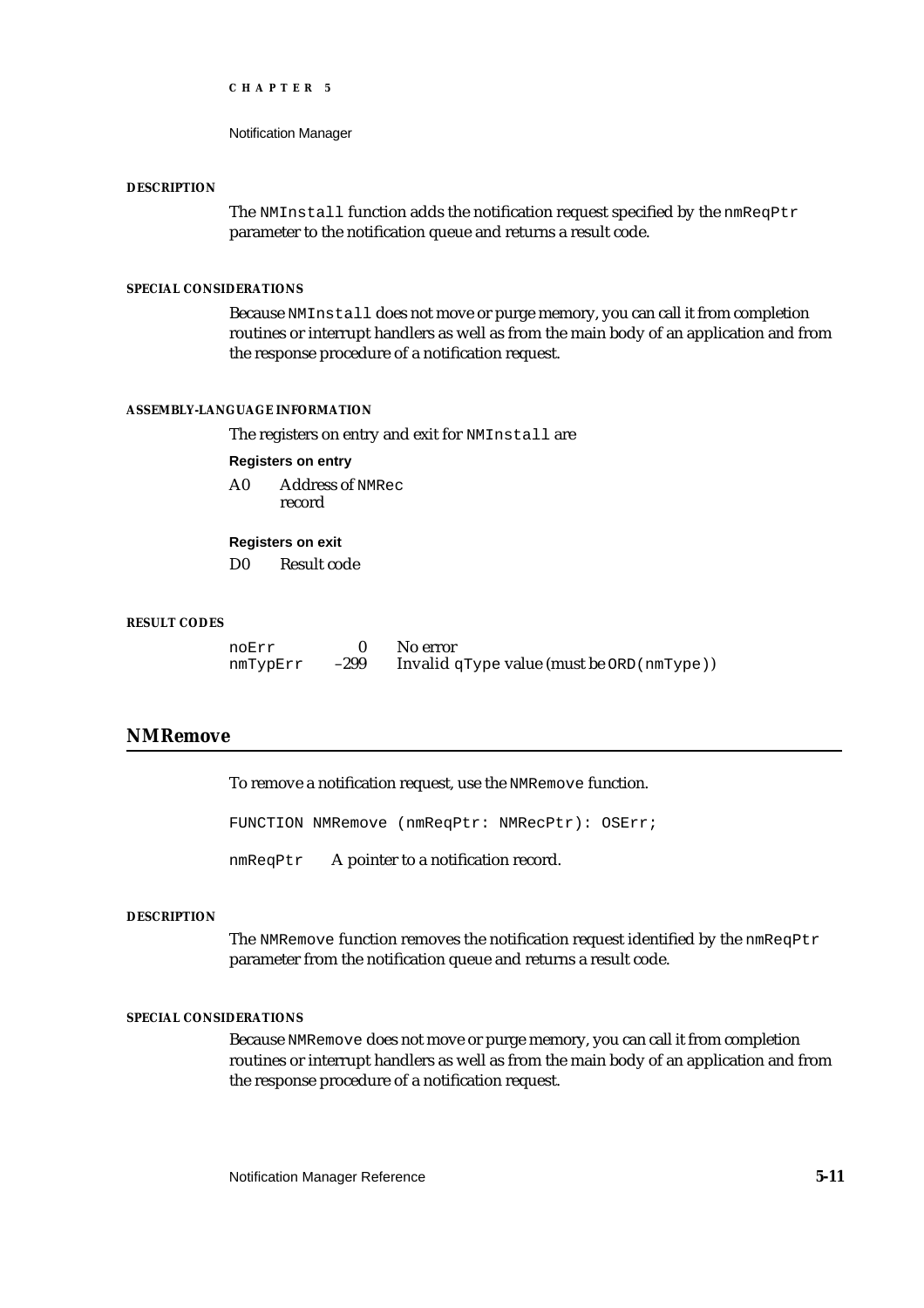Notification Manager

#### **DESCRIPTION**

The NMInstall function adds the notification request specified by the nmReqPtr parameter to the notification queue and returns a result code.

# **SPECIAL CONSIDERATIONS**

Because NMInstall does not move or purge memory, you can call it from completion routines or interrupt handlers as well as from the main body of an application and from the response procedure of a notification request.

#### **ASSEMBLY-LANGUAGE INFORMATION**

The registers on entry and exit for NMInstall are

### **Registers on entry**

A0 Address of NMRec record

# **Registers on exit**

D0 Result code

### **RESULT CODES**

| noErr    |      | No error                                      |
|----------|------|-----------------------------------------------|
| nmTypErr | -299 | Invalid $q$ Type value (must be ORD (nmType)) |

# **NMRemove**

To remove a notification request, use the NMRemove function.

FUNCTION NMRemove (nmReqPtr: NMRecPtr): OSErr;

nmReqPtr A pointer to a notification record.

### **DESCRIPTION**

The NMRemove function removes the notification request identified by the  $nmRegPtr$ parameter from the notification queue and returns a result code.

### **SPECIAL CONSIDERATIONS**

Because NMRemove does not move or purge memory, you can call it from completion routines or interrupt handlers as well as from the main body of an application and from the response procedure of a notification request.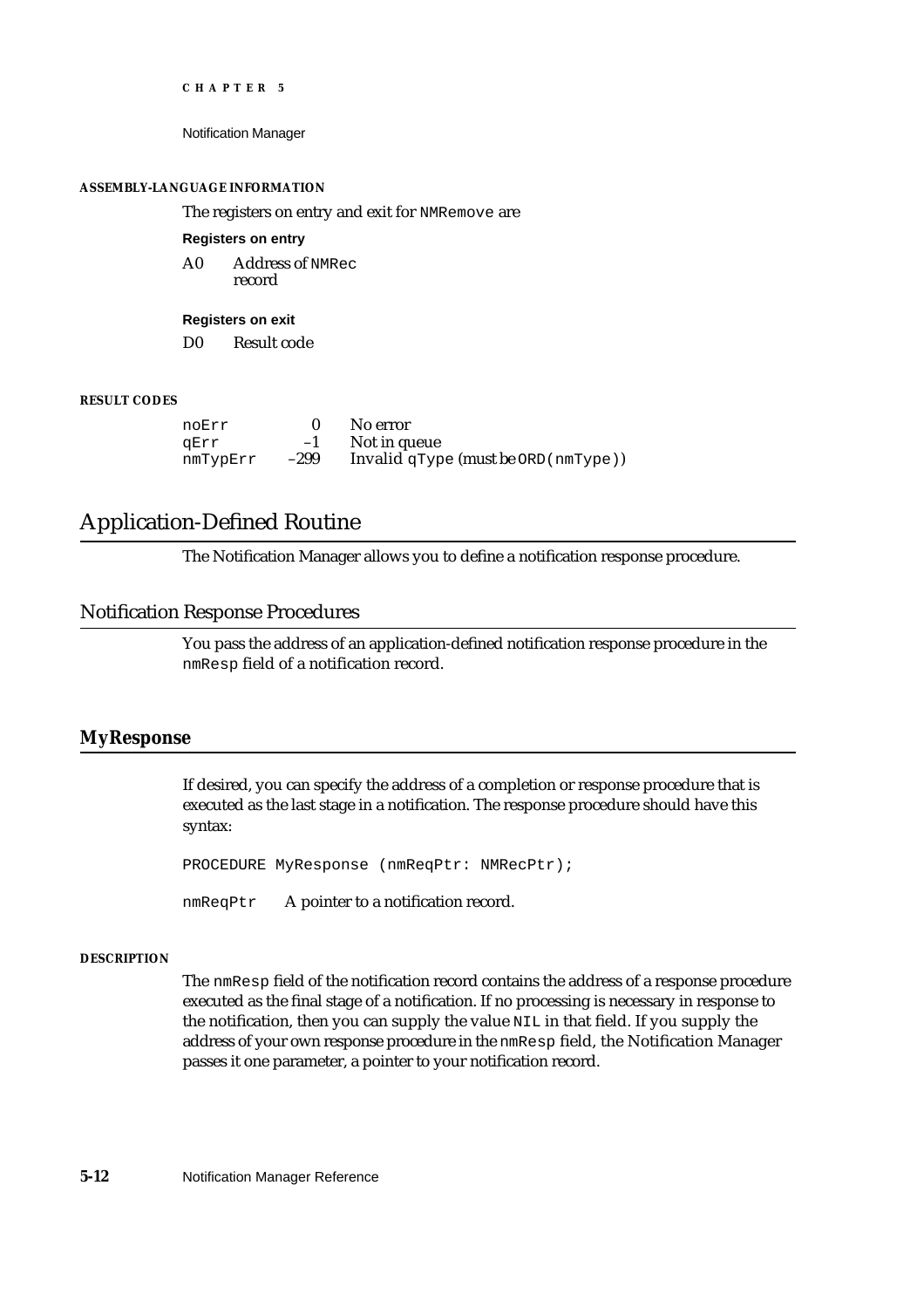Notification Manager

#### **ASSEMBLY-LANGUAGE INFORMATION**

The registers on entry and exit for NMRemove are

#### **Registers on entry**

A0 Address of NMRec record

**Registers on exit**

D0 Result code

# **RESULT CODES**

| noErr    |        | No error                                   |
|----------|--------|--------------------------------------------|
| aErr     | $-1$   | Not in queue                               |
| nmTypErr | $-299$ | Invalid $qType$ (must be ORD ( $nmType$ )) |

# Application-Defined Routine

The Notification Manager allows you to define a notification response procedure.

# Notification Response Procedures

You pass the address of an application-defined notification response procedure in the nmResp field of a notification record.

# **MyResponse**

If desired, you can specify the address of a completion or response procedure that is executed as the last stage in a notification. The response procedure should have this syntax:

PROCEDURE MyResponse (nmReqPtr: NMRecPtr);

nmReqPtr A pointer to a notification record.

# **DESCRIPTION**

The nmResp field of the notification record contains the address of a response procedure executed as the final stage of a notification. If no processing is necessary in response to the notification, then you can supply the value NIL in that field. If you supply the address of your own response procedure in the nmResp field, the Notification Manager passes it one parameter, a pointer to your notification record.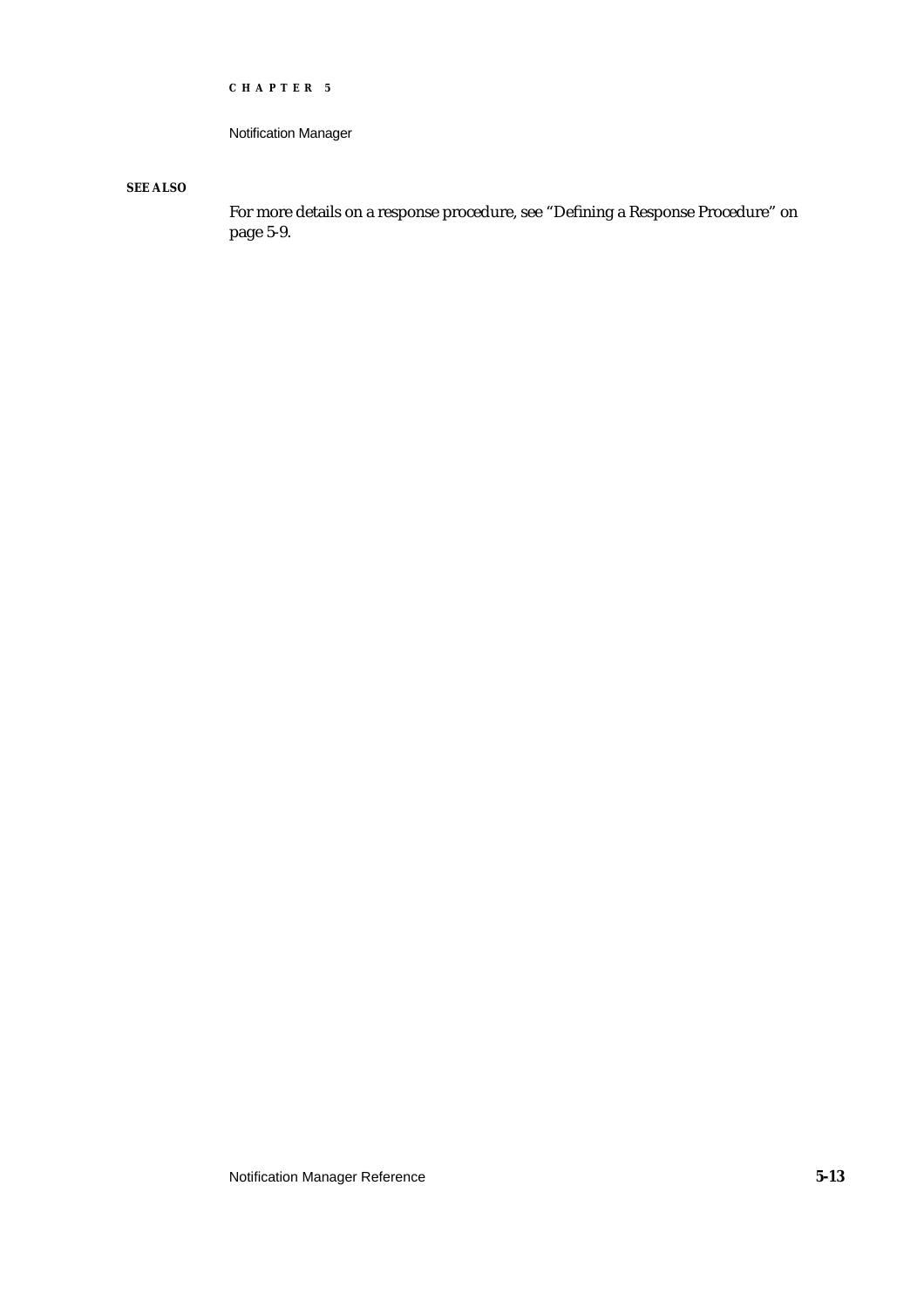```
CHAPTER 5
```
Notification Manager

**SEE ALSO**

For more details on a response procedure, see "Defining a Response Procedure" on page 5-9.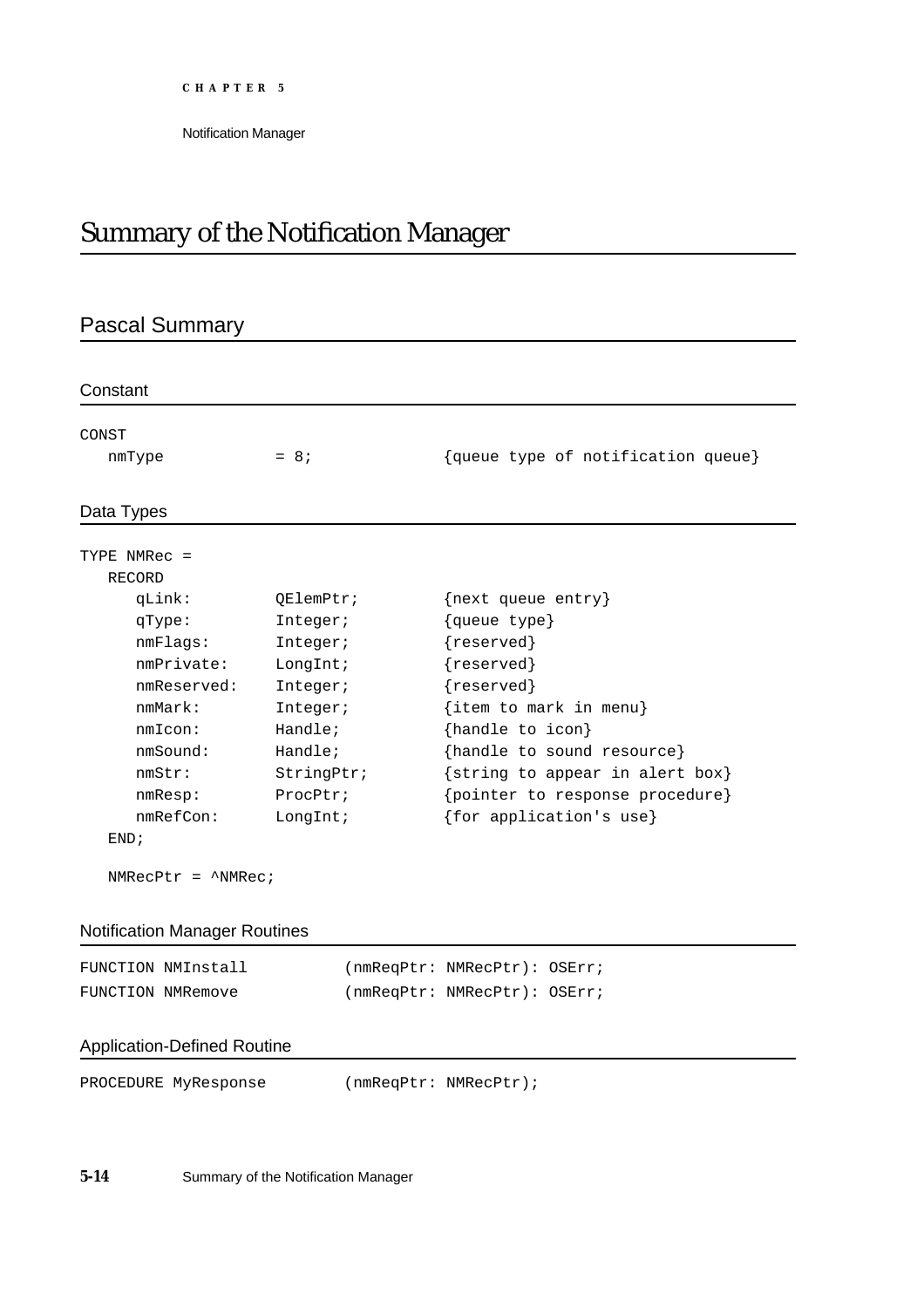Notification Manager

# Summary of the Notification Manager

# Pascal Summary

| CONST                      |            |                                    |
|----------------------------|------------|------------------------------------|
| nmType                     | $= 8i$     | {queue type of notification queue} |
| Data Types                 |            |                                    |
| TYPE NMRec =               |            |                                    |
| RECORD                     |            |                                    |
| qLink:                     | OElemPtr;  | {next queue entry}                 |
| qType:                     | Integer;   | {queue type}                       |
| nmFlags:                   | Integer;   | {reserved}                         |
| nmPrivate:                 | LongInt;   | {reserved}                         |
| nmReserved:                | Integer;   | {reserved}                         |
| mmMark:                    | Integer;   | $\{item to mark in menu\}$         |
| nmIcon:                    | Handle;    | {handle to icon}                   |
| nmSound:                   | Handle;    | {handle to sound resource}         |
| nmStr:                     | StringPtr; | {string to appear in alert box}    |
| nmResp:                    | ProcPtr;   | {pointer to response procedure}    |
| nmRefCon:                  | LongInt;   | {for application's use}            |
| END:                       |            |                                    |
| $NMRecPtr = \wedge NMRec;$ |            |                                    |

# Notification Manager Routines

| FUNCTION NMInstall | (nmReqPtr: NMRecPtr): OSErr; |  |
|--------------------|------------------------------|--|
| FUNCTION NMRemove  | (nmReqPtr: NMRecPtr): OSErr; |  |

# Application-Defined Routine

PROCEDURE MyResponse (nmReqPtr: NMRecPtr);

**5-14** Summary of the Notification Manager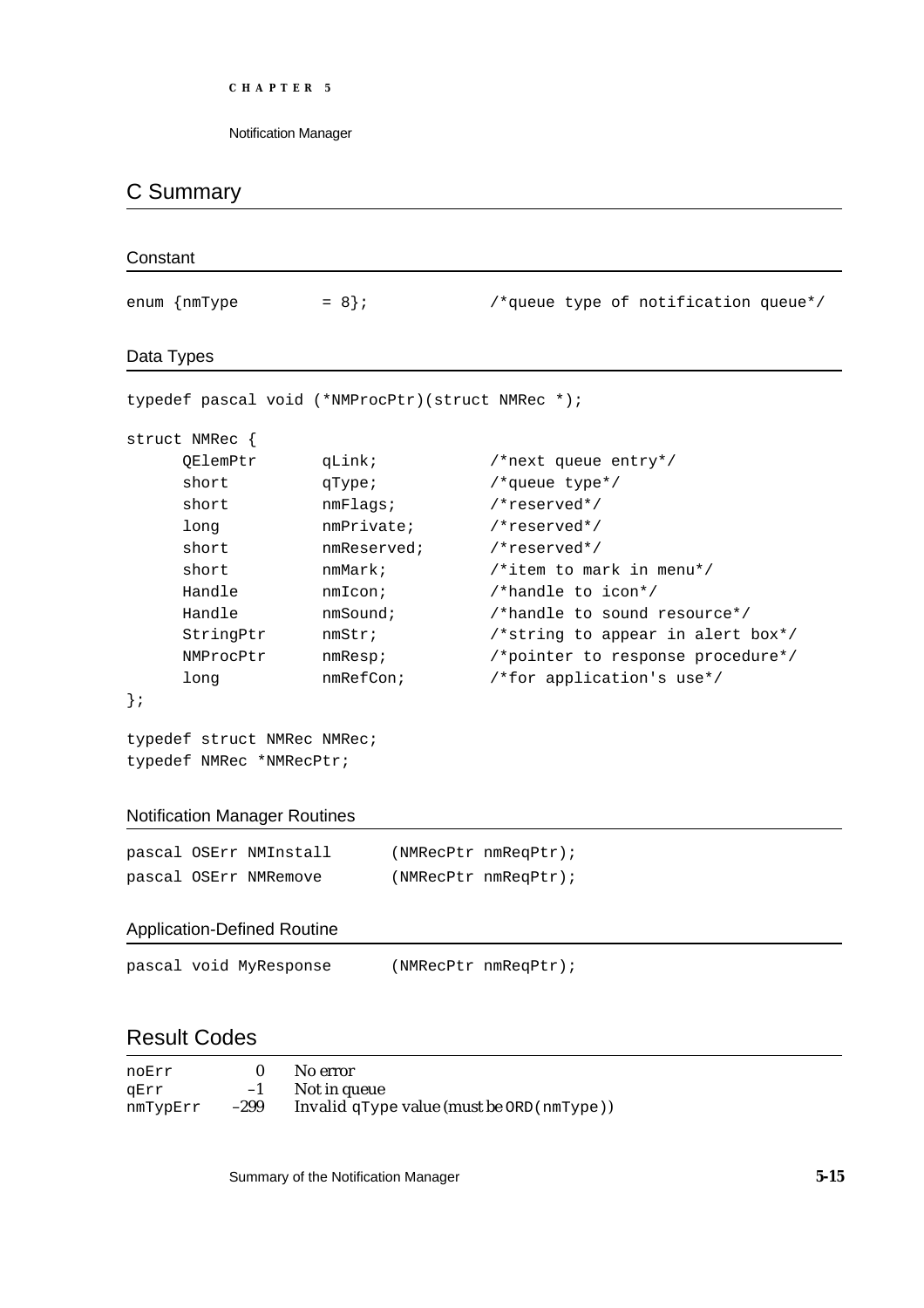Notification Manager

# C Summary

| Constant |                                                         |             |  |                                      |  |
|----------|---------------------------------------------------------|-------------|--|--------------------------------------|--|
|          | enum {nmType                                            | $= 8;$      |  | /*queue type of notification queue*/ |  |
|          | Data Types                                              |             |  |                                      |  |
|          | typedef pascal void (*NMProcPtr) (struct NMRec *);      |             |  |                                      |  |
|          | struct NMRec {                                          |             |  |                                      |  |
|          | QElemPtr                                                | qLink;      |  | /*next queue entry*/                 |  |
|          | short                                                   | qType;      |  | /*queue type*/                       |  |
|          | short                                                   | nmFlags;    |  | /*reserved*/                         |  |
|          | long                                                    | nmPrivate;  |  | /*reserved*/                         |  |
|          | short                                                   | nmReserved; |  | /*reserved*/                         |  |
|          | short                                                   | nmMark;     |  | /*item to mark in menu*/             |  |
|          | Handle                                                  | nmIcon;     |  | /*handle to icon*/                   |  |
|          | Handle                                                  | nmSound;    |  | /*handle to sound resource*/         |  |
|          | StringPtr                                               | nmStr;      |  | /*string to appear in alert box*/    |  |
|          | NMProcPtr                                               | nmResp;     |  | /*pointer to response procedure*/    |  |
|          | long                                                    | nmRefCon;   |  | /*for application's use*/            |  |
| $\}$ ;   |                                                         |             |  |                                      |  |
|          | typedef struct NMRec NMRec;<br>typedef NMRec *NMRecPtr; |             |  |                                      |  |
|          | <b>Notification Manager Routines</b>                    |             |  |                                      |  |
|          | pascal OSErr NMInstall                                  |             |  | (NMRecPtr nmReqPtr);                 |  |
|          | pascal OSErr NMRemove                                   |             |  | (NMRecPtr nmReqPtr);                 |  |
|          | <b>Application-Defined Routine</b>                      |             |  |                                      |  |
|          | pascal void MyResponse                                  |             |  | (NMRecPtr nmReqPtr);                 |  |

# Result Codes

| noErr    |        | No error                                       |
|----------|--------|------------------------------------------------|
| aErr     | $-1$   | Not in queue                                   |
| nmTypErr | $-299$ | Invalid $qType$ value (must be $ORD(nmType)$ ) |

Summary of the Notification Manager **5-15**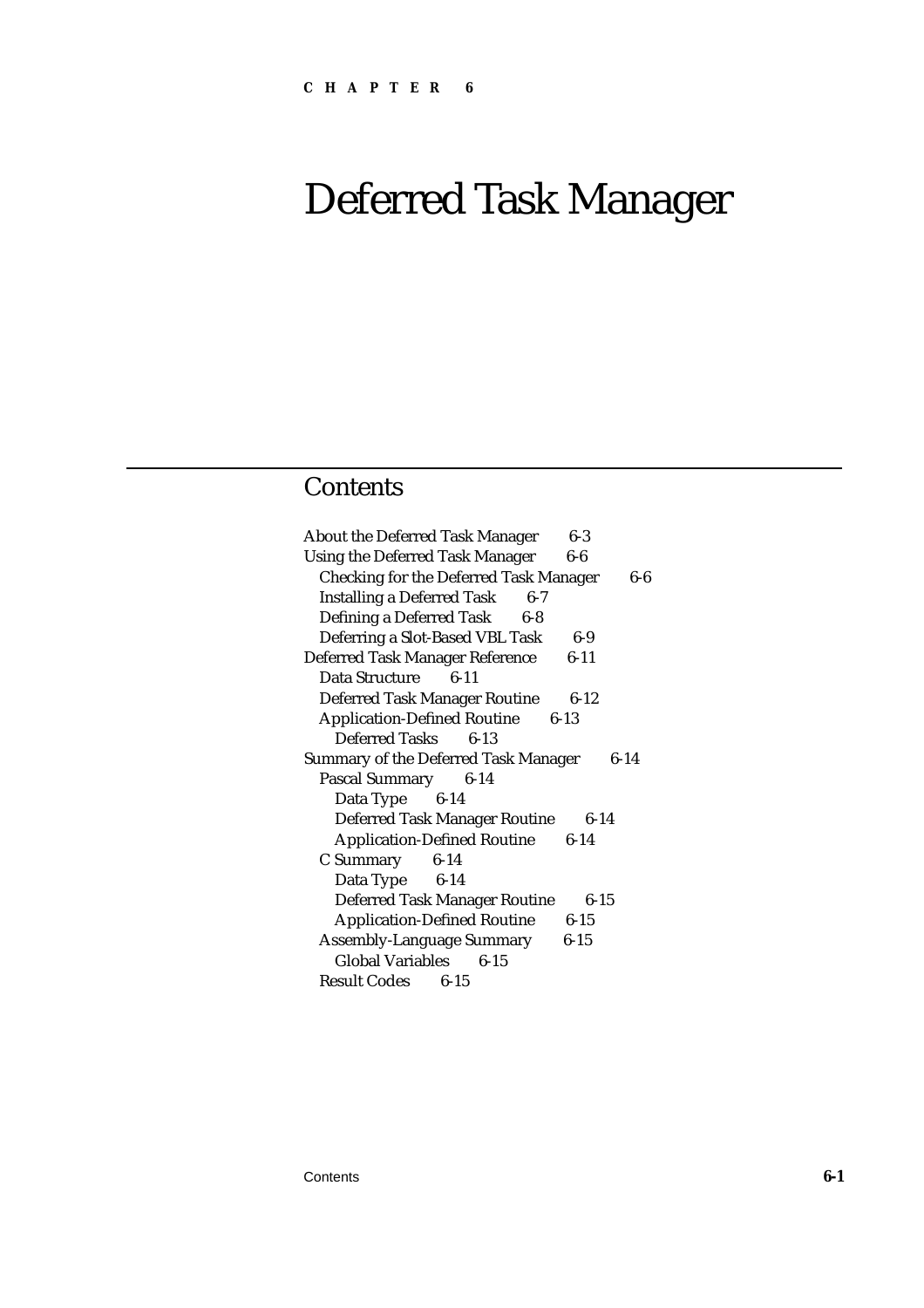# **Contents**

| <b>About the Deferred Task Manager</b><br>6-3           |
|---------------------------------------------------------|
| <b>Using the Deferred Task Manager</b><br>$6-6$         |
| <b>Checking for the Deferred Task Manager</b><br>6-6    |
| <b>Installing a Deferred Task</b><br>$6-7$              |
| Defining a Deferred Task<br>$6 - 8$                     |
| Deferring a Slot-Based VBL Task<br>$6-9$                |
| Deferred Task Manager Reference<br>$6-11$               |
| $6 - 11$<br>Data Structure                              |
| <b>Deferred Task Manager Routine</b><br>$6 - 12$        |
| <b>Application-Defined Routine 6-13</b>                 |
| Deferred Tasks<br>$6-13$                                |
| <b>Summary of the Deferred Task Manager</b><br>$6 - 14$ |
| Pascal Summary 6-14                                     |
| Data Type 6-14                                          |
| <b>Deferred Task Manager Routine</b><br>$6 - 14$        |
| <b>Application-Defined Routine</b><br>$6 - 14$          |
|                                                         |
| C Summary<br>$6 - 14$                                   |
| Data Type 6-14                                          |
| <b>Deferred Task Manager Routine</b><br>$6 - 15$        |
| <b>Application-Defined Routine</b><br>$6-15$            |
| <b>Assembly-Language Summary</b><br>$6 - 15$            |
| <b>Global Variables</b><br>$6 - 15$                     |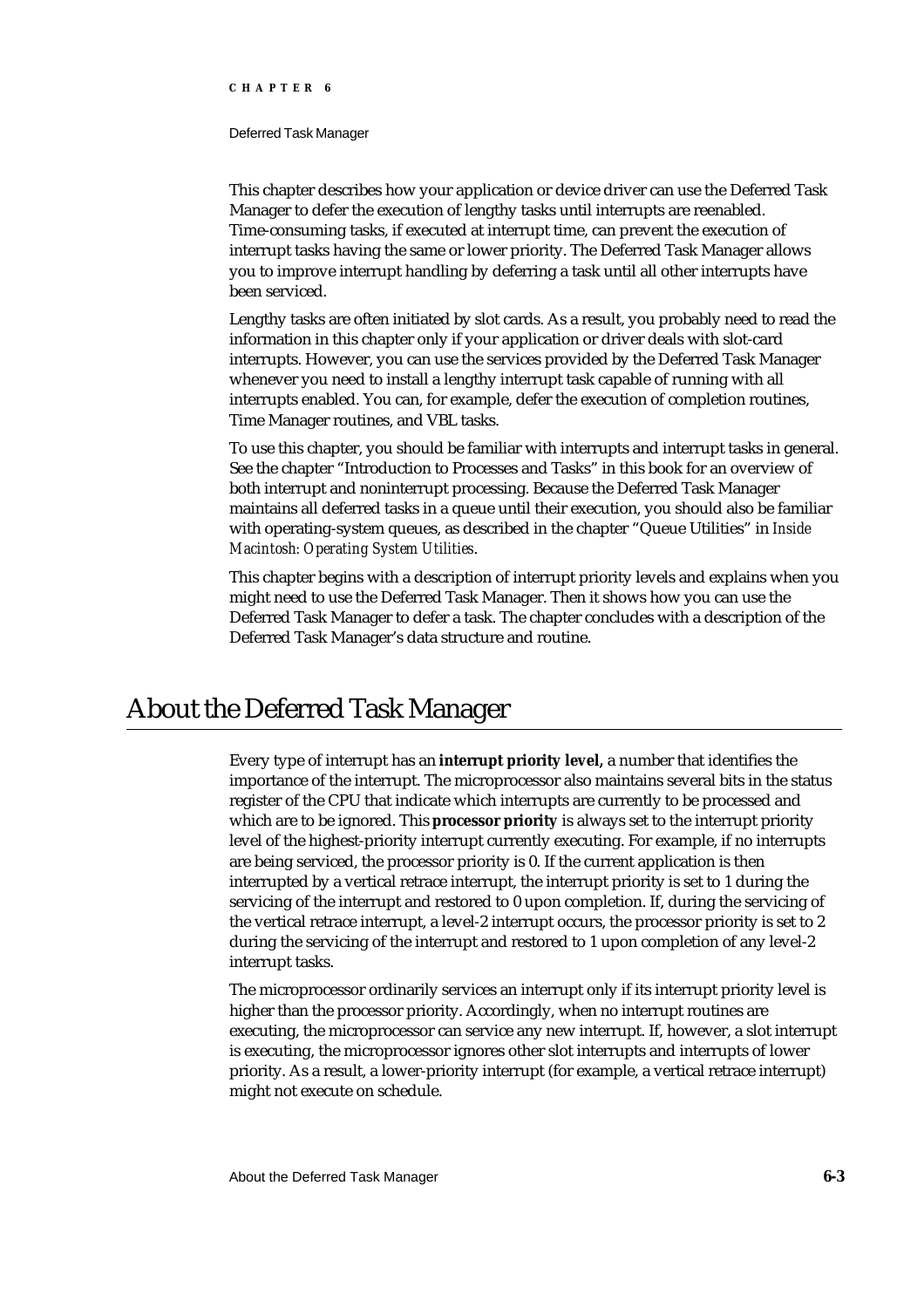#### Deferred Task Manager

This chapter describes how your application or device driver can use the Deferred Task Manager to defer the execution of lengthy tasks until interrupts are reenabled. Time-consuming tasks, if executed at interrupt time, can prevent the execution of interrupt tasks having the same or lower priority. The Deferred Task Manager allows you to improve interrupt handling by deferring a task until all other interrupts have been serviced.

Lengthy tasks are often initiated by slot cards. As a result, you probably need to read the information in this chapter only if your application or driver deals with slot-card interrupts. However, you can use the services provided by the Deferred Task Manager whenever you need to install a lengthy interrupt task capable of running with all interrupts enabled. You can, for example, defer the execution of completion routines, Time Manager routines, and VBL tasks.

To use this chapter, you should be familiar with interrupts and interrupt tasks in general. See the chapter "Introduction to Processes and Tasks" in this book for an overview of both interrupt and noninterrupt processing. Because the Deferred Task Manager maintains all deferred tasks in a queue until their execution, you should also be familiar with operating-system queues, as described in the chapter "Queue Utilities" in *Inside Macintosh: Operating System Utilities*.

This chapter begins with a description of interrupt priority levels and explains when you might need to use the Deferred Task Manager. Then it shows how you can use the Deferred Task Manager to defer a task. The chapter concludes with a description of the Deferred Task Manager's data structure and routine.

# About the Deferred Task Manager

Every type of interrupt has an **interrupt priority level,** a number that identifies the importance of the interrupt. The microprocessor also maintains several bits in the status register of the CPU that indicate which interrupts are currently to be processed and which are to be ignored. This **processor priority** is always set to the interrupt priority level of the highest-priority interrupt currently executing. For example, if no interrupts are being serviced, the processor priority is 0. If the current application is then interrupted by a vertical retrace interrupt, the interrupt priority is set to 1 during the servicing of the interrupt and restored to 0 upon completion. If, during the servicing of the vertical retrace interrupt, a level-2 interrupt occurs, the processor priority is set to 2 during the servicing of the interrupt and restored to 1 upon completion of any level-2 interrupt tasks.

The microprocessor ordinarily services an interrupt only if its interrupt priority level is higher than the processor priority. Accordingly, when no interrupt routines are executing, the microprocessor can service any new interrupt. If, however, a slot interrupt is executing, the microprocessor ignores other slot interrupts and interrupts of lower priority. As a result, a lower-priority interrupt (for example, a vertical retrace interrupt) might not execute on schedule.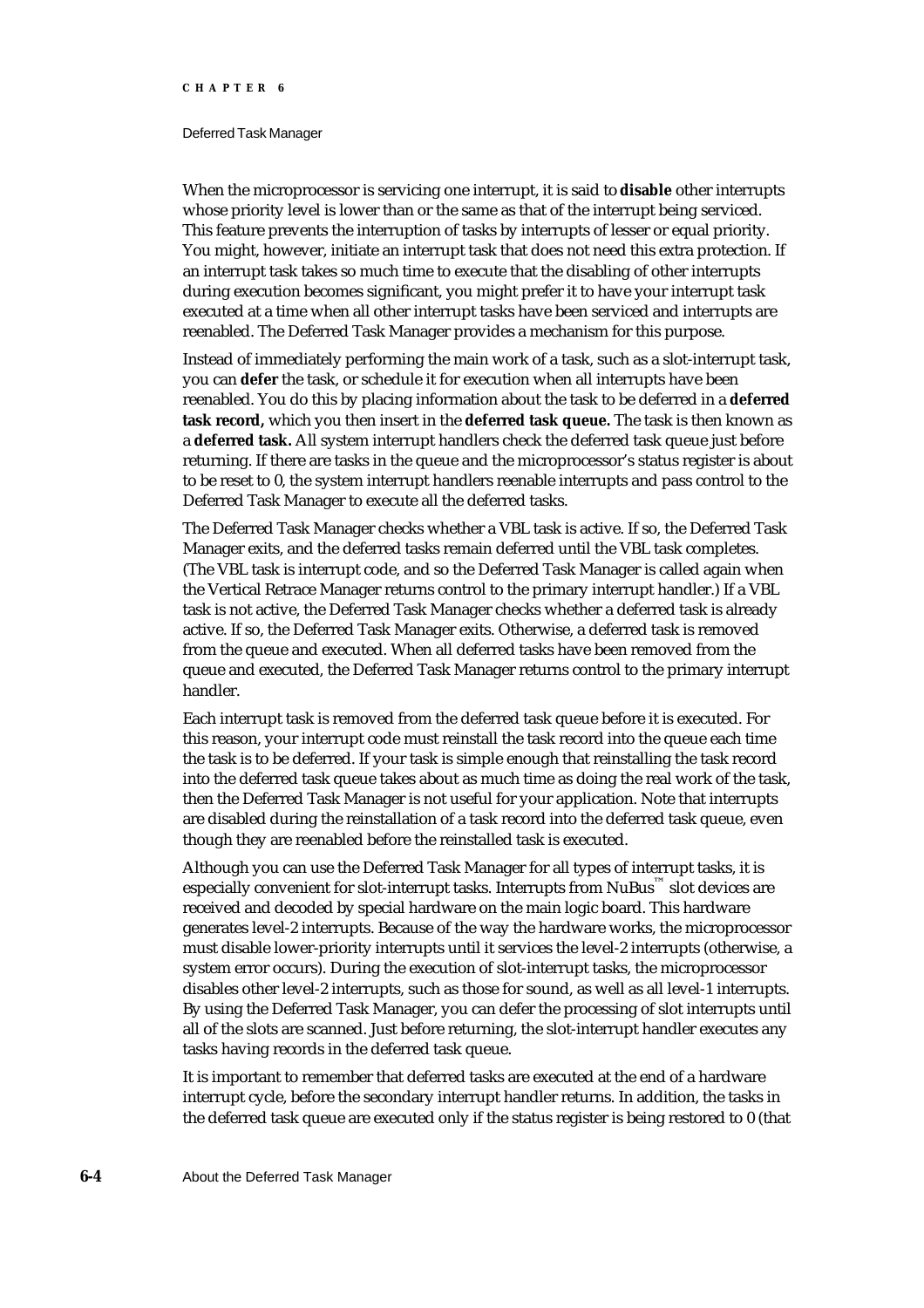#### Deferred Task Manager

When the microprocessor is servicing one interrupt, it is said to **disable** other interrupts whose priority level is lower than or the same as that of the interrupt being serviced. This feature prevents the interruption of tasks by interrupts of lesser or equal priority. You might, however, initiate an interrupt task that does not need this extra protection. If an interrupt task takes so much time to execute that the disabling of other interrupts during execution becomes significant, you might prefer it to have your interrupt task executed at a time when all other interrupt tasks have been serviced and interrupts are reenabled. The Deferred Task Manager provides a mechanism for this purpose.

Instead of immediately performing the main work of a task, such as a slot-interrupt task, you can **defer** the task, or schedule it for execution when all interrupts have been reenabled. You do this by placing information about the task to be deferred in a **deferred task record,** which you then insert in the **deferred task queue.** The task is then known as a **deferred task.** All system interrupt handlers check the deferred task queue just before returning. If there are tasks in the queue and the microprocessor's status register is about to be reset to 0, the system interrupt handlers reenable interrupts and pass control to the Deferred Task Manager to execute all the deferred tasks.

The Deferred Task Manager checks whether a VBL task is active. If so, the Deferred Task Manager exits, and the deferred tasks remain deferred until the VBL task completes. (The VBL task is interrupt code, and so the Deferred Task Manager is called again when the Vertical Retrace Manager returns control to the primary interrupt handler.) If a VBL task is not active, the Deferred Task Manager checks whether a deferred task is already active. If so, the Deferred Task Manager exits. Otherwise, a deferred task is removed from the queue and executed. When all deferred tasks have been removed from the queue and executed, the Deferred Task Manager returns control to the primary interrupt handler.

Each interrupt task is removed from the deferred task queue before it is executed. For this reason, your interrupt code must reinstall the task record into the queue each time the task is to be deferred. If your task is simple enough that reinstalling the task record into the deferred task queue takes about as much time as doing the real work of the task, then the Deferred Task Manager is not useful for your application. Note that interrupts are disabled during the reinstallation of a task record into the deferred task queue, even though they are reenabled before the reinstalled task is executed.

Although you can use the Deferred Task Manager for all types of interrupt tasks, it is especially convenient for slot-interrupt tasks. Interrupts from  $\text{NuBus}^{\text{m}}$  slot devices are received and decoded by special hardware on the main logic board. This hardware generates level-2 interrupts. Because of the way the hardware works, the microprocessor must disable lower-priority interrupts until it services the level-2 interrupts (otherwise, a system error occurs). During the execution of slot-interrupt tasks, the microprocessor disables other level-2 interrupts, such as those for sound, as well as all level-1 interrupts. By using the Deferred Task Manager, you can defer the processing of slot interrupts until all of the slots are scanned. Just before returning, the slot-interrupt handler executes any tasks having records in the deferred task queue.

It is important to remember that deferred tasks are executed at the end of a hardware interrupt cycle, before the secondary interrupt handler returns. In addition, the tasks in the deferred task queue are executed only if the status register is being restored to 0 (that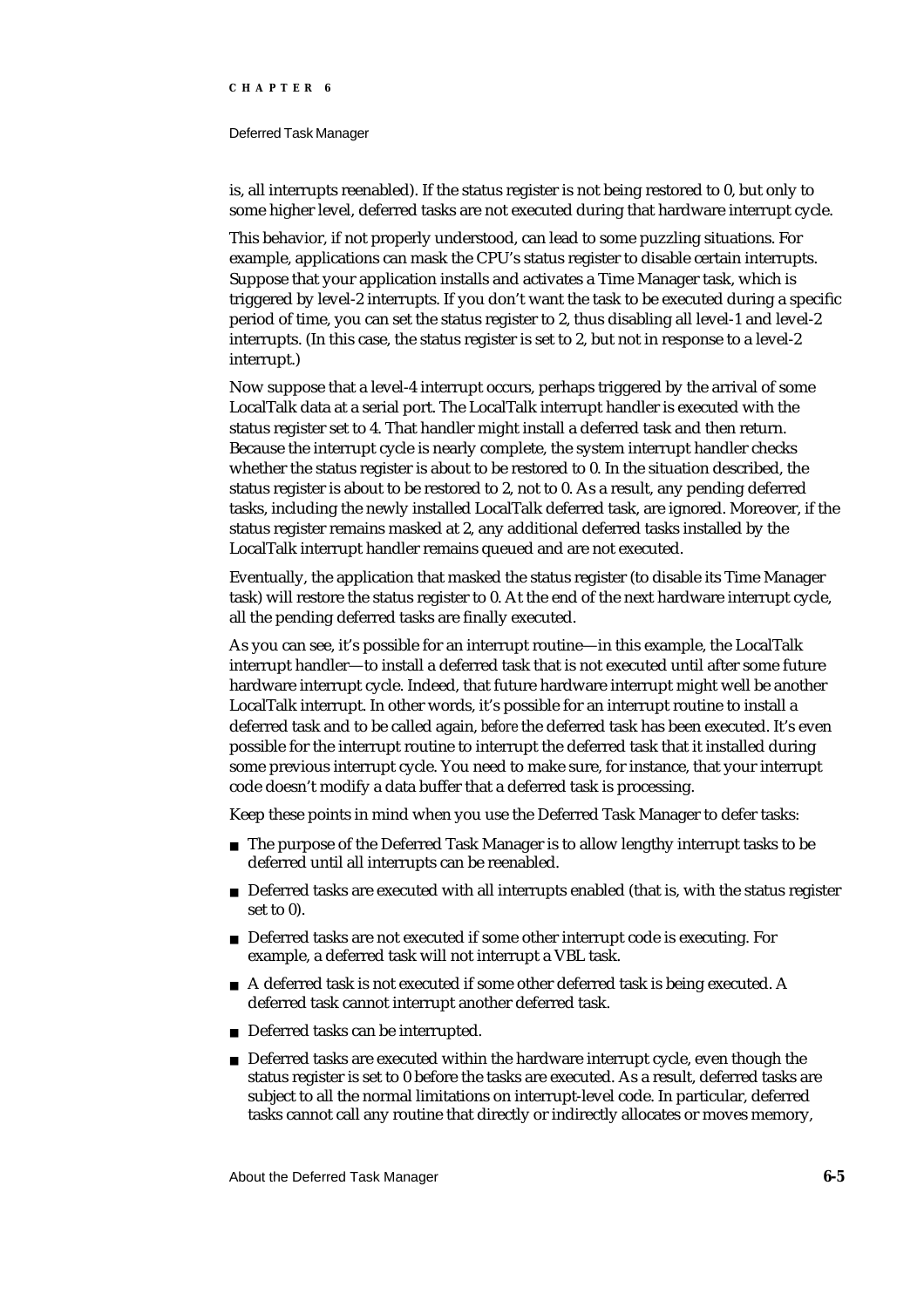#### Deferred Task Manager

is, all interrupts reenabled). If the status register is not being restored to 0, but only to some higher level, deferred tasks are not executed during that hardware interrupt cycle.

This behavior, if not properly understood, can lead to some puzzling situations. For example, applications can mask the CPU's status register to disable certain interrupts. Suppose that your application installs and activates a Time Manager task, which is triggered by level-2 interrupts. If you don't want the task to be executed during a specific period of time, you can set the status register to 2, thus disabling all level-1 and level-2 interrupts. (In this case, the status register is set to 2, but not in response to a level-2 interrupt.)

Now suppose that a level-4 interrupt occurs, perhaps triggered by the arrival of some LocalTalk data at a serial port. The LocalTalk interrupt handler is executed with the status register set to 4. That handler might install a deferred task and then return. Because the interrupt cycle is nearly complete, the system interrupt handler checks whether the status register is about to be restored to 0. In the situation described, the status register is about to be restored to 2, not to 0. As a result, any pending deferred tasks, including the newly installed LocalTalk deferred task, are ignored. Moreover, if the status register remains masked at 2, any additional deferred tasks installed by the LocalTalk interrupt handler remains queued and are not executed.

Eventually, the application that masked the status register (to disable its Time Manager task) will restore the status register to 0. At the end of the next hardware interrupt cycle, all the pending deferred tasks are finally executed.

As you can see, it's possible for an interrupt routine—in this example, the LocalTalk interrupt handler—to install a deferred task that is not executed until after some future hardware interrupt cycle. Indeed, that future hardware interrupt might well be another LocalTalk interrupt. In other words, it's possible for an interrupt routine to install a deferred task and to be called again, *before* the deferred task has been executed. It's even possible for the interrupt routine to interrupt the deferred task that it installed during some previous interrupt cycle. You need to make sure, for instance, that your interrupt code doesn't modify a data buffer that a deferred task is processing.

Keep these points in mind when you use the Deferred Task Manager to defer tasks:

- $n$  The purpose of the Deferred Task Manager is to allow lengthy interrupt tasks to be deferred until all interrupts can be reenabled.
- n Deferred tasks are executed with all interrupts enabled (that is, with the status register set to 0).
- Deferred tasks are not executed if some other interrupt code is executing. For example, a deferred task will not interrupt a VBL task.
- A deferred task is not executed if some other deferred task is being executed. A deferred task cannot interrupt another deferred task.
- n Deferred tasks can be interrupted.
- n Deferred tasks are executed within the hardware interrupt cycle, even though the status register is set to 0 before the tasks are executed. As a result, deferred tasks are subject to all the normal limitations on interrupt-level code. In particular, deferred tasks cannot call any routine that directly or indirectly allocates or moves memory,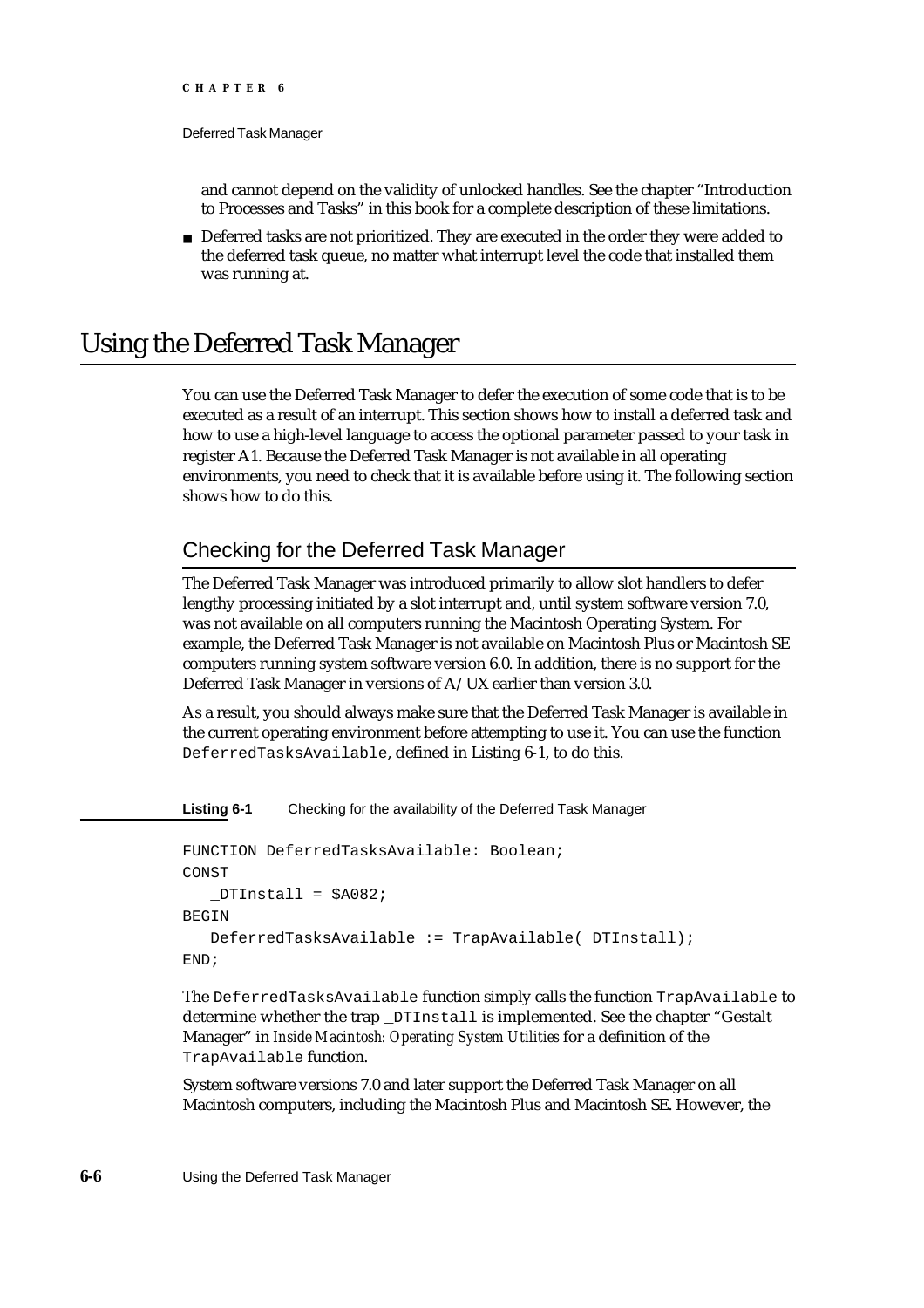and cannot depend on the validity of unlocked handles. See the chapter "Introduction to Processes and Tasks" in this book for a complete description of these limitations.

n Deferred tasks are not prioritized. They are executed in the order they were added to the deferred task queue, no matter what interrupt level the code that installed them was running at.

# Using the Deferred Task Manager

You can use the Deferred Task Manager to defer the execution of some code that is to be executed as a result of an interrupt. This section shows how to install a deferred task and how to use a high-level language to access the optional parameter passed to your task in register A1. Because the Deferred Task Manager is not available in all operating environments, you need to check that it is available before using it. The following section shows how to do this.

# Checking for the Deferred Task Manager

The Deferred Task Manager was introduced primarily to allow slot handlers to defer lengthy processing initiated by a slot interrupt and, until system software version 7.0, was not available on all computers running the Macintosh Operating System. For example, the Deferred Task Manager is not available on Macintosh Plus or Macintosh SE computers running system software version 6.0. In addition, there is no support for the Deferred Task Manager in versions of A/UX earlier than version 3.0.

As a result, you should always make sure that the Deferred Task Manager is available in the current operating environment before attempting to use it. You can use the function DeferredTasksAvailable, defined in Listing 6-1, to do this.

**Listing 6-1** Checking for the availability of the Deferred Task Manager

```
FUNCTION DeferredTasksAvailable: Boolean;
CONST
   DTInstall = $A082;BEGIN
   DeferredTasksAvailable := TrapAvailable(_DTInstall);
END;
```
The DeferredTasksAvailable function simply calls the function TrapAvailable to determine whether the trap \_DTInstall is implemented. See the chapter "Gestalt Manager" in *Inside Macintosh: Operating System Utilities* for a definition of the TrapAvailable function.

System software versions 7.0 and later support the Deferred Task Manager on all Macintosh computers, including the Macintosh Plus and Macintosh SE. However, the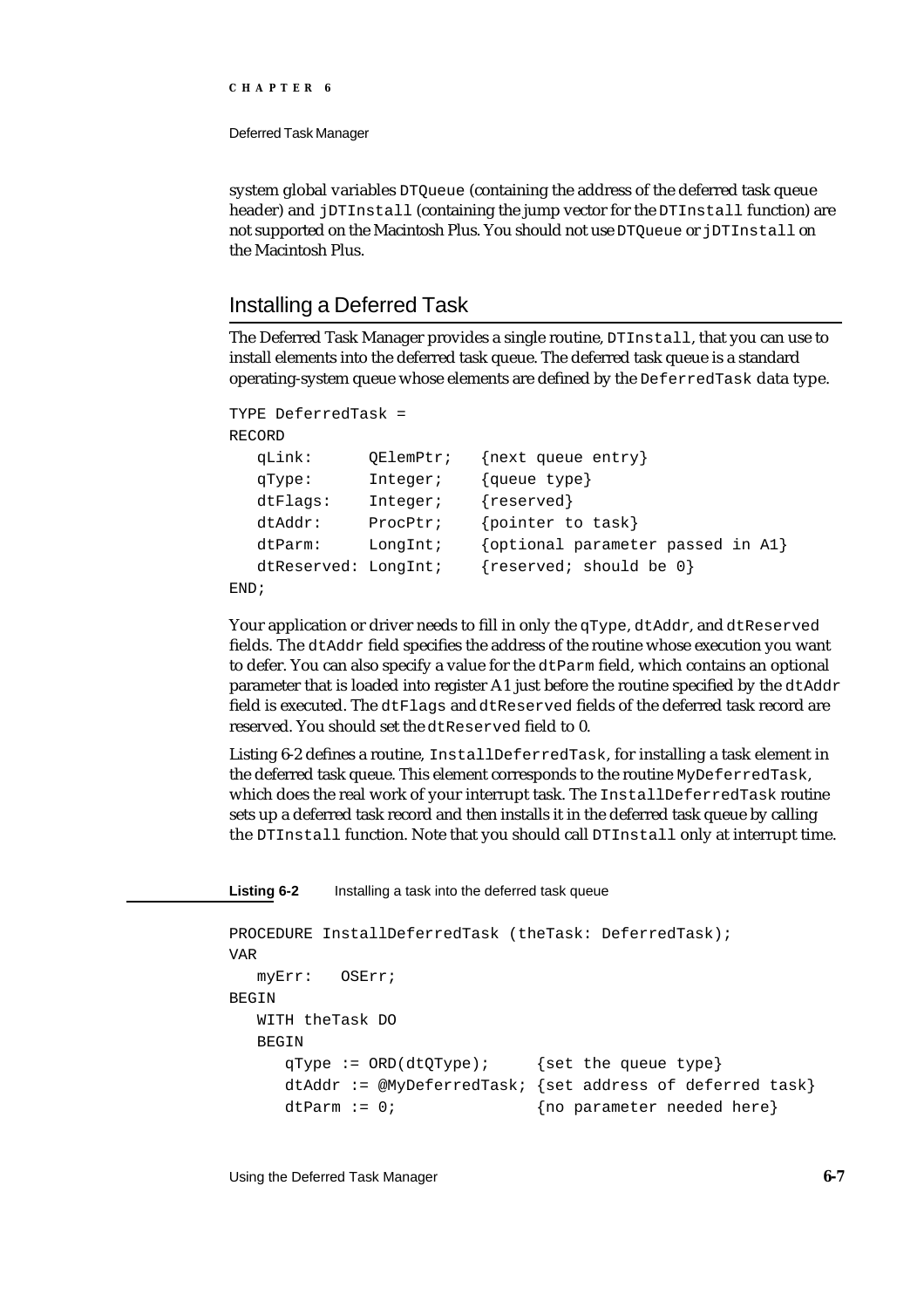Deferred Task Manager

system global variables DTQueue (containing the address of the deferred task queue header) and jDTInstall (containing the jump vector for the DTInstall function) are not supported on the Macintosh Plus. You should not use DTQueue or jDTInstall on the Macintosh Plus.

### Installing a Deferred Task

The Deferred Task Manager provides a single routine, DTInstall, that you can use to install elements into the deferred task queue. The deferred task queue is a standard operating-system queue whose elements are defined by the DeferredTask data type.

```
TYPE DeferredTask =
RECORD
  qLink: QElemPtr; {next queue entry}
  qType: Integer; {queue type}
  dtFlags: Integer; {reserved}
  dtAddr: ProcPtr; {pointer to task}
  dtParm: LongInt; {optional parameter passed in A1}
  dtReserved: LongInt; {reserved; should be 0}
END;
```
Your application or driver needs to fill in only the qType, dtAddr, and dtReserved fields. The dtAddr field specifies the address of the routine whose execution you want to defer. You can also specify a value for the  $d$ t Parm field, which contains an optional parameter that is loaded into register A1 just before the routine specified by the dtAddr field is executed. The dtFlags and dtReserved fields of the deferred task record are reserved. You should set the dtReserved field to 0.

Listing 6-2 defines a routine, InstallDeferredTask, for installing a task element in the deferred task queue. This element corresponds to the routine MyDeferredTask, which does the real work of your interrupt task. The InstallDeferredTask routine sets up a deferred task record and then installs it in the deferred task queue by calling the DTInstall function. Note that you should call DTInstall only at interrupt time.

**Listing 6-2** Installing a task into the deferred task queue

```
PROCEDURE InstallDeferredTask (theTask: DeferredTask);
VAR
  myErr: OSErr;
BEGIN
  WITH theTask DO
  BEGIN
     qType := ORD(dtQType); {set the queue type}
     dtAddr := @MyDeferredTask; {set address of deferred task}
     dtParm := 0; {no parameter needed here}
```
Using the Deferred Task Manager **6-7**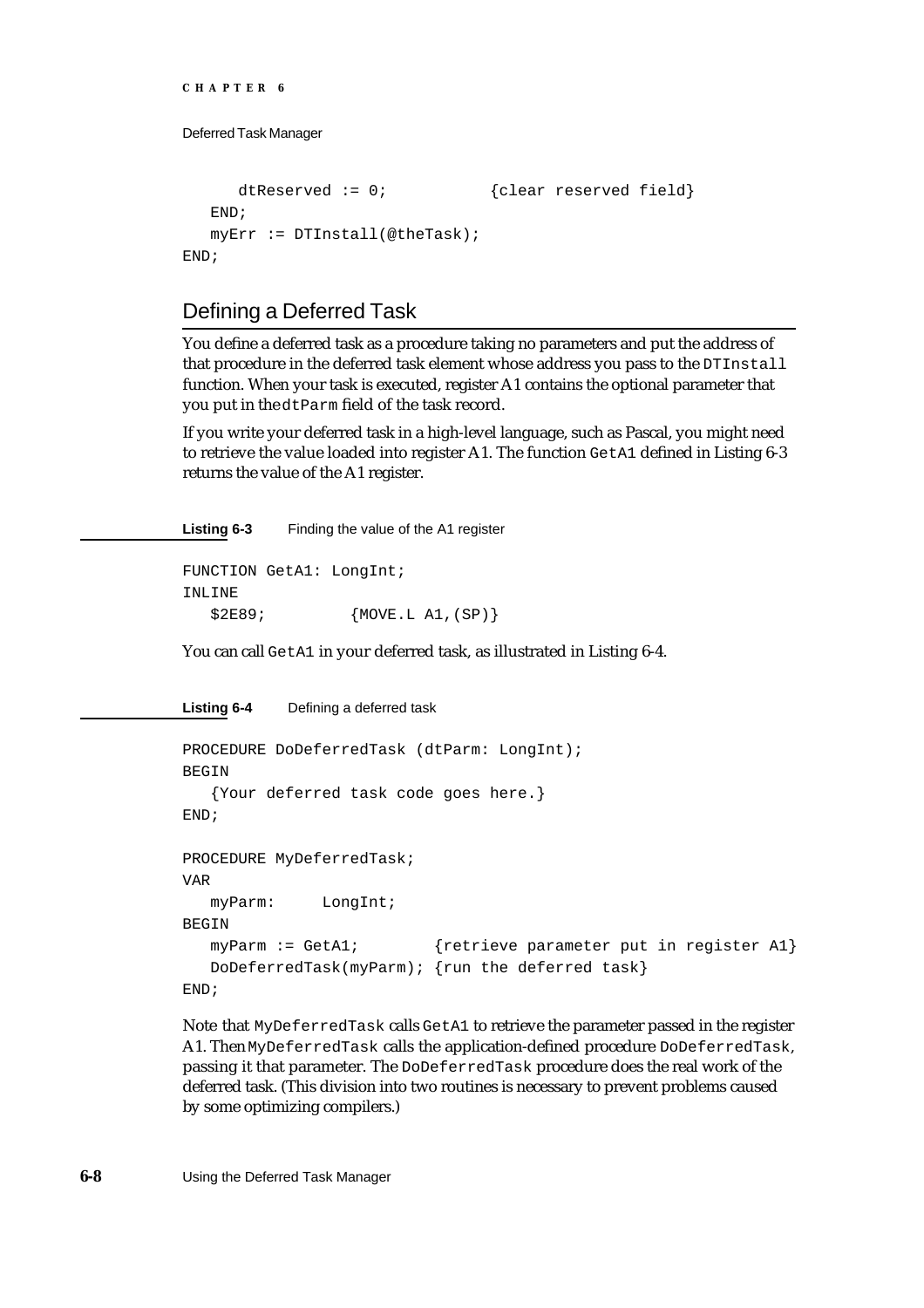```
CHAPTER 6
```

```
dtReserved := 0; {clear reserved field}END;
  myErr := DTInstall(@theTask);
END;
```
# Defining a Deferred Task

You define a deferred task as a procedure taking no parameters and put the address of that procedure in the deferred task element whose address you pass to the DTInstall function. When your task is executed, register A1 contains the optional parameter that you put in the dtParm field of the task record.

If you write your deferred task in a high-level language, such as Pascal, you might need to retrieve the value loaded into register A1. The function GetA1 defined in Listing 6-3 returns the value of the A1 register.

**Listing 6-3** Finding the value of the A1 register

```
FUNCTION GetA1: LongInt;
INLINE
  $2E89; {MOVE.L A1,(SP)}
```
You can call GetA1 in your deferred task, as illustrated in Listing 6-4.

```
Listing 6-4 Defining a deferred task
```

```
PROCEDURE DoDeferredTask (dtParm: LongInt);
BEGIN
   {Your deferred task code goes here.}
END;
PROCEDURE MyDeferredTask;
VAR
  myParm: LongInt;
BEGIN
  myParm := GetA1; {retrieve parameter put in register A1}
  DoDeferredTask(myParm); {run the deferred task}
END;
```
Note that MyDeferredTask calls GetA1 to retrieve the parameter passed in the register A1. Then MyDeferredTask calls the application-defined procedure DoDeferredTask, passing it that parameter. The DoDeferredTask procedure does the real work of the deferred task. (This division into two routines is necessary to prevent problems caused by some optimizing compilers.)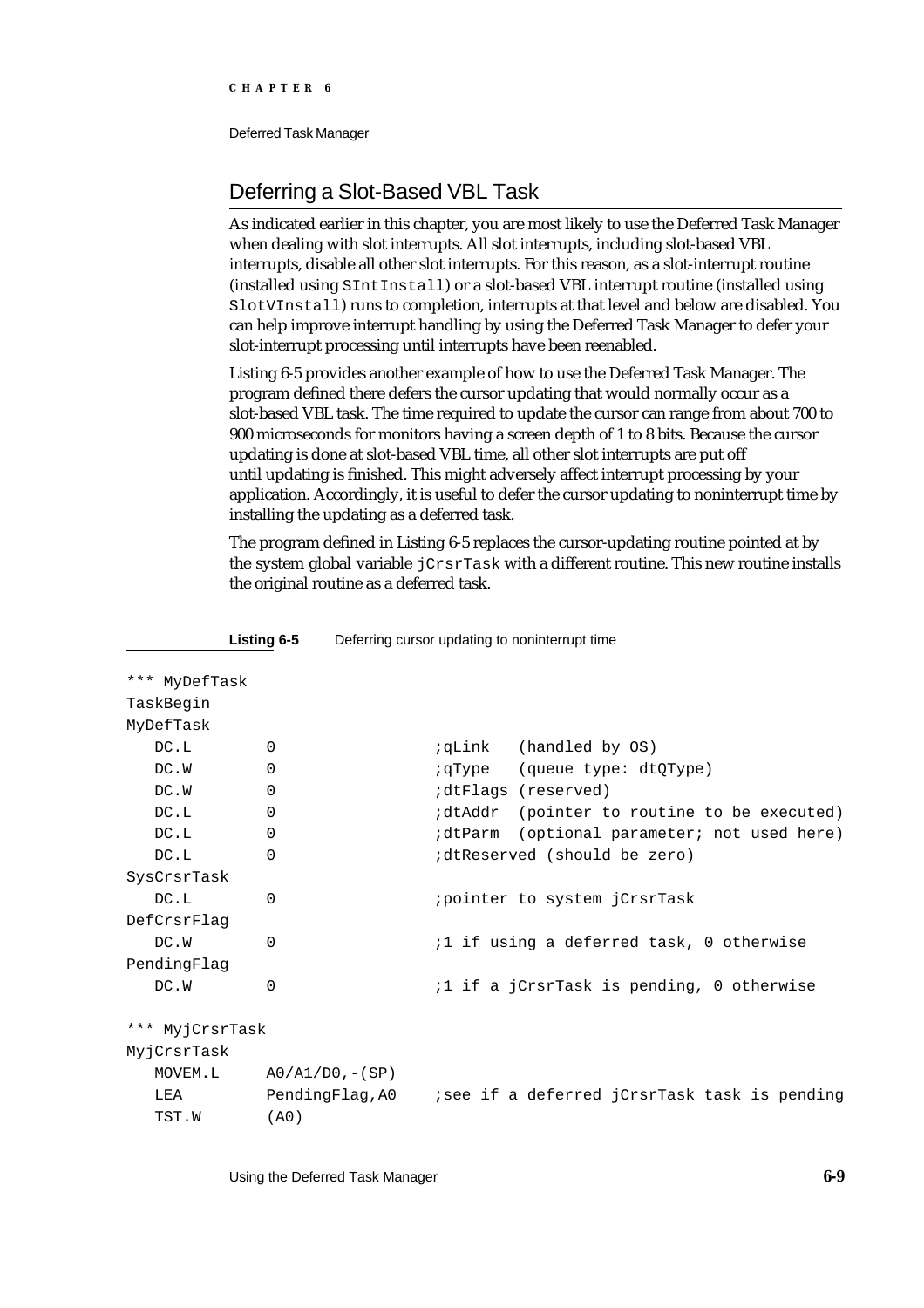# Deferring a Slot-Based VBL Task

As indicated earlier in this chapter, you are most likely to use the Deferred Task Manager when dealing with slot interrupts. All slot interrupts, including slot-based VBL interrupts, disable all other slot interrupts. For this reason, as a slot-interrupt routine (installed using SIntInstall) or a slot-based VBL interrupt routine (installed using SlotVInstall) runs to completion, interrupts at that level and below are disabled. You can help improve interrupt handling by using the Deferred Task Manager to defer your slot-interrupt processing until interrupts have been reenabled.

Listing 6-5 provides another example of how to use the Deferred Task Manager. The program defined there defers the cursor updating that would normally occur as a slot-based VBL task. The time required to update the cursor can range from about 700 to 900 microseconds for monitors having a screen depth of 1 to 8 bits. Because the cursor updating is done at slot-based VBL time, all other slot interrupts are put off until updating is finished. This might adversely affect interrupt processing by your application. Accordingly, it is useful to defer the cursor updating to noninterrupt time by installing the updating as a deferred task.

The program defined in Listing 6-5 replaces the cursor-updating routine pointed at by the system global variable jCrsrTask with a different routine. This new routine installs the original routine as a deferred task.

| *** MyDefTask   |                             |                                                   |  |  |  |
|-----------------|-----------------------------|---------------------------------------------------|--|--|--|
| TaskBegin       |                             |                                                   |  |  |  |
| MyDefTask       |                             |                                                   |  |  |  |
| DC.L            | $\mathbf 0$                 | <i>i</i> qLink (handled by OS)                    |  |  |  |
| DC.W            | $\Omega$                    | iqType (queue type: dtQType)                      |  |  |  |
| DC.W            | $\mathbf 0$                 | <i>i</i> dtFlags (reserved)                       |  |  |  |
| DC.L            | $\Omega$                    | idtAddr (pointer to routine to be executed)       |  |  |  |
| DC.L            | $\Omega$                    | idtParm (optional parameter; not used here)       |  |  |  |
| DC.L            | $\Omega$                    | idtReserved (should be zero)                      |  |  |  |
| SysCrsrTask     |                             |                                                   |  |  |  |
| DC.L            | 0                           | <i>i</i> pointer to system jCrsrTask              |  |  |  |
| DefCrsrFlag     |                             |                                                   |  |  |  |
| DC.W            | $\Omega$                    | <i>i</i> 1 if using a deferred task, 0 otherwise  |  |  |  |
| PendingFlag     |                             |                                                   |  |  |  |
| DC.W            | $\Omega$                    | <i>i</i> 1 if a jCrsrTask is pending, 0 otherwise |  |  |  |
| *** MyjCrsrTask |                             |                                                   |  |  |  |
| MyjCrsrTask     |                             |                                                   |  |  |  |
|                 | $MOVEM.L$ $A0/A1/D0, -(SP)$ |                                                   |  |  |  |
| LEA             | PendingFlag,A0              | isee if a deferred jCrsrTask task is pending      |  |  |  |
| TST.W           | (AO)                        |                                                   |  |  |  |

**Listing 6-5** Deferring cursor updating to noninterrupt time

Using the Deferred Task Manager **6-9**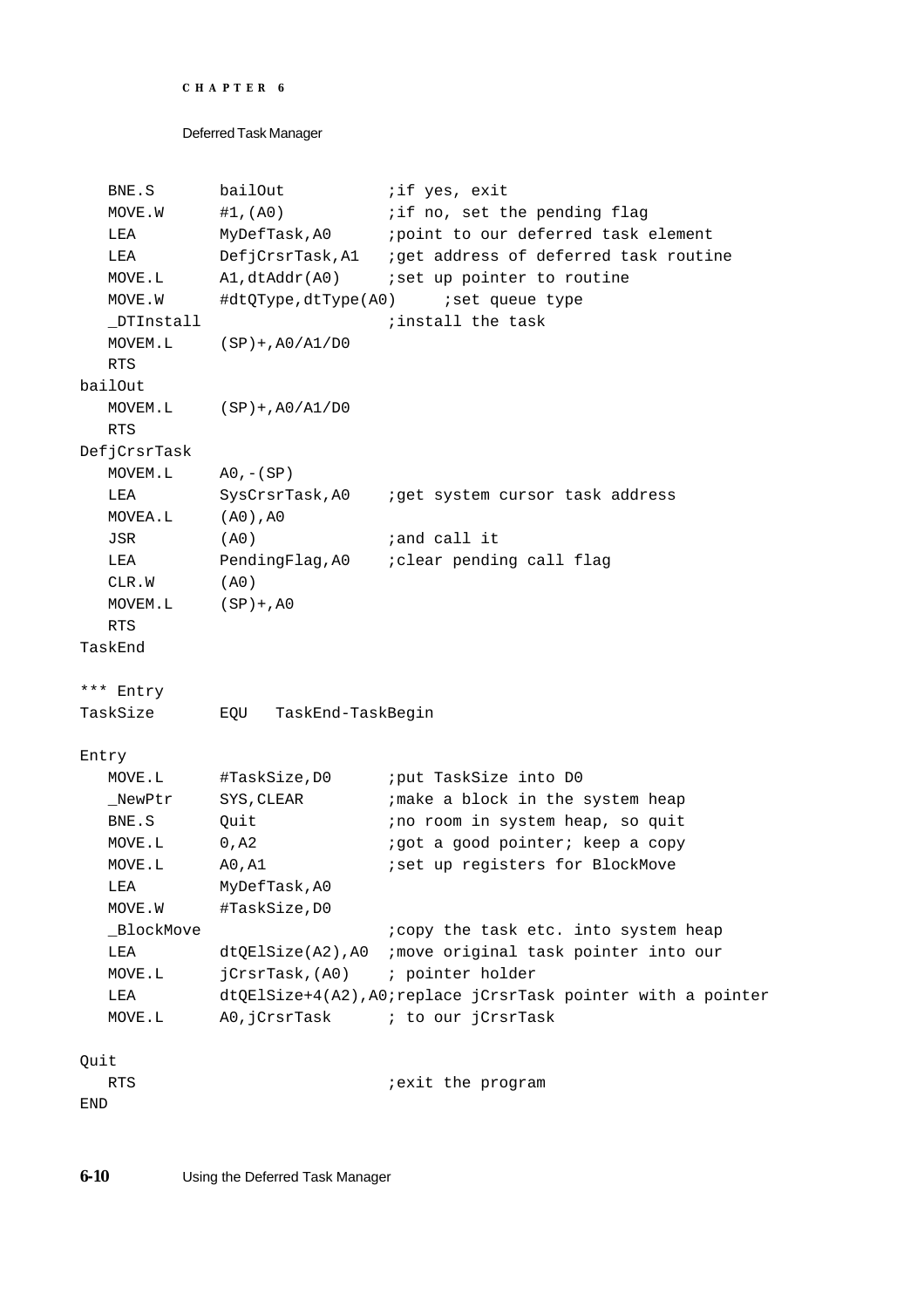```
CHAPTER 6
```

```
Deferred Task Manager
```

```
BNE.S bailOut :if yes, exit
  MOVE.W #1, (A0) if no, set the pending flag
  LEA MyDefTask, A0 ipoint to our deferred task element
  LEA DefjCrsrTask, A1 iget address of deferred task routine
  MOVE.L A1, dtAddr(A0) ; set up pointer to routine
  MOVE.W #dtQType,dtType(A0) ;set queue type
  _DTInstall ;install the task
  MOVEM.L (SP)+,A0/A1/D0
  RTS
bailOut
  MOVEM.L (SP)+,A0/A1/D0
  RTS
DefjCrsrTask
  MOVEM.L A0, -(SP)LEA SysCrsrTask,A0 ; qet system cursor task address
  MOVEA.L (A0),A0
  JSR (A0) iand call it
  LEA PendingFlag, A0 ; clear pending call flag
  CLR.W (A0)
  MOVEM.L (SP)+,A0
  RTS
TaskEnd
*** Entry
TaskSize EQU TaskEnd-TaskBegin
Entry
  MOVE.L #TaskSize, D0 iput TaskSize into D0
  NewPtr SYS, CLEAR : imake a block in the system heap
  BNE.S Quit \qquad \qquad ;no room in system heap, so quit
  MOVE.L 0, A2 :got a good pointer; keep a copy
  MOVE.L A0, A1 :set up registers for BlockMove
  LEA MyDefTask,A0
  MOVE.W #TaskSize,D0
  _BlockMove                               ;copy the task etc. into system heap
  LEA dtQElSize(A2),A0 ;move original task pointer into our 
  MOVE.L jCrsrTask,(A0) ; pointer holder
  LEA dtQElSize+4(A2),A0;replace jCrsrTask pointer with a pointer
  MOVE.L A0, jCrsrTask \qquad ; to our jCrsrTask
Quit
  RTS in the program is the program
END
```
**6-10** Using the Deferred Task Manager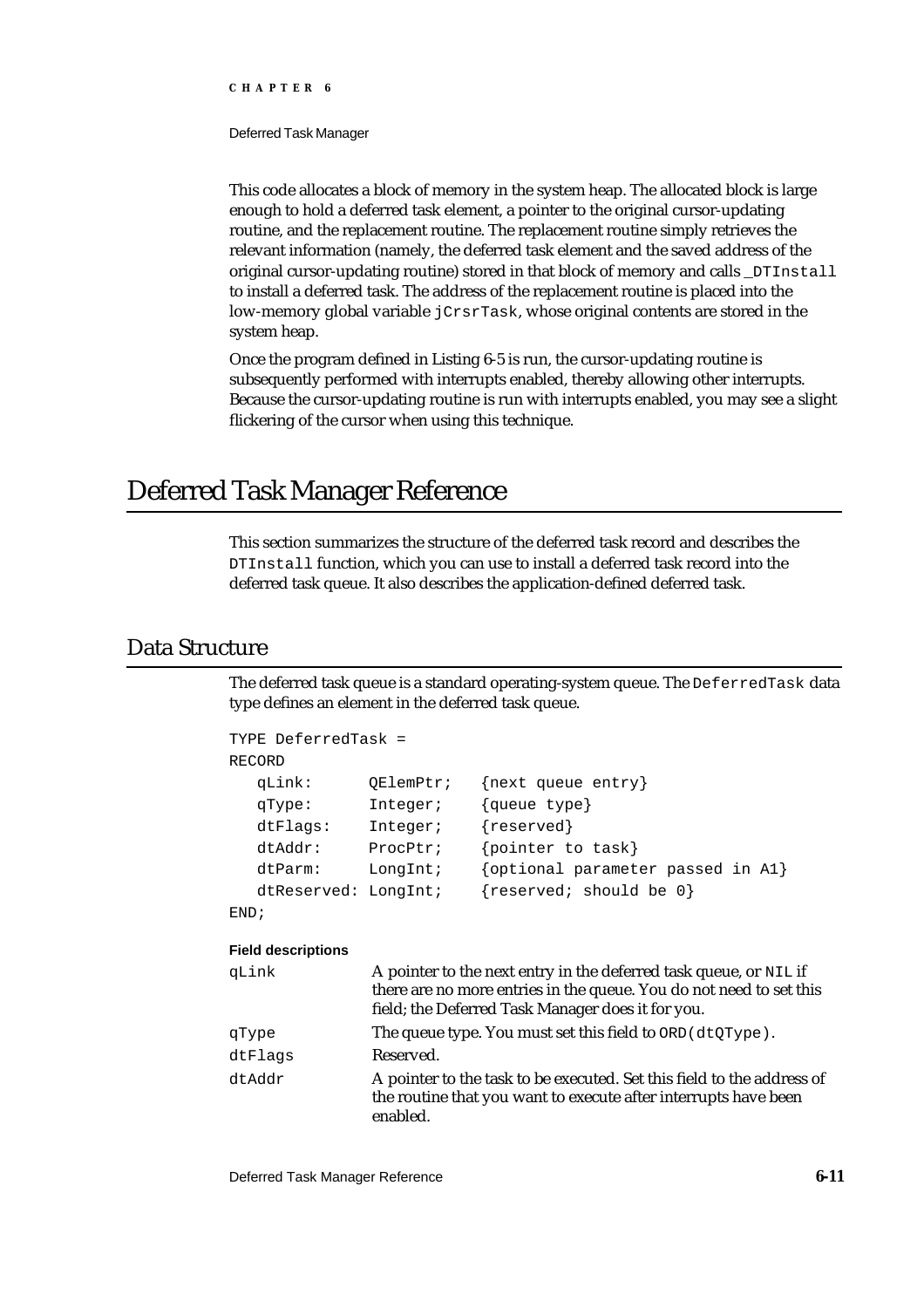Deferred Task Manager

This code allocates a block of memory in the system heap. The allocated block is large enough to hold a deferred task element, a pointer to the original cursor-updating routine, and the replacement routine. The replacement routine simply retrieves the relevant information (namely, the deferred task element and the saved address of the original cursor-updating routine) stored in that block of memory and calls \_DTInstall to install a deferred task. The address of the replacement routine is placed into the low-memory global variable jCrsrTask, whose original contents are stored in the system heap.

Once the program defined in Listing 6-5 is run, the cursor-updating routine is subsequently performed with interrupts enabled, thereby allowing other interrupts. Because the cursor-updating routine is run with interrupts enabled, you may see a slight flickering of the cursor when using this technique.

# Deferred Task Manager Reference

This section summarizes the structure of the deferred task record and describes the DTInstall function, which you can use to install a deferred task record into the deferred task queue. It also describes the application-defined deferred task.

### Data Structure

The deferred task queue is a standard operating-system queue. The DeferredTask data type defines an element in the deferred task queue.

```
TYPE DeferredTask =
RECORD
  qLink: QElemPtr; {next queue entry}
  qType: Integer; {queue type}
  dtFlags: Integer; {reserved}
  dtAddr: ProcPtr; {pointer to task}
  dtParm: LongInt; {optional parameter passed in A1}
  dtReserved: LongInt; {reserved; should be 0}
```

```
END;
```
#### **Field descriptions**

| qLink   | A pointer to the next entry in the deferred task queue, or NIL if<br>there are no more entries in the queue. You do not need to set this<br>field; the Deferred Task Manager does it for you. |
|---------|-----------------------------------------------------------------------------------------------------------------------------------------------------------------------------------------------|
| qType   | The queue type. You must set this field to ORD (dtQType).                                                                                                                                     |
| dtFlags | Reserved.                                                                                                                                                                                     |
| dtAddr  | A pointer to the task to be executed. Set this field to the address of<br>the routine that you want to execute after interrupts have been<br>enabled.                                         |

Deferred Task Manager Reference **6-11**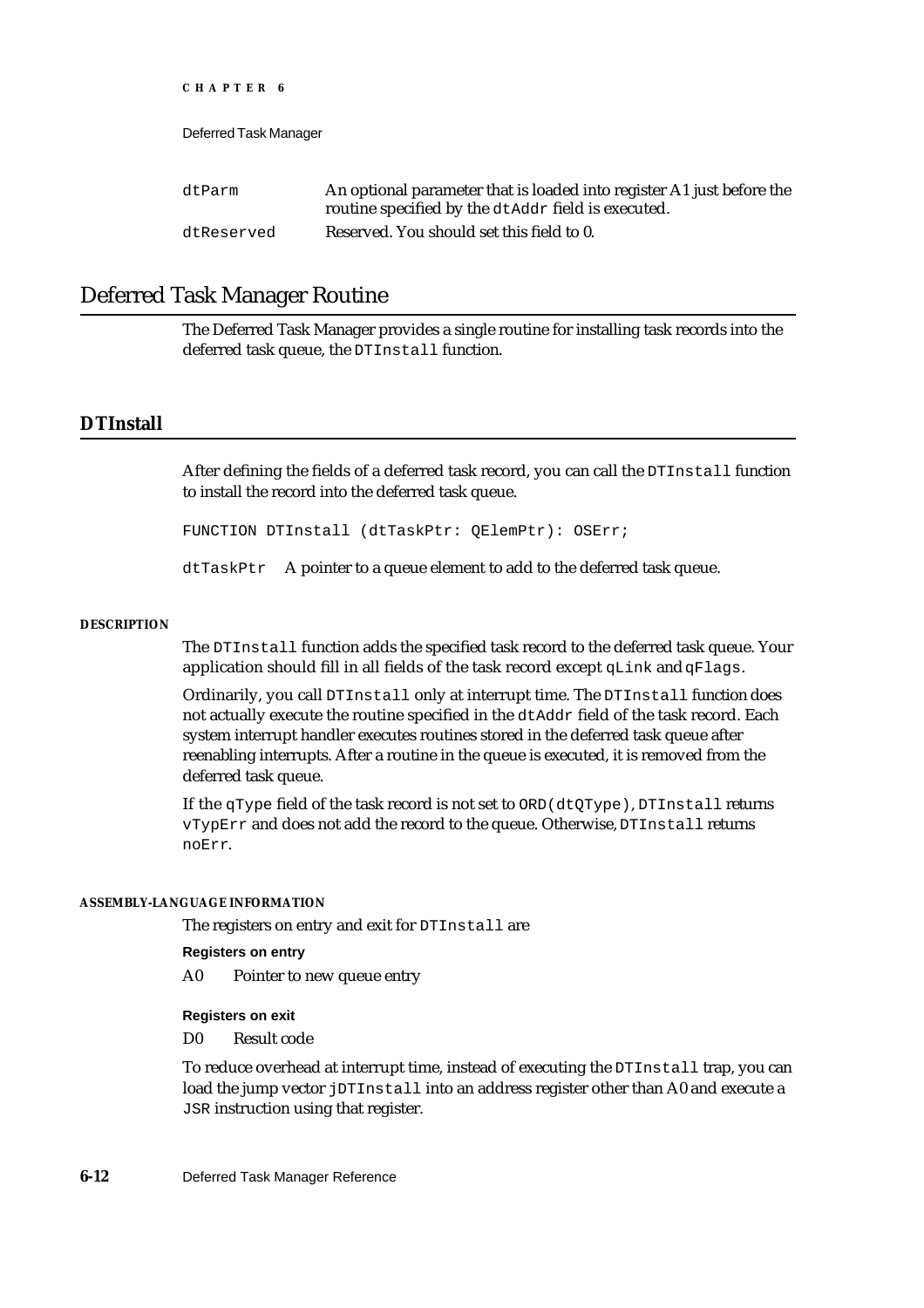| dtParm     | An optional parameter that is loaded into register A1 just before the<br>routine specified by the dtAddr field is executed. |
|------------|-----------------------------------------------------------------------------------------------------------------------------|
| dtReserved | Reserved. You should set this field to 0.                                                                                   |

### Deferred Task Manager Routine

The Deferred Task Manager provides a single routine for installing task records into the deferred task queue, the DTInstall function.

### **DTInstall**

After defining the fields of a deferred task record, you can call the DTInstall function to install the record into the deferred task queue.

FUNCTION DTInstall (dtTaskPtr: QElemPtr): OSErr;

dtTaskPtr A pointer to a queue element to add to the deferred task queue.

#### **DESCRIPTION**

The DTInstall function adds the specified task record to the deferred task queue. Your application should fill in all fields of the task record except qLink and qFlags.

Ordinarily, you call DTInstall only at interrupt time. The DTInstall function does not actually execute the routine specified in the dtAddr field of the task record. Each system interrupt handler executes routines stored in the deferred task queue after reenabling interrupts. After a routine in the queue is executed, it is removed from the deferred task queue.

If the qType field of the task record is not set to ORD(dtQType), DTInstall returns vTypErr and does not add the record to the queue. Otherwise, DTInstall returns noErr.

#### **ASSEMBLY-LANGUAGE INFORMATION**

The registers on entry and exit for DTInstall are

**Registers on entry**

A0 Pointer to new queue entry

#### **Registers on exit**

D0 Result code

To reduce overhead at interrupt time, instead of executing the DTInstall trap, you can load the jump vector jDTInstall into an address register other than A0 and execute a JSR instruction using that register.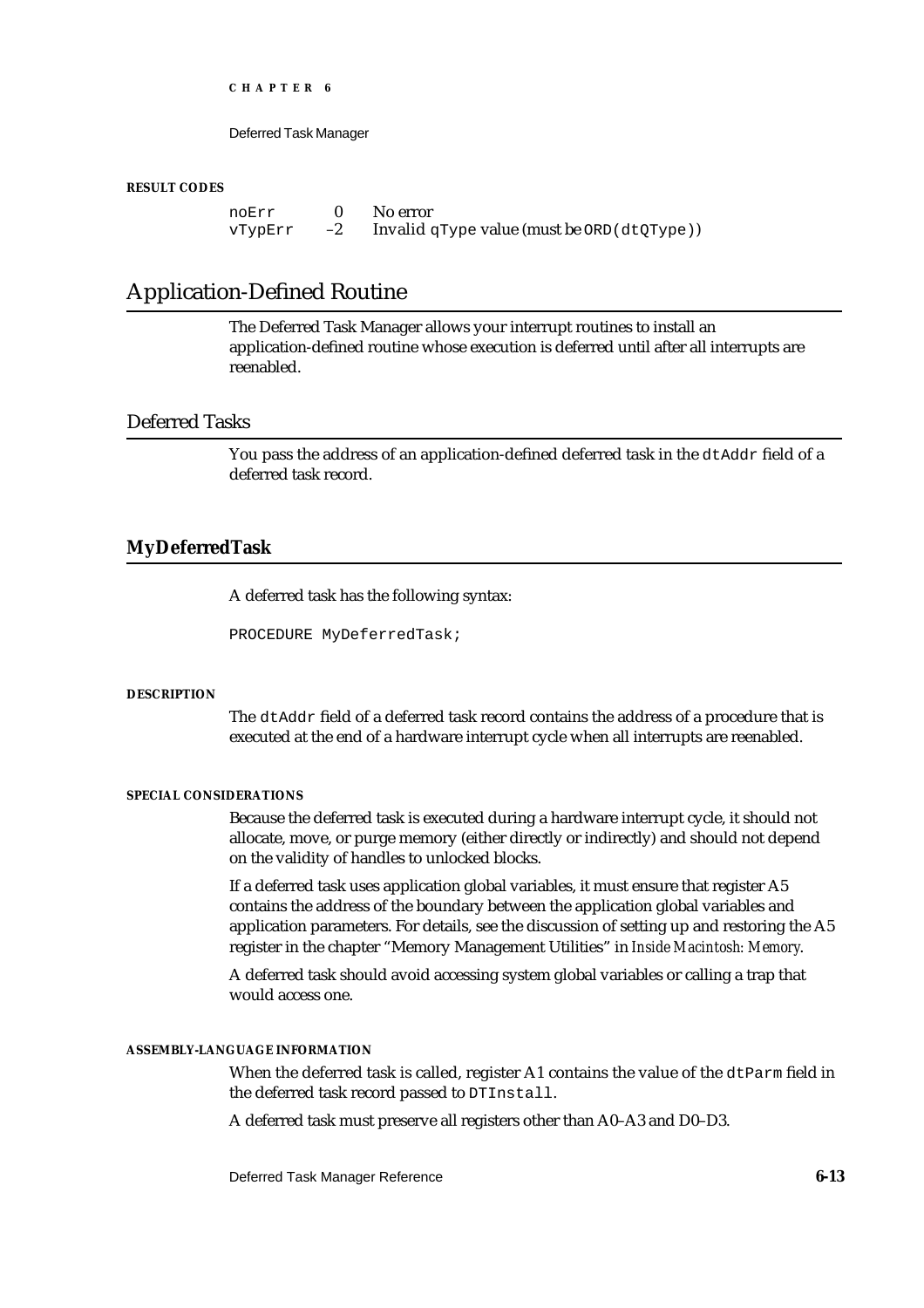Deferred Task Manager

#### **RESULT CODES**

noErr 0 No error<br>vTvpErr -2 Invalid  $vTypErr -2$  Invalid qType value (must be ORD (dtQType))

### Application-Defined Routine

The Deferred Task Manager allows your interrupt routines to install an application-defined routine whose execution is deferred until after all interrupts are reenabled.

### Deferred Tasks

You pass the address of an application-defined deferred task in the dtAddr field of a deferred task record.

#### **MyDeferredTask**

A deferred task has the following syntax:

PROCEDURE MyDeferredTask;

#### **DESCRIPTION**

The dtAddr field of a deferred task record contains the address of a procedure that is executed at the end of a hardware interrupt cycle when all interrupts are reenabled.

#### **SPECIAL CONSIDERATIONS**

Because the deferred task is executed during a hardware interrupt cycle, it should not allocate, move, or purge memory (either directly or indirectly) and should not depend on the validity of handles to unlocked blocks.

If a deferred task uses application global variables, it must ensure that register A5 contains the address of the boundary between the application global variables and application parameters. For details, see the discussion of setting up and restoring the A5 register in the chapter "Memory Management Utilities" in *Inside Macintosh: Memory*.

A deferred task should avoid accessing system global variables or calling a trap that would access one.

#### **ASSEMBLY-LANGUAGE INFORMATION**

When the deferred task is called, register A1 contains the value of the dtParm field in the deferred task record passed to DTInstall.

A deferred task must preserve all registers other than A0–A3 and D0–D3.

Deferred Task Manager Reference **6-13**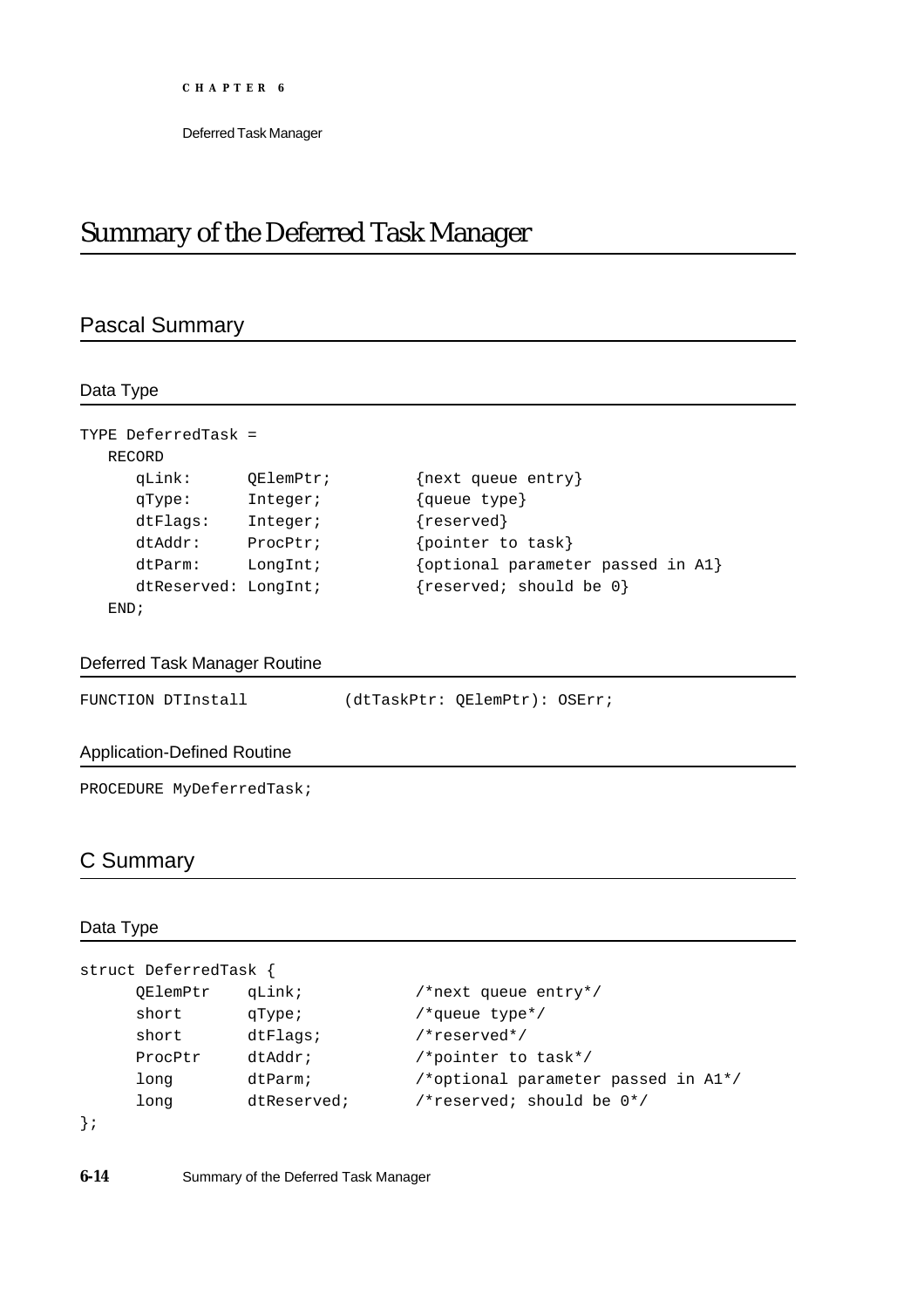# Summary of the Deferred Task Manager

# Pascal Summary

Data Type

| TYPE DeferredTask =  |           |                                   |
|----------------------|-----------|-----------------------------------|
| RECORD               |           |                                   |
| qLink:               | OElemPtr; | {next queue entry}                |
| qType:               | Integer;  | {queue type}                      |
| $d$ t $Fla$ q $s$ :  | Integer;  | ${reserved}$                      |
| $dt$ Addr:           | ProcPtr;  | pointer to task}                  |
| dtParm:              | LongInt;  | {optional parameter passed in A1} |
| dtReserved: LongInt; |           | {reserved; should be 0}           |
| END:                 |           |                                   |

### Deferred Task Manager Routine

| FUNCTION DTInstall | (dtTaskPtr: QElemPtr): OSErr; |  |  |
|--------------------|-------------------------------|--|--|
|--------------------|-------------------------------|--|--|

### Application-Defined Routine

PROCEDURE MyDeferredTask;

### C Summary

### Data Type

```
struct DeferredTask {
    QElemPtr qLink; /*next queue entry*/
    short qType; /*queue type*/
    short dtFlags; /*reserved*/
    ProcPtr dtAddr; /*pointer to task*/
    long dtParm; /*optional parameter passed in A1*/
    long dtReserved; /*reserved; should be 0*/
```
};

**6-14** Summary of the Deferred Task Manager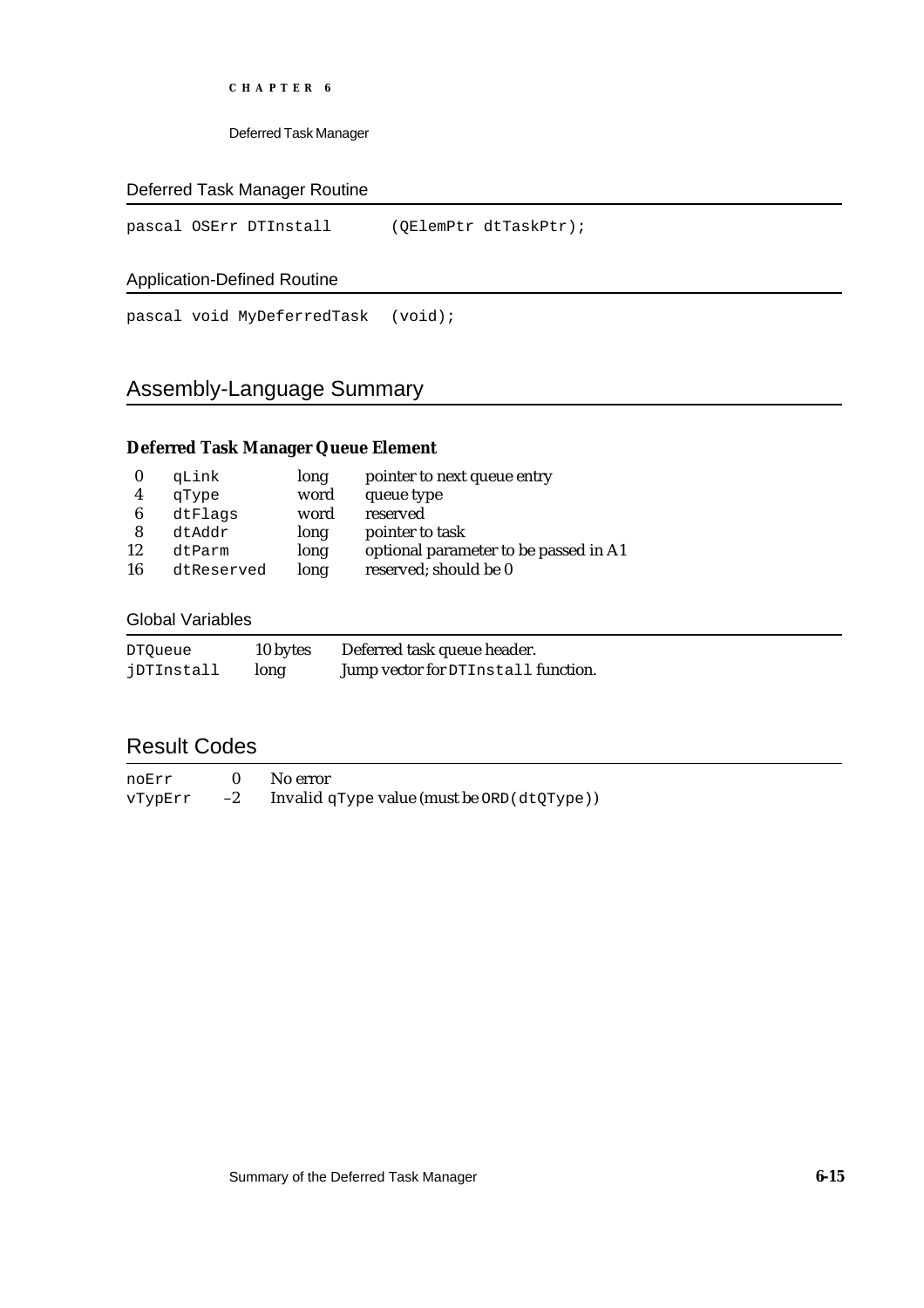Deferred Task Manager

### Deferred Task Manager Routine

pascal OSErr DTInstall (QElemPtr dtTaskPtr);

### Application-Defined Routine

pascal void MyDeferredTask (void);

# Assembly-Language Summary

### **Deferred Task Manager Queue Element**

|    | qLink      | long | pointer to next queue entry           |
|----|------------|------|---------------------------------------|
| 4  | qType      | word | queue type                            |
| 6  | dtFlags    | word | reserved                              |
| 8  | dtAddr     | long | pointer to task                       |
| 12 | dtParm     | long | optional parameter to be passed in A1 |
| 16 | dtReserved | long | reserved; should be 0                 |

#### Global Variables

| <b>DTOueue</b> | 10 bytes | Deferred task queue header.         |
|----------------|----------|-------------------------------------|
| jDTInstall     | long     | Jump vector for DTInstall function. |

# Result Codes

| noErr   |      | No error                                        |
|---------|------|-------------------------------------------------|
| vTypErr | $-2$ | Invalid $qType$ value (must be $ORD$ (dtQType)) |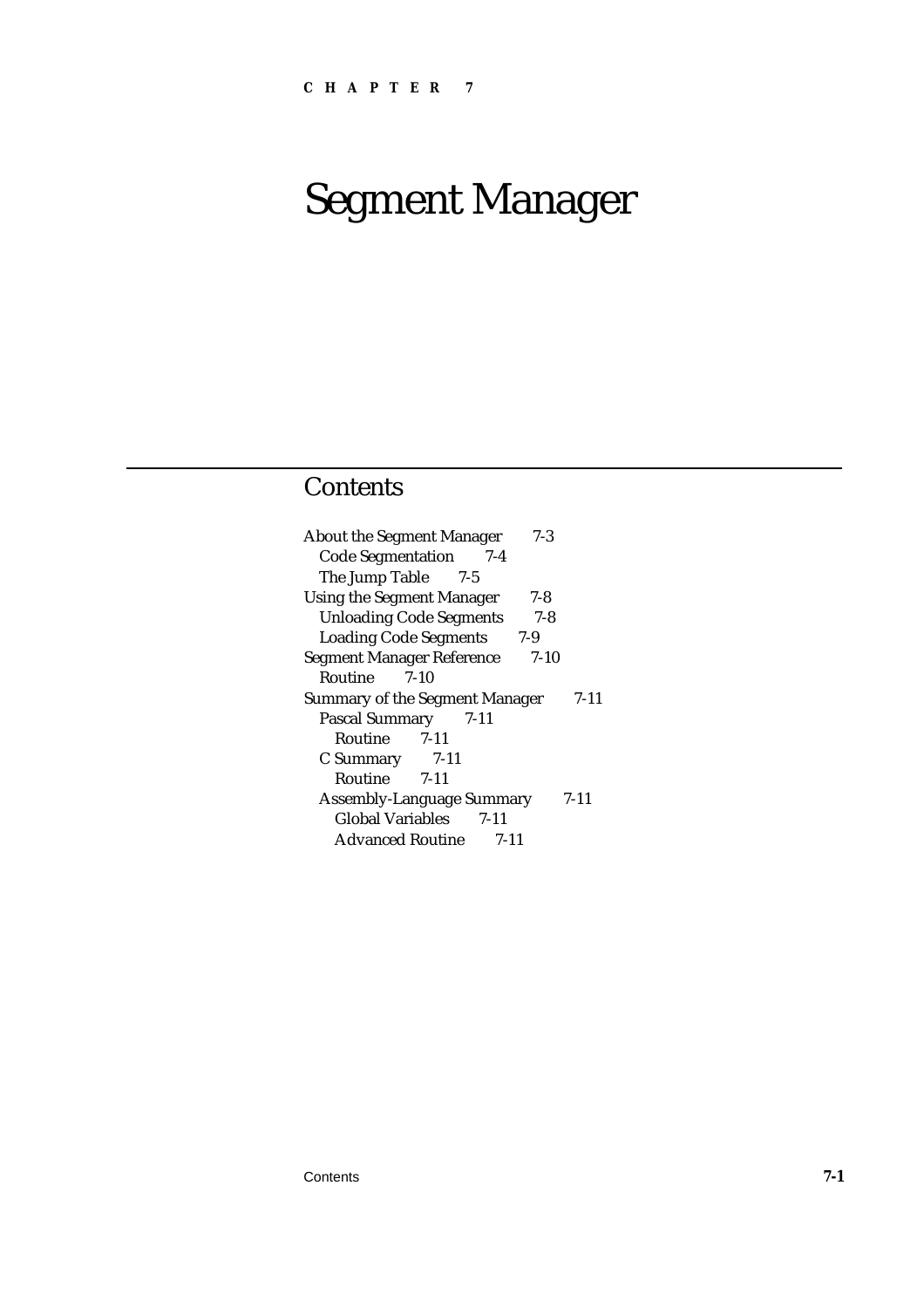# Segment Manager

# **Contents**

| <b>About the Segment Manager</b><br>$7-3$  |      |
|--------------------------------------------|------|
| <b>Code Segmentation</b><br>7-4            |      |
| The Jump Table 7-5                         |      |
| <b>Using the Segment Manager</b><br>7-8    |      |
| <b>Unloading Code Segments</b><br>$7 - 8$  |      |
| <b>Loading Code Segments</b><br>7-9        |      |
| <b>Segment Manager Reference</b><br>$7-10$ |      |
| Routine<br>7-10                            |      |
| <b>Summary of the Segment Manager</b>      | 7-11 |
| Pascal Summary 7-11                        |      |
| Routine 7-11                               |      |
| C Summary 7-11                             |      |
| Routine 7-11                               |      |
| <b>Assembly-Language Summary</b>           | 7-11 |
| Global Variables 7-11                      |      |
| <b>Advanced Routine</b><br>7-11            |      |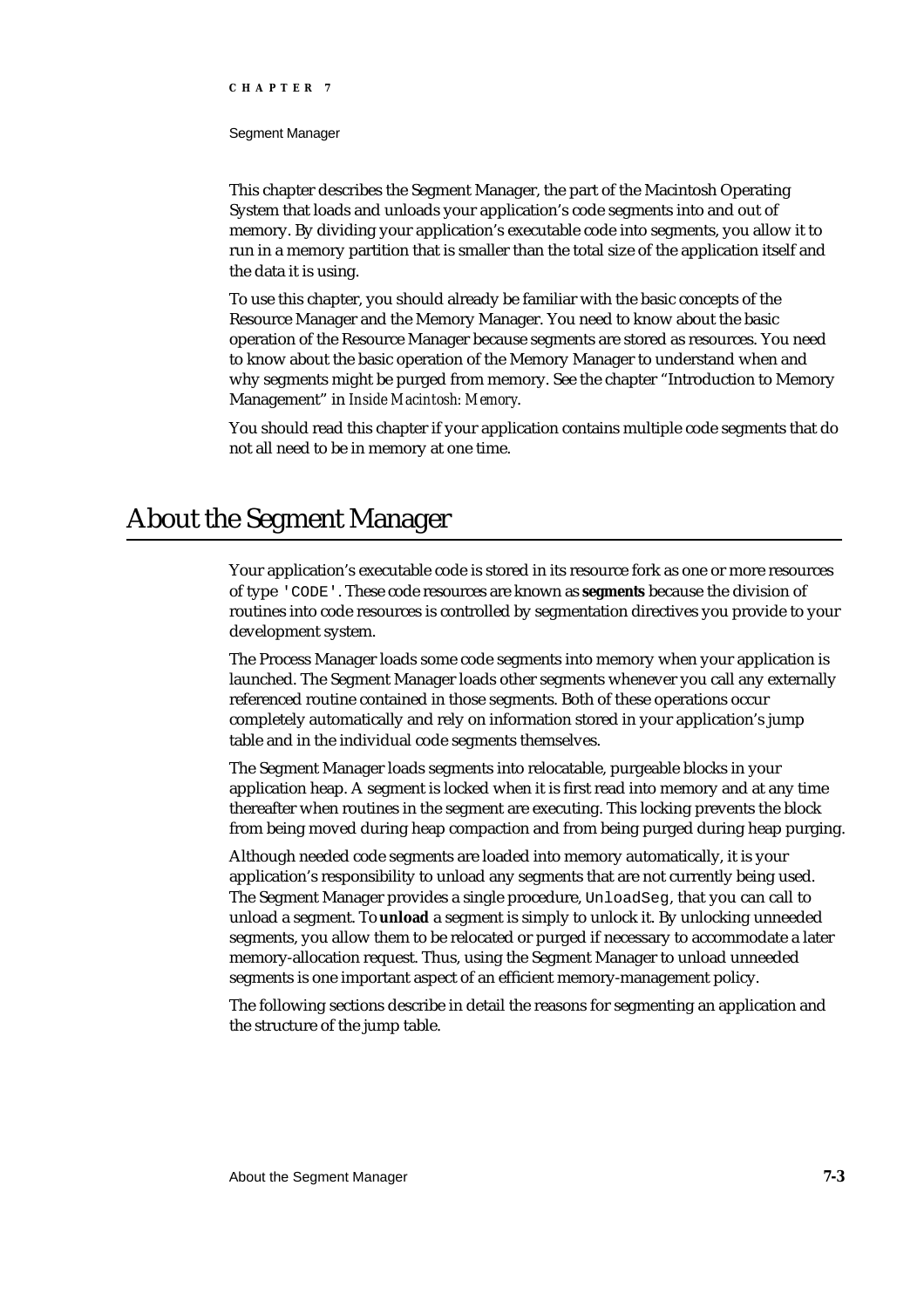Segment Manager

This chapter describes the Segment Manager, the part of the Macintosh Operating System that loads and unloads your application's code segments into and out of memory. By dividing your application's executable code into segments, you allow it to run in a memory partition that is smaller than the total size of the application itself and the data it is using.

To use this chapter, you should already be familiar with the basic concepts of the Resource Manager and the Memory Manager. You need to know about the basic operation of the Resource Manager because segments are stored as resources. You need to know about the basic operation of the Memory Manager to understand when and why segments might be purged from memory. See the chapter "Introduction to Memory Management" in *Inside Macintosh: Memory*.

You should read this chapter if your application contains multiple code segments that do not all need to be in memory at one time.

# About the Segment Manager

Your application's executable code is stored in its resource fork as one or more resources of type 'CODE'. These code resources are known as **segments** because the division of routines into code resources is controlled by segmentation directives you provide to your development system.

The Process Manager loads some code segments into memory when your application is launched. The Segment Manager loads other segments whenever you call any externally referenced routine contained in those segments. Both of these operations occur completely automatically and rely on information stored in your application's jump table and in the individual code segments themselves.

The Segment Manager loads segments into relocatable, purgeable blocks in your application heap. A segment is locked when it is first read into memory and at any time thereafter when routines in the segment are executing. This locking prevents the block from being moved during heap compaction and from being purged during heap purging.

Although needed code segments are loaded into memory automatically, it is your application's responsibility to unload any segments that are not currently being used. The Segment Manager provides a single procedure, UnloadSeg, that you can call to unload a segment. To **unload** a segment is simply to unlock it. By unlocking unneeded segments, you allow them to be relocated or purged if necessary to accommodate a later memory-allocation request. Thus, using the Segment Manager to unload unneeded segments is one important aspect of an efficient memory-management policy.

The following sections describe in detail the reasons for segmenting an application and the structure of the jump table.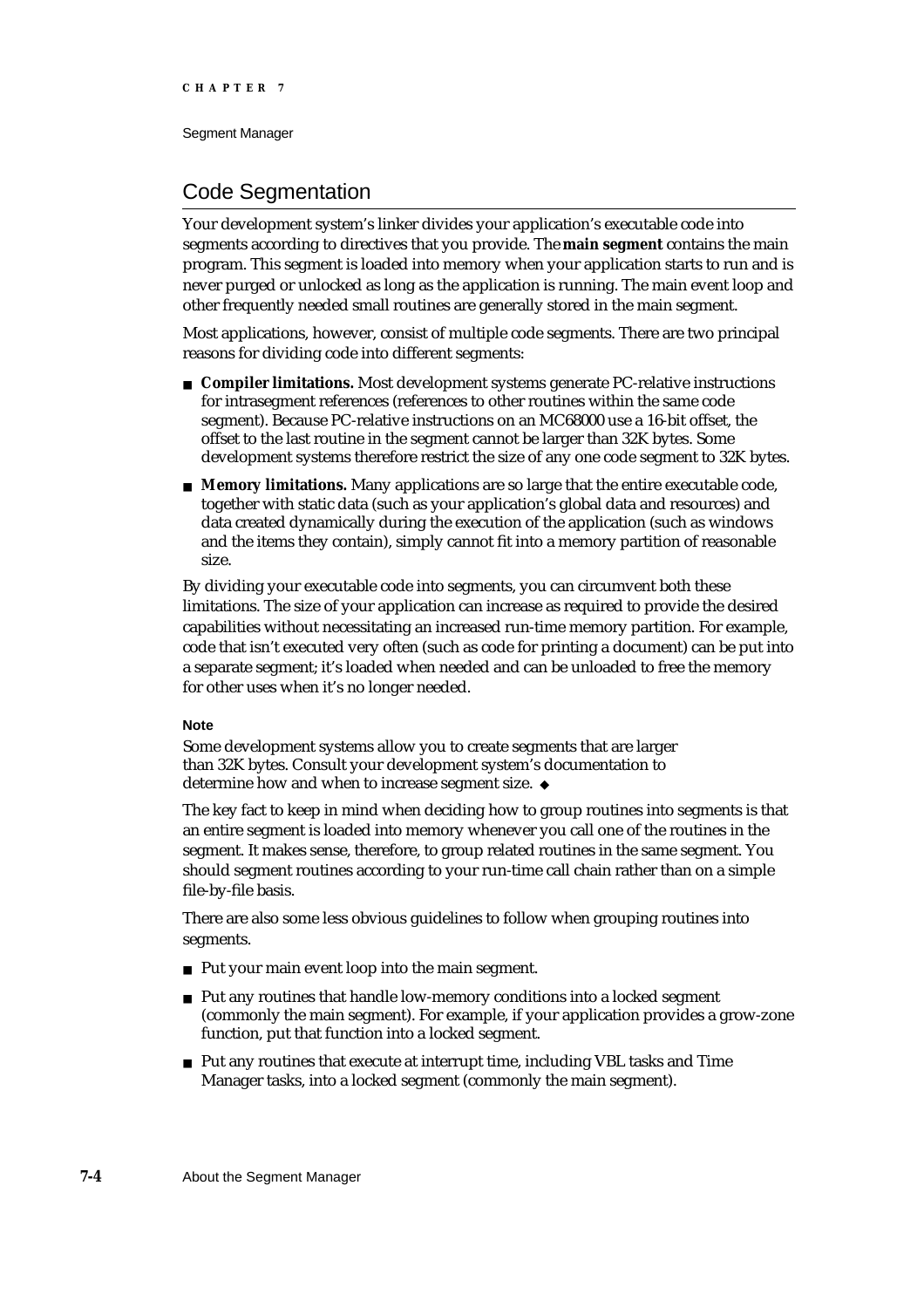Segment Manager

# Code Segmentation

Your development system's linker divides your application's executable code into segments according to directives that you provide. The **main segment** contains the main program. This segment is loaded into memory when your application starts to run and is never purged or unlocked as long as the application is running. The main event loop and other frequently needed small routines are generally stored in the main segment.

Most applications, however, consist of multiple code segments. There are two principal reasons for dividing code into different segments:

- **Compiler limitations.** Most development systems generate PC-relative instructions for intrasegment references (references to other routines within the same code segment). Because PC-relative instructions on an MC68000 use a 16-bit offset, the offset to the last routine in the segment cannot be larger than 32K bytes. Some development systems therefore restrict the size of any one code segment to 32K bytes.
- **Memory limitations.** Many applications are so large that the entire executable code, together with static data (such as your application's global data and resources) and data created dynamically during the execution of the application (such as windows and the items they contain), simply cannot fit into a memory partition of reasonable size.

By dividing your executable code into segments, you can circumvent both these limitations. The size of your application can increase as required to provide the desired capabilities without necessitating an increased run-time memory partition. For example, code that isn't executed very often (such as code for printing a document) can be put into a separate segment; it's loaded when needed and can be unloaded to free the memory for other uses when it's no longer needed.

#### **Note**

Some development systems allow you to create segments that are larger than 32K bytes. Consult your development system's documentation to determine how and when to increase segment size.

The key fact to keep in mind when deciding how to group routines into segments is that an entire segment is loaded into memory whenever you call one of the routines in the segment. It makes sense, therefore, to group related routines in the same segment. You should segment routines according to your run-time call chain rather than on a simple file-by-file basis.

There are also some less obvious guidelines to follow when grouping routines into segments.

- n Put your main event loop into the main segment.
- n Put any routines that handle low-memory conditions into a locked segment (commonly the main segment). For example, if your application provides a grow-zone function, put that function into a locked segment.
- Put any routines that execute at interrupt time, including VBL tasks and Time Manager tasks, into a locked segment (commonly the main segment).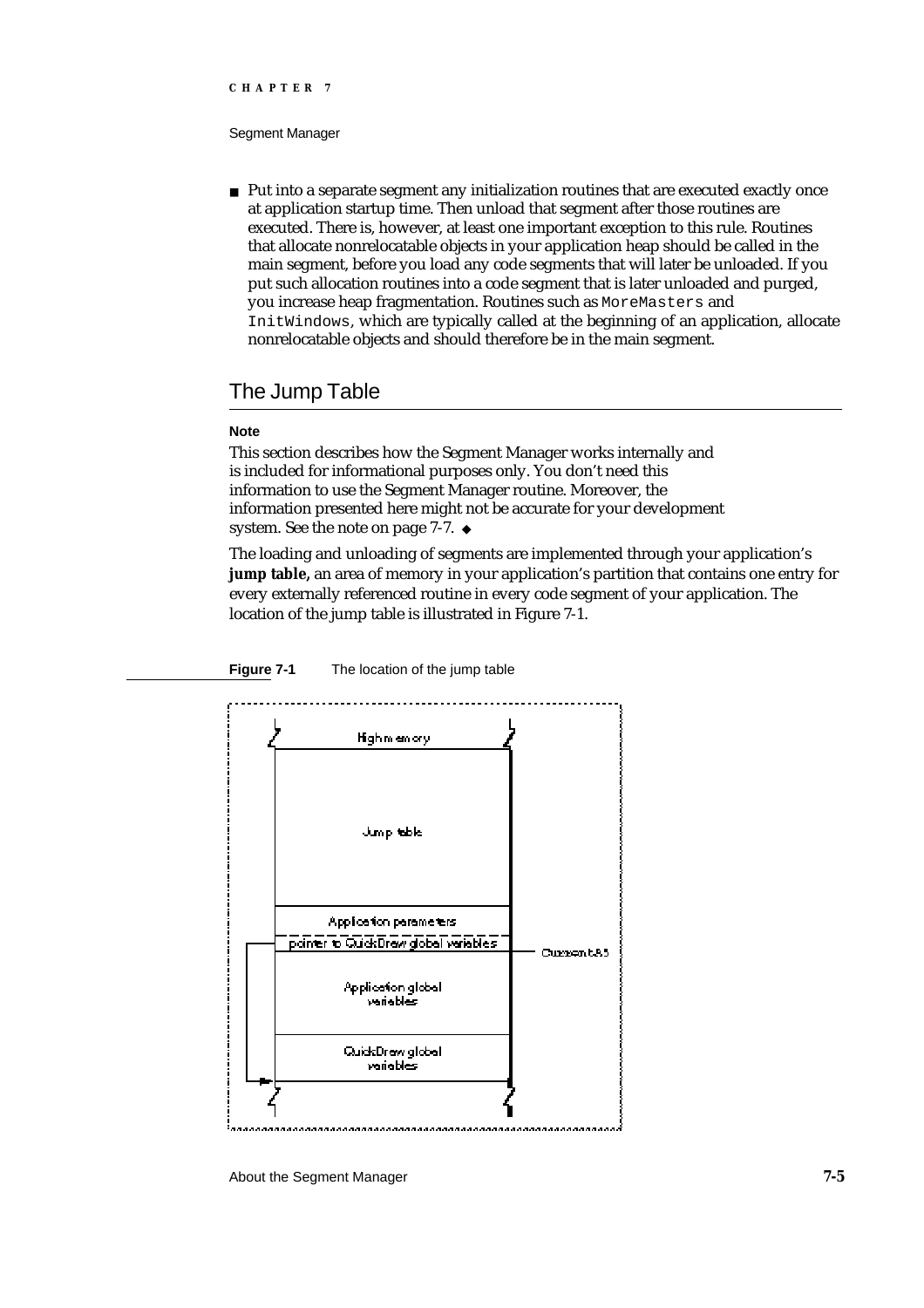#### Segment Manager

 $n$  Put into a separate segment any initialization routines that are executed exactly once at application startup time. Then unload that segment after those routines are executed. There is, however, at least one important exception to this rule. Routines that allocate nonrelocatable objects in your application heap should be called in the main segment, before you load any code segments that will later be unloaded. If you put such allocation routines into a code segment that is later unloaded and purged, you increase heap fragmentation. Routines such as MoreMasters and InitWindows, which are typically called at the beginning of an application, allocate nonrelocatable objects and should therefore be in the main segment.

### The Jump Table

#### **Note**

This section describes how the Segment Manager works internally and is included for informational purposes only. You don't need this information to use the Segment Manager routine. Moreover, the information presented here might not be accurate for your development system. See the note on page 7-7. u

The loading and unloading of segments are implemented through your application's **jump table,** an area of memory in your application's partition that contains one entry for every externally referenced routine in every code segment of your application. The location of the jump table is illustrated in Figure 7-1.



**Figure 7-1** The location of the jump table

About the Segment Manager **7-5**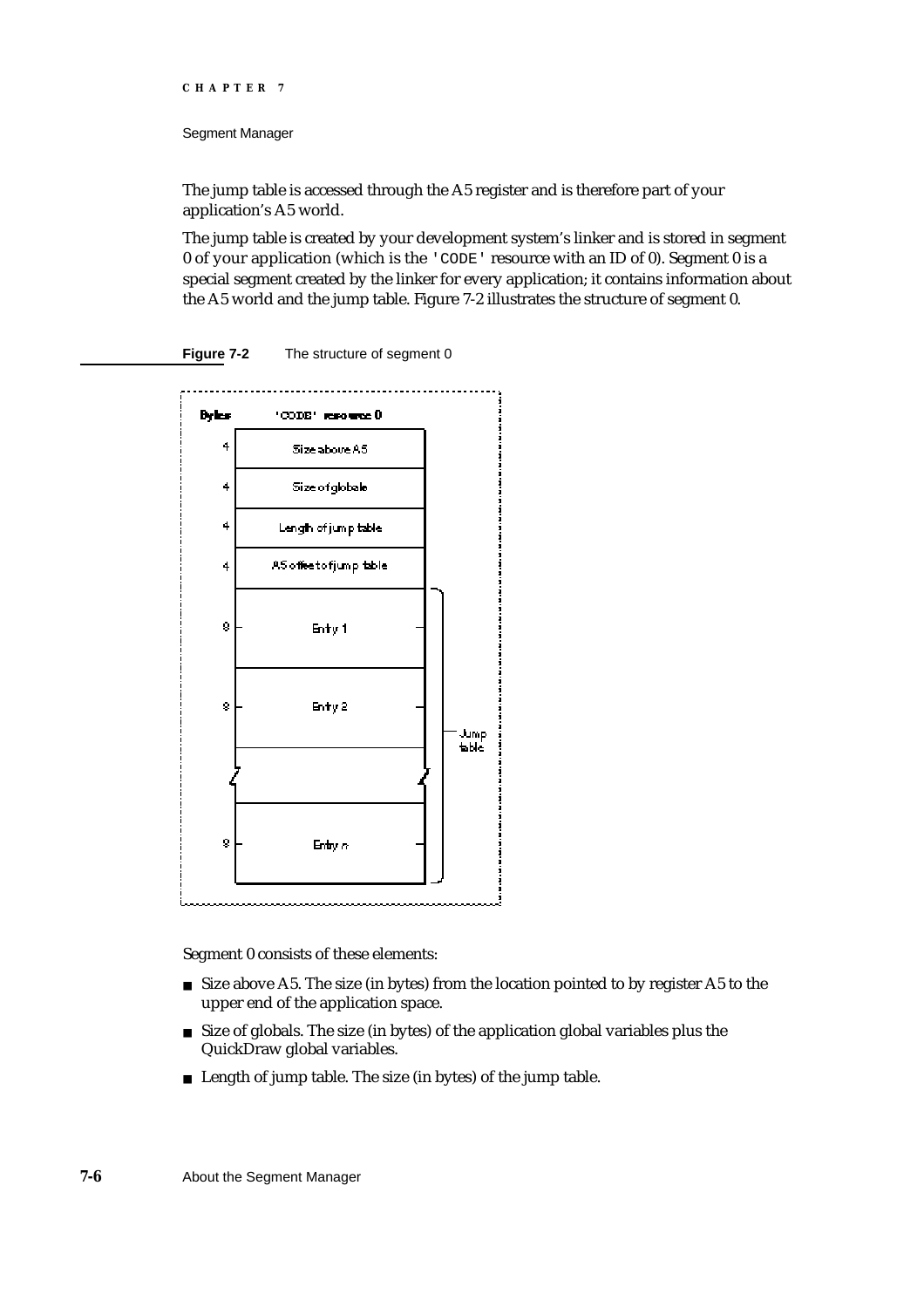Segment Manager

The jump table is accessed through the A5 register and is therefore part of your application's A5 world.

The jump table is created by your development system's linker and is stored in segment 0 of your application (which is the 'CODE' resource with an ID of 0). Segment 0 is a special segment created by the linker for every application; it contains information about the A5 world and the jump table. Figure 7-2 illustrates the structure of segment 0.





Segment 0 consists of these elements:

- $n$  Size above A5. The size (in bytes) from the location pointed to by register A5 to the upper end of the application space.
- n Size of globals. The size (in bytes) of the application global variables plus the QuickDraw global variables.
- n Length of jump table. The size (in bytes) of the jump table.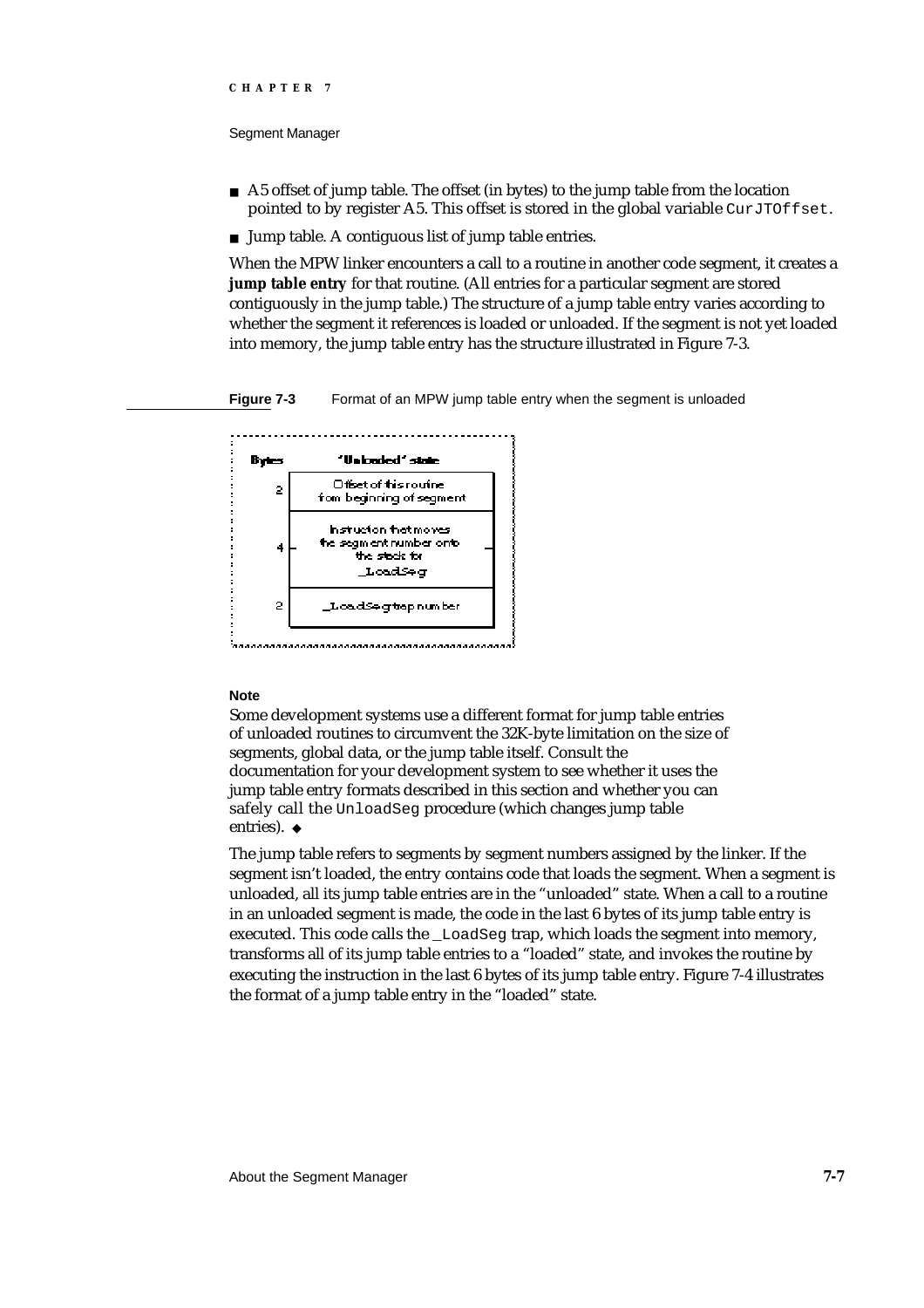#### Segment Manager

- n A5 offset of jump table. The offset (in bytes) to the jump table from the location pointed to by register A5. This offset is stored in the global variable CurJTOffset.
- n Jump table. A contiguous list of jump table entries.

When the MPW linker encounters a call to a routine in another code segment, it creates a **jump table entry** for that routine. (All entries for a particular segment are stored contiguously in the jump table.) The structure of a jump table entry varies according to whether the segment it references is loaded or unloaded. If the segment is not yet loaded into memory, the jump table entry has the structure illustrated in Figure 7-3.

**Figure 7-3** Format of an MPW jump table entry when the segment is unloaded



#### **Note**

Some development systems use a different format for jump table entries of unloaded routines to circumvent the 32K-byte limitation on the size of segments, global data, or the jump table itself. Consult the documentation for your development system to see whether it uses the jump table entry formats described in this section and whether you can safely call the UnloadSeg procedure (which changes jump table entries). u

The jump table refers to segments by segment numbers assigned by the linker. If the segment isn't loaded, the entry contains code that loads the segment. When a segment is unloaded, all its jump table entries are in the "unloaded" state. When a call to a routine in an unloaded segment is made, the code in the last 6 bytes of its jump table entry is executed. This code calls the \_LoadSeg trap, which loads the segment into memory, transforms all of its jump table entries to a "loaded" state, and invokes the routine by executing the instruction in the last 6 bytes of its jump table entry. Figure 7-4 illustrates the format of a jump table entry in the "loaded" state.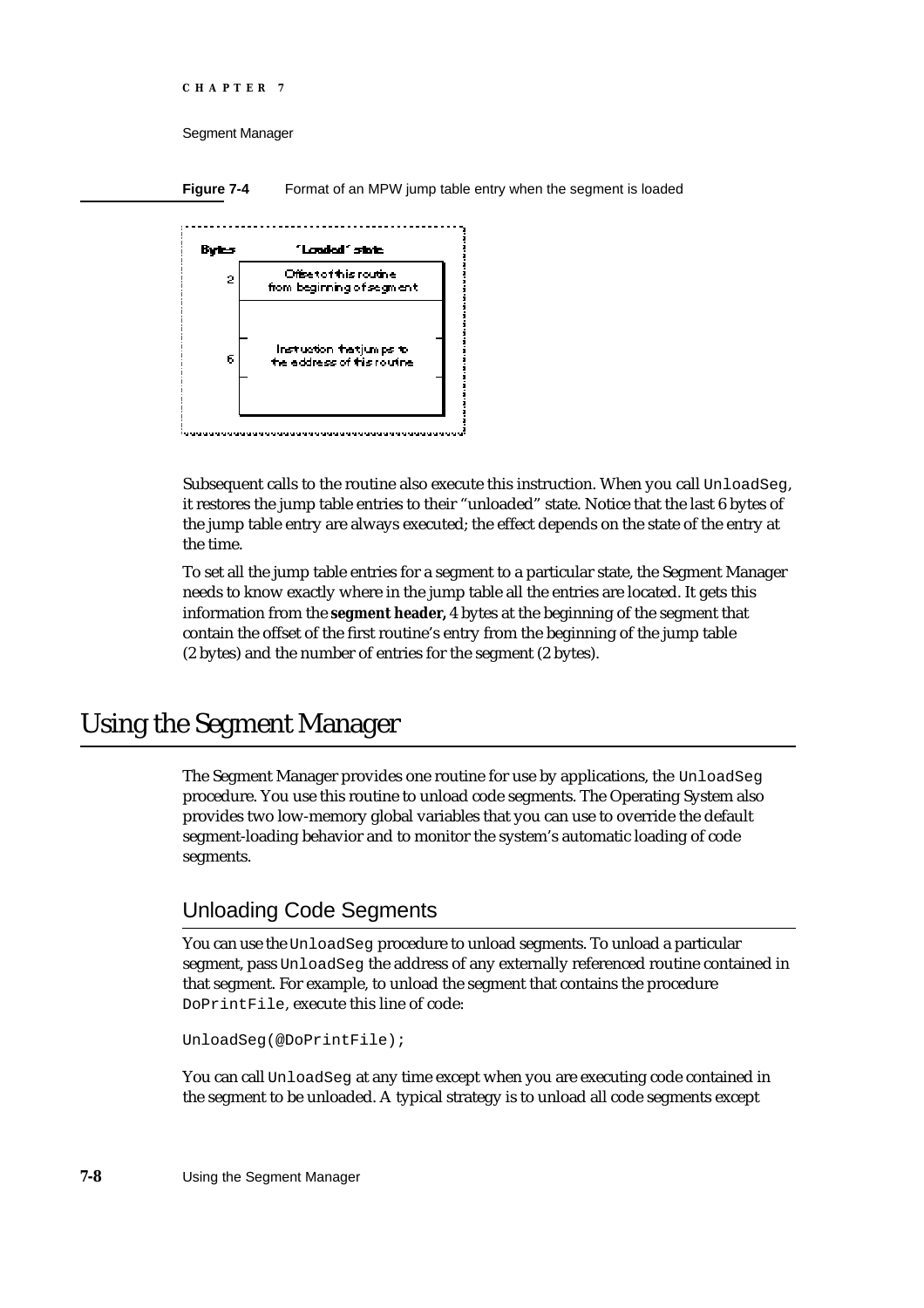```
CHAPTER 7
```
Segment Manager

**Figure 7-4** Format of an MPW jump table entry when the segment is loaded



Subsequent calls to the routine also execute this instruction. When you call UnloadSeg, it restores the jump table entries to their "unloaded" state. Notice that the last 6 bytes of the jump table entry are always executed; the effect depends on the state of the entry at the time.

To set all the jump table entries for a segment to a particular state, the Segment Manager needs to know exactly where in the jump table all the entries are located. It gets this information from the **segment header,** 4 bytes at the beginning of the segment that contain the offset of the first routine's entry from the beginning of the jump table (2 bytes) and the number of entries for the segment (2 bytes).

# Using the Segment Manager

The Segment Manager provides one routine for use by applications, the UnloadSeg procedure. You use this routine to unload code segments. The Operating System also provides two low-memory global variables that you can use to override the default segment-loading behavior and to monitor the system's automatic loading of code segments.

# Unloading Code Segments

You can use the UnloadSeg procedure to unload segments. To unload a particular segment, pass UnloadSeg the address of any externally referenced routine contained in that segment. For example, to unload the segment that contains the procedure DoPrintFile, execute this line of code:

```
UnloadSeg(@DoPrintFile);
```
You can call UnloadSeg at any time except when you are executing code contained in the segment to be unloaded. A typical strategy is to unload all code segments except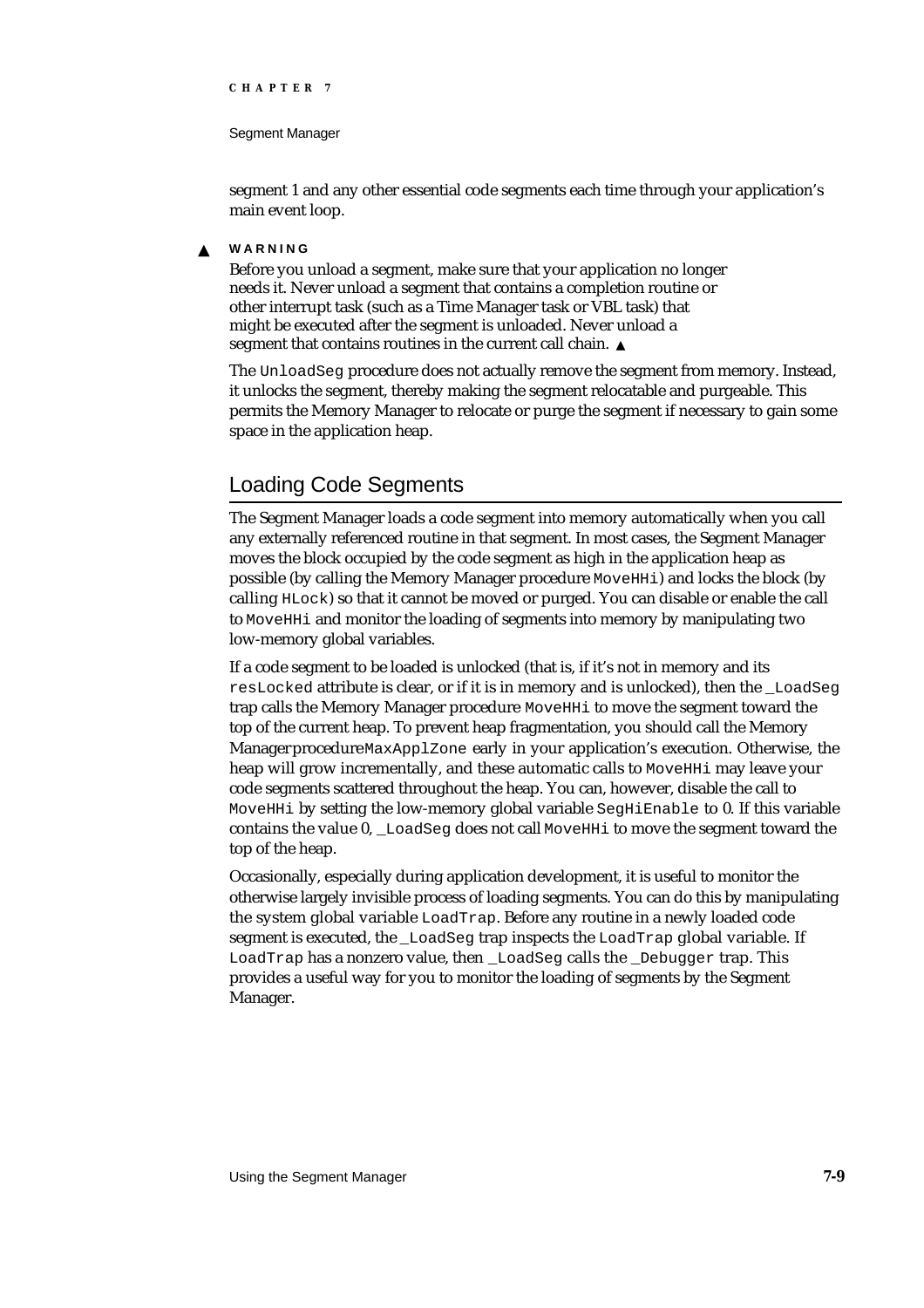#### Segment Manager

segment 1 and any other essential code segments each time through your application's main event loop.

#### **WARNING** s

Before you unload a segment, make sure that your application no longer needs it. Never unload a segment that contains a completion routine or other interrupt task (such as a Time Manager task or VBL task) that might be executed after the segment is unloaded. Never unload a segment that contains routines in the current call chain. s

The UnloadSeg procedure does not actually remove the segment from memory. Instead, it unlocks the segment, thereby making the segment relocatable and purgeable. This permits the Memory Manager to relocate or purge the segment if necessary to gain some space in the application heap.

# Loading Code Segments

The Segment Manager loads a code segment into memory automatically when you call any externally referenced routine in that segment. In most cases, the Segment Manager moves the block occupied by the code segment as high in the application heap as possible (by calling the Memory Manager procedure MoveHHi) and locks the block (by calling HLock) so that it cannot be moved or purged. You can disable or enable the call to MoveHHi and monitor the loading of segments into memory by manipulating two low-memory global variables.

If a code segment to be loaded is unlocked (that is, if it's not in memory and its resLocked attribute is clear, or if it is in memory and is unlocked), then the \_LoadSeg trap calls the Memory Manager procedure MoveHHi to move the segment toward the top of the current heap. To prevent heap fragmentation, you should call the Memory Manager procedure MaxApplZone early in your application's execution. Otherwise, the heap will grow incrementally, and these automatic calls to MoveHHi may leave your code segments scattered throughout the heap. You can, however, disable the call to MoveHHi by setting the low-memory global variable SegHiEnable to 0. If this variable contains the value 0, \_LoadSeg does not call MoveHHi to move the segment toward the top of the heap.

Occasionally, especially during application development, it is useful to monitor the otherwise largely invisible process of loading segments. You can do this by manipulating the system global variable LoadTrap. Before any routine in a newly loaded code segment is executed, the \_LoadSeg trap inspects the LoadTrap global variable. If LoadTrap has a nonzero value, then \_LoadSeg calls the \_Debugger trap. This provides a useful way for you to monitor the loading of segments by the Segment Manager.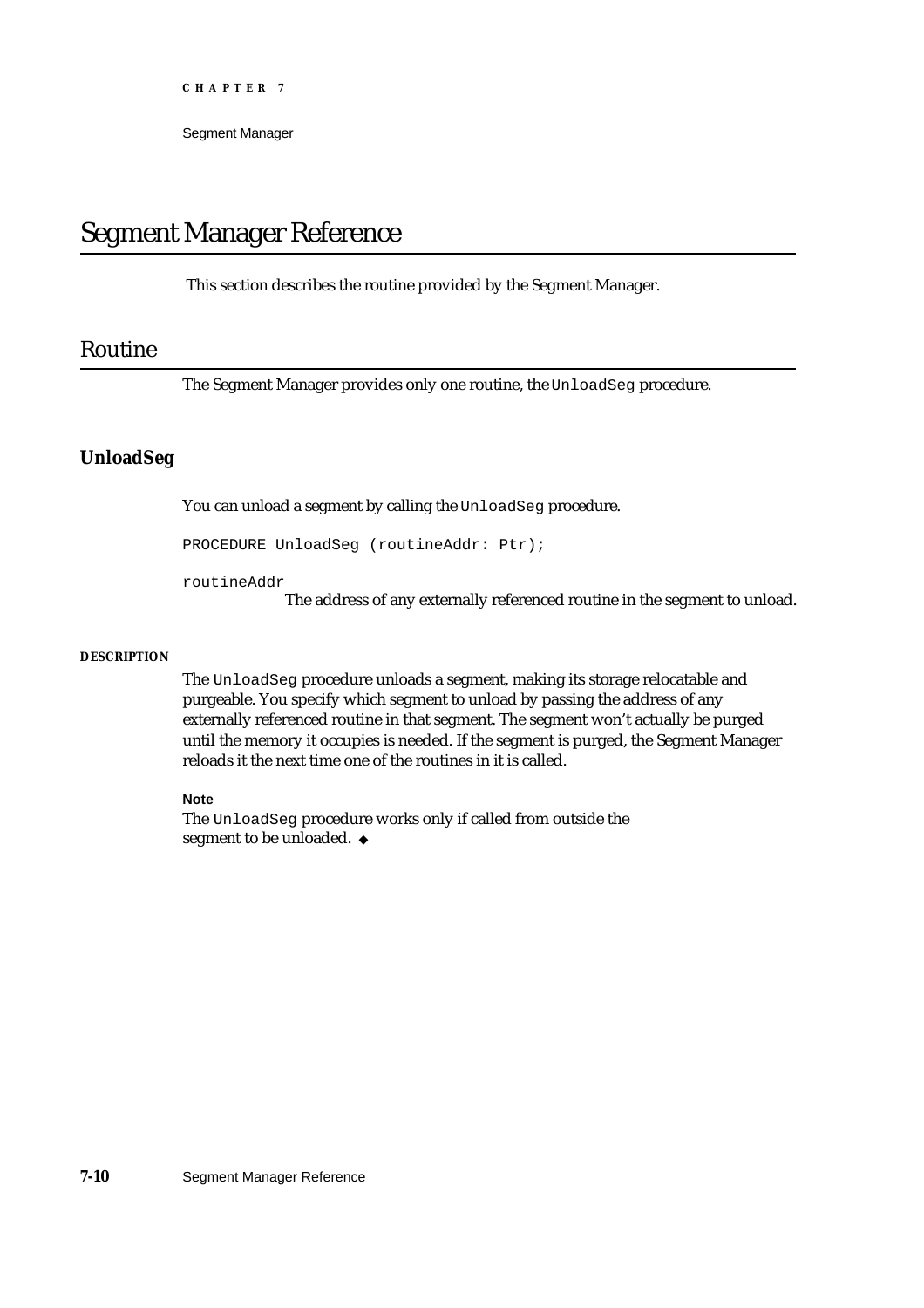Segment Manager

# Segment Manager Reference

This section describes the routine provided by the Segment Manager.

### Routine

The Segment Manager provides only one routine, the UnloadSeg procedure.

#### **UnloadSeg**

You can unload a segment by calling the UnloadSeg procedure.

PROCEDURE UnloadSeg (routineAddr: Ptr);

routineAddr

The address of any externally referenced routine in the segment to unload.

#### **DESCRIPTION**

The UnloadSeg procedure unloads a segment, making its storage relocatable and purgeable. You specify which segment to unload by passing the address of any externally referenced routine in that segment. The segment won't actually be purged until the memory it occupies is needed. If the segment is purged, the Segment Manager reloads it the next time one of the routines in it is called.

#### **Note**

The UnloadSeg procedure works only if called from outside the segment to be unloaded. u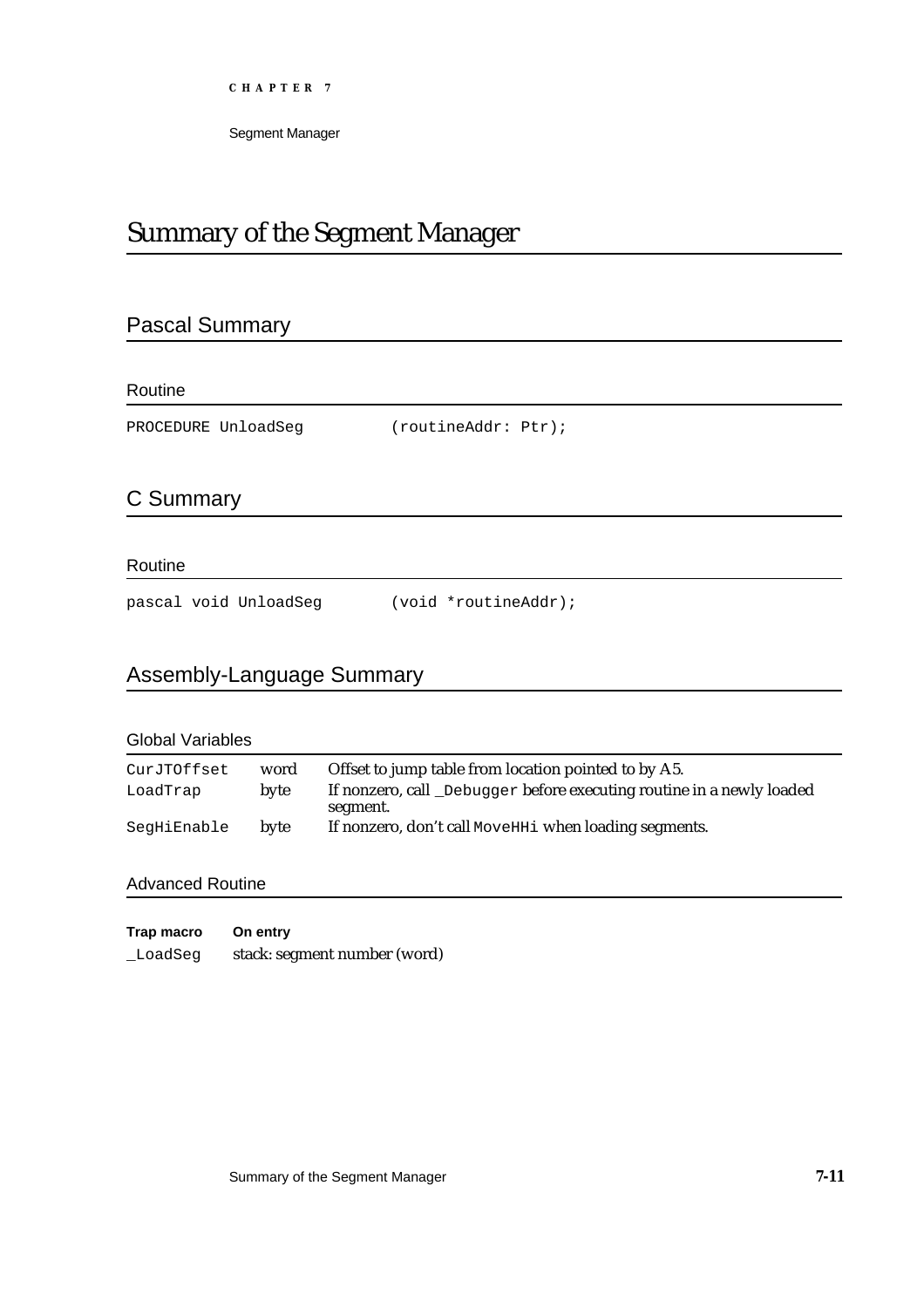Segment Manager

# Summary of the Segment Manager

# Pascal Summary

Routine

PROCEDURE UnloadSeg (routineAddr: Ptr);

# C Summary

#### Routine

pascal void UnloadSeg (void \*routineAddr);

# Assembly-Language Summary

| <b>Global Variables</b> |      |                                                                                   |  |
|-------------------------|------|-----------------------------------------------------------------------------------|--|
| CurJTOffset             | word | Offset to jump table from location pointed to by A5.                              |  |
| LoadTrap                | byte | If nonzero, call _Debugger before executing routine in a newly loaded<br>segment. |  |
| SegHiEnable             | byte | If nonzero, don't call MoveHHi when loading segments.                             |  |

### Advanced Routine

| Trap macro | On entry                     |
|------------|------------------------------|
| LoadSeq    | stack: segment number (word) |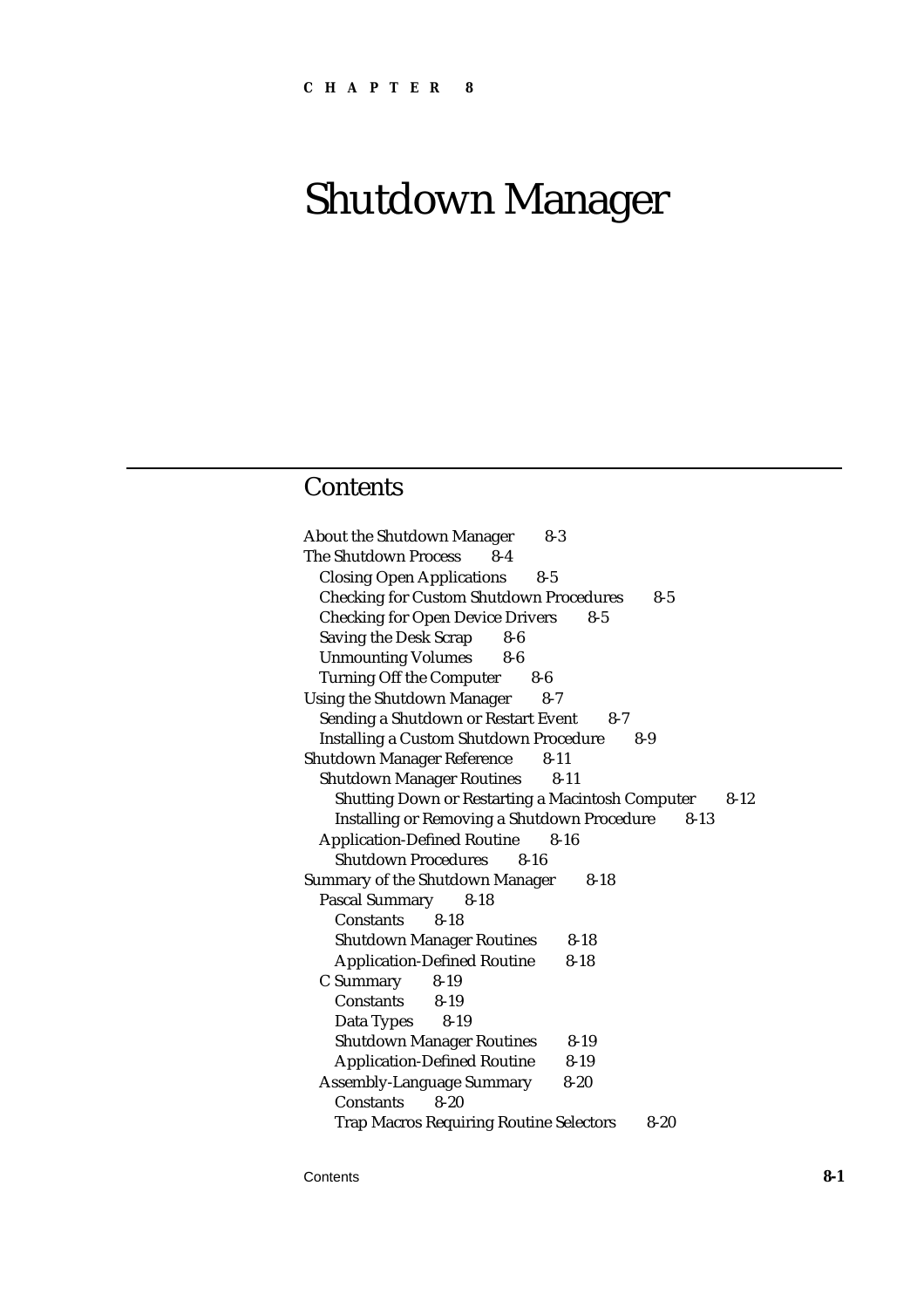# Shutdown Manager

# **Contents**

About the Shutdown Manager 8-3 The Shutdown Process 8-4 Closing Open Applications 8-5 Checking for Custom Shutdown Procedures 8-5 Checking for Open Device Drivers 8-5 Saving the Desk Scrap 8-6 Unmounting Volumes 8-6 Turning Off the Computer 8-6 Using the Shutdown Manager 8-7 Sending a Shutdown or Restart Event 8-7 Installing a Custom Shutdown Procedure 8-9 Shutdown Manager Reference 8-11 Shutdown Manager Routines 8-11 Shutting Down or Restarting a Macintosh Computer 8-12 Installing or Removing a Shutdown Procedure 8-13 Application-Defined Routine 8-16 Shutdown Procedures 8-16 Summary of the Shutdown Manager 8-18 Pascal Summary 8-18 Constants 8-18 Shutdown Manager Routines 8-18 Application-Defined Routine 8-18 C Summary 8-19 Constants 8-19 Data Types 8-19 Shutdown Manager Routines 8-19 Application-Defined Routine 8-19 Assembly-Language Summary 8-20 Constants 8-20 Trap Macros Requiring Routine Selectors 8-20

Contents **8-1**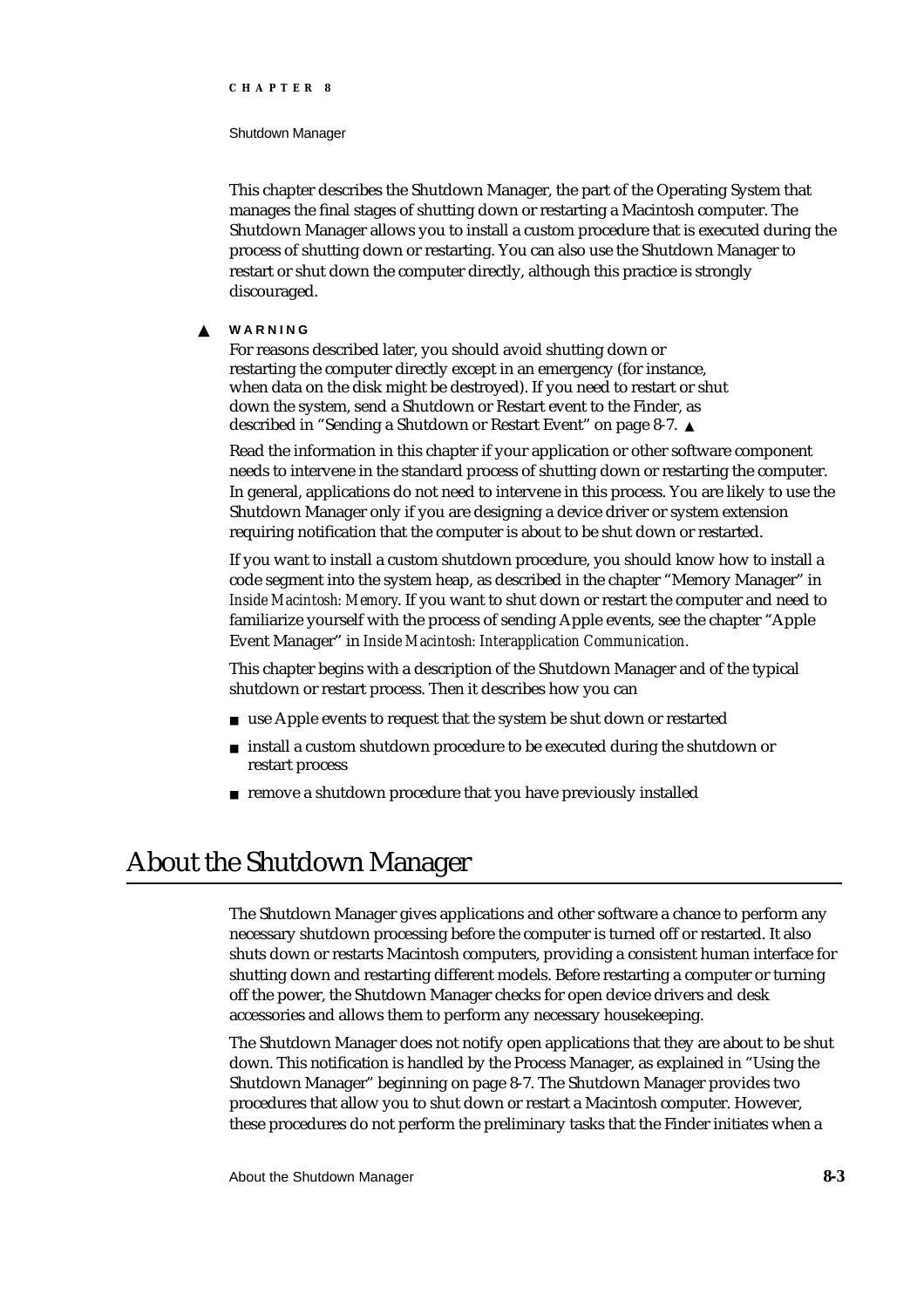#### Shutdown Manager

This chapter describes the Shutdown Manager, the part of the Operating System that manages the final stages of shutting down or restarting a Macintosh computer. The Shutdown Manager allows you to install a custom procedure that is executed during the process of shutting down or restarting. You can also use the Shutdown Manager to restart or shut down the computer directly, although this practice is strongly discouraged.

#### **WARNING** <sub>S</sub>

For reasons described later, you should avoid shutting down or restarting the computer directly except in an emergency (for instance, when data on the disk might be destroyed). If you need to restart or shut down the system, send a Shutdown or Restart event to the Finder, as described in "Sending a Shutdown or Restart Event" on page 8-7.

Read the information in this chapter if your application or other software component needs to intervene in the standard process of shutting down or restarting the computer. In general, applications do not need to intervene in this process. You are likely to use the Shutdown Manager only if you are designing a device driver or system extension requiring notification that the computer is about to be shut down or restarted.

If you want to install a custom shutdown procedure, you should know how to install a code segment into the system heap, as described in the chapter "Memory Manager" in *Inside Macintosh: Memory*. If you want to shut down or restart the computer and need to familiarize yourself with the process of sending Apple events, see the chapter "Apple Event Manager" in *Inside Macintosh: Interapplication Communication.*

This chapter begins with a description of the Shutdown Manager and of the typical shutdown or restart process. Then it describes how you can

- n use Apple events to request that the system be shut down or restarted
- n install a custom shutdown procedure to be executed during the shutdown or restart process
- remove a shutdown procedure that you have previously installed

# About the Shutdown Manager

The Shutdown Manager gives applications and other software a chance to perform any necessary shutdown processing before the computer is turned off or restarted. It also shuts down or restarts Macintosh computers, providing a consistent human interface for shutting down and restarting different models. Before restarting a computer or turning off the power, the Shutdown Manager checks for open device drivers and desk accessories and allows them to perform any necessary housekeeping.

The Shutdown Manager does not notify open applications that they are about to be shut down. This notification is handled by the Process Manager, as explained in "Using the Shutdown Manager" beginning on page 8-7. The Shutdown Manager provides two procedures that allow you to shut down or restart a Macintosh computer. However, these procedures do not perform the preliminary tasks that the Finder initiates when a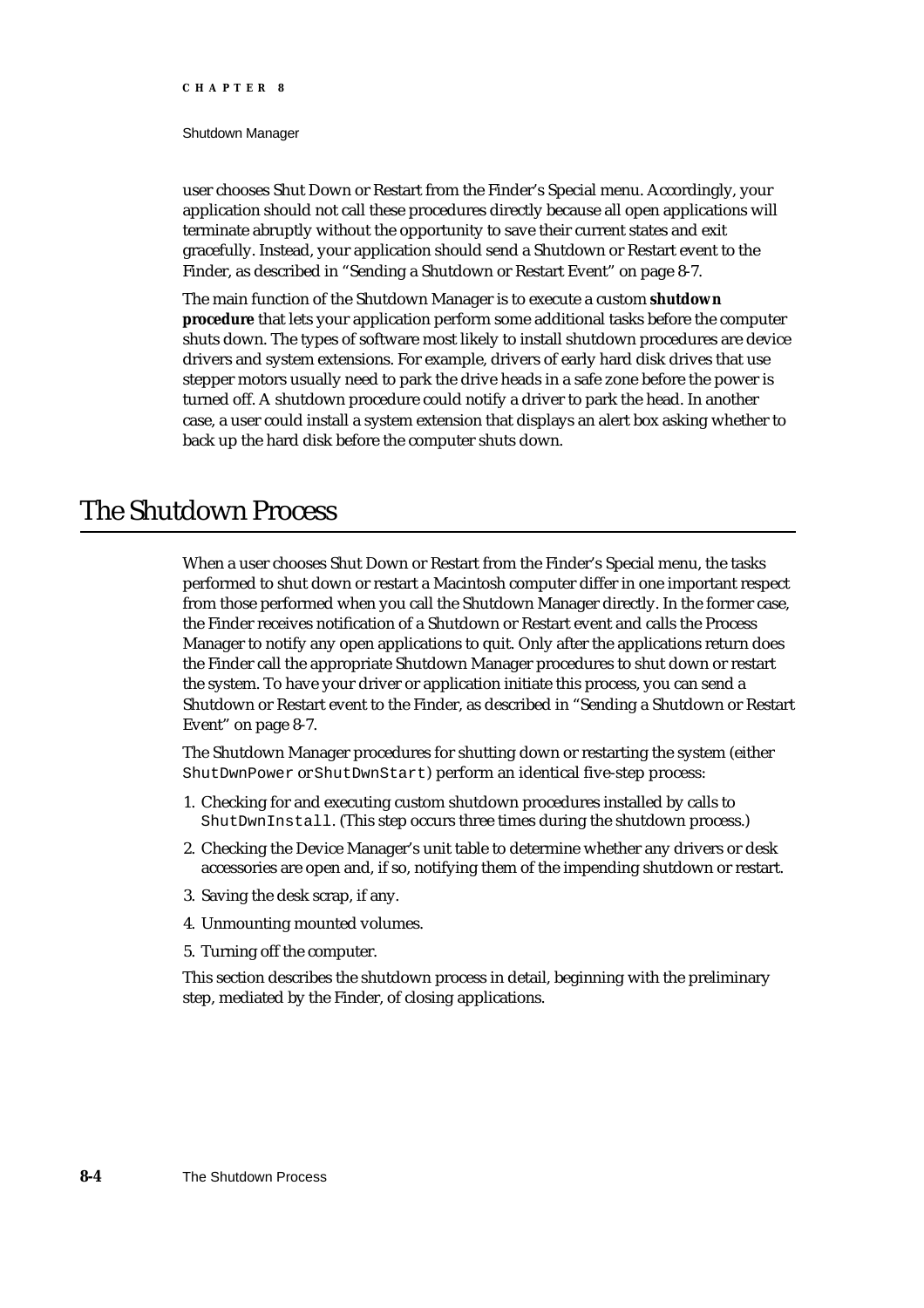#### Shutdown Manager

user chooses Shut Down or Restart from the Finder's Special menu. Accordingly, your application should not call these procedures directly because all open applications will terminate abruptly without the opportunity to save their current states and exit gracefully. Instead, your application should send a Shutdown or Restart event to the Finder, as described in "Sending a Shutdown or Restart Event" on page 8-7.

The main function of the Shutdown Manager is to execute a custom **shutdown procedure** that lets your application perform some additional tasks before the computer shuts down. The types of software most likely to install shutdown procedures are device drivers and system extensions. For example, drivers of early hard disk drives that use stepper motors usually need to park the drive heads in a safe zone before the power is turned off. A shutdown procedure could notify a driver to park the head. In another case, a user could install a system extension that displays an alert box asking whether to back up the hard disk before the computer shuts down.

# The Shutdown Process

When a user chooses Shut Down or Restart from the Finder's Special menu, the tasks performed to shut down or restart a Macintosh computer differ in one important respect from those performed when you call the Shutdown Manager directly. In the former case, the Finder receives notification of a Shutdown or Restart event and calls the Process Manager to notify any open applications to quit. Only after the applications return does the Finder call the appropriate Shutdown Manager procedures to shut down or restart the system. To have your driver or application initiate this process, you can send a Shutdown or Restart event to the Finder, as described in "Sending a Shutdown or Restart Event" on page 8-7.

The Shutdown Manager procedures for shutting down or restarting the system (either ShutDwnPower or ShutDwnStart) perform an identical five-step process:

- 1. Checking for and executing custom shutdown procedures installed by calls to ShutDwnInstall. (This step occurs three times during the shutdown process.)
- 2. Checking the Device Manager's unit table to determine whether any drivers or desk accessories are open and, if so, notifying them of the impending shutdown or restart.
- 3. Saving the desk scrap, if any.
- 4. Unmounting mounted volumes.
- 5. Turning off the computer.

This section describes the shutdown process in detail, beginning with the preliminary step, mediated by the Finder, of closing applications.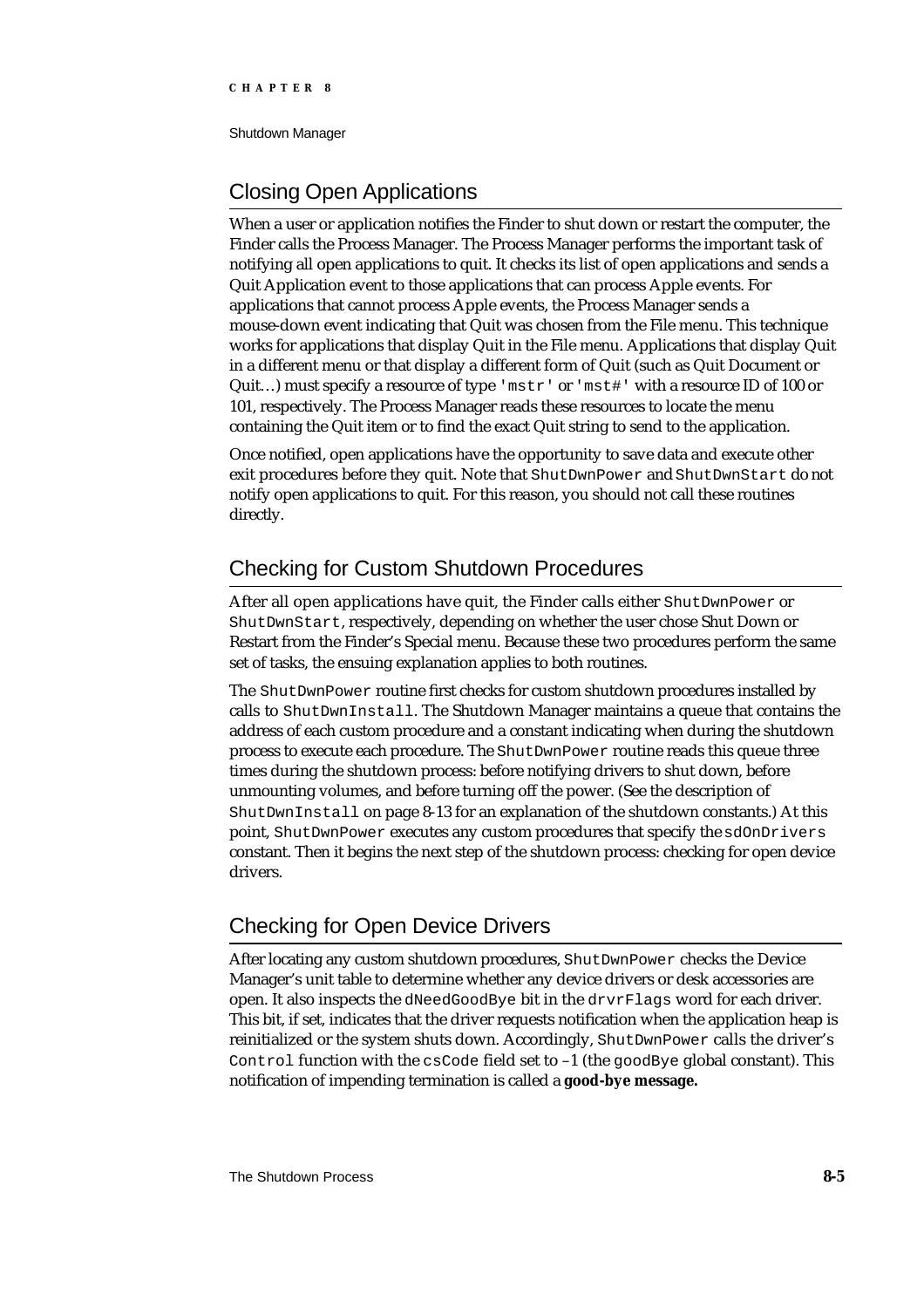Shutdown Manager

# Closing Open Applications

When a user or application notifies the Finder to shut down or restart the computer, the Finder calls the Process Manager. The Process Manager performs the important task of notifying all open applications to quit. It checks its list of open applications and sends a Quit Application event to those applications that can process Apple events. For applications that cannot process Apple events, the Process Manager sends a mouse-down event indicating that Quit was chosen from the File menu. This technique works for applications that display Quit in the File menu. Applications that display Quit in a different menu or that display a different form of Quit (such as Quit Document or Quit...) must specify a resource of type ' $mstr'$  or ' $mst#$ ' with a resource ID of 100 or 101, respectively. The Process Manager reads these resources to locate the menu containing the Quit item or to find the exact Quit string to send to the application.

Once notified, open applications have the opportunity to save data and execute other exit procedures before they quit. Note that ShutDwnPower and ShutDwnStart do not notify open applications to quit. For this reason, you should not call these routines directly.

# Checking for Custom Shutdown Procedures

After all open applications have quit, the Finder calls either ShutDwnPower or ShutDwnStart, respectively, depending on whether the user chose Shut Down or Restart from the Finder's Special menu. Because these two procedures perform the same set of tasks, the ensuing explanation applies to both routines.

The ShutDwnPower routine first checks for custom shutdown procedures installed by calls to ShutDwnInstall. The Shutdown Manager maintains a queue that contains the address of each custom procedure and a constant indicating when during the shutdown process to execute each procedure. The ShutDwnPower routine reads this queue three times during the shutdown process: before notifying drivers to shut down, before unmounting volumes, and before turning off the power. (See the description of ShutDwnInstall on page 8-13 for an explanation of the shutdown constants.) At this point, ShutDwnPower executes any custom procedures that specify the sdOnDrivers constant. Then it begins the next step of the shutdown process: checking for open device drivers.

# Checking for Open Device Drivers

After locating any custom shutdown procedures, ShutDwnPower checks the Device Manager's unit table to determine whether any device drivers or desk accessories are open. It also inspects the dNeedGoodBye bit in the drvrFlags word for each driver. This bit, if set, indicates that the driver requests notification when the application heap is reinitialized or the system shuts down. Accordingly, ShutDwnPower calls the driver's Control function with the csCode field set to –1 (the goodBye global constant). This notification of impending termination is called a **good-bye message.**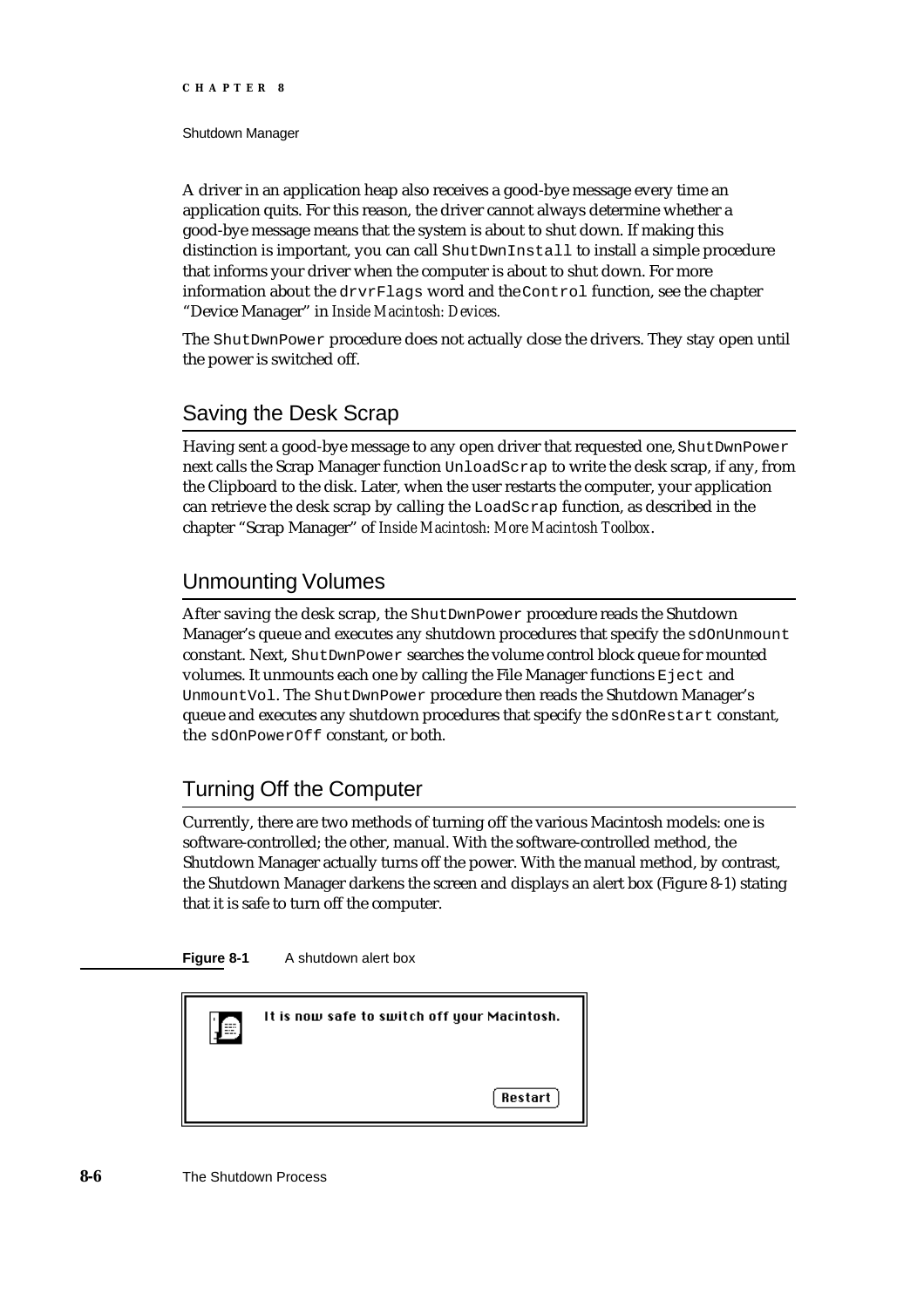Shutdown Manager

A driver in an application heap also receives a good-bye message every time an application quits. For this reason, the driver cannot always determine whether a good-bye message means that the system is about to shut down. If making this distinction is important, you can call ShutDwnInstall to install a simple procedure that informs your driver when the computer is about to shut down. For more information about the drvrFlags word and the Control function, see the chapter "Device Manager" in *Inside Macintosh: Devices.*

The ShutDwnPower procedure does not actually close the drivers. They stay open until the power is switched off.

# Saving the Desk Scrap

Having sent a good-bye message to any open driver that requested one, ShutDwnPower next calls the Scrap Manager function UnloadScrap to write the desk scrap, if any, from the Clipboard to the disk. Later, when the user restarts the computer, your application can retrieve the desk scrap by calling the LoadScrap function, as described in the chapter "Scrap Manager" of *Inside Macintosh: More Macintosh Toolbox*.

# Unmounting Volumes

After saving the desk scrap, the ShutDwnPower procedure reads the Shutdown Manager's queue and executes any shutdown procedures that specify the sdOnUnmount constant. Next, ShutDwnPower searches the volume control block queue for mounted volumes. It unmounts each one by calling the File Manager functions Eject and UnmountVol. The ShutDwnPower procedure then reads the Shutdown Manager's queue and executes any shutdown procedures that specify the sdOnRestart constant, the sdOnPowerOff constant, or both.

# Turning Off the Computer

Currently, there are two methods of turning off the various Macintosh models: one is software-controlled; the other, manual. With the software-controlled method, the Shutdown Manager actually turns off the power. With the manual method, by contrast, the Shutdown Manager darkens the screen and displays an alert box (Figure 8-1) stating that it is safe to turn off the computer.



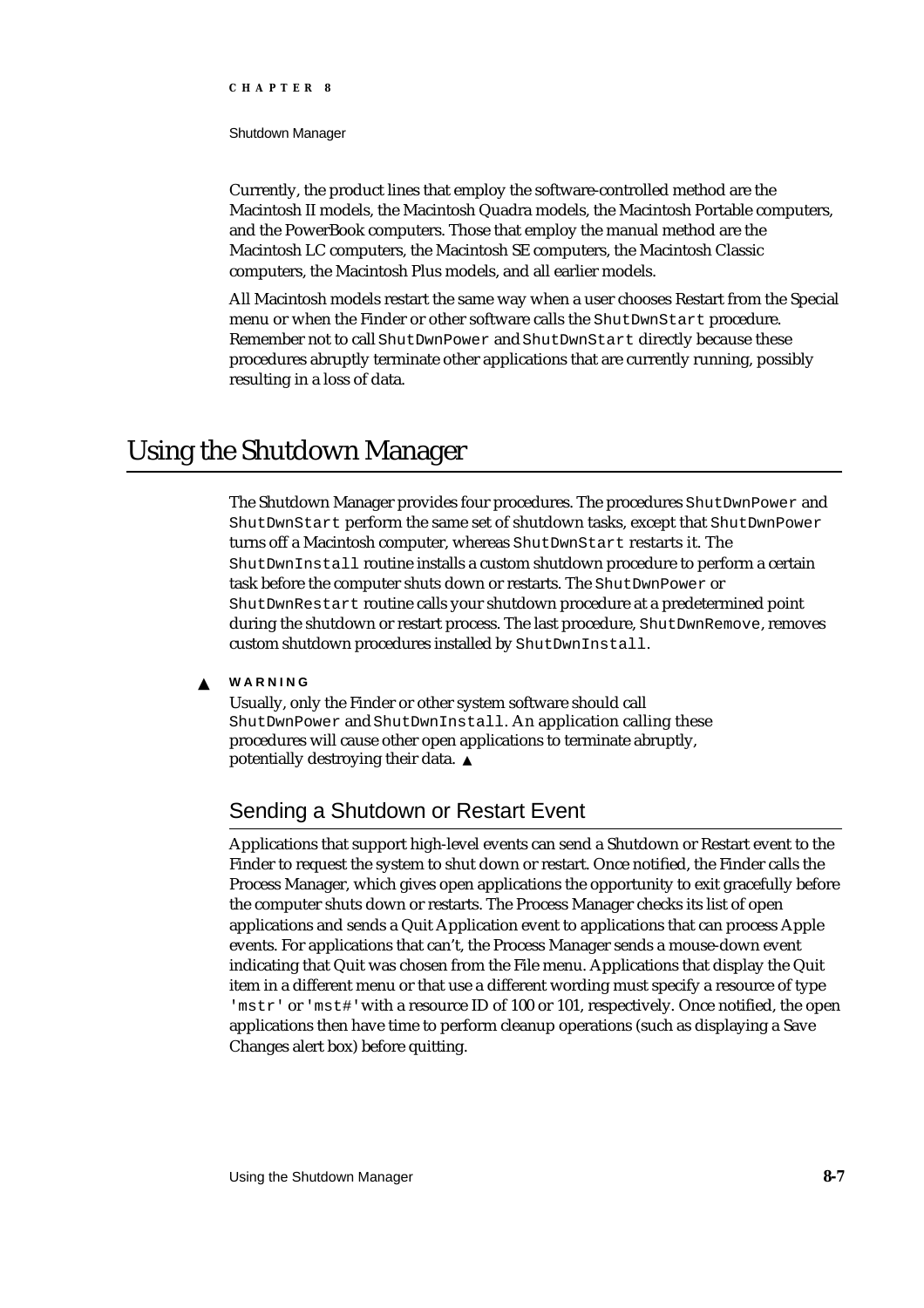#### Shutdown Manager

Currently, the product lines that employ the software-controlled method are the Macintosh II models, the Macintosh Quadra models, the Macintosh Portable computers, and the PowerBook computers. Those that employ the manual method are the Macintosh LC computers, the Macintosh SE computers, the Macintosh Classic computers, the Macintosh Plus models, and all earlier models.

All Macintosh models restart the same way when a user chooses Restart from the Special menu or when the Finder or other software calls the ShutDwnStart procedure. Remember not to call ShutDwnPower and ShutDwnStart directly because these procedures abruptly terminate other applications that are currently running, possibly resulting in a loss of data.

# Using the Shutdown Manager

The Shutdown Manager provides four procedures. The procedures ShutDwnPower and ShutDwnStart perform the same set of shutdown tasks, except that ShutDwnPower turns off a Macintosh computer, whereas ShutDwnStart restarts it. The ShutDwnInstall routine installs a custom shutdown procedure to perform a certain task before the computer shuts down or restarts. The ShutDwnPower or ShutDwnRestart routine calls your shutdown procedure at a predetermined point during the shutdown or restart process. The last procedure, ShutDwnRemove, removes custom shutdown procedures installed by ShutDwnInstall.

#### **WARNING**  $\mathbf{s}$

Usually, only the Finder or other system software should call ShutDwnPower and ShutDwnInstall. An application calling these procedures will cause other open applications to terminate abruptly, potentially destroying their data.

# Sending a Shutdown or Restart Event

Applications that support high-level events can send a Shutdown or Restart event to the Finder to request the system to shut down or restart. Once notified, the Finder calls the Process Manager, which gives open applications the opportunity to exit gracefully before the computer shuts down or restarts. The Process Manager checks its list of open applications and sends a Quit Application event to applications that can process Apple events. For applications that can't, the Process Manager sends a mouse-down event indicating that Quit was chosen from the File menu. Applications that display the Quit item in a different menu or that use a different wording must specify a resource of type 'mstr' or 'mst#' with a resource ID of 100 or 101, respectively. Once notified, the open applications then have time to perform cleanup operations (such as displaying a Save Changes alert box) before quitting.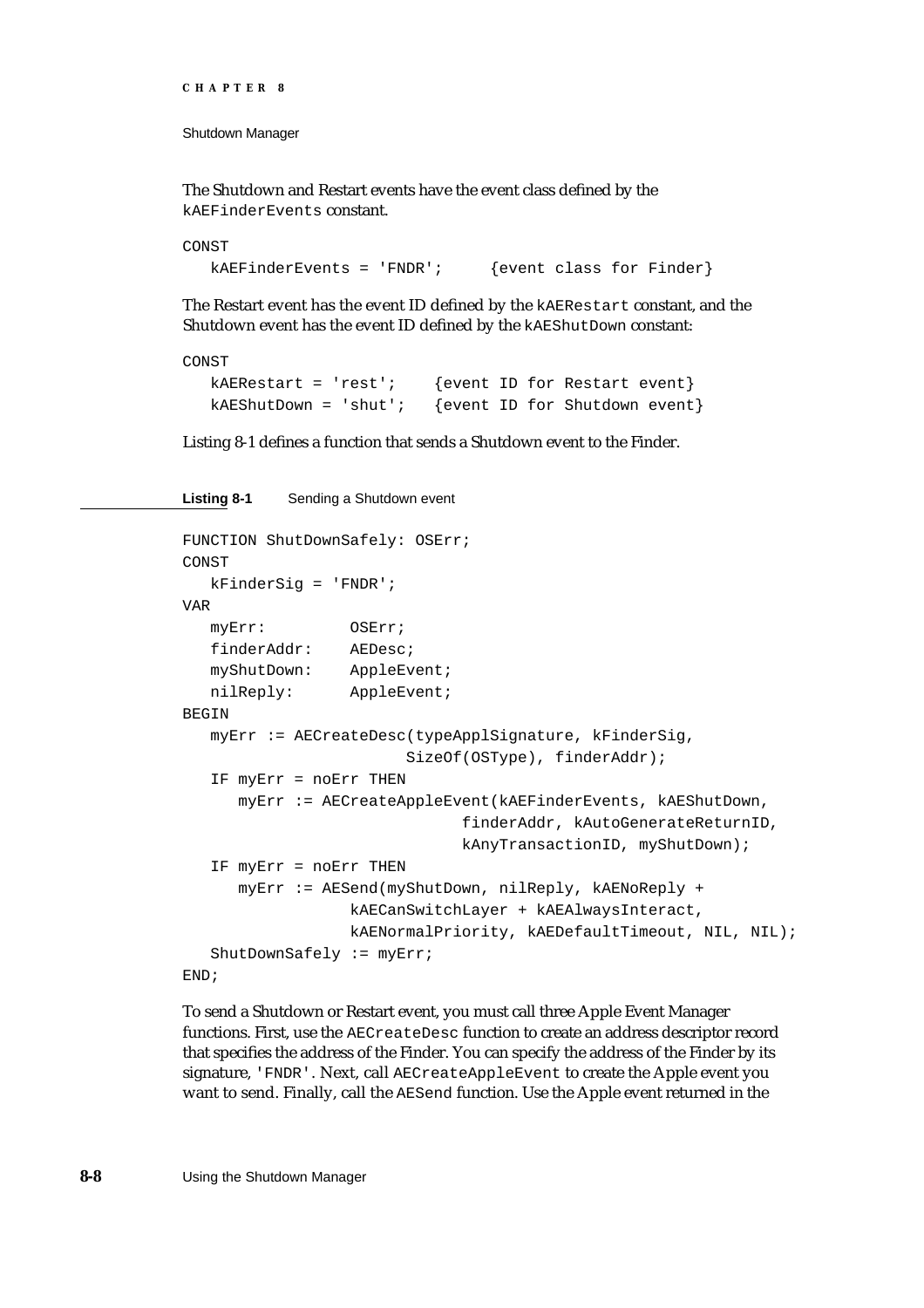The Shutdown and Restart events have the event class defined by the kAEFinderEvents constant.

```
CONST
   kAEFinderEvents = 'FNDR'; \{ (event class for Finder)
```
The Restart event has the event ID defined by the kAERestart constant, and the Shutdown event has the event ID defined by the kAEShutDown constant:

CONST

```
kAERestart = 'rest'; {event ID for Restart event}
kAEShutDown = 'shut'; {event ID for Shutdown event}
```
Listing 8-1 defines a function that sends a Shutdown event to the Finder.

```
Listing 8-1 Sending a Shutdown event
FUNCTION ShutDownSafely: OSErr;
CONST
   kFinderSig = 'FNDR';
VAR
  myErr: OSErr;
   finderAddr: AEDesc;
  myShutDown: AppleEvent;
  nilReply: AppleEvent;
BEGIN
  myErr := AECreateDesc(typeApplSignature, kFinderSig,
                        SizeOf(OSType), finderAddr);
   IF myErr = noErr THEN
      myErr := AECreateAppleEvent(kAEFinderEvents, kAEShutDown,
                              finderAddr, kAutoGenerateReturnID,
                              kAnyTransactionID, myShutDown);
   IF myErr = noErr THEN
      myErr := AESend(myShutDown, nilReply, kAENoReply +
                  kAECanSwitchLayer + kAEAlwaysInteract,
                  kAENormalPriority, kAEDefaultTimeout, NIL, NIL);
   ShutDownSafely := myErr;
END;
```
To send a Shutdown or Restart event, you must call three Apple Event Manager functions. First, use the AECreateDesc function to create an address descriptor record that specifies the address of the Finder. You can specify the address of the Finder by its signature, 'FNDR'. Next, call AECreateAppleEvent to create the Apple event you want to send. Finally, call the AESend function. Use the Apple event returned in the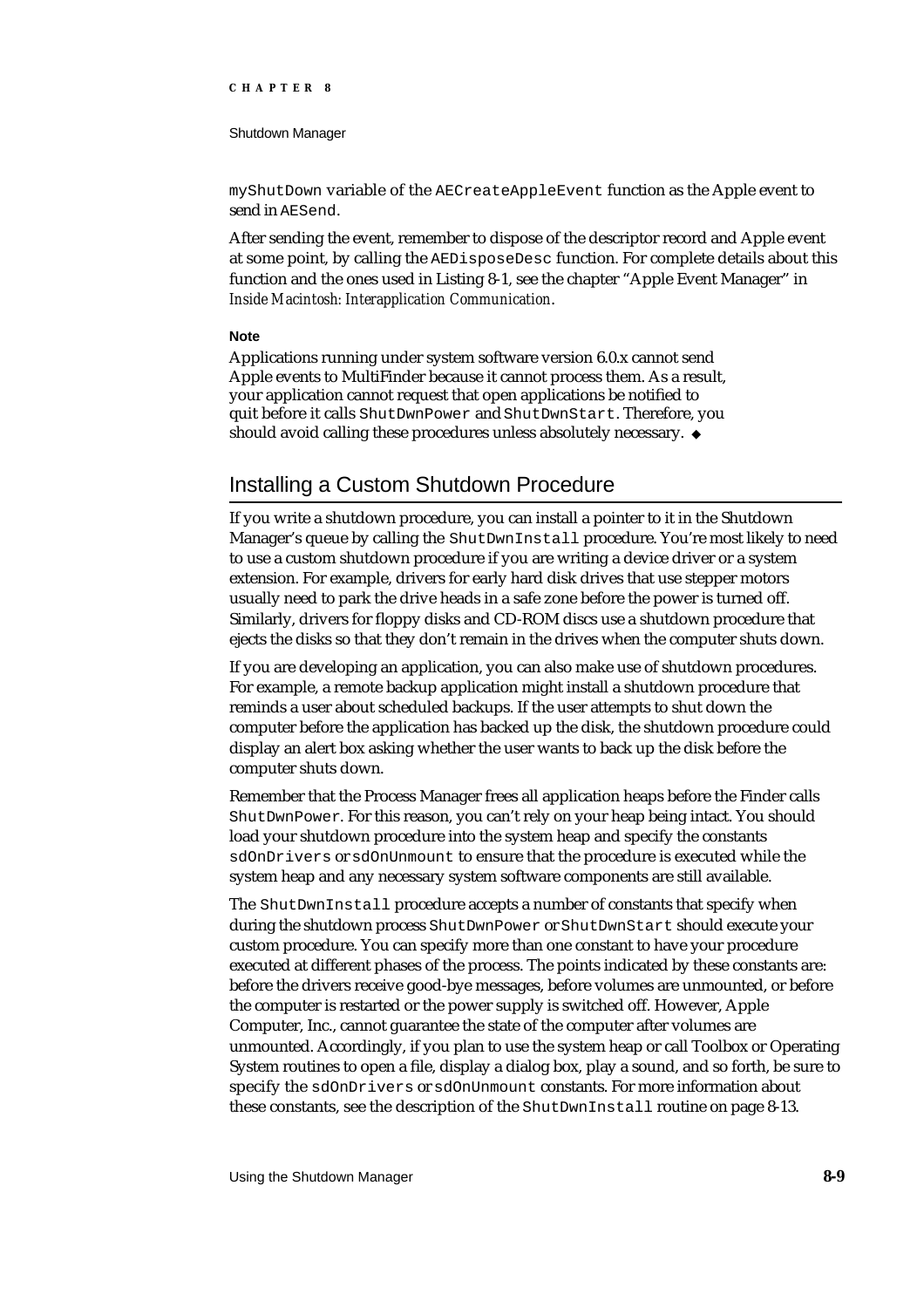#### Shutdown Manager

myShutDown variable of the AECreateAppleEvent function as the Apple event to send in AESend.

After sending the event, remember to dispose of the descriptor record and Apple event at some point, by calling the AEDisposeDesc function. For complete details about this function and the ones used in Listing 8-1, see the chapter "Apple Event Manager" in *Inside Macintosh: Interapplication Communication*.

#### **Note**

Applications running under system software version 6.0.x cannot send Apple events to MultiFinder because it cannot process them. As a result, your application cannot request that open applications be notified to quit before it calls ShutDwnPower and ShutDwnStart. Therefore, you should avoid calling these procedures unless absolutely necessary. u

# Installing a Custom Shutdown Procedure

If you write a shutdown procedure, you can install a pointer to it in the Shutdown Manager's queue by calling the ShutDwnInstall procedure. You're most likely to need to use a custom shutdown procedure if you are writing a device driver or a system extension. For example, drivers for early hard disk drives that use stepper motors usually need to park the drive heads in a safe zone before the power is turned off. Similarly, drivers for floppy disks and CD-ROM discs use a shutdown procedure that ejects the disks so that they don't remain in the drives when the computer shuts down.

If you are developing an application, you can also make use of shutdown procedures. For example, a remote backup application might install a shutdown procedure that reminds a user about scheduled backups. If the user attempts to shut down the computer before the application has backed up the disk, the shutdown procedure could display an alert box asking whether the user wants to back up the disk before the computer shuts down.

Remember that the Process Manager frees all application heaps before the Finder calls ShutDwnPower. For this reason, you can't rely on your heap being intact. You should load your shutdown procedure into the system heap and specify the constants sdOnDrivers or sdOnUnmount to ensure that the procedure is executed while the system heap and any necessary system software components are still available.

The ShutDwnInstall procedure accepts a number of constants that specify when during the shutdown process ShutDwnPower or ShutDwnStart should execute your custom procedure. You can specify more than one constant to have your procedure executed at different phases of the process. The points indicated by these constants are: before the drivers receive good-bye messages, before volumes are unmounted, or before the computer is restarted or the power supply is switched off. However, Apple Computer, Inc., cannot guarantee the state of the computer after volumes are unmounted. Accordingly, if you plan to use the system heap or call Toolbox or Operating System routines to open a file, display a dialog box, play a sound, and so forth, be sure to specify the sdOnDrivers or sdOnUnmount constants. For more information about these constants, see the description of the ShutDwnInstall routine on page 8-13.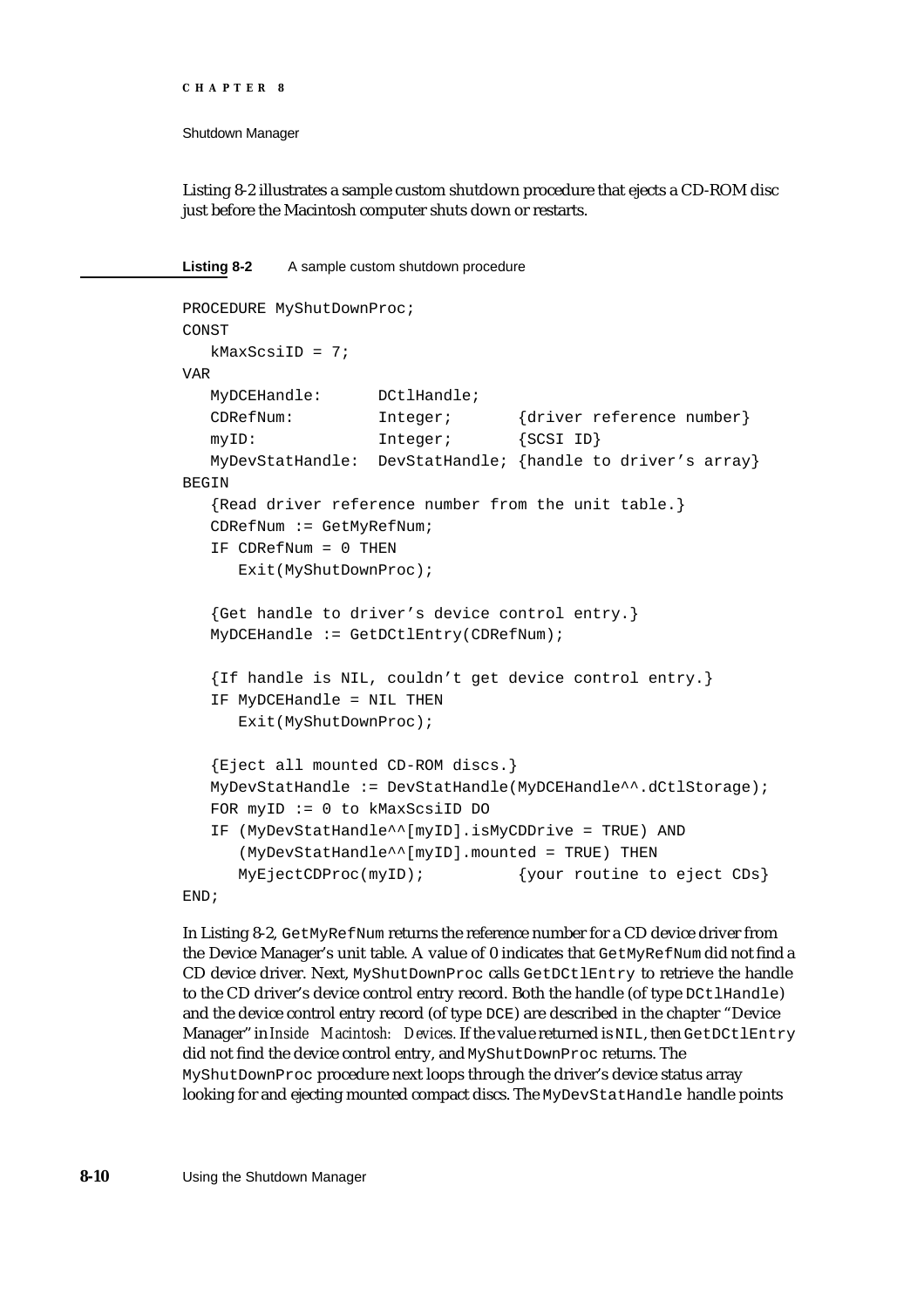Shutdown Manager

Listing 8-2 illustrates a sample custom shutdown procedure that ejects a CD-ROM disc just before the Macintosh computer shuts down or restarts.

**Listing 8-2** A sample custom shutdown procedure

```
PROCEDURE MyShutDownProc;
CONST
  kMaxScsiID = 7;VAR
  MyDCEHandle: DCtlHandle;
  CDRefNum: Integer; {driver reference number}
  myID: Integer; {SCSI ID}
  MyDevStatHandle: DevStatHandle; {handle to driver's array}
BEGIN
   {Read driver reference number from the unit table.}
  CDRefNum := GetMyRefNum;
  IF CDRefNum = 0 THEN 
     Exit(MyShutDownProc);
   {Get handle to driver's device control entry.}
  MyDCEHandle := GetDCtlEntry(CDRefNum);
  {If handle is NIL, couldn't get device control entry.}
  IF MyDCEHandle = NIL THEN 
     Exit(MyShutDownProc);
  {Eject all mounted CD-ROM discs.}
  MyDevStatHandle := DevStatHandle(MyDCEHandle^^.dCtlStorage);
  FOR myID := 0 to kMaxScsiID DO
  IF (MyDevStatHandle^^[myID].isMyCDDrive = TRUE) AND
     (MyDevStatHandle^^[myID].mounted = TRUE) THEN
     MyEjectCDProc(myID); {your routine to eject CDS}END;
```
In Listing 8-2, GetMyRefNum returns the reference number for a CD device driver from the Device Manager's unit table. A value of 0 indicates that GetMyRefNum did not find a CD device driver. Next, MyShutDownProc calls GetDCtlEntry to retrieve the handle to the CD driver's device control entry record. Both the handle (of type DCtlHandle) and the device control entry record (of type DCE) are described in the chapter "Device Manager" in *Inside Macintosh: Devices.* If the value returned is NIL, then GetDCtlEntry did not find the device control entry, and MyShutDownProc returns. The MyShutDownProc procedure next loops through the driver's device status array looking for and ejecting mounted compact discs. The MyDevStatHandle handle points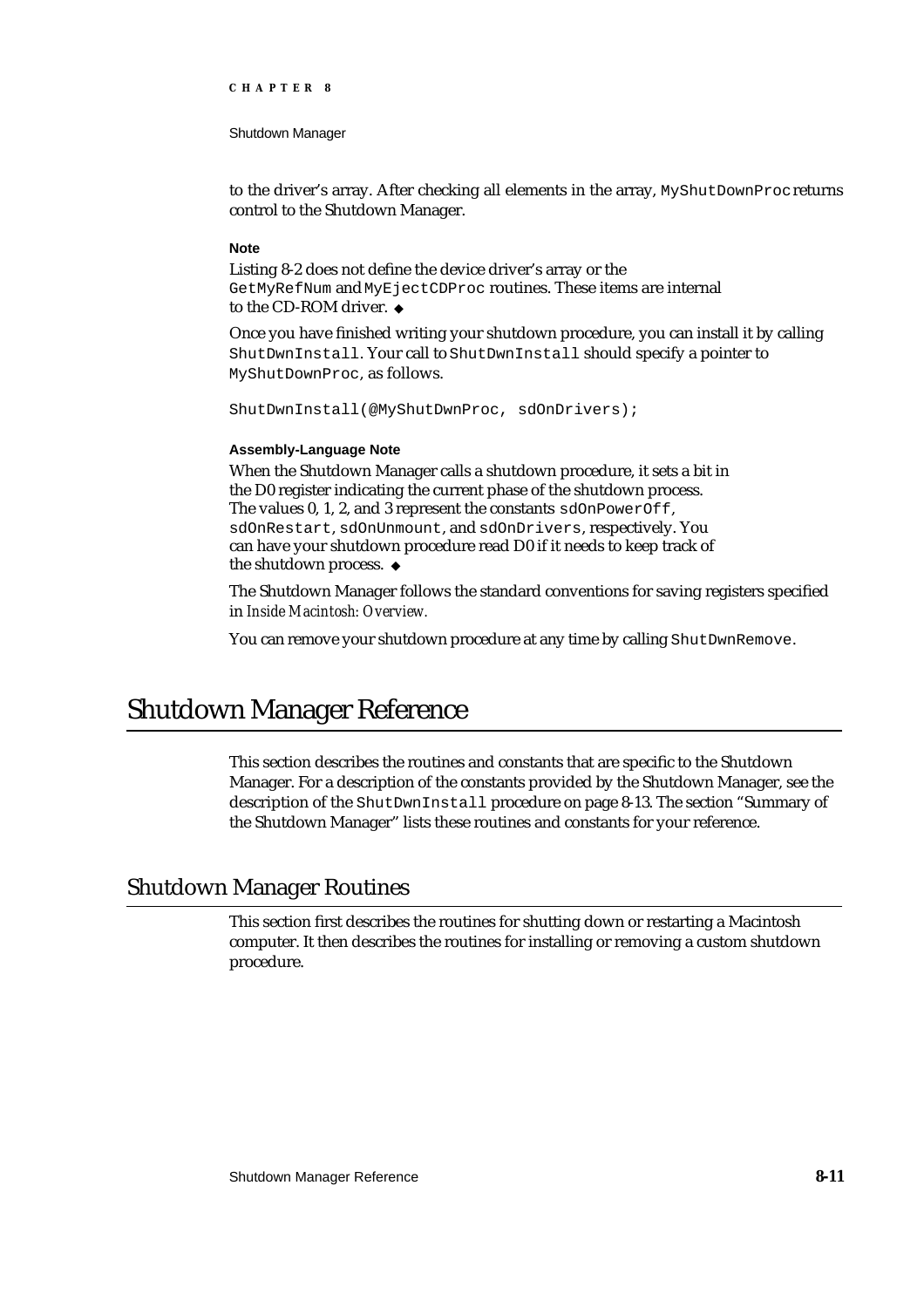Shutdown Manager

to the driver's array. After checking all elements in the array, MyShutDownProc returns control to the Shutdown Manager.

#### **Note**

Listing 8-2 does not define the device driver's array or the GetMyRefNum and MyEjectCDProc routines. These items are internal to the CD-ROM driver.

Once you have finished writing your shutdown procedure, you can install it by calling ShutDwnInstall. Your call to ShutDwnInstall should specify a pointer to MyShutDownProc, as follows.

ShutDwnInstall(@MyShutDwnProc, sdOnDrivers);

#### **Assembly-Language Note**

When the Shutdown Manager calls a shutdown procedure, it sets a bit in the D0 register indicating the current phase of the shutdown process. The values 0, 1, 2, and 3 represent the constants sdOnPowerOff, sdOnRestart, sdOnUnmount, and sdOnDrivers, respectively. You can have your shutdown procedure read D0 if it needs to keep track of the shutdown process.

The Shutdown Manager follows the standard conventions for saving registers specified in *Inside Macintosh: Overview.*

You can remove your shutdown procedure at any time by calling ShutDwnRemove.

# Shutdown Manager Reference

This section describes the routines and constants that are specific to the Shutdown Manager. For a description of the constants provided by the Shutdown Manager, see the description of the ShutDwnInstall procedure on page 8-13. The section "Summary of the Shutdown Manager" lists these routines and constants for your reference.

# Shutdown Manager Routines

This section first describes the routines for shutting down or restarting a Macintosh computer. It then describes the routines for installing or removing a custom shutdown procedure.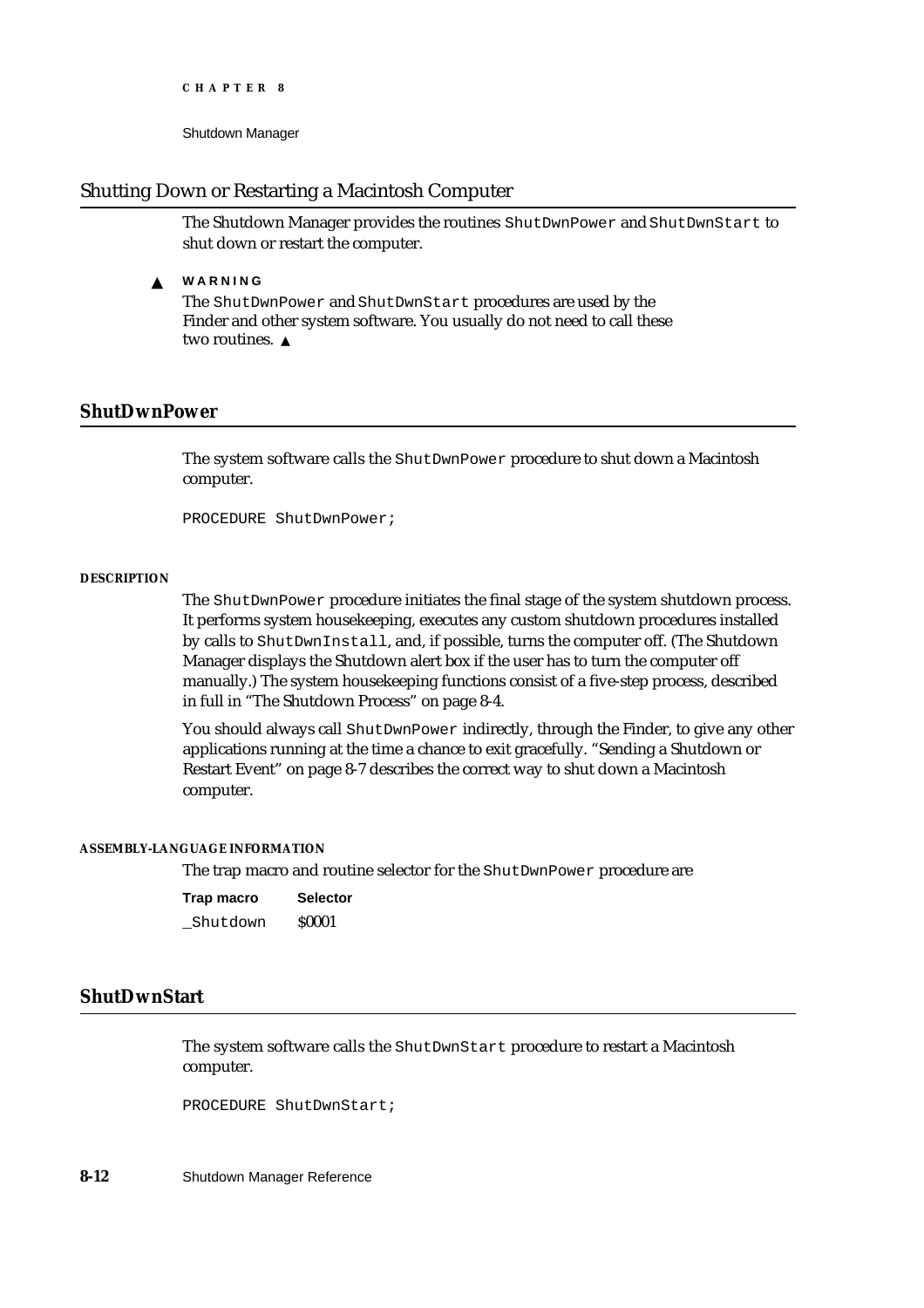Shutdown Manager

#### Shutting Down or Restarting a Macintosh Computer

The Shutdown Manager provides the routines ShutDwnPower and ShutDwnStart to shut down or restart the computer.

#### **WARNING**  $\mathbf{s}$

The ShutDwnPower and ShutDwnStart procedures are used by the Finder and other system software. You usually do not need to call these two routines. s

## **ShutDwnPower**

The system software calls the ShutDwnPower procedure to shut down a Macintosh computer.

PROCEDURE ShutDwnPower;

#### **DESCRIPTION**

The ShutDwnPower procedure initiates the final stage of the system shutdown process. It performs system housekeeping, executes any custom shutdown procedures installed by calls to ShutDwnInstall, and, if possible, turns the computer off. (The Shutdown Manager displays the Shutdown alert box if the user has to turn the computer off manually.) The system housekeeping functions consist of a five-step process, described in full in "The Shutdown Process" on page 8-4.

You should always call ShutDwnPower indirectly, through the Finder, to give any other applications running at the time a chance to exit gracefully. "Sending a Shutdown or Restart Event" on page 8-7 describes the correct way to shut down a Macintosh computer.

#### **ASSEMBLY-LANGUAGE INFORMATION**

The trap macro and routine selector for the ShutDwnPower procedure are

| Trap macro | <b>Selector</b> |  |  |
|------------|-----------------|--|--|
| Shutdown   | <b>S0001</b>    |  |  |

#### **ShutDwnStart**

The system software calls the ShutDwnStart procedure to restart a Macintosh computer.

PROCEDURE ShutDwnStart;

**8-12** Shutdown Manager Reference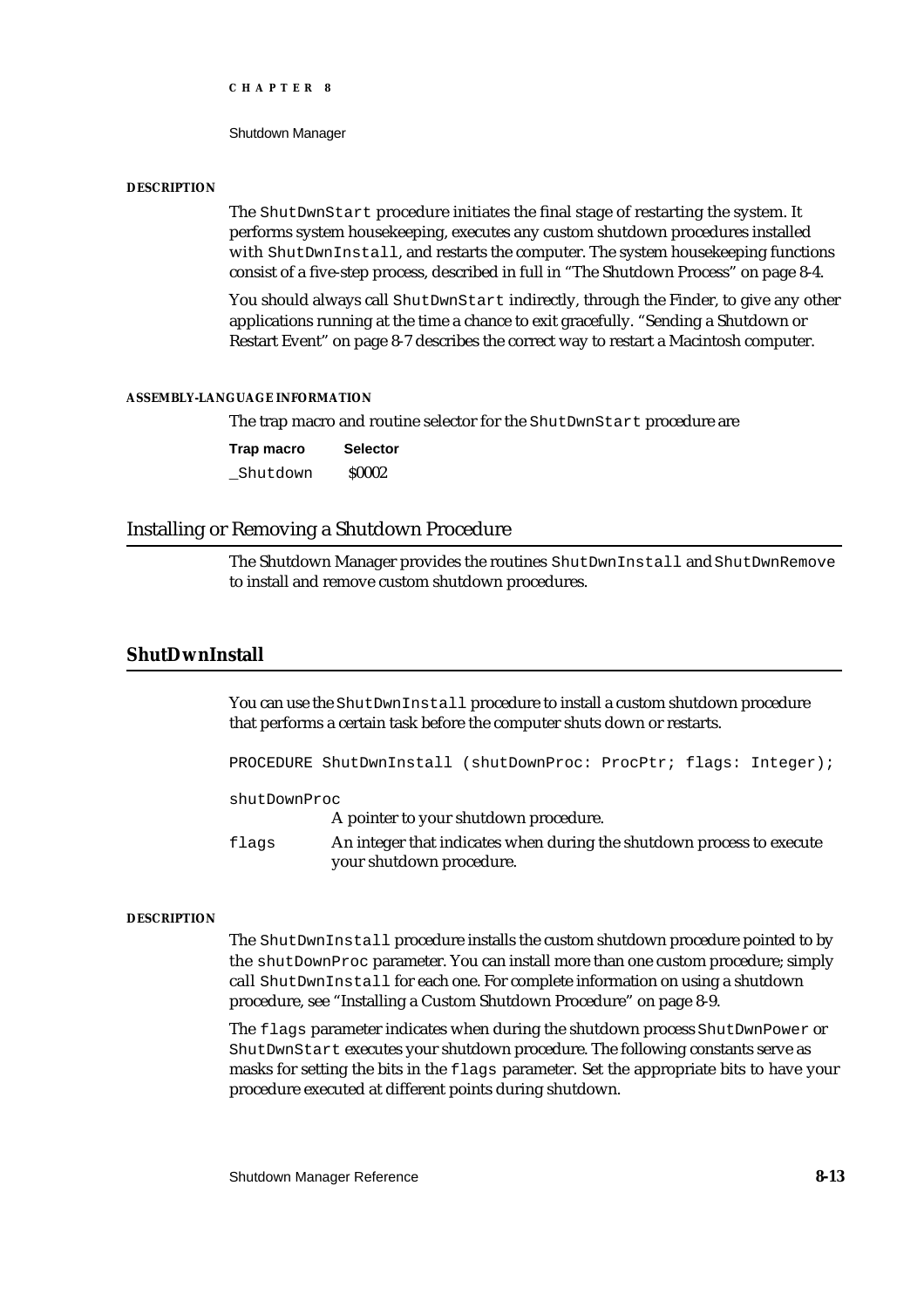Shutdown Manager

#### **DESCRIPTION**

The ShutDwnStart procedure initiates the final stage of restarting the system. It performs system housekeeping, executes any custom shutdown procedures installed with ShutDwnInstall, and restarts the computer. The system house keeping functions consist of a five-step process, described in full in "The Shutdown Process" on page 8-4.

You should always call ShutDwnStart indirectly, through the Finder, to give any other applications running at the time a chance to exit gracefully. "Sending a Shutdown or Restart Event" on page 8-7 describes the correct way to restart a Macintosh computer.

#### **ASSEMBLY-LANGUAGE INFORMATION**

The trap macro and routine selector for the ShutDwnStart procedure are

**Trap macro Selector** Shutdown \$0002

#### Installing or Removing a Shutdown Procedure

The Shutdown Manager provides the routines ShutDwnInstall and ShutDwnRemove to install and remove custom shutdown procedures.

## **ShutDwnInstall**

You can use the ShutDwnInstall procedure to install a custom shutdown procedure that performs a certain task before the computer shuts down or restarts.

PROCEDURE ShutDwnInstall (shutDownProc: ProcPtr; flags: Integer);

shutDownProc

A pointer to your shutdown procedure.

flags An integer that indicates when during the shutdown process to execute your shutdown procedure.

#### **DESCRIPTION**

The ShutDwnInstall procedure installs the custom shutdown procedure pointed to by the shutDownProc parameter. You can install more than one custom procedure; simply call ShutDwnInstall for each one. For complete information on using a shutdown procedure, see "Installing a Custom Shutdown Procedure" on page 8-9.

The flags parameter indicates when during the shutdown process ShutDwnPower or ShutDwnStart executes your shutdown procedure. The following constants serve as masks for setting the bits in the flags parameter. Set the appropriate bits to have your procedure executed at different points during shutdown.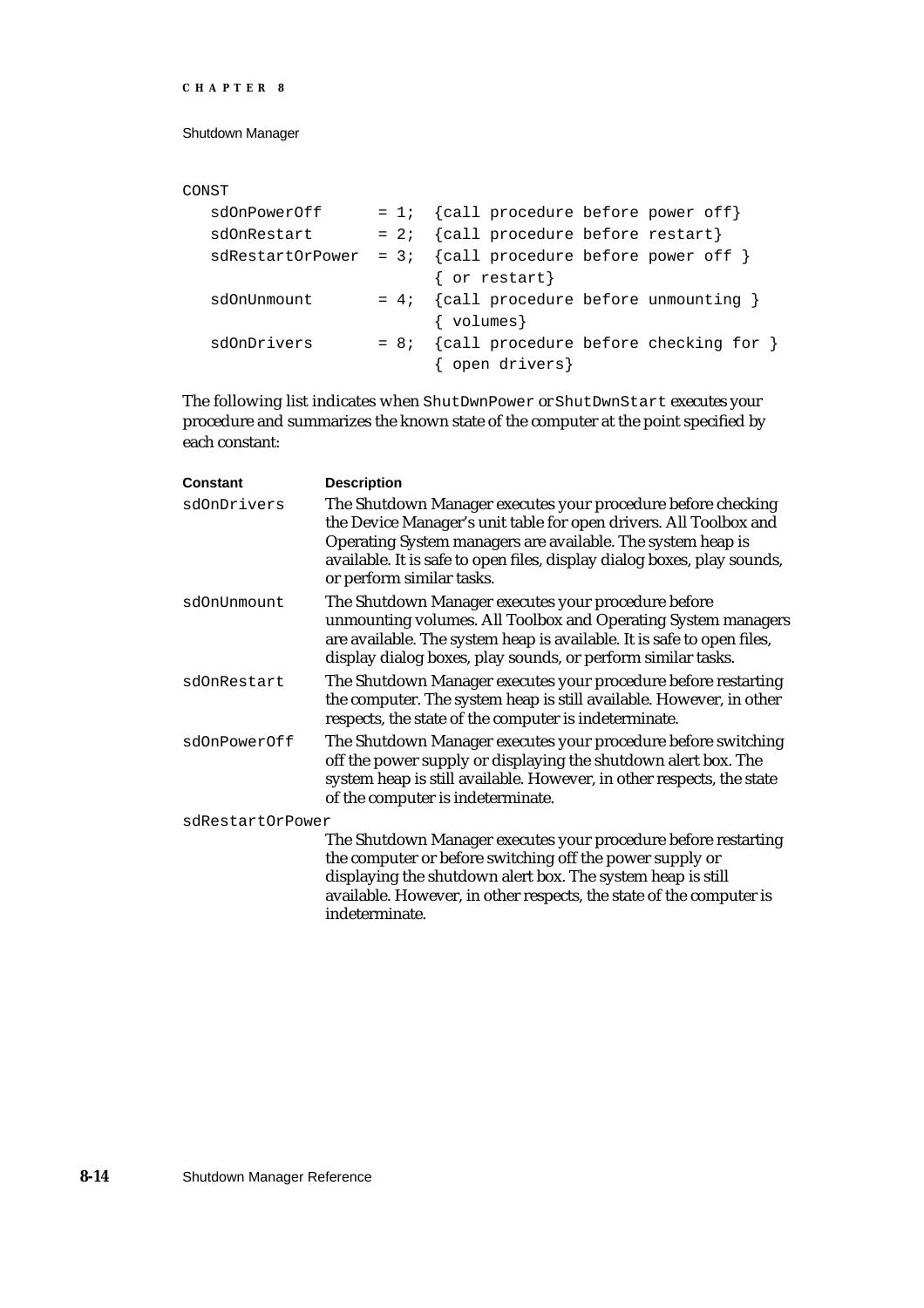#### Shutdown Manager

#### CONST

| sdOnPowerOff |  | = 1; $\{call procedure before power off\}$                  |
|--------------|--|-------------------------------------------------------------|
| sdOnRestart  |  | = 2; $\{call\ procedure\ before\ restart\}$                 |
|              |  | sdRestartOrPower = $3$ ; {call procedure before power off } |
|              |  | { or restart}                                               |
| sdOnUnmount  |  | $= 4; \{call procedure before unmounting \}$                |
|              |  | $\{$ volumes $\}$                                           |
| sdOnDrivers  |  | $= 8$ ; {call procedure before checking for }               |
|              |  | { open drivers}                                             |

The following list indicates when ShutDwnPower or ShutDwnStart executes your procedure and summarizes the known state of the computer at the point specified by each constant:

| <b>Constant</b>  | <b>Description</b>                                                                                                                                                                                                                                                                                       |
|------------------|----------------------------------------------------------------------------------------------------------------------------------------------------------------------------------------------------------------------------------------------------------------------------------------------------------|
| sdOnDrivers      | The Shutdown Manager executes your procedure before checking<br>the Device Manager's unit table for open drivers. All Toolbox and<br>Operating System managers are available. The system heap is<br>available. It is safe to open files, display dialog boxes, play sounds,<br>or perform similar tasks. |
| sdOnUnmount      | The Shutdown Manager executes your procedure before<br>unmounting volumes. All Toolbox and Operating System managers<br>are available. The system heap is available. It is safe to open files,<br>display dialog boxes, play sounds, or perform similar tasks.                                           |
| sdOnRestart      | The Shutdown Manager executes your procedure before restarting<br>the computer. The system heap is still available. However, in other<br>respects, the state of the computer is indeterminate.                                                                                                           |
| sdOnPowerOff     | The Shutdown Manager executes your procedure before switching<br>off the power supply or displaying the shutdown alert box. The<br>system heap is still available. However, in other respects, the state<br>of the computer is indeterminate.                                                            |
| sdRestartOrPower |                                                                                                                                                                                                                                                                                                          |
|                  | The Shutdown Manager executes your procedure before restarting<br>the computer or before switching off the power supply or<br>displaying the shutdown alert box. The system heap is still<br>available. However, in other respects, the state of the computer is                                         |

indeterminate.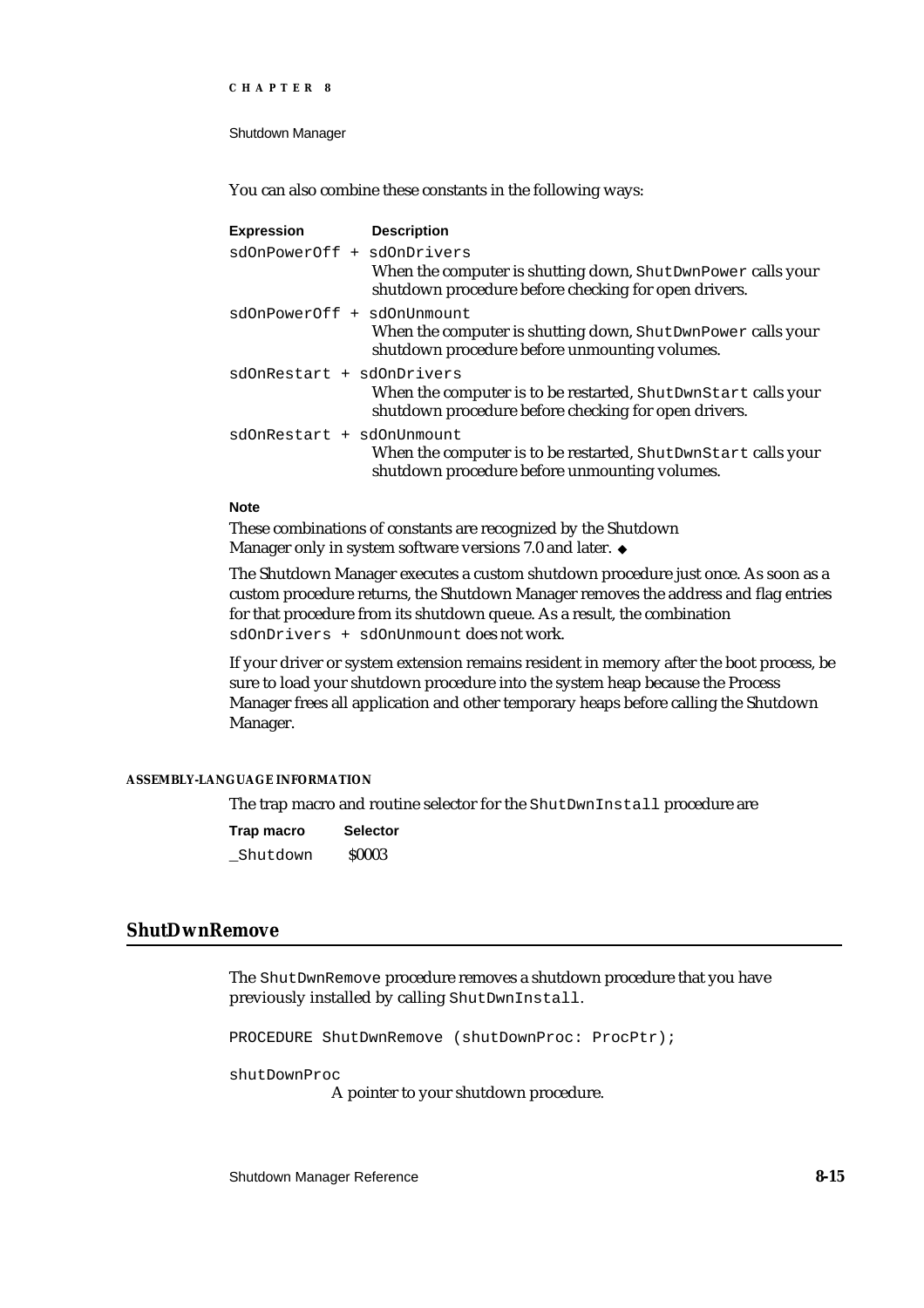Shutdown Manager

You can also combine these constants in the following ways:

| <b>Expression</b>          | <b>Description</b>                                                                                                    |
|----------------------------|-----------------------------------------------------------------------------------------------------------------------|
| sdOnPowerOff + sdOnDrivers | When the computer is shutting down, ShutDwnPower calls your<br>shutdown procedure before checking for open drivers.   |
| sdOnPowerOff + sdOnUnmount | When the computer is shutting down, ShutDwnPower calls your<br>shutdown procedure before unmounting volumes.          |
| sdOnRestart + sdOnDrivers  | When the computer is to be restarted, ShutDwnStart calls your<br>shutdown procedure before checking for open drivers. |
| sdOnRestart + sdOnUnmount  | When the computer is to be restarted, ShutDwnStart calls your<br>shutdown procedure before unmounting volumes.        |

#### **Note**

These combinations of constants are recognized by the Shutdown Manager only in system software versions 7.0 and later. u

The Shutdown Manager executes a custom shutdown procedure just once. As soon as a custom procedure returns, the Shutdown Manager removes the address and flag entries for that procedure from its shutdown queue. As a result, the combination sdOnDrivers + sdOnUnmount does not work.

If your driver or system extension remains resident in memory after the boot process, be sure to load your shutdown procedure into the system heap because the Process Manager frees all application and other temporary heaps before calling the Shutdown Manager.

#### **ASSEMBLY-LANGUAGE INFORMATION**

The trap macro and routine selector for the ShutDwnInstall procedure are

| Trap macro | <b>Selector</b> |  |  |
|------------|-----------------|--|--|
| Shutdown   | <b>S0003</b>    |  |  |

# **ShutDwnRemove**

The ShutDwnRemove procedure removes a shutdown procedure that you have previously installed by calling ShutDwnInstall.

PROCEDURE ShutDwnRemove (shutDownProc: ProcPtr);

shutDownProc

A pointer to your shutdown procedure.

Shutdown Manager Reference **8-15**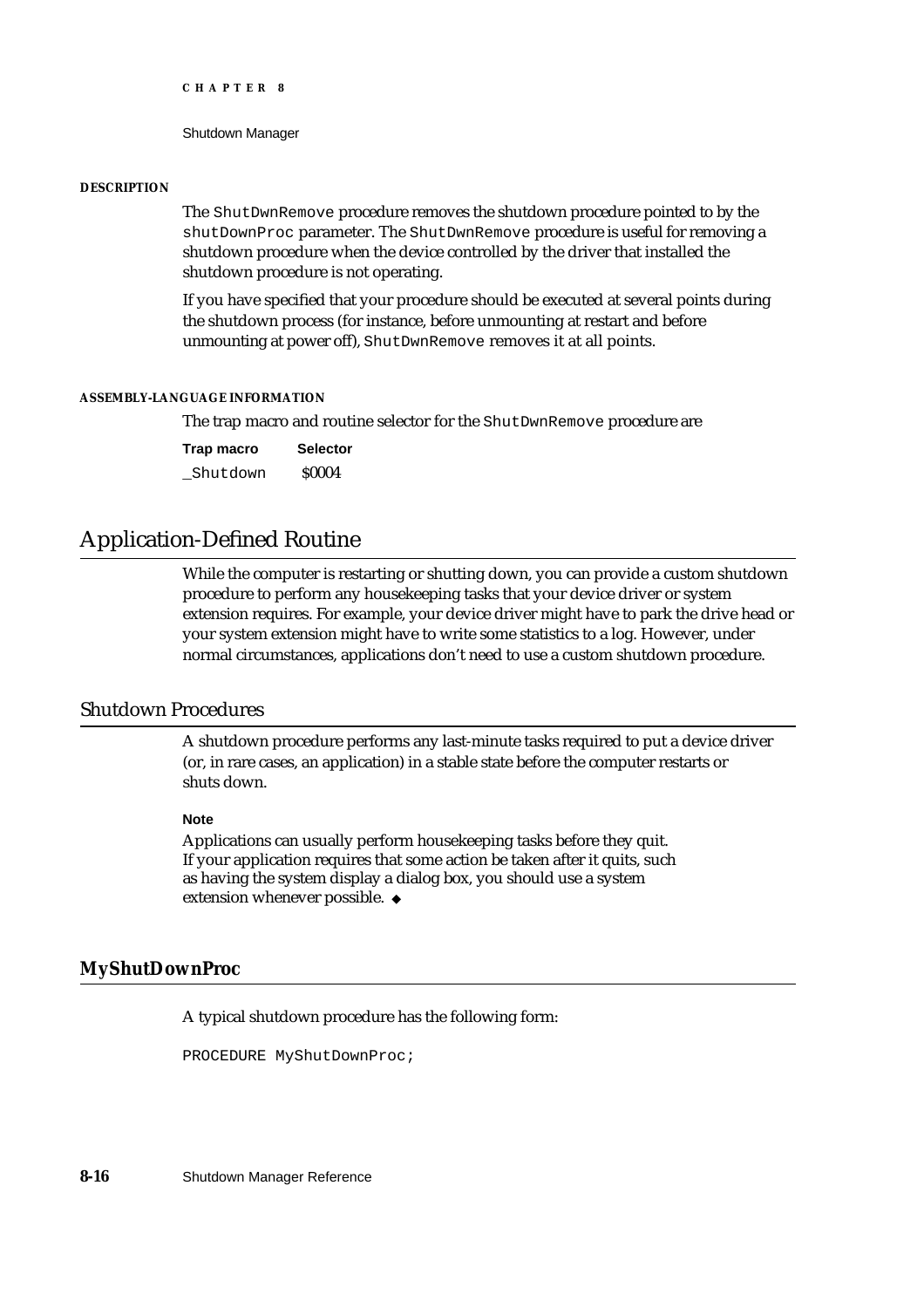Shutdown Manager

#### **DESCRIPTION**

The ShutDwnRemove procedure removes the shutdown procedure pointed to by the shutDownProc parameter. The ShutDwnRemove procedure is useful for removing a shutdown procedure when the device controlled by the driver that installed the shutdown procedure is not operating.

If you have specified that your procedure should be executed at several points during the shutdown process (for instance, before unmounting at restart and before unmounting at power off), ShutDwnRemove removes it at all points.

#### **ASSEMBLY-LANGUAGE INFORMATION**

The trap macro and routine selector for the ShutDwnRemove procedure are

**Trap macro Selector** Shutdown \$0004

# Application-Defined Routine

While the computer is restarting or shutting down, you can provide a custom shutdown procedure to perform any housekeeping tasks that your device driver or system extension requires. For example, your device driver might have to park the drive head or your system extension might have to write some statistics to a log. However, under normal circumstances, applications don't need to use a custom shutdown procedure.

# Shutdown Procedures

A shutdown procedure performs any last-minute tasks required to put a device driver (or, in rare cases, an application) in a stable state before the computer restarts or shuts down.

#### **Note**

Applications can usually perform housekeeping tasks before they quit. If your application requires that some action be taken after it quits, such as having the system display a dialog box, you should use a system extension whenever possible.

#### **MyShutDownProc**

A typical shutdown procedure has the following form:

PROCEDURE MyShutDownProc;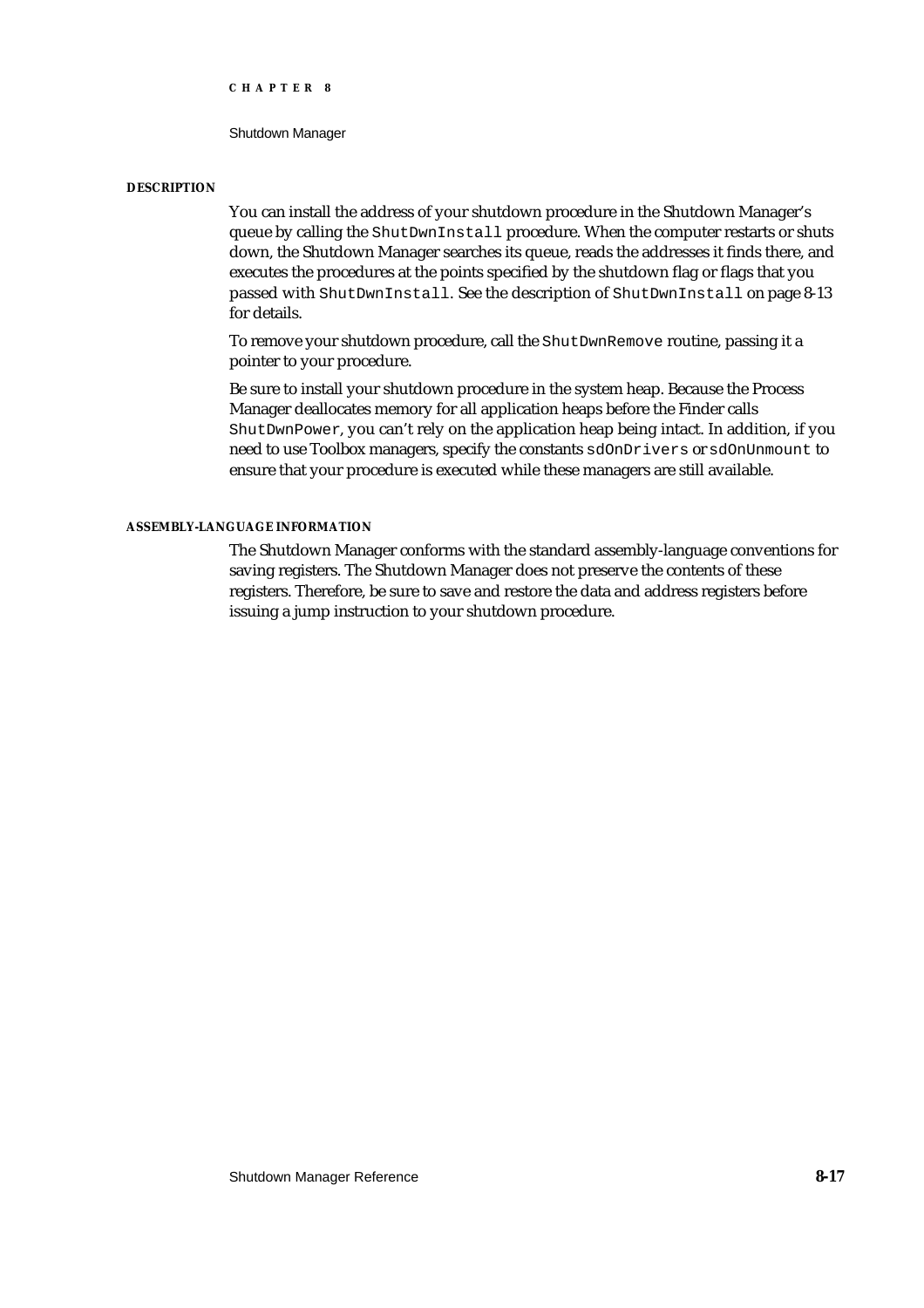Shutdown Manager

#### **DESCRIPTION**

You can install the address of your shutdown procedure in the Shutdown Manager's queue by calling the ShutDwnInstall procedure. When the computer restarts or shuts down, the Shutdown Manager searches its queue, reads the addresses it finds there, and executes the procedures at the points specified by the shutdown flag or flags that you passed with ShutDwnInstall. See the description of ShutDwnInstall on page 8-13 for details.

To remove your shutdown procedure, call the ShutDwnRemove routine, passing it a pointer to your procedure.

Be sure to install your shutdown procedure in the system heap. Because the Process Manager deallocates memory for all application heaps before the Finder calls ShutDwnPower, you can't rely on the application heap being intact. In addition, if you need to use Toolbox managers, specify the constants sdOnDrivers or sdOnUnmount to ensure that your procedure is executed while these managers are still available.

#### **ASSEMBLY-LANGUAGE INFORMATION**

The Shutdown Manager conforms with the standard assembly-language conventions for saving registers. The Shutdown Manager does not preserve the contents of these registers. Therefore, be sure to save and restore the data and address registers before issuing a jump instruction to your shutdown procedure.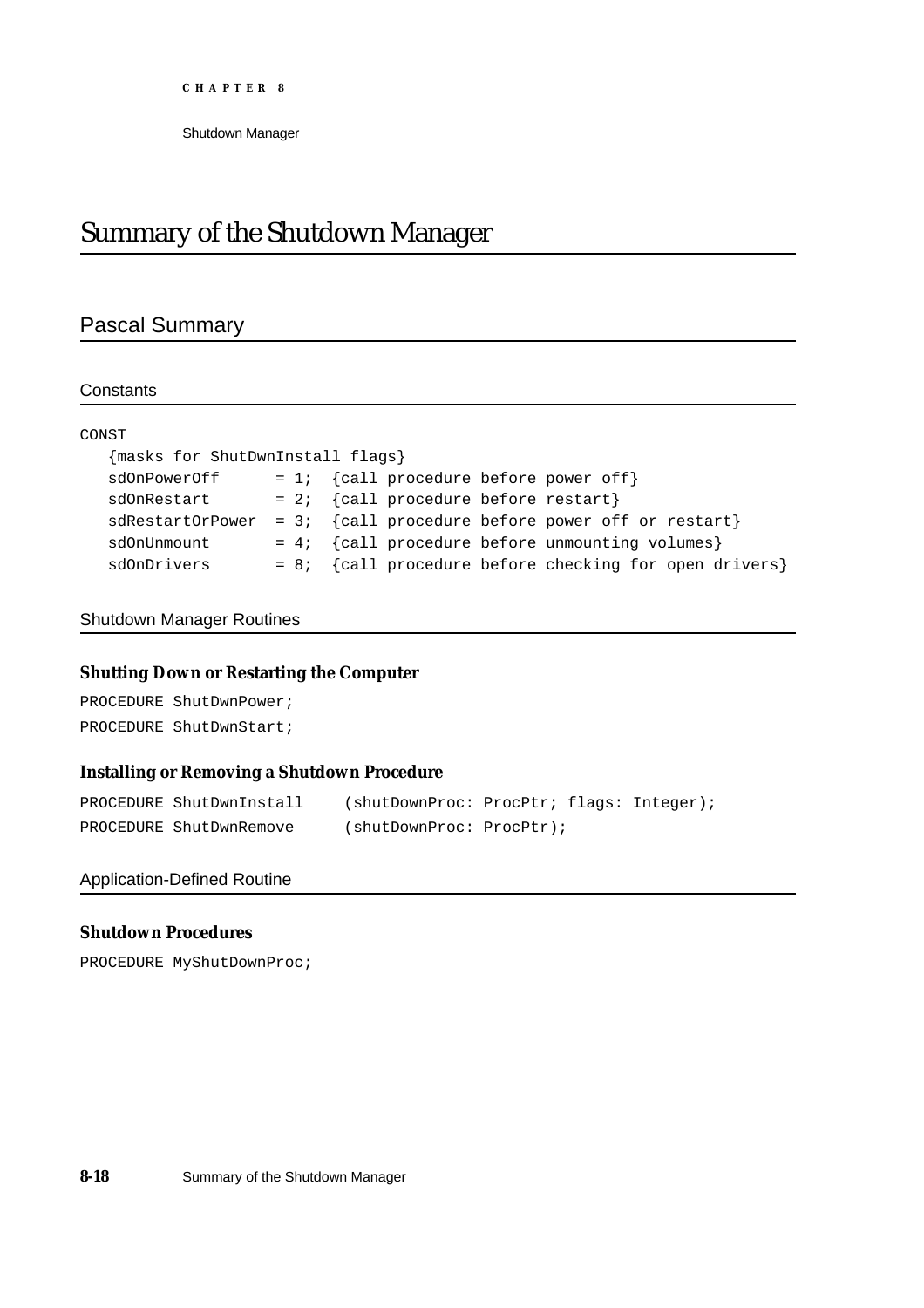# Summary of the Shutdown Manager

# Pascal Summary

#### **Constants**

| CONST                            |                                                          |
|----------------------------------|----------------------------------------------------------|
| {masks for ShutDwnInstall flags} |                                                          |
| sdOnPowerOff                     | = 1; $\{call\ procedure\ before\ power\ off\}$           |
| sdOnRestart                      | = 2; $\{call\ procedure\ before\ restart\}$              |
| sdRestartOrPower                 | = 3; {call procedure before power off or restart}        |
| sdOnUnmount                      | = 4; {call procedure before unmounting volumes}          |
| sdOnDrivers                      | $= 8i$ {call procedure before checking for open drivers} |

#### Shutdown Manager Routines

# **Shutting Down or Restarting the Computer**

PROCEDURE ShutDwnPower; PROCEDURE ShutDwnStart;

#### **Installing or Removing a Shutdown Procedure**

| PROCEDURE ShutDwnInstall | (shutDownProc: ProcPtr; flags: Integer); |  |  |
|--------------------------|------------------------------------------|--|--|
| PROCEDURE ShutDwnRemove  | (shutDownProc: ProcPtr);                 |  |  |

#### Application-Defined Routine

#### **Shutdown Procedures**

PROCEDURE MyShutDownProc;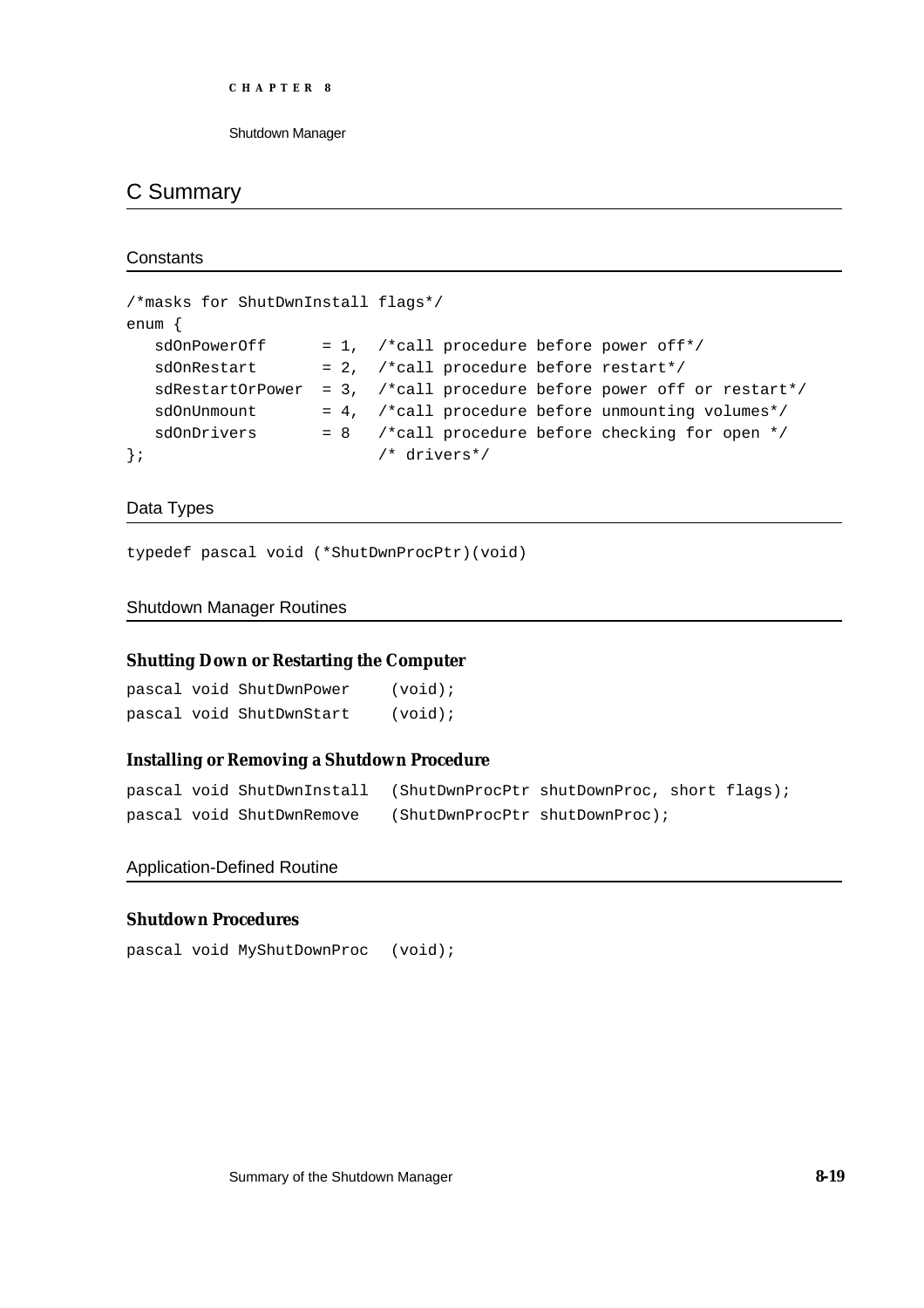```
CHAPTER 8
```
# C Summary

**Constants** 

```
/*masks for ShutDwnInstall flags*/
enum {
  sdOnPowerOff = 1, /*call procedure before power off*/
  sdOnRestart = 2, /*call procedure before restart*/
  sdRestartOrPower = 3, /*call procedure before power off or restart*/
  sdOnUnmount = 4, /*call procedure before unmounting volumes*/
  sdOnDrivers = 8 /*call procedure before checking for open */}; /* drivers*/
```
Data Types

typedef pascal void (\*ShutDwnProcPtr)(void)

## Shutdown Manager Routines

#### **Shutting Down or Restarting the Computer**

|  | pascal void ShutDwnPower | $(void)$ ; |
|--|--------------------------|------------|
|  | pascal void ShutDwnStart | $(void)$ ; |

#### **Installing or Removing a Shutdown Procedure**

```
pascal void ShutDwnInstall (ShutDwnProcPtr shutDownProc, short flags);
pascal void ShutDwnRemove (ShutDwnProcPtr shutDownProc);
```
#### Application-Defined Routine

#### **Shutdown Procedures**

pascal void MyShutDownProc (void);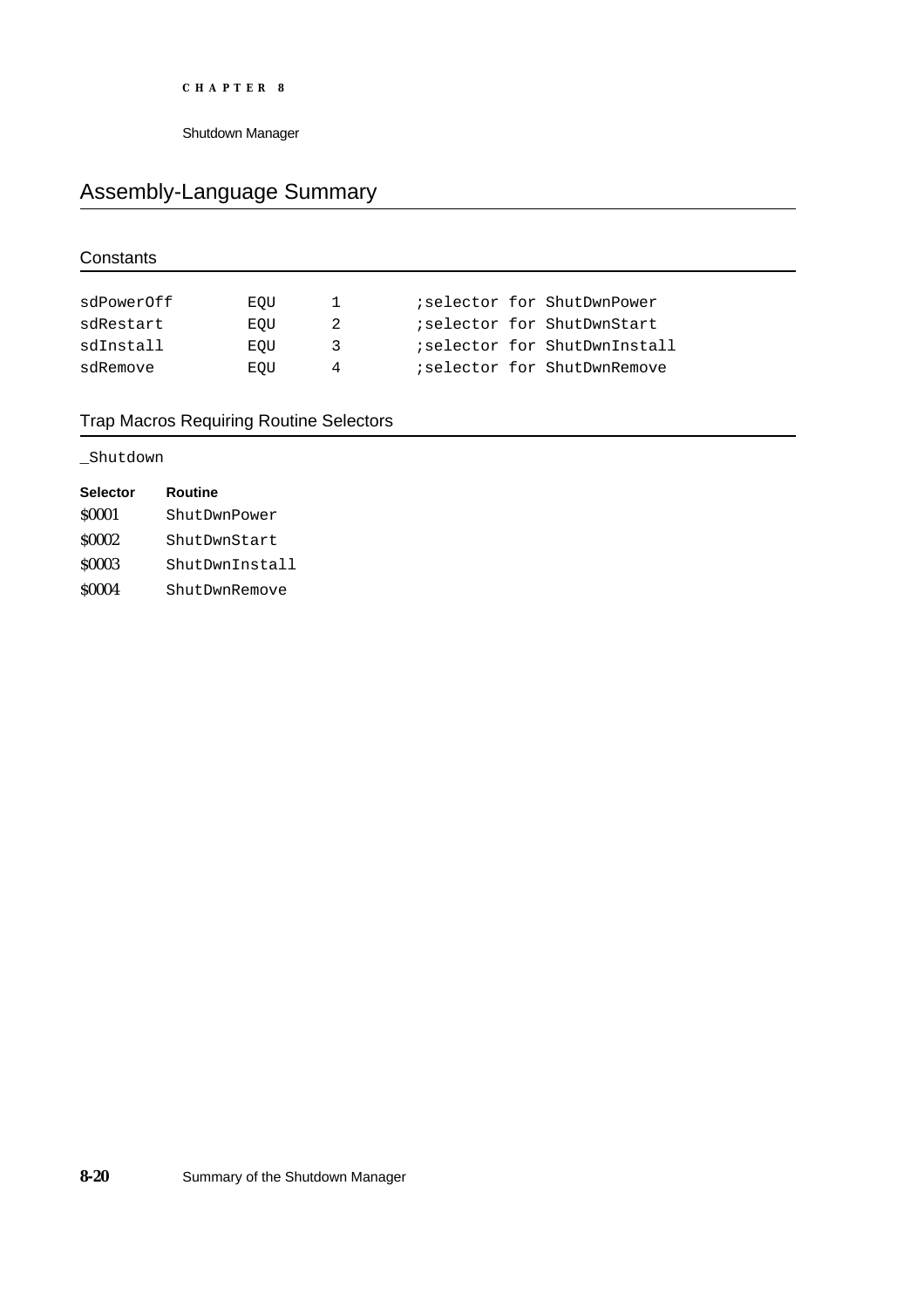# Assembly-Language Summary

# **Constants**

| sdPowerOff | EOU | Т.  |  | iselector for ShutDwnPower   |
|------------|-----|-----|--|------------------------------|
| sdRestart  | EOU | -2  |  | iselector for ShutDwnStart   |
| sdInstall  | EOU | - 3 |  | iselector for ShutDwnInstall |
| sdRemove   | EOU | 4   |  | iselector for ShutDwnRemove  |

# Trap Macros Requiring Routine Selectors

## \_Shutdown

| <b>Selector</b> | Routine        |
|-----------------|----------------|
| \$0001          | ShutDwnPower   |
| <b>S0002</b>    | ShutDwnStart   |
| \$0003          | ShutDwnInstall |
| \$0004          | ShutDwnRemove  |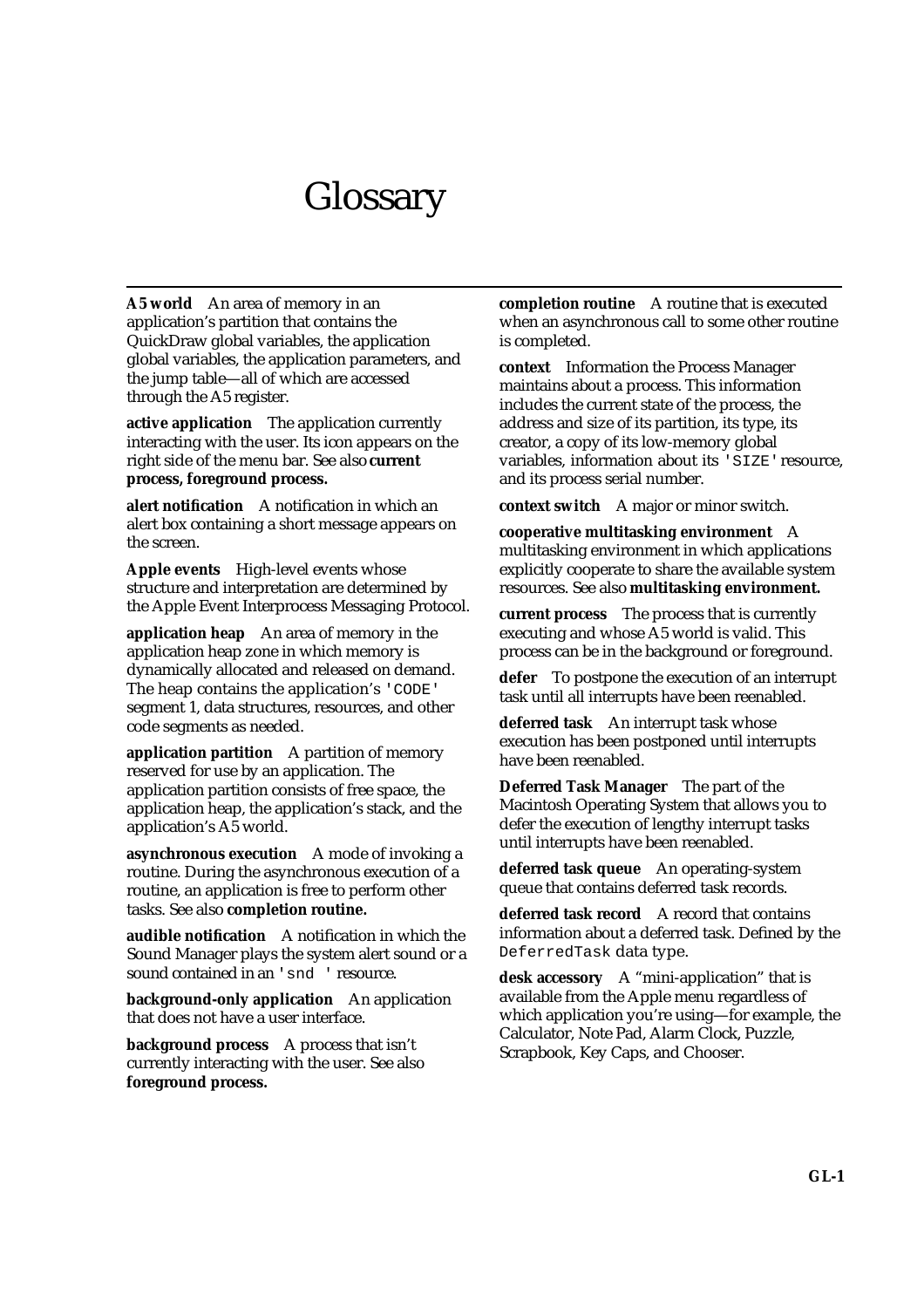# **Glossary**

**A5 world** An area of memory in an application's partition that contains the QuickDraw global variables, the application global variables, the application parameters, and the jump table—all of which are accessed through the A5 register.

**active application** The application currently interacting with the user. Its icon appears on the right side of the menu bar. See also **current process, foreground process.**

**alert notification** A notification in which an alert box containing a short message appears on the screen.

**Apple events** High-level events whose structure and interpretation are determined by the Apple Event Interprocess Messaging Protocol.

**application heap** An area of memory in the application heap zone in which memory is dynamically allocated and released on demand. The heap contains the application's 'CODE' segment 1, data structures, resources, and other code segments as needed.

**application partition** A partition of memory reserved for use by an application. The application partition consists of free space, the application heap, the application's stack, and the application's A5 world.

**asynchronous execution** A mode of invoking a routine. During the asynchronous execution of a routine, an application is free to perform other tasks. See also **completion routine.**

**audible notification** A notification in which the Sound Manager plays the system alert sound or a sound contained in an 'snd ' resource.

**background-only application** An application that does not have a user interface.

**background process** A process that isn't currently interacting with the user. See also **foreground process.**

**completion routine** A routine that is executed when an asynchronous call to some other routine is completed.

**context** Information the Process Manager maintains about a process. This information includes the current state of the process, the address and size of its partition, its type, its creator, a copy of its low-memory global variables, information about its 'SIZE' resource, and its process serial number.

**context switch** A major or minor switch.

**cooperative multitasking environment** A multitasking environment in which applications explicitly cooperate to share the available system resources. See also **multitasking environment.**

**current process** The process that is currently executing and whose A5 world is valid. This process can be in the background or foreground.

**defer** To postpone the execution of an interrupt task until all interrupts have been reenabled.

**deferred task** An interrupt task whose execution has been postponed until interrupts have been reenabled.

**Deferred Task Manager** The part of the Macintosh Operating System that allows you to defer the execution of lengthy interrupt tasks until interrupts have been reenabled.

**deferred task queue** An operating-system queue that contains deferred task records.

**deferred task record** A record that contains information about a deferred task. Defined by the DeferredTask data type.

**desk accessory** A "mini-application" that is available from the Apple menu regardless of which application you're using—for example, the Calculator, Note Pad, Alarm Clock, Puzzle, Scrapbook, Key Caps, and Chooser.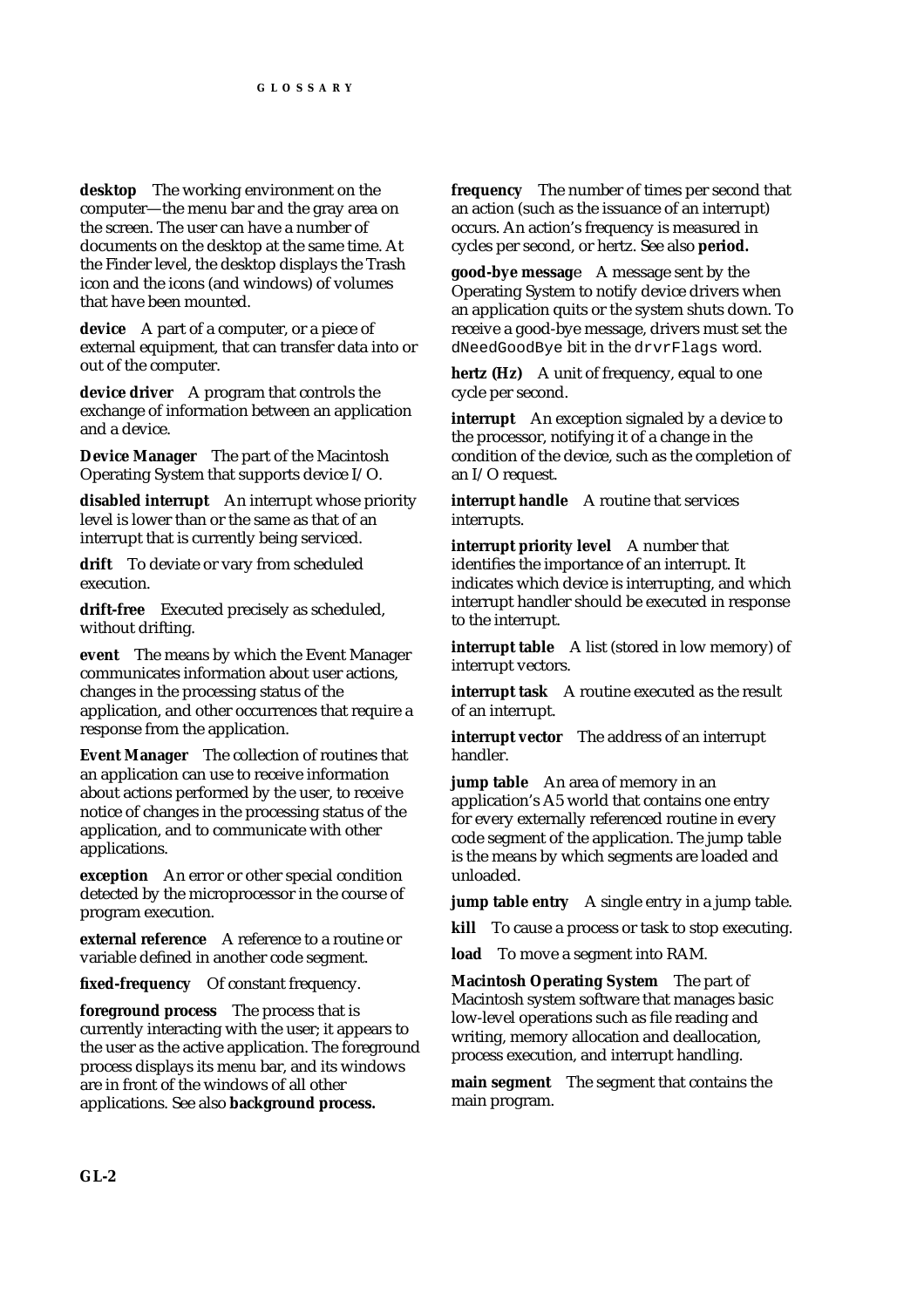**desktop** The working environment on the computer—the menu bar and the gray area on the screen. The user can have a number of documents on the desktop at the same time. At the Finder level, the desktop displays the Trash icon and the icons (and windows) of volumes that have been mounted.

**device** A part of a computer, or a piece of external equipment, that can transfer data into or out of the computer.

**device driver** A program that controls the exchange of information between an application and a device.

**Device Manager** The part of the Macintosh Operating System that supports device I/O.

**disabled interrupt** An interrupt whose priority level is lower than or the same as that of an interrupt that is currently being serviced.

**drift** To deviate or vary from scheduled execution.

**drift-free** Executed precisely as scheduled, without drifting.

**event** The means by which the Event Manager communicates information about user actions, changes in the processing status of the application, and other occurrences that require a response from the application.

**Event Manager** The collection of routines that an application can use to receive information about actions performed by the user, to receive notice of changes in the processing status of the application, and to communicate with other applications.

**exception** An error or other special condition detected by the microprocessor in the course of program execution.

**external reference** A reference to a routine or variable defined in another code segment.

**fixed-frequency** Of constant frequency.

**foreground process** The process that is currently interacting with the user; it appears to the user as the active application. The foreground process displays its menu bar, and its windows are in front of the windows of all other applications. See also **background process.**

**frequency** The number of times per second that an action (such as the issuance of an interrupt) occurs. An action's frequency is measured in cycles per second, or hertz. See also **period.**

**good-bye messag**e A message sent by the Operating System to notify device drivers when an application quits or the system shuts down. To receive a good-bye message, drivers must set the dNeedGoodBye bit in the drvrFlags word.

**hertz (Hz)** A unit of frequency, equal to one cycle per second.

**interrupt** An exception signaled by a device to the processor, notifying it of a change in the condition of the device, such as the completion of an I/O request.

**interrupt handle** A routine that services interrupts.

**interrupt priority level** A number that identifies the importance of an interrupt. It indicates which device is interrupting, and which interrupt handler should be executed in response to the interrupt.

**interrupt table** A list (stored in low memory) of interrupt vectors.

**interrupt task** A routine executed as the result of an interrupt.

**interrupt vector** The address of an interrupt handler.

**jump table** An area of memory in an application's A5 world that contains one entry for every externally referenced routine in every code segment of the application. The jump table is the means by which segments are loaded and unloaded.

**jump table entry** A single entry in a jump table.

**kill** To cause a process or task to stop executing.

**load** To move a segment into RAM.

**Macintosh Operating System** The part of Macintosh system software that manages basic low-level operations such as file reading and writing, memory allocation and deallocation, process execution, and interrupt handling.

**main segment** The segment that contains the main program.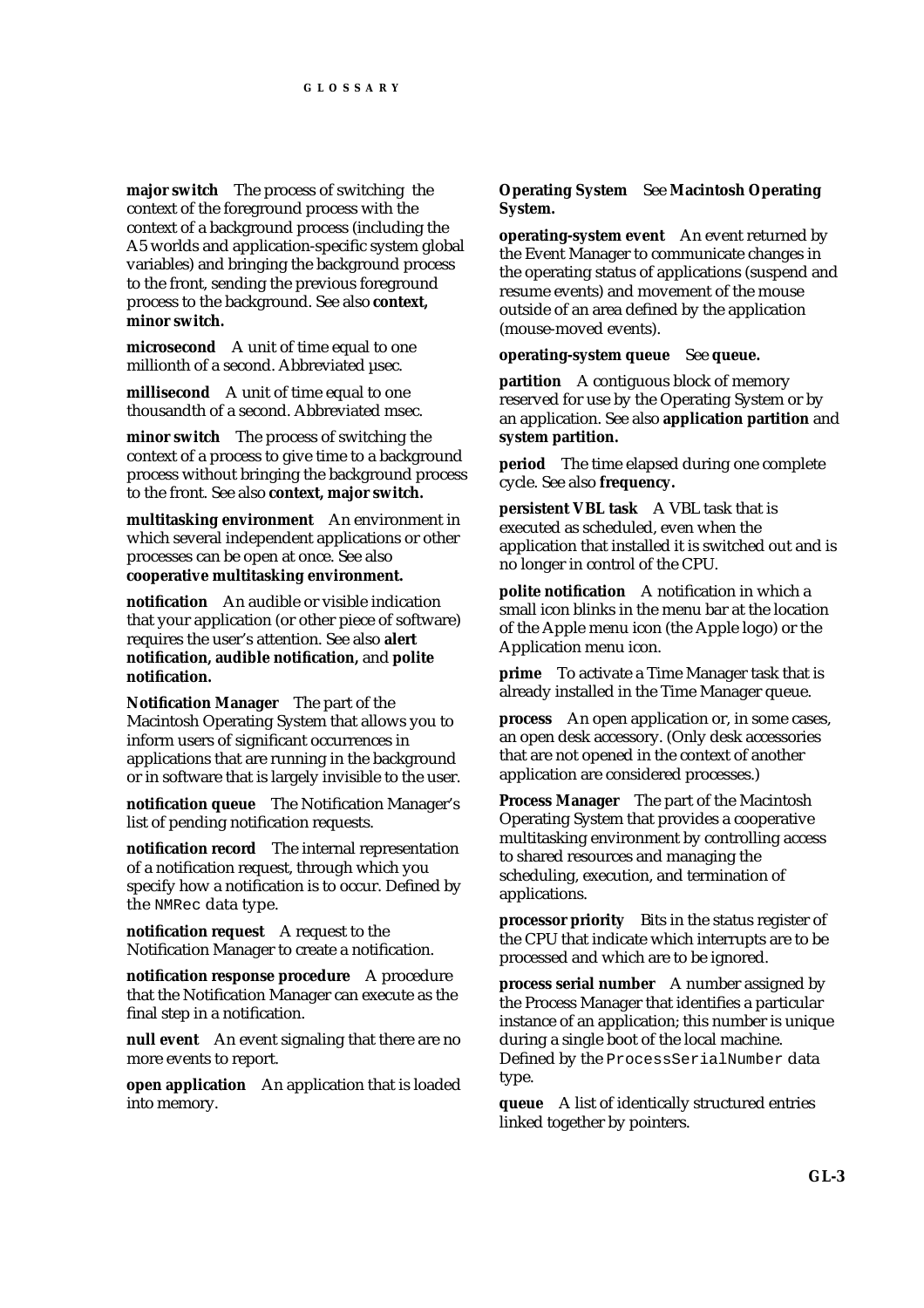**major switch** The process of switching the context of the foreground process with the context of a background process (including the A5 worlds and application-specific system global variables) and bringing the background process to the front, sending the previous foreground process to the background. See also **context, minor switch.**

**microsecond** A unit of time equal to one millionth of a second. Abbreviated usec.

**millisecond** A unit of time equal to one thousandth of a second. Abbreviated msec.

**minor switch** The process of switching the context of a process to give time to a background process without bringing the background process to the front. See also **context, major switch.**

**multitasking environment** An environment in which several independent applications or other processes can be open at once. See also **cooperative multitasking environment.**

**notification** An audible or visible indication that your application (or other piece of software) requires the user's attention. See also **alert notification, audible notification,** and **polite notification.**

**Notification Manager** The part of the Macintosh Operating System that allows you to inform users of significant occurrences in applications that are running in the background or in software that is largely invisible to the user.

**notification queue** The Notification Manager's list of pending notification requests.

**notification record** The internal representation of a notification request, through which you specify how a notification is to occur. Defined by the NMRec data type.

**notification request** A request to the Notification Manager to create a notification.

**notification response procedure** A procedure that the Notification Manager can execute as the final step in a notification.

**null event** An event signaling that there are no more events to report.

**open application** An application that is loaded into memory.

#### **Operating System** See **Macintosh Operating System.**

**operating-system event** An event returned by the Event Manager to communicate changes in the operating status of applications (suspend and resume events) and movement of the mouse outside of an area defined by the application (mouse-moved events).

**operating-system queue** See **queue.**

**partition** A contiguous block of memory reserved for use by the Operating System or by an application. See also **application partition** and **system partition.**

**period** The time elapsed during one complete cycle. See also **frequency.**

**persistent VBL task** A VBL task that is executed as scheduled, even when the application that installed it is switched out and is no longer in control of the CPU.

**polite notification** A notification in which a small icon blinks in the menu bar at the location of the Apple menu icon (the Apple logo) or the Application menu icon.

**prime** To activate a Time Manager task that is already installed in the Time Manager queue.

**process** An open application or, in some cases, an open desk accessory. (Only desk accessories that are not opened in the context of another application are considered processes.)

**Process Manager** The part of the Macintosh Operating System that provides a cooperative multitasking environment by controlling access to shared resources and managing the scheduling, execution, and termination of applications.

**processor priority** Bits in the status register of the CPU that indicate which interrupts are to be processed and which are to be ignored.

**process serial number** A number assigned by the Process Manager that identifies a particular instance of an application; this number is unique during a single boot of the local machine. Defined by the ProcessSerialNumber data type.

**queue** A list of identically structured entries linked together by pointers.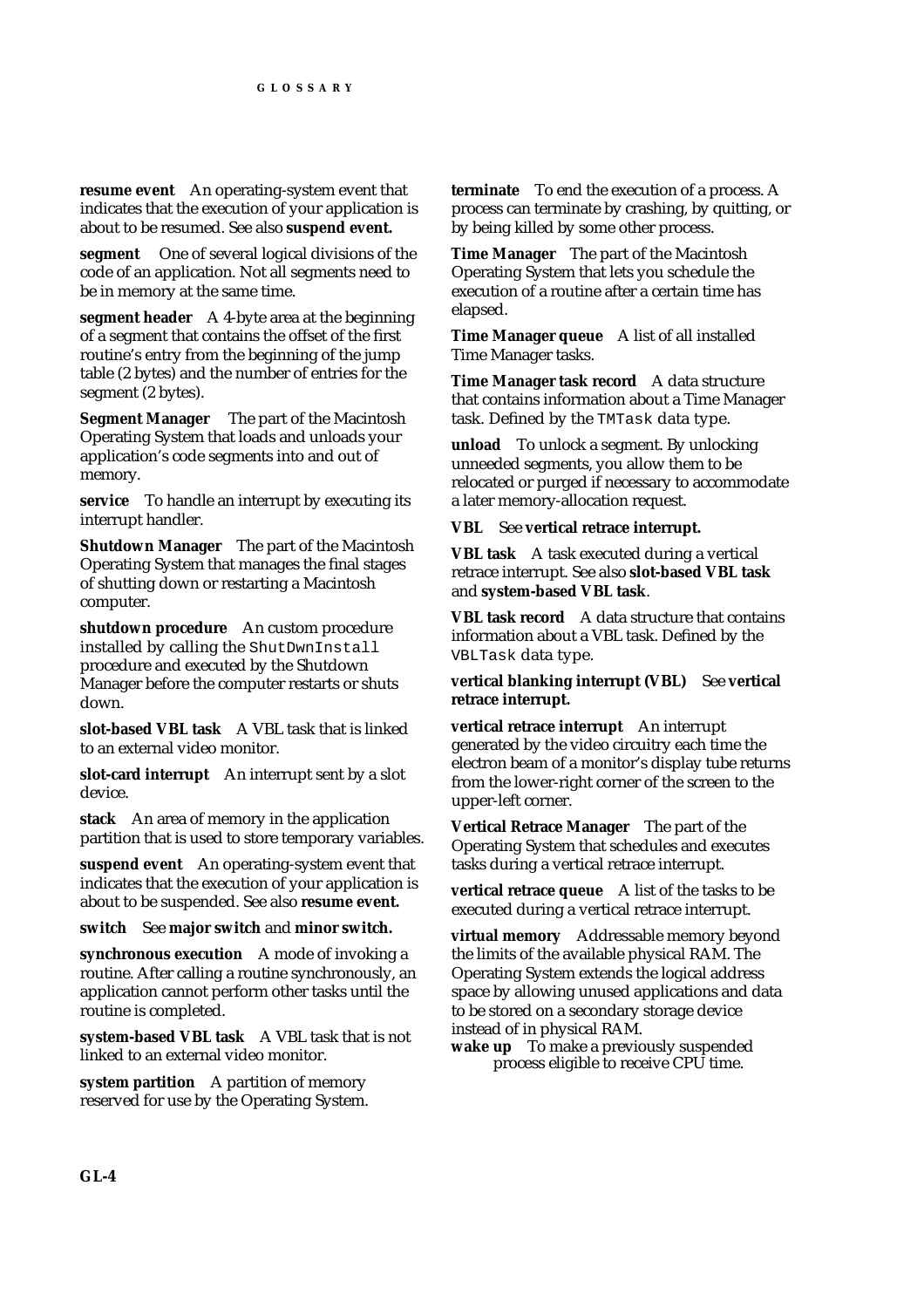**resume event** An operating-system event that indicates that the execution of your application is about to be resumed. See also **suspend event.**

**segment** One of several logical divisions of the code of an application. Not all segments need to be in memory at the same time.

**segment header** A 4-byte area at the beginning of a segment that contains the offset of the first routine's entry from the beginning of the jump table (2 bytes) and the number of entries for the segment (2 bytes).

**Segment Manager** The part of the Macintosh Operating System that loads and unloads your application's code segments into and out of memory.

**service** To handle an interrupt by executing its interrupt handler.

**Shutdown Manager** The part of the Macintosh Operating System that manages the final stages of shutting down or restarting a Macintosh computer.

**shutdown procedure** An custom procedure installed by calling the ShutDwnInstall procedure and executed by the Shutdown Manager before the computer restarts or shuts down.

**slot-based VBL task** A VBL task that is linked to an external video monitor.

**slot-card interrupt** An interrupt sent by a slot device.

**stack** An area of memory in the application partition that is used to store temporary variables.

**suspend event** An operating-system event that indicates that the execution of your application is about to be suspended. See also **resume event.**

**switch** See **major switch** and **minor switch.**

**synchronous execution** A mode of invoking a routine. After calling a routine synchronously, an application cannot perform other tasks until the routine is completed.

**system-based VBL task** A VBL task that is not linked to an external video monitor.

**system partition** A partition of memory reserved for use by the Operating System. **terminate** To end the execution of a process. A process can terminate by crashing, by quitting, or by being killed by some other process.

**Time Manager** The part of the Macintosh Operating System that lets you schedule the execution of a routine after a certain time has elapsed.

**Time Manager queue** A list of all installed Time Manager tasks.

**Time Manager task record** A data structure that contains information about a Time Manager task. Defined by the TMTask data type.

**unload** To unlock a segment. By unlocking unneeded segments, you allow them to be relocated or purged if necessary to accommodate a later memory-allocation request.

**VBL** See **vertical retrace interrupt.**

**VBL task** A task executed during a vertical retrace interrupt. See also **slot-based VBL task** and **system-based VBL task**.

**VBL task record** A data structure that contains information about a VBL task. Defined by the VBLTask data type.

**vertical blanking interrupt (VBL)** See **vertical retrace interrupt.**

**vertical retrace interrupt** An interrupt generated by the video circuitry each time the electron beam of a monitor's display tube returns from the lower-right corner of the screen to the upper-left corner.

**Vertical Retrace Manager** The part of the Operating System that schedules and executes tasks during a vertical retrace interrupt.

**vertical retrace queue** A list of the tasks to be executed during a vertical retrace interrupt.

**virtual memory** Addressable memory beyond the limits of the available physical RAM. The Operating System extends the logical address space by allowing unused applications and data to be stored on a secondary storage device instead of in physical RAM.

wake up To make a previously suspended process eligible to receive CPU time.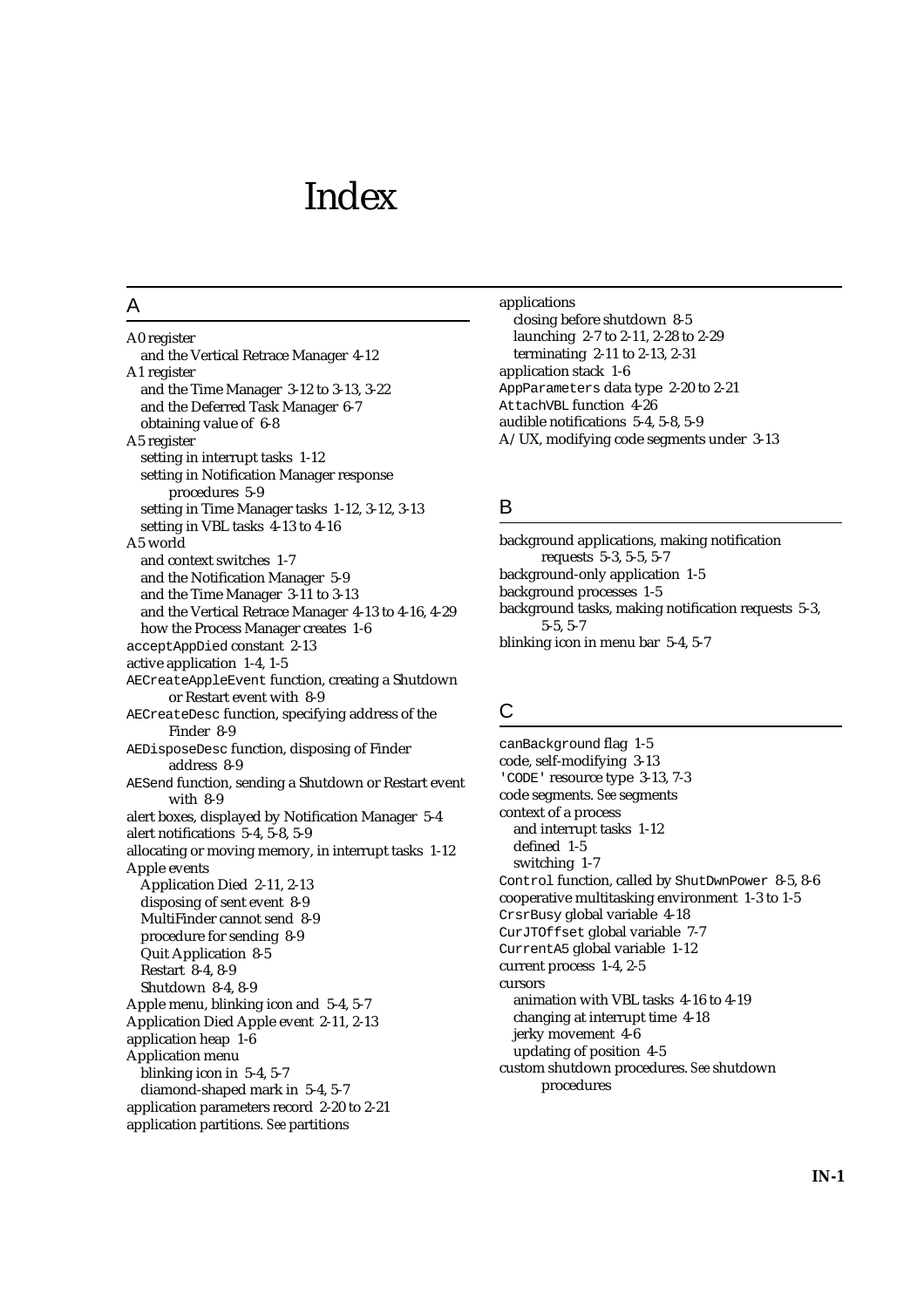# Index

## A

A0 register and the Vertical Retrace Manager 4-12 A1 register and the Time Manager 3-12 to 3-13, 3-22 and the Deferred Task Manager 6-7 obtaining value of 6-8 A5 register setting in interrupt tasks 1-12 setting in Notification Manager response procedures 5-9 setting in Time Manager tasks 1-12, 3-12, 3-13 setting in VBL tasks 4-13 to 4-16 A5 world and context switches 1-7 and the Notification Manager 5-9 and the Time Manager 3-11 to 3-13 and the Vertical Retrace Manager 4-13 to 4-16, 4-29 how the Process Manager creates 1-6 acceptAppDied constant 2-13 active application 1-4, 1-5 AECreateAppleEvent function, creating a Shutdown or Restart event with 8-9 AECreateDesc function, specifying address of the Finder 8-9 AEDisposeDesc function, disposing of Finder address 8-9 AESend function, sending a Shutdown or Restart event with 8-9 alert boxes, displayed by Notification Manager 5-4 alert notifications 5-4, 5-8, 5-9 allocating or moving memory, in interrupt tasks 1-12 Apple events Application Died 2-11, 2-13 disposing of sent event 8-9 MultiFinder cannot send 8-9 procedure for sending 8-9 Quit Application 8-5 Restart 8-4, 8-9 Shutdown 8-4, 8-9 Apple menu, blinking icon and 5-4, 5-7 Application Died Apple event 2-11, 2-13 application heap 1-6 Application menu blinking icon in 5-4, 5-7 diamond-shaped mark in 5-4, 5-7 application parameters record 2-20 to 2-21 application partitions. *See* partitions

applications closing before shutdown 8-5 launching 2-7 to 2-11, 2-28 to 2-29 terminating 2-11 to 2-13, 2-31 application stack 1-6 AppParameters data type 2-20 to 2-21 AttachVBL function 4-26 audible notifications 5-4, 5-8, 5-9 A/UX, modifying code segments under 3-13

# B

background applications, making notification requests 5-3, 5-5, 5-7 background-only application 1-5 background processes 1-5 background tasks, making notification requests 5-3, 5-5, 5-7 blinking icon in menu bar 5-4, 5-7

# $\mathsf{C}$

canBackground flag 1-5 code, self-modifying 3-13 'CODE' resource type 3-13, 7-3 code segments. *See* segments context of a process and interrupt tasks 1-12 defined 1-5 switching 1-7 Control function, called by ShutDwnPower 8-5, 8-6 cooperative multitasking environment 1-3 to 1-5 CrsrBusy global variable 4-18 CurJTOffset global variable 7-7 CurrentA5 global variable 1-12 current process 1-4, 2-5 cursors animation with VBL tasks 4-16 to 4-19 changing at interrupt time 4-18 jerky movement 4-6 updating of position 4-5 custom shutdown procedures. *See* shutdown procedures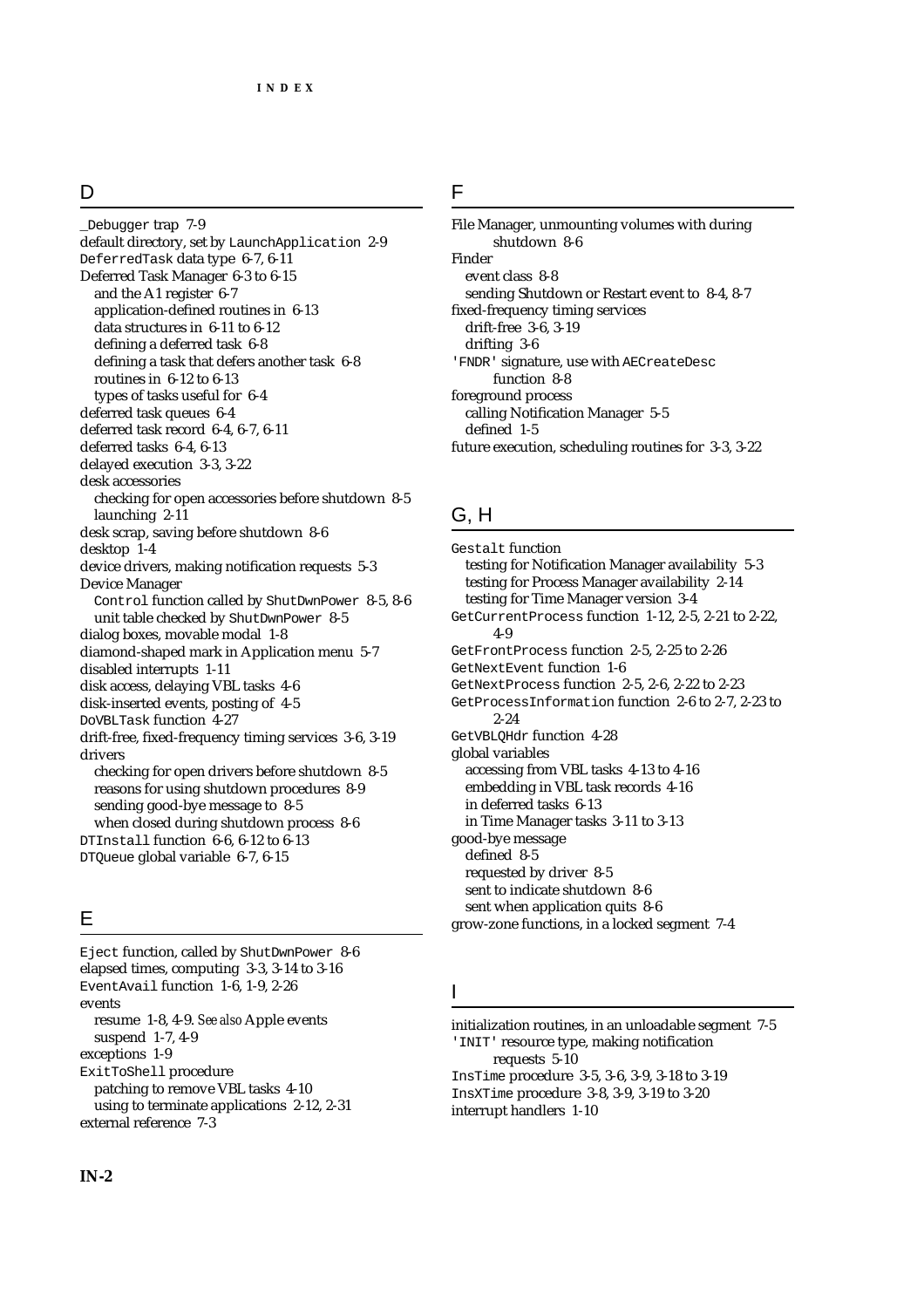# D

Debugger trap 7-9 default directory, set by LaunchApplication 2-9 DeferredTask data type 6-7, 6-11 Deferred Task Manager 6-3 to 6-15 and the A1 register 6-7 application-defined routines in 6-13 data structures in 6-11 to 6-12 defining a deferred task 6-8 defining a task that defers another task 6-8 routines in 6-12 to 6-13 types of tasks useful for 6-4 deferred task queues 6-4 deferred task record 6-4, 6-7, 6-11 deferred tasks 6-4, 6-13 delayed execution 3-3, 3-22 desk accessories checking for open accessories before shutdown 8-5 launching 2-11 desk scrap, saving before shutdown 8-6 desktop 1-4 device drivers, making notification requests 5-3 Device Manager Control function called by ShutDwnPower 8-5, 8-6 unit table checked by ShutDwnPower 8-5 dialog boxes, movable modal 1-8 diamond-shaped mark in Application menu 5-7 disabled interrupts 1-11 disk access, delaying VBL tasks 4-6 disk-inserted events, posting of 4-5 DoVBLTask function 4-27 drift-free, fixed-frequency timing services 3-6, 3-19 drivers checking for open drivers before shutdown 8-5 reasons for using shutdown procedures 8-9 sending good-bye message to 8-5 when closed during shutdown process 8-6 DTInstall function 6-6, 6-12 to 6-13 DTQueue global variable 6-7, 6-15

# E

Eject function, called by ShutDwnPower 8-6 elapsed times, computing 3-3, 3-14 to 3-16 EventAvail function 1-6, 1-9, 2-26 events resume 1-8, 4-9. *See also* Apple events suspend 1-7, 4-9 exceptions 1-9 ExitToShell procedure patching to remove VBL tasks 4-10 using to terminate applications 2-12, 2-31 external reference 7-3

File Manager, unmounting volumes with during shutdown 8-6 Finder event class 8-8 sending Shutdown or Restart event to 8-4, 8-7 fixed-frequency timing services drift-free 3-6, 3-19 drifting 3-6 'FNDR' signature, use with AECreateDesc function 8-8 foreground process calling Notification Manager 5-5 defined 1-5 future execution, scheduling routines for 3-3, 3-22

# G, H

Gestalt function testing for Notification Manager availability 5-3 testing for Process Manager availability 2-14 testing for Time Manager version 3-4 GetCurrentProcess function 1-12, 2-5, 2-21 to 2-22, 4-9 GetFrontProcess function 2-5, 2-25 to 2-26 GetNextEvent function 1-6 GetNextProcess function 2-5, 2-6, 2-22 to 2-23 GetProcessInformation function 2-6 to 2-7, 2-23 to 2-24 GetVBLQHdr function 4-28 global variables accessing from VBL tasks 4-13 to 4-16 embedding in VBL task records 4-16 in deferred tasks 6-13 in Time Manager tasks 3-11 to 3-13 good-bye message defined 8-5 requested by driver 8-5 sent to indicate shutdown 8-6 sent when application quits 8-6 grow-zone functions, in a locked segment 7-4

# I

initialization routines, in an unloadable segment 7-5 'INIT' resource type, making notification requests 5-10 InsTime procedure 3-5, 3-6, 3-9, 3-18 to 3-19 InsXTime procedure 3-8, 3-9, 3-19 to 3-20 interrupt handlers 1-10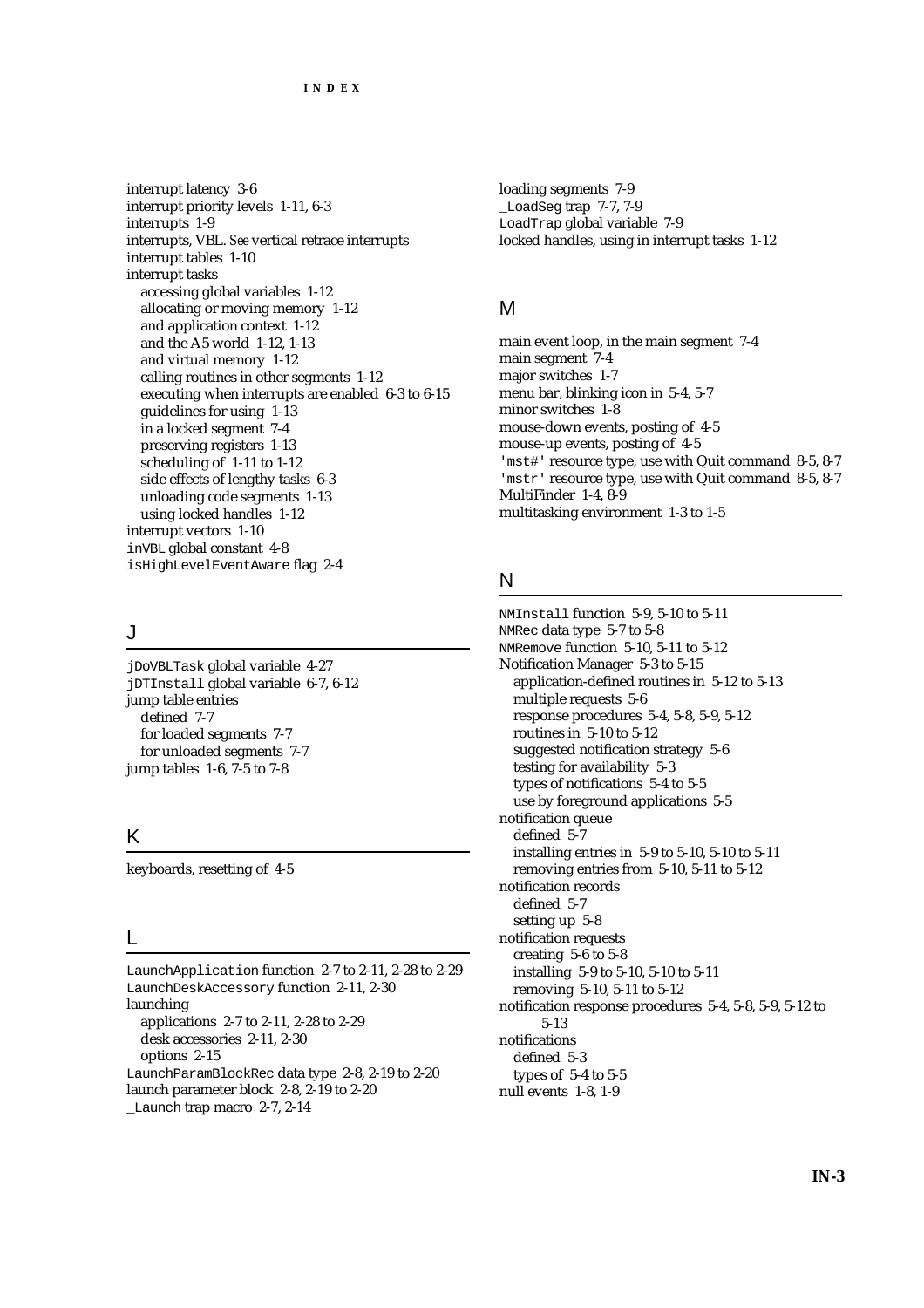interrupt latency 3-6 interrupt priority levels 1-11, 6-3 interrupts 1-9 interrupts, VBL. *See* vertical retrace interrupts interrupt tables 1-10 interrupt tasks accessing global variables 1-12 allocating or moving memory 1-12 and application context 1-12 and the A5 world 1-12, 1-13 and virtual memory 1-12 calling routines in other segments 1-12 executing when interrupts are enabled 6-3 to 6-15 guidelines for using 1-13 in a locked segment 7-4 preserving registers 1-13 scheduling of 1-11 to 1-12 side effects of lengthy tasks 6-3 unloading code segments 1-13 using locked handles 1-12 interrupt vectors 1-10 inVBL global constant 4-8 isHighLevelEventAware flag 2-4

## J

jDoVBLTask global variable 4-27 jDTInstall global variable 6-7, 6-12 jump table entries defined 7-7 for loaded segments 7-7 for unloaded segments 7-7 jump tables 1-6, 7-5 to 7-8

# K

keyboards, resetting of 4-5

#### L

LaunchApplication function 2-7 to 2-11, 2-28 to 2-29 LaunchDeskAccessory function 2-11, 2-30 launching applications 2-7 to 2-11, 2-28 to 2-29 desk accessories 2-11, 2-30 options 2-15 LaunchParamBlockRec data type 2-8, 2-19 to 2-20 launch parameter block 2-8, 2-19 to 2-20

Launch trap macro 2-7, 2-14

loading segments 7-9 \_LoadSeg trap 7-7, 7-9 LoadTrap global variable 7-9 locked handles, using in interrupt tasks 1-12

#### M

main event loop, in the main segment 7-4 main segment 7-4 major switches 1-7 menu bar, blinking icon in 5-4, 5-7 minor switches 1-8 mouse-down events, posting of 4-5 mouse-up events, posting of 4-5 'mst#' resource type, use with Quit command 8-5, 8-7 'mstr' resource type, use with Quit command 8-5, 8-7 MultiFinder 1-4, 8-9 multitasking environment 1-3 to 1-5

# N

NMInstall function 5-9, 5-10 to 5-11 NMRec data type 5-7 to 5-8 NMRemove function 5-10, 5-11 to 5-12 Notification Manager 5-3 to 5-15 application-defined routines in 5-12 to 5-13 multiple requests 5-6 response procedures 5-4, 5-8, 5-9, 5-12 routines in 5-10 to 5-12 suggested notification strategy 5-6 testing for availability 5-3 types of notifications 5-4 to 5-5 use by foreground applications 5-5 notification queue defined 5-7 installing entries in 5-9 to 5-10, 5-10 to 5-11 removing entries from 5-10, 5-11 to 5-12 notification records defined 5-7 setting up 5-8 notification requests creating 5-6 to 5-8 installing 5-9 to 5-10, 5-10 to 5-11 removing 5-10, 5-11 to 5-12 notification response procedures 5-4, 5-8, 5-9, 5-12 to 5-13 notifications defined 5-3 types of 5-4 to 5-5 null events 1-8, 1-9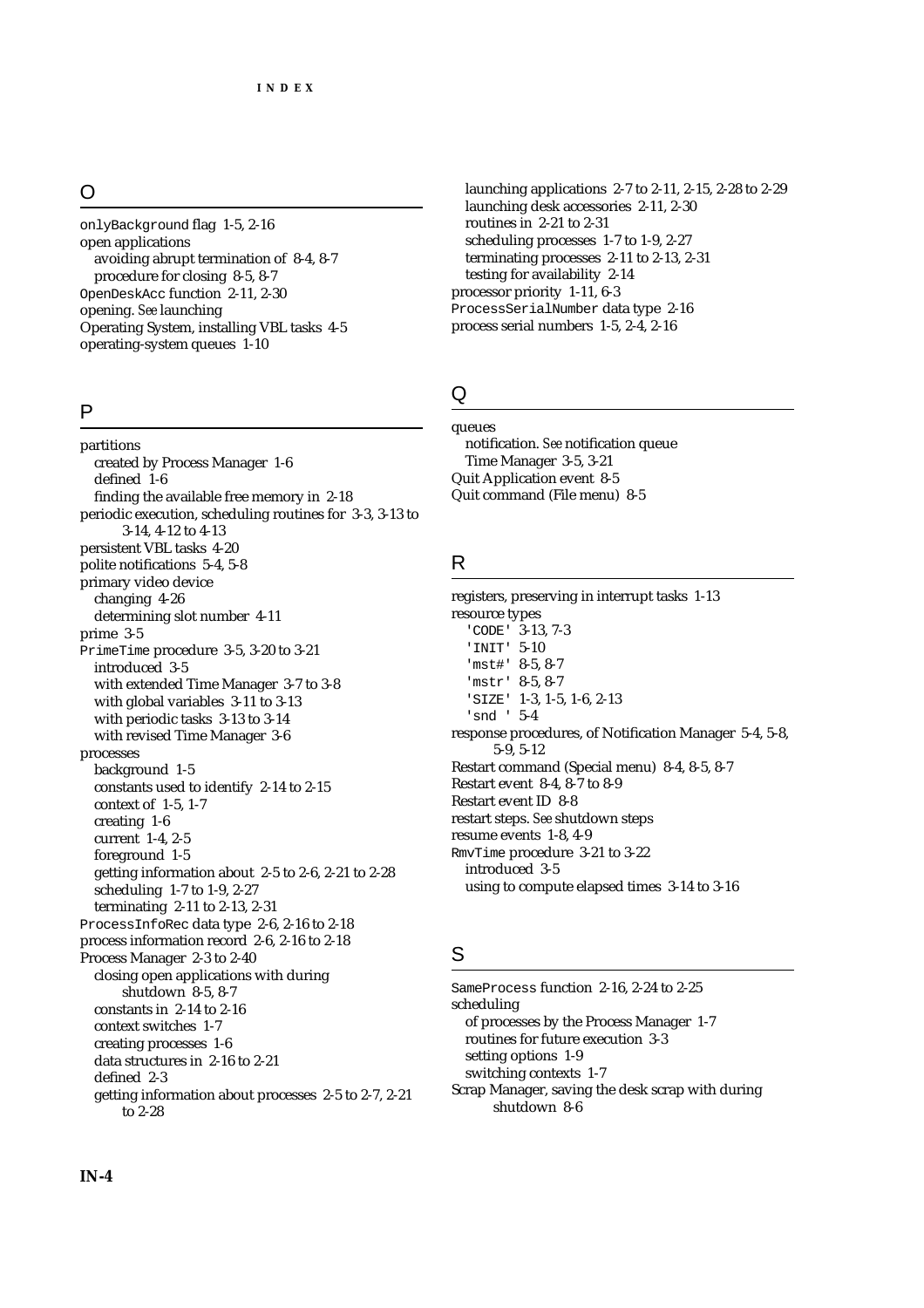# O

onlyBackground flag 1-5, 2-16 open applications avoiding abrupt termination of 8-4, 8-7 procedure for closing 8-5, 8-7 OpenDeskAcc function 2-11, 2-30 opening. *See* launching Operating System, installing VBL tasks 4-5 operating-system queues 1-10

#### P

partitions created by Process Manager 1-6 defined 1-6 finding the available free memory in 2-18 periodic execution, scheduling routines for 3-3, 3-13 to 3-14, 4-12 to 4-13 persistent VBL tasks 4-20 polite notifications 5-4, 5-8 primary video device changing 4-26 determining slot number 4-11 prime 3-5 PrimeTime procedure 3-5, 3-20 to 3-21 introduced 3-5 with extended Time Manager 3-7 to 3-8 with global variables 3-11 to 3-13 with periodic tasks 3-13 to 3-14 with revised Time Manager 3-6 processes background 1-5 constants used to identify 2-14 to 2-15 context of 1-5, 1-7 creating 1-6 current 1-4, 2-5 foreground 1-5 getting information about 2-5 to 2-6, 2-21 to 2-28 scheduling 1-7 to 1-9, 2-27 terminating 2-11 to 2-13, 2-31 ProcessInfoRec data type 2-6, 2-16 to 2-18 process information record 2-6, 2-16 to 2-18 Process Manager 2-3 to 2-40 closing open applications with during shutdown 8-5, 8-7 constants in 2-14 to 2-16 context switches 1-7 creating processes 1-6 data structures in 2-16 to 2-21 defined 2-3 getting information about processes 2-5 to 2-7, 2-21 to 2-28

launching applications 2-7 to 2-11, 2-15, 2-28 to 2-29 launching desk accessories 2-11, 2-30 routines in 2-21 to 2-31 scheduling processes 1-7 to 1-9, 2-27 terminating processes 2-11 to 2-13, 2-31 testing for availability 2-14 processor priority 1-11, 6-3 ProcessSerialNumber data type 2-16 process serial numbers 1-5, 2-4, 2-16

# Q

queues notification. *See* notification queue Time Manager 3-5, 3-21 Quit Application event 8-5 Quit command (File menu) 8-5

## R

registers, preserving in interrupt tasks 1-13 resource types 'CODE' 3-13, 7-3 'INIT' 5-10 'mst#' 8-5, 8-7 'mstr' 8-5, 8-7 'SIZE' 1-3, 1-5, 1-6, 2-13 'snd ' 5-4 response procedures, of Notification Manager 5-4, 5-8, 5-9, 5-12 Restart command (Special menu) 8-4, 8-5, 8-7 Restart event 8-4, 8-7 to 8-9 Restart event ID 8-8 restart steps. *See* shutdown steps resume events 1-8, 4-9 RmvTime procedure 3-21 to 3-22 introduced 3-5 using to compute elapsed times 3-14 to 3-16

# S

SameProcess function 2-16, 2-24 to 2-25 scheduling of processes by the Process Manager 1-7 routines for future execution 3-3 setting options 1-9 switching contexts 1-7 Scrap Manager, saving the desk scrap with during shutdown 8-6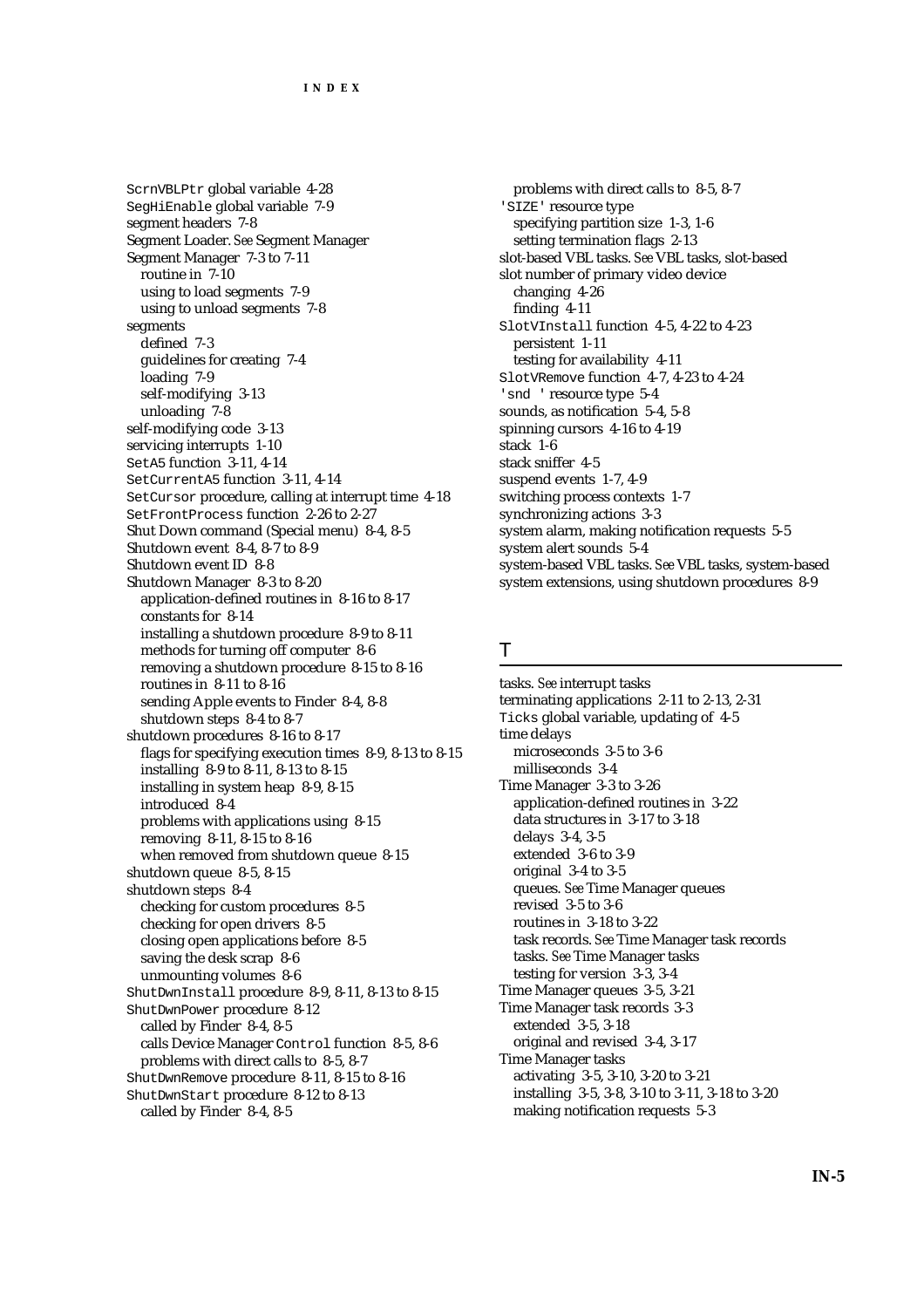ScrnVBLPtr global variable 4-28 SegHiEnable global variable 7-9 segment headers 7-8 Segment Loader. *See* Segment Manager Segment Manager 7-3 to 7-11 routine in 7-10 using to load segments 7-9 using to unload segments 7-8 segments defined 7-3 guidelines for creating 7-4 loading 7-9 self-modifying 3-13 unloading 7-8 self-modifying code 3-13 servicing interrupts 1-10 SetA5 function 3-11, 4-14 SetCurrentA5 function 3-11, 4-14 SetCursor procedure, calling at interrupt time 4-18 SetFrontProcess function 2-26 to 2-27 Shut Down command (Special menu) 8-4, 8-5 Shutdown event 8-4, 8-7 to 8-9 Shutdown event ID 8-8 Shutdown Manager 8-3 to 8-20 application-defined routines in 8-16 to 8-17 constants for 8-14 installing a shutdown procedure 8-9 to 8-11 methods for turning off computer 8-6 removing a shutdown procedure 8-15 to 8-16 routines in 8-11 to 8-16 sending Apple events to Finder 8-4, 8-8 shutdown steps 8-4 to 8-7 shutdown procedures 8-16 to 8-17 flags for specifying execution times 8-9, 8-13 to 8-15 installing 8-9 to 8-11, 8-13 to 8-15 installing in system heap 8-9, 8-15 introduced 8-4 problems with applications using 8-15 removing 8-11, 8-15 to 8-16 when removed from shutdown queue 8-15 shutdown queue 8-5, 8-15 shutdown steps 8-4 checking for custom procedures 8-5 checking for open drivers 8-5 closing open applications before 8-5 saving the desk scrap 8-6 unmounting volumes 8-6 ShutDwnInstall procedure 8-9, 8-11, 8-13 to 8-15 ShutDwnPower procedure 8-12 called by Finder 8-4, 8-5 calls Device Manager Control function 8-5, 8-6 problems with direct calls to 8-5, 8-7 ShutDwnRemove procedure 8-11, 8-15 to 8-16 ShutDwnStart procedure 8-12 to 8-13 called by Finder 8-4, 8-5

problems with direct calls to 8-5, 8-7 'SIZE' resource type specifying partition size 1-3, 1-6 setting termination flags 2-13 slot-based VBL tasks. *See* VBL tasks, slot-based slot number of primary video device changing 4-26 finding 4-11 SlotVInstall function 4-5, 4-22 to 4-23 persistent 1-11 testing for availability 4-11 SlotVRemove function 4-7, 4-23 to 4-24 'snd ' resource type 5-4 sounds, as notification 5-4, 5-8 spinning cursors 4-16 to 4-19 stack 1-6 stack sniffer 4-5 suspend events 1-7, 4-9 switching process contexts 1-7 synchronizing actions 3-3 system alarm, making notification requests 5-5 system alert sounds 5-4 system-based VBL tasks. *See* VBL tasks, system-based system extensions, using shutdown procedures 8-9

#### T

tasks. *See* interrupt tasks terminating applications 2-11 to 2-13, 2-31 Ticks global variable, updating of 4-5 time delays microseconds 3-5 to 3-6 milliseconds 3-4 Time Manager 3-3 to 3-26 application-defined routines in 3-22 data structures in 3-17 to 3-18 delays 3-4, 3-5 extended 3-6 to 3-9 original 3-4 to 3-5 queues. *See* Time Manager queues revised 3-5 to 3-6 routines in 3-18 to 3-22 task records. *See* Time Manager task records tasks. *See* Time Manager tasks testing for version 3-3, 3-4 Time Manager queues 3-5, 3-21 Time Manager task records 3-3 extended 3-5, 3-18 original and revised 3-4, 3-17 Time Manager tasks activating 3-5, 3-10, 3-20 to 3-21 installing 3-5, 3-8, 3-10 to 3-11, 3-18 to 3-20 making notification requests 5-3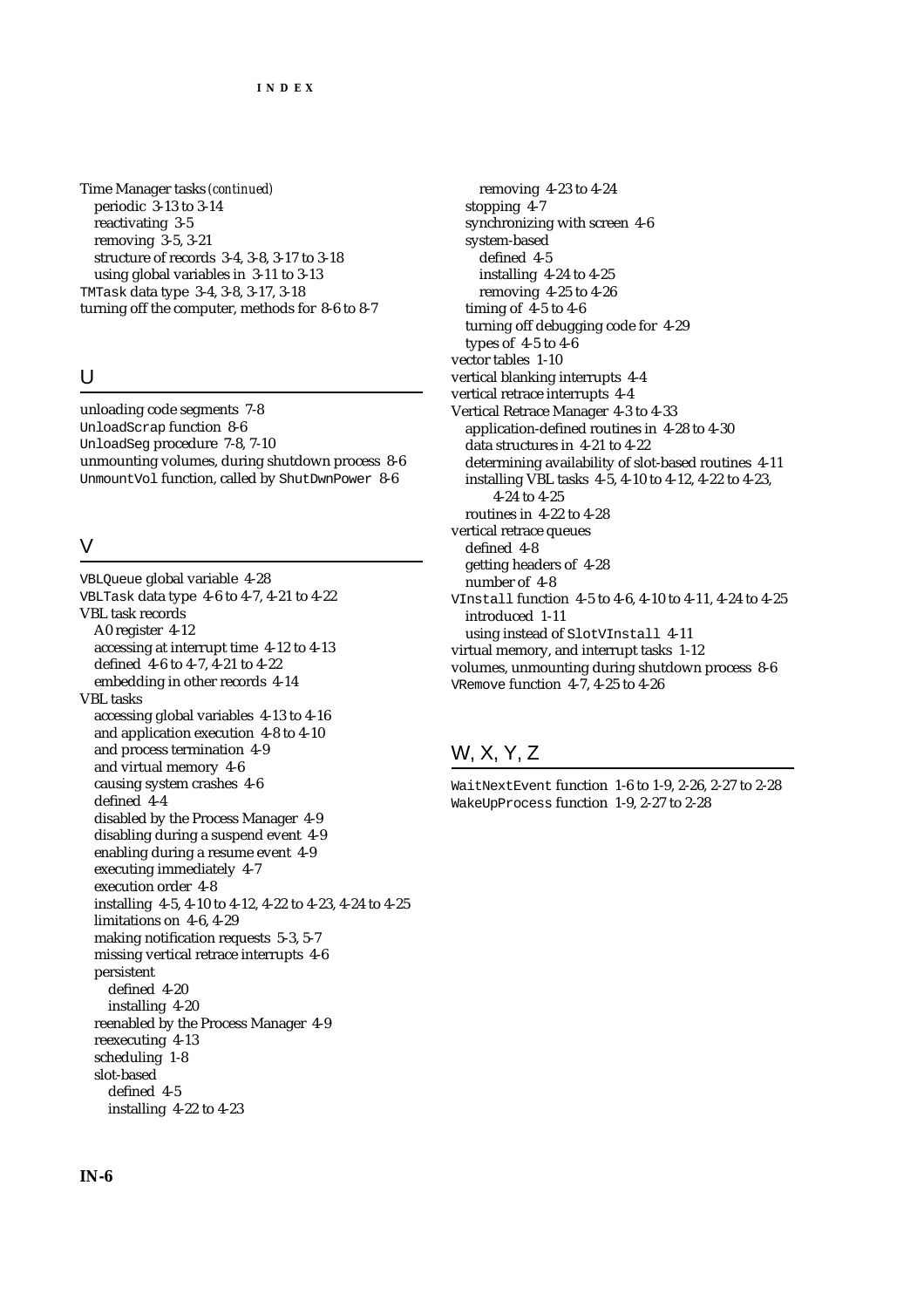Time Manager tasks *(continued)* periodic 3-13 to 3-14 reactivating 3-5 removing 3-5, 3-21 structure of records 3-4, 3-8, 3-17 to 3-18 using global variables in 3-11 to 3-13 TMTask data type 3-4, 3-8, 3-17, 3-18 turning off the computer, methods for 8-6 to 8-7

# U

unloading code segments 7-8 UnloadScrap function 8-6 UnloadSeg procedure 7-8, 7-10 unmounting volumes, during shutdown process 8-6 UnmountVol function, called by ShutDwnPower 8-6

### V

VBLQueue global variable 4-28 VBLTask data type 4-6 to 4-7, 4-21 to 4-22 VBL task records A0 register 4-12 accessing at interrupt time 4-12 to 4-13 defined 4-6 to 4-7, 4-21 to 4-22 embedding in other records 4-14 VBL tasks accessing global variables 4-13 to 4-16 and application execution 4-8 to 4-10 and process termination 4-9 and virtual memory 4-6 causing system crashes 4-6 defined 4-4 disabled by the Process Manager 4-9 disabling during a suspend event 4-9 enabling during a resume event 4-9 executing immediately 4-7 execution order 4-8 installing 4-5, 4-10 to 4-12, 4-22 to 4-23, 4-24 to 4-25 limitations on 4-6, 4-29 making notification requests 5-3, 5-7 missing vertical retrace interrupts 4-6 persistent defined 4-20 installing 4-20 reenabled by the Process Manager 4-9 reexecuting 4-13 scheduling 1-8 slot-based defined 4-5 installing 4-22 to 4-23

removing 4-23 to 4-24 stopping 4-7 synchronizing with screen 4-6 system-based defined 4-5 installing 4-24 to 4-25 removing 4-25 to 4-26 timing of 4-5 to 4-6 turning off debugging code for 4-29 types of 4-5 to 4-6 vector tables 1-10 vertical blanking interrupts 4-4 vertical retrace interrupts 4-4 Vertical Retrace Manager 4-3 to 4-33 application-defined routines in 4-28 to 4-30 data structures in 4-21 to 4-22 determining availability of slot-based routines 4-11 installing VBL tasks 4-5, 4-10 to 4-12, 4-22 to 4-23, 4-24 to 4-25 routines in 4-22 to 4-28 vertical retrace queues defined 4-8 getting headers of 4-28 number of 4-8 VInstall function 4-5 to 4-6, 4-10 to 4-11, 4-24 to 4-25 introduced 1-11 using instead of SlotVInstall 4-11 virtual memory, and interrupt tasks 1-12 volumes, unmounting during shutdown process 8-6 VRemove function 4-7, 4-25 to 4-26

# W, X, Y, Z

WaitNextEvent function 1-6 to 1-9, 2-26, 2-27 to 2-28 WakeUpProcess function 1-9, 2-27 to 2-28